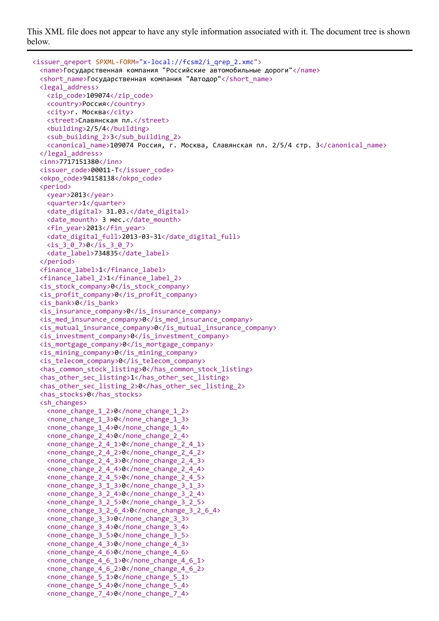This XML file does not appear to have any style information associated with it. The document tree is shown below.

```
<issuer_qreport SPXML-FORM="x-local://fcsm2/i_qrep_2.xmc">
  <name>Государственная компания "Российские автомобильные дороги"</name>
 <short_name>Государственная компания "Автодор"</short_name>
 <legal_address>
   <zip_code>109074</zip_code>
   <country>Россия</country>
   <city>г. Москва</city>
   <street>Славянская пл.</street>
   <building>2/5/4</building>
   <sub_building_2>3</sub_building_2>
   <canonical_name>109074 Россия, г. Москва, Славянская пл. 2/5/4 стр. 3</canonical_name>
 </legal_address>
 <inn>7717151380</inn>
 <issuer_code>00011-T</issuer_code>
 <okpo_code>94158138</okpo_code>
 <period>
   <year>2013</year>
   <quarter>1</quarter>
   <date_digital> 31.03.</date_digital>
   <date_mounth> 3 мес.</date_mounth>
   <fin_year>2013</fin_year>
   <date_digital_full>2013-03-31</date_digital_full>
   <is_3_0_7>0</is_3_0_7>
   <date_label>734835</date_label>
 </period>
 <finance_label>1</finance_label>
 <finance_label_2>1</finance_label_2>
 <is_stock_company>0</is_stock_company>
 <is_profit_company>0</is_profit_company>
 <is_bank>0</is_bank>
 <is_insurance_company>0</is_insurance_company>
 \langle is med insurance company>0\langle is med insurance company>
 <is_mutual_insurance_company>0</is_mutual_insurance_company>
 <is_investment_company>0</is_investment_company>
 <is_mortgage_company>0</is_mortgage_company>
 <is_mining_company>0</is_mining_company>
 <is_telecom_company>0</is_telecom_company>
 <has_common_stock_listing>0</has_common_stock_listing>
 <has_other_sec_listing>1</has_other_sec_listing>
 \langlehas other sec listing 2>0\langlehas other sec listing 2>
 <has_stocks>0</has_stocks>
 <sh_changes>
   <none_change_1_2>0</none_change_1_2>
   <none_change_1_3>0</none_change_1_3>
   <none_change_1_4>0</none_change_1_4>
   <none_change_2_4>0</none_change_2_4>
   <none_change_2_4_1>0</none_change_2_4_1>
   <none_change_2_4_2>0</none_change_2_4_2>
   <none_change_2_4_3>0</none_change_2_4_3>
   <none_change_2_4_4>0</none_change_2_4_4>
   <none_change_2_4_5>0</none_change_2_4_5>
   <none_change_3_1_3>0</none_change_3_1_3>
   <none_change_3_2_4>0</none_change_3_2_4>
   <none_change_3_2_5>0</none_change_3_2_5>
   <none_change_3_2_6_4>0</none_change_3_2_6_4>
   <none_change_3_3>0</none_change_3_3>
   <none_change_3_4>0</none_change_3_4>
   <none_change_3_5>0</none_change_3_5>
   <none_change_4_3>0</none_change_4_3>
   <none_change_4_6>0</none_change_4_6>
   <none_change_4_6_1>0</none_change_4_6_1>
   <none_change_4_6_2>0</none_change_4_6_2>
   <none_change_5_1>0</none_change_5_1>
   \langle none change 5 4>0\langle/none change 5 4>
   \langle none change 7 4>0\langle/none change 7 4>
```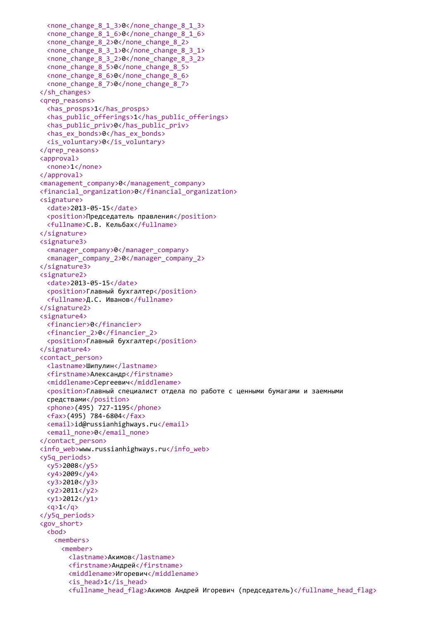```
<none_change_8_1_3>0</none_change_8_1_3>
  <none_change_8_1_6>0</none_change_8_1_6>
  <none_change_8_2>0</none_change_8_2>
  <none_change_8_3_1>0</none_change_8_3_1>
  <none_change_8_3_2>0</none_change_8_3_2>
  <none_change_8_5>0</none_change_8_5>
  <none_change_8_6>0</none_change_8_6>
  <none_change_8_7>0</none_change_8_7>
</sh_changes>
<qrep_reasons>
  <has_prosps>1</has_prosps>
  <has_public_offerings>1</has_public_offerings>
  <has_public_priv>0</has_public_priv>
  <has_ex_bonds>0</has_ex_bonds>
  <is_voluntary>0</is_voluntary>
</qrep_reasons>
<approval>
  <none>1</none>
</approval>
<management_company>0</management_company>
<financial_organization>0</financial_organization>
<signature>
  <date>2013-05-15</date>
  <position>Председатель правления</position>
  <fullname>С.В. Кельбах</fullname>
</signature>
<signature3>
  <manager_company>0</manager_company>
  <manager_company_2>0</manager_company_2>
</signature3>
<signature2>
  <date>2013-05-15</date>
  <position>Главный бухгалтер</position>
  <fullname>Д.С. Иванов</fullname>
</signature2>
<signature4>
  <financier>0</financier>
  <financier_2>0</financier_2>
  <position>Главный бухгалтер</position>
</signature4>
<contact_person>
  <lastname>Шипулин</lastname>
  <firstname>Александр</firstname>
  <middlename>Сергеевич</middlename>
  <position>Главный специалист отдела по работе с ценными бумагами и заемными
  средствами</position>
  <phone>(495) 727-1195</phone>
  <fax>(495) 784-6804</fax>
  <email>id@russianhighways.ru</email>
  <email_none>0</email_none>
</contact_person>
<info_web>www.russianhighways.ru</info_web>
<y5q_periods>
  <y5>2008</y5>
  <y4>2009</y4>
  <y3>2010</y3>
  <y2>2011</y2>
 \langle v1 \rangle 2012 \langle /v1 \rangle\langle q>1 \langle q \rangle</y5q_periods>
<gov_short>
  <bod>
   <members>
     <member>
       <lastname>Акимов</lastname>
       <firstname>Андрей</firstname>
       <middlename>Игоревич</middlename>
       <is_head>1</is_head>
       <fullname_head_flag>Акимов Андрей Игоревич (председатель)</fullname_head_flag>
```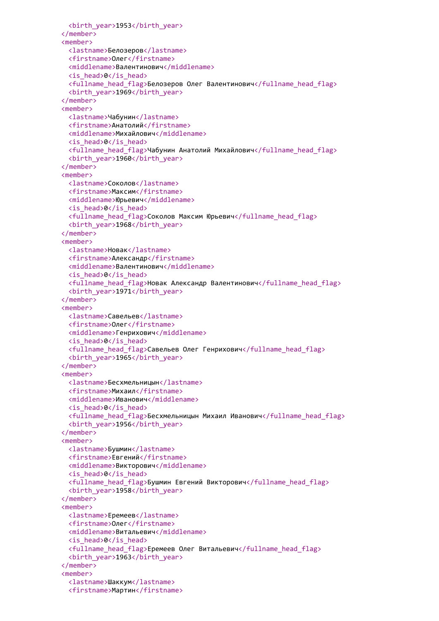```
<birth_year>1953</birth_year>
</member>
<member>
 <lastname>Белозеров</lastname>
 <firstname>Олег</firstname>
 <middlename>Валентинович</middlename>
 <is_head>0</is_head>
 <fullname_head_flag>Белозеров Олег Валентинович</fullname_head_flag>
 <birth_year>1969</birth_year>
</member>
<member>
 <lastname>Чабунин</lastname>
 <firstname>Анатолий</firstname>
 <middlename>Михайлович</middlename>
 <is_head>0</is_head>
 <fullname_head_flag>Чабунин Анатолий Михайлович</fullname_head_flag>
 <birth_year>1960</birth_year>
</member>
<member>
 <lastname>Соколов</lastname>
 <firstname>Максим</firstname>
 <middlename>Юрьевич</middlename>
 <is_head>0</is_head>
 <fullname head flag>Соколов Максим Юрьевич</fullname head flag>
 <birth_year>1968</birth_year>
</member>
<member>
 <lastname>Новак</lastname>
 <firstname>Александр</firstname>
 <middlename>Валентинович</middlename>
 <is_head>0</is_head>
 <fullname_head_flag>Новак Александр Валентинович</fullname_head_flag>
 <birth_year>1971</birth_year>
</member>
<member>
 <lastname>Савельев</lastname>
 <firstname>Олег</firstname>
 <middlename>Генрихович</middlename>
 <is_head>0</is_head>
 <fullname_head_flag>Савельев Олег Генрихович</fullname_head_flag>
 <birth_year>1965</birth_year>
</member>
<member>
 <lastname>Бесхмельницын</lastname>
 <firstname>Михаил</firstname>
 <middlename>Иванович</middlename>
 <is_head>0</is_head>
 <fullname_head_flag>Бесхмельницын Михаил Иванович</fullname_head_flag>
 <birth_year>1956</birth_year>
</member>
<member>
 <lastname>Бушмин</lastname>
 <firstname>Евгений</firstname>
 <middlename>Викторович</middlename>
 <is_head>0</is_head>
 <fullname_head_flag>Бушмин Евгений Викторович</fullname_head_flag>
 <birth_year>1958</birth_year>
</member>
<member>
 <lastname>Еремеев</lastname>
 <firstname>Олег</firstname>
 <middlename>Витальевич</middlename>
 <is_head>0</is_head>
 <fullname_head_flag>Еремеев Олег Витальевич</fullname_head_flag>
 <birth_year>1963</birth_year>
</member>
<member>
 <lastname>Шаккум</lastname>
 <firstname>Мартин</firstname>
```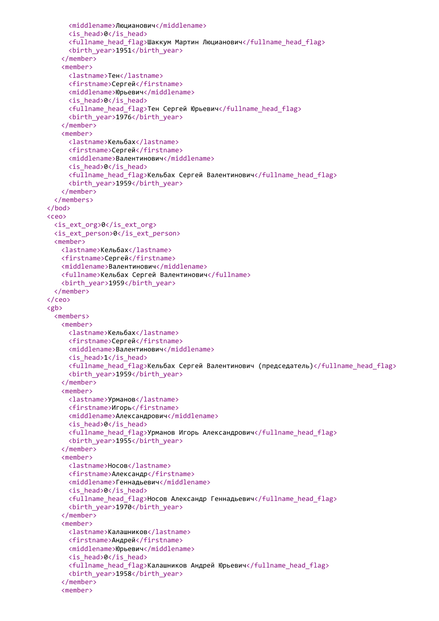```
<middlename>Люцианович</middlename>
     <is_head>0</is_head>
     <fullname_head_flag>Шаккум Мартин Люцианович</fullname_head_flag>
     <birth_year>1951</birth_year>
   </member>
   <member>
     <lastname>Тен</lastname>
     <firstname>Сергей</firstname>
     <middlename>Юрьевич</middlename>
     <is_head>0</is_head>
     <fullname head flag>Тен Сергей Юрьевич</fullname head flag>
     <birth_year>1976</birth_year>
   </member>
   <member>
     <lastname>Кельбах</lastname>
     <firstname>Сергей</firstname>
     <middlename>Валентинович</middlename>
     <is_head>0</is_head>
     <fullname_head_flag>Кельбах Сергей Валентинович</fullname_head_flag>
     <birth_year>1959</birth_year>
   </member>
 </members>
</bod>
<ceo>
 <is_ext_org>0</is_ext_org>
 <is_ext_person>0</is_ext_person>
 <member>
   <lastname>Кельбах</lastname>
   <firstname>Сергей</firstname>
   <middlename>Валентинович</middlename>
   <fullname>Кельбах Сергей Валентинович</fullname>
   <birth_year>1959</birth_year>
 </member>
</ceo>
<gb>
 <members>
   <member>
     <lastname>Кельбах</lastname>
     <firstname>Сергей</firstname>
     <middlename>Валентинович</middlename>
     <is_head>1</is_head>
     <fullname_head_flag>Кельбах Сергей Валентинович (председатель)</fullname_head_flag>
     <birth_year>1959</birth_year>
   </member>
   <member>
     <lastname>Урманов</lastname>
     <firstname>Игорь</firstname>
     <middlename>Александрович</middlename>
     <is_head>0</is_head>
     <fullname_head_flag>Урманов Игорь Александрович</fullname_head_flag>
     <birth_year>1955</birth_year>
   </member>
   <member>
     <lastname>Носов</lastname>
     <firstname>Александр</firstname>
     <middlename>Геннадьевич</middlename>
     <is_head>0</is_head>
     <fullname_head_flag>Носов Александр Геннадьевич</fullname_head_flag>
     <birth_year>1970</birth_year>
   </member>
   <member>
     <lastname>Калашников</lastname>
     <firstname>Андрей</firstname>
     <middlename>Юрьевич</middlename>
     <is_head>0</is_head>
     <fullname_head_flag>Калашников Андрей Юрьевич</fullname_head_flag>
     <birth_year>1958</birth_year>
   </member>
   <member>
```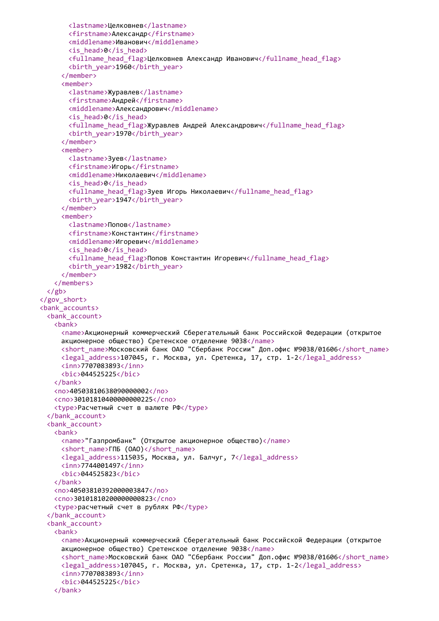```
<lastname>Целковнев</lastname>
       <firstname>Александр</firstname>
       <middlename>Иванович</middlename>
       <is_head>0</is_head>
       <fullname_head_flag>Целковнев Александр Иванович</fullname_head_flag>
       <birth_year>1960</birth_year>
     </member>
     <member>
       <lastname>Журавлев</lastname>
       <firstname>Андрей</firstname>
       <middlename>Александрович</middlename>
       <is_head>0</is_head>
       <fullname_head_flag>Журавлев Андрей Александрович</fullname_head_flag>
       <birth_year>1970</birth_year>
     </member>
     <member>
       <lastname>Зуев</lastname>
       <firstname>Игорь</firstname>
       <middlename>Николаевич</middlename>
       <is_head>0</is_head>
       <fullname head flag>Зуев Игорь Николаевич</fullname head flag>
       <birth_year>1947</birth_year>
     </member>
     <member>
       <lastname>Попов</lastname>
       <firstname>Константин</firstname>
       <middlename>Игоревич</middlename>
       <is_head>0</is_head>
       <fullname_head_flag>Попов Константин Игоревич</fullname_head_flag>
       <birth_year>1982</birth_year>
     </member>
   </members>
 \langle/gb>
</gov_short>
<bank_accounts>
 <bank_account>
   <bank>
     <name>Акционерный коммерческий Сберегательный банк Российской Федерации (открытое
     акционерное общество) Сретенское отделение 9038</name>
     <short name>Московский банк ОАО "Сбербанк России" Доп.офис №9038/01606</short name>
     <legal_address>107045, г. Москва, ул. Сретенка, 17, стр. 1-2</legal_address>
     <inn>7707083893</inn>
     <bic>044525225</bic>
   </bank>
   <no>40503810638090000002</no>
   <cno>30101810400000000225</cno>
   <type>Расчетный счет в валюте РФ</type>
 </bank_account>
 <bank_account>
   <bank>
     <name>"Газпромбанк" (Открытое акционерное общество)</name>
     <short_name>ГПБ (ОАО)</short_name>
     <legal_address>115035, Москва, ул. Балчуг, 7</legal_address>
     <inn>7744001497</inn>
     <bic>044525823</bic>
   </bank>
   <no>40503810392000003847</no>
   <cno>30101810200000000823</cno>
   <type>расчетный счет в рублях РФ</type>
 </bank_account>
 <bank_account>
   <bank>
     <name>Акционерный коммерческий Сберегательный банк Российской Федерации (открытое
     акционерное общество) Сретенское отделение 9038</name>
     <short_name>Московский банк ОАО "Сбербанк России" Доп.офис №9038/01606</short_name>
     <legal_address>107045, г. Москва, ул. Сретенка, 17, стр. 1-2</legal_address>
     <inn>7707083893</inn>
     <bic>044525225</bic>
   </bank>
```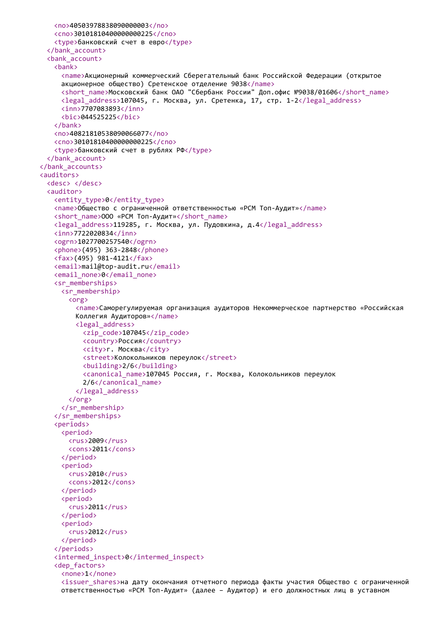```
<no>40503978838090000003</no>
   <cno>30101810400000000225</cno>
   <type>банковский счет в евро</type>
 </bank_account>
 <bank_account>
   <bank>
     <name>Акционерный коммерческий Сберегательный банк Российской Федерации (открытое
     акционерное общество) Сретенское отделение 9038</name>
     <short_name>Московский банк ОАО "Сбербанк России" Доп.офис №9038/01606</short_name>
     <legal_address>107045, г. Москва, ул. Сретенка, 17, стр. 1-2</legal_address>
     <inn>7707083893</inn>
     <bic>044525225</bic>
   </bank>
   <no>40821810538090066077</no>
   <cno>30101810400000000225</cno>
   <type>банковский счет в рублях РФ</type>
 </bank_account>
</bank_accounts>
<auditors>
 <desc> </desc>
 <auditor>
   <entity_type>0</entity_type>
   <name>Общество с ограниченной ответственностью «РСМ Топ-Аудит»</name>
   <short name>ООО «РСМ Топ-Аудит»</short name>
   <legal_address>119285, г. Москва, ул. Пудовкина, д.4</legal_address>
   <inn>7722020834</inn>
   <ogrn>1027700257540</ogrn>
   <phone>(495) 363-2848</phone>
   <fax>(495) 981-4121</fax>
   <email>mail@top-audit.ru</email>
   <email none>0</email none>
   <sr_memberships>
     <sr_membership>
       <org>
         <name>Саморегулируемая организация аудиторов Некоммерческое партнерство «Российская
         Коллегия Аудиторов»</name>
         <legal_address>
           <zip_code>107045</zip_code>
           <country>Россия</country>
           <city>г. Москва</city>
           <street>Колокольников переулок</street>
           <building>2/6</building>
           <canonical_name>107045 Россия, г. Москва, Колокольников переулок
           2/6</canonical_name>
         </legal_address>
       </org>
     </sr_membership>
   </sr_memberships>
   <periods>
     <period>
       <rus>2009</rus>
       <cons>2011</cons>
     </period>
     <period>
       <rus>2010</rus>
       <cons>2012</cons>
     </period>
     <period>
       <rus>2011</rus>
     </period>
     <period>
       <rus>2012</rus>
     </period>
   </periods>
   <intermed_inspect>0</intermed_inspect>
   <dep_factors>
     <none>1</none>
     <issuer_shares>на дату окончания отчетного периода факты участия Общество с ограниченной
     ответственностью «РСМ Топ-Аудит» (далее – Аудитор) и его должностных лиц в уставном
```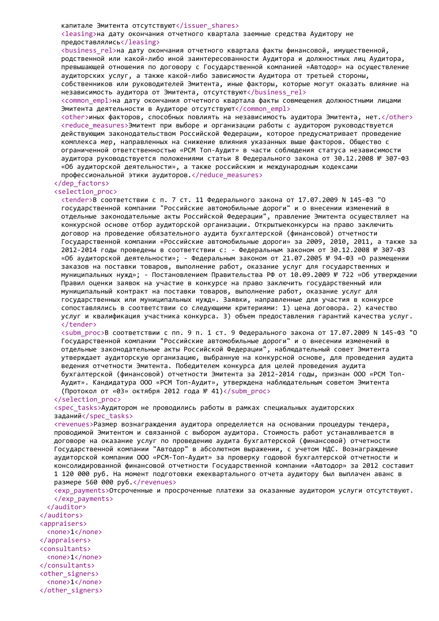#### капитале Эмитента отсутствуют</issuer\_shares>

<leasing>на дату окончания отчетного квартала заемные средства Аудитору не предоставлялись</leasing>

<business\_rel>на дату окончания отчетного квартала факты финансовой, имущественной, родственной или какой-либо иной заинтересованности Аудитора и должностных лиц Аудитора, превышающей отношения по договору с Государственной компанией «Автодор» на осуществление аудиторских услуг, а также какой-либо зависимости Аудитора от третьей стороны, собственников или руководителей Эмитента, иные факторы, которые могут оказать влияние на независимость аудитора от Эмитента, отсутствуют</business\_rel>

<common empl>на дату окончания отчетного квартала факты совмещения должностными лицами Эмитента деятельности в Аудиторе отсутствуют</common\_empl>

<other>иных факторов, способных повлиять на независимость аудитора Эмитента, нет.</other> <reduce measures>Эмитент при выборе и организации работы с аудитором руководствуется действующим законодательством Российской Федерации, которое предусматривает проведение комплекса мер, направленных на снижение влияния указанных выше факторов. Общество с ограниченной ответственностью «РСМ Топ-Аудит» в части соблюдения статуса независимости аудитора руководствуется положениями статьи 8 Федерального закона от 30.12.2008 № 307-ФЗ «Об аудиторской деятельности», а также российским и международным кодексами профессиональной этики аудиторов.</reduce\_measures>

## </dep\_factors>

## <selection\_proc>

<tender>В соответствии с п. 7 ст. 11 Федерального закона от 17.07.2009 N 145-ФЗ "О государственной компании "Российские автомобильные дороги" и о внесении изменений в отдельные законодательные акты Российской Федерации", правление Эмитента осуществляет на конкурсной основе отбор аудиторской организации. Открытыеконкурсы на право заключить договор на проведение обязательного аудита бухгалтерской (финансовой) отчетности Государственной компании «Российские автомобильные дороги» за 2009, 2010, 2011, а также за 2012-2014 годы проведены в соответствии с: - Федеральным законом от 30.12.2008 № 307-ФЗ «Об аудиторской деятельности»; - Федеральным законом от 21.07.2005 № 94-ФЗ «О размещении заказов на поставки товаров, выполнение работ, оказание услуг для государственных и муниципальных нужд»; - Постановлением Правительства РФ от 10.09.2009 № 722 «Об утверждении Правил оценки заявок на участие в конкурсе на право заключить государственный или муниципальный контракт на поставки товаров, выполнение работ, оказание услуг для государственных или муниципальных нужд». Заявки, направленные для участия в конкурсе сопоставлялись в соответствии со следующими критериями: 1) цена договора. 2) качество услуг и квалификация участника конкурса. 3) объем предоставления гарантий качества услуг. </tender>

<subm proc>В соответствии с пп. 9 п. 1 ст. 9 Федерального закона от 17.07.2009 N 145-ФЗ "О Государственной компании "Российские автомобильные дороги" и о внесении изменений в отдельные законодательные акты Российской Федерации", наблюдательный совет Эмитента утверждает аудиторскую организацию, выбранную на конкурсной основе, для проведения аудита ведения отчетности Эмитента. Победителем конкурса для целей проведения аудита бухгалтерской (финансовой) отчетности Эмитента за 2012-2014 годы, признан ООО «РСМ Топ-Аудит». Кандидатура ООО «РСМ Топ-Аудит», утверждена наблюдательным советом Эмитента (Протокол от «03» октября 2012 года № 41)</subm\_proc>

#### </selection\_proc>

<spec\_tasks>Аудитором не проводились работы в рамках специальных аудиторских заданий</spec\_tasks>

<revenues>Размер вознаграждения аудитора определяется на основании процедуры тендера, проводимой Эмитентом и связанной с выбором аудитора. Стоимость работ устанавливается в договоре на оказание услуг по проведению аудита бухгалтерской (финансовой) отчетности Государственной компании "Автодор" в абсолютном выражении, с учетом НДС. Вознаграждение аудиторской компании ООО «РСМ-Топ-Аудит» за проверку годовой бухгалтерской отчетности и консолидированной финансовой отчетности Государственной компании «Автодор» за 2012 составит 1 120 000 руб. На момент подготовки ежеквартального отчета аудитору был выплачен аванс в размере 560 000 руб.</revenues>

<exp\_payments>Отсроченные и просроченные платежи за оказанные аудитором услуги отсутствуют. </exp\_payments>

</auditor> </auditors> <appraisers> <none>1</none> </appraisers> <consultants> <none>1</none> </consultants> <other\_signers> <none>1</none> </other\_signers>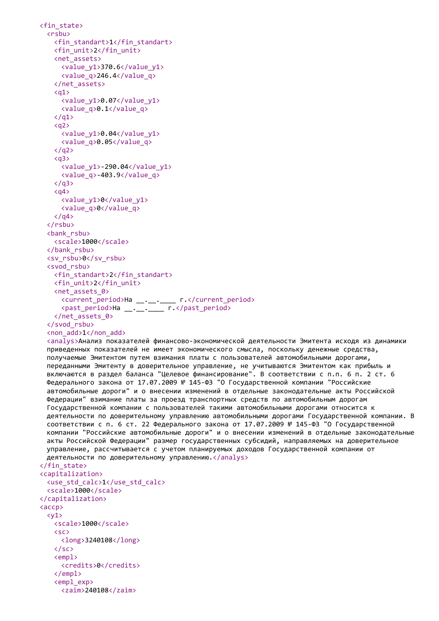```
<fin_state>
  <rsbu>
   <fin_standart>1</fin_standart>
   <fin_unit>2</fin_unit>
   <net_assets>
     <value_y1>370.6</value_y1>
     <value_q>246.4</value_q>
    </net_assets>
    \langlea1>
     <value_y1>0.07</value_y1>
     <value_q>0.1</value_q>
    \langle/q1>
    <sub>q2</sub></sub>
     <value_y1>0.04</value_y1>
     <value_q>0.05</value_q>
    \langle/q2>
    <a<sub>3</sub><value_y1>-290.04</value_y1>
     <value_q>-403.9</value_q>
    \langle/q3>
    <sub>q4</sub></sub>
     <value_y1>0</value_y1>
     <value_q>0</value_q>
   \langle/q4>
  </rsbu>
  <bank_rsbu>
   <scale>1000</scale>
  </bank_rsbu>
  <sv_rsbu>0</sv_rsbu>
  <svod_rsbu>
   <fin_standart>2</fin_standart>
   <fin_unit>2</fin_unit>
   <net_assets_0>
     <current_period>На __.__.____ г.</current_period>
     <past_period>На __.__.____ г.</past_period>
    </net_assets_0>
  </svod_rsbu>
  <non_add>1</non_add>
  <analys>Анализ показателей финансово-экономической деятельности Эмитента исходя из динамики
  приведенных показателей не имеет экономического смысла, поскольку денежные средства,
  получаемые Эмитентом путем взимания платы с пользователей автомобильными дорогами,
  переданными Эмитенту в доверительное управление, не учитываются Эмитентом как прибыль и
  включаются в раздел баланса "Целевое финансирование". В соответствии с п.п. 6 п. 2 ст. 6
 Федерального закона от 17.07.2009 № 145-ФЗ "О Государственной компании "Российские
  автомобильные дороги" и о внесении изменений в отдельные законодательные акты Российской
  Федерации" взимание платы за проезд транспортных средств по автомобильным дорогам
  Государственной компании с пользователей такими автомобильными дорогами относится к
 деятельности по доверительному управлению автомобильными дорогами Государственной компании. В
  соответствии с п. 6 ст. 22 Федерального закона от 17.07.2009 № 145-ФЗ "О Государственной
  компании "Российские автомобильные дороги" и о внесении изменений в отдельные законодательные
  акты Российской Федерации" размер государственных субсидий, направляемых на доверительное
 управление, рассчитывается с учетом планируемых доходов Государственной компании от
 деятельности по доверительному управлению.</analys>
</fin_state>
<capitalization>
  <use_std_calc>1</use_std_calc>
  <scale>1000</scale>
</capitalization>
<accp>
  \langle v1 \rangle<scale>1000</scale>
    \langlesc\rangle<long>3240108</long>
   \langle/sc\rangle\le empl ><credits>0</credits>
   \langle/empl\rangle<empl_exp>
     <zaim>240108</zaim>
```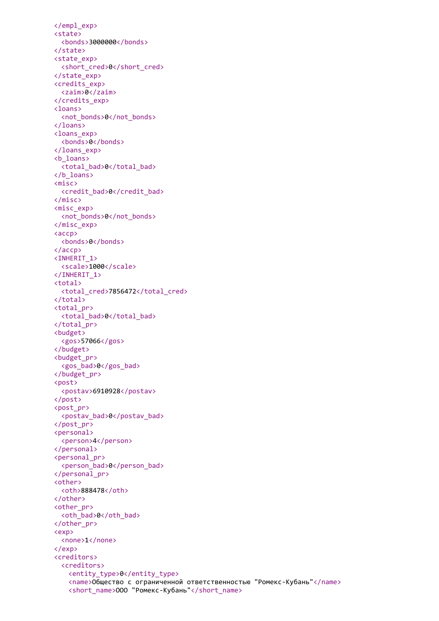</empl\_exp> <state> <bonds>3000000</bonds> </state> <state\_exp> <short\_cred>0</short\_cred> </state\_exp> <credits\_exp> <zaim>0</zaim> </credits\_exp> <loans> <not\_bonds>0</not\_bonds> </loans> <loans\_exp> <bonds>0</bonds> </loans\_exp> <b\_loans> <total bad>0</total bad> </b\_loans> <misc> <credit\_bad>0</credit\_bad> </misc> <misc\_exp> <not\_bonds>0</not\_bonds> </misc\_exp> <accp> <bonds>0</bonds> </accp> <INHERIT\_1> <scale>1000</scale> </INHERIT\_1> <total> <total\_cred>7856472</total\_cred> </total> <total\_pr> <total\_bad>0</total\_bad> </total\_pr> <budget> <gos>57066</gos> </budget> <budget\_pr> <gos\_bad>0</gos\_bad> </budget\_pr> <post> <postav>6910928</postav> </post> <post\_pr> <postav\_bad>0</postav\_bad> </post\_pr> <personal> <person>4</person> </personal> <personal\_pr> <person\_bad>0</person\_bad> </personal\_pr> <other> <oth>888478</oth> </other> <other\_pr> <oth\_bad>0</oth\_bad> </other\_pr> <exp> <none>1</none> </exp> <creditors> <creditors> <entity\_type>0</entity\_type> <name>Общество с ограниченной ответственностью "Ромекс-Кубань"</name> <short\_name>ООО "Ромекс-Кубань"</short\_name>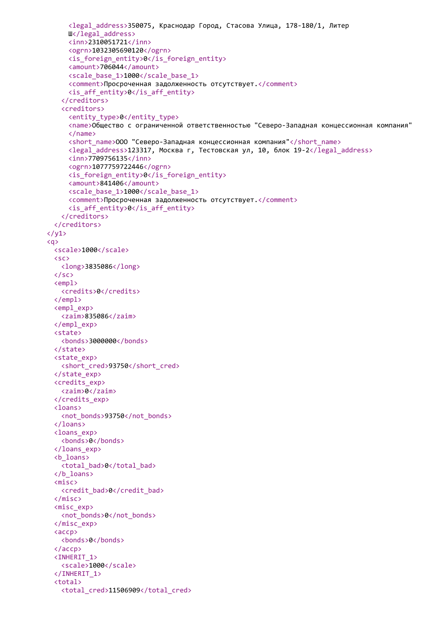```
<legal_address>350075, Краснодар Город, Стасова Улица, 178-180/1, Литер
     Ш</legal_address>
     <inn>2310051721</inn>
     <ogrn>1032305690120</ogrn>
     <is_foreign_entity>0</is_foreign_entity>
     <amount>706044</amount>
     <scale_base_1>1000</scale_base_1>
     <comment>Просроченная задолженность отсутствует.</comment>
     <is_aff_entity>0</is_aff_entity>
   </creditors>
   <creditors>
     <entity_type>0</entity_type>
     <name>Общество с ограниченной ответственностью "Северо-Западная концессионная компания"
     </name>
     <short_name>ООО "Северо-Западная концессионная компания"</short_name>
     <legal_address>123317, Москва г, Тестовская ул, 10, блок 19-2</legal_address>
     <inn>7709756135</inn>
     <ogrn>1077759722446</ogrn>
     \langle is foreign entity>0\langle is foreign entity>
     <amount>841406</amount>
     <scale_base_1>1000</scale_base_1>
     <comment>Просроченная задолженность отсутствует.</comment>
     \langle is aff entity>0\langle is aff entity>
   </creditors>
 </creditors>
\langle/y1>
<q>
 <scale>1000</scale>
 <sc>
   <long>3835086</long>
 \langle/sc\rangle<empl>
   <credits>0</credits>
 </empl>
 <empl_exp>
   <zaim>835086</zaim>
 </empl_exp>
 <state>
   <bonds>3000000</bonds>
 </state>
 <state_exp>
   <short_cred>93750</short_cred>
 </state_exp>
 <credits_exp>
   <zaim>0</zaim>
 </credits_exp>
 <loans>
   <not_bonds>93750</not_bonds>
 </loans>
 <loans_exp>
   <bonds>0</bonds>
 </loans_exp>
 <b_loans>
   <total bad>0</total bad>
 </b_loans>
 <misc>
   <credit_bad>0</credit_bad>
 </misc>
 <misc_exp>
   <not_bonds>0</not_bonds>
 </misc_exp>
 <accp>
   <bonds>0</bonds>
 </accp>
 <INHERIT_1>
   <scale>1000</scale>
 </INHERIT_1>
 <total>
   <total_cred>11506909</total_cred>
```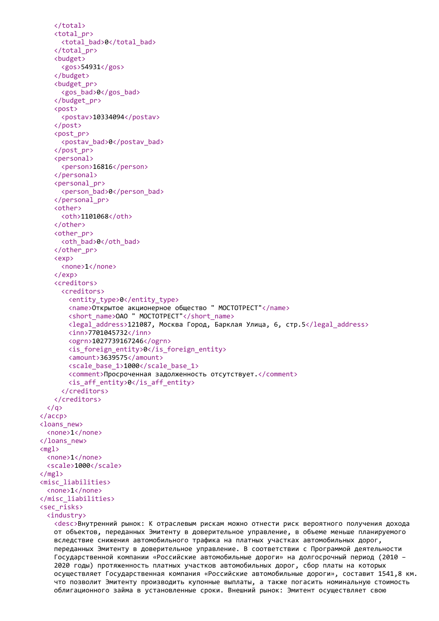```
</total>
   <total_pr>
     <total_bad>0</total_bad>
   </total_pr>
   <budget>
     <gos>54931</gos>
   </budget>
   <budget_pr>
     <gos_bad>0</gos_bad>
   </budget_pr>
   <post>
     <postav>10334094</postav>
   </post>
   <post_pr>
     <postav_bad>0</postav_bad>
   </post_pr>
   <personal>
     <person>16816</person>
   </personal>
   <personal_pr>
     <person_bad>0</person_bad>
   </personal_pr>
   <other>
     <oth>1101068</oth>
   </other>
   <other_pr>
     <oth bad>0</oth bad>
   </other_pr>
   <exp>
     <none>1</none>
   </exp>
   <creditors>
     <creditors>
       <entity_type>0</entity_type>
       <name>Открытое акционерное общество " МОСТОТРЕСТ"</name>
       <short_name>ОАО " МОСТОТРЕСТ"</short_name>
       <legal_address>121087, Москва Город, Барклая Улица, 6, стр.5</legal_address>
       <inn>7701045732</inn>
       <ogrn>1027739167246</ogrn>
       <is_foreign_entity>0</is_foreign_entity>
       <amount>3639575</amount>
       <scale_base_1>1000</scale_base_1>
       <comment>Просроченная задолженность отсутствует.</comment>
       <is_aff_entity>0</is_aff_entity>
     </creditors>
   </creditors>
  \langle/q>
</accp>
<loans_new>
  <none>1</none>
</loans_new>
<sub>me1</sub></sub>
 <none>1</none>
 <scale>1000</scale>
</mgl>
<misc_liabilities>
  <none>1</none>
</misc_liabilities>
<sec_risks>
  <industry>
   <desc>Внутренний рынок: К отраслевым рискам можно отнести риск вероятного получения дохода
   от объектов, переданных Эмитенту в доверительное управление, в объеме меньше планируемого
   вследствие снижения автомобильного трафика на платных участках автомобильных дорог,
   переданных Эмитенту в доверительное управление. В соответствии с Программой деятельности
   Государственной компании «Российские автомобильные дороги» на долгосрочный период (2010 –
   2020 годы) протяженность платных участков автомобильных дорог, сбор платы на которых
```

```
осуществляет Государственная компания «Российские автомобильные дороги», составит 1541,8 км.
что позволит Эмитенту производить купонные выплаты, а также погасить номинальную стоимость
облигационного займа в установленные сроки. Внешний рынок: Эмитент осуществляет свою
```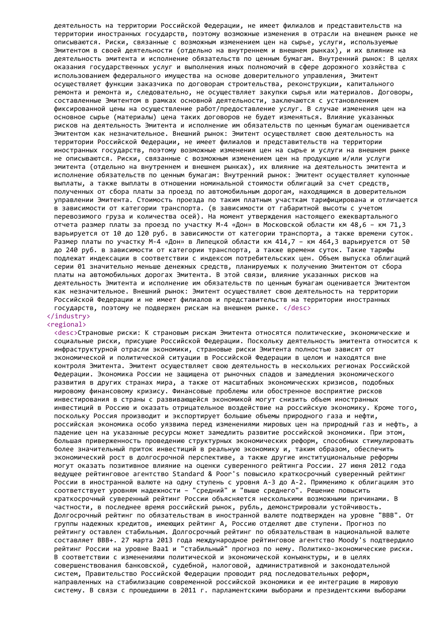деятельность на территории Российской Федерации, не имеет филиалов и представительств на территории иностранных государств, поэтому возможные изменения в отрасли на внешнем рынке не описываются. Риски, связанные с возможным изменением цен на сырье, услуги, используемые Эмитентом в своей деятельности (отдельно на внутреннем и внешнем рынках), и их влияние на деятельность эмитента и исполнение обязательств по ценным бумагам. Внутренний рынок: В целях оказания государственных услуг и выполнения иных полномочий в сфере дорожного хозяйства с использованием федерального имущества на основе доверительного управления, Эмитент осуществляет функции заказчика по договорам строительства, реконструкции, капитального ремонта и ремонта и, следовательно, не осуществляет закупки сырья или материалов. Договоры, составленные Эмитентом в рамках основной деятельности, заключаются с установлением фиксированной цены на осуществление работ/предоставление услуг. В случае изменения цен на основное сырье (материалы) цена таких договоров не будет изменяться. Влияние указанных рисков на деятельность Эмитента и исполнение им обязательств по ценным бумагам оценивается Эмитентом как незначительное. Внешний рынок: Эмитент осуществляет свою деятельность на территории Российской Федерации, не имеет филиалов и представительств на территории иностранных государств, поэтому возможные изменения цен на сырье и услуги на внешнем рынке не описываются. Риски, связанные с возможным изменением цен на продукцию и/или услуги эмитента (отдельно на внутреннем и внешнем рынках), их влияние на деятельность эмитента и исполнение обязательств по ценным бумагам: Внутренний рынок: Эмитент осуществляет купонные выплаты, а также выплаты в отношении номинальной стоимости облигаций за счет средств, полученных от сбора платы за проезд по автомобильным дорогам, находящимся в доверительном управлении Эмитента. Стоимость проезда по таким платным участкам тарифицирована и отличается в зависимости от категории транспорта. (в зависимости от габаритной высоты с учетом перевозимого груза и количества осей). На момент утверждения настоящего ежеквартального отчета размер платы за проезд по участку М-4 «Дон» в Московской области км 48,6 – км 71,3 варьируется от 10 до 120 руб. в зависимости от категории транспорта, а также времени суток. Размер платы по участку М-4 «Дон» в Липецкой области км 414,7 – км 464,3 варьируется от 50 до 240 руб. в зависимости от категории транспорта, а также времени суток. Такие тарифы подлежат индексации в соответствии с индексом потребительских цен. Объем выпуска облигаций серии 01 значительно меньше денежных средств, планируемых к получению Эмитентом от сбора платы на автомобильных дорогах Эмитента. В этой связи, влияние указанных рисков на деятельность Эмитента и исполнение им обязательств по ценным бумагам оценивается Эмитентом как незначительное. Внешний рынок: Эмитент осуществляет свою деятельность на территории Российской Федерации и не имеет филиалов и представительств на территории иностранных государств, поэтому не подвержен рискам на внешнем рынке. </desc>

#### </industry> <regional>

<desc>Страновые риски: К страновым рискам Эмитента относятся политические, экономические и социальные риски, присущие Российской Федерации. Поскольку деятельность эмитента относится к инфраструктурной отрасли экономики, страновые риски Эмитента полностью зависят от экономической и политической ситуации в Российской Федерации в целом и находятся вне контроля Эмитента. Эмитент осуществляет свою деятельность в нескольких регионах Российской Федерации. Экономика России не защищена от рыночных спадов и замедления экономического развития в других странах мира, а также от масштабных экономических кризисов, подобных мировому финансовому кризису. Финансовые проблемы или обостренное восприятие рисков инвестирования в страны с развивающейся экономикой могут снизить объем иностранных инвестиций в Россию и оказать отрицательное воздействие на российскую экономику. Кроме того, поскольку Россия производит и экспортирует большие объемы природного газа и нефти, российская экономика особо уязвима перед изменениями мировых цен на природный газ и нефть, а падение цен на указанные ресурсы может замедлить развитие российской экономики. При этом, большая приверженность проведению структурных экономических реформ, способных стимулировать более значительный приток инвестиций в реальную экономику и, таким образом, обеспечить экономический рост в долгосрочной перспективе, а также другие институциональные реформы могут оказать позитивное влияние на оценки суверенного рейтинга России. 27 июня 2012 года ведущее рейтинговое агентство Standard & Poor's повысило краткосрочный суверенный рейтинг России в иностранной валюте на одну ступень с уровня А-3 до А-2. Применимо к облигациям это соответствует уровням надежности – "средний" и "выше среднего". Решение повысить краткосрочный суверенный рейтинг России объясняется несколькими возможными причинами. В частности, в последнее время российский рынок, рубль, демонстрировали устойчивость. Долгосрочный рейтинг по обязательствам в иностранной валюте подтвержден на уровне "BBB". От группы надежных кредитов, имеющих рейтинг А, Россию отделяют две ступени. Прогноз по рейтингу оставлен стабильным. Долгосрочный рейтинг по обязательствам в национальной валюте составляет BBB+. 27 марта 2013 года международное рейтинговое агентство Moody's подтвердило рейтинг России на уровне Baa1 и "стабильный" прогноз по нему. Политико-экономические риски. В соответствии с изменениями политической и экономической конъюнктуры, и в целях совершенствования банковской, судебной, налоговой, административной и законодательной систем, Правительство Российской Федерации проводит ряд последовательных реформ, направленных на стабилизацию современной российской экономики и ее интеграцию в мировую систему. В связи с прошедшими в 2011 г. парламентскими выборами и президентскими выборами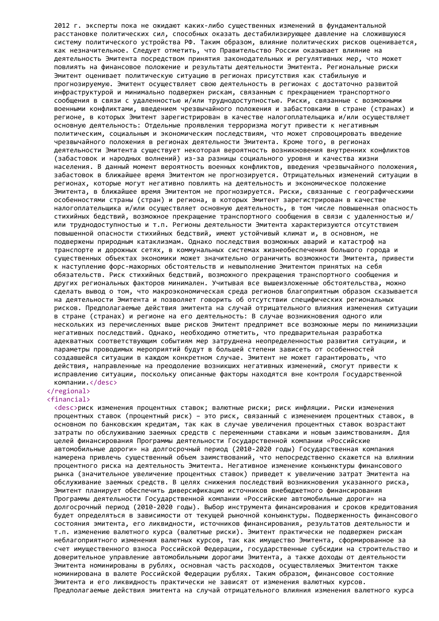2012 г. эксперты пока не ожидают каких-либо существенных изменений в фундаментальной расстановке политических сил, способных оказать дестабилизирующее давление на сложившуюся систему политического устройства РФ. Таким образом, влияние политических рисков оценивается, как незначительное. Следует отметить, что Правительство России оказывает влияние на деятельность Эмитента посредством принятия законодательных и регулятивных мер, что может повлиять на финансовое положение и результаты деятельности Эмитента. Региональные риски Эмитент оценивает политическую ситуацию в регионах присутствия как стабильную и прогнозируемую. Эмитент осуществляет свою деятельность в регионах с достаточно развитой инфраструктурой и минимально подвержен рискам, связанным с прекращением транспортного сообщения в связи с удаленностью и/или труднодоступностью. Риски, связанные с возможными военными конфликтами, введением чрезвычайного положения и забастовками в стране (странах) и регионе, в которых Эмитент зарегистрирован в качестве налогоплательщика и/или осуществляет основную деятельность: Отдельные проявления терроризма могут привести к негативным политическим, социальным и экономическим последствиям, что может спровоцировать введение чрезвычайного положения в регионах деятельности Эмитента. Кроме того, в регионах деятельности Эмитента существует некоторая вероятность возникновения внутренних конфликтов (забастовок и народных волнений) из-за разницы социального уровня и качества жизни населения. В данный момент вероятность военных конфликтов, введения чрезвычайного положения, забастовок в ближайшее время Эмитентом не прогнозируется. Отрицательных изменений ситуации в регионах, которые могут негативно повлиять на деятельность и экономическое положение Эмитента, в ближайшее время Эмитентом не прогнозируется. Риски, связанные с географическими особенностями страны (стран) и региона, в которых Эмитент зарегистрирован в качестве налогоплательщика и/или осуществляет основную деятельность, в том числе повышенная опасность стихийных бедствий, возможное прекращение транспортного сообщения в связи с удаленностью и/ или труднодоступностью и т.п. Регионы деятельности Эмитента характеризуются отсутствием повышенной опасности стихийных бедствий, имеют устойчивый климат и, в основном, не подвержены природным катаклизмам. Однако последствия возможных аварий и катастроф на транспорте и дорожных сетях, в коммунальных системах жизнеобеспечения большого города и существенных объектах экономики может значительно ограничить возможности Эмитента, привести к наступлению форс-мажорных обстоятельств и невыполнению Эмитентом принятых на себя обязательств. Риск стихийных бедствий, возможного прекращения транспортного сообщения и других региональных факторов минимален. Учитывая все вышеизложенные обстоятельства, можно сделать вывод о том, что макроэкономическая среда регионов благоприятным образом сказывается на деятельности Эмитента и позволяет говорить об отсутствии специфических региональных рисков. Предполагаемые действия эмитента на случай отрицательного влияния изменения ситуации в стране (странах) и регионе на его деятельность: В случае возникновения одного или нескольких из перечисленных выше рисков Эмитент предпримет все возможные меры по минимизации негативных последствий. Однако, необходимо отметить, что предварительная разработка адекватных соответствующим событиям мер затруднена неопределенностью развития ситуации, и параметры проводимых мероприятий будут в большей степени зависеть от особенностей создавшейся ситуации в каждом конкретном случае. Эмитент не может гарантировать, что действия, направленные на преодоление возникших негативных изменений, смогут привести к исправлению ситуации, поскольку описанные факторы находятся вне контроля Государственной компании.</desc>

# </regional>

<financial>

<desc>риск изменения процентных ставок; валютные риски; риск инфляции. Риски изменения процентных ставок (процентный риск) – это риск, связанный с изменением процентных ставок, в основном по банковским кредитам, так как в случае увеличения процентных ставок возрастают затраты по обслуживанию заемных средств с переменными ставками и новым заимствованиям. Для целей финансирования Программы деятельности Государственной компании «Российские автомобильные дороги» на долгосрочный период (2010-2020 годы) Государственная компания намерена привлечь существенный объем заимствований, что непосредственно скажется на влиянии процентного риска на деятельность Эмитента. Негативное изменение конъюнктуры финансового рынка (значительное увеличение процентных ставок) приведет к увеличению затрат Эмитента на обслуживание заемных средств. В целях снижения последствий возникновения указанного риска, Эмитент планирует обеспечить диверсификацию источников внебюджетного финансирования Программы деятельности Государственной компании «Российские автомобильные дороги» на долгосрочный период (2010-2020 годы). Выбор инструмента финансирования и сроков кредитования будет определяться в зависимости от текущей рыночной конъюнктуры. Подверженность финансового состояния эмитента, его ликвидности, источников финансирования, результатов деятельности и т.п. изменению валютного курса (валютные риски). Эмитент практически не подвержен рискам неблагоприятного изменения валютных курсов, так как имущество Эмитента, сформированное за счет имущественного взноса Российской Федерации, государственные субсидии на строительство и доверительное управление автомобильными дорогами Эмитента, а также доходы от деятельности Эмитента номинированы в рублях, основная часть расходов, осуществляемых Эмитентом также номинирована в валюте Российской Федерации рублях. Таким образом, финансовое состояние Эмитента и его ликвидность практически не зависят от изменения валютных курсов. Предполагаемые действия эмитента на случай отрицательного влияния изменения валютного курса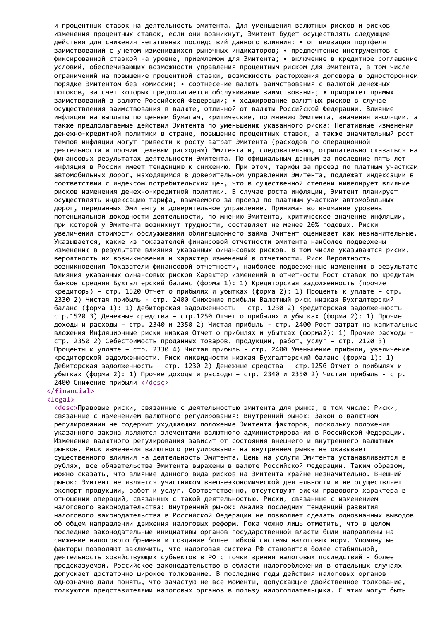и процентных ставок на деятельность эмитента. Для уменьшения валютных рисков и рисков изменения процентных ставок, если они возникнут, Эмитент будет осуществлять следующие действия для снижения негативных последствий данного влияния: • оптимизация портфеля заимствований с учетом изменившихся рыночных индикаторов; • предпочтение инструментов с фиксированной ставкой на уровне, приемлемом для Эмитента; • включение в кредитное соглашение условий, обеспечивающих возможности управления процентным риском для Эмитента, в том числе ограничений на повышение процентной ставки, возможность расторжения договора в одностороннем порядке Эмитентом без комиссии; • соотнесение валюты заимствования с валютой денежных потоков, за счет которых предполагается обслуживание заимствования; • приоритет прямых заимствований в валюте Российской Федерации; • хеджирование валютных рисков в случае осуществления заимствования в валюте, отличной от валюты Российской Федерации. Влияние инфляции на выплаты по ценным бумагам, критические, по мнению Эмитента, значения инфляции, а также предполагаемые действия Эмитента по уменьшению указанного риска: Негативные изменения денежно-кредитной политики в стране, повышение процентных ставок, а также значительный рост темпов инфляции могут привести к росту затрат Эмитента (расходов по операционной деятельности и прочим целевым расходам) Эмитента и, следовательно, отрицательно сказаться на финансовых результатах деятельности Эмитента. По официальным данным за последние пять лет инфляция в России имеет тенденцию к снижению. При этом, тарифы за проезд по платным участкам автомобильных дорог, находящимся в доверительном управлении Эмитента, подлежат индексации в соответствии с индексом потребительских цен, что в существенной степени нивелирует влияние рисков изменения денежно-кредитной политики. В случае роста инфляции, Эмитент планирует осуществлять индексацию тарифа, взымаемого за проезд по платным участкам автомобильных дорог, переданных Эмитенту в доверительное управление. Принимая во внимание уровень потенциальной доходности деятельности, по мнению Эмитента, критическое значение инфляции, при которой у Эмитента возникнут трудности, составляет не менее 20% годовых. Риски увеличения стоимости обслуживания облигационного займа Эмитент оценивает как незначительные. Указывается, какие из показателей финансовой отчетности эмитента наиболее подвержены изменению в результате влияния указанных финансовых рисков. В том числе указываются риски, вероятность их возникновения и характер изменений в отчетности. Риск Вероятность возникновения Показатели финансовой отчетности, наиболее подверженные изменению в результате влияния указанных финансовых рисков Характер изменений в отчетности Рост ставок по кредитам банков средняя Бухгалтерский баланс (форма 1): 1) Кредиторская задолженность (прочие кредиторы) – стр. 1520 Отчет о прибылях и убытках (форма 2): 1) Проценты к уплате – стр. 2330 2) Чистая прибыль - стр. 2400 Снижение прибыли Валютный риск низкая Бухгалтерский баланс (форма 1): 1) Дебиторская задолженность – стр. 1230 2) Кредиторская задолженность – стр.1520 3) Денежные средства – стр.1250 Отчет о прибылях и убытках (форма 2): 1) Прочие доходы и расходы – стр. 2340 и 2350 2) Чистая прибыль - стр. 2400 Рост затрат на капитальные вложения Инфляционные риски низкая Отчет о прибылях и убытках (форма2): 1) Прочие расходы – стр. 2350 2) Себестоимость проданных товаров, продукции, работ, услуг – стр. 2120 3) Проценты к уплате – стр. 2330 4) Чистая прибыль - стр. 2400 Уменьшение прибыли, увеличение кредиторской задолженности. Риск ликвидности низкая Бухгалтерский баланс (форма 1): 1) Дебиторская задолженность – стр. 1230 2) Денежные средства – стр.1250 Отчет о прибылях и убытках (форма 2): 1) Прочие доходы и расходы – стр. 2340 и 2350 2) Чистая прибыль - стр. 2400 Снижение прибыли </desc>

## </financial>

#### <legal>

<desc>Правовые риски, связанные с деятельностью эмитента для рынка, в том числе: Риски, связанные с изменением валютного регулирования: Внутренний рынок: Закон о валютном регулировании не содержит ухудшающих положение Эмитента факторов, поскольку положения указанного закона являются элементами валютного администрирования в Российской Федерации. Изменение валютного регулирования зависит от состояния внешнего и внутреннего валютных рынков. Риск изменения валютного регулирования на внутреннем рынке не оказывает существенного влияния на деятельность Эмитента. Цены на услуги Эмитента устанавливаются в рублях, все обязательства Эмитента выражены в валюте Российской Федерации. Таким образом, можно сказать, что влияние данного вида рисков на Эмитента крайне незначительно. Внешний рынок: Эмитент не является участником внешнеэкономической деятельности и не осуществляет экспорт продукции, работ и услуг. Соответственно, отсутствуют риски правового характера в отношении операций, связанных с такой деятельностью. Риски, связанные с изменением налогового законодательства: Внутренний рынок: Анализ последних тенденций развития налогового законодательства в Российской Федерации не позволяет сделать однозначных выводов об общем направлении движения налоговых реформ. Пока можно лишь отметить, что в целом последние законодательные инициативы органов государственной власти были направлены на снижение налогового бремени и создание более гибкой системы налоговых норм. Упомянутые факторы позволяют заключить, что налоговая система РФ становится более стабильной, деятельность хозяйствующих субъектов в РФ с точки зрения налоговых последствий - более предсказуемой. Российское законодательство в области налогообложения в отдельных случаях допускает достаточно широкое толкование. В последние годы действия налоговых органов однозначно дали понять, что зачастую не все моменты, допускающие двойственное толкование, толкуются представителями налоговых органов в пользу налогоплательщика. С этим могут быть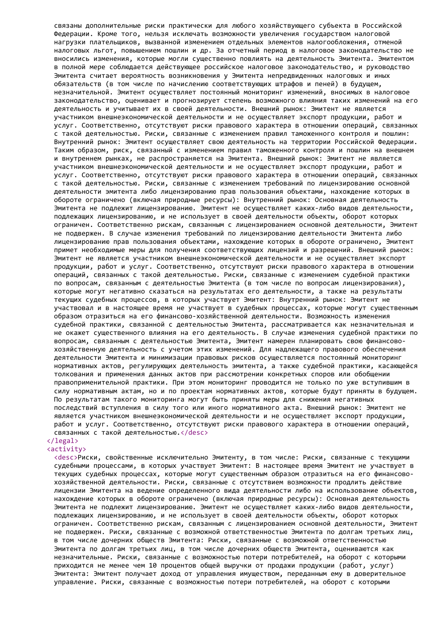связаны дополнительные риски практически для любого хозяйствующего субъекта в Российской Федерации. Кроме того, нельзя исключать возможности увеличения государством налоговой нагрузки плательщиков, вызванной изменением отдельных элементов налогообложения, отменой налоговых льгот, повышением пошлин и др. За отчетный период в налоговое законодательство не вносились изменения, которые могли существенно повлиять на деятельность Эмитента. Эмитентом в полной мере соблюдается действующее российское налоговое законодательство, и руководство Эмитента считает вероятность возникновения у Эмитента непредвиденных налоговых и иных обязательств (в том числе по начислению соответствующих штрафов и пеней) в будущем, незначительной. Эмитент осуществляет постоянный мониторинг изменений, вносимых в налоговое законодательство, оценивает и прогнозирует степень возможного влияния таких изменений на его деятельность и учитывает их в своей деятельности. Внешний рынок: Эмитент не является участником внешнеэкономической деятельности и не осуществляет экспорт продукции, работ и услуг. Соответственно, отсутствуют риски правового характера в отношении операций, связанных с такой деятельностью. Риски, связанные с изменением правил таможенного контроля и пошлин: Внутренний рынок: Эмитент осуществляет свою деятельность на территории Российской Федерации. Таким образом, риск, связанный с изменением правил таможенного контроля и пошлин на внешнем и внутреннем рынках, не распространяется на Эмитента. Внешний рынок: Эмитент не является участником внешнеэкономической деятельности и не осуществляет экспорт продукции, работ и услуг. Соответственно, отсутствуют риски правового характера в отношении операций, связанных с такой деятельностью. Риски, связанные с изменением требований по лицензированию основной деятельности эмитента либо лицензированию прав пользования объектами, нахождение которых в обороте ограничено (включая природные ресурсы): Внутренний рынок: Основная деятельность Эмитента не подлежит лицензированию. Эмитент не осуществляет каких-либо видов деятельности, подлежащих лицензированию, и не использует в своей деятельности объекты, оборот которых ограничен. Соответственно рискам, связанным с лицензированием основной деятельности, Эмитент не подвержен. В случае изменения требований по лицензированию деятельности Эмитента либо лицензированию прав пользования объектами, нахождение которых в обороте ограничено, Эмитент примет необходимые меры для получения соответствующих лицензий и разрешений. Внешний рынок: Эмитент не является участником внешнеэкономической деятельности и не осуществляет экспорт продукции, работ и услуг. Соответственно, отсутствуют риски правового характера в отношении операций, связанных с такой деятельностью. Риски, связанные с изменением судебной практики по вопросам, связанным с деятельностью Эмитента (в том числе по вопросам лицензирования), которые могут негативно сказаться на результатах его деятельности, а также на результаты текущих судебных процессов, в которых участвует Эмитент: Внутренний рынок: Эмитент не участвовал и в настоящее время не участвует в судебных процессах, которые могут существенным образом отразиться на его финансово-хозяйственной деятельности. Возможность изменения судебной практики, связанной с деятельностью Эмитента, рассматривается как незначительная и не окажет существенного влияния на его деятельность. В случае изменения судебной практики по вопросам, связанным с деятельностью Эмитента, Эмитент намерен планировать свою финансовохозяйственную деятельность с учетом этих изменений. Для надлежащего правового обеспечения деятельности Эмитента и минимизации правовых рисков осуществляется постоянный мониторинг нормативных актов, регулирующих деятельность эмитента, а также судебной практики, касающейся толкования и применения данных актов при рассмотрении конкретных споров или обобщении правоприменительной практики. При этом мониторинг проводится не только по уже вступившим в силу нормативным актам, но и по проектам нормативных актов, которые будут приняты в будущем. По результатам такого мониторинга могут быть приняты меры для снижения негативных последствий вступления в силу того или иного нормативного акта. Внешний рынок: Эмитент не является участником внешнеэкономической деятельности и не осуществляет экспорт продукции, работ и услуг. Соответственно, отсутствуют риски правового характера в отношении операций, связанных с такой деятельностью.</desc>

# </legal>

## <activity>

<desc>Риски, свойственные исключительно Эмитенту, в том числе: Риски, связанные с текущими судебными процессами, в которых участвует Эмитент: В настоящее время Эмитент не участвует в текущих судебных процессах, которые могут существенным образом отразиться на его финансовохозяйственной деятельности. Риски, связанные с отсутствием возможности продлить действие лицензии Эмитента на ведение определенного вида деятельности либо на использование объектов, нахождение которых в обороте ограничено (включая природные ресурсы): Основная деятельность Эмитента не подлежит лицензированию. Эмитент не осуществляет каких-либо видов деятельности, подлежащих лицензированию, и не использует в своей деятельности объекты, оборот которых ограничен. Соответственно рискам, связанным с лицензированием основной деятельности, Эмитент не подвержен. Риски, связанные с возможной ответственностью Эмитента по долгам третьих лиц, в том числе дочерних обществ Эмитента: Риски, связанные с возможной ответственностью Эмитента по долгам третьих лиц, в том числе дочерних обществ Эмитента, оцениваются как незначительные. Риски, связанные с возможностью потери потребителей, на оборот с которыми приходится не менее чем 10 процентов общей выручки от продажи продукции (работ, услуг) Эмитента: Эмитент получает доход от управления имуществом, переданным ему в доверительное управление. Риски, связанные с возможностью потери потребителей, на оборот с которыми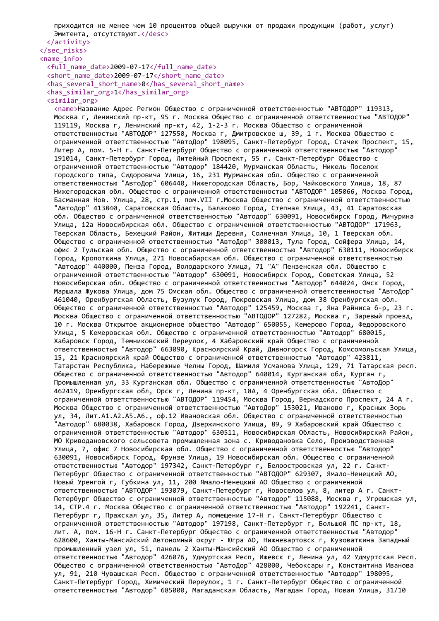приходится не менее чем 10 процентов общей выручки от продажи продукции (работ, услуг) Эмитента, отсутствуют.</desc>

</activity>

# </sec\_risks>

```
<name_info>
 <full_name_date>2009-07-17</full_name_date>
 <short_name_date>2009-07-17</short_name_date>
 <has several short name>0</has several short name>
 <has_similar_org>1</has_similar_org>
```
## <similar\_org>

<name>Название Адрес Регион Общество с ограниченной ответственностью "АВТОДОР" 119313, Москва г, Ленинский пр-кт, 95 г. Москва Общество с ограниченной ответственностью "АВТОДОР" 119119, Москва г, Ленинский пр-кт, 42, 1-2-3 г. Москва Общество с ограниченной ответственностью "АВТОДОР" 127550, Москва г, Дмитровское ш, 39, 1 г. Москва Общество с ограниченной ответственностью "АвтоДор" 198095, Санкт-Петербург Город, Стачек Проспект, 15, Литер А, пом. 5-Н г. Санкт-Петербург Общество с ограниченной ответственностью "Автодор" 191014, Санкт-Петербург Город, Литейный Проспект, 55 г. Санкт-Петербург Общество с ограниченной ответственностью "Автодор" 184420, Мурманская Область, Никель Поселок городского типа, Сидоровича Улица, 16, 231 Мурманская обл. Общество с ограниченной ответственностью "АвтоДор" 606440, Нижегородская Область, Бор, Чайковского Улица, 18, 87 Нижегородская обл. Общество с ограниченной ответственностью "АВТОДОР" 105066, Москва Город, Басманная Нов. Улица, 28, стр.1, пом.VII г.Москва Общество с ограниченной ответственностью "АвтоДор" 413840, Саратовская Область, Балаково Город, Степная Улица, 43, 41 Саратовская обл. Общество с ограниченной ответственностью "Автодор" 630091, Новосибирск Город, Мичурина Улица, 12а Новосибирская обл. Общество с ограниченной ответственностью "АВТОДОР" 171963, Тверская Область, Бежецкий Район, Житищи Деревня, Солнечная Улица, 10, 1 Тверская обл. Общество с ограниченной ответственностью "АвтоДор" 300013, Тула Город, Сойфера Улица, 14, офис 2 Тульская обл. Общество с ограниченной ответственностью "Автодор" 630111, Новосибирск Город, Кропоткина Улица, 271 Новосибирская обл. Общество с ограниченной ответственностью "Автодор" 440000, Пенза Город, Володарского Улица, 71 "А" Пензенская обл. Общество с ограниченной ответственностью "Автодор" 630091, Новосибирск Город, Советская Улица, 52 Новосибирская обл. Общество с ограниченной ответственностью "Автодор" 644024, Омск Город, Маршала Жукова Улица, дом 75 Омская обл. Общество с ограниченной ответственностью "АвтоДор" 461040, Оренбургская Область, Бузулук Город, Покровская Улица, дом 38 Оренбургская обл. Общество с ограниченной ответственностью "Автодор" 125459, Москва г, Яна Райниса б-р, 23 г. Москва Общество с ограниченной ответственностью "АВТОДОР" 127282, Москва г, Заревый проезд, 10 г. Москва Открытое акционерное общество "Автодор" 650055, Кемерово Город, Федоровского Улица, 5 Кемеровская обл. Общество с ограниченной ответственностью "Автодор" 680015, Хабаровск Город, Темниковский Переулок, 4 Хабаровский край Общество с ограниченной ответственностью "Автодор" 663090, Красноярский Край, Дивногорск Город, Комсомольская Улица, 15, 21 Красноярский край Общество с ограниченной ответственностью "Автодор" 423811, Татарстан Республика, Набережные Челны Город, Шамиля Усманова Улица, 129, 71 Татарская респ. Общество с ограниченной ответственностью "Автодор" 640014, Курганская обл, Курган г, Промышленная ул, 33 Курганская обл. Общество с ограниченной ответственностью "АвтоДор" 462419, Оренбургская обл, Орск г, Ленина пр-кт, 18А, 4 Оренбургская обл. Общество с ограниченной ответственностью "АВТОДОР" 119454, Москва Город, Вернадского Проспект, 24 А г. Москва Общество с ограниченной ответственностью "АвтоДор" 153021, Иваново г, Красных Зорь ул, 34, Лит.А1.А2.А5.А6., оф.12 Ивановская обл. Общество с ограниченной ответственностью "Автодор" 680038, Хабаровск Город, Дзержинского Улица, 89, 9 Хабаровский край Общество с ограниченной ответственностью "Автодор" 630511, Новосибирская Область, Новосибирский Район, МО Криводановского сельсовета промышленная зона с. Криводановка Село, Производственная Улица, 7, офис 7 Новосибирская обл. Общество с ограниченной ответственностью "Автодор" 630091, Новосибирск Город, Фрунзе Улица, 19 Новосибирская обл. Общество с ограниченной ответственностью "Автодор" 197342, Санкт-Петербург г, Белоостровская ул, 22 г. Санкт-Петербург Общество с ограниченной ответственностью "АВТОДОР" 629307, Ямало-Ненецкий АО, Новый Уренгой г, Губкина ул, 11, 200 Ямало-Ненецкий АО Общество с ограниченной ответственностью "АВТОДОР" 193079, Санкт-Петербург г, Новоселов ул, 8, литер А г. Санкт-Петербург Общество с ограниченной ответственностью "Автодор" 115088, Москва г, Угрешская ул, 14, СТР.4 г. Москва Общество с ограниченной ответственностью "Автодор" 192241, Санкт-Петербург г, Пражская ул, 35, Литер А, помещение 17-Н г. Санкт-Петербург Общество с ограниченной ответственностью "Автодор" 197198, Санкт-Петербург г, Большой ПС пр-кт, 18, лит. А, пом. 16-Н г. Санкт-Петербург Общество с ограниченной ответственностью "Автодор" 628600, Ханты-Мансийский Автономный округ - Югра АО, Нижневартовск г, Кузоваткина Западный промышленный узел ул, 51, панель 2 Ханты-Мансийский АО Общество с ограниченной ответственностью "Автодор" 426076, Удмуртская Респ, Ижевск г, Ленина ул, 42 Удмуртская Респ. Общество с ограниченной ответственностью "АвтоДор" 428000, Чебоксары г, Константина Иванова ул, 91, 210 Чувашская Респ. Общество с ограниченной ответственностью "Автодор" 198095, Санкт-Петербург Город, Химический Переулок, 1 г. Санкт-Петербург Общество с ограниченной ответственностью "Автодор" 685000, Магаданская Область, Магадан Город, Новая Улица, 31/10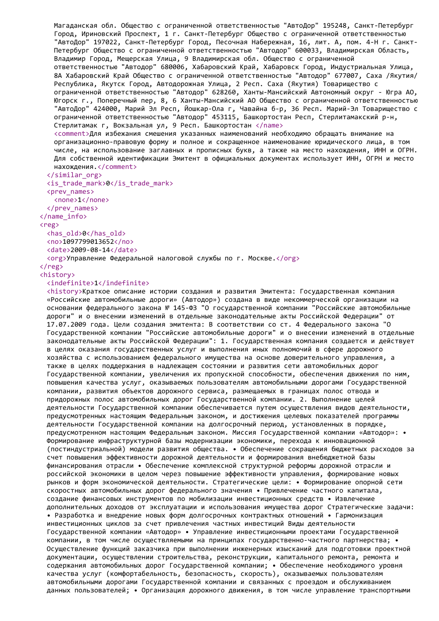Магаданская обл. Общество с ограниченной ответственностью "АвтоДор" 195248, Санкт-Петербург Город, Ириновский Проспект, 1 г. Санкт-Петербург Общество с ограниченной ответственностью "АвтоДор" 197022, Санкт-Петербург Город, Песочная Набережная, 16, лит. А, пом. 4-Н г. Санкт-Петербург Общество с ограниченной ответственностью "Автодор" 600033, Владимирская Область, Владимир Город, Мещерская Улица, 9 Владимирская обл. Общество с ограниченной ответственностью "Автодор" 680006, Хабаровский Край, Хабаровск Город, Индустриальная Улица, 8А Хабаровский Край Общество с ограниченной ответственностью "Автодор" 677007, Саха /Якутия/ Республика, Якутск Город, Автодорожная Улица, 2 Респ. Саха (Якутия) Товарищество с ограниченной ответственностью "Автодор" 628260, Ханты-Мансийский Автономный округ - Югра АО, Югорск г., Поперечный пер, 8, 6 Ханты-Мансийский АО Общество с ограниченной ответственностью "АвтоДор" 424000, Марий Эл Респ, Йошкар-Ола г, Чавайна б-р, 36 Респ. Марий-Эл Товарищество с ограниченной ответственностью "Автодор" 453115, Башкортостан Респ, Стерлитамакский р-н, Стерлитамак г, Вокзальная ул, 9 Респ. Башкортостан </name> <comment>Для избежания смешения указанных наименований необходимо обращать внимание на организационно-правовую форму и полное и сокращенное наименование юридического лица, в том числе, на использование заглавных и прописных букв, а также на место нахождения, ИНН и ОГРН. Для собственной идентификации Эмитент в официальных документах использует ИНН, ОГРН и место нахождения.</comment> </similar\_org>  $\langle$ is trade mark>0 $\langle$ is trade mark> <prev\_names> <none>1</none>

</prev\_names>

## </name\_info>

<reg>

<has\_old>0</has\_old> <no>1097799013652</no>

<date>2009-08-14</date>

<org>Управление Федеральной налоговой службы по г. Москве.</org>

 $\langle$ /reg $\rangle$ 

#### <history> <indefinite>1</indefinite>

<history>Краткое описание истории создания и развития Эмитента: Государственная компания «Российские автомобильные дороги» (Автодор») создана в виде некоммерческой организации на основании федерального закона № 145-ФЗ "О государственной компании "Российские автомобильные дороги" и о внесении изменений в отдельные законодательные акты Российской Федерации" от 17.07.2009 года. Цели создания эмитента: В соответствии со ст. 4 Федерального закона "О Государственной компании "Российские автомобильные дороги" и о внесении изменений в отдельные законодательные акты Российской Федерации": 1. Государственная компания создается и действует в целях оказания государственных услуг и выполнения иных полномочий в сфере дорожного хозяйства с использованием федерального имущества на основе доверительного управления, а также в целях поддержания в надлежащем состоянии и развития сети автомобильных дорог Государственной компании, увеличения их пропускной способности, обеспечения движения по ним, повышения качества услуг, оказываемых пользователям автомобильными дорогами Государственной компании, развития объектов дорожного сервиса, размещаемых в границах полос отвода и придорожных полос автомобильных дорог Государственной компании. 2. Выполнение целей деятельности Государственной компании обеспечивается путем осуществления видов деятельности, предусмотренных настоящим Федеральным законом, и достижения целевых показателей программы деятельности Государственной компании на долгосрочный период, установленных в порядке, предусмотренном настоящим Федеральным законом. Миссия Государственной компании «Автодор»: • Формирование инфраструктурной базы модернизации экономики, перехода к инновационной (постиндустриальной) модели развития общества. • Обеспечение сокращения бюджетных расходов за счет повышения эффективности дорожной деятельности и формирования внебюджетной базы финансирования отрасли • Обеспечение комплексной структурной реформы дорожной отрасли и российской экономики в целом через повышение эффективности управления, формирование новых рынков и форм экономической деятельности. Стратегические цели: • Формирование опорной сети скоростных автомобильных дорог федерального значения • Привлечение частного капитала, создание финансовых инструментов по мобилизации инвестиционных средств • Извлечение дополнительных доходов от эксплуатации и использования имущества дорог Стратегические задачи: • Разработка и внедрение новых форм долгосрочных контрактных отношений • Гармонизация инвестиционных циклов за счет привлечения частных инвестиций Виды деятельности Государственной компании «Автодор» • Управление инвестиционными проектами Государственной компании, в том числе осуществляемыми на принципах государственно-частного партнерства; • Осуществление функций заказчика при выполнении инженерных изысканий для подготовки проектной документации, осуществлении строительства, реконструкции, капитального ремонта, ремонта и содержания автомобильных дорог Государственной компании; • Обеспечение необходимого уровня качества услуг (комфортабельность, безопасность, скорость), оказываемых пользователям автомобильными дорогами Государственной компании и связанных с проездом и обслуживанием данных пользователей; • Организация дорожного движения, в том числе управление транспортными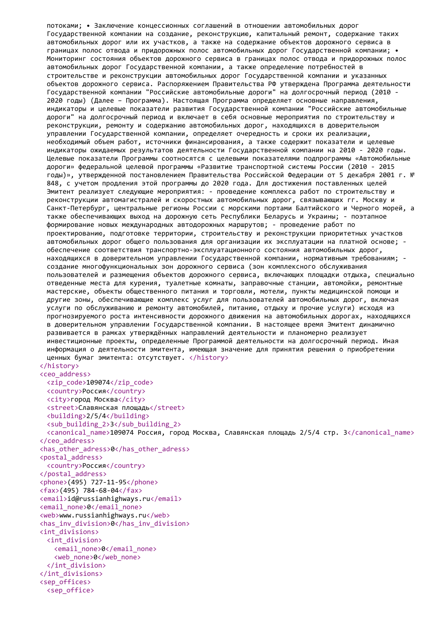потоками; • Заключение концессионных соглашений в отношении автомобильных дорог Государственной компании на создание, реконструкцию, капитальный ремонт, содержание таких автомобильных дорог или их участков, а также на содержание объектов дорожного сервиса в границах полос отвода и придорожных полос автомобильных дорог Государственной компании; • Мониторинг состояния объектов дорожного сервиса в границах полос отвода и придорожных полос автомобильных дорог Государственной компании, а также определение потребностей в строительстве и реконструкции автомобильных дорог Государственной компании и указанных объектов дорожного сервиса. Распоряжением Правительства РФ утверждена Программа деятельности Государственной компании "Российские автомобильные дороги" на долгосрочный период (2010 - 2020 годы) (Далее – Программа). Настоящая Программа определяет основные направления, индикаторы и целевые показатели развития Государственной компании "Российские автомобильные дороги" на долгосрочный период и включает в себя основные мероприятия по строительству и реконструкции, ремонту и содержанию автомобильных дорог, находящихся в доверительном управлении Государственной компании, определяет очередность и сроки их реализации, необходимый объем работ, источники финансирования, а также содержит показатели и целевые индикаторы ожидаемых результатов деятельности Государственной компании на 2010 - 2020 годы. Целевые показатели Программы соотносятся с целевыми показателями подпрограммы «Автомобильные дороги» федеральной целевой программы «Развитие транспортной системы России (2010 - 2015 годы)», утвержденной постановлением Правительства Российской Федерации от 5 декабря 2001 г. № 848, с учетом продления этой программы до 2020 года. Для достижения поставленных целей Эмитент реализует следующие мероприятия: - проведение комплекса работ по строительству и реконструкции автомагистралей и скоростных автомобильных дорог, связывающих гг. Москву и Санкт-Петербург, центральные регионы России с морскими портами Балтийского и Черного морей, а также обеспечивающих выход на дорожную сеть Республики Беларусь и Украины; - поэтапное формирование новых международных автодорожных маршрутов; - проведение работ по проектированию, подготовке территории, строительству и реконструкции приоритетных участков автомобильных дорог общего пользования для организации их эксплуатации на платной основе; обеспечение соответствия транспортно-эксплуатационного состояния автомобильных дорог, находящихся в доверительном управлении Государственной компании, нормативным требованиям; создание многофункциональных зон дорожного сервиса (зон комплексного обслуживания пользователей и размещения объектов дорожного сервиса, включающих площадки отдыха, специально отведенные места для курения, туалетные комнаты, заправочные станции, автомойки, ремонтные мастерские, объекты общественного питания и торговли, мотели, пункты медицинской помощи и другие зоны, обеспечивающие комплекс услуг для пользователей автомобильных дорог, включая услуги по обслуживанию и ремонту автомобилей, питанию, отдыху и прочие услуги) исходя из прогнозируемого роста интенсивности дорожного движения на автомобильных дорогах, находящихся в доверительном управлении Государственной компании. В настоящее время Эмитент динамично развивается в рамках утверждённых направлений деятельности и планомерно реализует инвестиционные проекты, определенные Программой деятельности на долгосрочный период. Иная информация о деятельности эмитента, имеющая значение для принятия решения о приобретении ценных бумаг эмитента: отсутствует. </history> </history> <ceo\_address> <zip\_code>109074</zip\_code> <country>Россия</country> <city>город Москва</city> <street>Славянская площадь</street> <building>2/5/4</building> <sub\_building\_2>3</sub\_building\_2> <canonical\_name>109074 Россия, город Москва, Славянская площадь 2/5/4 стр. 3</canonical\_name> </ceo\_address> <has\_other\_adress>0</has\_other\_adress> <postal\_address> <country>Россия</country> </postal\_address> <phone>(495) 727-11-95</phone> <fax>(495) 784-68-04</fax> <email>id@russianhighways.ru</email> <email\_none>0</email\_none> <web>www.russianhighways.ru</web> <has\_inv\_division>0</has\_inv\_division> <int\_divisions> <int\_division> <email\_none>0</email\_none> <web\_none>0</web\_none> </int\_division> </int\_divisions> <sep\_offices> <sep\_office>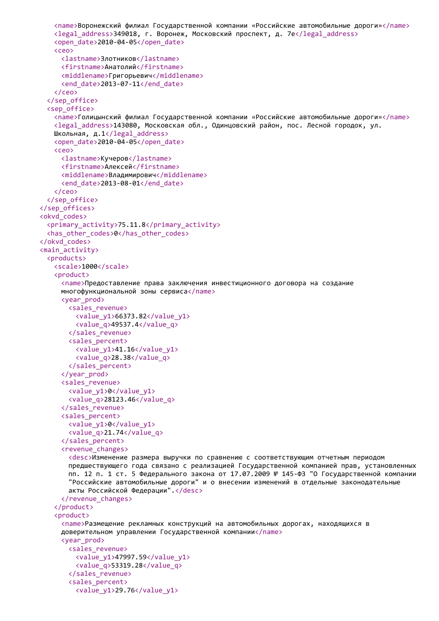```
<name>Воронежский филиал Государственной компании «Российские автомобильные дороги»</name>
   <legal_address>349018, г. Воронеж, Московский проспект, д. 7е</legal_address>
   <open_date>2010-04-05</open_date>
   <ceo>
     <lastname>Злотников</lastname>
     <firstname>Анатолий</firstname>
     <middlename>Григорьевич</middlename>
     <end date>2013-07-11</end date>
   </ceo>
  </sep_office>
  <sep_office>
   <name>Голицынский филиал Государственной компании «Российские автомобильные дороги»</name>
   <legal_address>143080, Московская обл., Одинцовский район, пос. Лесной городок, ул.
   Школьная, д.1</legal_address>
   <open_date>2010-04-05</open_date>
   <ceo>
     <lastname>Кучеров</lastname>
     <firstname>Алексей</firstname>
     <middlename>Владимирович</middlename>
     <end date>2013-08-01</end date>
   </ceo>
  </sep_office>
</sep_offices>
<okvd_codes>
  <primary_activity>75.11.8</primary_activity>
  <has other codes>0</has other codes>
</okvd_codes>
<main_activity>
  <products>
   <scale>1000</scale>
   <product>
     <name>Предоставление права заключения инвестиционного договора на создание
     многофункциональной зоны сервиса</name>
     <year_prod>
       <sales_revenue>
         <value_y1>66373.82</value_y1>
         <value_q>49537.4</value_q>
       </sales_revenue>
       <sales_percent>
         <value_y1>41.16</value_y1>
         <value_q>28.38</value_q>
       </sales_percent>
     </year_prod>
     <sales_revenue>
       <value_y1>0</value_y1>
       <value_q>28123.46</value_q>
     </sales_revenue>
     <sales_percent>
       <value_y1>0</value_y1>
       <value_q>21.74</value_q>
     </sales_percent>
     <revenue_changes>
       <desc>Изменение размера выручки по сравнению с соответствующим отчетным периодом
       предшествующего года связано с реализацией Государственной компанией прав, установленных
       пп. 12 п. 1 ст. 5 Федерального закона от 17.07.2009 № 145-ФЗ "О Государственной компании
       "Российские автомобильные дороги" и о внесении изменений в отдельные законодательные
       акты Российской Федерации".</desc>
     </revenue_changes>
   </product>
   <product>
     <name>Размещение рекламных конструкций на автомобильных дорогах, находящихся в
     доверительном управлении Государственной компании</name>
     <vear_prod>
       <sales_revenue>
         <value_y1>47997.59</value_y1>
         <value_q>53319.28</value_q>
       </sales_revenue>
       <sales_percent>
         <value_y1>29.76</value_y1>
```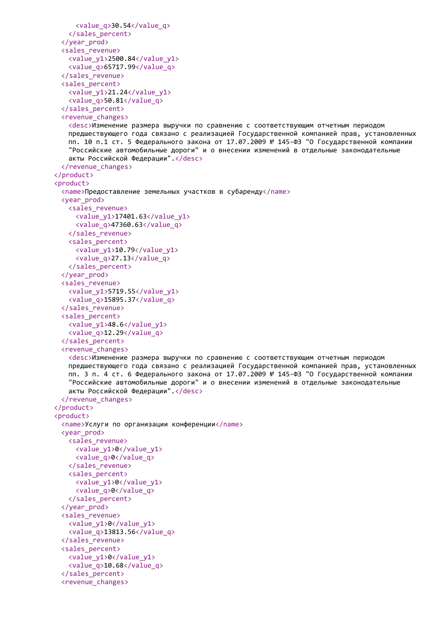```
<value_q>30.54</value_q>
   </sales_percent>
 </year_prod>
 <sales_revenue>
   <value_y1>2500.84</value_y1>
   <value_q>65717.99</value_q>
 </sales_revenue>
 <sales_percent>
   <value_y1>21.24</value_y1>
   <value_q>50.81</value_q>
 </sales_percent>
 <revenue_changes>
   <desc>Изменение размера выручки по сравнению с соответствующим отчетным периодом
   предшествующего года связано с реализацией Государственной компанией прав, установленных
   пп. 10 п.1 ст. 5 Федерального закона от 17.07.2009 № 145-ФЗ "О Государственной компании
   "Российские автомобильные дороги" и о внесении изменений в отдельные законодательные
   акты Российской Федерации".</desc>
 </revenue_changes>
</product>
<product>
 <name>Предоставление земельных участков в субаренду</name>
 <year_prod>
   <sales_revenue>
     <value_y1>17401.63</value_y1>
     <value_q>47360.63</value_q>
   </sales_revenue>
   <sales_percent>
     <value_y1>10.79</value_y1>
     <value_q>27.13</value_q>
   </sales_percent>
 </year_prod>
 <sales_revenue>
   <value_y1>5719.55</value_y1>
   <value_q>15895.37</value_q>
 </sales_revenue>
 <sales_percent>
   <value_y1>48.6</value_y1>
   <value_q>12.29</value_q>
 </sales_percent>
 <revenue_changes>
   <desc>Изменение размера выручки по сравнению с соответствующим отчетным периодом
   предшествующего года связано с реализацией Государственной компанией прав, установленных
   пп. 3 п. 4 ст. 6 Федерального закона от 17.07.2009 № 145-ФЗ "О Государственной компании
   "Российские автомобильные дороги" и о внесении изменений в отдельные законодательные
   акты Российской Федерации".</desc>
 </revenue_changes>
</product>
<product>
 <name>Услуги по организации конференции</name>
 <year_prod>
   <sales_revenue>
     <value_y1>0</value_y1>
     <value_q>0</value_q>
   </sales_revenue>
   <sales_percent>
     <value_y1>0</value_y1>
     <value_q>0</value_q>
   </sales_percent>
 </year_prod>
 <sales_revenue>
   <value_y1>0</value_y1>
   <value_q>13813.56</value_q>
 </sales_revenue>
 <sales_percent>
   <value_y1>0</value_y1>
   <value_q>10.68</value_q>
 </sales_percent>
 <revenue_changes>
```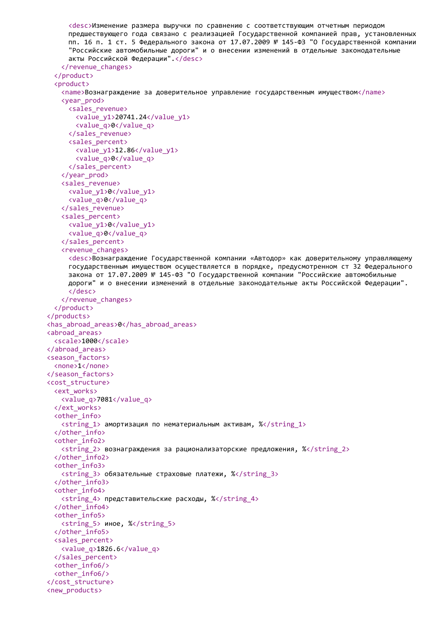```
<desc>Изменение размера выручки по сравнению с соответствующим отчетным периодом
     предшествующего года связано с реализацией Государственной компанией прав, установленных
     пп. 16 п. 1 ст. 5 Федерального закона от 17.07.2009 № 145-ФЗ "О Государственной компании
     "Российские автомобильные дороги" и о внесении изменений в отдельные законодательные
     акты Российской Федерации".</desc>
   </revenue_changes>
 </product>
 <product>
   <name>Вознаграждение за доверительное управление государственным имуществом</name>
   <year_prod>
     <sales_revenue>
       <value_y1>20741.24</value_y1>
       <value_q>0</value_q>
     </sales_revenue>
     <sales_percent>
       <value_y1>12.86</value_y1>
       <value_q>0</value_q>
     </sales_percent>
   </year_prod>
   <sales_revenue>
     <value_y1>0</value_y1>
     <value_q>0</value_q>
   </sales_revenue>
   <sales_percent>
     <value_y1>0</value_y1>
     <value_q>0</value_q>
   </sales_percent>
   <revenue_changes>
     <desc>Вознаграждение Государственной компании «Автодор» как доверительному управляющему
     государственным имуществом осуществляется в порядке, предусмотренном ст 32 Федерального
     закона от 17.07.2009 № 145-ФЗ "О Государственной компании "Российские автомобильные
     дороги" и о внесении изменений в отдельные законодательные акты Российской Федерации".
     </desc>
   </revenue_changes>
 </product>
</products>
<has_abroad_areas>0</has_abroad_areas>
<abroad_areas>
 <scale>1000</scale>
</abroad_areas>
<season_factors>
 <none>1</none>
</season_factors>
<cost_structure>
 <ext_works>
   <value_q>7081</value_q>
 </ext_works>
 <other_info>
   \langlestring 1> амортизация по нематериальным активам, %\langle/string 1>
 </other_info>
 <other_info2>
   \lestring 2> вознаграждения за рационализаторские предложения, %\le/string 2>
 </other_info2>
 <other_info3>
   <string_3> обязательные страховые платежи, %</string_3>
 </other_info3>
 <other_info4>
   \langlestring 4> представительские расходы, %\langle/string 4>
 </other_info4>
 <other_info5>
   <string 5> иное, %</string 5>
 </other_info5>
 <sales_percent>
   <value_q>1826.6</value_q>
 </sales_percent>
 <other_info6/>
 <other_info6/>
</cost_structure>
<new_products>
```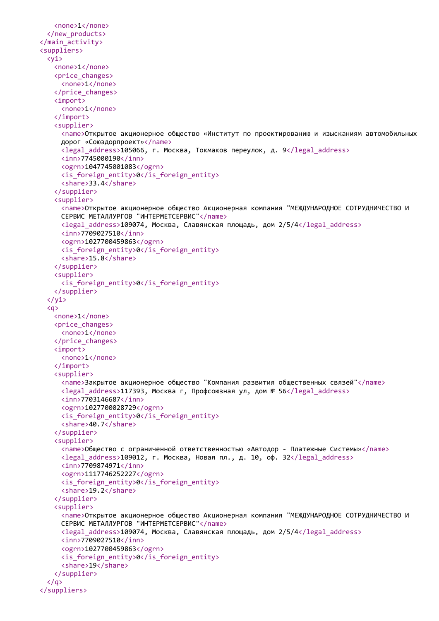```
<none>1</none>
  </new_products>
</main_activity>
<suppliers>
  \langle y1 \rangle<none>1</none>
   <price_changes>
     <none>1</none>
   </price_changes>
   <import>
     <none>1</none>
   </import>
   <supplier>
     <name>Открытое акционерное общество «Институт по проектированию и изысканиям автомобильных
     дорог «Союздорпроект»</name>
     <legal_address>105066, г. Москва, Токмаков переулок, д. 9</legal_address>
     <inn>7745000190</inn>
     <ogrn>1047745001083</ogrn>
     \langle is foreign entity>0\langle is foreign entity>
     <share>33.4</share>
   </supplier>
   <supplier>
     <name>Открытое акционерное общество Акционерная компания "МЕЖДУНАРОДНОЕ СОТРУДНИЧЕСТВО И
     СЕРВИС МЕТАЛЛУРГОВ "ИНТЕРМЕТСЕРВИС"</name>
     <legal_address>109074, Москва, Славянская площадь, дом 2/5/4</legal_address>
     <inn>7709027510</inn>
     <ogrn>1027700459863</ogrn>
     <is_foreign_entity>0</is_foreign_entity>
     <share>15.8</share>
   </supplier>
   <supplier>
     <is_foreign_entity>0</is_foreign_entity>
   </supplier>
  \langle/y1>
  <q>
   <none>1</none>
   <price_changes>
     <none>1</none>
   </price_changes>
   <import>
     <none>1</none>
   </import>
   <supplier>
     <name>Закрытое акционерное общество "Компания развития общественных связей"</name>
     <legal_address>117393, Москва г, Профсоюзная ул, дом № 56</legal_address>
     <inn>7703146687</inn>
     <ogrn>1027700028729</ogrn>
     <is_foreign_entity>0</is_foreign_entity>
     <share>40.7</share>
   </supplier>
   <supplier>
     <name>Общество с ограниченной ответственностью «Автодор - Платежные Системы»</name>
     <legal_address>109012, г. Москва, Новая пл., д. 10, оф. 32</legal_address>
     <inn>7709874971</inn>
     <ogrn>1117746252227</ogrn>
     <is_foreign_entity>0</is_foreign_entity>
     <share>19.2</share>
   </supplier>
   <supplier>
     <name>Открытое акционерное общество Акционерная компания "МЕЖДУНАРОДНОЕ СОТРУДНИЧЕСТВО И
     СЕРВИС МЕТАЛЛУРГОВ "ИНТЕРМЕТСЕРВИС"</name>
     <legal_address>109074, Москва, Славянская площадь, дом 2/5/4</legal_address>
     <inn>7709027510</inn>
     <ogrn>1027700459863</ogrn>
     <is_foreign_entity>0</is_foreign_entity>
     <share>19</share>
   </supplier>
  \langle/q>
</suppliers>
```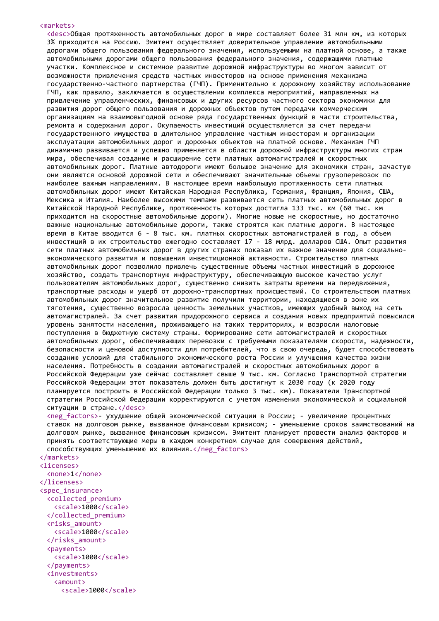#### <markets>

<desc>Общая протяженность автомобильных дорог в мире составляет более 31 млн км, из которых 3% приходится на Россию. Эмитент осуществляет доверительное управление автомобильными дорогами общего пользования федерального значения, используемыми на платной основе, а также автомобильными дорогами общего пользования федерального значения, содержащими платные участки. Комплексное и системное развитие дорожной инфраструктуры во многом зависит от возможности привлечения средств частных инвесторов на основе применения механизма государственно-частного партнерства (ГЧП). Применительно к дорожному хозяйству использование ГЧП, как правило, заключается в осуществлении комплекса мероприятий, направленных на привлечение управленческих, финансовых и других ресурсов частного сектора экономики для развития дорог общего пользования и дорожных объектов путем передачи коммерческим организациям на взаимовыгодной основе ряда государственных функций в части строительства, ремонта и содержания дорог. Окупаемость инвестиций осуществляется за счет передачи государственного имущества в длительное управление частным инвесторам и организации эксплуатации автомобильных дорог и дорожных объектов на платной основе. Механизм ГЧП динамично развивается и успешно применяется в области дорожной инфраструктуры многих стран мира, обеспечивая создание и расширение сети платных автомагистралей и скоростных автомобильных дорог. Платные автодороги имеют большое значение для экономики стран, зачастую они являются основой дорожной сети и обеспечивают значительные объемы грузоперевозок по наиболее важным направлениям. В настоящее время наибольшую протяженность сети платных автомобильных дорог имеют Китайская Народная Республика, Германия, Франция, Япония, США, Мексика и Италия. Наиболее высокими темпами развивается сеть платных автомобильных дорог в Китайской Народной Республике, протяженность которых достигла 133 тыс. км (60 тыс. км приходится на скоростные автомобильные дороги). Многие новые не скоростные, но достаточно важные национальные автомобильные дороги, также строятся как платные дороги. В настоящее время в Китае вводится 6 - 8 тыс. км. платных скоростных автомагистралей в год, а объем инвестиций в их строительство ежегодно составляет 17 - 18 млрд. долларов США. Опыт развития сети платных автомобильных дорог в других странах показал их важное значение для социальноэкономического развития и повышения инвестиционной активности. Строительство платных автомобильных дорог позволило привлечь существенные объемы частных инвестиций в дорожное хозяйство, создать транспортную инфраструктуру, обеспечивающую высокое качество услуг пользователям автомобильных дорог, существенно снизить затраты времени на передвижения, транспортные расходы и ущерб от дорожно-транспортных происшествий. Со строительством платных автомобильных дорог значительное развитие получили территории, находящиеся в зоне их тяготения, существенно возросла ценность земельных участков, имеющих удобный выход на сеть автомагистралей. За счет развития придорожного сервиса и создания новых предприятий повысился уровень занятости населения, проживающего на таких территориях, и возросли налоговые поступления в бюджетную систему страны. Формирование сети автомагистралей и скоростных автомобильных дорог, обеспечивающих перевозки с требуемыми показателями скорости, надежности, безопасности и ценовой доступности для потребителей, что в свою очередь, будет способствовать созданию условий для стабильного экономического роста России и улучшения качества жизни населения. Потребность в создании автомагистралей и скоростных автомобильных дорог в Российской Федерации уже сейчас составляет свыше 9 тыс. км. Согласно Транспортной стратегии Российской Федерации этот показатель должен быть достигнут к 2030 году (к 2020 году планируется построить в Российской Федерации только 3 тыс. км). Показатели Транспортной стратегии Российской Федерации корректируются с учетом изменения экономической и социальной ситуации в стране.</desc>

<neg\_factors>- ухудшение общей экономической ситуации в России; - увеличение процентных ставок на долговом рынке, вызванное финансовым кризисом; - уменьшение сроков заимствований на долговом рынке, вызванное финансовым кризисом. Эмитент планирует провести анализ факторов и принять соответствующие меры в каждом конкретном случае для совершения действий, способствующих уменьшению их влияния.</neg\_factors>

#### </markets>

```
<licenses>
  <none>1</none>
</licenses>
<spec_insurance>
  <collected_premium>
   <scale>1000</scale>
  </collected_premium>
  <risks_amount>
   <scale>1000</scale>
  </risks_amount>
  <payments>
   <scale>1000</scale>
  </payments>
  <investments>
   <amount>
     <scale>1000</scale>
```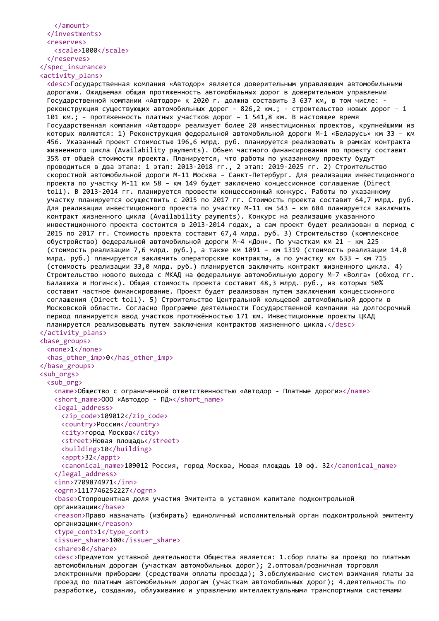```
</amount>
 </investments>
 <reserves>
   <scale>1000</scale>
 </reserves>
</spec_insurance>
```
<activity\_plans>

<desc>Государственная компания «Автодор» является доверительным управляющим автомобильными дорогами. Ожидаемая общая протяженность автомобильных дорог в доверительном управлении Государственной компании «Автодор» к 2020 г. должна составить 3 637 км, в том числе: реконструкция существующих автомобильных дорог - 826,2 км.; - строительство новых дорог – 1 101 км.; - протяженность платных участков дорог – 1 541,8 км. В настоящее время Государственная компания «Автодор» реализует более 20 инвестиционных проектов, крупнейшими из которых являются: 1) Реконструкция федеральной автомобильной дороги М-1 «Беларусь» км 33 – км 456. Указанный проект стоимостью 196,6 млрд. руб. планируется реализовать в рамках контракта жизненного цикла (Availability payments). Объем частного финансирования по проекту составит 35% от общей стоимости проекта. Планируется, что работы по указанному проекту будут проводиться в два этапа: 1 этап: 2013-2018 гг., 2 этап: 2019-2025 гг. 2) Строительство скоростной автомобильной дороги М-11 Москва – Санкт-Петербург. Для реализации инвестиционного проекта по участку М-11 км 58 – км 149 будет заключено концессионное соглашение (Direct toll). В 2013-2014 гг. планируется провести концессионный конкурс. Работы по указанному участку планируется осуществить с 2015 по 2017 гг. Стоимость проекта составит 64,7 млрд. руб. Для реализации инвестиционного проекта по участку М-11 км 543 – км 684 планируется заключить контракт жизненного цикла (Availability payments). Конкурс на реализацию указанного инвестиционного проекта состоится в 2013-2014 годах, а сам проект будет реализован в период с 2015 по 2017 гг. Стоимость проекта составит 67,4 млрд. руб. 3) Строительство (комплексное обустройство) федеральной автомобильной дороги M-4 «Дон». По участкам км 21 – км 225 (стоимость реализации 7,6 млрд. руб.), а также км 1091 – км 1319 (стоимость реализации 14.0 млрд. руб.) планируется заключить операторские контракты, а по участку км 633 – км 715 (стоимость реализации 33,0 млрд. руб.) планируется заключить контракт жизненного цикла. 4) Строительство нового выхода с МКАД на федеральную автомобильную дорогу М-7 «Волга» (обход гг. Балашиха и Ногинск). Общая стоимость проекта составит 48,3 млрд. руб., из которых 50% составит частное финансирование. Проект будет реализован путем заключения концессионного соглашения (Direct toll). 5) Строительство Центральной кольцевой автомобильной дороги в Московской области. Согласно Программе деятельности Государственной компании на долгосрочный период планируется ввод участков протяжённостью 171 км. Инвестиционные проекты ЦКАД планируется реализовывать путем заключения контрактов жизненного цикла.</desc> </activity\_plans> <base\_groups> <none>1</none> <has other imp>0</has other imp> </base\_groups> <sub\_orgs> <sub\_org> <name>Общество с ограниченной ответственностью «Автодор - Платные дороги»</name> <short name>ООО «Автодор - ПД»</short name> <legal\_address> <zip\_code>109012</zip\_code> <country>Россия</country> <city>город Москва</city> <street>Новая площадь</street> <building>10</building> <appt>32</appt> <canonical\_name>109012 Россия, город Москва, Новая площадь 10 оф. 32</canonical\_name> </legal\_address> <inn>7709874971</inn> <ogrn>1117746252227</ogrn> <base>Стопроцентная доля участия Эмитента в уставном капитале подконтрольной организации</base> <reason>Право назначать (избирать) единоличный исполнительный орган подконтрольной эмитенту организации</reason> <type\_cont>1</type\_cont> <issuer\_share>100</issuer\_share> <share>0</share> <desc>Предметом уставной деятельности Общества является: 1.сбор платы за проезд по платным автомобильным дорогам (участкам автомобильных дорог); 2.оптовая/розничная торговля электронными приборами (средствами оплаты проезда); 3.обслуживание систем взимания платы за проезд по платным автомобильным дорогам (участкам автомобильных дорог); 4.деятельность по разработке, созданию, облуживанию и управлению интеллектуальными транспортными системами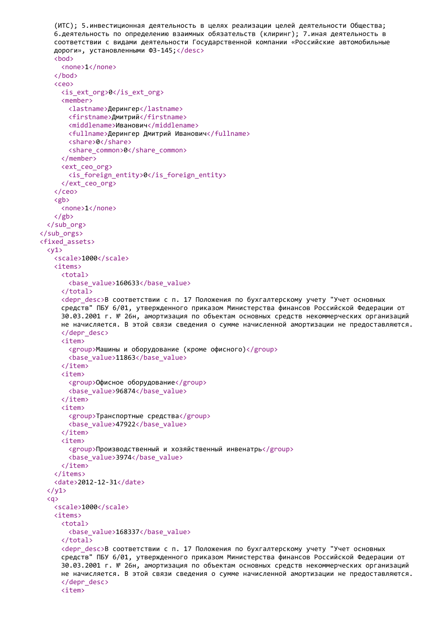```
(ИТС); 5.инвестиционная деятельность в целях реализации целей деятельности Общества;
   6.деятельность по определению взаимных обязательств (клиринг); 7.иная деятельность в
   соответствии с видами деятельности Государственной компании «Российские автомобильные
   дороги», установленными ФЗ-145;</desc>
   <bod>
     <none>1</none>
   </bod>
   <ceo>
     <is_ext_org>0</is_ext_org>
     <member>
       <lastname>Дерингер</lastname>
       <firstname>Дмитрий</firstname>
       <middlename>Иванович</middlename>
       <fullname>Дерингер Дмитрий Иванович</fullname>
       <share>0</share>
       <share common>0</share common>
     </member>
     <ext_ceo_org>
       <is_foreign_entity>0</is_foreign_entity>
     </ext_ceo_org>
   </ceo>
   <gb>
     <none>1</none>
   \langle/gb>
  </sub_org>
</sub_orgs>
<fixed_assets>
  \langle v1 \rangle<scale>1000</scale>
   <items>
     <total>
       <base_value>160633</base_value>
     </total>
     <depr desc>В соответствии с п. 17 Положения по бухгалтерскому учету "Учет основных
     средств" ПБУ 6/01, утвержденного приказом Министерства финансов Российской Федерации от
     30.03.2001 г. № 26н, амортизация по объектам основных средств некоммерческих организаций
     не начисляется. В этой связи сведения о сумме начисленной амортизации не предоставляются.
     </depr_desc>
     <item>
       <group>Машины и оборудование (кроме офисного)</group>
       <base_value>11863</base_value>
     </item>
     <item>
       <group>Офисное оборудование</group>
       <base_value>96874</base_value>
     </item>
     <item>
       <group>Транспортные средства</group>
       <base_value>47922</base_value>
     </item>
     <item>
       <group>Производственный и хозяйственный инвенатрь</group>
       <base_value>3974</base_value>
     </item>
   </items>
   <date>2012-12-31</date>
  \langle/v1>
  \langlea>
   <scale>1000</scale>
   <items>
     <total>
       <base_value>168337</base_value>
     </total>
     <depr_desc>В соответствии с п. 17 Положения по бухгалтерскому учету "Учет основных
     средств" ПБУ 6/01, утвержденного приказом Министерства финансов Российской Федерации от
     30.03.2001 г. № 26н, амортизация по объектам основных средств некоммерческих организаций
     не начисляется. В этой связи сведения о сумме начисленной амортизации не предоставляются.
     </depr_desc>
     <item>
```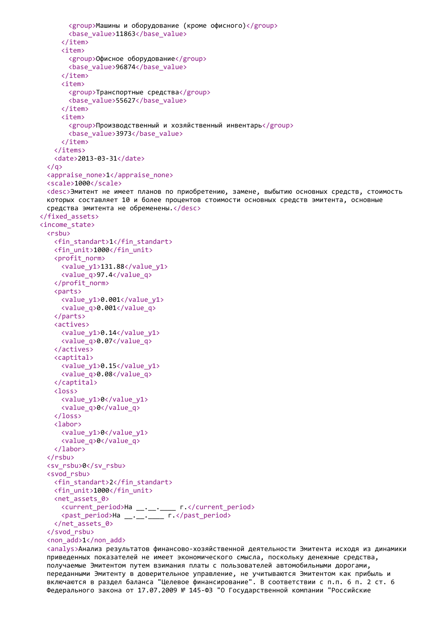```
<group>Машины и оборудование (кроме офисного)</group>
       <base_value>11863</base_value>
     </item>
     <item>
       <group>Офисное оборудование</group>
       <base_value>96874</base_value>
     </item>
     <item>
       <group>Транспортные средства</group>
       <base_value>55627</base_value>
     </item>
     <item>
       <group>Производственный и хозяйственный инвентарь</group>
       <base_value>3973</base_value>
     </item>
   </items>
   <date>2013-03-31</date>
 \langle/g>
 <appraise_none>1</appraise_none>
 <scale>1000</scale>
 <desc>Эмитент не имеет планов по приобретению, замене, выбытию основных средств, стоимость
 которых составляет 10 и более процентов стоимости основных средств эмитента, основные
 средства эмитента не обременены.</desc>
</fixed_assets>
<income_state>
 <rsbu>
   <fin_standart>1</fin_standart>
   <fin_unit>1000</fin_unit>
   <profit_norm>
     <value_y1>131.88</value_y1>
     <value_q>97.4</value_q>
   </profit_norm>
   <parts>
     \langlevalue y1>0.001\langle/value y1>
     <value_q>0.001</value_q>
   </parts>
   <actives>
     <value_y1>0.14</value_y1>
     <value_q>0.07</value_q>
   </actives>
   <captital>
     <value_y1>0.15</value_y1>
     <value_q>0.08</value_q>
   </captital>
   <loss>
     <value_y1>0</value_y1>
     <value_q>0</value_q>
   </loss>
   <labor>
     <value_y1>0</value_y1>
     <value_q>0</value_q>
   </labor>
 </rsbu>
 <sv_rsbu>0</sv_rsbu>
 <svod_rsbu>
   <fin_standart>2</fin_standart>
   <fin_unit>1000</fin_unit>
   <net_assets_0>
     <current_period>На __.__.____ г.</current_period>
     <past_period>На __.__.____ г.</past_period>
   </net_assets_0>
 </svod_rsbu>
 <non_add>1</non_add>
 <analys>Анализ результатов финансово-хозяйственной деятельности Эмитента исходя из динамики
 приведенных показателей не имеет экономического смысла, поскольку денежные средства,
```
получаемые Эмитентом путем взимания платы с пользователей автомобильными дорогами, переданными Эмитенту в доверительное управление, не учитываются Эмитентом как прибыль и включаются в раздел баланса "Целевое финансирование". В соответствии с п.п. 6 п. 2 ст. 6 Федерального закона от 17.07.2009 № 145-ФЗ "О Государственной компании "Российские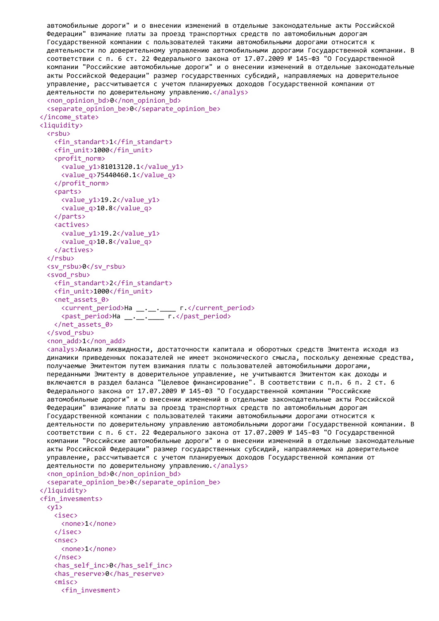```
автомобильные дороги" и о внесении изменений в отдельные законодательные акты Российской
 Федерации" взимание платы за проезд транспортных средств по автомобильным дорогам
 Государственной компании с пользователей такими автомобильными дорогами относится к
 деятельности по доверительному управлению автомобильными дорогами Государственной компании. В
 соответствии с п. 6 ст. 22 Федерального закона от 17.07.2009 № 145-ФЗ "О Государственной
 компании "Российские автомобильные дороги" и о внесении изменений в отдельные законодательные
 акты Российской Федерации" размер государственных субсидий, направляемых на доверительное
 управление, рассчитывается с учетом планируемых доходов Государственной компании от
 деятельности по доверительному управлению.</analys>
 <non_opinion_bd>0</non_opinion_bd>
 <separate_opinion_be>0</separate_opinion_be>
</income_state>
<liquidity>
 <rsbu>
   <fin_standart>1</fin_standart>
   <fin_unit>1000</fin_unit>
   <profit_norm>
     <value_y1>81013120.1</value_y1>
     <value_q>75440460.1</value_q>
   </profit_norm>
   <parts>
     <value_y1>19.2</value_y1>
     <value_q>10.8</value_q>
   </parts>
   <actives>
     <value_y1>19.2</value_y1>
     <value_q>10.8</value_q>
   </actives>
 </rsbu>
 <sv_rsbu>0</sv_rsbu>
 <svod_rsbu>
   <fin_standart>2</fin_standart>
   <fin_unit>1000</fin_unit>
   <net_assets_0>
     <current_period>На __.__.____ г.</current_period>
     <past_period>На __.__.____ г.</past_period>
   </net_assets_0>
 </svod_rsbu>
 <non_add>1</non_add>
 <analys>Анализ ликвидности, достаточности капитала и оборотных средств Эмитента исходя из
 динамики приведенных показателей не имеет экономического смысла, поскольку денежные средства,
 получаемые Эмитентом путем взимания платы с пользователей автомобильными дорогами,
 переданными Эмитенту в доверительное управление, не учитываются Эмитентом как доходы и
 включаются в раздел баланса "Целевое финансирование". В соответствии с п.п. 6 п. 2 ст. 6
 Федерального закона от 17.07.2009 № 145-ФЗ "О Государственной компании "Российские
 автомобильные дороги" и о внесении изменений в отдельные законодательные акты Российской
 Федерации" взимание платы за проезд транспортных средств по автомобильным дорогам
 Государственной компании с пользователей такими автомобильными дорогами относится к
 деятельности по доверительному управлению автомобильными дорогами Государственной компании. В
 соответствии с п. 6 ст. 22 Федерального закона от 17.07.2009 № 145-ФЗ "О Государственной
 компании "Российские автомобильные дороги" и о внесении изменений в отдельные законодательные
 акты Российской Федерации" размер государственных субсидий, направляемых на доверительное
 управление, рассчитывается с учетом планируемых доходов Государственной компании от
 деятельности по доверительному управлению. </analys>
 <non_opinion_bd>0</non_opinion_bd>
 <separate_opinion_be>0</separate_opinion_be>
</liquidity>
<fin_invesments>
 \langle v1 \rangle<isec>
     <none>1</none>
   </isec>
   <nsec>
     <none>1</none>
   </nsec>
   <has_self_inc>0</has_self_inc>
   <has_reserve>0</has_reserve>
   <misc>
     <fin_invesment>
```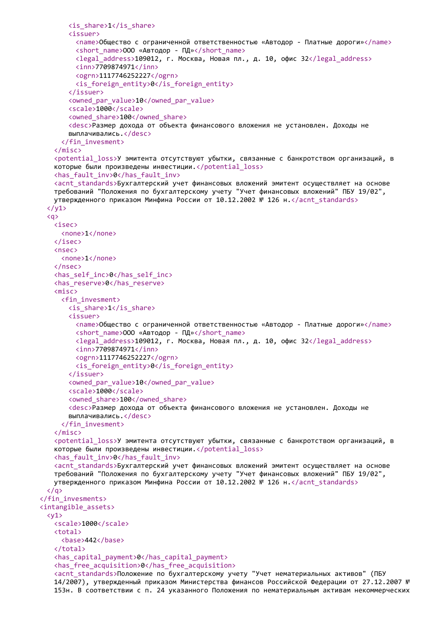```
<is_share>1</is_share>
       <issuer>
         <name>Общество с ограниченной ответственностью «Автодор - Платные дороги»</name>
         <short_name>ООО «Автодор - ПД»</short_name>
         <legal_address>109012, г. Москва, Новая пл., д. 10, офис 32</legal_address>
         <inn>7709874971</inn>
         <ogrn>1117746252227</ogrn>
         <is_foreign_entity>0</is_foreign_entity>
       </issuer>
       <owned par_value>10</owned_par_value>
       <scale>1000</scale>
       <owned_share>100</owned_share>
       <desc>Размер дохода от объекта финансового вложения не установлен. Доходы не
       выплачивались.</desc>
     </fin_invesment>
   </misc>
   <potential_loss>У эмитента отсутствуют убытки, связанные с банкротством организаций, в
   которые были произведены инвестиции.</potential_loss>
   <has_fault_inv>0</has_fault_inv>
   <acnt_standards>Бухгалтерский учет финансовых вложений эмитент осуществляет на основе
   требований "Положения по бухгалтерскому учету "Учет финансовых вложений" ПБУ 19/02",
   утвержденного приказом Минфина России от 10.12.2002 № 126 н.</acnt_standards>
 \langle/y1>
 <q>
   <isec>
     <none>1</none>
   </isec>
   <nsec>
     <none>1</none>
   </nsec>
   <has_self_inc>0</has_self_inc>
   <has_reserve>0</has_reserve>
   <misc>
     <fin_invesment>
       \langleis share>1\langleis share>
       <issuer>
         <name>Общество с ограниченной ответственностью «Автодор - Платные дороги»</name>
         <short name>ООО «Автодор - ПД»</short name>
         <legal_address>109012, г. Москва, Новая пл., д. 10, офис 32</legal_address>
         <inn>7709874971</inn>
         <ogrn>1117746252227</ogrn>
         <is_foreign_entity>0</is_foreign_entity>
       </issuer>
       <owned_par_value>10</owned_par_value>
       <scale>1000</scale>
       <owned share>100</owned share>
       <desc>Размер дохода от объекта финансового вложения не установлен. Доходы не
       выплачивались.</desc>
     </fin_invesment>
   </misc>
   <potential_loss>У эмитента отсутствуют убытки, связанные с банкротством организаций, в
   которые были произведены инвестиции.</potential_loss>
   <has_fault_inv>0</has_fault_inv>
   <acnt_standards>Бухгалтерский учет финансовых вложений эмитент осуществляет на основе
   требований "Положения по бухгалтерскому учету "Учет финансовых вложений" ПБУ 19/02",
   утвержденного приказом Минфина России от 10.12.2002 № 126 н.</acnt_standards>
 \langle/a>
</fin_invesments>
<intangible_assets>
 \langle v1 \rangle<scale>1000</scale>
   <total>
     <base>442</base>
   </total>
   <has_capital_payment>0</has_capital_payment>
   <has_free_acquisition>0</has_free_acquisition>
   <acnt_standards>Положение по бухгалтерскому учету "Учет нематериальных активов" (ПБУ
   14/2007), утвержденный приказом Министерства финансов Российской Федерации от 27.12.2007 №
   153н. В соответствии с п. 24 указанного Положения по нематериальным активам некоммерческих
```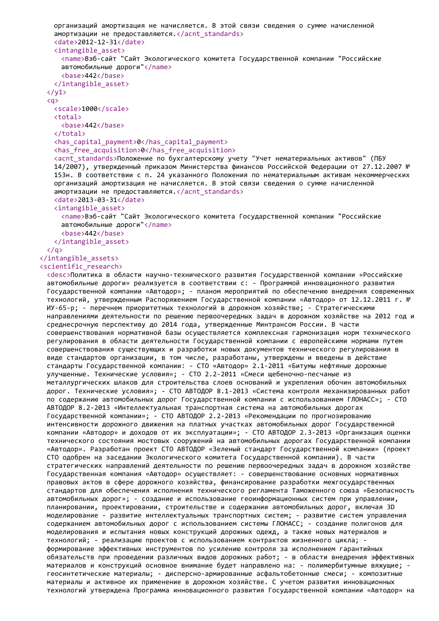```
организаций амортизация не начисляется. В этой связи сведения о сумме начисленной
   амортизации не предоставляются.</acnt_standards>
   <date>2012-12-31</date>
   <intangible_asset>
     <name>Вэб-сайт "Сайт Экологического комитета Государственной компании "Российские
     автомобильные дороги"</name>
     <base>442</base>
   </intangible_asset>
 \langle/y1>
 <q>
   <scale>1000</scale>
   <total>
     <base>442</base>
   </total>
   <has_capital_payment>0</has_capital_payment>
   <has_free_acquisition>0</has_free_acquisition>
   <acnt_standards>Положение по бухгалтерскому учету "Учет нематериальных активов" (ПБУ
   14/2007), утвержденный приказом Министерства финансов Российской Федерации от 27.12.2007 №
   153н. В соответствии с п. 24 указанного Положения по нематериальным активам некоммерческих
   организаций амортизация не начисляется. В этой связи сведения о сумме начисленной
   амортизации не предоставляются. </acnt_standards>
   <date>2013-03-31</date>
   <intangible_asset>
     <name>Вэб-сайт "Сайт Экологического комитета Государственной компании "Российские
     автомобильные дороги"</name>
     <base>442</base>
   </intangible_asset>
 \langle/a>
</intangible_assets>
<scientific_research>
 <desc>Политика в области научно-технического развития Государственной компании «Российские
 автомобильные дороги» реализуется в соответствии с: - Программой инновационного развития
 Государственной компании «Автодор»; - планом мероприятий по обеспечению внедрения современных
 технологий, утвержденным Распоряжением Государственной компании «Автодор» от 12.12.2011 г. №
 ИУ-65-р; - перечнем приоритетных технологий в дорожном хозяйстве; - Стратегическими
 направлениями деятельности по решению первоочередных задач в дорожном хозяйстве на 2012 год и
 среднесрочную перспективу до 2014 года, утвержденные Минтрансом России. В части
 совершенствования нормативной базы осуществляется комплексная гармонизация норм технического
 регулирования в области деятельности Государственной компании с европейскими нормами путем
 совершенствования существующих и разработки новых документов технического регулирования в
 виде стандартов организации, в том числе, разработаны, утверждены и введены в действие
 стандарты Государственной компании: - СТО «Автодор» 2.1-2011 «Битумы нефтяные дорожные
 улучшенные. Технические условия»; - СТО 2.2-2011 «Смеси щебеночно-песчаные из
 металлургических шлаков для строительства слоев оснований и укрепления обочин автомобильных
 дорог. Технические условия»; - СТО АВТОДОР 8.1-2013 «Система контроля механизированных работ
 по содержанию автомобильных дорог Государственной компании с использованием ГЛОНАСС»; - СТО
 АВТОДОР 8.2-2013 «Интеллектуальная транспортная система на автомобильных дорогах
 Государственной компании»; - СТО АВТОДОР 2.2-2013 «Рекомендации по прогнозированию
 интенсивности дорожного движения на платных участках автомобильных дорог Государственной
 компании «Автодор» и доходов от их эксплуатации»; - СТО АВТОДОР 2.3-2013 «Организация оценки
 технического состояния мостовых сооружений на автомобильных дорогах Государственной компании
 «Автодор». Разработан проект СТО АВТОДОР «Зеленый стандарт Государственной компании» (проект
 СТО одобрен на заседании Экологического комитета Государственной компании). В части
 стратегических направлений деятельности по решению первоочередных задач в дорожном хозяйстве
 Государственная компания «Автодор» осуществляет: - совершенствование основных нормативных
 правовых актов в сфере дорожного хозяйства, финансирование разработки межгосударственных
 стандартов для обеспечения исполнения технического регламента Таможенного союза «Безопасность
 автомобильных дорог»; - создание и использование геоинформационных систем при управлении,
 планировании, проектировании, строительстве и содержании автомобильных дорог, включая 3D
 моделирование - развитие интеллектуальных транспортных систем; - развитие систем управления
 содержанием автомобильных дорог с использованием системы ГЛОНАСС; - создание полигонов для
 моделирования и испытания новых конструкций дорожных одежд, а также новых материалов и
 технологий; - реализацию проектов с использованием контрактов жизненного цикла; -
 формирование эффективных инструментов по усилению контроля за исполнением гарантийных
 обязательств при проведении различных видов дорожных работ; - в области внедрения эффективных
 материалов и конструкций основное внимание будет направлено на: - полимербитумные вяжущие; -
 геосинтетические материалы; - дисперсно-армированные асфальтобетонные смеси; - композитные
 материалы и активное их применение в дорожном хозяйстве. С учетом развития инновационных
 технологий утверждена Программа инновационного развития Государственной компании «Автодор» на
```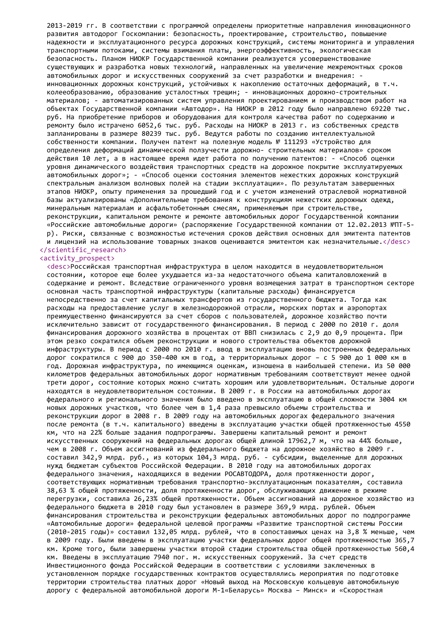2013-2019 гг. В соответствии с программой определены приоритетные направления инновационного развития автодорог Госкомпании: безопасность, проектирование, строительство, повышение надежности и эксплуатационного ресурса дорожных конструкций, системы мониторинга и управления транспортными потоками, системы взимания платы, энергоэффективность, экологическая безопасность. Планом НИОКР Государственной компании реализуется усовершенствование существующих и разработка новых технологий, направленных на увеличение межремонтных сроков автомобильных дорог и искусственных сооружений за счет разработки и внедрения: инновационных дорожных конструкций, устойчивых к накоплению остаточных деформаций, в т.ч. колееобразованию, образованию усталостных трещин; - инновационных дорожно-строительных материалов; - автоматизированных систем управления проектированием и производством работ на объектах Государственной компании «Автодор». На НИОКР в 2012 году было направлено 69220 тыс. руб. На приобретение приборов и оборудования для контроля качества работ по содержанию и ремонту было истрачено 6052,6 тыс. руб. Расходы на НИОКР в 2013 г. из собственных средств запланированы в размере 80239 тыс. руб. Ведутся работы по созданию интеллектуальной собственности компании. Получен патент на полезную модель № 111293 «Устройство для определения деформаций динамической ползучести дорожно- строительных материалов» сроком действия 10 лет, а в настоящее время идет работа по получению патентов: - «Способ оценки уровня динамического воздействия транспортных средств на дорожное покрытие эксплуатируемых автомобильных дорог»; - «Способ оценки состояния элементов нежестких дорожных конструкций спектральным анализом волновых полей на стадии эксплуатации». По результатам завершенных этапов НИОКР, опыту применения за прошедший год и с учетом изменений отраслевой нормативной базы актуализированы «Дополнительные требования к конструкциям нежестких дорожных одежд, минеральным материалам и асфальтобетонным смесям, применяемым при строительстве, реконструкции, капитальном ремонте и ремонте автомобильных дорог Государственной компании «Российские автомобильные дороги» (распоряжение Государственной компании от 12.02.2013 №ПТ-5 р). Риски, связанные с возможностью истечения сроков действия основных для эмитента патентов и лицензий на использование товарных знаков оцениваются эмитентом как незначительные.</desc> </scientific\_research>

#### <activity\_prospect>

<desc>Российская транспортная инфраструктура в целом находится в неудовлетворительном состоянии, которое еще более ухудшается из-за недостаточного объема капиталовложений в содержание и ремонт. Вследствие ограниченного уровня возмещения затрат в транспортном секторе основная часть транспортной инфраструктуры (капитальные расходы) финансируется непосредственно за счет капитальных трансфертов из государственного бюджета. Тогда как расходы на предоставление услуг в железнодорожной отрасли, морских портах и аэропортах преимущественно финансируются за счет сборов с пользователей, дорожное хозяйство почти исключительно зависит от государственного финансирования. В период с 2000 по 2010 г. доля финансирования дорожного хозяйства в процентах от ВВП снизилась с 2,9 до 0,9 процента. При этом резко сократился объем реконструкции и нового строительства объектов дорожной инфраструктуры. В период с 2000 по 2010 г. ввод в эксплуатацию вновь построенных федеральных дорог сократился с 900 до 350-400 км в год, а территориальных дорог – с 5 900 до 1 000 км в год. Дорожная инфраструктура, по имеющимся оценкам, изношена в наибольшей степени. Из 50 000 километров федеральных автомобильных дорог нормативным требованиям соответствуют менее одной трети дорог, состояние которых можно считать хорошим или удовлетворительным. Остальные дороги находятся в неудовлетворительном состоянии. В 2009 г. в России на автомобильных дорогах федерального и регионального значения было введено в эксплуатацию в общей сложности 3004 км новых дорожных участков, что более чем в 1,4 раза превысило объемы строительства и реконструкции дорог в 2008 г. В 2009 году на автомобильных дорогах федерального значения после ремонта (в т.ч. капитального) введены в эксплуатацию участки общей протяженностью 4550 км, что на 22% больше задания подпрограммы. Завершены капитальный ремонт и ремонт искусственных сооружений на федеральных дорогах общей длиной 17962,7 м, что на 44% больше, чем в 2008 г. Объем ассигнований из федерального бюджета на дорожное хозяйство в 2009 г. составил 342,9 млрд. руб., из которых 104,3 млрд. руб. - субсидии, выделенные для дорожных нужд бюджетам субъектов Российской Федерации. В 2010 году на автомобильных дорогах федерального значения, находящихся в ведении РОСАВТОДОРА, доля протяженности дорог, соответствующих нормативным требования транспортно-эксплуатационным показателям, составила 38,63 % общей протяженности, доля протяженности дорог, обслуживающих движение в режиме перегрузки, составила 26,23% общей протяженности. Объем ассигнований на дорожное хозяйство из федерального бюджета в 2010 году был установлен в размере 369,9 млрд. рублей. Объем финансирования строительства и реконструкции федеральных автомобильных дорог по подпрограмме «Автомобильные дороги» федеральной целевой программы «Развитие транспортной системы России (2010-2015 годы)» составил 132,05 млрд. рублей, что в сопоставимых ценах на 3,8 % меньше, чем в 2009 году. Были введены в эксплуатацию участки федеральных дорог общей протяженностью 365,7 км. Кроме того, были завершены участки второй стадии строительства общей протяженностью 560,4 км. Введены в эксплуатацию 7940 пог. м. искусственных сооружений. За счет средств Инвестиционного фонда Российской Федерации в соответствии с условиями заключенных в установленном порядке государственных контрактов осуществлялись мероприятия по подготовке территории строительства платных дорог «Новый выход на Московскую кольцевую автомобильную дорогу с федеральной автомобильной дороги М-1«Беларусь» Москва – Минск» и «Скоростная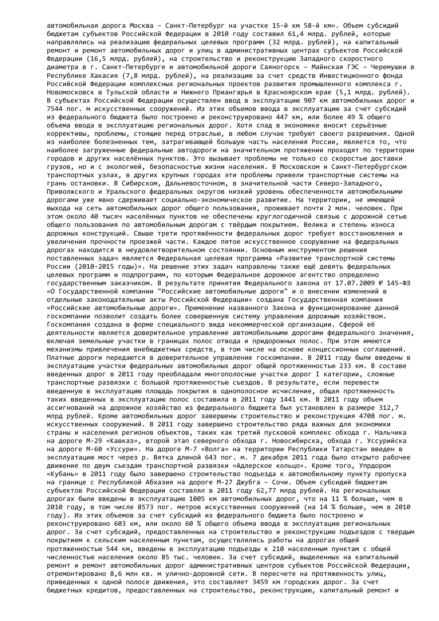автомобильная дорога Москва – Санкт-Петербург на участке 15-й км 58-й км». Объем субсидий бюджетам субъектов Российской Федерации в 2010 году составил 61,4 млрд. рублей, которые направлялись на реализацию федеральных целевых программ (32 млрд. рублей), на капитальный ремонт и ремонт автомобильных дорог и улиц в административных центрах субъектов Российской Федерации (16,5 млрд. рублей), на строительство и реконструкцию Западного скоростного диаметра в г. Санкт-Петербурге и автомобильной дороги Саяногорск – Майнская ГЭС – Черемушки в Республике Хакасия (7,8 млрд. рублей), на реализацию за счет средств Инвестиционного фонда Российской Федерации комплексных региональных проектов развития промышленного комплекса г. Новомосковск в Тульской области и Нижнего Приангарья в Красноярском крае (5,1 млрд. рублей). В субъектах Российской Федерации осуществлен ввод в эксплуатацию 907 км автомобильных дорог и 7544 пог. м искусственных сооружений. Из этих объемов ввода в эксплуатацию за счет субсидий из федерального бюджета было построено и реконструировано 447 км, или более 49 % общего объема ввода в эксплуатацию региональных дорог. Хотя спад в экономике вносит серьёзные коррективы, проблемы, стоящие перед отраслью, в любом случае требуют своего разрешения. Одной из наиболее болезненных тем, затрагивающей большую часть населения России, является то, что наиболее загруженные федеральные автодороги на значительном протяжении проходят по территории городов и других населённых пунктов. Это вызывает проблемы не только со скоростью доставки грузов, но и с экологией, безопасностью жизни населения. В Московском и Санкт-Петербургском транспортных узлах, в других крупных городах эти проблемы привели транспортные системы на грань остановки. В Сибирском, Дальневосточном, в значительной части Северо-Западного, Приволжского и Уральского федеральных округов низкий уровень обеспеченности автомобильными дорогами уже явно сдерживает социально-экономическое развитие. На территории, не имеющей выхода на сеть автомобильных дорог общего пользования, проживает почти 2 млн. человек. При этом около 40 тысяч населённых пунктов не обеспечены круглогодичной связью с дорожной сетью общего пользования по автомобильным дорогам с твёрдым покрытием. Велика и степень износа дорожных конструкций. Свыше трети протяжённости федеральных дорог требует восстановления и увеличения прочности проезжей части. Каждое пятое искусственное сооружение на федеральных дорогах находится в неудовлетворительном состоянии. Основным инструментом решения поставленных задач является Федеральная целевая программа «Развитие транспортной системы России (2010-2015 годы)». На решение этих задач направлены также ещё девять федеральных целевых программ и подпрограмм, по которым Федеральное дорожное агентство определено государственным заказчиком. В результате принятия Федерального закона от 17.07.2009 № 145-ФЗ «О Государственной компании "Российские автомобильные дороги" и о внесении изменений в отдельные законодательные акты Российской Федерации» создана Государственная компания «Российские автомобильные дороги». Применение названного Закона и функционирование данной госкомпании позволит создать более совершенную систему управления дорожным хозяйством. Госкомпания создана в форме специального вида некоммерческой организации. Сферой её деятельности является доверительное управление автомобильными дорогами федерального значения, включая земельные участки в границах полос отвода и придорожных полос. При этом имеются механизмы привлечения внебюджетных средств, в том числе на основе концессионных соглашений. Платные дороги передаются в доверительное управление госкомпании. В 2011 году были введены в эксплуатацию участки федеральных автомобильных дорог общей протяженностью 233 км. В составе введенных дорог в 2011 году преобладали многополосные участки дорог I категории, сложные транспортные развязки с большой протяженностью съездов. В результате, если перевести введенную в эксплуатацию площадь покрытия в однополосное исчисление, общая протяженность таких введенных в эксплуатацию полос составила в 2011 году 1441 км. В 2011 году объем ассигнований на дорожное хозяйство из федерального бюджета был установлен в размере 312,7 млрд рублей. Кроме автомобильных дорог завершены строительство и реконструкция 4708 пог. м. искусственных сооружений. В 2011 году завершено строительство ряда важных для экономики страны и населения регионов объектов, таких как третий пусковой комплекс обхода г. Нальчика на дороге М-29 «Кавказ», второй этап северного обхода г. Новосибирска, обхода г. Уссурийска на дороге М-60 «Уссури». На дороге М-7 «Волга» на территории Республики Татарстан введен в эксплуатацию мост через р. Вятка длиной 643 пог. м. 7 декабря 2011 года было открыто рабочее движение по двум съездам транспортной развязки «Адлерское кольцо». Кроме того, Упрдором «Кубань» в 2011 году было завершено строительство подъезда к автомобильному пункту пропуска на границе с Республикой Абхазия на дороге М-27 Джубга – Сочи. Объем субсидий бюджетам субъектов Российской Федерации составлял в 2011 году 62,77 млрд рублей. На региональных дорогах были введены в эксплуатацию 1005 км автомобильных дорог, что на 11 % больше, чем в 2010 году, в том числе 8573 пог. метров искусственных сооружений (на 14 % больше, чем в 2010 году). Из этих объемов за счет субсидий из федерального бюджета было построено и реконструировано 603 км, или около 60 % общего объема ввода в эксплуатацию региональных дорог. За счет субсидий, предоставленных на строительство и реконструкцию подъездов с твердым покрытием к сельским населенным пунктам, осуществлялись работы на дорогах общей протяженностью 544 км, введены в эксплуатацию подъезды к 210 населенным пунктам с общей численностью населения около 85 тыс. человек. За счет субсидий, выделенных на капитальный ремонт и ремонт автомобильных дорог административных центров субъектов Российской Федерации, отремонтировано 8,6 млн кв. м улично-дорожной сети. В пересчете на протяженность улиц, приведенных к одной полосе движения, это составляет 3459 км городских дорог. За счет бюджетных кредитов, предоставленных на строительство, реконструкцию, капитальный ремонт и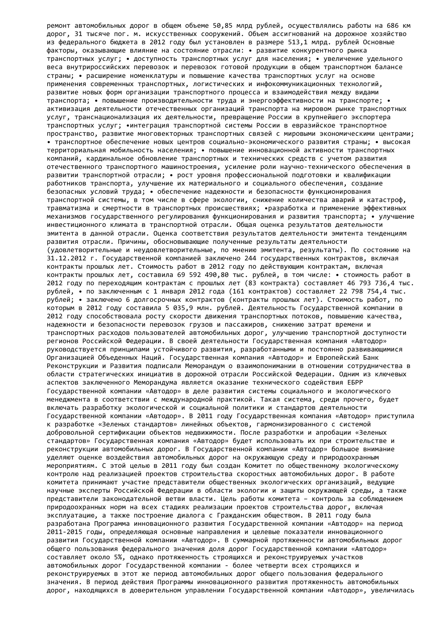ремонт автомобильных дорог в общем объеме 50,85 млрд рублей, осуществлялись работы на 686 км дорог, 31 тысяче пог. м. искусственных сооружений. Объем ассигнований на дорожное хозяйство из федерального бюджета в 2012 году был установлен в размере 513,1 млрд. рублей Основные факторы, оказывающие влияние на состояние отрасли: • развитие конкурентного рынка транспортных услуг; • доступность транспортных услуг для населения; • увеличение удельного веса внутрироссийских перевозок и перевозок готовой продукции в общем транспортном балансе страны; • расширение номенклатуры и повышение качества транспортных услуг на основе применения современных транспортных, логистических и инфокоммуникационных технологий, развитие новых форм организации транспортного процесса и взаимодействия между видами транспорта; • повышение производительности труда и энергоэффективности на транспорте; • активизация деятельности отечественных организаций транспорта на мировом рынке транспортных услуг, транснационализация их деятельности, превращение России в крупнейшего экспортера транспортных услуг; •интеграция транспортной системы России в евразийское транспортное пространство, развитие многовекторных транспортных связей с мировыми экономическими центрами; • транспортное обеспечение новых центров социально-экономического развития страны; • высокая территориальная мобильность населения; • повышение инновационной активности транспортных компаний, кардинальное обновление транспортных и технических средств с учетом развития отечественного транспортного машиностроения, усиление роли научно-технического обеспечения в развитии транспортной отрасли; • рост уровня профессиональной подготовки и квалификации работников транспорта, улучшение их материального и социального обеспечения, создание безопасных условий труда; • обеспечение надежности и безопасности функционирования транспортной системы, в том числе в сфере экологии, снижение количества аварий и катастроф, травматизма и смертности в транспортных происшествиях; •разработка и применение эффективных механизмов государственного регулирования функционирования и развития транспорта; • улучшение инвестиционного климата в транспортной отрасли. Общая оценка результатов деятельности эмитента в данной отрасли. Оценка соответствия результатов деятельности эмитента тенденциям развития отрасли. Причины, обосновывающие полученные результаты деятельности (удовлетворительные и неудовлетворительные, по мнению эмитента, результаты). По состоянию на 31.12.2012 г. Государственной компанией заключено 244 государственных контрактов, включая контракты прошлых лет. Стоимость работ в 2012 году по действующим контрактам, включая контракты прошлых лет, составила 69 592 490,80 тыс. рублей, в том числе: • стоимость работ в 2012 году по переходящим контрактам с прошлых лет (83 контракта) составляет 46 793 736,4 тыс. рублей, • по заключенным с 1 января 2012 года (161 контрактов) составляет 22 798 754,4 тыс. рублей; • заключено 6 долгосрочных контрактов (контракты прошлых лет). Стоимость работ, по которым в 2012 году составила 5 035,9 млн. рублей. Деятельность Государственной компании в 2012 году способствовала росту скорости движения транспортных потоков, повышению качества, надежности и безопасности перевозок грузов и пассажиров, снижению затрат времени и транспортных расходов пользователей автомобильных дорог, улучшению транспортной доступности регионов Российской Федерации. В своей деятельности Государственная компания «Автодор» руководствуется принципами устойчивого развития, разработанными и постоянно развивающимися Организацией Объеденных Наций. Государственная компания «Автодор» и Европейский Банк Реконструкции и Развития подписали Меморандум о взаимопонимании в отношении сотрудничества в области стратегических инициатив в дорожной отрасли Российской Федерации. Одним из ключевых аспектов заключенного Меморандума является оказание технического содействия ЕБРР Государственной компании «Автодор» в деле развития системы социального и экологического менеджмента в соответствии с международной практикой. Такая система, среди прочего, будет включать разработку экологической и социальной политики и стандартов деятельности Государственной компании «Автодор». В 2011 году Государственная компания «Автодор» приступила к разработке «Зеленых стандартов» линейных объектов, гармонизированного с системой добровольной сертификации объектов недвижимости. После разработки и апробации «Зеленых стандартов» Государственная компания «Автодор» будет использовать их при строительстве и реконструкции автомобильных дорог. В Государственной компании «Автодор» большое внимание уделяют оценке воздействия автомобильных дорог на окружающую среду и природоохранным мероприятиям. С этой целью в 2011 году был создан Комитет по общественному экологическому контролю над реализацией проектов строительства скоростных автомобильных дорог. В работе комитета принимают участие представители общественных экологических организаций, ведущие научные эксперты Российской Федерации в области экологии и защиты окружающей среды, а также представители законодательной ветви власти. Цель работы комитета – контроль за соблюдением природоохранных норм на всех стадиях реализации проектов строительства дорог, включая эксплуатацию, а также построение диалога с Гражданским обществом. В 2011 году была разработана Программа инновационного развития Государственной компании «Автодор» на период 2011-2015 годы, определяющая основные направления и целевые показатели инновационного развития Государственной компании «Автодор». В суммарной протяженности автомобильных дорог общего пользования федерального значения доля дорог Государственной компании «Автодор» составляет около 5%, однако протяженность строящихся и реконструируемых участков автомобильных дорог Государственной компании - более четверти всех строящихся и реконструируемых в этот же период автомобильных дорог общего пользования федерального значения. В период действия Программы инновационного развития протяженность автомобильных дорог, находящихся в доверительном управлении Государственной компании «Автодор», увеличилась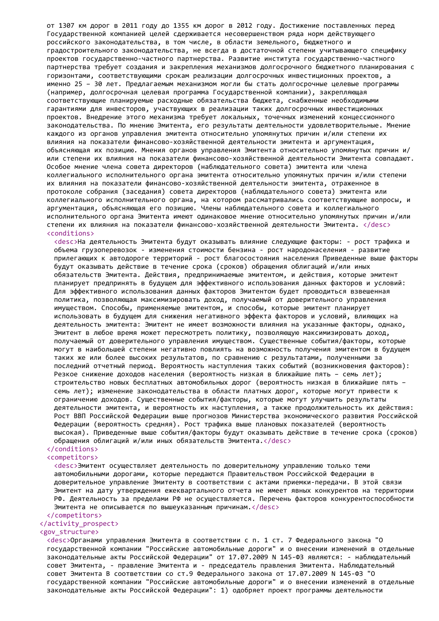от 1307 км дорог в 2011 году до 1355 км дорог в 2012 году. Достижение поставленных перед Государственной компанией целей сдерживается несовершенством ряда норм действующего российского законодательства, в том числе, в области земельного, бюджетного и градостроительного законодательства, не всегда в достаточной степени учитывающего специфику проектов государственно-частного партнерства. Развитие института государственно-частного партнерства требует создания и закрепления механизмов долгосрочного бюджетного планирования с горизонтами, соответствующими срокам реализации долгосрочных инвестиционных проектов, а именно 25 – 30 лет. Предлагаемым механизмом могли бы стать долгосрочные целевые программы (например, долгосрочная целевая программа Государственной компании), закрепляющая соответствующие планируемые расходные обязательства бюджета, снабженные необходимыми гарантиями для инвесторов, участвующих в реализации таких долгосрочных инвестиционных проектов. Внедрение этого механизма требует локальных, точечных изменений концессионного законодательства. По мнению Эмитента, его результаты деятельности удовлетворительные. Мнение каждого из органов управления эмитента относительно упомянутых причин и/или степени их влияния на показатели финансово-хозяйственной деятельности эмитента и аргументация, объясняющая их позицию. Мнения органов управления Эмитента относительно упомянутых причин и/ или степени их влияния на показатели финансово-хозяйственной деятельности Эмитента совпадают. Особое мнение члена совета директоров (наблюдательного совета) эмитента или члена коллегиального исполнительного органа эмитента относительно упомянутых причин и/или степени их влияния на показатели финансово-хозяйственной деятельности эмитента, отраженное в протоколе собрания (заседания) совета директоров (наблюдательного совета) эмитента или коллегиального исполнительного органа, на котором рассматривались соответствующие вопросы, и аргументация, объясняющая его позицию. Члены наблюдательного совета и коллегиального исполнительного органа Эмитента имеют одинаковое мнение относительно упомянутых причин и/или степени их влияния на показатели финансово-хозяйственной деятельности Эмитента. </desc> <conditions>

<desc>На деятельность Эмитента будут оказывать влияние следующие факторы: - рост трафика и объема грузоперевозок - изменения стоимости бензина - рост народонаселения - развитие прилегающих к автодороге территорий - рост благосостояния населения Приведенные выше факторы будут оказывать действие в течение срока (сроков) обращения облигаций и/или иных обязательств Эмитента. Действия, предпринимаемые эмитентом, и действия, которые эмитент планирует предпринять в будущем для эффективного использования данных факторов и условий: Для эффективного использования данных факторов Эмитентом будет проводиться взвешенная политика, позволяющая максимизировать доход, получаемый от доверительного управления имуществом. Способы, применяемые эмитентом, и способы, которые эмитент планирует использовать в будущем для снижения негативного эффекта факторов и условий, влияющих на деятельность эмитента: Эмитент не имеет возможности влияния на указанные факторы, однако, Эмитент в любое время может пересмотреть политику, позволяющую максимизировать доход, получаемый от доверительного управления имуществом. Существенные события/факторы, которые могут в наибольшей степени негативно повлиять на возможность получения эмитентом в будущем таких же или более высоких результатов, по сравнению с результатами, полученными за последний отчетный период. Вероятность наступления таких событий (возникновения факторов): Резкое снижение доходов населения (вероятность низкая в ближайшие пять – семь лет); строительство новых бесплатных автомобильных дорог (вероятность низкая в ближайшие пять – семь лет); изменение законодательства в области платных дорог, которые могут привести к ограничению доходов. Существенные события/факторы, которые могут улучшить результаты деятельности эмитента, и вероятность их наступления, а также продолжительность их действия: Рост ВВП Российской Федерации выше прогнозов Министерства экономического развития Российской Федерации (вероятность средняя). Рост трафика выше плановых показателей (вероятность высокая). Приведенные выше события/факторы будут оказывать действие в течение срока (сроков) обращения облигаций и/или иных обязательств Эмитента.</desc>

### </conditions> <competitors>

<desc>Эмитент осуществляет деятельность по доверительному управлению только теми автомобильными дорогами, которые передаются Правительством Российской Федерации в доверительное управление Эмитенту в соответствии с актами приемки-передачи. В этой связи Эмитент на дату утверждения ежеквартального отчета не имеет явных конкурентов на территории РФ. Деятельность за пределами РФ не осуществляется. Перечень факторов конкурентоспособности Эмитента не описывается по вышеуказанным причинам.</desc>

## </competitors>

## </activity\_prospect>

### <gov\_structure>

<desc>Органами управления Эмитента в соответствии с п. 1 ст. 7 Федерального закона "О государственной компании "Российские автомобильные дороги" и о внесении изменений в отдельные законодательные акты Российской Федерации" от 17.07.2009 N 145-ФЗ являются: - наблюдательный совет Эмитента, - правление Эмитента и - председатель правления Эмитента. Наблюдательный совет Эмитента В соответствии со ст.9 Федерального закона от 17.07.2009 N 145-ФЗ "О государственной компании "Российские автомобильные дороги" и о внесении изменений в отдельные законодательные акты Российской Федерации": 1) одобряет проект программы деятельности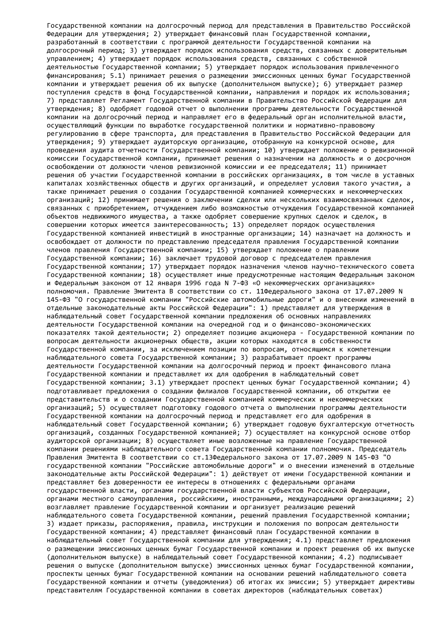Государственной компании на долгосрочный период для представления в Правительство Российской Федерации для утверждения; 2) утверждает финансовый план Государственной компании, разработанный в соответствии с программой деятельности Государственной компании на долгосрочный период; 3) утверждает порядок использования средств, связанных с доверительным управлением; 4) утверждает порядок использования средств, связанных с собственной деятельностью Государственной компании; 5) утверждает порядок использования привлеченного финансирования; 5.1) принимает решения о размещении эмиссионных ценных бумаг Государственной компании и утверждает решения об их выпуске (дополнительном выпуске); 6) утверждает размер поступления средств в фонд Государственной компании, направления и порядок их использования; 7) представляет Регламент Государственной компании в Правительство Российской Федерации для утверждения; 8) одобряет годовой отчет о выполнении программы деятельности Государственной компании на долгосрочный период и направляет его в федеральный орган исполнительной власти, осуществляющий функции по выработке государственной политики и нормативно-правовому регулированию в сфере транспорта, для представления в Правительство Российской Федерации для утверждения; 9) утверждает аудиторскую организацию, отобранную на конкурсной основе, для проведения аудита отчетности Государственной компании; 10) утверждает положение о ревизионной комиссии Государственной компании, принимает решения о назначении на должность и о досрочном освобождении от должности членов ревизионной комиссии и ее председателя; 11) принимает решения об участии Государственной компании в российских организациях, в том числе в уставных капиталах хозяйственных обществ и других организаций, и определяет условия такого участия, а также принимает решения о создании Государственной компанией коммерческих и некоммерческих организаций; 12) принимает решения о заключении сделки или нескольких взаимосвязанных сделок, связанных с приобретением, отчуждением либо возможностью отчуждения Государственной компанией объектов недвижимого имущества, а также одобряет совершение крупных сделок и сделок, в совершении которых имеется заинтересованность; 13) определяет порядок осуществления Государственной компанией инвестиций в иностранные организации; 14) назначает на должность и освобождает от должности по представлению председателя правления Государственной компании членов правления Государственной компании; 15) утверждает положение о правлении Государственной компании; 16) заключает трудовой договор с председателем правления Государственной компании; 17) утверждает порядок назначения членов научно-технического совета Государственной компании; 18) осуществляет иные предусмотренные настоящим Федеральным законом и Федеральным законом от 12 января 1996 года N 7-ФЗ «О некоммерческих организациях» полномочия. Правление Эмитента В соответствии со ст. 11Федерального закона от 17.07.2009 N 145-ФЗ "О государственной компании "Российские автомобильные дороги" и о внесении изменений в отдельные законодательные акты Российской Федерации": 1) представляет для утверждения в наблюдательный совет Государственной компании предложения об основных направлениях деятельности Государственной компании на очередной год и о финансово-экономических показателях такой деятельности; 2) определяет позицию акционера - Государственной компании по вопросам деятельности акционерных обществ, акции которых находятся в собственности Государственной компании, за исключением позиции по вопросам, относящимся к компетенции наблюдательного совета Государственной компании; 3) разрабатывает проект программы деятельности Государственной компании на долгосрочный период и проект финансового плана Государственной компании и представляет их для одобрения в наблюдательный совет Государственной компании; 3.1) утверждает проспект ценных бумаг Государственной компании; 4) подготавливает предложения о создании филиалов Государственной компании, об открытии ее представительств и о создании Государственной компанией коммерческих и некоммерческих организаций; 5) осуществляет подготовку годового отчета о выполнении программы деятельности Государственной компании на долгосрочный период и представляет его для одобрения в наблюдательный совет Государственной компании; 6) утверждает годовую бухгалтерскую отчетность организаций, созданных Государственной компанией; 7) осуществляет на конкурсной основе отбор аудиторской организации; 8) осуществляет иные возложенные на правление Государственной компании решениями наблюдательного совета Государственной компании полномочия. Председатель Правления Эмитента В соответствии со ст.13Федерального закона от 17.07.2009 N 145-ФЗ "О государственной компании "Российские автомобильные дороги" и о внесении изменений в отдельные законодательные акты Российской Федерации": 1) действует от имени Государственной компании и представляет без доверенности ее интересы в отношениях с федеральными органами государственной власти, органами государственной власти субъектов Российской Федерации, органами местного самоуправления, российскими, иностранными, международными организациями; 2) возглавляет правление Государственной компании и организует реализацию решений наблюдательного совета Государственной компании, решений правления Государственной компании; 3) издает приказы, распоряжения, правила, инструкции и положения по вопросам деятельности Государственной компании; 4) представляет финансовый план Государственной компании в наблюдательный совет Государственной компании для утверждения; 4.1) представляет предложения о размещении эмиссионных ценных бумаг Государственной компании и проект решения об их выпуске (дополнительном выпуске) в наблюдательный совет Государственной компании; 4.2) подписывает решения о выпуске (дополнительном выпуске) эмиссионных ценных бумаг Государственной компании, проспекты ценных бумаг Государственной компании на основании решений наблюдательного совета Государственной компании и отчеты (уведомления) об итогах их эмиссии; 5) утверждает директивы представителям Государственной компании в советах директоров (наблюдательных советах)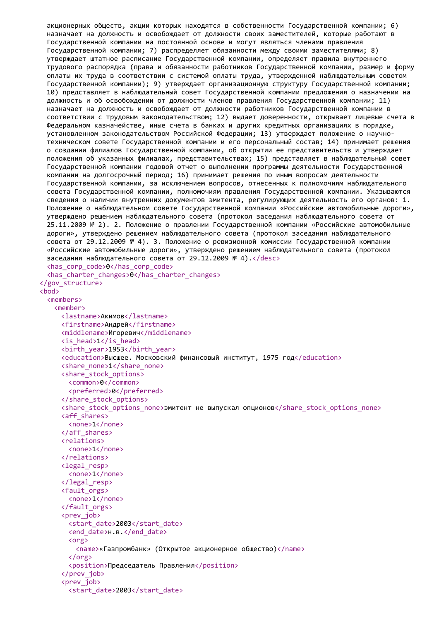```
акционерных обществ, акции которых находятся в собственности Государственной компании; 6)
 назначает на должность и освобождает от должности своих заместителей, которые работают в
 Государственной компании на постоянной основе и могут являться членами правления
 Государственной компании; 7) распределяет обязанности между своими заместителями; 8)
 утверждает штатное расписание Государственной компании, определяет правила внутреннего
 трудового распорядка (права и обязанности работников Государственной компании, размер и форму
 оплаты их труда в соответствии с системой оплаты труда, утвержденной наблюдательным советом
 Государственной компании); 9) утверждает организационную структуру Государственной компании;
 10) представляет в наблюдательный совет Государственной компании предложения о назначении на
 должность и об освобождении от должности членов правления Государственной компании; 11)
 назначает на должность и освобождает от должности работников Государственной компании в
 соответствии с трудовым законодательством; 12) выдает доверенности, открывает лицевые счета в
 Федеральном казначействе, иные счета в банках и других кредитных организациях в порядке,
 установленном законодательством Российской Федерации; 13) утверждает положение о научно-
 техническом совете Государственной компании и его персональный состав; 14) принимает решения
 о создании филиалов Государственной компании, об открытии ее представительств и утверждает
 положения об указанных филиалах, представительствах; 15) представляет в наблюдательный совет
 Государственной компании годовой отчет о выполнении программы деятельности Государственной
 компании на долгосрочный период; 16) принимает решения по иным вопросам деятельности
 Государственной компании, за исключением вопросов, отнесенных к полномочиям наблюдательного
 совета Государственной компании, полномочиям правления Государственной компании. Указываются
 сведения о наличии внутренних документов эмитента, регулирующих деятельность его органов: 1.
 Положение о наблюдательном совете Государственной компании «Российские автомобильные дороги»,
 утверждено решением наблюдательного совета (протокол заседания наблюдательного совета от
 25.11.2009 № 2). 2. Положение о правлении Государственной компании «Российские автомобильные
 дороги», утверждено решением наблюдательного совета (протокол заседания наблюдательного
 совета от 29.12.2009 № 4). 3. Положение о ревизионной комиссии Государственной компании
 «Российские автомобильные дороги», утверждено решением наблюдательного совета (протокол
 заседания наблюдательного совета от 29.12.2009 № 4).</desc>
 <has_corp_code>0</has_corp_code>
 <has_charter_changes>0</has_charter_changes>
</gov_structure>
<bod>
 <members>
   <member>
     <lastname>Акимов</lastname>
     <firstname>Андрей</firstname>
     <middlename>Игоревич</middlename>
     <is_head>1</is_head>
     <birth_year>1953</birth_year>
     <education>Высшее. Московский финансовый институт, 1975 год</education>
     <share_none>1</share_none>
     <share_stock_options>
       <common>0</common>
       <preferred>0</preferred>
     </share_stock_options>
     <share stock options none>эмитент не выпускал опционов</share stock options none>
     <aff_shares>
       <none>1</none>
     </aff_shares>
     <relations>
       <none>1</none>
     </relations>
     <legal_resp>
       <none>1</none>
     </legal_resp>
     <fault_orgs>
       <none>1</none>
     </fault_orgs>
     <prev_iob>
       <start_date>2003</start_date>
       <end date>н.в.</end date>
       <org>
         <name>«Газпромбанк» (Открытое акционерное общество)</name>
       </org>
       <position>Председатель Правления</position>
     </prev_job>
     <prev_job>
       <start_date>2003</start_date>
```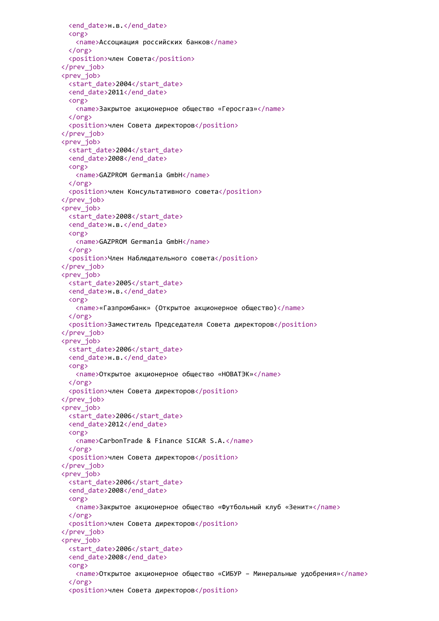```
<end_date>н.в.</end_date>
 <org>
   <name>Ассоциация российских банков</name>
 </org>
 <position>член Совета</position>
</prev_job>
<prev_job>
 <start_date>2004</start_date>
 <end_date>2011</end_date>
 <org>
   <name>Закрытое акционерное общество «Геросгаз»</name>
 </org>
 <position>член Совета директоров</position>
</prev_job>
<prev_job>
 <start_date>2004</start_date>
 <end_date>2008</end_date>
 <org>
   <name>GAZPROM Germania GmbH</name>
 </org>
 <position>член Консультативного совета</position>
</prev_job>
<prev_job>
 <start_date>2008</start_date>
 <end_date>н.в.</end_date>
 <org>
   <name>GAZPROM Germania GmbH</name>
 </org>
 <position>Член Наблюдательного совета</position>
</prev_job>
<prev_job>
 <start_date>2005</start_date>
 <end date>н.в.</end date>
 <org>
   <name>«Газпромбанк» (Открытое акционерное общество)</name>
 </org>
 <position>Заместитель Председателя Совета директоров</position>
</prev_job>
<prev_job>
 <start_date>2006</start_date>
 <end date>н.в.</end date>
 <org>
   <name>Открытое акционерное общество «НОВАТЭК»</name>
 </org>
 <position>член Совета директоров</position>
</prev_job>
<prev_job>
 <start_date>2006</start_date>
 <end_date>2012</end_date>
 <org>
   <name>CarbonTrade & Finance SICAR S.A.</name>
 \langle/org\rangle<position>член Совета директоров</position>
</prev_job>
<prev_iob>
 <start_date>2006</start_date>
 <end_date>2008</end_date>
 <org>
   <name>Закрытое акционерное общество «Футбольный клуб «Зенит»</name>
 </org>
 <position>член Совета директоров</position>
</prev_job>
<prev_iob>
 <start_date>2006</start_date>
 <end_date>2008</end_date>
 <org>
   <name>Открытое акционерное общество «СИБУР – Минеральные удобрения»</name>
 </org>
 <position>член Совета директоров</position>
```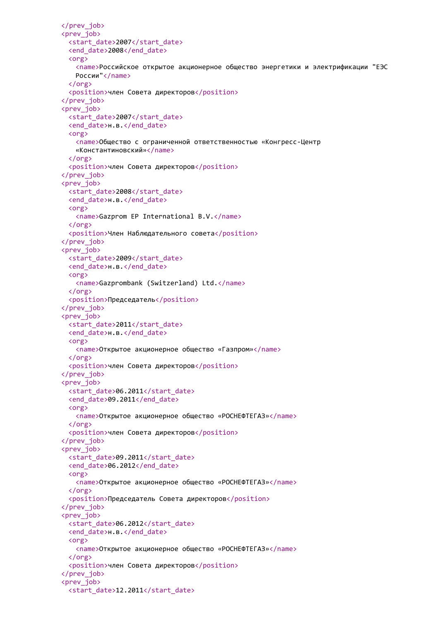```
</prev_job>
<prev_job>
 <start_date>2007</start_date>
 <end_date>2008</end_date>
 <org>
   <name>Российское открытое акционерное общество энергетики и электрификации "ЕЭС
   России"</name>
 </org>
 <position>член Совета директоров</position>
</prev_job>
<prev_job>
 <start_date>2007</start_date>
 <end date>н.в.</end date>
 <org>
   <name>Общество с ограниченной ответственностью «Конгресс-Центр
   «Константиновский»</name>
 </org>
 <position>член Совета директоров</position>
</prev_job>
<prev_job>
 <start date>2008</start date>
 <end date>н.в.</end date>
 <org>
   <name>Gazprom EP International B.V.</name>
 </org>
 <position>Член Наблюдательного совета</position>
</prev_job>
<prev_job>
 <start_date>2009</start_date>
 <end_date>н.в.</end_date>
 <org>
   <name>Gazprombank (Switzerland) Ltd.</name>
 </org>
 <position>Председатель</position>
</prev_job>
<prev_job>
 <start_date>2011</start_date>
 <end date>н.в.</end date>
 <org>
   <name>Открытое акционерное общество «Газпром»</name>
 </org>
 <position>член Совета директоров</position>
</prev_job>
<prev_job>
 <start_date>06.2011</start_date>
 <end date>09.2011</end date>
 <org>
   <name>Открытое акционерное общество «РОСНЕФТЕГАЗ»</name>
 \langle/org\rangle<position>член Совета директоров</position>
</prev_job>
<prev_iob>
 <start_date>09.2011</start_date>
 <end_date>06.2012</end_date>
 <org>
   <name>Открытое акционерное общество «РОСНЕФТЕГАЗ»</name>
 </org>
 <position>Председатель Совета директоров</position>
</prev_job>
<prev_iob>
 <start_date>06.2012</start_date>
 <end date>н.в.</end date>
 <org>
   <name>Открытое акционерное общество «РОСНЕФТЕГАЗ»</name>
 </org>
 <position>член Совета директоров</position>
</prev_job>
<prev_job>
 <start_date>12.2011</start_date>
```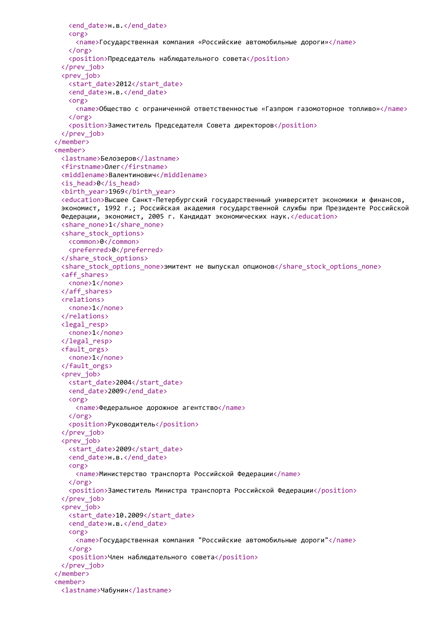```
<end_date>н.в.</end_date>
   <org>
     <name>Государственная компания «Российские автомобильные дороги»</name>
   </org>
   <position>Председатель наблюдательного совета</position>
 </prev_job>
 <prev_job>
   <start_date>2012</start_date>
   <end_date>н.в.</end_date>
   <org>
     <name>Общество с ограниченной ответственностью «Газпром газомоторное топливо»</name>
   </org>
   <position>Заместитель Председателя Совета директоров</position>
 </prev_job>
</member>
<member>
 <lastname>Белозеров</lastname>
 <firstname>Олег</firstname>
 <middlename>Валентинович</middlename>
 <is_head>0</is_head>
 <birth_year>1969</birth_year>
 <education>Высшее Санкт-Петербургский государственный университет экономики и финансов,
 экономист, 1992 г.; Российская академия государственной службы при Президенте Российской
 Федерации, экономист, 2005 г. Кандидат экономических наук.</education>
 <share_none>1</share_none>
 <share_stock_options>
   <common>0</common>
   <preferred>0</preferred>
 </share_stock_options>
 <share_stock_options_none>эмитент не выпускал опционов</share_stock_options_none>
 <aff_shares>
   <none>1</none>
 </aff_shares>
 <relations>
   <none>1</none>
 </relations>
 <legal_resp>
   <none>1</none>
 </legal_resp>
 <fault_orgs>
   <none>1</none>
 </fault_orgs>
 <prev_job>
   <start date>2004</start date>
   <end date>2009</end date>
   <org>
     <name>Федеральное дорожное агентство</name>
   \langle/org\rangle<position>Руководитель</position>
 </prev_job>
 <prev_iob>
   <start_date>2009</start_date>
   <end date>н.в.</end date>
   <org>
     <name>Министерство транспорта Российской Федерации</name>
   \zeta/org\zeta<position>Заместитель Министра транспорта Российской Федерации</position>
 </prev_job>
 <prev_job>
   <start_date>10.2009</start_date>
   <end date>н.в.</end date>
   <org>
     <name>Государственная компания "Российские автомобильные дороги"</name>
   </org>
   <position>Член наблюдательного совета</position>
 </prev_job>
</member>
<member>
 <lastname>Чабунин</lastname>
```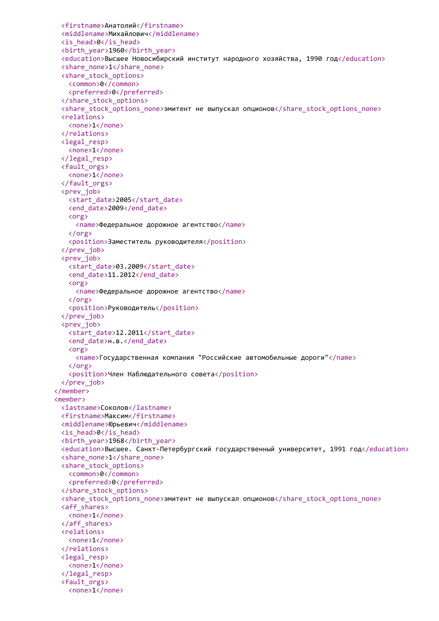```
<firstname>Анатолий</firstname>
 <middlename>Михайлович</middlename>
 <is_head>0</is_head>
 <birth_year>1960</birth_year>
 <education>Высшее Новосибирский институт народного хозяйства, 1990 год</education>
 <share_none>1</share_none>
 <share_stock_options>
   <common>0</common>
   <preferred>0</preferred>
 </share_stock_options>
 <share_stock_options_none>эмитент не выпускал опционов</share_stock_options_none>
 <relations>
   <none>1</none>
 </relations>
 <legal_resp>
   <none>1</none>
 </legal_resp>
 <fault_orgs>
   <none>1</none>
 </fault_orgs>
 <prev_job>
   <start_date>2005</start_date>
   <end_date>2009</end_date>
   <org>
     <name>Федеральное дорожное агентство</name>
   </org>
   <position>Заместитель руководителя</position>
 </prev_job>
 <prev_job>
   <start_date>03.2009</start_date>
   <end date>11.2012</end date>
   <org>
     <name>Федеральное дорожное агентство</name>
   </org>
   <position>Руководитель</position>
 </prev_job>
 <prev_job>
   <start_date>12.2011</start_date>
   <end date>н.в.</end date>
   <org>
     <name>Государственная компания "Российские автомобильные дороги"</name>
   </org>
   <position>Член Наблюдательного совета</position>
 </prev_job>
</member>
<member>
 <lastname>Соколов</lastname>
 <firstname>Максим</firstname>
 <middlename>Юрьевич</middlename>
 <is_head>0</is_head>
 <birth_year>1968</birth_year>
 <education>Высшее. Санкт-Петербургский государственный университет, 1991 год</education>
 <share_none>1</share_none>
 <share_stock_options>
   <common>0</common>
   <preferred>0</preferred>
 </share_stock_options>
 <share_stock_options_none>эмитент не выпускал опционов</share_stock_options_none>
 <aff_shares>
   <none>1</none>
 </aff_shares>
 <relations>
   <none>1</none>
 </relations>
 <legal_resp>
   <none>1</none>
 </legal_resp>
 <fault_orgs>
   <none>1</none>
```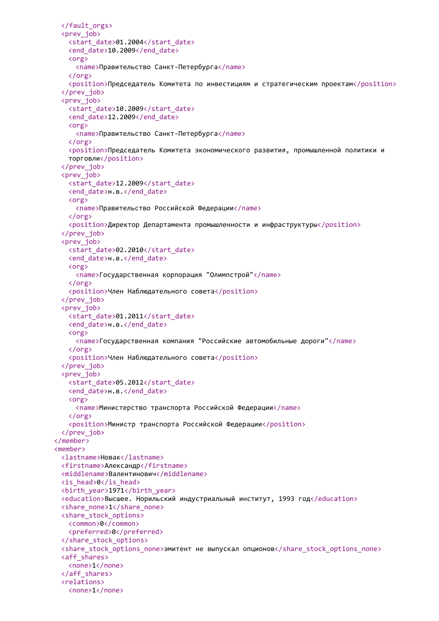```
</fault_orgs>
 <prev_job>
   <start_date>01.2004</start_date>
   <end_date>10.2009</end_date>
   <org>
     <name>Правительство Санкт-Петербурга</name>
   </org>
   <position>Председатель Комитета по инвестициям и стратегическим проектам</position>
 </prev_job>
 <prev_job>
   <start_date>10.2009</start_date>
   <end_date>12.2009</end_date>
   <org>
     <name>Правительство Санкт-Петербурга</name>
   </org>
   <position>Председатель Комитета экономического развития, промышленной политики и
   торговли</position>
 </prev_job>
 <prev_job>
   <start_date>12.2009</start_date>
   <end date>н.в.</end date>
   <org>
     <name>Правительство Российской Федерации</name>
   </org>
   <position>Директор Департамента промышленности и инфраструктуры</position>
 </prev_job>
 <prev_job>
   <start_date>02.2010</start_date>
   <end date>н.в.</end date>
   <org>
     <name>Государственная корпорация "Олимпстрой"</name>
   </org>
   <position>Член Наблюдательного совета</position>
 </prev_job>
 <prev_job>
   <start_date>01.2011</start_date>
   <end_date>н.в.</end_date>
   <org>
     <name>Государственная компания "Российские автомобильные дороги"</name>
   </org>
   <position>Член Наблюдательного совета</position>
 </prev_job>
 <prev_job>
   <start_date>05.2012</start_date>
   <end date>н.в.</end date>
   <org>
     <name>Министерство транспорта Российской Федерации</name>
   \langle/org\rangle<position>Министр транспорта Российской Федерации</position>
 </prev_job>
</member>
<member>
 <lastname>Новак</lastname>
 <firstname>Александр</firstname>
 <middlename>Валентинович</middlename>
 <is_head>0</is_head>
 <birth_year>1971</birth_year>
 <education>Высшее. Норильский индустриальный институт, 1993 год</education>
 <share_none>1</share_none>
 <share_stock_options>
   <common>0</common>
   <preferred>0</preferred>
 </share_stock_options>
 <share_stock_options_none>эмитент не выпускал опционов</share_stock_options_none>
 <aff_shares>
   <none>1</none>
 </aff_shares>
 <relations>
   <none>1</none>
```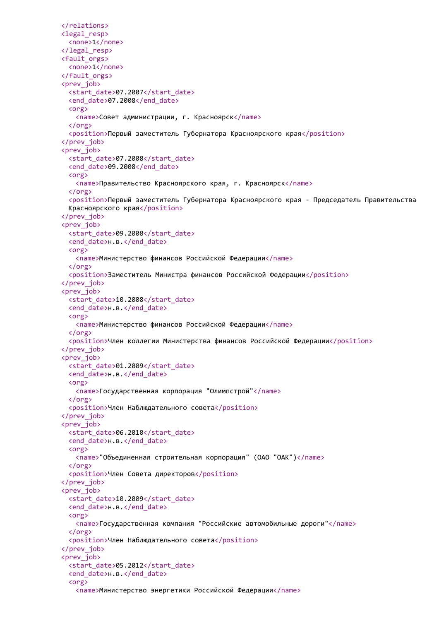```
</relations>
<legal_resp>
 <none>1</none>
</legal_resp>
<fault_orgs>
 <none>1</none>
</fault_orgs>
<prev_job>
 <start_date>07.2007</start_date>
 <end_date>07.2008</end_date>
 <org>
   <name>Совет администрации, г. Красноярск</name>
 </org>
  <position>Первый заместитель Губернатора Красноярского края</position>
</prev_job>
<prev_job>
 <start_date>07.2008</start_date>
 <end_date>09.2008</end_date>
 <org>
   <name>Правительство Красноярского края, г. Красноярск</name>
 </org>
  <position>Первый заместитель Губернатора Красноярского края - Председатель Правительства
 Красноярского края</position>
</prev_job>
<prev_job>
 <start_date>09.2008</start_date>
  <end date>н.в.</end date>
 <org>
   <name>Министерство финансов Российской Федерации</name>
 </org>
  <position>Заместитель Министра финансов Российской Федерации</position>
</prev_job>
<prev_job>
 <start_date>10.2008</start_date>
 <end date>н.в.</end date>
 <org>
   <name>Министерство финансов Российской Федерации</name>
 </org>
  <position>Член коллегии Министерства финансов Российской Федерации</position>
</prev_job>
<prev_job>
 <start_date>01.2009</start_date>
 <end date>н.в.</end date>
 <org>
   <name>Государственная корпорация "Олимпстрой"</name>
 </org>
  <position>Член Наблюдательного совета</position>
</prev_job>
<prev_iob>
 <start_date>06.2010</start_date>
 <end_date>н.в.</end_date>
 <org>
   <name>"Объединенная строительная корпорация" (ОАО "ОАК")</name>
 \langle/\rangle<position>Член Совета директоров</position>
</prev_job>
<prev_iob>
 <start_date>10.2009</start_date>
 <end date>н.в.</end date>
 <org>
   <name>Государственная компания "Российские автомобильные дороги"</name>
 </org>
  <position>Член Наблюдательного совета</position>
</prev_job>
<prev_job>
 <start_date>05.2012</start_date>
  <end_date>н.в.</end_date>
  <org>
   <name>Министерство энергетики Российской Федерации</name>
```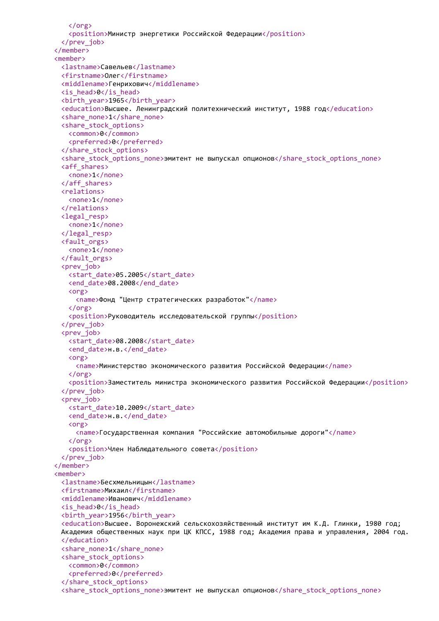```
</org>
   <position>Министр энергетики Российской Федерации</position>
 </prev_job>
</member>
<member>
 <lastname>Савельев</lastname>
 <firstname>Олег</firstname>
 <middlename>Генрихович</middlename>
 <is_head>0</is_head>
 <birth_year>1965</birth_year>
 <education>Высшее. Ленинградский политехнический институт, 1988 год</education>
 <share_none>1</share_none>
 <share_stock_options>
   <common>0</common>
   <preferred>0</preferred>
 </share_stock_options>
 <share stock options none>эмитент не выпускал опционов</share stock options none>
 <aff_shares>
   <none>1</none>
 </aff_shares>
 <relations>
   <none>1</none>
 </relations>
 <legal_resp>
   <none>1</none>
 </legal_resp>
 <fault_orgs>
   <none>1</none>
 </fault_orgs>
 <prev_job>
   <start_date>05.2005</start_date>
   <end_date>08.2008</end_date>
   <org>
     <name>Фонд "Центр стратегических разработок"</name>
   </org>
   <position>Руководитель исследовательской группы</position>
 </prev_job>
 <prev_job>
   <start_date>08.2008</start_date>
   <end date>н.в.</end date>
   <org>
     <name>Министерство экономического развития Российской Федерации</name>
   </org>
   <position>Заместитель министра экономического развития Российской Федерации</position>
 </prev_job>
 <prev_job>
   <start_date>10.2009</start_date>
   <end date>н.в.</end date>
   <org>
     <name>Государственная компания "Российские автомобильные дороги"</name>
   </org>
   <position>Член Наблюдательного совета</position>
 </prev_job>
</member>
<member>
 <lastname>Бесхмельницын</lastname>
 <firstname>Михаил</firstname>
 <middlename>Иванович</middlename>
 <is_head>0</is_head>
 <birth_year>1956</birth_year>
 <education>Высшее. Воронежский сельскохозяйственный институт им К.Д. Глинки, 1980 год;
 Академия общественных наук при ЦК КПСС, 1988 год; Академия права и управления, 2004 год.
 </education>
 <share_none>1</share_none>
 <share_stock_options>
   <common>0</common>
   <preferred>0</preferred>
 </share_stock_options>
 <share_stock_options_none>эмитент не выпускал опционов</share_stock_options_none>
```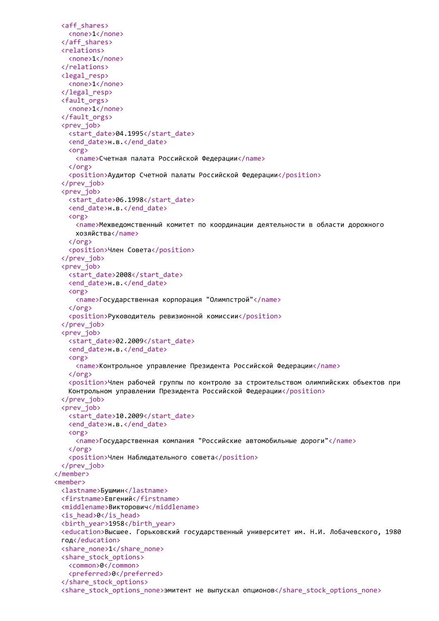```
<aff_shares>
   <none>1</none>
 </aff_shares>
 <relations>
   <none>1</none>
 </relations>
 <legal_resp>
   <none>1</none>
 </legal_resp>
 <fault_orgs>
   <none>1</none>
 </fault_orgs>
 <prev_job>
   <start_date>04.1995</start_date>
   <end_date>н.в.</end_date>
   <org>
     <name>Счетная палата Российской Федерации</name>
   </org>
   <position>Аудитор Счетной палаты Российской Федерации</position>
 </prev_job>
 <prev_job>
   <start_date>06.1998</start_date>
   <end date>н.в.</end date>
   <org>
     <name>Межведомственный комитет по координации деятельности в области дорожного
     хозяйства</name>
   </org>
   <position>Член Совета</position>
 </prev_job>
 <prev_job>
   <start_date>2008</start_date>
   <end_date>н.в.</end_date>
   <org>
     <name>Государственная корпорация "Олимпстрой"</name>
   </org>
   <position>Руководитель ревизионной комиссии</position>
 </prev_job>
 <prev_job>
   <start_date>02.2009</start_date>
   <end date>н.в.</end date>
   <org>
     <name>Контрольное управление Президента Российской Федерации</name>
   </org>
   <position>Член рабочей группы по контролю за строительством олимпийских объектов при
   Контрольном управлении Президента Российской Федерации</position>
 </prev_job>
 <prev_job>
   <start_date>10.2009</start_date>
   <end date>н.в.</end date>
   <org>
     <name>Государственная компания "Российские автомобильные дороги"</name>
   \langle/org\rangle<position>Член Наблюдательного совета</position>
 </prev_job>
</member>
<member>
 <lastname>Бушмин</lastname>
 <firstname>Евгений</firstname>
 <middlename>Викторович</middlename>
 <is_head>0</is_head>
 <birth_year>1958</birth_year>
 <education>Высшее. Горьковский государственный университет им. Н.И. Лобачевского, 1980
 год</education>
 <share_none>1</share_none>
 <share_stock_options>
   <common>0</common>
   <preferred>0</preferred>
 </share_stock_options>
 <share_stock_options_none>эмитент не выпускал опционов</share_stock_options_none>
```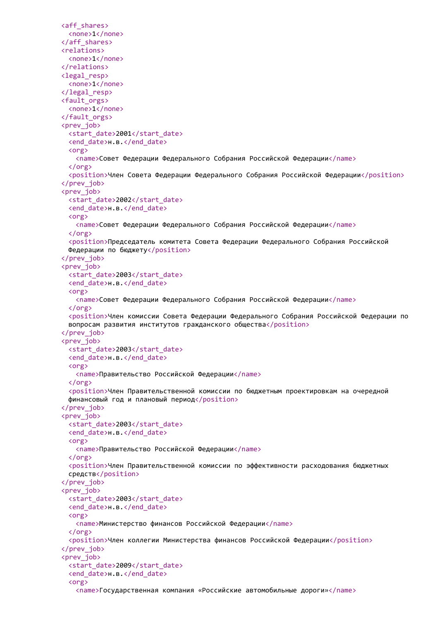```
<aff_shares>
 <none>1</none>
</aff_shares>
<relations>
 <none>1</none>
</relations>
<legal_resp>
 <none>1</none>
</legal_resp>
<fault_orgs>
 <none>1</none>
</fault_orgs>
<prev_job>
 <start_date>2001</start_date>
 <end_date>н.в.</end_date>
 <org>
   <name>Совет Федерации Федерального Собрания Российской Федерации</name>
  </org>
  <position>Член Совета Федерации Федерального Собрания Российской Федерации</position>
</prev_job>
<prev_job>
 <start_date>2002</start_date>
  <end date>н.в.</end date>
 <org>
   <name>Совет Федерации Федерального Собрания Российской Федерации</name>
 </org>
  <position>Председатель комитета Совета Федерации Федерального Собрания Российской
 Федерации по бюджету</position>
</prev_job>
<prev_job>
 <start_date>2003</start_date>
  <end_date>н.в.</end_date>
 <org>
   <name>Совет Федерации Федерального Собрания Российской Федерации</name>
 </org>
  <position>Член комиссии Совета Федерации Федерального Собрания Российской Федерации по
 вопросам развития институтов гражданского общества</position>
</prev_job>
<prev_job>
 <start_date>2003</start_date>
  <end date>н.в.</end date>
 <org>
   <name>Правительство Российской Федерации</name>
 </org>
  <position>Член Правительственной комиссии по бюджетным проектировкам на очередной
 финансовый год и плановый период</position>
</prev_job>
<prev_job>
 <start_date>2003</start_date>
  <end date>н.в.</end date>
 <org>
   <name>Правительство Российской Федерации</name>
 \langle/org\rangle<position>Член Правительственной комиссии по эффективности расходования бюджетных
 средств</position>
</prev_job>
<prev_iob>
 <start_date>2003</start_date>
  <end date>н.в.</end date>
 <org>
   <name>Министерство финансов Российской Федерации</name>
 </org>
  <position>Член коллегии Министерства финансов Российской Федерации</position>
</prev_job>
<prev_job>
  <start_date>2009</start_date>
  <end_date>н.в.</end_date>
  <org>
   <name>Государственная компания «Российские автомобильные дороги»</name>
```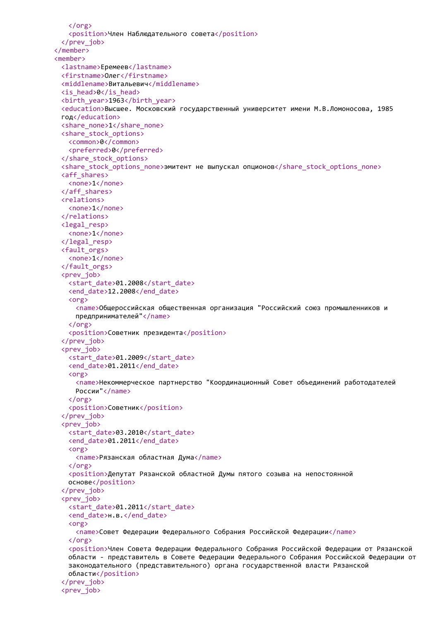```
</org>
   <position>Член Наблюдательного совета</position>
 </prev_job>
</member>
<member>
 <lastname>Еремеев</lastname>
 <firstname>Олег</firstname>
 <middlename>Витальевич</middlename>
 <is_head>0</is_head>
 <birth_year>1963</birth_year>
 <education>Высшее. Московский государственный университет имени М.В.Ломоносова, 1985
 год</education>
 <share_none>1</share_none>
 <share_stock_options>
   <common>0</common>
   <preferred>0</preferred>
 </share_stock_options>
 <share_stock_options_none>эмитент не выпускал опционов</share_stock_options_none>
 <aff_shares>
   <none>1</none>
 </aff_shares>
 <relations>
   <none>1</none>
 </relations>
 <legal_resp>
   <none>1</none>
 </legal_resp>
 <fault_orgs>
   <none>1</none>
 </fault_orgs>
 <prev_job>
   <start_date>01.2008</start_date>
   <end date>12.2008</end date>
   <org>
     <name>Общероссийская общественная организация "Российский союз промышленников и
     предпринимателей"</name>
   </org>
   <position>Советник президента</position>
 </prev_job>
 <prev_job>
   <start_date>01.2009</start_date>
   <end_date>01.2011</end_date>
   <org>
     <name>Некоммерческое партнерство "Координационный Совет объединений работодателей
     России"</name>
   </org>
   <position>Советник</position>
 </prev_job>
 <prev_iob>
   <start_date>03.2010</start_date>
   <end_date>01.2011</end_date>
   <org>
     <name>Рязанская областная Дума</name>
   \zeta/org\zeta<position>Депутат Рязанской областной Думы пятого созыва на непостоянной
   основе</position>
 </prev_job>
 <prev_iob>
   <start_date>01.2011</start_date>
   <end date>н.в.</end date>
   <org>
     <name>Совет Федерации Федерального Собрания Российской Федерации</name>
   </org>
   <position>Член Совета Федерации Федерального Собрания Российской Федерации от Рязанской
   области - представитель в Совете Федерации Федерального Собрания Российской Федерации от
   законодательного (представительного) органа государственной власти Рязанской
   области</position>
 </prev_job>
 <prev_job>
```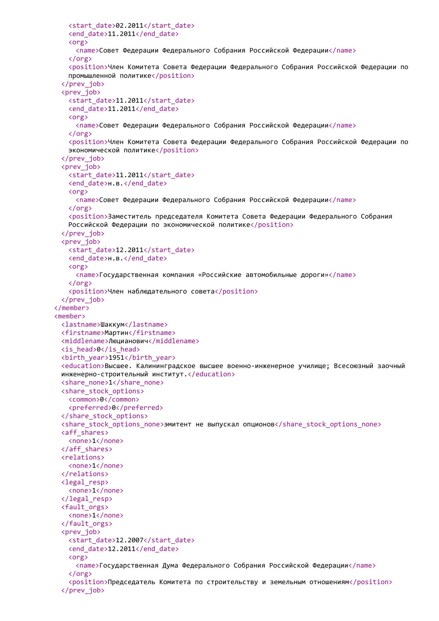```
<start_date>02.2011</start_date>
   <end_date>11.2011</end_date>
   <org>
     <name>Совет Федерации Федерального Собрания Российской Федерации</name>
   </org>
   <position>Член Комитета Совета Федерации Федерального Собрания Российской Федерации по
   промышленной политике</position>
 </prev_job>
 <prev_job>
   <start_date>11.2011</start_date>
   <end_date>11.2011</end_date>
   <org>
     <name>Совет Федерации Федерального Собрания Российской Федерации</name>
   </org>
   <position>Член Комитета Совета Федерации Федерального Собрания Российской Федерации по
   экономической политике</position>
 </prev_job>
 <prev_job>
   <start_date>11.2011</start_date>
   <end date>н.в.</end date>
   <org>
     <name>Совет Федерации Федерального Собрания Российской Федерации</name>
   </org>
   <position>Заместитель председателя Комитета Совета Федерации Федерального Собрания
   Российской Федерации по экономической политике</position>
 </prev_job>
 <prev_job>
   <start_date>12.2011</start_date>
   <end date>н.в.</end date>
   <org>
     <name>Государственная компания «Российские автомобильные дороги»</name>
   </org>
   <position>Член наблюдательного совета</position>
 </prev_job>
</member>
<member>
 <lastname>Шаккум</lastname>
 <firstname>Мартин</firstname>
 <middlename>Люцианович</middlename>
 <is_head>0</is_head>
 <birth_year>1951</birth_year>
 <education>Высшее. Калининградское высшее военно-инженерное училище; Всесоюзный заочный
 инженерно-строительный институт.</education>
 <share_none>1</share_none>
 <share_stock_options>
   <common>0</common>
   <preferred>0</preferred>
 </share_stock_options>
 <share stock options none>эмитент не выпускал опционов</share stock options none>
 <aff_shares>
   <none>1</none>
 </aff_shares>
 <relations>
   <none>1</none>
 </relations>
 <legal_resp>
   <none>1</none>
 </legal_resp>
 <fault_orgs>
   <none>1</none>
 </fault_orgs>
 <prev_iob>
   <start_date>12.2007</start_date>
   <end date>12.2011</end date>
   <org>
     <name>Государственная Дума Федерального Собрания Российской Федерации</name>
   </org>
   <position>Председатель Комитета по строительству и земельным отношениям</position>
 </prev_job>
```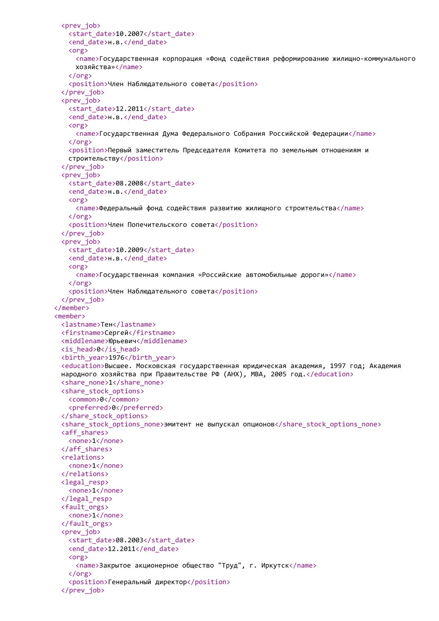```
<prev_job>
   <start_date>10.2007</start_date>
   <end_date>н.в.</end_date>
   <org>
     <name>Государственная корпорация «Фонд содействия реформированию жилищно-коммунального
     хозяйства»</name>
   </org>
   <position>Член Наблюдательного совета</position>
 </prev_job>
 <prev_job>
   <start_date>12.2011</start_date>
   <end_date>н.в.</end_date>
   <org>
     <name>Государственная Дума Федерального Собрания Российской Федерации</name>
   </org>
   <position>Первый заместитель Председателя Комитета по земельным отношениям и
   строительству</position>
 </prev_job>
 <prev_job>
   <start_date>08.2008</start_date>
   <end date>н.в.</end date>
   <org>
     <name>Федеральный фонд содействия развитию жилищного строительства</name>
   </org>
   <position>Член Попечительского совета</position>
 </prev_job>
 <prev_job>
   <start_date>10.2009</start_date>
   <end date>н.в.</end date>
   <org>
     <name>Государственная компания «Российские автомобильные дороги»</name>
   </org>
   <position>Член Наблюдательного совета</position>
 </prev_job>
</member>
<member>
 <lastname>Тен</lastname>
 <firstname>Сергей</firstname>
 <middlename>Юрьевич</middlename>
 <is_head>0</is_head>
 <birth_year>1976</birth_year>
 <education>Высшее. Московская государственная юридическая академия, 1997 год; Академия
 народного хозяйства при Правительстве РФ (АНХ), MBA, 2005 год.</education>
 <share_none>1</share_none>
 <share_stock_options>
   <common>0</common>
   <preferred>0</preferred>
 </share_stock_options>
 <share stock options none>эмитент не выпускал опционов</share stock options none>
 <aff_shares>
   <none>1</none>
 </aff_shares>
 <relations>
   <none>1</none>
 </relations>
 <legal_resp>
   <none>1</none>
 </legal_resp>
 <fault_orgs>
   <none>1</none>
 </fault_orgs>
 <prev_iob>
   <start_date>08.2003</start_date>
   <end_date>12.2011</end_date>
   <org>
     <name>Закрытое акционерное общество "Труд", г. Иркутск</name>
   </org>
   <position>Генеральный директор</position>
 </prev_job>
```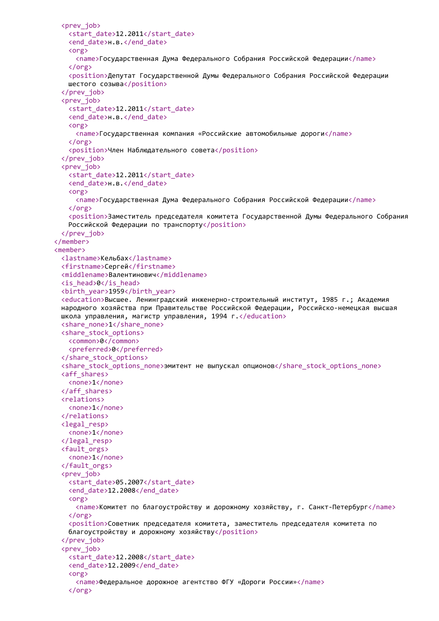```
<prev_job>
   <start_date>12.2011</start_date>
   <end_date>н.в.</end_date>
   <org>
     <name>Государственная Дума Федерального Собрания Российской Федерации</name>
   </org>
   <position>Депутат Государственной Думы Федерального Собрания Российской Федерации
   шестого созыва</position>
 </prev_job>
 <prev_job>
   <start_date>12.2011</start_date>
   <end_date>н.в.</end_date>
   <org>
     <name>Государственная компания «Российские автомобильные дороги</name>
   </org>
   <position>Член Наблюдательного совета</position>
 </prev_job>
 <prev_job>
   <start_date>12.2011</start_date>
   <end date>н.в.</end date>
   <org>
     <name>Государственная Дума Федерального Собрания Российской Федерации</name>
   </org>
   <position>Заместитель председателя комитета Государственной Думы Федерального Собрания
   Российской Федерации по транспорту</position>
 </prev_job>
</member>
<member>
 <lastname>Кельбах</lastname>
 <firstname>Сергей</firstname>
 <middlename>Валентинович</middlename>
 <is_head>0</is_head>
 <birth_year>1959</birth_year>
 <education>Высшее. Ленинградский инженерно-строительный институт, 1985 г.; Академия
 народного хозяйства при Правительстве Российской Федерации, Российско-немецкая высшая
 школа управления, магистр управления, 1994 г.</education>
 <share_none>1</share_none>
 <share_stock_options>
   <common>0</common>
   <preferred>0</preferred>
 </share_stock_options>
 <share_stock_options_none>эмитент не выпускал опционов</share_stock_options_none>
 <aff_shares>
   <none>1</none>
 </aff_shares>
 <relations>
   <none>1</none>
 </relations>
 <legal_resp>
   <none>1</none>
 </legal_resp>
 <fault_orgs>
   <none>1</none>
 </fault_orgs>
 <prev_iob>
   <start_date>05.2007</start_date>
   <end date>12.2008</end date>
   <org>
     <name>Комитет по благоустройству и дорожному хозяйству, г. Санкт-Петербург</name>
   </org>
   <position>Советник председателя комитета, заместитель председателя комитета по
   благоустройству и дорожному хозяйству</position>
 </prev_job>
 <prev_job>
   <start_date>12.2008</start_date>
   <end_date>12.2009</end_date>
   <org>
     <name>Федеральное дорожное агентство ФГУ «Дороги России»</name>
   </org>
```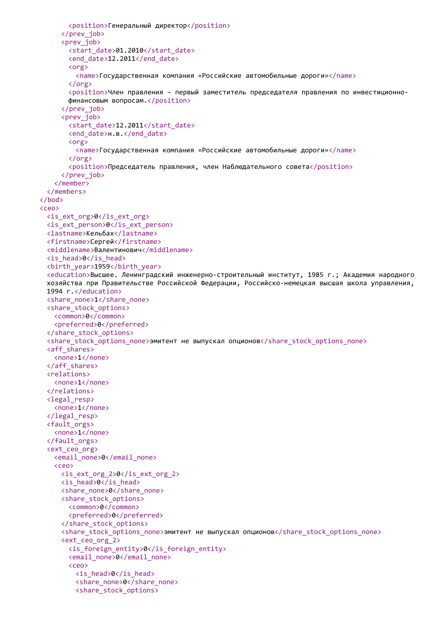```
<position>Генеральный директор</position>
     </prev_job>
     <prev_job>
       <start_date>01.2010</start_date>
       <end_date>12.2011</end_date>
       <org>
         <name>Государственная компания «Российские автомобильные дороги»</name>
       </org>
       <position>Член правления – первый заместитель председателя правления по инвестиционно-
       финансовым вопросам.</position>
     </prev_job>
     <prev_job>
       <start_date>12.2011</start_date>
       <end date>н.в.</end date>
       <org>
         <name>Государственная компания «Российские автомобильные дороги»</name>
       </org>
       <position>Председатель правления, член Наблюдательного совета</position>
     </prev_job>
   </member>
  </members>
</bod>
<ceo>
  <is_ext_org>0</is_ext_org>
  <is_ext_person>0</is_ext_person>
  <lastname>Кельбах</lastname>
  <firstname>Сергей</firstname>
  <middlename>Валентинович</middlename>
  <is_head>0</is_head>
  <birth_year>1959</birth_year>
  <education>Высшее. Ленинградский инженерно-строительный институт, 1985 г.; Академия народного
  хозяйства при Правительстве Российской Федерации, Российско-немецкая высшая школа управления,
  1994 г.</education>
  <share_none>1</share_none>
  <share_stock_options>
   <common>0</common>
   <preferred>0</preferred>
  </share_stock_options>
  <share stock options none>эмитент не выпускал опционов</share stock options none>
  <aff_shares>
   <none>1</none>
  </aff_shares>
  <relations>
   <none>1</none>
  </relations>
  <legal_resp>
   <none>1</none>
  </legal_resp>
  <fault_orgs>
   <none>1</none>
  </fault_orgs>
  <ext_ceo_org>
   <email_none>0</email_none>
   <ceo>
     \langleis ext org 2&gt;0<sub>\langle</sub>is ext org 2><is_head>0</is_head>
     <share_none>0</share_none>
     <share_stock_options>
       <common>0</common>
       <preferred>0</preferred>
     </share_stock_options>
     <share_stock_options_none>эмитент не выпускал опционов</share stock options none>
     <ext_ceo_org_2>
       <is_foreign_entity>0</is_foreign_entity>
       <email_none>0</email_none>
       <ceo>
         <is_head>0</is_head>
         <share_none>0</share_none>
         <share_stock_options>
```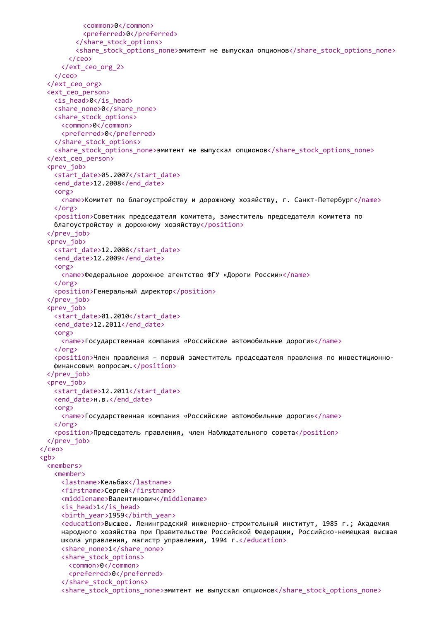```
<common>0</common>
           <preferred>0</preferred>
         </share_stock_options>
         <share_stock_options_none>эмитент не выпускал опционов</share_stock_options_none>
       </ceo>
     </ext_ceo_org_2>
   </ceo>
  </ext_ceo_org>
  <ext_ceo_person>
   <is_head>0</is_head>
   <share_none>0</share_none>
   <share_stock_options>
     <common>0</common>
     <preferred>0</preferred>
   </share_stock_options>
   <share_stock_options_none>эмитент не выпускал опционов</share stock options none>
  </ext_ceo_person>
  <prev_job>
   <start_date>05.2007</start_date>
   <end date>12.2008</end date>
   <org>
     <name>Комитет по благоустройству и дорожному хозяйству, г. Санкт-Петербург</name>
   </org>
   <position>Советник председателя комитета, заместитель председателя комитета по
   благоустройству и дорожному хозяйству</position>
  </prev_job>
  <prev_job>
   <start_date>12.2008</start_date>
   <end_date>12.2009</end_date>
   <org>
     <name>Федеральное дорожное агентство ФГУ «Дороги России»</name>
   </org>
   <position>Генеральный директор</position>
  </prev_job>
  <prev_job>
   <start_date>01.2010</start_date>
   <end_date>12.2011</end_date>
   <org>
     <name>Государственная компания «Российские автомобильные дороги»</name>
   </org>
   <position>Член правления – первый заместитель председателя правления по инвестиционно-
   финансовым вопросам.</position>
  </prev_job>
  <prev_job>
   <start_date>12.2011</start_date>
   <end date>н.в.</end date>
   <org>
     <name>Государственная компания «Российские автомобильные дороги»</name>
   \langle/org\rangle<position>Председатель правления, член Наблюдательного совета</position>
  </prev_job>
</ceo>
<gb>
  <members>
   <member>
     <lastname>Кельбах</lastname>
     <firstname>Сергей</firstname>
     <middlename>Валентинович</middlename>
     <is_head>1</is_head>
     <birth_year>1959</birth_year>
     <education>Высшее. Ленинградский инженерно-строительный институт, 1985 г.; Академия
     народного хозяйства при Правительстве Российской Федерации, Российско-немецкая высшая
     школа управления, магистр управления, 1994 г.</education>
     <share_none>1</share_none>
     <share_stock_options>
       <common>0</common>
       <preferred>0</preferred>
     </share_stock_options>
     <share_stock_options_none>эмитент не выпускал опционов</share_stock_options_none>
```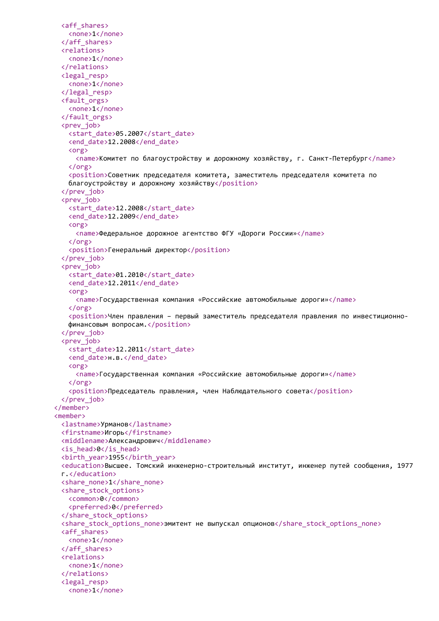```
<aff_shares>
   <none>1</none>
 </aff_shares>
 <relations>
   <none>1</none>
 </relations>
 <legal_resp>
   <none>1</none>
 </legal_resp>
 <fault_orgs>
   <none>1</none>
 </fault_orgs>
 <prev_job>
   <start_date>05.2007</start_date>
   <end_date>12.2008</end_date>
   <org>
     <name>Комитет по благоустройству и дорожному хозяйству, г. Санкт-Петербург</name>
   </org>
   <position>Советник председателя комитета, заместитель председателя комитета по
   благоустройству и дорожному хозяйству</position>
 </prev_job>
 <prev_job>
   <start_date>12.2008</start_date>
   <end_date>12.2009</end_date>
   <org>
     <name>Федеральное дорожное агентство ФГУ «Дороги России»</name>
   </org>
   <position>Генеральный директор</position>
 </prev_job>
 <prev_job>
   <start_date>01.2010</start_date>
   <end_date>12.2011</end_date>
   <org>
     <name>Государственная компания «Российские автомобильные дороги»</name>
   </org>
   <position>Член правления – первый заместитель председателя правления по инвестиционно-
   финансовым вопросам.</position>
 </prev_job>
 <prev_job>
   <start_date>12.2011</start_date>
   <end date>н.в.</end date>
   <org>
     <name>Государственная компания «Российские автомобильные дороги»</name>
   </org>
   <position>Председатель правления, член Наблюдательного совета</position>
 </prev_job>
</member>
<member>
 <lastname>Урманов</lastname>
 <firstname>Игорь</firstname>
 <middlename>Александрович</middlename>
 <is_head>0</is_head>
 <birth_year>1955</birth_year>
 <education>Высшее. Томский инженерно-строительный институт, инженер путей сообщения, 1977
 г.</education>
 <share_none>1</share_none>
 <share_stock_options>
   <common>0</common>
   <preferred>0</preferred>
 </share_stock_options>
 <share_stock_options_none>эмитент не выпускал опционов</share_stock_options_none>
 <aff_shares>
   <none>1</none>
 </aff_shares>
 <relations>
   <none>1</none>
 </relations>
 <legal_resp>
   <none>1</none>
```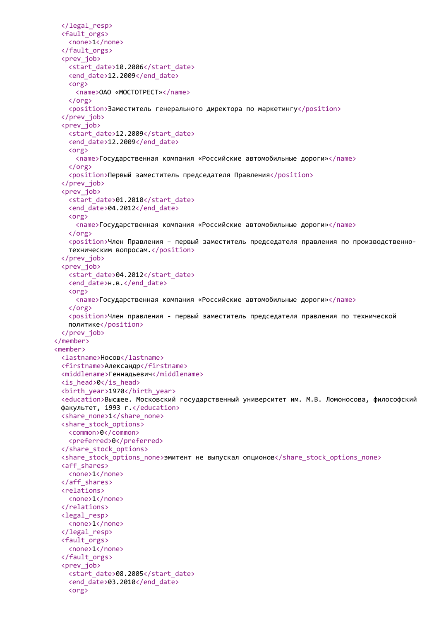```
</legal_resp>
 <fault_orgs>
   <none>1</none>
 </fault_orgs>
 <prev_job>
   <start_date>10.2006</start_date>
   <end_date>12.2009</end_date>
   <org>
     <name>ОАО «МОСТОТРЕСТ»</name>
   </org>
   <position>Заместитель генерального директора по маркетингу</position>
 </prev_job>
 <prev_job>
   <start_date>12.2009</start_date>
   <end_date>12.2009</end_date>
   <org>
     <name>Государственная компания «Российские автомобильные дороги»</name>
   </org>
   <position>Первый заместитель председателя Правления</position>
 </prev_job>
 <prev_job>
   <start_date>01.2010</start_date>
   <end date>04.2012</end date>
   <org>
     <name>Государственная компания «Российские автомобильные дороги»</name>
   </org>
   <position>Член Правления – первый заместитель председателя правления по производственно-
   техническим вопросам.</position>
 </prev_job>
 <prev_job>
   <start_date>04.2012</start_date>
   <end_date>н.в.</end_date>
   <org>
     <name>Государственная компания «Российские автомобильные дороги»</name>
   </org>
   <position>Член правления - первый заместитель председателя правления по технической
   политике</position>
 </prev_job>
</member>
<member>
 <lastname>Носов</lastname>
 <firstname>Александр</firstname>
 <middlename>Геннадьевич</middlename>
 <is_head>0</is_head>
 <birth_year>1970</birth_year>
 <education>Высшее. Московский государственный университет им. М.В. Ломоносова, философский
 факультет, 1993 г.</education>
 <share_none>1</share_none>
 <share_stock_options>
   <common>0</common>
   <preferred>0</preferred>
 </share_stock_options>
 <share_stock_options_none>эмитент не выпускал опционов</share_stock_options_none>
 <aff_shares>
   <none>1</none>
 </aff_shares>
 <relations>
   <none>1</none>
 </relations>
 <legal_resp>
   <none>1</none>
 </legal_resp>
 <fault_orgs>
   <none>1</none>
 </fault_orgs>
 <prev_job>
   <start_date>08.2005</start_date>
   <end_date>03.2010</end_date>
   <org>
```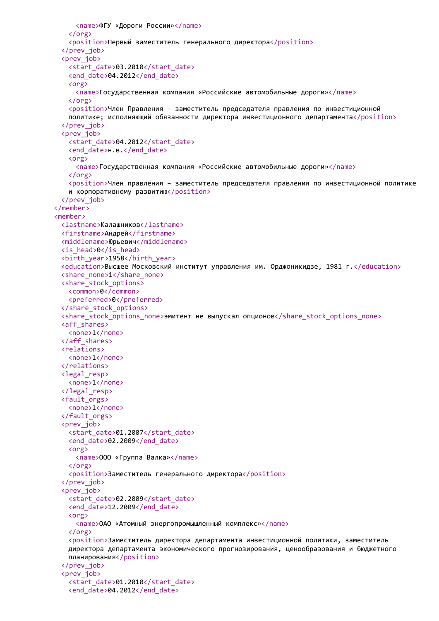```
<name>ФГУ «Дороги России»</name>
   </org>
   <position>Первый заместитель генерального директора</position>
 </prev_job>
 <prev_job>
   <start_date>03.2010</start_date>
   <end_date>04.2012</end_date>
   <org>
     <name>Государственная компания «Российские автомобильные дороги»</name>
   </org>
   <position>Член Правления - заместитель председателя правления по инвестиционной
   политике; исполняющий обязанности директора инвестиционного департамента</position>
 </prev_job>
 <prev_iob>
   <start_date>04.2012</start_date>
   <end date>н.в.</end date>
   <org>
     <name>Государственная компания «Российские автомобильные дороги»</name>
   </org>
   <position>Член правления – заместитель председателя правления по инвестиционной политике
   и корпоративному развитию</position>
 </prev_job>
</member>
<member>
 <lastname>Калашников</lastname>
 <firstname>Андрей</firstname>
 <middlename>Юрьевич</middlename>
 <is_head>0</is_head>
 <birth_year>1958</birth_year>
 <education>Высшее Московский институт управления им. Орджоникидзе, 1981 г.</education>
 <share_none>1</share_none>
 <share_stock_options>
   <common>0</common>
   <preferred>0</preferred>
 </share_stock_options>
 <share_stock_options_none>эмитент не выпускал опционов</share_stock_options_none>
 <aff_shares>
   <none>1</none>
 </aff_shares>
 <relations>
   <none>1</none>
 </relations>
 <legal_resp>
   <none>1</none>
 </legal_resp>
 <fault_orgs>
   <none>1</none>
 </fault_orgs>
 <prev_job>
   <start_date>01.2007</start_date>
   <end_date>02.2009</end_date>
   <org>
     <name>ООО «Группа Валка»</name>
   \zeta/org\zeta<position>Заместитель генерального директора</position>
 </prev_job>
 <prev_iob>
   <start_date>02.2009</start_date>
   <end_date>12.2009</end_date>
   <org>
     <name>ОАО «Атомный энергопромышленный комплекс»</name>
   </org>
   <position>Заместитель директора департамента инвестиционной политики, заместитель
   директора департамента экономического прогнозирования, ценообразования и бюджетного
   планирования</position>
 </prev_job>
 <prev_job>
   <start_date>01.2010</start_date>
   <end_date>04.2012</end_date>
```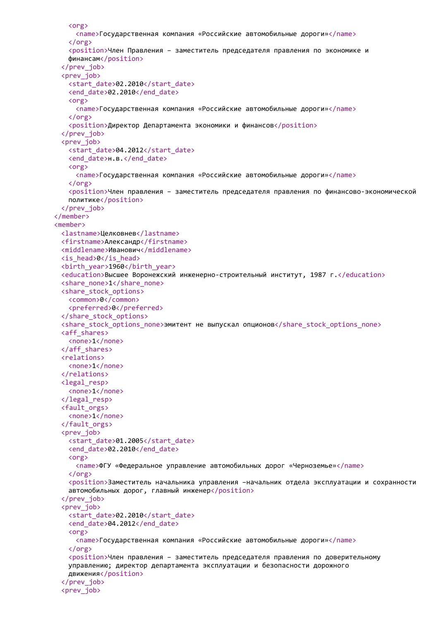```
<org>
     <name>Государственная компания «Российские автомобильные дороги»</name>
   </org>
   <position>Член Правления – заместитель председателя правления по экономике и
   финансам</position>
 </prev_job>
 <prev_job>
   <start_date>02.2010</start_date>
   <end_date>02.2010</end_date>
   <org>
     <name>Государственная компания «Российские автомобильные дороги»</name>
   </org>
   <position>Директор Департамента экономики и финансов</position>
 </prev_job>
 <prev_job>
   <start_date>04.2012</start_date>
   <end date>н.в.</end date>
   <org>
     <name>Государственная компания «Российские автомобильные дороги»</name>
   </org>
   <position>Член правления – заместитель председателя правления по финансово-экономической
   политике</position>
 </prev_job>
</member>
<member>
 <lastname>Целковнев</lastname>
 <firstname>Александр</firstname>
 <middlename>Иванович</middlename>
 <is_head>0</is_head>
 <birth_year>1960</birth_year>
 <education>Высшее Воронежский инженерно-строительный институт, 1987 г.</education>
 <share_none>1</share_none>
 <share_stock_options>
   <common>0</common>
   <preferred>0</preferred>
 </share_stock_options>
 <share_stock_options_none>эмитент не выпускал опционов</share_stock_options_none>
 <aff_shares>
   <none>1</none>
 </aff_shares>
 <relations>
   <none>1</none>
 </relations>
 <legal_resp>
   <none>1</none>
 </legal_resp>
 <fault_orgs>
   <none>1</none>
 </fault_orgs>
 <prev_iob>
   <start_date>01.2005</start_date>
   <end_date>02.2010</end_date>
   <org>
     <name>ФГУ «Федеральное управление автомобильных дорог «Черноземье»</name>
   \langle/\rangle<position>Заместитель начальника управления –начальник отдела эксплуатации и сохранности
   автомобильных дорог, главный инженер</position>
 </prev_job>
 <prev_job>
   <start_date>02.2010</start_date>
   <end_date>04.2012</end_date>
   <org>
     <name>Государственная компания «Российские автомобильные дороги»</name>
   </org>
   <position>Член правления – заместитель председателя правления по доверительному
   управлению; директор департамента эксплуатации и безопасности дорожного
   движения</position>
 </prev_job>
 <prev_job>
```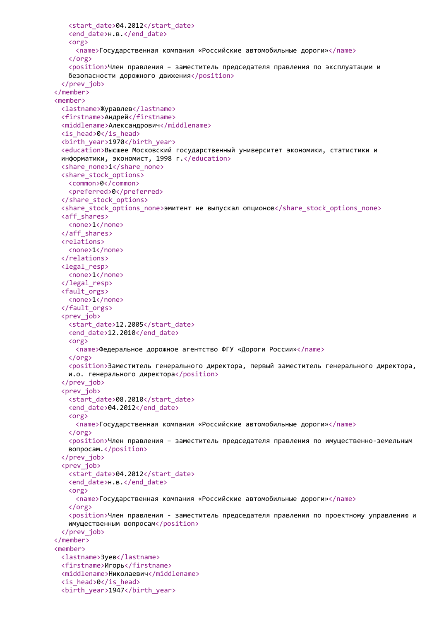```
<start_date>04.2012</start_date>
   <end_date>н.в.</end_date>
   <org>
     <name>Государственная компания «Российские автомобильные дороги»</name>
   </org>
   <position>Член правления – заместитель председателя правления по эксплуатации и
   безопасности дорожного движения</position>
 </prev_job>
</member>
<member>
 <lastname>Журавлев</lastname>
 <firstname>Андрей</firstname>
 <middlename>Александрович</middlename>
 <is_head>0</is_head>
 <birth_year>1970</birth_year>
 <education>Высшее Московский государственный университет экономики, статистики и
 информатики, экономист, 1998 г.</education>
 <share_none>1</share_none>
 <share_stock_options>
   <common>0</common>
   <preferred>0</preferred>
 </share_stock_options>
 <share stock options none>эмитент не выпускал опционов</share stock options none>
 <aff_shares>
   <none>1</none>
 </aff_shares>
 <relations>
   <none>1</none>
 </relations>
 <legal_resp>
   <none>1</none>
 </legal_resp>
 <fault_orgs>
   <none>1</none>
 </fault_orgs>
 <prev_job>
   <start_date>12.2005</start_date>
   <end date>12.2010</end date>
   <org>
     <name>Федеральное дорожное агентство ФГУ «Дороги России»</name>
   </org>
   <position>Заместитель генерального директора, первый заместитель генерального директора,
   и.о. генерального директора</position>
 </prev_job>
 <prev_job>
   <start_date>08.2010</start_date>
   <end date>04.2012</end date>
   <org>
     <name>Государственная компания «Российские автомобильные дороги»</name>
   \langle/org\rangle<position>Член правления – заместитель председателя правления по имущественно-земельным
   вопросам.</position>
 </prev_job>
 <prev_iob>
   <start_date>04.2012</start_date>
   <end date>н.в.</end date>
   <org>
     <name>Государственная компания «Российские автомобильные дороги»</name>
   \zeta/org\zeta<position>Член правления - заместитель председателя правления по проектному управлению и
   имущественным вопросам</position>
 </prev_job>
</member>
<member>
 <lastname>Зуев</lastname>
 <firstname>Игорь</firstname>
 <middlename>Николаевич</middlename>
 <is_head>0</is_head>
 <birth_year>1947</birth_year>
```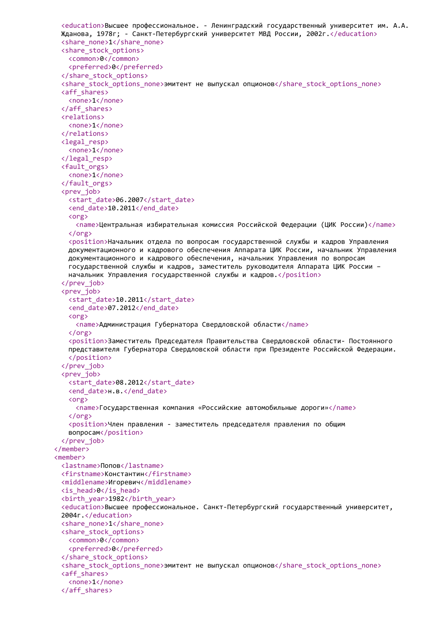```
<education>Высшее профессиональное. - Ленинградский государственный университет им. А.А.
 Жданова, 1978г; - Санкт-Петербургский университет МВД России, 2002г.</education>
 <share_none>1</share_none>
 <share_stock_options>
   <common>0</common>
   <preferred>0</preferred>
 </share_stock_options>
 <share stock options none>эмитент не выпускал опционов</share stock options none>
 <aff_shares>
   <none>1</none>
 </aff_shares>
 <relations>
   <none>1</none>
 </relations>
 <legal_resp>
   <none>1</none>
 </legal_resp>
 <fault_orgs>
   <none>1</none>
 </fault_orgs>
 <prev_job>
   <start_date>06.2007</start_date>
   <end date>10.2011</end date>
   <org>
     <name>Центральная избирательная комиссия Российской Федерации (ЦИК России)</name>
   </org>
   <position>Начальник отдела по вопросам государственной службы и кадров Управления
   документационного и кадрового обеспечения Аппарата ЦИК России, начальник Управления
   документационного и кадрового обеспечения, начальник Управления по вопросам
   государственной службы и кадров, заместитель руководителя Аппарата ЦИК России –
   начальник Управления государственной службы и кадров.</position>
 </prev_job>
 <prev_job>
   <start_date>10.2011</start_date>
   <end date>07.2012</end date>
   <org>
     <name>Администрация Губернатора Свердловской области</name>
   </org>
   <position>Заместитель Председателя Правительства Свердловской области- Постоянного
   представителя Губернатора Свердловской области при Президенте Российской Федерации.
   </position>
 </prev_job>
 <prev_job>
   <start_date>08.2012</start_date>
   <end date>н.в.</end date>
   <org>
     <name>Государственная компания «Российские автомобильные дороги»</name>
   \langle/org\rangle<position>Член правления - заместитель председателя правления по общим
   вопросам</position>
 </prev_job>
</member>
<member>
 <lastname>Попов</lastname>
 <firstname>Константин</firstname>
 <middlename>Игоревич</middlename>
 <is_head>0</is_head>
 <birth_year>1982</birth_year>
 <education>Высшее профессиональное. Санкт-Петербургский государственный университет,
 2004г.</education>
 <share_none>1</share_none>
 <share_stock_options>
   <common>0</common>
   <preferred>0</preferred>
 </share_stock_options>
 <share_stock_options_none>эмитент не выпускал опционов</share_stock_options_none>
 <aff_shares>
   <none>1</none>
 </aff_shares>
```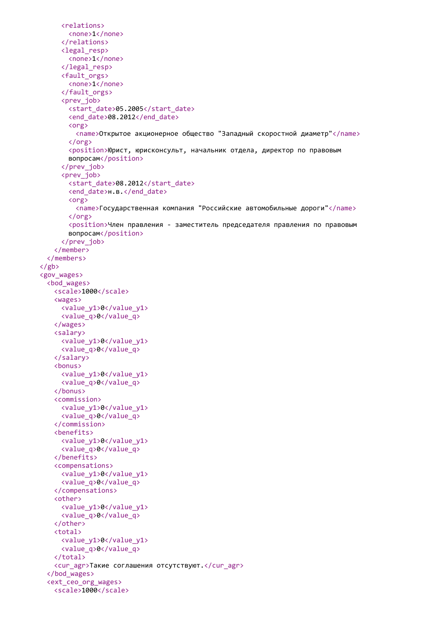```
<relations>
       <none>1</none>
     </relations>
     <legal_resp>
       <none>1</none>
     </legal_resp>
     <fault_orgs>
       <none>1</none>
     </fault_orgs>
     <prev_job>
       <start_date>05.2005</start_date>
       <end_date>08.2012</end_date>
       <org>
         <name>Открытое акционерное общество "Западный скоростной диаметр"</name>
       </org>
       <position>Юрист, юрисконсульт, начальник отдела, директор по правовым
       вопросам</position>
     </prev_job>
     <prev_job>
       <start_date>08.2012</start_date>
       <end date>н.в.</end date>
       <org>
         <name>Государственная компания "Российские автомобильные дороги"</name>
       </org>
       <position>Член правления - заместитель председателя правления по правовым
       вопросам</position>
     </prev_job>
   </member>
  </members>
\langle/gb>
<gov_wages>
  <bod_wages>
   <scale>1000</scale>
   <wages>
     <value_y1>0</value_y1>
     <value_q>0</value_q>
   </wages>
   <salary>
     <value_y1>0</value_y1>
     <value_q>0</value_q>
   </salary>
   <bonus>
     <value_y1>0</value_y1>
     <value_q>0</value_q>
   </bonus>
   <commission>
     <value_y1>0</value_y1>
     <value_q>0</value_q>
   </commission>
   <benefits>
     <value_y1>0</value_y1>
     <value_q>0</value_q>
   </benefits>
   <compensations>
     <value_y1>0</value_y1>
     <value_q>0</value_q>
   </compensations>
   <other>
     <value_y1>0</value_y1>
     <value_q>0</value_q>
   </other>
   <total>
     <value_y1>0</value_y1>
     <value_q>0</value_q>
   </total>
   <cur_agr>Такие соглашения отсутствуют.</cur_agr>
  </bod_wages>
  <ext_ceo_org_wages>
   <scale>1000</scale>
```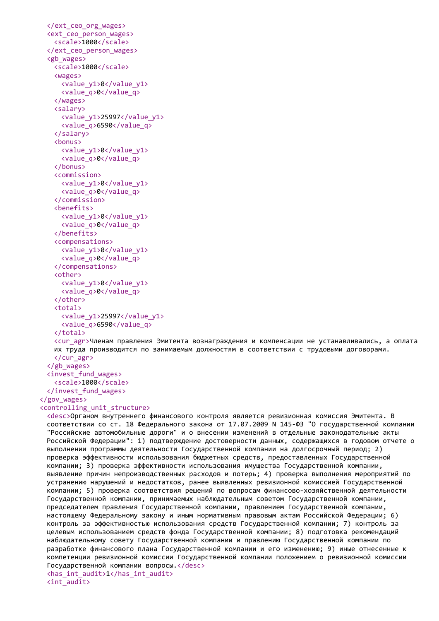```
</ext_ceo_org_wages>
<ext_ceo_person_wages>
 <scale>1000</scale>
</ext_ceo_person_wages>
<gb_wages>
 <scale>1000</scale>
 <wages>
   <value_y1>0</value_y1>
   <value_q>0</value_q>
 </wages>
 <salary>
   <value_y1>25997</value_y1>
   <value_q>6590</value_q>
 </salary>
 <bonus>
   <value_y1>0</value_y1>
   <value_q>0</value_q>
 </bonus>
 <commission>
   <value_y1>0</value_y1>
   <value_q>0</value_q>
 </commission>
 <benefits>
   <value_y1>0</value_y1>
   <value_q>0</value_q>
 </benefits>
 <compensations>
   <value_y1>0</value_y1>
   <value_q>0</value_q>
 </compensations>
 <other>
   <value_y1>0</value_y1>
   <value_q>0</value_q>
 </other>
 <sub>total</sub></sub>
   <value_y1>25997</value_y1>
   <value_q>6590</value_q>
 </total>
```
<cur\_agr>Членам правления Эмитента вознаграждения и компенсации не устанавливались, а оплата их труда производится по занимаемым должностям в соответствии с трудовыми договорами. </cur\_agr>

```
</gb_wages>
<invest_fund_wages>
 <scale>1000</scale>
</invest_fund_wages>
```
## </gov\_wages>

## <controlling\_unit\_structure>

<desc>Органом внутреннего финансового контроля является ревизионная комиссия Эмитента. В соответствии со ст. 18 Федерального закона от 17.07.2009 N 145-ФЗ "О государственной компании "Российские автомобильные дороги" и о внесении изменений в отдельные законодательные акты Российской Федерации": 1) подтверждение достоверности данных, содержащихся в годовом отчете о выполнении программы деятельности Государственной компании на долгосрочный период; 2) проверка эффективности использования бюджетных средств, предоставленных Государственной компании; 3) проверка эффективности использования имущества Государственной компании, выявление причин непроизводственных расходов и потерь; 4) проверка выполнения мероприятий по устранению нарушений и недостатков, ранее выявленных ревизионной комиссией Государственной компании; 5) проверка соответствия решений по вопросам финансово-хозяйственной деятельности Государственной компании, принимаемых наблюдательным советом Государственной компании, председателем правления Государственной компании, правлением Государственной компании, настоящему Федеральному закону и иным нормативным правовым актам Российской Федерации; 6) контроль за эффективностью использования средств Государственной компании; 7) контроль за целевым использованием средств фонда Государственной компании; 8) подготовка рекомендаций наблюдательному совету Государственной компании и правлению Государственной компании по разработке финансового плана Государственной компании и его изменению; 9) иные отнесенные к компетенции ревизионной комиссии Государственной компании положением о ревизионной комиссии Государственной компании вопросы.</desc> <has\_int\_audit>1</has\_int\_audit> <int\_audit>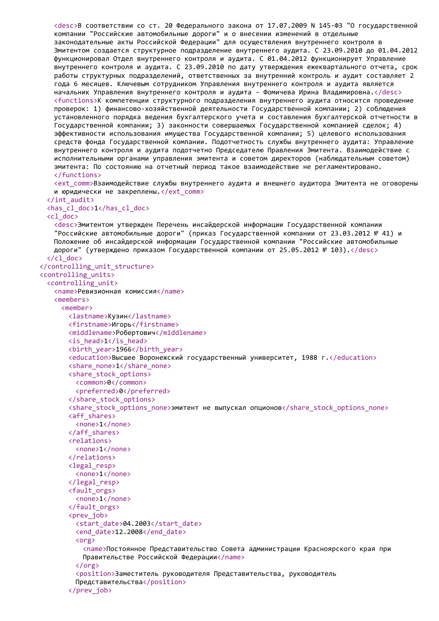<desc>В соответствии со ст. 20 Федерального закона от 17.07.2009 N 145-ФЗ "О государственной компании "Российские автомобильные дороги" и о внесении изменений в отдельные законодательные акты Российской Федерации" для осуществления внутреннего контроля в Эмитентом создается структурное подразделение внутреннего аудита. С 23.09.2010 до 01.04.2012 функционировал Отдел внутреннего контроля и аудита. С 01.04.2012 функционирует Управление внутреннего контроля и аудита. С 23.09.2010 по дату утверждения ежеквартального отчета, срок работы структурных подразделений, ответственных за внутренний контроль и аудит составляет 2 года 6 месяцев. Ключевым сотрудником Управления внутреннего контроля и аудита является начальник Управления внутреннего контроля и аудита - Фомичева Ирина Владимировна.</desc> <functions>К компетенции структурного подразделения внутреннего аудита относится проведение проверок: 1) финансово-хозяйственной деятельности Государственной компании; 2) соблюдения установленного порядка ведения бухгалтерского учета и составления бухгалтерской отчетности в Государственной компании; 3) законности совершаемых Государственной компанией сделок; 4) эффективности использования имущества Государственной компании; 5) целевого использования средств фонда Государственной компании. Подотчетность службы внутреннего аудита: Управление внутреннего контроля и аудита подотчетно Председателю Правления Эмитента. Взаимодействие с исполнительными органами управления эмитента и советом директоров (наблюдательным советом) эмитента: По состоянию на отчетный период такое взаимодействие не регламентировано. </functions>

<ext\_comm>Взаимодействие службы внутреннего аудита и внешнего аудитора Эмитента не оговорены и юридически не закреплены.</ext\_comm>

```
</int_audit>
 <has_cl_doc>1</has_cl_doc>
 <cl_doc>
   <desc>Эмитентом утвержден Перечень инсайдерской информации Государственной компании
   "Российские автомобильные дороги" (приказ Государственной компании от 23.03.2012 № 41) и
   Положение об инсайдерской информации Государственной компании "Российские автомобильные
   дороги" (утверждено приказом Государственной компании от 25.05.2012 № 103).</desc>
 \langle /cl doc\rangle</controlling_unit_structure>
<controlling_units>
 <controlling_unit>
   <name>Ревизионная комиссия</name>
   <members>
     <member>
       <lastname>Кузин</lastname>
       <firstname>Игорь</firstname>
       <middlename>Робертович</middlename>
       <is_head>1</is_head>
       <birth_year>1966</birth_year>
       <education>Высшее Воронежский государственный университет, 1988 г.</education>
       <share_none>1</share_none>
       <share_stock_options>
         <common>0</common>
         <preferred>0</preferred>
       </share_stock_options>
       <share stock options none>эмитент не выпускал опционов</share stock options none>
       <aff_shares>
         <none>1</none>
       </aff_shares>
       <relations>
         <none>1</none>
       </relations>
       <legal_resp>
         <none>1</none>
       </legal_resp>
       <fault_orgs>
         <none>1</none>
       </fault_orgs>
       <prev_iob>
         <start_date>04.2003</start_date>
         <end date>12.2008</end date>
         <org>
           <name>Постоянное Представительство Совета администрации Красноярского края при
          Правительстве Российской Федерации</name>
         </org>
         <position>Заместитель руководителя Представительства, руководитель
         Представительства</position>
       </prev_job>
```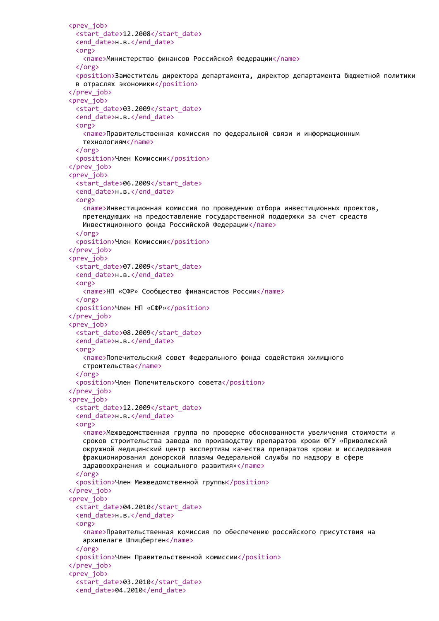```
<prev_job>
 <start_date>12.2008</start_date>
 <end_date>н.в.</end_date>
 <org>
   <name>Министерство финансов Российской Федерации</name>
 </org>
 <position>Заместитель директора департамента, директор департамента бюджетной политики
 в отраслях экономики</position>
</prev_job>
<prev_job>
 <start_date>03.2009</start_date>
 <end_date>н.в.</end_date>
 <org>
   <name>Правительственная комиссия по федеральной связи и информационным
   технологиям</name>
 </org>
 <position>Член Комиссии</position>
</prev_job>
<prev_job>
 <start_date>06.2009</start_date>
 <end date>н.в.</end date>
 <org>
   <name>Инвестиционная комиссия по проведению отбора инвестиционных проектов,
   претендующих на предоставление государственной поддержки за счет средств
   Инвестиционного фонда Российской Федерации</name>
 </org>
 <position>Член Комиссии</position>
</prev_job>
<prev_job>
 <start_date>07.2009</start_date>
 <end date>н.в.</end date>
 <org>
   <name>НП «СФР» Сообщество финансистов России</name>
 </org>
 <position>Член НП «СФР»</position>
</prev_job>
<prev_job>
 <start_date>08.2009</start_date>
 <end date>н.в.</end date>
 <org>
   <name>Попечительский совет Федерального фонда содействия жилищного
   строительства</name>
 </org>
 <position>Член Попечительского совета</position>
</prev_job>
<prev_job>
 <start_date>12.2009</start_date>
 <end date>н.в.</end date>
 <org>
   <name>Межведомственная группа по проверке обоснованности увеличения стоимости и
   сроков строительства завода по производству препаратов крови ФГУ «Приволжский
   окружной медицинский центр экспертизы качества препаратов крови и исследования
   фракционирования донорской плазмы Федеральной службы по надзору в сфере
   здравоохранения и социального развития»</name>
 </org>
 <position>Член Межведомственной группы</position>
</prev_job>
<prev_iob>
 <start_date>04.2010</start_date>
 <end date>н.в.</end date>
 <org>
   <name>Правительственная комиссия по обеспечению российского присутствия на
   архипелаге Шпицберген</name>
 \langle/org\rangle<position>Член Правительственной комиссии</position>
</prev_job>
<prev_job>
 <start_date>03.2010</start_date>
 <end_date>04.2010</end_date>
```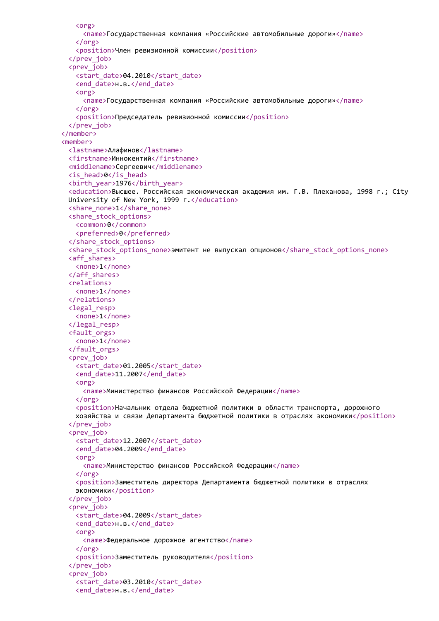```
<org>
     <name>Государственная компания «Российские автомобильные дороги»</name>
   </org>
   <position>Член ревизионной комиссии</position>
 </prev_job>
 <prev_job>
   <start_date>04.2010</start_date>
   <end date>н.в.</end date>
   <org>
     <name>Государственная компания «Российские автомобильные дороги»</name>
   </org>
   <position>Председатель ревизионной комиссии</position>
 </prev_job>
</member>
<member>
 <lastname>Алафинов</lastname>
 <firstname>Иннокентий</firstname>
 <middlename>Сергеевич</middlename>
 <is_head>0</is_head>
 <birth_year>1976</birth_year>
 <education>Высшее. Российская экономическая академия им. Г.В. Плеханова, 1998 г.; City
 University of New York, 1999 г. </education>
 <share_none>1</share_none>
 <share_stock_options>
   <common>0</common>
   <preferred>0</preferred>
 </share_stock_options>
 <share stock options none>эмитент не выпускал опционов</share stock options none>
 <aff_shares>
   <none>1</none>
 </aff_shares>
 <relations>
   <none>1</none>
 </relations>
 <legal_resp>
   <none>1</none>
 </legal_resp>
 <fault_orgs>
   <none>1</none>
 </fault_orgs>
 <prev_job>
   <start_date>01.2005</start_date>
   <end date>11.2007</end date>
   <org>
     <name>Министерство финансов Российской Федерации</name>
   </org>
   <position>Начальник отдела бюджетной политики в области транспорта, дорожного
   хозяйства и связи Департамента бюджетной политики в отраслях экономики</position>
 </prev_job>
 <prev_iob>
   <start_date>12.2007</start_date>
   <end_date>04.2009</end_date>
   <org>
     <name>Министерство финансов Российской Федерации</name>
   \langle/\rangle<position>Заместитель директора Департамента бюджетной политики в отраслях
   экономики</position>
 </prev_job>
 <prev_iob>
   <start_date>04.2009</start_date>
   <end date>н.в.</end date>
   <org>
     <name>Федеральное дорожное агентство</name>
   \langle/org\rangle<position>Заместитель руководителя</position>
 </prev_job>
 <prev_job>
   <start_date>03.2010</start_date>
   <end_date>н.в.</end_date>
```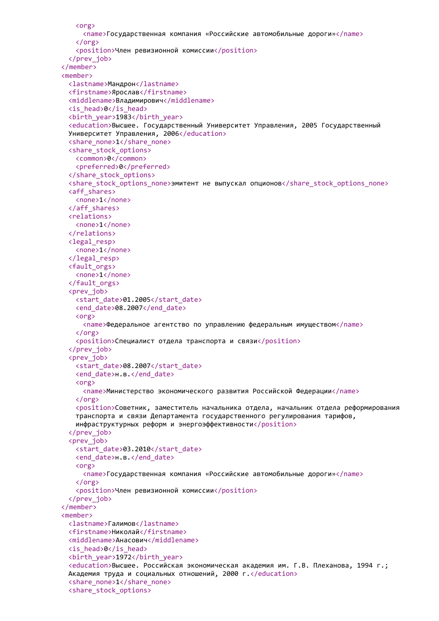```
<org>
     <name>Государственная компания «Российские автомобильные дороги»</name>
   </org>
   <position>Член ревизионной комиссии</position>
 </prev_job>
</member>
<member>
 <lastname>Мандрон</lastname>
 <firstname>Ярослав</firstname>
 <middlename>Владимирович</middlename>
 <is_head>0</is_head>
 <birth_year>1983</birth_year>
 <education>Высшее. Государственный Университет Управления, 2005 Государственный
 Университет Управления, 2006</education>
 <share_none>1</share_none>
 <share_stock_options>
   <common>0</common>
   <preferred>0</preferred>
 </share_stock_options>
 <share_stock_options_none>эмитент не выпускал опционов</share_stock_options_none>
 <aff_shares>
   <none>1</none>
 </aff_shares>
 <relations>
   <none>1</none>
 </relations>
 <legal_resp>
   <none>1</none>
 </legal_resp>
 <fault_orgs>
   <none>1</none>
 </fault_orgs>
 <prev_job>
   <start_date>01.2005</start_date>
   <end_date>08.2007</end_date>
   <org>
     <name>Федеральное агентство по управлению федеральным имуществом</name>
   </org>
   <position>Специалист отдела транспорта и связи</position>
 </prev_job>
 <prev_job>
   <start_date>08.2007</start_date>
   <end date>н.в.</end date>
   <org>
     <name>Министерство экономического развития Российской Федерации</name>
   </org>
   <position>Советник, заместитель начальника отдела, начальник отдела реформирования
   транспорта и связи Департамента государственного регулирования тарифов,
   инфраструктурных реформ и энергоэффективности</position>
 </prev_job>
 <prev_iob>
   <start_date>03.2010</start_date>
   <end date>н.в.</end date>
   <org>
     <name>Государственная компания «Российские автомобильные дороги»</name>
   \zeta/org\zeta<position>Член ревизионной комиссии</position>
 </prev_job>
</member>
<member>
 <lastname>Галимов</lastname>
 <firstname>Николай</firstname>
 <middlename>Анасович</middlename>
 <is_head>0</is_head>
 <birth_year>1972</birth_year>
 <education>Высшее. Российская экономическая академия им. Г.В. Плеханова, 1994 г.;
 Академия труда и социальных отношений, 2000 г.</education>
 <share_none>1</share_none>
 <share_stock_options>
```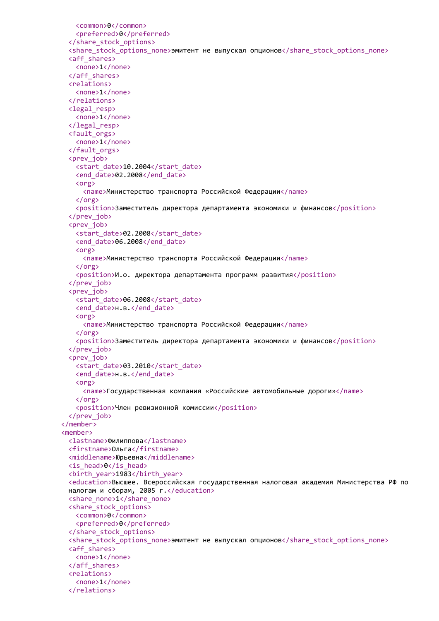```
<common>0</common>
   <preferred>0</preferred>
 </share_stock_options>
 <share_stock_options_none>эмитент не выпускал опционов</share_stock_options_none>
 <aff_shares>
   <none>1</none>
 </aff_shares>
 <relations>
   <none>1</none>
 </relations>
 <legal_resp>
   <none>1</none>
 </legal_resp>
 <fault_orgs>
   <none>1</none>
 </fault_orgs>
 <prev_iob>
   <start_date>10.2004</start_date>
   <end_date>02.2008</end_date>
   <org>
     <name>Министерство транспорта Российской Федерации</name>
   </org>
   <position>Заместитель директора департамента экономики и финансов</position>
 </prev_job>
 <prev_job>
   <start_date>02.2008</start_date>
   <end_date>06.2008</end_date>
   <org>
     <name>Министерство транспорта Российской Федерации</name>
   </org>
   <position>И.о. директора департамента программ развития</position>
 </prev_job>
 <prev_job>
   <start_date>06.2008</start_date>
   <end date>н.в.</end date>
   <org>
     <name>Министерство транспорта Российской Федерации</name>
   </org>
   <position>Заместитель директора департамента экономики и финансов</position>
 </prev_job>
 <prev_job>
   <start_date>03.2010</start_date>
   <end date>н.в.</end date>
   <org>
     <name>Государственная компания «Российские автомобильные дороги»</name>
   </org>
   <position>Член ревизионной комиссии</position>
 </prev_job>
</member>
<member>
 <lastname>Филиппова</lastname>
 <firstname>Ольга</firstname>
 <middlename>Юрьевна</middlename>
 <is_head>0</is_head>
 <birth_year>1983</birth_year>
 <education>Высшее. Всероссийская государственная налоговая академия Министерства РФ по
 налогам и сборам, 2005 г.</education>
 <share_none>1</share_none>
 <share_stock_options>
   <common>0</common>
   <preferred>0</preferred>
 </share_stock_options>
 <share stock options none>эмитент не выпускал опционов</share stock options none>
 <aff_shares>
   <none>1</none>
 </aff_shares>
 <relations>
   <none>1</none>
 </relations>
```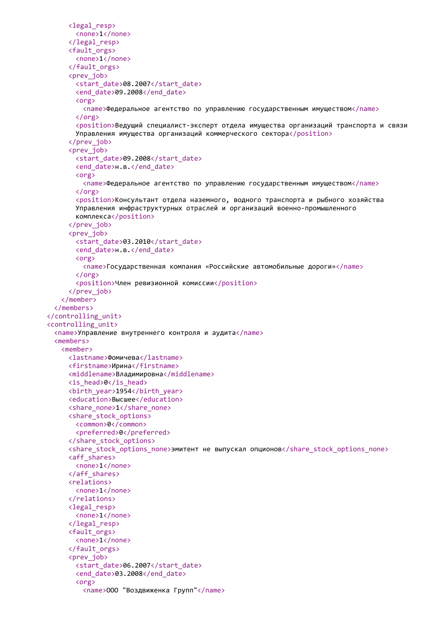```
<legal_resp>
       <none>1</none>
     </legal_resp>
     <fault_orgs>
       <none>1</none>
     </fault_orgs>
     <prev_job>
       <start_date>08.2007</start_date>
       <end_date>09.2008</end_date>
       <org>
         <name>Федеральное агентство по управлению государственным имуществом</name>
       </org>
       <position>Ведущий специалист-эксперт отдела имущества организаций транспорта и связи
       Управления имущества организаций коммерческого сектора</position>
     </prev_job>
     <prev_job>
       <start_date>09.2008</start_date>
       <end date>н.в.</end date>
       <org>
         <name>Федеральное агентство по управлению государственным имуществом</name>
       </org>
       <position>Консультант отдела наземного, водного транспорта и рыбного хозяйства
       Управления инфраструктурных отраслей и организаций военно-промышленного
       комплекса</position>
     </prev_job>
     <prev_job>
       <start_date>03.2010</start_date>
       <end date>н.в.</end date>
       <org>
         <name>Государственная компания «Российские автомобильные дороги»</name>
       </org>
       <position>Член ревизионной комиссии</position>
     </prev_job>
   </member>
 </members>
</controlling_unit>
<controlling_unit>
 <name>Управление внутреннего контроля и аудита</name>
 <members>
   <member>
     <lastname>Фомичева</lastname>
     <firstname>Ирина</firstname>
     <middlename>Владимировна</middlename>
     <is_head>0</is_head>
     <birth_year>1954</birth_year>
     <education>Высшее</education>
     <share_none>1</share_none>
     <share_stock_options>
       <common>0</common>
       <preferred>0</preferred>
     </share_stock_options>
     <share_stock_options_none>эмитент не выпускал опционов</share_stock_options_none>
     <aff_shares>
       <none>1</none>
     </aff_shares>
     <relations>
       <none>1</none>
     </relations>
     <legal_resp>
       <none>1</none>
     </legal_resp>
     <fault_orgs>
       <none>1</none>
     </fault_orgs>
     <prev_job>
       <start_date>06.2007</start_date>
       <end_date>03.2008</end_date>
       <org>
         <name>ООО "Воздвиженка Групп"</name>
```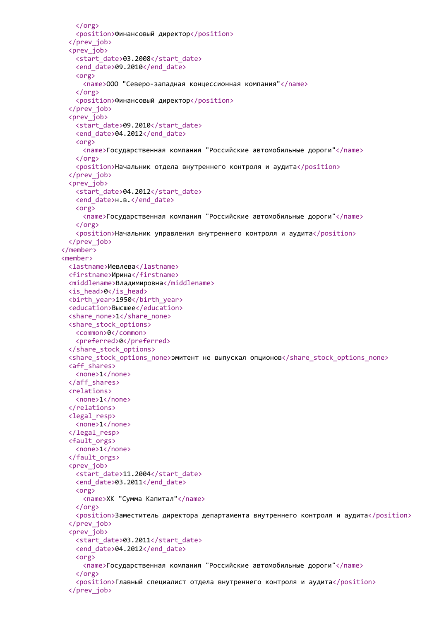```
</org>
   <position>Финансовый директор</position>
 </prev_job>
 <prev_job>
   <start_date>03.2008</start_date>
   <end_date>09.2010</end_date>
   <org>
     <name>ООО "Северо-западная концессионная компания"</name>
   </org>
   <position>Финансовый директор</position>
 </prev_job>
 <prev_job>
   <start_date>09.2010</start_date>
   <end_date>04.2012</end_date>
   <org>
     <name>Государственная компания "Российские автомобильные дороги"</name>
   </org>
   <position>Начальник отдела внутреннего контроля и аудита</position>
 </prev_job>
 <prev_job>
   <start_date>04.2012</start_date>
   <end date>н.в.</end date>
   <org>
     <name>Государственная компания "Российские автомобильные дороги"</name>
   </org>
   <position>Начальник управления внутреннего контроля и аудита</position>
 </prev_job>
</member>
<member>
 <lastname>Иевлева</lastname>
 <firstname>Ирина</firstname>
 <middlename>Владимировна</middlename>
 <is_head>0</is_head>
 <birth_year>1950</birth_year>
 <education>Высшее</education>
 <share_none>1</share_none>
 <share_stock_options>
   <common>0</common>
   <preferred>0</preferred>
 </share_stock_options>
 <share stock options none>эмитент не выпускал опционов</share stock options none>
 <aff_shares>
   <none>1</none>
 </aff_shares>
 <relations>
   <none>1</none>
 </relations>
 <legal_resp>
   <none>1</none>
 </legal_resp>
 <fault_orgs>
   <none>1</none>
 </fault_orgs>
 <prev_iob>
   <start_date>11.2004</start_date>
   <end_date>03.2011</end_date>
   <org>
     <name>ХК "Сумма Капитал"</name>
   </org>
   <position>Заместитель директора департамента внутреннего контроля и аудита</position>
 </prev_job>
 <prev_iob>
   <start_date>03.2011</start_date>
   <end_date>04.2012</end_date>
   <org>
     <name>Государственная компания "Российские автомобильные дороги"</name>
   </org>
   <position>Главный специалист отдела внутреннего контроля и аудита</position>
 </prev_job>
```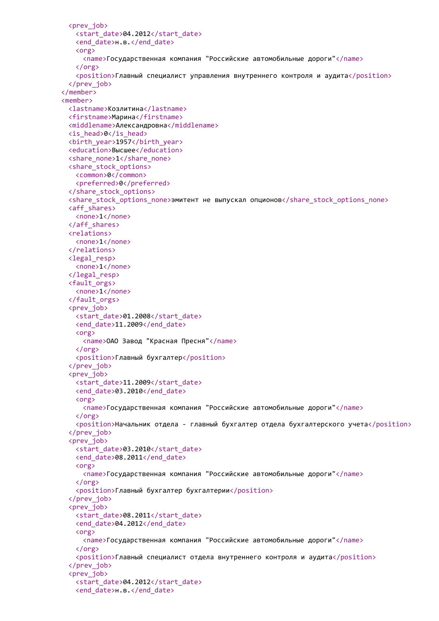```
<prev_job>
   <start_date>04.2012</start_date>
   <end_date>н.в.</end_date>
   <org>
     <name>Государственная компания "Российские автомобильные дороги"</name>
   </org>
   <position>Главный специалист управления внутреннего контроля и аудита</position>
 </prev_job>
</member>
<member>
 <lastname>Козлитина</lastname>
 <firstname>Марина</firstname>
 <middlename>Александровна</middlename>
 <is_head>0</is_head>
 <birth_year>1957</birth_year>
 <education>Высшее</education>
 <share_none>1</share_none>
 <share_stock_options>
   <common>0</common>
   <preferred>0</preferred>
 </share_stock_options>
 <share stock options none>эмитент не выпускал опционов</share stock options none>
 <aff_shares>
   <none>1</none>
 </aff_shares>
 <relations>
   <none>1</none>
 </relations>
 <legal_resp>
   <none>1</none>
 </legal_resp>
 <fault_orgs>
   <none>1</none>
 </fault_orgs>
 <prev_job>
   <start_date>01.2008</start_date>
   <end_date>11.2009</end_date>
   <org>
     <name>ОАО Завод "Красная Пресня"</name>
   </org>
   <position>Главный бухгалтер</position>
 </prev_job>
 <prev_job>
   <start_date>11.2009</start_date>
   <end date>03.2010</end date>
   <org>
     <name>Государственная компания "Российские автомобильные дороги"</name>
   \langle/org\rangle<position>Начальник отдела - главный бухгалтер отдела бухгалтерского учета</position>
 </prev_job>
 <prev_iob>
   <start_date>03.2010</start_date>
   <end_date>08.2011</end_date>
   <org>
     <name>Государственная компания "Российские автомобильные дороги"</name>
   \langle/\rangle<position>Главный бухгалтер бухгалтерии</position>
 </prev_job>
 <prev_job>
   <start_date>08.2011</start_date>
   <end_date>04.2012</end_date>
   <org>
     <name>Государственная компания "Российские автомобильные дороги"</name>
   \langle/org\rangle<position>Главный специалист отдела внутреннего контроля и аудита</position>
 </prev_job>
 <prev_job>
   <start_date>04.2012</start_date>
   <end_date>н.в.</end_date>
```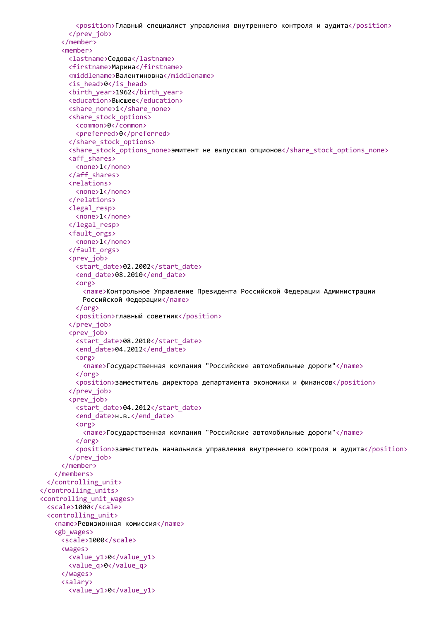```
<position>Главный специалист управления внутреннего контроля и аудита</position>
       </prev_job>
     </member>
     <member>
       <lastname>Седова</lastname>
       <firstname>Марина</firstname>
       <middlename>Валентиновна</middlename>
       <is_head>0</is_head>
       <birth_year>1962</birth_year>
       <education>Высшее</education>
       <share_none>1</share_none>
       <share_stock_options>
         <common>0</common>
         <preferred>0</preferred>
       </share_stock_options>
       <share_stock_options_none>эмитент не выпускал опционов</share_stock_options_none>
       <aff_shares>
         <none>1</none>
       </aff_shares>
       <relations>
         <none>1</none>
       </relations>
       <legal_resp>
         <none>1</none>
       </legal_resp>
       <fault_orgs>
         <none>1</none>
       </fault_orgs>
       <prev_job>
         <start_date>02.2002</start_date>
         <end date>08.2010</end date>
         <org>
           <name>Контрольное Управление Президента Российской Федерации Администрации
           Российской Федерации</name>
         </org>
         <position>главный советник</position>
       </prev_job>
       <prev_job>
         <start_date>08.2010</start_date>
         <end_date>04.2012</end_date>
         <org>
           <name>Государственная компания "Российские автомобильные дороги"</name>
         </org>
         <position>заместитель директора департамента экономики и финансов</position>
       </prev_job>
       <prev_job>
         <start_date>04.2012</start_date>
         <end date>н.в.</end date>
         <org>
           <name>Государственная компания "Российские автомобильные дороги"</name>
         </org>
         <position>заместитель начальника управления внутреннего контроля и аудита</position>
       </prev_job>
     </member>
   </members>
  </controlling_unit>
</controlling_units>
<controlling_unit_wages>
  <scale>1000</scale>
  <controlling_unit>
   <name>Ревизионная комиссия</name>
   <gb_wages>
     <scale>1000</scale>
     <wages>
       <value_y1>0</value_y1>
       <value_q>0</value_q>
     </wages>
     <salary>
       <value_y1>0</value_y1>
```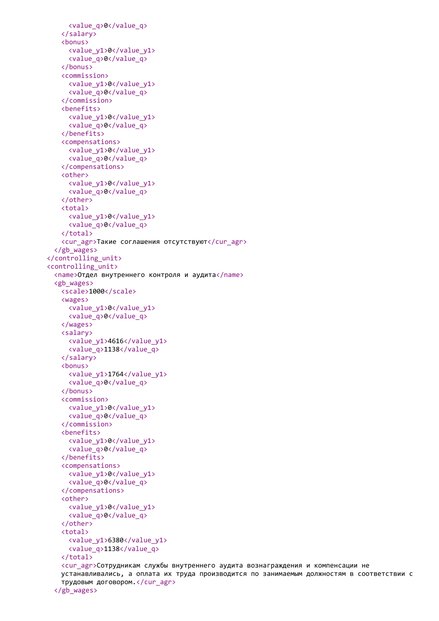```
<value_q>0</value_q>
   </salary>
   <bonus>
     <value_y1>0</value_y1>
     <value_q>0</value_q>
   </bonus>
   <commission>
     <value_y1>0</value_y1>
     <value_q>0</value_q>
   </commission>
   <benefits>
     <value_y1>0</value_y1>
     <value_q>0</value_q>
   </benefits>
   <compensations>
     <value_y1>0</value_y1>
     <value_q>0</value_q>
   </compensations>
   <other>
     <value_y1>0</value_y1>
     <value_q>0</value_q>
   </other>
   <total>
     <value_y1>0</value_y1>
     <value_q>0</value_q>
   </total>
   <cur_agr>Такие соглашения отсутствуют</cur_agr>
 </gb_wages>
</controlling_unit>
<controlling_unit>
 <name>Отдел внутреннего контроля и аудита</name>
 <gb_wages>
   <scale>1000</scale>
   <wages>
     <value_y1>0</value_y1>
     <value_q>0</value_q>
   </wages>
   <salary>
     <value_y1>4616</value_y1>
     <value_q>1138</value_q>
   </salary>
   <bonus>
     <value_y1>1764</value_y1>
     <value_q>0</value_q>
   </bonus>
   <commission>
     <value_y1>0</value_y1>
     <value_q>0</value_q>
   </commission>
   <benefits>
     <value_y1>0</value_y1>
     <value_q>0</value_q>
   </benefits>
   <compensations>
     <value_y1>0</value_y1>
     <value_q>0</value_q>
   </compensations>
   <other>
     <value_y1>0</value_y1>
     <value_q>0</value_q>
   </other>
   <total>
     <value_y1>6380</value_y1>
     <value_q>1138</value_q>
   </total>
   <cur_agr>Сотрудникам службы внутреннего аудита вознаграждения и компенсации не
   устанавливались, а оплата их труда производится по занимаемым должностям в соответствии с
   трудовым договором.</cur_agr>
```

```
</gb_wages>
```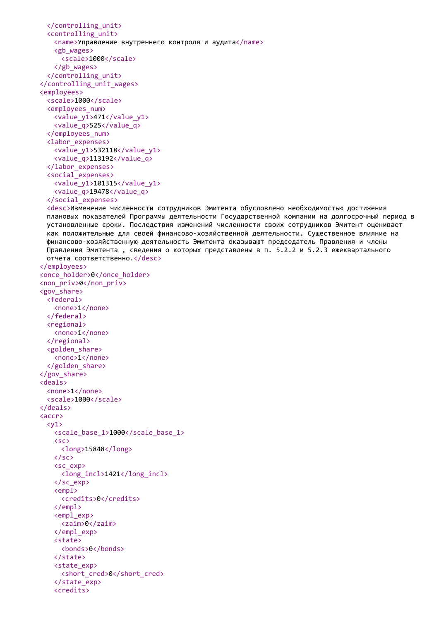```
</controlling_unit>
  <controlling_unit>
   <name>Управление внутреннего контроля и аудита</name>
   <gb_wages>
     <scale>1000</scale>
   </gb_wages>
  </controlling_unit>
</controlling_unit_wages>
<employees>
 <scale>1000</scale>
  <employees_num>
   <value_y1>471</value_y1>
   <value_q>525</value_q>
  </employees_num>
  <labor_expenses>
   <value_y1>532118</value_y1>
   <value_q>113192</value_q>
  </labor_expenses>
  <social_expenses>
   <value_y1>101315</value_y1>
   <value_q>19478</value_q>
  </social_expenses>
  <desc>Изменение численности сотрудников Эмитента обусловлено необходимостью достижения
  плановых показателей Программы деятельности Государственной компании на долгосрочный период в
 установленные сроки. Последствия изменений численности своих сотрудников Эмитент оценивает
  как положительные для своей финансово-хозяйственной деятельности. Существенное влияние на
  финансово-хозяйственную деятельность Эмитента оказывают председатель Правления и члены
 Правления Эмитента , сведения о которых представлены в п. 5.2.2 и 5.2.3 ежеквартального
 отчета соответственно.</desc>
</employees>
<once_holder>0</once_holder>
<non_priv>0</non_priv>
<gov_share>
  <federal>
   <none>1</none>
  </federal>
  <regional>
   <none>1</none>
  </regional>
  <golden_share>
   <none>1</none>
 </golden_share>
</gov_share>
<deals>
 <none>1</none>
 <scale>1000</scale>
</deals>
<accr>
  \langle \sqrt{1} \rangle<scale_base_1>1000</scale_base_1>
   <sc>
     <long>15848</long>
   \langle/sc>
   <sc_exp>
     <long_incl>1421</long_incl>
   </sc_exp>
   <empl>
     <credits>0</credits>
   </empl>
   <empl_exp>
     <zaim>0</zaim>
   </empl_exp>
   \zetastates
     <bonds>0</bonds>
   </state>
   <state_exp>
     <short_cred>0</short_cred>
   </state_exp>
   <credits>
```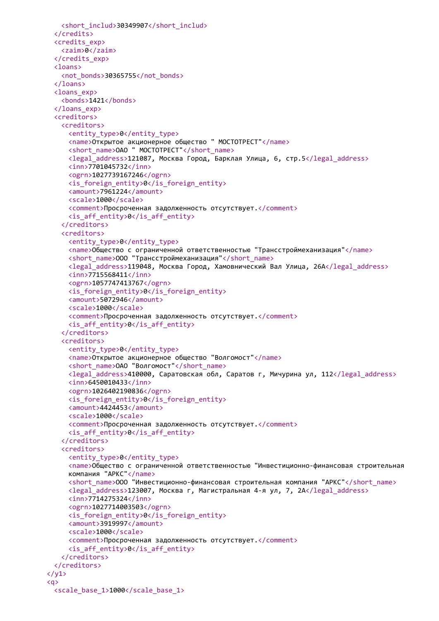```
<short_includ>30349907</short_includ>
 </credits>
 <credits_exp>
   <zaim>0</zaim>
 </credits_exp>
 <loans>
   <not_bonds>30365755</not_bonds>
 </loans>
 <loans_exp>
   <bonds>1421</bonds>
 </loans_exp>
 <creditors>
   <creditors>
     <entity_type>0</entity_type>
     <name>Открытое акционерное общество " МОСТОТРЕСТ"</name>
     <short_name>ОАО " МОСТОТРЕСТ"</short_name>
     <legal_address>121087, Москва Город, Барклая Улица, 6, стр.5</legal_address>
     <inn>7701045732</inn>
     <ogrn>1027739167246</ogrn>
     <is_foreign_entity>0</is_foreign_entity>
     <amount>7961224</amount>
     <scale>1000</scale>
     <comment>Просроченная задолженность отсутствует.</comment>
     \langle is aff entity>0\langle is aff entity>
   </creditors>
   <creditors>
     <entity_type>0</entity_type>
     <name>Общество с ограниченной ответственностью "Трансстроймеханизация"</name>
     <short_name>ООО "Трансстроймеханизация"</short_name>
     <legal_address>119048, Москва Город, Хамовнический Вал Улица, 26А</legal_address>
     <inn>7715568411</inn>
     <ogrn>1057747413767</ogrn>
     <is_foreign_entity>0</is_foreign_entity>
     <amount>5072946</amount>
     <scale>1000</scale>
     <comment>Просроченная задолженность отсутствует.</comment>
     <is_aff_entity>0</is_aff_entity>
   </creditors>
   <creditors>
     <entity_type>0</entity_type>
     <name>Открытое акционерное общество "Волгомост"</name>
     <short_name>ОАО "Волгомост"</short_name>
     <legal_address>410000, Саратовская обл, Саратов г, Мичурина ул, 112</legal_address>
     <inn>6450010433</inn>
     <ogrn>1026402190836</ogrn>
     <is_foreign_entity>0</is_foreign_entity>
     <amount>4424453</amount>
     <scale>1000</scale>
     <comment>Просроченная задолженность отсутствует.</comment>
     <is_aff_entity>0</is_aff_entity>
   </creditors>
   <creditors>
     <entity_type>0</entity_type>
     <name>Общество с ограниченной ответственностью "Инвестиционно-финансовая строительная
     компания "АРКС"</name>
     <short_name>ООО "Инвестиционно-финансовая строительная компания "АРКС"</short_name>
     <legal_address>123007, Москва г, Магистральная 4-я ул, 7, 2А</legal_address>
     <inn>7714275324</inn>
     <ogrn>1027714003503</ogrn>
     \langleis foreign entity>0\langle/is foreign entity>
     <amount>3919997</amount>
     <scale>1000</scale>
     <comment>Просроченная задолженность отсутствует.</comment>
     <is_aff_entity>0</is_aff_entity>
   </creditors>
 </creditors>
\langle/y1>
\langle q \rangle<scale_base_1>1000</scale_base_1>
```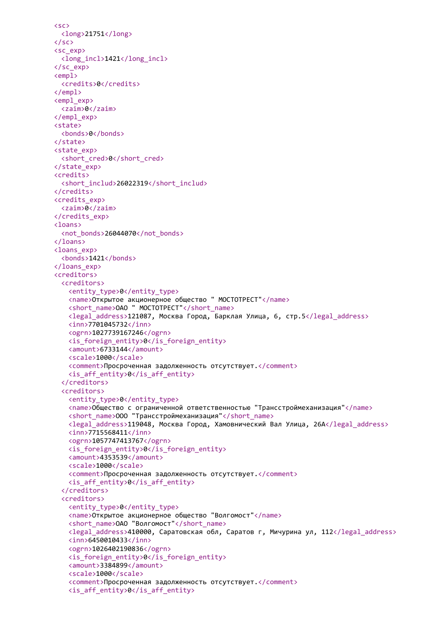```
<sc>
 <long>21751</long>
\langle/sc\rangle<sc_exp>
 <long_incl>1421</long_incl>
</sc_exp>
<empl>
 <credits>0</credits>
</empl>
<empl_exp>
 <zaim>0</zaim>
</empl_exp>
<state>
 <bonds>0</bonds>
</state>
<state_exp>
 <short cred>0</short cred>
</state_exp>
<credits>
 <short_includ>26022319</short_includ>
</credits>
<credits_exp>
 <zaim>0</zaim>
</credits_exp>
<loans>
 <not_bonds>26044070</not_bonds>
</loans>
<loans_exp>
 <bonds>1421</bonds>
</loans_exp>
<creditors>
 <creditors>
   <entity_type>0</entity_type>
   <name>Открытое акционерное общество " МОСТОТРЕСТ"</name>
   <short_name>ОАО " MOCTOTPECT"</short_name>
   <legal_address>121087, Москва Город, Барклая Улица, 6, стр.5</legal_address>
   <inn>7701045732</inn>
   <ogrn>1027739167246</ogrn>
   <is_foreign_entity>0</is_foreign_entity>
   <amount>6733144</amount>
   <scale>1000</scale>
   <comment>Просроченная задолженность отсутствует.</comment>
   <is_aff_entity>0</is_aff_entity>
  </creditors>
  <creditors>
   <entity_type>0</entity_type>
   <name>Общество с ограниченной ответственностью "Трансстроймеханизация"</name>
   <short_name>ООО "Трансстроймеханизация"</short_name>
   <legal_address>119048, Москва Город, Хамовнический Вал Улица, 26А</legal_address>
   \langleinn>7715568411</inn>
   <ogrn>1057747413767</ogrn>
   <is_foreign_entity>0</is_foreign_entity>
   <amount>4353539</amount>
   <scale>1000</scale>
   <comment>Просроченная задолженность отсутствует.</comment>
   <is_aff_entity>0</is_aff_entity>
  </creditors>
  <creditors>
   <entity_type>0</entity_type>
   <name>Открытое акционерное общество "Волгомост"</name>
   <short_name>ОАО "Волгомост"</short_name>
   <legal_address>410000, Саратовская обл, Саратов г, Мичурина ул, 112</legal_address>
   <inn>6450010433</inn>
   <ogrn>1026402190836</ogrn>
   <is_foreign_entity>0</is_foreign_entity>
   <amount>3384899</amount>
   <scale>1000</scale>
   <comment>Просроченная задолженность отсутствует.</comment>
   <is_aff_entity>0</is_aff_entity>
```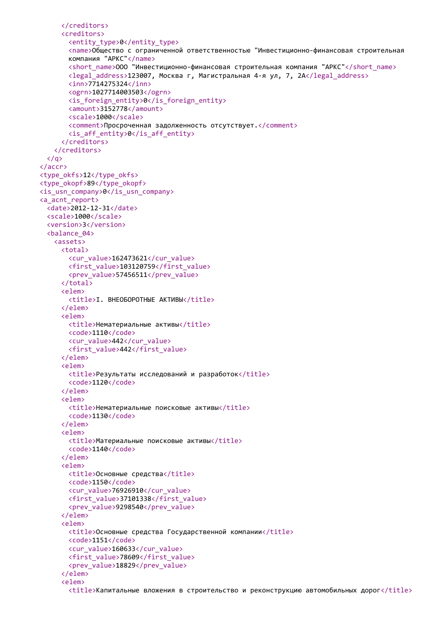```
</creditors>
     <creditors>
       <entity_type>0</entity_type>
       <name>Общество с ограниченной ответственностью "Инвестиционно-финансовая строительная
       компания "АРКС"</name>
       <short_name>ООО "Инвестиционно-финансовая строительная компания "АРКС"</short_name>
       <legal_address>123007, Москва г, Магистральная 4-я ул, 7, 2А</legal_address>
       <inn>7714275324</inn>
       <ogrn>1027714003503</ogrn>
       <is_foreign_entity>0</is_foreign_entity>
       <amount>3152778</amount>
       <scale>1000</scale>
       <comment>Просроченная задолженность отсутствует.</comment>
       <is_aff_entity>0</is_aff_entity>
     </creditors>
   </creditors>
  \langle/a>
</accr>
<type_okfs>12</type_okfs>
<type_okopf>89</type_okopf>
<is_usn_company>0</is_usn_company>
<a_acnt_report>
 <date>2012-12-31</date>
 <scale>1000</scale>
  <version>3</version>
  <balance_04>
   <assets>
     <total>
       <cur_value>162473621</cur_value>
       <first_value>103120759</first_value>
       <prev_value>57456511</prev_value>
     </total>
     <elem>
       <title>I. ВНЕОБОРОТНЫЕ AKTИВЫ</title>
     </elem>
     <elem>
       <title>Нематериальные активы</title>
       <code>1110</code>
       <cur_value>442</cur_value>
       <first_value>442</first_value>
     </elem>
     <elem>
       <title>Результаты исследований и разработок</title>
       <code>1120</code>
     </elem>
     <elem>
       <title>Нематериальные поисковые активы</title>
       <code>1130</code>
     </elem>
     <elem>
       <title>Материальные поисковые активы</title>
       <code>1140</code>
     </elem>
     <elem>
       <title>Основные средства</title>
       <code>1150</code>
       <cur_value>76926910</cur_value>
       <first_value>37101338</first_value>
       <prev_value>9298540</prev_value>
     </elem>
     <elem>
       <title>Основные средства Государственной компании</title>
       <code>1151</code>
       <cur_value>160633</cur_value>
       <first_value>78609</first_value>
       <prev_value>18829</prev_value>
     </elem>
     <elem>
       <title>Капитальные вложения в строительство и реконструкцию автомобильных дорог</title>
```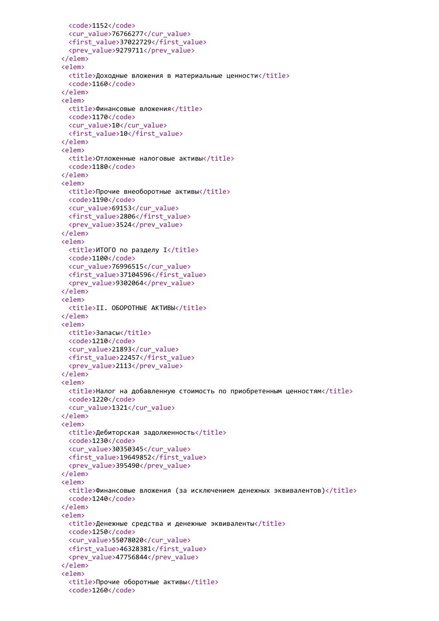```
<code>1152</code>
  <cur_value>76766277</cur_value>
  <first_value>37022729</first_value>
  <prev_value>9279711</prev_value>
</elem>
<elem>
 <title>Доходные вложения в материальные ценности</title>
 <code>1160</code>
</elem>
<elem>
 <title>Финансовые вложения</title>
 <code>1170</code>
 <cur_value>10</cur_value>
 <first_value>10</first_value>
</elem>
<elem>
 <title>Отложенные налоговые активы</title>
 <code>1180</code>
</elem>
<elem>
 <title>Прочие внеоборотные активы</title>
 <code>1190</code>
 <cur_value>69153</cur_value>
 <first_value>2806</first_value>
  <prev_value>3524</prev_value>
</elem>
<elem>
 <title>ИТОГО по разделу I</title>
 <code>1100</code>
 <cur_value>76996515</cur_value>
 <first_value>37104596</first_value>
  <prev_value>9302064</prev_value>
</elem>
<elem>
 <title>II. ОБОРОТНЫЕ АКТИВЫ</title>
</elem>
<elem>
 <title>Запасы</title>
 <code>1210</code>
 <cur_value>21893</cur_value>
 <first_value>22457</first_value>
 <prev_value>2113</prev_value>
</elem>
<elem>
 <title>Налог на добавленную стоимость по приобретенным ценностям</title>
 <code>1220</code>
  <cur_value>1321</cur_value>
</elem>
<elem>
 <title>Дебиторская задолженность</title>
 <code>1230</code>
 <cur_value>30350345</cur_value>
 <first_value>19649852</first_value>
 <prev_value>395490</prev_value>
</elem>
<elem>
 <title>Финансовые вложения (за исключением денежных эквивалентов)</title>
 <code>1240</code>
</elem>
<elem>
 <title>Денежные средства и денежные эквиваленты</title>
 <code>1250</code>
 <cur_value>55078020</cur_value>
 <first_value>46328381</first_value>
  <prev_value>47756844</prev_value>
</elem>
<elem>
  <title>Прочие оборотные активы</title>
  <code>1260</code>
```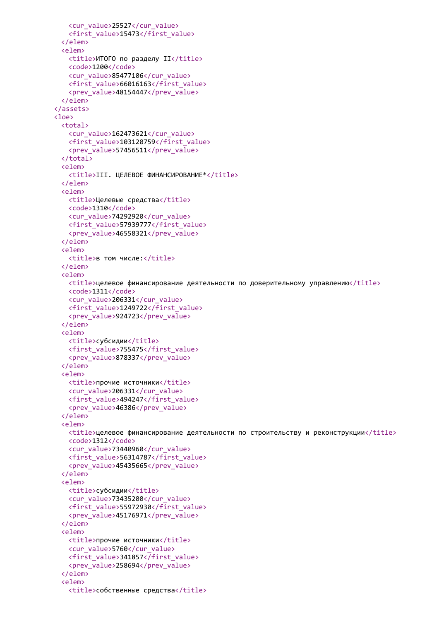```
<cur_value>25527</cur_value>
   <first_value>15473</first_value>
 </elem>
 <elem>
   <title>ИТОГО по разделу II</title>
   <code>1200</code>
   <cur_value>85477106</cur_value>
   <first_value>66016163</first_value>
   <prev_value>48154447</prev_value>
 </elem>
</assets>
<loe>
 <total>
   <cur_value>162473621</cur_value>
   <first_value>103120759</first_value>
   <prev_value>57456511</prev_value>
 </total>
 <elem>
   <title>III. ЦЕЛЕВОЕ ФИНАНСИРОВАНИЕ*</title>
 </elem>
 <elem>
   <title>Целевые средства</title>
   <code>1310</code>
   <cur_value>74292920</cur_value>
   <first_value>57939777</first_value>
   <prev_value>46558321</prev_value>
 </elem>
 <elem>
   <title>в том числе:</title>
 </elem>
 <elem>
   <title>целевое финансирование деятельности по доверительному управлению</title>
   <code>1311</code>
   <cur_value>206331</cur_value>
   <first_value>1249722</first_value>
   <prev_value>924723</prev_value>
 </elem>
 <elem>
   <title>субсидии</title>
   <first_value>755475</first_value>
   <prev_value>878337</prev_value>
 </elem>
 <elem>
   <title>прочие источники</title>
   <cur_value>206331</cur_value>
   <first_value>494247</first_value>
   <prev_value>46386</prev_value>
 </elem>
 <elem>
   <title>целевое финансирование деятельности по строительству и реконструкции</title>
   <code>1312</code>
   <cur_value>73440960</cur_value>
   <first_value>56314787</first_value>
   <prev_value>45435665</prev_value>
 </elem>
 <elem>
   <title>субсидии</title>
   <cur_value>73435200</cur_value>
   <first_value>55972930</first_value>
   <prev_value>45176971</prev_value>
 </elem>
 <elem>
   <title>прочие источники</title>
   <cur_value>5760</cur_value>
   <first_value>341857</first_value>
   <prev_value>258694</prev_value>
 </elem>
 <elem>
   <title>собственные средства</title>
```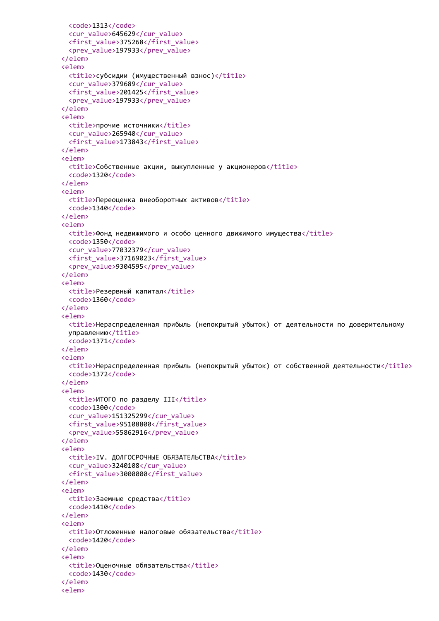```
<code>1313</code>
  <cur_value>645629</cur_value>
  <first_value>375268</first_value>
  <prev_value>197933</prev_value>
</elem>
<elem>
 <title>субсидии (имущественный взнос)</title>
 <cur_value>379689</cur_value>
 <first_value>201425</first_value>
  <prev_value>197933</prev_value>
</elem>
<elem>
 <title>прочие источники</title>
 <cur_value>265940</cur_value>
  <first_value>173843</first_value>
</elem>
<elem>
 <title>Собственные акции, выкупленные у акционеров</title>
  <code>1320</code>
</elem>
<elem>
  <title>Переоценка внеоборотных активов</title>
  <code>1340</code>
</elem>
<elem>
 <title>Фонд недвижимого и особо ценного движимого имущества</title>
 <code>1350</code>
 <cur_value>77032379</cur_value>
 <first_value>37169023</first_value>
  <prev_value>9304595</prev_value>
</elem>
<elem>
 <title>Резервный капитал</title>
 <code>1360</code>
</elem>
<elem>
 <title>Нераспределенная прибыль (непокрытый убыток) от деятельности по доверительному
 управлению</title>
  <code>1371</code>
</elem>
<elem>
  <title>Нераспределенная прибыль (непокрытый убыток) от собственной деятельности</title>
  <code>1372</code>
</elem>
<elem>
 <title>ИТОГО по разделу III</title>
 <code>1300</code>
 <cur_value>151325299</cur_value>
 <first_value>95108800</first_value>
 <prev_value>55862916</prev_value>
</elem>
<elem>
  <title>IV. ДОЛГОСРОЧНЫЕ ОБЯЗАТЕЛЬСТВА</title>
 <cur_value>3240108</cur_value>
  <first_value>3000000</first_value>
</elem>
<elem>
 <title>Заемные средства</title>
 <code>1410</code>
</elem>
<elem>
  <title>Отложенные налоговые обязательства</title>
 <code>1420</code>
</elem>
<elem>
  <title>Оценочные обязательства</title>
  <code>1430</code>
</elem>
<elem>
```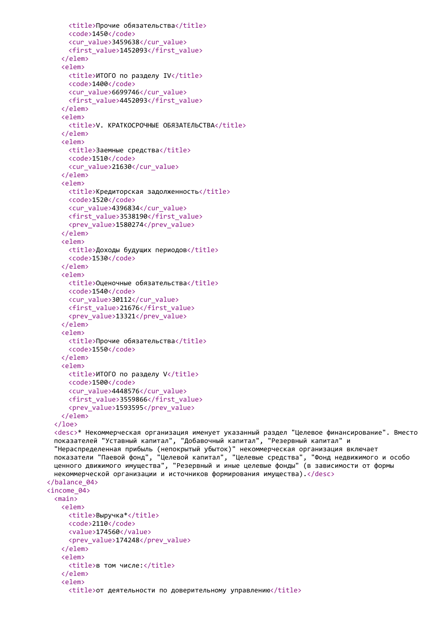```
<title>Прочие обязательства</title>
     <code>1450</code>
     <cur_value>3459638</cur_value>
     <first_value>1452093</first_value>
   </elem>
   <elem>
     <title>ИТОГО по разделу IV</title>
     <code>1400</code>
     <cur_value>6699746</cur_value>
     <first_value>4452093</first_value>
   </elem>
   <elem>
     <title>V. КРАТКОСРОЧНЫЕ ОБЯЗАТЕЛЬСТВА</title>
   </elem>
   <elem>
     <title>Заемные средства</title>
     <code>1510</code>
     <cur_value>21630</cur_value>
   </elem>
   <elem>
     <title>Кредиторская задолженность</title>
     <code>1520</code>
     <cur_value>4396834</cur_value>
     <first_value>3538190</first_value>
     <prev_value>1580274</prev_value>
   </elem>
   <elem>
     <title>Доходы будущих периодов</title>
     <code>1530</code>
   </elem>
   <elem>
     <title>Оценочные обязательства</title>
     <code>1540</code>
     <cur_value>30112</cur_value>
     <first_value>21676</first_value>
     <prev_value>13321</prev_value>
   </elem>
   <elem>
     <title>Прочие обязательства</title>
     <code>1550</code>
   </elem>
   <elem>
     <title>ИТОГО по разделу V</title>
     <code>1500</code>
     <cur_value>4448576</cur_value>
     <first_value>3559866</first_value>
     <prev_value>1593595</prev_value>
   </elem>
 </loe>
 <desc>* Некоммерческая организация именует указанный раздел "Целевое финансирование". Вместо
 показателей "Уставный капитал", "Добавочный капитал", "Резервный капитал" и
 "Нераспределенная прибыль (непокрытый убыток)" некоммерческая организация включает
 показатели "Паевой фонд", "Целевой капитал", "Целевые средства", "Фонд недвижимого и особо
 ценного движимого имущества", "Резервный и иные целевые фонды" (в зависимости от формы
 некоммерческой организации и источников формирования имущества).</desc>
</balance_04>
<income_04>
 <main>
   <elem>
     <title>Выручка*</title>
     <code>2110</code>
     <value>174560</value>
     <prev_value>174248</prev_value>
   </elem>
   <elem>
     <title>в том числе:</title>
   </elem>
   <elem>
     <title>от деятельности по доверительному управлению</title>
```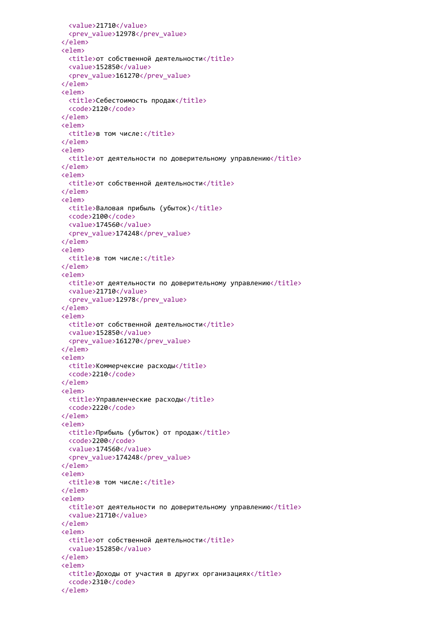```
<value>21710</value>
  <prev_value>12978</prev_value>
</elem>
<elem>
 <title>от собственной деятельности</title>
 <value>152850</value>
  <prev_value>161270</prev_value>
</elem>
<elem>
 <title>Себестоимость продаж</title>
 <code>2120</code>
</elem>
<elem>
 <title>в том числе:</title>
</elem>
<elem>
 <title>от деятельности по доверительному управлению</title>
</elem>
<elem>
 <title>от собственной деятельности</title>
</elem>
<elem>
 <title>Валовая прибыль (убыток)</title>
 <code>2100</code>
 <value>174560</value>
 <prev_value>174248</prev_value>
</elem>
<elem>
 <title>в том числе:</title>
</elem>
<elem>
 <title>от деятельности по доверительному управлению</title>
 <value>21710</value>
 <prev_value>12978</prev_value>
</elem>
<elem>
 <title>от собственной деятельности</title>
 <value>152850</value>
 <prev_value>161270</prev_value>
</elem>
<elem>
 <title>Коммерчексие расходы</title>
 <code>2210</code>
</elem>
<elem>
 <title>Управленческие расходы</title>
 <code>2220</code>
</elem>
<elem>
 <title>Прибыль (убыток) от продаж</title>
 <code>2200</code>
 <value>174560</value>
 <prev_value>174248</prev_value>
</elem>
<elem>
 <title>в том числе:</title>
</elem>
<elem>
 <title>от деятельности по доверительному управлению</title>
 <value>21710</value>
</elem>
<elem>
 <title>от собственной деятельности</title>
 <value>152850</value>
</elem>
<elem>
 <title>Доходы от участия в других организациях</title>
 <code>2310</code>
</elem>
```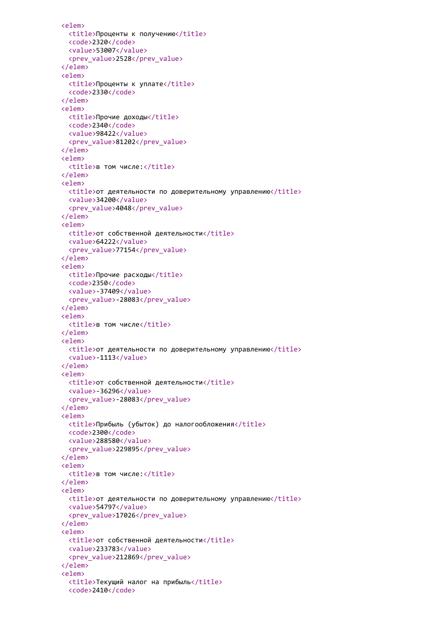```
<elem>
 <title>Проценты к получению</title>
 <code>2320</code>
 <value>53007</value>
  <prev_value>2528</prev_value>
</elem>
<elem>
 <title>Проценты к уплате</title>
  <code>2330</code>
</elem>
<elem>
 <title>Прочие доходы</title>
 <code>2340</code>
 <value>98422</value>
 <prev_value>81202</prev_value>
</elem>
<elem>
 <title>в том числе:</title>
</elem>
<elem>
 <title>от деятельности по доверительному управлению</title>
 <value>34200</value>
  <prev_value>4048</prev_value>
</elem>
<elem>
 <title>от собственной деятельности</title>
 <value>64222</value>
 <prev_value>77154</prev_value>
</elem>
<elem>
 <title>Прочие расходы</title>
 <code>2350</code>
 <value>-37409</value>
 <prev_value>-28083</prev_value>
</elem>
<elem>
 <title>в том числе</title>
</elem>
<elem>
 <title>от деятельности по доверительному управлению</title>
 <value>-1113</value>
</elem>
<elem>
 <title>от собственной деятельности</title>
 <value>-36296</value>
 <prev_value>-28083</prev_value>
</elem>
<elem>
 <title>Прибыль (убыток) до налогообложения</title>
 <code>2300</code>
 <value>288580</value>
 <prev_value>229895</prev_value>
</elem>
<elem>
  <title>в том числе:</title>
</elem>
<elem>
 <title>от деятельности по доверительному управлению</title>
 <value>54797</value>
 <prev_value>17026</prev_value>
</elem>
<elem>
 <title>от собственной деятельности</title>
 <value>233783</value>
 <prev_value>212869</prev_value>
</elem>
<elem>
 <title>Текущий налог на прибыль</title>
 <code>2410</code>
```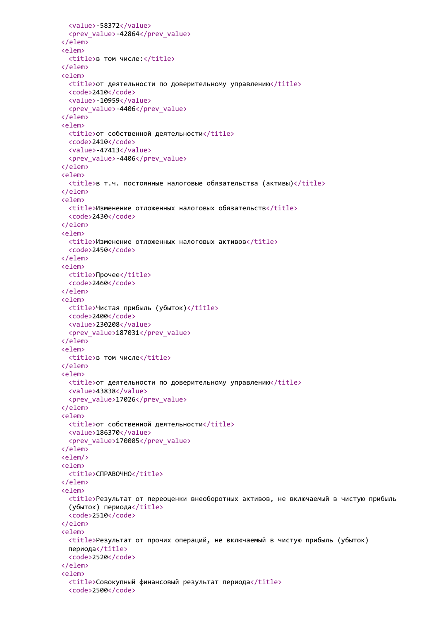```
<value>-58372</value>
  <prev_value>-42864</prev_value>
</elem>
<elem>
 <title>в том числе:</title>
</elem>
<elem>
 <title>от деятельности по доверительному управлению</title>
 <code>2410</code>
 <value>-10959</value>
 <prev_value>-4406</prev_value>
</elem>
<elem>
 <title>от собственной деятельности</title>
 <code>2410</code>
 <value>-47413</value>
 <prev_value>-4406</prev_value>
</elem>
<elem>
 <title>в т.ч. постоянные налоговые обязательства (активы)</title>
</elem>
<elem>
 <title>Изменение отложенных налоговых обязательств</title>
 <code>2430</code>
</elem>
<elem>
 <title>Изменение отложенных налоговых активов</title>
 <code>2450</code>
</elem>
<elem>
 <title>Прочее</title>
 <code>2460</code>
</elem>
<elem>
 <title>Чистая прибыль (убыток)</title>
 <code>2400</code>
 <value>230208</value>
 <prev_value>187031</prev_value>
</elem>
<elem>
 <title>в том числе</title>
</elem>
<elem>
 <title>от деятельности по доверительному управлению</title>
 <value>43838</value>
 <prev_value>17026</prev_value>
</elem>
<elem>
 <title>от собственной деятельности</title>
 <value>186370</value>
 <prev_value>170005</prev_value>
</elem>
<elem/>
<elem>
 <title>СПРАВОЧНО</title>
</elem>
<elem>
  <title>Результат от переоценки внеоборотных активов, не включаемый в чистую прибыль
 (убыток) периода</title>
 <code>2510</code>
</elem>
<elem>
  <title>Результат от прочих операций, не включаемый в чистую прибыль (убыток)
 периода</title>
 <code>2520</code>
</elem>
<elem>
  <title>Совокупный финансовый результат периода</title>
 <code>2500</code>
```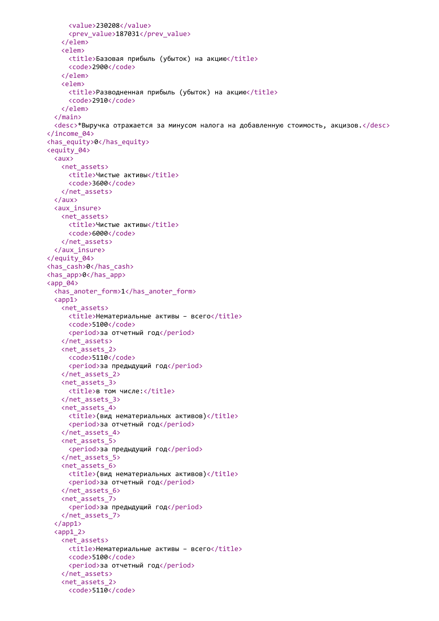```
<value>230208</value>
     <prev_value>187031</prev_value>
   </elem>
   <elem>
     <title>Базовая прибыль (убыток) на акцию</title>
     <code>2900</code>
   </elem>
   <elem>
     <title>Разводненная прибыль (убыток) на акцию</title>
     <code>2910</code>
   </elem>
  </main>
 <desc>*Выручка отражается за минусом налога на добавленную стоимость, акцизов.</desc>
</income_04>
<has_equity>0</has_equity>
<equity_04>
 <aux>
   <net_assets>
     <title>Чистые активы</title>
     <code>3600</code>
   </net_assets>
 </aux>
 <aux_insure>
   <net_assets>
     <title>Чистые активы</title>
     <code>6000</code>
   </net_assets>
 </aux_insure>
</equity_04>
<has_cash>0</has_cash>
<has_app>0</has_app>
<app_04>
 <has anoter form>1</has anoter form>
 \langle app1 \rangle<net_assets>
     <title>Нематериальные активы - всего</title>
     <code>5100</code>
     <period>за отчетный год</period>
   </net_assets>
   <net_assets_2>
     <code>5110</code>
     <period>за предыдущий год</period>
   </net_assets_2>
   <net_assets_3>
     <title>в том числе:</title>
   </net_assets_3>
   <net_assets_4>
     <title>(вид нематериальных активов)</title>
     <period>за отчетный год</period>
   </net_assets_4>
   <net_assets_5>
     <period>за предыдущий год</period>
   </net_assets_5>
   <net_assets_6>
     <title>(вид нематериальных активов)</title>
     <period>за отчетный год</period>
   </net_assets_6>
   <net_assets_7>
     <period>за предыдущий год</period>
   </net_assets_7>
  </app1>
  \langleapp1 2>
   <net_assets>
     <title>Нематериальные активы – всего</title>
     <code>5100</code>
     <period>за отчетный год</period>
   </net_assets>
   <net_assets_2>
     <code>5110</code>
```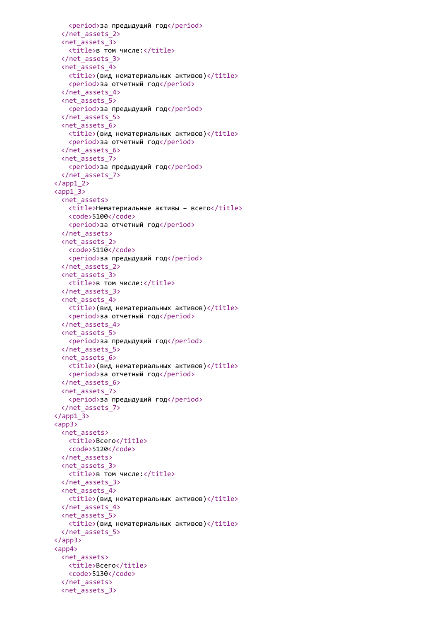```
<period>за предыдущий год</period>
 </net_assets_2>
 <net_assets_3>
   <title>в том числе:</title>
 </net_assets_3>
 <net_assets_4>
   <title>(вид нематериальных активов)</title>
   <period>за отчетный год</period>
 </net_assets_4>
 <net_assets_5>
   <period>за предыдущий год</period>
 </net_assets_5>
 <net_assets_6>
   <title>(вид нематериальных активов)</title>
   <period>за отчетный год</period>
 </net_assets_6>
 <net_assets_7>
   <period>за предыдущий год</period>
 </net_assets_7>
\langle app1 2>
\langle app1 \rangle 3>
 <net assets>
   <title>Нематериальные активы - всего</title>
   <code>5100</code>
   <period>за отчетный год</period>
 </net_assets>
 <net_assets_2>
   <code>5110</code>
   <period>за предыдущий год</period>
 </net_assets_2>
 <net_assets_3>
   <title>в том числе:</title>
 </net_assets_3>
 <net_assets_4>
   <title>(вид нематериальных активов)</title>
   <period>за отчетный год</period>
 </net_assets_4>
 <net_assets_5>
   <period>за предыдущий год</period>
 </net_assets_5>
 <net_assets_6>
   <title>(вид нематериальных активов)</title>
   <period>за отчетный год</period>
 </net_assets_6>
 <net_assets_7>
   <period>за предыдущий год</period>
 </net_assets_7>
\langle app1_3>
<app3>
 <net_assets>
   <title>Всего</title>
   <code>5120</code>
 </net_assets>
 <net_assets_3>
   <title>в том числе:</title>
 </net_assets_3>
 <net_assets_4>
   <title>(вид нематериальных активов)</title>
 </net_assets_4>
 <net_assets_5>
   <title>(вид нематериальных активов)</title>
 </net_assets_5>
</app3>
<app4>
 <net_assets>
   <title>Всего</title>
   <code>5130</code>
 </net_assets>
 <net_assets_3>
```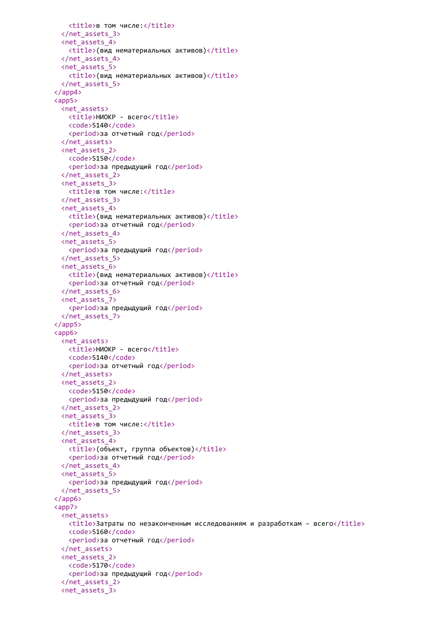```
<title>в том числе:</title>
 </net_assets_3>
 <net_assets_4>
   <title>(вид нематериальных активов)</title>
 </net_assets_4>
 <net_assets_5>
   <title>(вид нематериальных активов)</title>
 </net_assets_5>
</app4>
<app5>
 <net_assets>
   <title>НИОКР - всего</title>
   <code>5140</code>
   <period>за отчетный год</period>
 </net_assets>
 <net_assets_2>
   <code>5150</code>
   <period>за предыдущий год</period>
 </net_assets_2>
 <net_assets_3>
   <title>в том числе:</title>
 </net_assets_3>
 <net_assets_4>
   <title>(вид нематериальных активов)</title>
   <period>за отчетный год</period>
 </net_assets_4>
 <net_assets_5>
   <period>за предыдущий год</period>
 </net_assets_5>
 <net_assets_6>
   <title>(вид нематериальных активов)</title>
   <period>за отчетный год</period>
 </net_assets_6>
 <net_assets_7>
   <period>за предыдущий год</period>
 </net_assets_7>
</app5>
<app6>
 <net_assets>
   <title>НИОКР - всего</title>
   <code>5140</code>
   <period>за отчетный год</period>
 </net_assets>
 <net_assets_2>
   <code>5150</code>
   <period>за предыдущий год</period>
 </net_assets_2>
 <net_assets_3>
   <title>в том числе:</title>
 </net_assets_3>
 <net_assets_4>
   <title>(объект, группа объектов)</title>
   <period>за отчетный год</period>
 </net_assets_4>
 <net_assets_5>
   <period>за предыдущий год</period>
 </net_assets_5>
</app6>
<app7>
 <net_assets>
   <title>Затраты по незаконченным исследованиям и разработкам – всего</title>
   <code>5160</code>
   <period>за отчетный год</period>
 </net_assets>
 <net_assets_2>
   <code>5170</code>
   <period>за предыдущий год</period>
 </net_assets_2>
 <net_assets_3>
```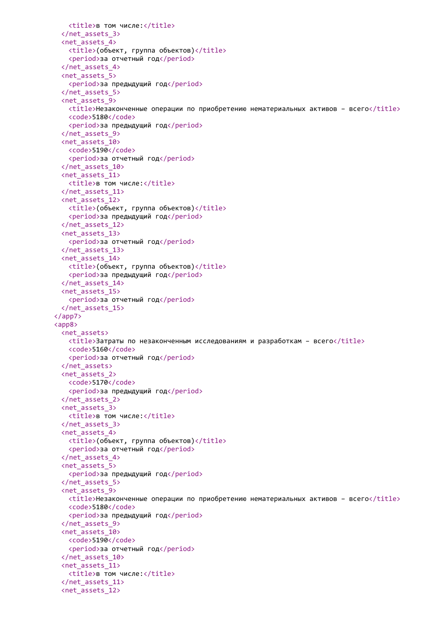```
<title>в том числе:</title>
 </net_assets_3>
 <net_assets_4>
   <title>(объект, группа объектов)</title>
   <period>за отчетный год</period>
 </net_assets_4>
 <net_assets_5>
   <period>за предыдущий год</period>
 </net_assets_5>
 <net_assets_9>
   <title>Незаконченные операции по приобретению нематериальных активов – всего</title>
   <code>5180</code>
   <period>за предыдущий год</period>
 </net_assets_9>
 <net_assets_10>
   <code>5190</code>
   <period>за отчетный год</period>
 </net_assets_10>
 <net_assets_11>
   <title>в том числе:</title>
 </net_assets_11>
 <net_assets_12>
   <title>(объект, группа объектов)</title>
   <period>за предыдущий год</period>
 </net_assets_12>
 <net_assets_13>
   <period>за отчетный год</period>
 </net_assets_13>
 <net_assets_14>
   <title>(объект, группа объектов)</title>
   <period>за предыдущий год</period>
 </net_assets_14>
 <net_assets_15>
   <period>за отчетный год</period>
 </net_assets_15>
</app7>
<app8>
 <net assets>
   <title>Затраты по незаконченным исследованиям и разработкам – всего</title>
   <code>5160</code>
   <period>за отчетный год</period>
 </net_assets>
 <net_assets_2>
   <code>5170</code>
   <period>за предыдущий год</period>
 </net_assets_2>
 <net_assets_3>
   <title>в том числе:</title>
 </net_assets_3>
 <net_assets_4>
   <title>(объект, группа объектов)</title>
   <period>за отчетный год</period>
 </net_assets_4>
 <net_assets_5>
   <period>за предыдущий год</period>
 </net_assets_5>
 <net_assets_9>
   <title>Незаконченные операции по приобретению нематериальных активов – всего</title>
   <code>5180</code>
   <period>за предыдущий год</period>
 </net_assets_9>
 <net_assets_10>
   <code>5190</code>
   <period>за отчетный год</period>
 </net_assets_10>
 <net_assets_11>
   <title>в том числе:</title>
 </net_assets_11>
 <net_assets_12>
```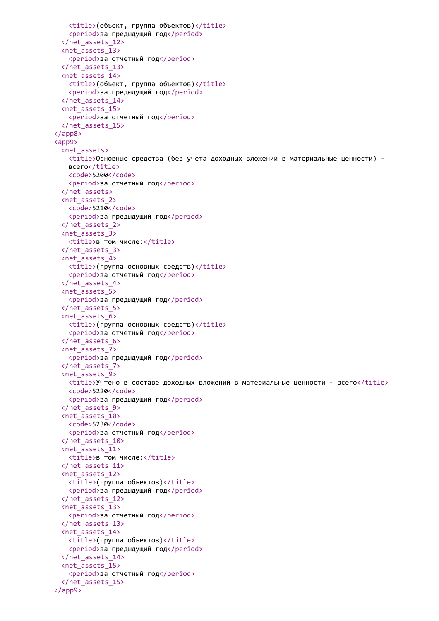```
<title>(объект, группа объектов)</title>
   <period>за предыдущий год</period>
 </net_assets_12>
 <net_assets_13>
   <period>за отчетный год</period>
 </net_assets_13>
 <net_assets_14>
   <title>(объект, группа объектов)</title>
   <period>за предыдущий год</period>
 </net_assets_14>
 <net_assets_15>
   <period>за отчетный год</period>
 </net_assets_15>
</app8>
<app9>
 <net_assets>
   <title>Основные средства (без учета доходных вложений в материальные ценности) -
   всего</title>
   <code>5200</code>
   <period>за отчетный год</period>
 </net_assets>
 <net_assets_2>
   <code>5210</code>
   <period>за предыдущий год</period>
 </net_assets_2>
 <net_assets_3>
   <title>в том числе:</title>
 </net_assets_3>
 <net_assets_4>
   <title>(группа основных средств)</title>
   <period>за отчетный год</period>
 </net_assets_4>
 <net_assets_5>
   <period>за предыдущий год</period>
 </net_assets_5>
 <net_assets_6>
   <title>(группа основных средств)</title>
   <period>за отчетный год</period>
 </net_assets_6>
 <net_assets_7>
   <period>за предыдущий год</period>
 </net_assets_7>
 <net_assets_9>
   \timestitle>Учтено в составе доходных вложений в материальные ценности - всего\times/title>
   <code>5220</code>
   <period>за предыдущий год</period>
 </net_assets_9>
 <net_assets_10>
   <code>5230</code>
   <period>за отчетный год</period>
 </net_assets_10>
 <net_assets_11>
   <title>в том числе:</title>
 </net_assets_11>
 <net_assets_12>
   <title>(группа объектов)</title>
   <period>за предыдущий год</period>
 </net_assets_12>
 <net_assets_13>
   <period>за отчетный год</period>
 </net_assets_13>
 <net_assets_14>
   <title>(группа объектов)</title>
   <period>за предыдущий год</period>
 </net_assets_14>
 <net_assets_15>
   <period>за отчетный год</period>
 </net_assets_15>
</app9>
```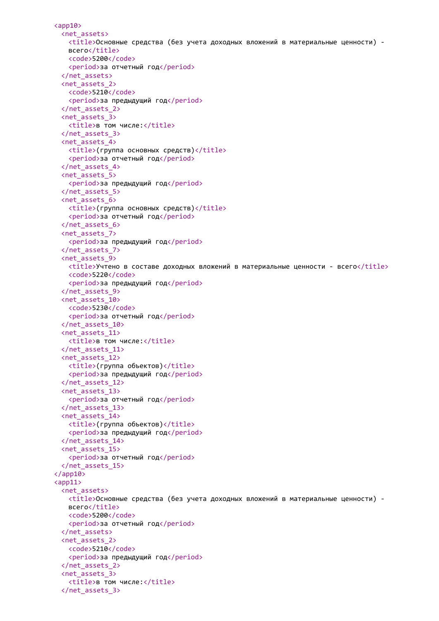```
<app10>
 <net_assets>
   <title>Основные средства (без учета доходных вложений в материальные ценности) -
   всего</title>
   <code>5200</code>
   <period>за отчетный год</period>
 </net_assets>
 <net_assets_2>
   <code>5210</code>
   <period>за предыдущий год</period>
 </net_assets_2>
 <net_assets_3>
   <title>в том числе:</title>
 </net_assets_3>
 <net_assets_4>
   <title>(группа основных средств)</title>
   <period>за отчетный год</period>
 </net_assets_4>
 <net_assets_5>
   <period>за предыдущий год</period>
 </net_assets_5>
 <net_assets_6>
   <title>(группа основных средств)</title>
   <period>за отчетный год</period>
 </net_assets_6>
 <net_assets_7>
   <period>за предыдущий год</period>
 </net_assets_7>
 <net_assets_9>
   <title>Учтено в составе доходных вложений в материальные ценности - всего</title>
   <code>5220</code>
   <period>за предыдущий год</period>
 </net_assets_9>
 <net_assets_10>
   <code>5230</code>
   <period>за отчетный год</period>
 </net_assets_10>
 <net_assets_11>
   <title>в том числе:</title>
 </net_assets_11>
 <net_assets_12>
   <title>(группа объектов)</title>
   <period>за предыдущий год</period>
 </net_assets_12>
 <net_assets_13>
   <period>за отчетный год</period>
 </net_assets_13>
 <net_assets_14>
   <title>(группа объектов)</title>
   <period>за предыдущий год</period>
 </net_assets_14>
 <net_assets_15>
   <period>за отчетный год</period>
 </net_assets_15>
</app10>
\langleapp11\rangle<net_assets>
   <title>Основные средства (без учета доходных вложений в материальные ценности) -
   всего</title>
   <code>5200</code>
   <period>за отчетный год</period>
 </net_assets>
 <net_assets_2>
   <code>5210</code>
   <period>за предыдущий год</period>
 </net_assets_2>
 <net_assets_3>
   <title>в том числе:</title>
 </net_assets_3>
```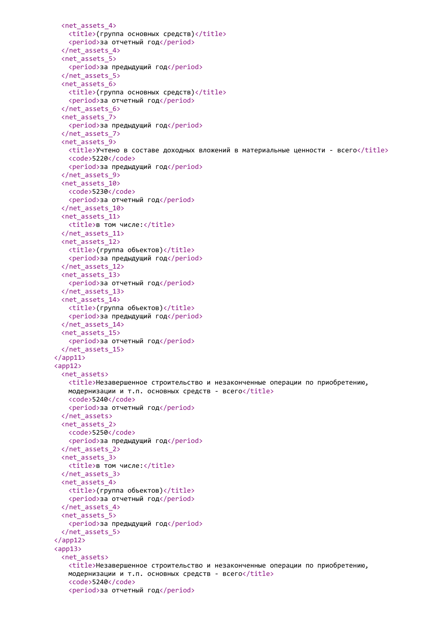```
<net_assets_4>
   <title>(группа основных средств)</title>
   <period>за отчетный год</period>
 </net_assets_4>
 <net_assets_5>
   <period>за предыдущий год</period>
 </net_assets_5>
 <net_assets_6>
   <title>(группа основных средств)</title>
   <period>за отчетный год</period>
 </net_assets_6>
 <net_assets_7>
   <period>за предыдущий год</period>
 </net_assets_7>
 <net_assets_9>
   <title>Учтено в составе доходных вложений в материальные ценности - всего</title>
   <code>5220</code>
   <period>за предыдущий год</period>
 </net_assets_9>
 <net_assets_10>
   <code>5230</code>
   <period>за отчетный год</period>
 </net_assets_10>
 <net_assets_11>
   <title>в том числе:</title>
 </net_assets_11>
 <net_assets_12>
   <title>(группа объектов)</title>
   <period>за предыдущий год</period>
 </net_assets_12>
 <net_assets_13>
   <period>за отчетный год</period>
 </net_assets_13>
 <net_assets_14>
   <title>(группа объектов)</title>
   <period>за предыдущий год</period>
 </net_assets_14>
 <net_assets_15>
   <period>за отчетный год</period>
 </net_assets_15>
\langle app11>
<app12>
 <net_assets>
   <title>Незавершенное строительство и незаконченные операции по приобретению,
   модернизации и т.п. основных средств - всего</title>
   <code>5240</code>
   <period>за отчетный год</period>
 </net_assets>
 <net_assets_2>
   <code>5250</code>
   <period>за предыдущий год</period>
 </net_assets_2>
 <net_assets_3>
   <title>в том числе:</title>
 </net_assets_3>
 <net_assets_4>
   <title>(группа объектов)</title>
   <period>за отчетный год</period>
 </net_assets_4>
 <net_assets_5>
   <period>за предыдущий год</period>
 </net_assets_5>
</app12>
<app13>
 <net_assets>
   <title>Незавершенное строительство и незаконченные операции по приобретению,
   модернизации и т.п. основных средств - всего</title>
   <code>5240</code>
   <period>за отчетный год</period>
```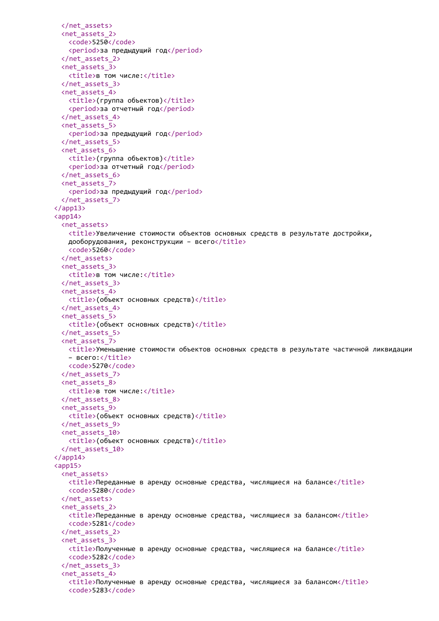```
</net_assets>
 <net_assets_2>
   <code>5250</code>
   <period>за предыдущий год</period>
 </net_assets_2>
 <net_assets_3>
   <title>в том числе:</title>
 </net_assets_3>
 <net_assets_4>
   <title>(группа объектов)</title>
   <period>за отчетный год</period>
 </net_assets_4>
 <net_assets_5>
   <period>за предыдущий год</period>
 </net_assets_5>
 <net_assets_6>
   <title>(группа объектов)</title>
   <period>за отчетный год</period>
 </net_assets_6>
 <net_assets_7>
   <period>за предыдущий год</period>
 </net_assets_7>
</app13>
<app14>
 <net_assets>
   <title>Увеличение стоимости объектов основных средств в результате достройки,
   дооборудования, реконструкции - всего</title>
   <code>5260</code>
 </net_assets>
 <net_assets_3>
   <title>в том числе:</title>
 </net_assets_3>
 <net_assets_4>
   <title>(объект основных средств)</title>
 </net_assets_4>
 <net_assets_5>
   <title>(объект основных средств)</title>
 </net_assets_5>
 <net_assets_7>
   <title>Уменьшение стоимости объектов основных средств в результате частичной ликвидации
   – всего:</title>
   <code>5270</code>
 </net_assets_7>
 <net_assets_8>
   <title>в том числе:</title>
 </net_assets_8>
 <net_assets_9>
   <title>(объект основных средств)</title>
 </net_assets_9>
 <net_assets_10>
   <title>(объект основных средств)</title>
 </net_assets_10>
</app14>
<app15>
 <net_assets>
   <title>Переданные в аренду основные средства, числящиеся на балансе</title>
   <code>5280</code>
 </net_assets>
 <net_assets_2>
   <title>Переданные в аренду основные средства, числящиеся за балансом</title>
   <code>5281</code>
 </net_assets_2>
 <net_assets_3>
   <title>Полученные в аренду основные средства, числящиеся на балансе</title>
   <code>5282</code>
 </net_assets_3>
 <net_assets_4>
   <title>Полученные в аренду основные средства, числящиеся за балансом</title>
   <code>5283</code>
```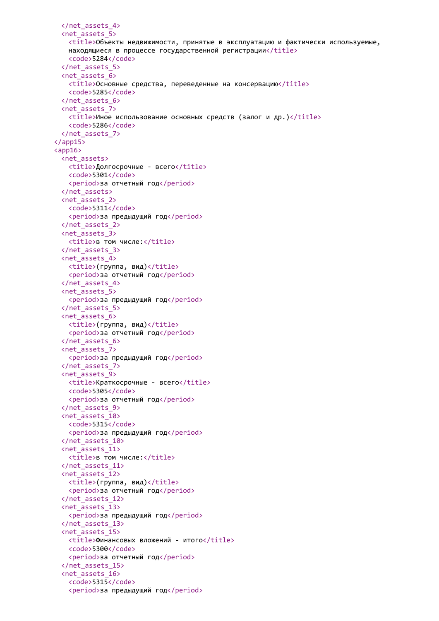```
</net_assets_4>
 <net_assets_5>
   <title>Объекты недвижимости, принятые в эксплуатацию и фактически используемые,
   находящиеся в процессе государственной регистрации</title>
   <code>5284</code>
 </net_assets_5>
 <net_assets_6>
   <title>Основные средства, переведенные на консервацию</title>
   <code>5285</code>
 </net_assets_6>
 <net_assets_7>
   <title>Иное использование основных средств (залог и др.)</title>
   <code>5286</code>
 </net_assets_7>
</app15>
\langleapp16\rangle<net_assets>
   <title>Долгосрочные - всего</title>
   <code>5301</code>
   <period>за отчетный год</period>
 </net_assets>
 <net_assets_2>
   <code>5311</code>
   <period>за предыдущий год</period>
 </net_assets_2>
 <net_assets_3>
   <title>в том числе:</title>
 </net_assets_3>
 <net_assets_4>
   <title>(группа, вид)</title>
   <period>за отчетный год</period>
 </net_assets_4>
 <net_assets_5>
   <period>за предыдущий год</period>
 </net_assets_5>
 <net_assets_6>
   <title>(группа, вид)</title>
   <period>за отчетный год</period>
 </net_assets_6>
 <net_assets_7>
   <period>за предыдущий год</period>
 </net_assets_7>
 <net_assets_9>
   <title>Краткосрочные - всего</title>
   <code>5305</code>
   <period>за отчетный год</period>
 </net_assets_9>
 <net_assets_10>
   <code>5315</code>
   <period>за предыдущий год</period>
 </net_assets_10>
 <net_assets_11>
   <title>в том числе:</title>
 </net_assets_11>
 <net_assets_12>
   <title>(группа, вид)</title>
   <period>за отчетный год</period>
 </net_assets_12>
 <net_assets_13>
   <period>за предыдущий год</period>
 </net_assets_13>
 <net_assets_15>
   <title>Финансовых вложений - итого</title>
   <code>5300</code>
   <period>за отчетный год</period>
 </net_assets_15>
 <net_assets_16>
   <code>5315</code>
   <period>за предыдущий год</period>
```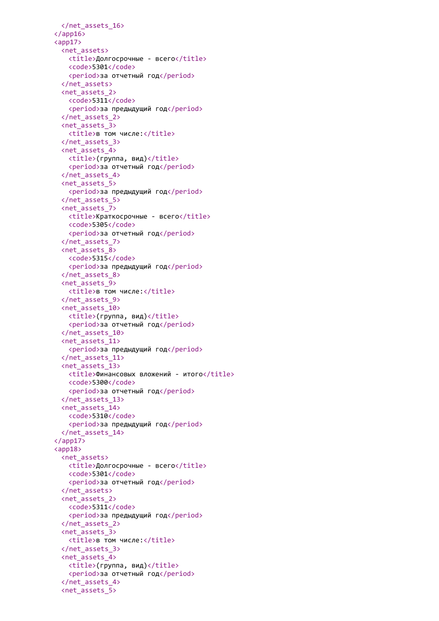```
</net_assets_16>
\langle app16>
<app17>
 <net_assets>
   <title>Долгосрочные - всего</title>
   <code>5301</code>
   <period>за отчетный год</period>
 </net_assets>
 <net_assets_2>
   <code>5311</code>
   <period>за предыдущий год</period>
 </net_assets_2>
 <net_assets_3>
   <title>в том числе:</title>
 </net_assets_3>
 <net_assets_4>
   \langle \text{title} \rangle(группа, вид)</title>
   <period>за отчетный год</period>
 </net_assets_4>
 <net_assets_5>
   <period>за предыдущий год</period>
 </net_assets_5>
 <net_assets_7>
   <title>Краткосрочные - всего</title>
   <code>5305</code>
   <period>за отчетный год</period>
 </net_assets_7>
 <net_assets_8>
   <code>5315</code>
   <period>за предыдущий год</period>
 </net_assets_8>
 <net_assets_9>
   <title>в том числе:</title>
 </net_assets_9>
 <net_assets_10>
   <title>(группа, вид)</title>
   <period>за отчетный год</period>
 </net_assets_10>
 <net_assets_11>
   <period>за предыдущий год</period>
 </net_assets_11>
 <net_assets_13>
   <title>Финансовых вложений - итого</title>
   <code>5300</code>
   <period>за отчетный год</period>
 </net_assets_13>
 <net_assets_14>
   <code>5310</code>
   <period>за предыдущий год</period>
 </net_assets_14>
</app17>
<app18>
 <net_assets>
   <title>Долгосрочные - всего</title>
   <code>5301</code>
   <period>за отчетный год</period>
 </net_assets>
 <net_assets_2>
   <code>5311</code>
   <period>за предыдущий год</period>
 </net_assets_2>
 <net_assets_3>
   <title>в том числе:</title>
 </net_assets_3>
 <net_assets_4>
   <title>(группа, вид)</title>
   <period>за отчетный год</period>
 </net_assets_4>
 <net_assets_5>
```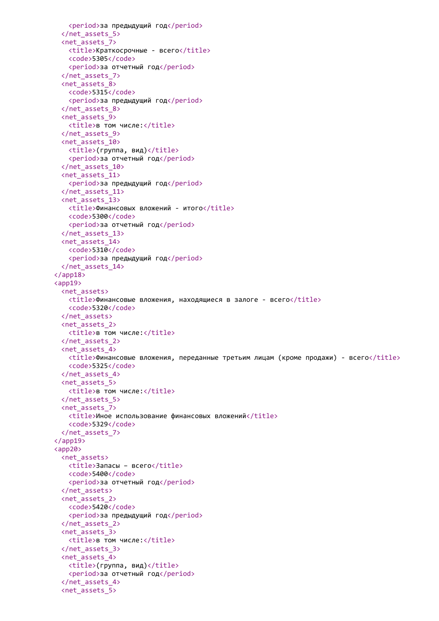```
<period>за предыдущий год</period>
 </net_assets_5>
 <net_assets_7>
   <title>Краткосрочные - всего</title>
   <code>5305</code>
   <period>за отчетный год</period>
 </net_assets_7>
 <net_assets_8>
   <code>5315</code>
   <period>за предыдущий год</period>
 </net_assets_8>
 <net_assets_9>
   <title>в том числе:</title>
 </net_assets_9>
 <net_assets_10>
   <title>(группа, вид)</title>
   <period>за отчетный год</period>
 </net_assets_10>
 <net_assets_11>
   <period>за предыдущий год</period>
 </net_assets_11>
 <net_assets_13>
   <title>Финансовых вложений - итого</title>
   <code>5300</code>
   <period>за отчетный год</period>
 </net_assets_13>
 <net_assets_14>
   <code>5310</code>
   <period>за предыдущий год</period>
 </net_assets_14>
</app18>
<app19>
 <net assets>
   <title>Финансовые вложения, находящиеся в залоге - всего</title>
   <code>5320</code>
 </net_assets>
 <net_assets_2>
   <title>в том числе:</title>
 </net_assets_2>
 <net_assets_4>
   <title>Финансовые вложения, переданные третьим лицам (кроме продажи) - всего</title>
   <code>5325</code>
 </net_assets_4>
 <net_assets_5>
   <title>в том числе:</title>
 </net_assets_5>
 <net_assets_7>
   <title>Иное использование финансовых вложений</title>
   <code>5329</code>
 </net_assets_7>
</app19>
<app20>
 <net_assets>
   <title>Запасы - всего</title>
   <code>5400</code>
   <period>за отчетный год</period>
 </net_assets>
 <net_assets_2>
   <code>5420</code>
   <period>за предыдущий год</period>
 </net_assets_2>
 <net_assets_3>
   <title>в том числе:</title>
 </net_assets_3>
 <net_assets_4>
   <title>(группа, вид)</title>
   <period>за отчетный год</period>
 </net_assets_4>
 <net_assets_5>
```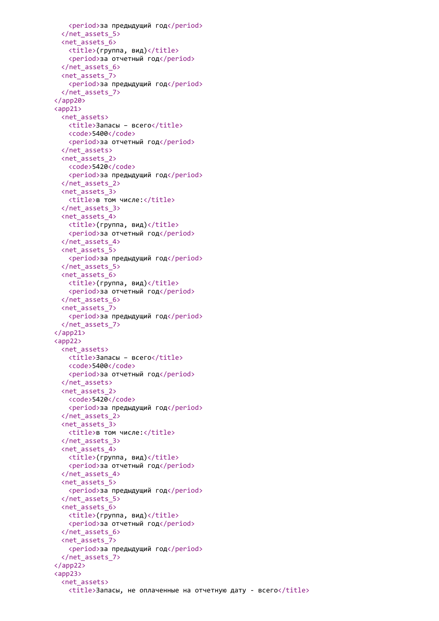```
<period>за предыдущий год</period>
 </net_assets_5>
 <net_assets_6>
   <title>(группа, вид)</title>
   <period>за отчетный год</period>
 </net_assets_6>
 <net_assets_7>
   <period>за предыдущий год</period>
 </net_assets_7>
</app20>
<app21>
 <net_assets>
   <title>Запасы – всего</title>
   <code>5400</code>
   <period>за отчетный год</period>
 </net_assets>
 <net_assets_2>
   <code>5420</code>
   <period>за предыдущий год</period>
 </net_assets_2>
 <net_assets_3>
   <title>в том числе:</title>
 </net_assets_3>
 <net_assets_4>
   <title>(группа, вид)</title>
   <period>за отчетный год</period>
 </net_assets_4>
 <net_assets_5>
   <period>за предыдущий год</period>
 </net_assets_5>
 <net_assets_6>
   <title>(группа, вид)</title>
   <period>за отчетный год</period>
 </net_assets_6>
 <net_assets_7>
   <period>за предыдущий год</period>
 </net_assets_7>
</app21>
<app22>
 <net_assets>
   <title>Запасы - всего</title>
   <code>5400</code>
   <period>за отчетный год</period>
 </net_assets>
 <net_assets_2>
   <code>5420</code>
   <period>за предыдущий год</period>
 </net_assets_2>
 <net_assets_3>
   <title>в том числе:</title>
 </net_assets_3>
 <net_assets_4>
   <title>(группа, вид)</title>
   <period>за отчетный год</period>
 </net_assets_4>
 <net_assets_5>
   <period>за предыдущий год</period>
 </net_assets_5>
 <net_assets_6>
   <title>(группа, вид)</title>
   <period>за отчетный год</period>
 </net_assets_6>
 <net_assets_7>
   <period>за предыдущий год</period>
 </net_assets_7>
</app22>
<app23>
 <net_assets>
   <title>Запасы, не оплаченные на отчетную дату - всего</title>
```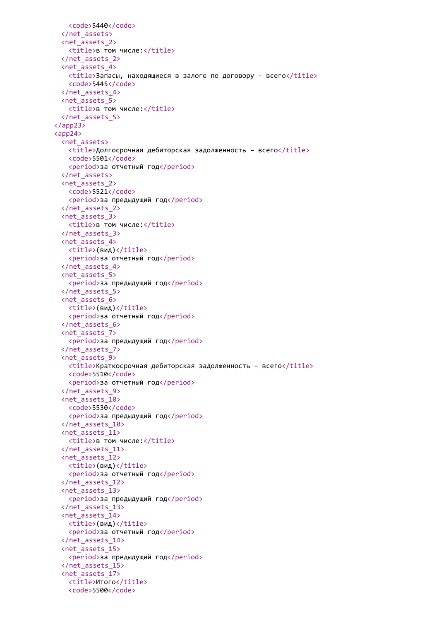```
<code>5440</code>
 </net_assets>
 <net_assets_2>
   <title>в том числе:</title>
 </net_assets_2>
 <net_assets_4>
   <title>Запасы, находящиеся в залоге по договору - всего</title>
   <code>5445</code>
 </net_assets_4>
 <net_assets_5>
   <title>в том числе:</title>
 </net_assets_5>
</app23>
<app24>
 <net_assets>
   <title>Долгосрочная дебиторская задолженность – всего</title>
   <code>5501</code>
   <period>за отчетный год</period>
 </net_assets>
 <net_assets_2>
   <code>5521</code>
   <period>за предыдущий год</period>
 </net_assets_2>
 <net_assets_3>
   <title>в том числе:</title>
 </net_assets_3>
 <net_assets_4>
   <title>(вид)</title>
   <period>за отчетный год</period>
 </net_assets_4>
 <net_assets_5>
   <period>за предыдущий год</period>
 </net_assets_5>
 <net_assets_6>
   <title>(вид)</title>
   <period>за отчетный год</period>
 </net_assets_6>
 <net_assets_7>
   <period>за предыдущий год</period>
 </net_assets_7>
 <net_assets_9>
   <title>Краткосрочная дебиторская задолженность – всего</title>
   <code>5510</code>
   <period>за отчетный год</period>
 </net_assets_9>
 <net_assets_10>
   <code>5530</code>
   <period>за предыдущий год</period>
 </net_assets_10>
 <net_assets_11>
   <title>в том числе:</title>
 </net_assets_11>
 <net_assets_12>
   <title>(вид)</title>
   <period>за отчетный год</period>
 </net_assets_12>
 <net_assets_13>
   <period>за предыдущий год</period>
 </net_assets_13>
 <net_assets_14>
   <title>(вид)</title>
   <period>за отчетный год</period>
 </net_assets_14>
 <net_assets_15>
   <period>за предыдущий год</period>
 </net_assets_15>
 <net_assets_17>
   <title>Итого</title>
   <code>5500</code>
```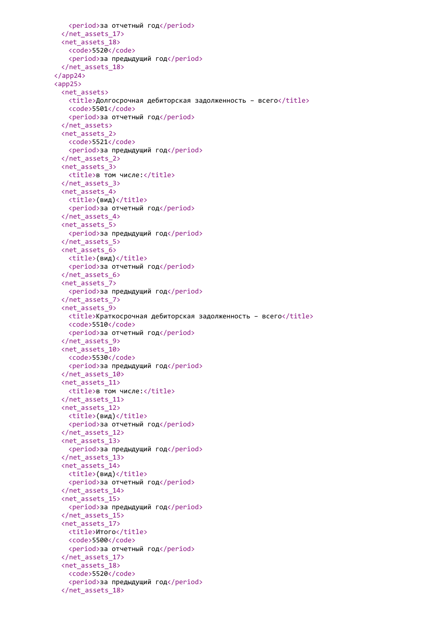```
<period>за отчетный год</period>
 </net_assets_17>
 <net_assets_18>
   <code>5520</code>
   <period>за предыдущий год</period>
 </net_assets_18>
</app24>
<app25>
 <net_assets>
   <title>Долгосрочная дебиторская задолженность – всего</title>
   <code>5501</code>
   <period>за отчетный год</period>
 </net_assets>
 <net_assets_2>
   <code>5521</code>
   <period>за предыдущий год</period>
 </net_assets_2>
 <net_assets_3>
   <title>в том числе:</title>
 </net_assets_3>
 <net_assets_4>
   <title>(вид)</title>
   <period>за отчетный год</period>
 </net_assets_4>
 <net_assets_5>
   <period>за предыдущий год</period>
 </net_assets_5>
 <net_assets_6>
   <title>(вид)</title>
   <period>за отчетный год</period>
 </net_assets_6>
 <net_assets_7>
   <period>за предыдущий год</period>
 </net_assets_7>
 <net_assets_9>
   <title>Краткосрочная дебиторская задолженность – всего</title>
   <code>5510</code>
   <period>за отчетный год</period>
 </net_assets_9>
 <net_assets_10>
   <code>5530</code>
   <period>за предыдущий год</period>
 </net_assets_10>
 <net_assets_11>
   <title>в том числе:</title>
 </net_assets_11>
 <net_assets_12>
   <title>(вид)</title>
   <period>за отчетный год</period>
 </net_assets_12>
 <net_assets_13>
   <period>за предыдущий год</period>
 </net_assets_13>
 <net_assets_14>
   <title>(вид)</title>
   <period>за отчетный год</period>
 </net_assets_14>
 <net_assets_15>
   <period>за предыдущий год</period>
 </net_assets_15>
 <net_assets_17>
   <title>Итого</title>
   <code>5500</code>
   <period>за отчетный год</period>
 </net_assets_17>
 <net_assets_18>
   <code>5520</code>
   <period>за предыдущий год</period>
 </net_assets_18>
```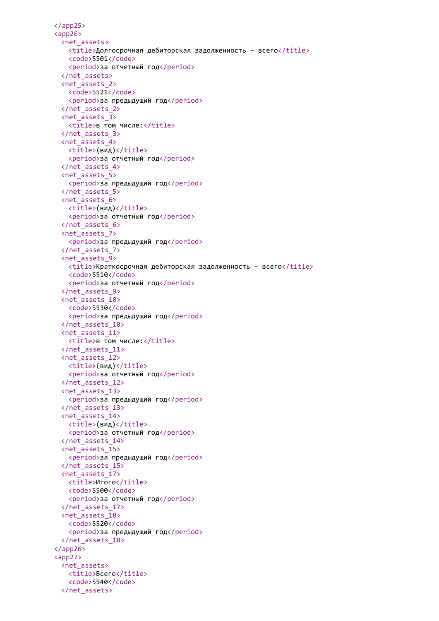```
</app25>
<app26>
 <net_assets>
   <title>Долгосрочная дебиторская задолженность – всего</title>
   <code>5501</code>
   <period>за отчетный год</period>
 </net_assets>
 <net_assets_2>
   <code>5521</code>
   <period>за предыдущий год</period>
 </net_assets_2>
 <net_assets_3>
   <title>в том числе:</title>
 </net_assets_3>
 <net_assets_4>
   <title>(вид)</title>
   <period>за отчетный год</period>
 </net_assets_4>
 <net_assets_5>
   <period>за предыдущий год</period>
 </net_assets_5>
 <net_assets_6>
   <title>(вид)</title>
   <period>за отчетный год</period>
 </net_assets_6>
 <net_assets_7>
   <period>за предыдущий год</period>
 </net_assets_7>
 <net_assets_9>
   <title>Краткосрочная дебиторская задолженность – всего</title>
   <code>5510</code>
   <period>за отчетный год</period>
 </net_assets_9>
 <net_assets_10>
   <code>5530</code>
   <period>за предыдущий год</period>
 </net_assets_10>
 <net_assets_11>
   <title>в том числе:</title>
 </net_assets_11>
 <net_assets_12>
   <title>(вид)</title>
   <period>за отчетный год</period>
 </net_assets_12>
 <net_assets_13>
   <period>за предыдущий год</period>
 </net_assets_13>
 <net_assets_14>
   <title>(вид)</title>
   <period>за отчетный год</period>
 </net_assets_14>
 <net_assets_15>
   <period>за предыдущий год</period>
 </net_assets_15>
 <net_assets_17>
   <title>Итого</title>
   <code>5500</code>
   <period>за отчетный год</period>
 </net_assets_17>
 <net_assets_18>
   <code>5520</code>
   <period>за предыдущий год</period>
 </net_assets_18>
</app26>
<app27>
 <net_assets>
   <title>Всего</title>
   <code>5540</code>
 </net_assets>
```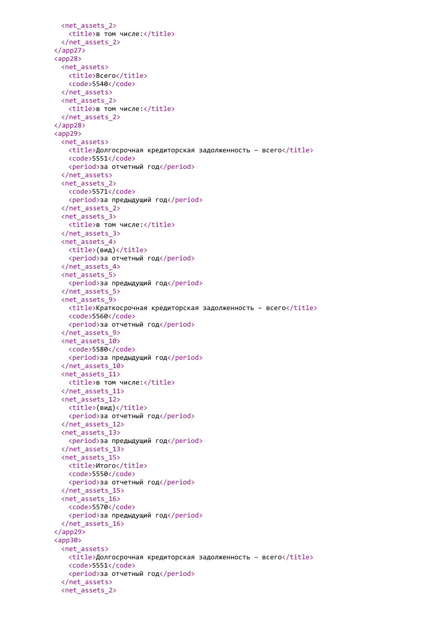```
<net_assets_2>
   <title>в том числе:</title>
 </net_assets_2>
</app27>
<app28>
 <net_assets>
   <title>Всего</title>
   <code>5540</code>
 </net_assets>
 <net_assets_2>
   <title>в том числе:</title>
 </net_assets_2>
</app28>
<app29>
 <net_assets>
   \langletitle>Долгосрочная кредиторская задолженность – всего\langletitle>
   <code>5551</code>
   <period>за отчетный год</period>
 </net_assets>
 <net_assets_2>
   <code>5571</code>
   <period>за предыдущий год</period>
 </net_assets_2>
 <net_assets_3>
   <title>в том числе:</title>
 </net_assets_3>
 <net_assets_4>
   <title>(вид)</title>
   <period>за отчетный год</period>
 </net_assets_4>
 <net_assets_5>
   <period>за предыдущий год</period>
 </net_assets_5>
 <net_assets_9>
   <title>Краткосрочная кредиторская задолженность – всего</title>
   <code>5560</code>
   <period>за отчетный год</period>
 </net_assets_9>
 <net_assets_10>
   <code>5580</code>
   <period>за предыдущий год</period>
 </net_assets_10>
 <net_assets_11>
   <title>в том числе:</title>
 </net_assets_11>
 <net_assets_12>
   <title>(вид)</title>
   <period>за отчетный год</period>
 </net_assets_12>
 <net_assets_13>
   <period>за предыдущий год</period>
 </net_assets_13>
 <net_assets_15>
   <title>Итого</title>
   <code>5550</code>
   <period>за отчетный год</period>
 </net_assets_15>
 <net_assets_16>
   <code>5570</code>
   <period>за предыдущий год</period>
 </net_assets_16>
</app29>
<app30>
 <net_assets>
   <title>Долгосрочная кредиторская задолженность – всего</title>
   <code>5551</code>
   <period>за отчетный год</period>
 </net_assets>
 <net_assets_2>
```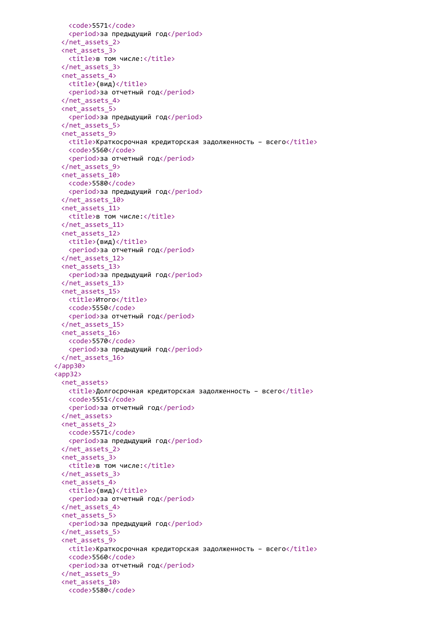```
<code>5571</code>
   <period>за предыдущий год</period>
 </net_assets_2>
 <net_assets_3>
   <title>в том числе:</title>
 </net_assets_3>
 <net_assets_4>
   <title>(вид)</title>
   <period>за отчетный год</period>
 </net_assets_4>
 <net_assets_5>
   <period>за предыдущий год</period>
 </net_assets_5>
 <net_assets_9>
   <title>Краткосрочная кредиторская задолженность - всего</title>
   <code>5560</code>
   <period>за отчетный год</period>
 </net_assets_9>
 <net_assets_10>
   <code>5580</code>
   <period>за предыдущий год</period>
 </net_assets_10>
 <net_assets_11>
   <title>в том числе:</title>
 </net_assets_11>
 <net_assets_12>
   <title>(вид)</title>
   <period>за отчетный год</period>
 </net_assets_12>
 <net_assets_13>
   <period>за предыдущий год</period>
 </net_assets_13>
 <net_assets_15>
   <title>Итого</title>
   <code>5550</code>
   <period>за отчетный год</period>
 </net_assets_15>
 <net_assets_16>
   <code>5570</code>
   <period>за предыдущий год</period>
 </net_assets_16>
</app30>
<app32>
 <net assets>
   <title>Долгосрочная кредиторская задолженность - всего</title>
   <code>5551</code>
   <period>за отчетный год</period>
 </net_assets>
 <net_assets_2>
   <code>5571</code>
   <period>за предыдущий год</period>
 </net_assets_2>
 <net_assets_3>
   <title>в том числе:</title>
 </net_assets_3>
 <net_assets_4>
   <title>(вид)</title>
   <period>за отчетный год</period>
 </net_assets_4>
 <net_assets_5>
   <period>за предыдущий год</period>
 </net_assets_5>
 <net_assets_9>
   <title>Краткосрочная кредиторская задолженность - всего</title>
   <code>5560</code>
   <period>за отчетный год</period>
 </net_assets_9>
 <net_assets_10>
   <code>5580</code>
```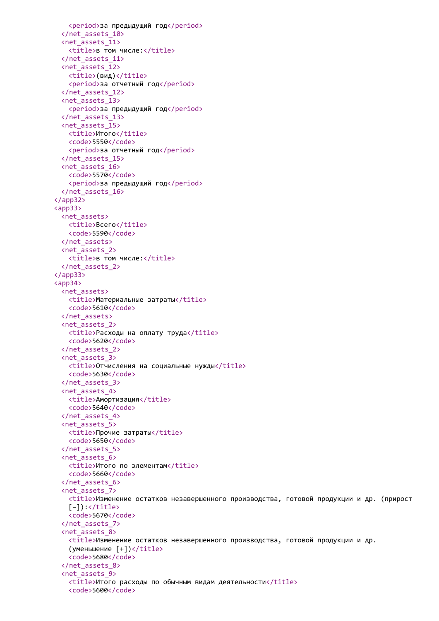```
<period>за предыдущий год</period>
 </net_assets_10>
 <net_assets_11>
   <title>в том числе:</title>
 </net_assets_11>
 <net_assets_12>
   <title>(вид)</title>
   <period>за отчетный год</period>
 </net_assets_12>
 <net_assets_13>
   <period>за предыдущий год</period>
 </net_assets_13>
 <net_assets_15>
   <title>Итого</title>
   <code>5550</code>
   <period>за отчетный год</period>
 </net_assets_15>
 <net_assets_16>
   <code>5570</code>
   <period>за предыдущий год</period>
 </net_assets_16>
</app32>
<app33>
 <net_assets>
   <title>Всего</title>
   <code>5590</code>
 </net_assets>
 <net_assets_2>
   <title>в том числе:</title>
 </net_assets_2>
</app33>
<app34>
 <net assets>
   <title>Материальные затраты</title>
   <code>5610</code>
 </net_assets>
 <net_assets_2>
   <title>Расходы на оплату труда</title>
   <code>5620</code>
 </net_assets_2>
 <net_assets_3>
   <title>Отчисления на социальные нужды</title>
   <code>5630</code>
 </net_assets_3>
 <net_assets_4>
   <title>Амортизация</title>
   <code>5640</code>
 </net_assets_4>
 <net_assets_5>
   <title>Прочие затраты</title>
   <code>5650</code>
 </net_assets_5>
 <net_assets_6>
   <title>Итого по элементам</title>
   <code>5660</code>
 </net_assets_6>
 <net_assets_7>
   <title>Изменение остатков незавершенного производства, готовой продукции и др. (прирост
   [-]:\langle/title>
   <code>5670</code>
 </net_assets_7>
 <net_assets_8>
   <title>Изменение остатков незавершенного производства, готовой продукции и др.
   (yменьшение [+])</title>
   <code>5680</code>
 </net_assets_8>
 <net_assets_9>
   <title>Итого расходы по обычным видам деятельности</title>
   <code>5600</code>
```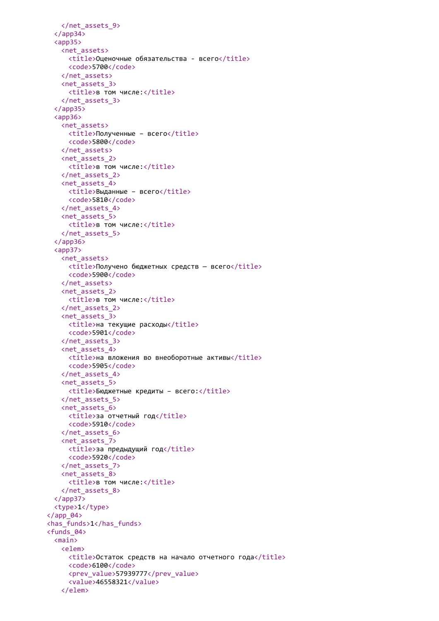```
</net_assets_9>
 </app34>
 <app35>
   <net_assets>
     <title>Оценочные обязательства - всего</title>
     <code>5700</code>
   </net_assets>
   <net_assets_3>
     <title>в том числе:</title>
   </net_assets_3>
 </app35>
 <app36>
   <net_assets>
     <title>Полученные - всего</title>
     <code>5800</code>
   </net_assets>
   <net_assets_2>
     <title>в том числе:</title>
   </net_assets_2>
   <net_assets_4>
     <title>Выданные - всего</title>
     <code>5810</code>
   </net_assets_4>
   <net_assets_5>
     <title>в том числе:</title>
   </net_assets_5>
 </app36>
 <app37>
   <net assets>
     <title>Получено бюджетных средств — всего</title>
     <code>5900</code>
   </net_assets>
   <net_assets_2>
     <title>в том числе:</title>
   </net_assets_2>
   <net_assets_3>
     <title>на текущие расходы</title>
     <code>5901</code>
   </net_assets_3>
   <net_assets_4>
     <title>на вложения во внеоборотные активы</title>
     <code>5905</code>
   </net_assets_4>
   <net_assets_5>
     <title>Бюджетные кредиты - всего:</title>
   </net_assets_5>
   <net_assets_6>
     <title>за отчетный год</title>
     <code>5910</code>
   </net_assets_6>
   <net_assets_7>
     <title>за предыдущий год</title>
     <code>5920</code>
   </net_assets_7>
   <net_assets_8>
     <title>в том числе:</title>
   </net_assets_8>
 </app37>
 <type>1</type>
\langle app 04\rangle<has_funds>1</has_funds>
<funds_04>
 <main>
   <elem>
     <title>Остаток средств на начало отчетного года</title>
     <code>6100</code>
     <prev_value>57939777</prev_value>
     <value>46558321</value>
   </elem>
```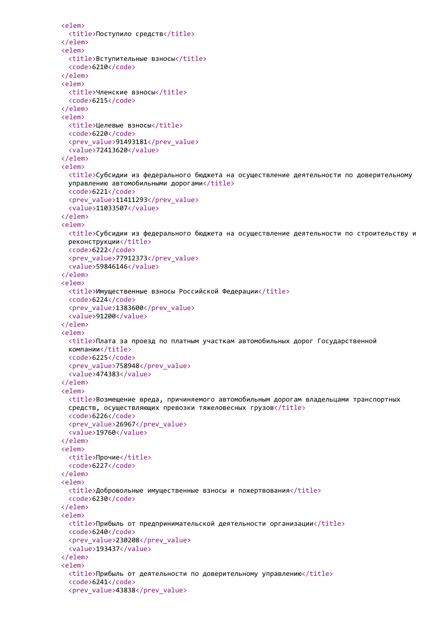```
<elem>
 <title>Поступило средств</title>
</elem>
<elem>
 <title>Вступительные взносы</title>
 <code>6210</code>
</elem>
<elem>
 <title>Членские взносы</title>
 <code>6215</code>
</elem>
<elem>
 <title>Целевые взносы</title>
 <code>6220</code>
 <prev_value>91493181</prev_value>
  <value>72413620</value>
</elem>
<elem>
 <title>Субсидии из федерального бюджета на осуществление деятельности по доверительному
 управлению автомобильными дорогами</title>
 <code>6221</code>
 <prev_value>11411293</prev_value>
  <value>11033507</value>
</elem>
<elem>
  <title>Субсидии из федерального бюджета на осуществление деятельности по строительству и
 реконструкции</title>
 <code>6222</code>
 <prev_value>77912373</prev_value>
  <value>59846146</value>
</elem>
<elem>
 <title>Имущественные взносы Российской Федерации</title>
 <code>6224</code>
 <prev_value>1383600</prev_value>
  <value>91200</value>
</elem>
<elem>
 <title>Плата за проезд по платным участкам автомобильных дорог Государственной
 компании</title>
 <code>6225</code>
 <prev_value>758948</prev_value>
  <value>474383</value>
</elem>
<elem>
 <title>Возмещение вреда, причиняемого автомобильным дорогам владельцами транспортных
 средств, осуществляющих превозки тяжеловесных грузов</title>
 <code>6226</code>
 <prev_value>26967</prev_value>
 <value>19760</value>
</elem>
<elem>
 <title>Прочие</title>
 <code>6227</code>
</elem>
<elem>
 <title>Добровольные имущественные взносы и пожертвования</title>
 <code>6230</code>
</elem>
<elem>
 <title>Прибыль от предпринимательской деятельности организации</title>
 <code>6240</code>
 <prev_value>230208</prev_value>
 <value>193437</value>
</elem>
<elem>
 <title>Прибыль от деятельности по доверительному управлению</title>
 <code>6241</code>
  <prev_value>43838</prev_value>
```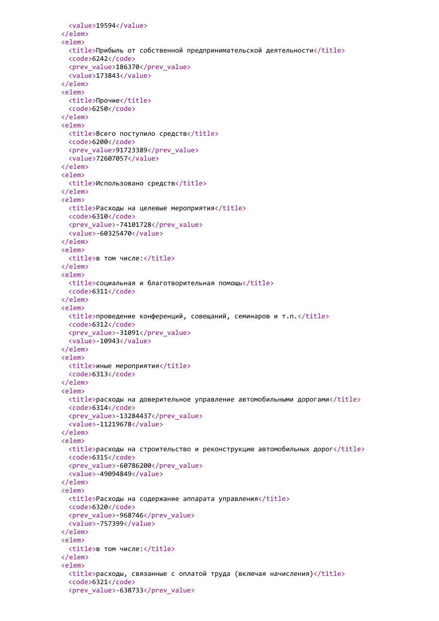```
<value>19594</value>
</elem>
<elem>
 <title>Прибыль от собственной предпринимательской деятельности</title>
 <code>6242</code>
 <prev_value>186370</prev_value>
  <value>173843</value>
</elem>
<elem>
 <title>Прочие</title>
  <code>6250</code>
</elem>
<elem>
 <title>Всего поступило средств</title>
 <code>6200</code>
 <prev_value>91723389</prev_value>
  <value>72607057</value>
</elem>
<elem>
 <title>Использовано средств</title>
</elem>
<elem>
 <title>Расходы на целевые мероприятия</title>
 <code>6310</code>
 <prev_value>-74101728</prev_value>
  <value>-60325470</value>
</elem>
<elem>
 <title>в том числе:</title>
</elem>
<elem>
 <title>социальная и благотворительная помощь</title>
 <code>6311</code>
</elem>
<elem>
 <title>проведение конференций, совещаний, семинаров и т.п.</title>
 <code>6312</code>
 <prev_value>-31091</prev_value>
 <value>-10943</value>
</elem>
<elem>
 <title>иные мероприятия</title>
 <code>6313</code>
</elem>
<elem>
 <title>расходы на доверительное управление автомобильными дорогами</title>
 <code>6314</code>
 <prev_value>-13284437</prev_value>
 <value>-11219678</value>
</elem>
<elem>
 <title>расходы на строительство и реконструкцию автомобильных дорог</title>
 <code>6315</code>
 <prev_value>-60786200</prev_value>
 <value>-49094849</value>
</elem>
<elem>
 <title>Расходы на содержание аппарата управления</title>
 <code>6320</code>
 <prev_value>-968746</prev_value>
 <value>-757399</value>
</elem>
<elem>
 <title>в том числе:</title>
</elem>
<elem>
 <title>расходы, связанные с оплатой труда (включая начисления)</title>
 <code>6321</code>
  <prev_value>-638733</prev_value>
```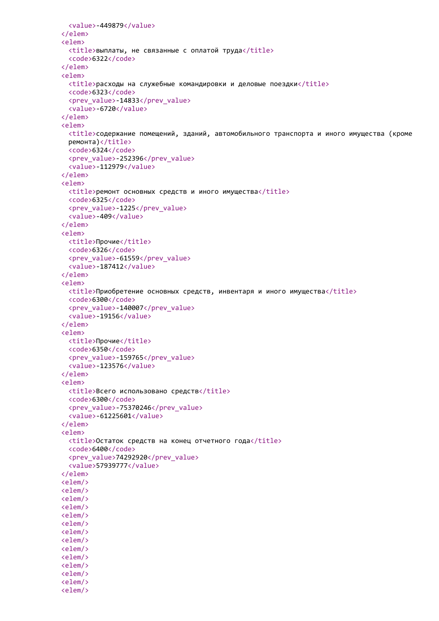```
<value>-449879</value>
</elem>
<elem>
 <title>выплаты, не связанные с оплатой труда</title>
  <code>6322</code>
</elem>
<elem>
 \langletitle>расходы на служебные командировки и деловые поездки</title>
  <code>6323</code>
 <prev_value>-14833</prev_value>
  <value>-6720</value>
</elem>
<elem>
  <title>содержание помещений, зданий, автомобильного транспорта и иного имущества (кроме
 ремонта)</title>
 <code>6324</code>
 <prev_value>-252396</prev_value>
  <value>-112979</value>
</elem>
<elem>
 <title>ремонт основных средств и иного имущества</title>
 <code>6325</code>
 <prev_value>-1225</prev_value>
  <value>-409</value>
</elem>
<elem>
 <title>Прочие</title>
 <code>6326</code>
 <prev_value>-61559</prev_value>
  <value>-187412</value>
</elem>
<elem>
 <title>Приобретение основных средств, инвентаря и иного имущества</title>
 <code>6300</code>
 <prev_value>-140007</prev_value>
  <value>-19156</value>
</elem>
<elem>
 <title>Прочие</title>
 <code>6350</code>
 <prev_value>-159765</prev_value>
 <value>-123576</value>
</elem>
<elem>
 <title>Всего использовано средств</title>
 <code>6300</code>
 <prev_value>-75370246</prev_value>
 <value>-61225601</value>
</elem>
<elem>
 <title>Остаток средств на конец отчетного года</title>
 <code>6400</code>
 <prev_value>74292920</prev_value>
 <value>57939777</value>
</elem>
<elem/>
<elem/>
<elem/>
<elem/>
<elem/>
<elem/>
<elem/>
<elem/>
<elem/>
<elem/>
<elem/>
<elem/>
<elem/>
<elem/>
```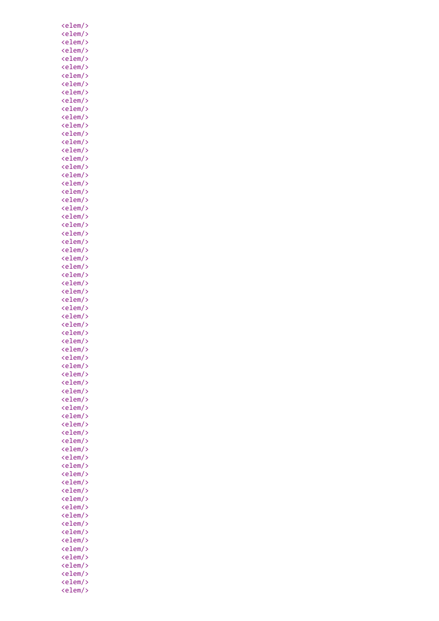| <elem></elem><br><elem></elem><br><elem></elem><br><elem></elem>                         |
|------------------------------------------------------------------------------------------|
| eiem/><br>kelem/><br>ke <sup>1</sup>                                                     |
| <elem></elem>                                                                            |
|                                                                                          |
| <elem></elem>                                                                            |
| <elem></elem>                                                                            |
| <elem></elem>                                                                            |
|                                                                                          |
| <elem></elem><br><elem></elem><br><elem></elem>                                          |
|                                                                                          |
| eiem/><br><elem></elem><br><e<sup>1</e<sup>                                              |
|                                                                                          |
| <elem></elem>                                                                            |
| <elem></elem>                                                                            |
| <elem></elem>                                                                            |
| <elem></elem>                                                                            |
|                                                                                          |
|                                                                                          |
| <elem></elem><br><elem></elem><br><elem></elem>                                          |
|                                                                                          |
| eiem/><br><elem></elem><br><e<sup>1</e<sup>                                              |
| <elem></elem>                                                                            |
| <elem></elem>                                                                            |
| <elem></elem>                                                                            |
| <elem></elem>                                                                            |
|                                                                                          |
|                                                                                          |
| <elem></elem><br><elem></elem><br><elem></elem>                                          |
| eiem/><br>kelem/><br>ke <sup>l</sup>                                                     |
|                                                                                          |
| <elem></elem>                                                                            |
| <elem></elem>                                                                            |
| <elem></elem>                                                                            |
| <elem></elem>                                                                            |
|                                                                                          |
| <elem></elem><br><elem></elem><br><elem></elem>                                          |
|                                                                                          |
| -∸em/<br><elem <br="">&lt;&lt;<br/><math>\mathbf{\hat{}}</math></elem>                   |
| $\langle$ elem $\rangle$                                                                 |
| <elem></elem>                                                                            |
|                                                                                          |
| <elem></elem>                                                                            |
| <elem></elem>                                                                            |
| <elem></elem>                                                                            |
| <elem <br=""><elem <="" th=""></elem></elem>                                             |
| $\mathsf{P}$                                                                             |
| <elem <="" th=""></elem>                                                                 |
| <elem <="" th=""></elem>                                                                 |
| <elem <br=""><math>\mathbf{\hat{ }}</math></elem>                                        |
| <elem></elem>                                                                            |
|                                                                                          |
| <elem></elem>                                                                            |
| <elem></elem>                                                                            |
| <elem <br=""><elem <br=""><elem <br=""><math>\mathbf{\hat{}}</math></elem></elem></elem> |
| ⋟                                                                                        |
| $\mathsf{P}$                                                                             |
| <elem <br="">⋟</elem>                                                                    |
| <elem></elem>                                                                            |
| <elem></elem>                                                                            |
| <elem></elem>                                                                            |
|                                                                                          |
| <elem></elem><br>$\mathbf{\hat{ }}$                                                      |
| <elem <br=""><elem <br=""><elem <="" th=""></elem></elem></elem>                         |
| ⋟                                                                                        |
| $\mathsf{P}$                                                                             |
| <elem <br=""><math>\mathsf{\hat{ }}</math></elem>                                        |
| <elem></elem>                                                                            |
| <elem></elem>                                                                            |
| <elem></elem>                                                                            |
| <elem></elem>                                                                            |
|                                                                                          |
| <elem <br=""><elem <br=""><elem <br=""><math>\mathbf{\hat{}}</math></elem></elem></elem> |
|                                                                                          |
|                                                                                          |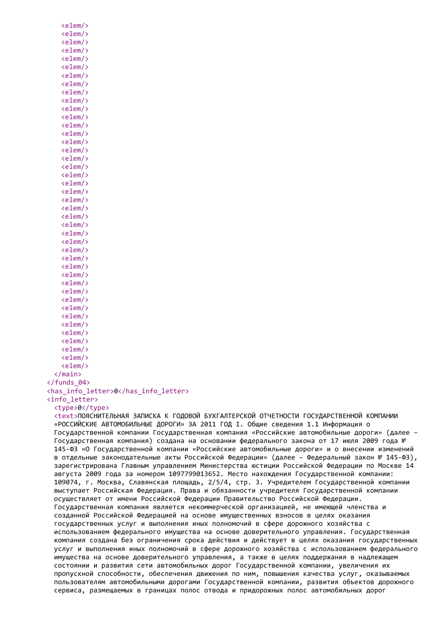```
<elem/>
   <elem/>
   <elem/>
   <elem/>
   <elem/>
   <elem/>
   <elem/>
   <elem/>
   <elem/>
   <elem/>
   <elem/>
   <elem/>
   <elem/>
   <elem/>
   <elem/>
   <elem/>
   <elem/>
   <elem/>
   <elem/>
   <elem/>
   <elem/>
   <elem/>
   \langleelem/\rangle\langleelem/\rangle<elem/>
   <elem/>
   <elem/>
   <elem/>
   <elem/>
   <elem/>
   <elem/>
   <elem/>
   <elem/>
   <elem/>
   <elem/>
   <elem/>
   <elem/>
   <elem/>
   <elem/>
   <elem/>
   <elem/>
   <elem/>
 </main>
</funds_04>
<has_info_letter>0</has_info_letter>
<info_letter>
 <type>0</type>
 <text>ПОЯСНИТЕЛЬНАЯ ЗАПИСКА К ГОДОВОЙ БУХГАЛТЕРСКОЙ ОТЧЕТНОСТИ ГОСУДАРСТВЕННОЙ КОМПАНИИ
 «РОССИЙСКИЕ АВТОМОБИЛЬНЫЕ ДОРОГИ» ЗА 2011 ГОД I. Общие сведения 1.1 Информация о
 Государственной компании Государственная компания «Российские автомобильные дороги» (далее –
 Государственная компания) создана на основании федерального закона от 17 июля 2009 года №
 145-ФЗ «О Государственной компании «Российские автомобильные дороги» и о внесении изменений
 в отдельные законодательные акты Российской Федерации» (далее – Федеральный закон № 145-ФЗ),
 зарегистрирована Главным управлением Министерства юстиции Российской Федерации по Москве 14
 августа 2009 года за номером 1097799013652. Место нахождения Государственной компании:
 109074, г. Москва, Славянская площадь, 2/5/4, стр. 3. Учредителем Государственной компании
 выступает Российская Федерация. Права и обязанности учредителя Государственной компании
 осуществляет от имени Российской Федерации Правительство Российской Федерации.
 Государственная компания является некоммерческой организацией, не имеющей членства и
 созданной Российской Федерацией на основе имущественных взносов в целях оказания
 государственных услуг и выполнения иных полномочий в сфере дорожного хозяйства с
 использованием федерального имущества на основе доверительного управления. Государственная
 компания создана без ограничения срока действия и действует в целях оказания государственных
 услуг и выполнения иных полномочий в сфере дорожного хозяйства с использованием федерального
 имущества на основе доверительного управления, а также в целях поддержания в надлежащем
 состоянии и развития сети автомобильных дорог Государственной компании, увеличения их
 пропускной способности, обеспечения движения по ним, повышения качества услуг, оказываемых
 пользователям автомобильными дорогами Государственной компании, развития объектов дорожного
 сервиса, размещаемых в границах полос отвода и придорожных полос автомобильных дорог
```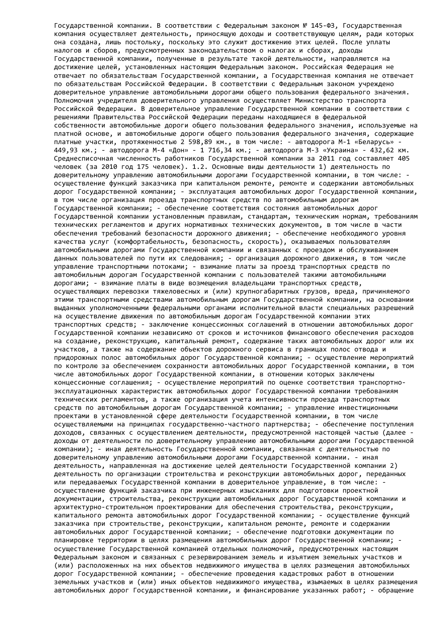Государственной компании. В соответствии с Федеральным законом № 145-ФЗ, Государственная компания осуществляет деятельность, приносящую доходы и соответствующую целям, ради которых она создана, лишь постольку, поскольку это служит достижению этих целей. После уплаты налогов и сборов, предусмотренных законодательством о налогах и сборах, доходы Государственной компании, полученные в результате такой деятельности, направляются на достижение целей, установленных настоящим Федеральным законом. Российская Федерация не отвечает по обязательствам Государственной компании, а Государственная компания не отвечает по обязательствам Российской Федерации. В соответствии с Федеральным законом учреждено доверительное управление автомобильными дорогами общего пользования федерального значения. Полномочия учредителя доверительного управления осуществляет Министерство транспорта Российской Федерации. В доверительное управление Государственной компании в соответствии с решениями Правительства Российской Федерации переданы находящиеся в федеральной собственности автомобильные дороги общего пользования федерального значения, используемые на платной основе, и автомобильные дороги общего пользования федерального значения, содержащие платные участки, протяженностью 2 598,89 км., в том числе: - автодорога М-1 «Беларусь» - 449,93 км.; - автодорога М-4 «Дон» - 1 716,34 км.; - автодорога М-3 «Украина» - 432,62 км. Среднесписочная численность работников Государственной компании за 2011 год составляет 405 человек (за 2010 год 175 человек). 1.2. Основные виды деятельности 1) деятельность по доверительному управлению автомобильными дорогами Государственной компании, в том числе: осуществление функций заказчика при капитальном ремонте, ремонте и содержании автомобильных дорог Государственной компании; - эксплуатация автомобильных дорог Государственной компании, в том числе организация проезда транспортных средств по автомобильным дорогам Государственной компании; - обеспечение соответствия состояния автомобильных дорог Государственной компании установленным правилам, стандартам, техническим нормам, требованиям технических регламентов и других нормативных технических документов, в том числе в части обеспечения требований безопасности дорожного движения; - обеспечение необходимого уровня качества услуг (комфортабельность, безопасность, скорость), оказываемых пользователям автомобильными дорогами Государственной компании и связанных с проездом и обслуживанием данных пользователей по пути их следования; - организация дорожного движения, в том числе управление транспортными потоками; - взимание платы за проезд транспортных средств по автомобильным дорогам Государственной компании с пользователей такими автомобильными дорогами; - взимание платы в виде возмещения владельцами транспортных средств, осуществляющих перевозки тяжеловесных и (или) крупногабаритных грузов, вреда, причиняемого этими транспортными средствами автомобильным дорогам Государственной компании, на основании выданных уполномоченными федеральными органами исполнительной власти специальных разрешений на осуществление движения по автомобильным дорогам Государственной компании этих транспортных средств; - заключение концессионных соглашений в отношении автомобильных дорог Государственной компании независимо от сроков и источников финансового обеспечения расходов на создание, реконструкцию, капитальный ремонт, содержание таких автомобильных дорог или их участков, а также на содержание объектов дорожного сервиса в границах полос отвода и придорожных полос автомобильных дорог Государственной компании; - осуществление мероприятий по контролю за обеспечением сохранности автомобильных дорог Государственной компании, в том числе автомобильных дорог Государственной компании, в отношении которых заключены концессионные соглашения; - осуществление мероприятий по оценке соответствия транспортноэксплуатационных характеристик автомобильных дорог Государственной компании требованиям технических регламентов, а также организация учета интенсивности проезда транспортных средств по автомобильным дорогам Государственной компании; - управление инвестиционными проектами в установленной сфере деятельности Государственной компании, в том числе осуществляемыми на принципах государственно-частного партнерства; - обеспечение поступления доходов, связанных с осуществлением деятельности, предусмотренной настоящей частью (далее доходы от деятельности по доверительному управлению автомобильными дорогами Государственной компании); - иная деятельность Государственной компании, связанная с деятельностью по доверительному управлению автомобильными дорогами Государственной компании. - иная деятельность, направленная на достижение целей деятельности Государственной компании 2) деятельность по организации строительства и реконструкции автомобильных дорог, переданных или передаваемых Государственной компании в доверительное управление, в том числе: осуществление функций заказчика при инженерных изысканиях для подготовки проектной документации, строительства, реконструкции автомобильных дорог Государственной компании и архитектурно-строительном проектировании для обеспечения строительства, реконструкции, капитального ремонта автомобильных дорог Государственной компании; - осуществление функций заказчика при строительстве, реконструкции, капитальном ремонте, ремонте и содержании автомобильных дорог Государственной компании; - обеспечение подготовки документации по планировке территории в целях размещения автомобильных дорог Государственной компании; осуществление Государственной компанией отдельных полномочий, предусмотренных настоящим Федеральным законом и связанных с резервированием земель и изъятием земельных участков и (или) расположенных на них объектов недвижимого имущества в целях размещения автомобильных дорог Государственной компании; - обеспечение проведения кадастровых работ в отношении земельных участков и (или) иных объектов недвижимого имущества, изымаемых в целях размещения автомобильных дорог Государственной компании, и финансирование указанных работ; - обращение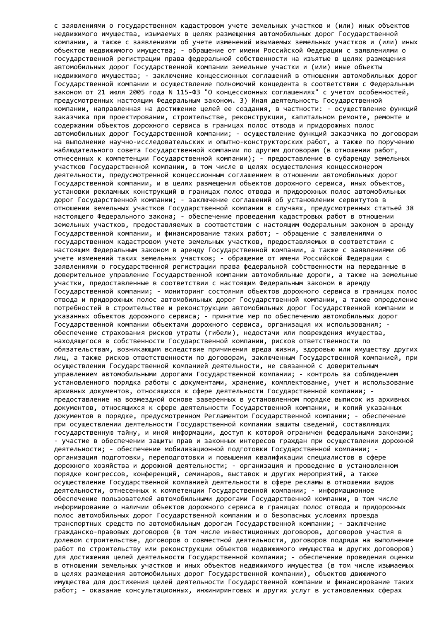с заявлениями о государственном кадастровом учете земельных участков и (или) иных объектов недвижимого имущества, изымаемых в целях размещения автомобильных дорог Государственной компании, а также с заявлениями об учете изменений изымаемых земельных участков и (или) иных объектов недвижимого имущества; - обращение от имени Российской Федерации с заявлениями о государственной регистрации права федеральной собственности на изъятые в целях размещения автомобильных дорог Государственной компании земельные участки и (или) иные объекты недвижимого имущества; - заключение концессионных соглашений в отношении автомобильных дорог Государственной компании и осуществление полномочий концедента в соответствии с Федеральным законом от 21 июля 2005 года N 115-ФЗ "О концессионных соглашениях" с учетом особенностей, предусмотренных настоящим Федеральным законом. 3) Иная деятельность Государственной компании, направленная на достижение целей ее создания, в частности: - осуществление функций заказчика при проектировании, строительстве, реконструкции, капитальном ремонте, ремонте и содержании объектов дорожного сервиса в границах полос отвода и придорожных полос автомобильных дорог Государственной компании; - осуществление функций заказчика по договорам на выполнение научно-исследовательских и опытно-конструкторских работ, а также по поручению наблюдательного совета Государственной компании по другим договорам (в отношении работ, отнесенных к компетенции Государственной компании); - предоставление в субаренду земельных участков Государственной компании, в том числе в целях осуществления концессионером деятельности, предусмотренной концессионным соглашением в отношении автомобильных дорог Государственной компании, и в целях размещения объектов дорожного сервиса, иных объектов, установки рекламных конструкций в границах полос отвода и придорожных полос автомобильных дорог Государственной компании; - заключение соглашений об установлении сервитутов в отношении земельных участков Государственной компании в случаях, предусмотренных статьей 38 настоящего Федерального закона; - обеспечение проведения кадастровых работ в отношении земельных участков, предоставляемых в соответствии с настоящим Федеральным законом в аренду Государственной компании, и финансирование таких работ; - обращение с заявлениями о государственном кадастровом учете земельных участков, предоставляемых в соответствии с настоящим Федеральным законом в аренду Государственной компании, а также с заявлениями об учете изменений таких земельных участков; - обращение от имени Российской Федерации с заявлениями о государственной регистрации права федеральной собственности на переданные в доверительное управление Государственной компании автомобильные дороги, а также на земельные участки, предоставленные в соответствии с настоящим Федеральным законом в аренду Государственной компании; - мониторинг состояния объектов дорожного сервиса в границах полос отвода и придорожных полос автомобильных дорог Государственной компании, а также определение потребностей в строительстве и реконструкции автомобильных дорог Государственной компании и указанных объектов дорожного сервиса; - принятие мер по обеспечению автомобильных дорог Государственной компании объектами дорожного сервиса, организация их использования; обеспечение страхования рисков утраты (гибели), недостачи или повреждения имущества, находящегося в собственности Государственной компании, рисков ответственности по обязательствам, возникающим вследствие причинения вреда жизни, здоровью или имуществу других лиц, а также рисков ответственности по договорам, заключенным Государственной компанией, при осуществлении Государственной компанией деятельности, не связанной с доверительным управлением автомобильными дорогами Государственной компании; - контроль за соблюдением установленного порядка работы с документами, хранение, комплектование, учет и использование архивных документов, относящихся к сфере деятельности Государственной компании; предоставление на возмездной основе заверенных в установленном порядке выписок из архивных документов, относящихся к сфере деятельности Государственной компании, и копий указанных документов в порядке, предусмотренном Регламентом Государственной компании; - обеспечение при осуществлении деятельности Государственной компании защиты сведений, составляющих государственную тайну, и иной информации, доступ к которой ограничен федеральными законами; - участие в обеспечении защиты прав и законных интересов граждан при осуществлении дорожной деятельности; - обеспечение мобилизационной подготовки Государственной компании; организация подготовки, переподготовки и повышения квалификации специалистов в сфере дорожного хозяйства и дорожной деятельности; - организация и проведение в установленном порядке конгрессов, конференций, семинаров, выставок и других мероприятий, а также осуществление Государственной компанией деятельности в сфере рекламы в отношении видов деятельности, отнесенных к компетенции Государственной компании; - информационное обеспечение пользователей автомобильными дорогами Государственной компании, в том числе информирование о наличии объектов дорожного сервиса в границах полос отвода и придорожных полос автомобильных дорог Государственной компании и о безопасных условиях проезда транспортных средств по автомобильным дорогам Государственной компании; - заключение гражданско-правовых договоров (в том числе инвестиционных договоров, договоров участия в долевом строительстве, договоров о совместной деятельности, договоров подряда на выполнение работ по строительству или реконструкции объектов недвижимого имущества и других договоров) для достижения целей деятельности Государственной компании; - обеспечение проведения оценки в отношении земельных участков и иных объектов недвижимого имущества (в том числе изымаемых в целях размещения автомобильных дорог Государственной компании), объектов движимого имущества для достижения целей деятельности Государственной компании и финансирование таких работ; - оказание консультационных, инжиниринговых и других услуг в установленных сферах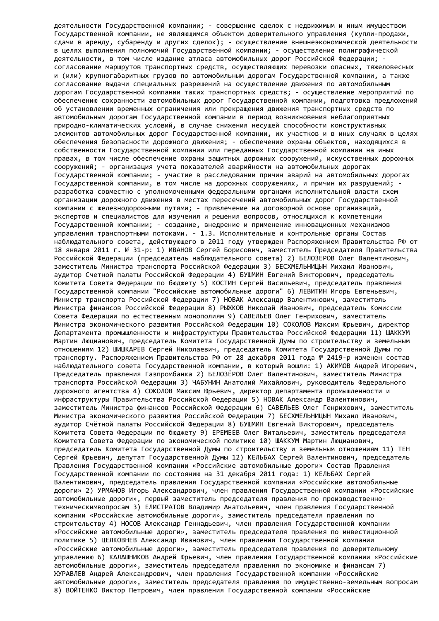деятельности Государственной компании; - совершение сделок с недвижимым и иным имуществом Государственной компании, не являющимся объектом доверительного управления (купли-продажи, сдачи в аренду, субаренду и других сделок); - осуществление внешнеэкономической деятельности в целях выполнения полномочий Государственной компании; - осуществление полиграфической деятельности, в том числе издание атласа автомобильных дорог Российской Федерации; согласование маршрутов транспортных средств, осуществляющих перевозки опасных, тяжеловесных и (или) крупногабаритных грузов по автомобильным дорогам Государственной компании, а также согласование выдачи специальных разрешений на осуществление движения по автомобильным дорогам Государственной компании таких транспортных средств; - осуществление мероприятий по обеспечению сохранности автомобильных дорог Государственной компании, подготовка предложений об установлении временных ограничения или прекращения движения транспортных средств по автомобильным дорогам Государственной компании в период возникновения неблагоприятных природно-климатических условий, в случае снижения несущей способности конструктивных элементов автомобильных дорог Государственной компании, их участков и в иных случаях в целях обеспечения безопасности дорожного движения; - обеспечение охраны объектов, находящихся в собственности Государственной компании или переданных Государственной компании на иных правах, в том числе обеспечение охраны защитных дорожных сооружений, искусственных дорожных сооружений; - организация учета показателей аварийности на автомобильных дорогах Государственной компании; - участие в расследовании причин аварий на автомобильных дорогах Государственной компании, в том числе на дорожных сооружениях, и причин их разрушений; разработка совместно с уполномоченными федеральными органами исполнительной власти схем организации дорожного движения в местах пересечений автомобильных дорог Государственной компании с железнодорожными путями; - привлечение на договорной основе организаций, экспертов и специалистов для изучения и решения вопросов, относящихся к компетенции Государственной компании; - создание, внедрение и применение инновационных механизмов управления транспортными потоками. - 1.3. Исполнительные и контрольные органы Состав наблюдательного совета, действующего в 2011 году утвержден Распоряжением Правительства РФ от 18 января 2011 г. № 31-р: 1) ИВАНОВ Сергей Борисович, заместитель Председателя Правительства Российской Федерации (председатель наблюдательного совета) 2) БЕЛОЗЕРОВ Олег Валентинович, заместитель Министра транспорта Российской Федерации 3) БЕСХМЕЛЬНИЦЫН Михаил Иванович, аудитор Счетной палаты Российской Федерации 4) БУШМИН Евгений Викторович, председатель Комитета Совета Федерации по бюджету 5) КОСТИН Сергей Васильевич, председатель правления Государственной компании "Российские автомобильные дороги" 6) ЛЕВИТИН Игорь Евгеньевич, Министр транспорта Российской Федерации 7) НОВАК Александр Валентинович, заместитель Министра финансов Российской Федерации 8) РЫЖКОВ Николай Иванович, председатель Комиссии Совета Федерации по естественным монополиям 9) САВЕЛЬЕВ Олег Генрихович, заместитель Министра экономического развития Российской Федерации 10) СОКОЛОВ Максим Юрьевич, директор Департамента промышленности и инфраструктуры Правительства Российской Федерации 11) ШАККУМ Мартин Люцианович, председатель Комитета Государственной Думы по строительству и земельным отношениям 12) ШИШКАРЕВ Сергей Николаевич, председатель Комитета Государственной Думы по транспорту. Распоряжением Правительства РФ от 28 декабря 2011 года № 2419-р изменен состав наблюдательного совета Государственной компании, в который вошли: 1) АКИМОВ Андрей Игоревич, Председатель правления Газпромбанка 2) БЕЛОЗЁРОВ Олег Валентинович, заместитель Министра транспорта Российской Федерации 3) ЧАБУНИН Анатолий Михайлович, руководитель Федерального дорожного агентства 4) СОКОЛОВ Максим Юрьевич, директор департамента промышленности и инфраструктуры Правительства Российской Федерации 5) НОВАК Александр Валентинович, заместитель Министра финансов Российской Федерации 6) САВЕЛЬЕВ Олег Генрихович, заместитель Министра экономического развития Российской Федерации 7) БЕСХМЕЛЬНИЦЫН Михаил Иванович, аудитор Счётной палаты Российской Федерации 8) БУШМИН Евгений Викторович, председатель Комитета Совета Федерации по бюджету 9) ЕРЕМЕЕВ Олег Витальевич, заместитель председателя Комитета Совета Федерации по экономической политике 10) ШАККУМ Мартин Люцианович, председатель Комитета Государственной Думы по строительству и земельным отношениям 11) ТЕН Сергей Юрьевич, депутат Государственной Думы 12) КЕЛЬБАХ Сергей Валентинович, председатель Правления Государственной компании «Российские автомобильные дороги» Состав Правления Государственной компании по состоянию на 31 декабря 2011 года: 1) КЕЛЬБАХ Сергей Валентинович, председатель правления Государственной компании «Российские автомобильные дороги» 2) УРМАНОВ Игорь Александрович, член правления Государственной компании «Российские автомобильные дороги», первый заместитель председателя правления по производственнотехническимвопросам 3) ЕЛИСТРАТОВ Владимир Анатольевич, член правления Государственной компании «Российские автомобильные дороги», заместитель председателя правления по строительству 4) НОСОВ Александр Геннадьевич, член правления Государственной компании «Российские автомобильные дороги», заместитель председателя правления по инвестиционной политике 5) ЦЕЛКОВНЕВ Александр Иванович, член правления Государственной компании «Российские автомобильные дороги», заместитель председателя правления по доверительному управлению 6) КАЛАШНИКОВ Андрей Юрьевич, член правления Государственной компании «Российские автомобильные дороги», заместитель председателя правления по экономике и финансам 7) ЖУРАВЛЕВ Андрей Александрович, член правления Государственной компании «Российские автомобильные дороги», заместитель председателя правления по имущественно-земельным вопросам 8) ВОЙТЕНКО Виктор Петрович, член правления Государственной компании «Российские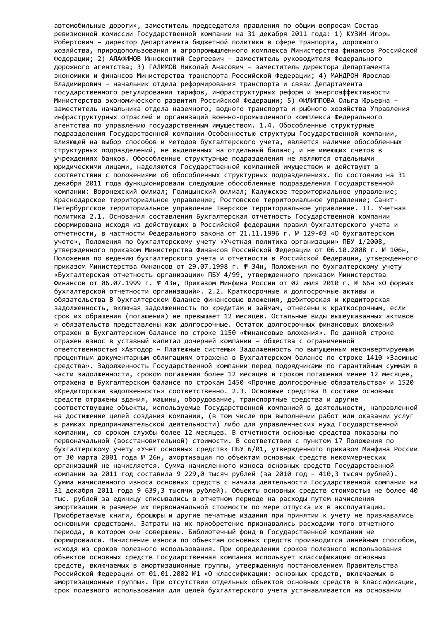автомобильные дороги», заместитель председателя правления по общим вопросам Состав ревизионной комиссии Государственной компании на 31 декабря 2011 года: 1) КУЗИН Игорь Робертович – директор Департамента бюджетной политики в сфере транпорта, дорожного хозяйства, природопользования и агропромышленного комплекса Министерства финансов Российской Федерации; 2) АЛАФИНОВ Иннокентий Сергеевич – заместитель руководителя Федерального дорожного агентства; 3) ГАЛИМОВ Николай Анасович – заместитель директора Департамента экономики и финансов Министерства транспорта Российской Федерации; 4) МАНДРОН Ярослав Владимирович – начальник отдела реформирования транспорта и связи Департамента государственного регулирования тарифов, инфраструктурных реформ и энергоэффективности Министерства экономического развития Российской Федерации; 5) ФИЛИППОВА Ольга Юрьевна – заместитель начальника отдела наземного, водного транспорта и рыбного хозяйства Управления инфраструктурных отраслей и организаций военно-промышленного комплекса Федерального агентства по управлению государственным имуществом. 1.4. Обособленные структурные подразделения Государственной компании Особенностью структуры Государственной компании, влияющей на выбор способов и методов бухгалтерского учета, является наличие обособленных структурных подразделений, не выделенных на отдельный баланс, и не имеющих счетов в учреждениях банков. Обособленные структурные подразделения не являются отдельными юридическими лицами, наделяются Государственной компанией имуществом и действуют в соответствии с положениями об обособленных структурных подразделениях. По состоянию на 31 декабря 2011 года функционировали следующие обособленные подразделения Государственной компании: Воронежский филиал; Голицынский филиал; Калужское территориальное управление; Краснодарское территориальное управление; Ростовское территориальное управление; Санкт-Петербургское территориальное управление Тверское территориальное управление. II. Учетная политика 2.1. Основания составления Бухгалтерская отчетность Государственной компании сформирована исходя из действующих в Российской федерации правил бухгалтерского учета и отчетности, в частности Федерального закона от 21.11.1996 г. № 129-ФЗ «О бухгалтерском учете», Положения по бухгалтерскому учету «Учетная политика организации» ПБУ 1/2008, утвержденного приказом Министерства Финансов Российской Федерации от 06.10.2008 г. № 106н, Положения по ведению бухгалтерского учета и отчетности в Российской Федерации, утвержденного приказом Министерства Финансов от 29.07.1998 г. № 34н, Положения по бухгалтерскому учету «Бухгалтерская отчетность организации» ПБУ 4/99, утвержденного приказом Министерства Финансов от 06.07.1999 г. № 43н, Приказом Минфина России от 02 июля 2010 г. № 66н «О формах бухгалтерской отчетности организаций». 2.2. Краткосрочные и долгосрочные активы и обязательства В бухгалтерском балансе финансовые вложения, дебиторская и кредиторская задолженность, включая задолженность по кредитам и займам, отнесены к краткосрочным, если срок их обращения (погашения) не превышает 12 месяцев. Остальные виды вышеуказанных активов и обязательств представлены как долгосрочные. Остаток долгосрочных финансовых вложений отражен в Бухгалтерском балансе по строке 1150 «Финансовые вложения». По данной строке отражен взнос в уставный капитал дочерней компании – общества с ограниченной ответственностью «Автодор – Платежные системы» Задолженность по выпущенным неконвертируемым процентным документарным облигациям отражена в Бухгалтерском балансе по строке 1410 «Заемные средства». Задолженность Государственной компании перед подрядчиками по гарантийным суммам в части задолженности, сроком погашения более 12 месяцев и сроком погашения менее 12 месяцев, отражена в Бухгалтерском балансе по строкам 1450 «Прочие долгосрочные обязательства» и 1520 «Кредиторская задолженность» соответственно. 2.3. Основные средства В составе основных средств отражены здания, машины, оборудование, транспортные средства и другие соответствующие объекты, используемые Государственной компанией в деятельности, направленной на достижение целей создания компании, (в том числе при выполнении работ или оказании услуг в рамках предпринимательской деятельности) либо для управленческих нужд Государственной компании, со сроком службы более 12 месяцев. В отчетности основные средства показаны по первоначальной (восстановительной) стоимости. В соответствии с пунктом 17 Положения по бухгалтерскому учету «Учет основных средств» ПБУ 6/01, утвержденного приказом Минфина России от 30 марта 2001 года № 26н, амортизация по объектам основных средств некоммерческих организаций не начисляется. Сумма начисленного износа основных средств Государственной компании за 2011 год составила 9 229,0 тысяч рублей (за 2010 год – 410,3 тысяч рублей). Сумма начисленного износа основных средств с начала деятельности Государственной компании на 31 декабря 2011 года 9 639,3 тысячи рублей). Объекты основных средств стоимостью не более 40 тыс. рублей за единицу списывались в отчетном периоде на расходы путем начисления амортизации в размере их первоначальной стоимости по мере отпуска их в эксплуатацию. Приобретаемые книги, брошюры и другие печатные издания при принятии к учету не признавались основными средствами. Затраты на их приобретение признавались расходами того отчетного периода, в котором они совершены. Библиотечный фонд в Государственной компании не формировался. Начисление износа по объектам основных средств производится линейным способом, исходя из сроков полезного использования. При определении сроков полезного использования объектов основных средств Государственная компания использует классификацию основных средств, включаемых в амортизационные группы, утвержденную постановлением Правительства Российской Федерации от 01.01.2002 №1 «О классификации: основных средств, включаемых в амортизационные группы». При отсутствии отдельных объектов основных средств в Классификации, срок полезного использования для целей бухгалтерского учета устанавливается на основании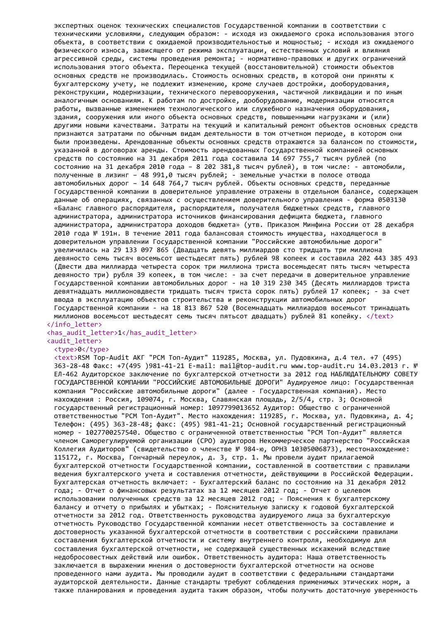экспертных оценок технических специалистов Государственной компании в соответствии с техническими условиями, следующим образом: - исходя из ожидаемого срока использования этого объекта, в соответствии с ожидаемой производительностью и мощностью; - исходя из ожидаемого физического износа, зависящего от режима эксплуатации, естественных условий и влияния агрессивной среды, системы проведения ремонта; - нормативно-правовых и других ограничений использования этого объекта. Переоценка текущей (восстановительной) стоимости объектов основных средств не производилась. Стоимость основных средств, в которой они приняты к бухгалтерскому учету, не подлежит изменению, кроме случаев достройки, дооборудования, реконструкции, модернизации, технического перевооружения, частичной ликвидации и по иным аналогичным основаниям. К работам по достройке, дооборудованию, модернизации относятся работы, вызванные изменением технологического или служебного назначения оборудования, здания, сооружения или иного объекта основных средств, повышенными нагрузками и (или) другими новыми качествами. Затраты на текущий и капитальный ремонт объектов основных средств признаются затратами по обычным видам деятельности в том отчетном периоде, в котором они были произведены. Арендованные объекты основных средств отражаются за балансом по стоимости, указанной в договорах аренды. Стоимость арендованных Государственной компанией основных средств по состоянию на 31 декабря 2011 года составила 14 697 755,7 тысяч рублей (по состоянию на 31 декабря 2010 года – 8 202 381,8 тысяч рублей), в том числе: - автомобили, полученные в лизинг – 48 991,0 тысяч рублей; - земельные участки в полосе отвода автомобильных дорог – 14 648 764,7 тысяч рублей. Объекты основных средств, переданные Государственной компании в доверительное управление отражены в отдельном балансе, содержащем данные об операциях, связанных с осуществлением доверительного управления - форма 0503130 «Баланс главного распорядителя, распорядителя, получателя бюджетных средств, главного администратора, администратора источников финансирования дефицита бюджета, главного администратора, администратора доходов бюджета» (утв. Приказом Минфина России от 28 декабря 2010 года № 191н. В течение 2011 года балансовая стоимость имущества, находящегося в доверительном управлении Государственной компании "Российские автомобильные дороги" увеличилась на 29 133 097 865 (Двадцать девять миллиардов сто тридцать три миллиона девяносто семь тысяч восемьсот шестьдесят пять) рублей 98 копеек и составила 202 443 385 493 (Двести два миллиарда четыреста сорок три миллиона триста восемьдесят пять тысяч четыреста девяносто три) рубля 39 копеек, в том числе: - за счет передачи в доверительное управление Государственной компании автомобильных дорог - на 10 319 230 345 (Десять миллиардов триста девятнадцать миллионовдвести тридцать тысяч триста сорок пять) рублей 17 копеек; - за счет ввода в эксплуатацию объектов строительства и реконструкции автомобильных дорог Государственной компании - на 18 813 867 520 (Восемнадцать миллиардов восемьсот тринадцать миллионов восемьсот шестьдесят семь тысяч пятьсот двадцать) рублей 81 копейку. </text> </info\_letter>

## <has\_audit\_letter>1</has\_audit\_letter>

## <audit\_letter> <type>0</type>

<text>RSM Top-Audit АКГ "РСМ Топ-Аудит" 119285, Москва, ул. Пудовкина, д.4 тел. +7 (495) 363-28-48 Факс: +7(495 )981-41-21 E-mail: mail@top-audit.ru www.top-audit.ru 14.03.2013 г. № ЕЛ-462 Аудиторское заключение по бухгалтерской отчетности за 2012 год НАБЛЮДАТЕЛЬНОМУ СОВЕТУ ГОСУДАРСТВЕННОЙ КОМПАНИИ "РОССИЙСКИЕ АВТОМОБИЛЬНЫЕ ДОРОГИ" Аудируемое лицо: Государственная компания "Российские автомобильные дороги" (далее - Государственная компания). Место нахождения : Россия, 109074, г. Москва, Славянская площадь, 2/5/4, стр. 3; Основной государственный регистрационный номер: 1097799013652 Аудитор: Общество с ограниченной ответственностью "РСМ Топ-Аудит". Место нахождения: 119285, г. Москва, ул. Пудовкина, д. 4; Телефон: (495) 363-28-48; факс: (495) 981-41-21; Основной государственный регистрационный номер - 1027700257540. Общество с ограниченной ответственностью "РСМ Топ-Аудит" является членом Саморегулируемой организации (СРО) аудиторов Некоммерческое партнерство "Российская Коллегия Аудиторов" (свидетельство о членстве № 984-ю, ОРНЗ 10305006873), местонахождение: 115172, г. Москва, Гончарный переулок, д. 3, стр. 1. Мы провели аудит прилагаемой бухгалтерской отчетности Государственной компании, составленной в соответствии с правилами ведения бухгалтерского учета и составления отчетности, действующими в Российской Федерации. Бухгалтерская отчетность включает: - Бухгалтерский баланс по состоянию на 31 декабря 2012 года; - Отчет о финансовых результатах за 12 месяцев 2012 год; - Отчет о целевом использовании полученных средств за 12 месяцев 2012 год; - Пояснения к бухгалтерскому балансу и отчету о прибылях и убытках; - Пояснительную записку к годовой бухгалтерской отчетности за 2012 год. Ответственность руководства аудируемого лица за бухгалтерскую отчетность Руководство Государственной компании несет ответственность за составление и достоверность указанной бухгалтерской отчетности в соответствии с российскими правилами составления бухгалтерской отчетности и систему внутреннего контроля, необходимую для составления бухгалтерской отчетности, не содержащей существенных искажений вследствие недобросовестных действий или ошибок. Ответственность аудитора: Наша ответственность заключается в выражении мнения о достоверности бухгалтерской отчетности на основе проведенного нами аудита. Мы проводили аудит в соответствии с федеральными стандартами аудиторской деятельности. Данные стандарты требуют соблюдения применимых этических норм, а также планирования и проведения аудита таким образом, чтобы получить достаточную уверенность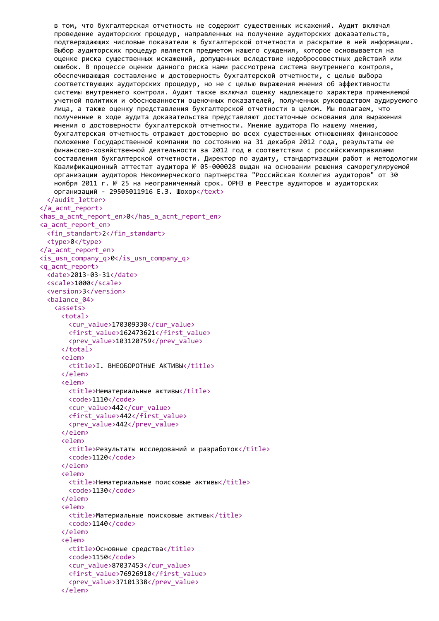```
в том, что бухгалтерская отчетность не содержит существенных искажений. Аудит включал
   проведение аудиторских процедур, направленных на получение аудиторских доказательств,
   подтверждающих числовые показатели в бухгалтерской отчетности и раскрытие в ней информации.
   Выбор аудиторских процедур является предметом нашего суждения, которое основывается на
   оценке риска существенных искажений, допущенных вследствие недобросовестных действий или
   ошибок. В процессе оценки данного риска нами рассмотрена система внутреннего контроля,
   обеспечивающая составление и достоверность бухгалтерской отчетности, с целью выбора
   соответствующих аудиторских процедур, но не с целью выражения мнения об эффективности
   системы внутреннего контроля. Аудит также включал оценку надлежащего характера применяемой
   учетной политики и обоснованности оценочных показателей, полученных руководством аудируемого
   лица, а также оценку представления бухгалтерской отчетности в целом. Мы полагаем, что
   полученные в ходе аудита доказательства представляют достаточные основания для выражения
   мнения о достоверности бухгалтерской отчетности. Мнение аудитора По нашему мнению,
   бухгалтерская отчетность отражает достоверно во всех существенных отношениях финансовое
   положение Государственной компании по состоянию на 31 декабря 2012 года, результаты ее
   финансово-хозяйственной деятельности за 2012 год в соответствии с российскимиправилами
   составления бухгалтерской отчетности. Директор по аудиту, стандартизации работ и методологии
   Квалификационный аттестат аудитора № 05-000028 выдан на основании решения саморегулируемой
   организации аудиторов Некоммерческого партнерства "Российская Коллегия аудиторов" от 30
   ноября 2011 г. № 25 на неограниченный срок. ОРНЗ в Реестре аудиторов и аудиторских
   организаций - 29505011916 Е.З. Шохор</text>
 </audit_letter>
</a_acnt_report>
<has a acnt report en>0</has a acnt report en>
<a_acnt_report_en>
 <fin_standart>2</fin_standart>
 <type>0</type>
</a_acnt_report_en>
\langleis usn company q>0\langleis usn company q>
<q_acnt_report>
 <date>2013-03-31</date>
 <scale>1000</scale>
 <version>3</version>
 <balance_04>
   <assets>
     <total>
       <cur_value>170309330</cur_value>
       <first_value>162473621</first_value>
       <prev_value>103120759</prev_value>
     </total>
     <elem>
       <title>I. ВНЕОБОРОТНЫЕ AКТИВЫ</title>
     </elem>
     <elem>
       <title>Нематериальные активы</title>
       <code>1110</code>
       <cur_value>442</cur_value>
       <first_value>442</first_value>
       <prev_value>442</prev_value>
     </elem>
     <elem>
       <title>Результаты исследований и разработок</title>
       <code>1120</code>
     </elem>
     <elem>
       <title>Нематериальные поисковые активы</title>
       <code>1130</code>
     </elem>
     <elem>
       <title>Материальные поисковые активы</title>
       <code>1140</code>
     </elem>
     <elem>
       <title>Основные средства</title>
       <code>1150</code>
       <cur_value>87037453</cur_value>
       <first_value>76926910</first_value>
       <prev_value>37101338</prev_value>
```
</elem>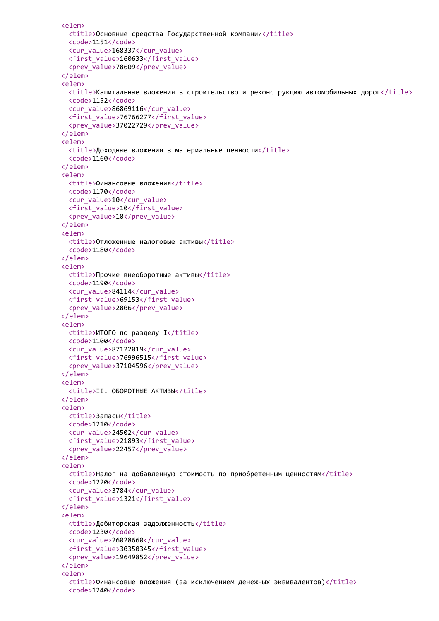```
<elem>
 <title>Основные средства Государственной компании</title>
 <code>1151</code>
 <cur_value>168337</cur_value>
 <first_value>160633</first_value>
  <prev_value>78609</prev_value>
</elem>
<elem>
 <title>Капитальные вложения в строительство и реконструкцию автомобильных дорог</title>
 <code>1152</code>
 <cur_value>86869116</cur_value>
 <first_value>76766277</first_value>
  <prev_value>37022729</prev_value>
</elem>
<elem>
 <title>Доходные вложения в материальные ценности</title>
  <code>1160</code>
</elem>
<elem>
 <title>Финансовые вложения</title>
 <code>1170</code>
 <cur_value>10</cur_value>
 <first_value>10</first_value>
 <prev_value>10</prev_value>
</elem>
<elem>
 <title>Отложенные налоговые активы</title>
 <code>1180</code>
</elem>
<elem>
 <title>Прочие внеоборотные активы</title>
 <code>1190</code>
 <cur_value>84114</cur_value>
 <first_value>69153</first_value>
  <prev_value>2806</prev_value>
</elem>
<elem>
 <title>ИТОГО по разделу I</title>
 <code>1100</code>
 <cur_value>87122019</cur_value>
 <first_value>76996515</first_value>
 <prev_value>37104596</prev_value>
</elem>
<elem>
 <title>II. ОБОРОТНЫЕ AКТИВЫ</title>
</elem>
<elem>
 <title>Запасы</title>
 <code>1210</code>
 <cur_value>24502</cur_value>
 <first_value>21893</first_value>
 <prev_value>22457</prev_value>
</elem>
<elem>
 <title>Налог на добавленную стоимость по приобретенным ценностям</title>
 <code>1220</code>
 <cur_value>3784</cur_value>
 <first_value>1321</first_value>
</elem>
<elem>
 <title>Дебиторская задолженность</title>
 <code>1230</code>
 <cur_value>26028660</cur_value>
 <first_value>30350345</first_value>
  <prev_value>19649852</prev_value>
</elem>
<elem>
 <title>Финансовые вложения (за исключением денежных эквивалентов)</title>
  <code>1240</code>
```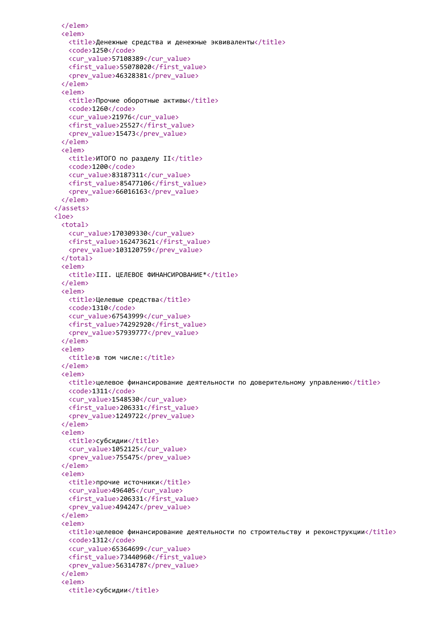```
</elem>
 <elem>
   <title>Денежные средства и денежные эквиваленты</title>
   <code>1250</code>
   <cur_value>57108389</cur_value>
   <first_value>55078020</first_value>
   <prev_value>46328381</prev_value>
 </elem>
 <elem>
   <title>Прочие оборотные активы</title>
   <code>1260</code>
   <cur_value>21976</cur_value>
   <first_value>25527</first_value>
   <prev_value>15473</prev_value>
 </elem>
 <elem>
   <title>ИТОГО по разделу II</title>
   <code>1200</code>
   <cur_value>83187311</cur_value>
   <first_value>85477106</first_value>
   <prev_value>66016163</prev_value>
 </elem>
</assets>
\langleloe\rangle<total>
   <cur_value>170309330</cur_value>
   <first_value>162473621</first_value>
   <prev_value>103120759</prev_value>
 </total>
 <elem>
   <title>III. ЦЕЛЕВОЕ ФИНАНСИРОВАНИЕ*</title>
 </elem>
 <elem>
   <title>Целевые средства</title>
   <code>1310</code>
   <cur_value>67543999</cur_value>
   <first_value>74292920</first_value>
   <prev_value>57939777</prev_value>
 </elem>
 <elem>
   <title>в том числе:</title>
 </elem>
 <elem>
   <title>целевое финансирование деятельности по доверительному управлению</title>
   <code>1311</code>
   <cur_value>1548530</cur_value>
   <first_value>206331</first_value>
   <prev_value>1249722</prev_value>
 </elem>
 <elem>
   <title>субсидии</title>
   <cur_value>1052125</cur_value>
   <prev_value>755475</prev_value>
 </elem>
 <elem>
   <title>прочие источники</title>
   <cur_value>496405</cur_value>
   <first_value>206331</first_value>
   <prev_value>494247</prev_value>
 </elem>
 <elem>
   \langletitle>целевое финансирование деятельности по строительству и реконструкции\langle/title>
   <code>1312</code>
   <cur_value>65364699</cur_value>
   <first_value>73440960</first_value>
   <prev_value>56314787</prev_value>
 </elem>
 <elem>
   <title>субсидии</title>
```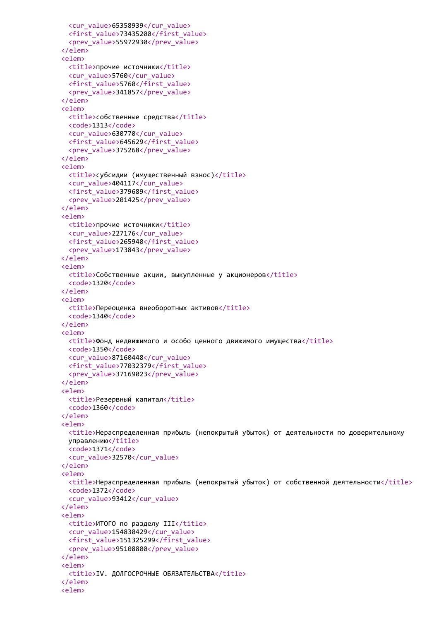```
<cur_value>65358939</cur_value>
  <first_value>73435200</first_value>
  <prev_value>55972930</prev_value>
</elem>
<elem>
 <title>прочие источники</title>
  <cur_value>5760</cur_value>
 <first_value>5760</first_value>
  <prev_value>341857</prev_value>
</elem>
<elem>
 <title>собственные средства</title>
 <code>1313</code>
 <cur_value>630770</cur_value>
 <first_value>645629</first_value>
  <prev_value>375268</prev_value>
</elem>
<elem>
 <title>субсидии (имущественный взнос)</title>
  <cur_value>404117</cur_value>
 <first_value>379689</first_value>
  <prev_value>201425</prev_value>
</elem>
<elem>
 <title>прочие источники</title>
  <cur_value>227176</cur_value>
 <first_value>265940</first_value>
  <prev_value>173843</prev_value>
</elem>
<elem>
 <title>Собственные акции, выкупленные у акционеров</title>
 <code>1320</code>
</elem>
<elem>
 <title>Переоценка внеоборотных активов</title>
 <code>1340</code>
</elem>
<elem>
 <title>Фонд недвижимого и особо ценного движимого имущества</title>
 <code>1350</code>
 <cur_value>87160448</cur_value>
 <first_value>77032379</first_value>
  <prev_value>37169023</prev_value>
</elem>
<elem>
  <title>Резервный капитал</title>
  <code>1360</code>
</elem>
<elem>
  <title>Нераспределенная прибыль (непокрытый убыток) от деятельности по доверительному
 управлению</title>
 <code>1371</code>
  <cur_value>32570</cur_value>
</elem>
<elem>
 <title>Нераспределенная прибыль (непокрытый убыток) от собственной деятельности</title>
 <code>1372</code>
 <cur_value>93412</cur_value>
</elem>
<elem>
 <title>ИТОГО по разделу III</title>
 <cur_value>154830429</cur_value>
 <first_value>151325299</first_value>
  <prev_value>95108800</prev_value>
</elem>
<elem>
  <title>IV. ДОЛГОСРОЧНЫЕ ОБЯЗАТЕЛЬСТВА</title>
</elem>
<elem>
```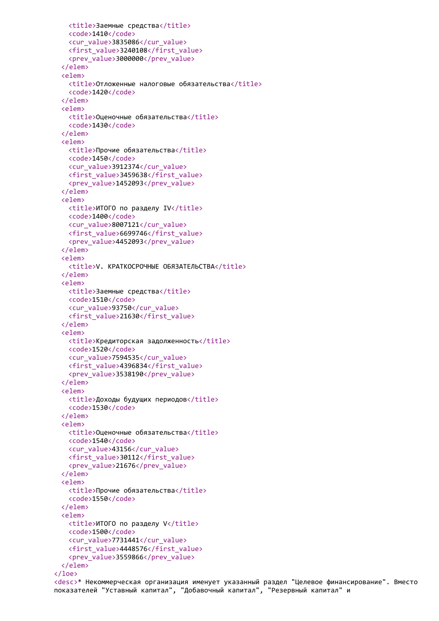```
<title>Заемные средства</title>
   <code>1410</code>
   <cur_value>3835086</cur_value>
   <first_value>3240108</first_value>
   <prev_value>3000000</prev_value>
 </elem>
 <elem>
   <title>Отложенные налоговые обязательства</title>
   <code>1420</code>
 </elem>
 <elem>
   <title>Оценочные обязательства</title>
   <code>1430</code>
 </elem>
 <elem>
   <title>Прочие обязательства</title>
   <code>1450</code>
   <cur_value>3912374</cur_value>
   <first_value>3459638</first_value>
   <prev_value>1452093</prev_value>
 </elem>
 <elem>
   <title>ИТОГО по разделу IV</title>
   <code>1400</code>
   <cur_value>8007121</cur_value>
   <first_value>6699746</first_value>
   <prev_value>4452093</prev_value>
 </elem>
 <elem>
   <title>V. КРАТКОСРОЧНЫЕ ОБЯЗАТЕЛЬСТВА</title>
 </elem>
 <elem>
   <title>Заемные средства</title>
   <code>1510</code>
   <cur_value>93750</cur_value>
   <first_value>21630</first_value>
 </elem>
 <elem>
   <title>Кредиторская задолженность</title>
   <code>1520</code>
   <cur_value>7594535</cur_value>
   <first_value>4396834</first_value>
   <prev_value>3538190</prev_value>
 </elem>
 <elem>
   <title>Доходы будущих периодов</title>
   <code>1530</code>
 </elem>
 <elem>
   <title>Оценочные обязательства</title>
   <code>1540</code>
   <cur_value>43156</cur_value>
   <first_value>30112</first_value>
   <prev_value>21676</prev_value>
 </elem>
 <elem>
   <title>Прочие обязательства</title>
   <code>1550</code>
 </elem>
 <elem>
   <title>ИТОГО по разделу V</title>
   <code>1500</code>
   <cur_value>7731441</cur_value>
   <first_value>4448576</first_value>
   <prev_value>3559866</prev_value>
 </elem>
\langleloe\rangle
```
<desc>\* Некоммерческая организация именует указанный раздел "Целевое финансирование". Вместо показателей "Уставный капитал", "Добавочный капитал", "Резервный капитал" и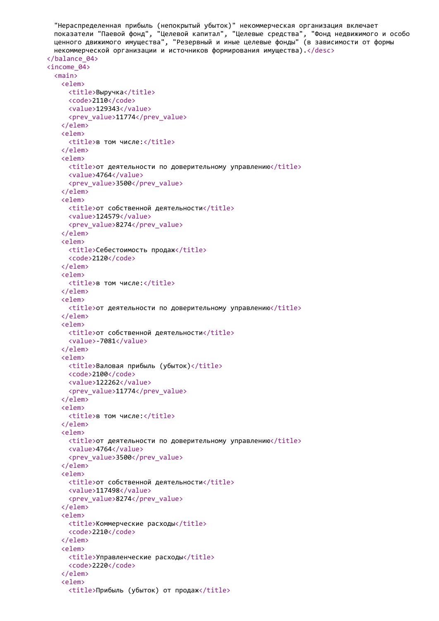```
"Нераспределенная прибыль (непокрытый убыток)" некоммерческая организация включает
  показатели "Паевой фонд", "Целевой капитал", "Целевые средства", "Фонд недвижимого и особо
  ценного движимого имущества", "Резервный и иные целевые фонды" (в зависимости от формы
  некоммерческой организации и источников формирования имущества).</desc>
</balance_04>
<income_04>
  <sub>main</sub></sub>
    <elem>
      <title>Выручка</title>
      <code>2110</code>
      <value>129343</value>
       <prev_value>11774</prev_value>
    </elem>
    <elem>
      <title>в том числе:</title>
    </elem>
    <elem>
       <title>от деятельности по доверительному управлению</title>
       <value>4764</value>
       <prev value>3500</prev value>
    \langle/elem\rangle\leq \leq \geq \leq \leq \leq \leq \leq \leq \leq \leq \leq \leq \leq \leq \leq \leq \leq \leq \leq \leq \leq \leq \leq \leq \leq \leq \leq \leq \leq \leq \leq \leq \leq \leq \leq \leq<title>от собственной деятельности</title>
       <value>124579</value>
       <prev_value>8274</prev_value>
    </elem>
    \leq \leq \geq \leq \leq \leq \leq \leq \leq \leq \leq \leq \leq \leq \leq \leq \leq \leq \leq \leq \leq \leq \leq \leq \leq \leq \leq \leq \leq \leq \leq \leq \leq \leq \leq \leq \leq<title>Себестоимость продаж</title>
       <code>2120</code>
    </elem>
    <elem>
       <title>в том числе:</title>
    </elem>
    <elem>
       <title>от деятельности по доверительному управлению</title>
    </elem>
    <elem>
       <title>от собственной деятельности</title>
       <value>-7081</value>
    \langle/elem>
    <elem>
      <title>Валовая прибыль (убыток)</title>
      <code>2100</code>
      <value>122262</value>
       <prev_value>11774</prev_value>
    \langle/elem>
    <elem>
       <title>в том числе:</title>
    </elem>
    <elem>
       <title>от деятельности по доверительному управлению</title>
      <value>4764</value>
       <prev value>3500</prev value>
    \langle/elem>
    <elem>
       <title>от собственной деятельности</title>
      <value>117498</value>
       <br />
<br />
value>8274</brev<br />
value>
    \langle/elem>
    \langle \rho]\rhom\rho<title>Коммерческие расходы</title>
       <code>2210</code>
    \langle/elem>
    calalems
       <title>Управленческие расходы</title>
       <code>2220</code>
    \langle/elem>
    <elem>
       <title>Прибыль (убыток) от продаж</title>
```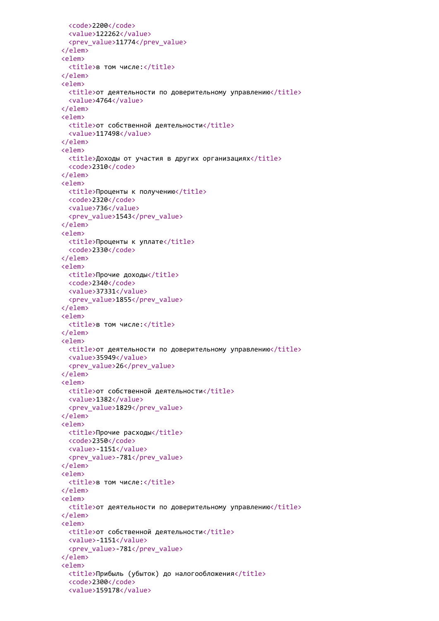```
<code>2200</code>
  <value>122262</value>
  <prev_value>11774</prev_value>
</elem>
<elem>
 <title>в том числе:</title>
</elem>
<elem>
 <title>от деятельности по доверительному управлению</title>
 <value>4764</value>
</elem>
<elem>
 <title>от собственной деятельности</title>
 <value>117498</value>
</elem>
<elem>
 <title>Доходы от участия в других организациях</title>
 <code>2310</code>
</elem>
<elem>
 <title>Проценты к получению</title>
 <code>2320</code>
 <value>736</value>
 <prev_value>1543</prev_value>
</elem>
<elem>
 <title>Проценты к уплате</title>
 <code>2330</code>
</elem>
<elem>
 <title>Прочие доходы</title>
 <code>2340</code>
 <value>37331</value>
 <prev_value>1855</prev_value>
</elem>
<elem>
 <title>в том числе:</title>
</elem>
<elem>
 <title>от деятельности по доверительному управлению</title>
 <value>35949</value>
 <prev_value>26</prev_value>
</elem>
<elem>
 <title>от собственной деятельности</title>
 <value>1382</value>
  <prev_value>1829</prev_value>
</elem>
<elem>
 <title>Прочие расходы</title>
 <code>2350</code>
 <value>-1151</value>
 <prev_value>-781</prev_value>
</elem>
<elem>
 <title>в том числе:</title>
</elem>
<elem>
  <title>от деятельности по доверительному управлению</title>
</elem>
<elem>
 <title>от собственной деятельности</title>
 <value>-1151</value>
 <prev_value>-781</prev_value>
</elem>
<elem>
 <title>Прибыль (убыток) до налогообложения</title>
 <code>2300</code>
 <value>159178</value>
```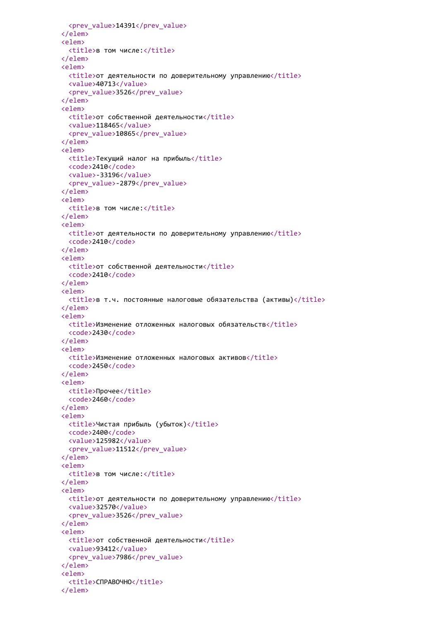```
<prev_value>14391</prev_value>
</elem>
<elem>
 <title>в том числе:</title>
</elem>
<elem>
 <title>от деятельности по доверительному управлению</title>
 <value>40713</value>
  <prev_value>3526</prev_value>
</elem>
<elem>
 <title>от собственной деятельности</title>
 <value>118465</value>
 <prev_value>10865</prev_value>
</elem>
<elem>
 <title>Текущий налог на прибыль</title>
 <code>2410</code>
 <value>-33196</value>
 <prev_value>-2879</prev_value>
</elem>
<elem>
 <title>в том числе:</title>
</elem>
<elem>
 <title>от деятельности по доверительному управлению</title>
  <code>2410</code>
</elem>
<elem>
 <title>от собственной деятельности</title>
  <code>2410</code>
</elem>
<elem>
 \langletitle>в т.ч. постоянные налоговые обязательства (активы)</title>
</elem>
<elem>
 <title>Изменение отложенных налоговых обязательств</title>
 <code>2430</code>
</elem>
<elem>
 <title>Изменение отложенных налоговых активов</title>
 <code>2450</code>
</elem>
<elem>
 <title>Прочее</title>
 <code>2460</code>
</elem>
<elem>
 <title>Чистая прибыль (убыток)</title>
 <code>2400</code>
 <value>125982</value>
 <prev_value>11512</prev_value>
</elem>
<elem>
 <title>в том числе:</title>
</elem>
<elem>
 <title>от деятельности по доверительному управлению</title>
 <value>32570</value>
 <prev_value>3526</prev_value>
</elem>
<elem>
 <title>от собственной деятельности</title>
 <value>93412</value>
 <prev_value>7986</prev_value>
</elem>
<elem>
  <title>СПРАВОЧНО</title>
</elem>
```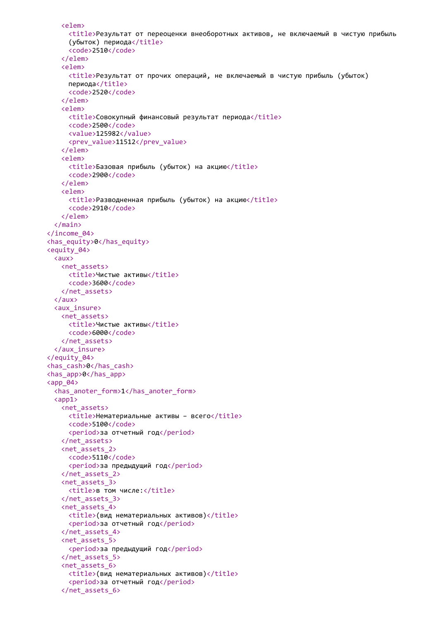```
<elem>
     <title>Результат от переоценки внеоборотных активов, не включаемый в чистую прибыль
     (убыток) периода</title>
     <code>2510</code>
   </elem>
   <elem>
     <title>Результат от прочих операций, не включаемый в чистую прибыль (убыток)
     периода</title>
     <code>2520</code>
   </elem>
   <elem>
     <title>Совокупный финансовый результат периода</title>
     <code>2500</code>
     <value>125982</value>
     <prev_value>11512</prev_value>
   </elem>
   <elem>
     <title>Базовая прибыль (убыток) на акцию</title>
     <code>2900</code>
   </elem>
   <elem>
     <title>Разводненная прибыль (убыток) на акцию</title>
     <code>2910</code>
   </elem>
 </main>
</income_04>
<has_equity>0</has_equity>
<equity_04>
 <aux>
   <net_assets>
     <title>Чистые активы</title>
     <code>3600</code>
   </net_assets>
 </aux>
 <aux_insure>
   <net_assets>
     <title>Чистые активы</title>
     <code>6000</code>
   </net_assets>
 </aux_insure>
</equity_04>
<has_cash>0</has_cash>
<has_app>0</has_app>
<app_04>
 <has anoter form>1</has anoter form>
 <app1>
   <net_assets>
     <title>Нематериальные активы – всего</title>
     <code>5100</code>
     <period>за отчетный год</period>
   </net_assets>
   <net_assets_2>
     <code>5110</code>
     <period>за предыдущий год</period>
   </net_assets_2>
   <net_assets_3>
     <title>в том числе:</title>
   </net_assets_3>
   <net_assets_4>
     <title>(вид нематериальных активов)</title>
     <period>за отчетный год</period>
   </net_assets_4>
   <net_assets_5>
     <period>за предыдущий год</period>
   </net_assets_5>
   <net_assets_6>
     <title>(вид нематериальных активов)</title>
     <period>за отчетный год</period>
   </net_assets_6>
```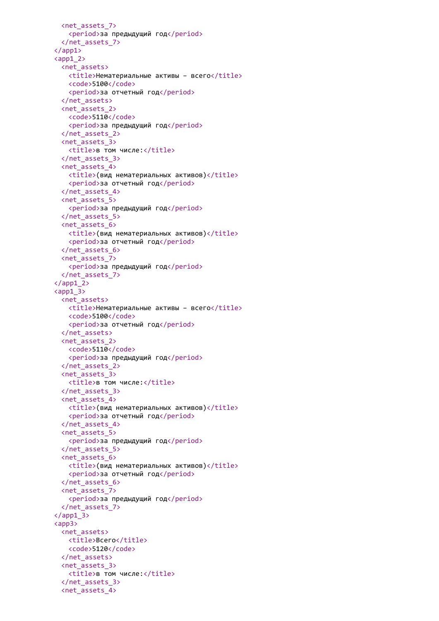```
<net_assets_7>
   <period>за предыдущий год</period>
 </net_assets_7>
</app1>
\langle app1_2 \rangle<net_assets>
   <title>Нематериальные активы - всего</title>
   <code>5100</code>
   <period>за отчетный год</period>
 </net_assets>
 <net_assets_2>
   <code>5110</code>
   <period>за предыдущий год</period>
 </net_assets_2>
 <net_assets_3>
   <title>в том числе:</title>
 </net_assets_3>
 <net_assets_4>
   <title>(вид нематериальных активов)</title>
   <period>за отчетный год</period>
 </net_assets_4>
 <net_assets_5>
   <period>за предыдущий год</period>
 </net_assets_5>
 <net_assets_6>
   <title>(вид нематериальных активов)</title>
   <period>за отчетный год</period>
 </net_assets_6>
 <net_assets_7>
   <period>за предыдущий год</period>
 </net_assets_7>
\langle app1_2>
\langle app1 \rangle 3>
 <net assets>
   <title>Нематериальные активы - всего</title>
   <code>5100</code>
   <period>за отчетный год</period>
 </net_assets>
 <net_assets_2>
   <code>5110</code>
   <period>за предыдущий год</period>
 </net_assets_2>
 <net_assets_3>
   <title>в том числе:</title>
 </net_assets_3>
 <net_assets_4>
   <title>(вид нематериальных активов)</title>
   <period>за отчетный год</period>
 </net_assets_4>
 <net_assets_5>
   <period>за предыдущий год</period>
 </net_assets_5>
 <net_assets_6>
   <title>(вид нематериальных активов)</title>
   <period>за отчетный год</period>
 </net_assets_6>
 <net_assets_7>
   <period>за предыдущий год</period>
 </net_assets_7>
\langle app1 3>
<app3>
 <net_assets>
   <title>Всего</title>
   <code>5120</code>
 </net_assets>
 <net_assets_3>
   <title>в том числе:</title>
 </net_assets_3>
 <net_assets_4>
```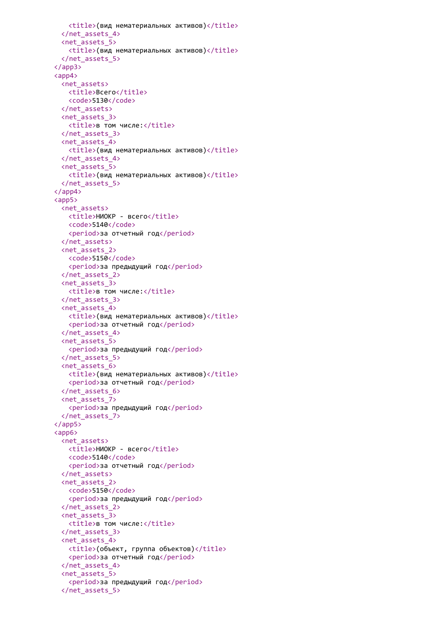```
<title>(вид нематериальных активов)</title>
 </net_assets_4>
 <net_assets_5>
   <title>(вид нематериальных активов)</title>
 </net_assets_5>
</app3>
<app4>
 <net_assets>
   <title>Bcero</title>
   <code>5130</code>
 </net_assets>
 <net_assets_3>
   <title>в том числе:</title>
 </net_assets_3>
 <net_assets_4>
   <title>(вид нематериальных активов)</title>
 </net_assets_4>
 <net_assets_5>
   <title>(вид нематериальных активов)</title>
 </net_assets_5>
</app4>
<app5>
 <net assets>
   <title>НИОКР - всего</title>
   <code>5140</code>
   <period>за отчетный год</period>
 </net_assets>
 <net_assets_2>
   <code>5150</code>
   <period>за предыдущий год</period>
 </net_assets_2>
 <net_assets_3>
   <title>в том числе:</title>
 </net_assets_3>
 <net_assets_4>
   <title>(вид нематериальных активов)</title>
   <period>за отчетный год</period>
 </net_assets_4>
 <net_assets_5>
   <period>за предыдущий год</period>
 </net_assets_5>
 <net_assets_6>
   <title>(вид нематериальных активов)</title>
   <period>за отчетный год</period>
 </net_assets_6>
 <net_assets_7>
   <period>за предыдущий год</period>
 </net_assets_7>
</app5>
<app6>
 <net_assets>
   <title>НИОКР - всего</title>
   <code>5140</code>
   <period>за отчетный год</period>
 </net_assets>
 <net_assets_2>
   <code>5150</code>
   <period>за предыдущий год</period>
 </net_assets_2>
 <net_assets_3>
   <title>в том числе:</title>
 </net_assets_3>
 <net_assets_4>
   <title>(объект, группа объектов)</title>
   <period>за отчетный год</period>
 </net_assets_4>
 <net_assets_5>
   <period>за предыдущий год</period>
 </net_assets_5>
```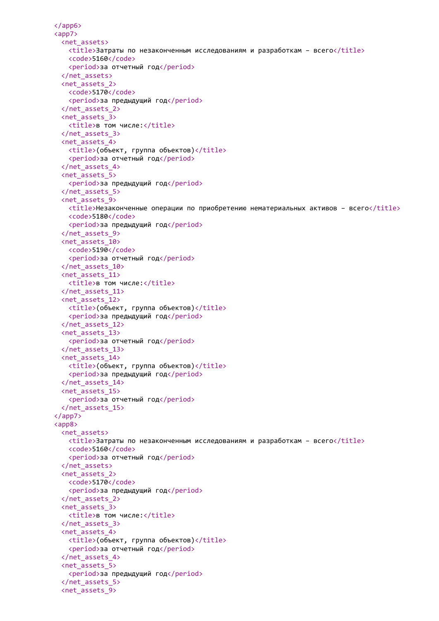```
</app6>
<app7>
 <net_assets>
   <title>Затраты по незаконченным исследованиям и разработкам – всего</title>
   <code>5160</code>
   <period>за отчетный год</period>
 </net_assets>
 <net_assets_2>
   <code>5170</code>
   <period>за предыдущий год</period>
 </net_assets_2>
 <net_assets_3>
   <title>в том числе:</title>
 </net_assets_3>
 <net_assets_4>
   <title>(объект, группа объектов)</title>
   <period>за отчетный год</period>
 </net_assets_4>
 <net_assets_5>
   <period>за предыдущий год</period>
 </net_assets_5>
 <net_assets_9>
   <title>Незаконченные операции по приобретению нематериальных активов – всего</title>
   <code>5180</code>
   <period>за предыдущий год</period>
 </net_assets_9>
 <net_assets_10>
   <code>5190</code>
   <period>за отчетный год</period>
 </net_assets_10>
 <net_assets_11>
   <title>в том числе:</title>
 </net_assets_11>
 <net_assets_12>
   <title>(объект, группа объектов)</title>
   <period>за предыдущий год</period>
 </net_assets_12>
 <net_assets_13>
   <period>за отчетный год</period>
 </net_assets_13>
 <net_assets_14>
   <title>(объект, группа объектов)</title>
   <period>за предыдущий год</period>
 </net_assets_14>
 <net_assets_15>
   <period>за отчетный год</period>
 </net_assets_15>
</app7>
<app8>
 <net_assets>
   <title>Затраты по незаконченным исследованиям и разработкам – всего</title>
   <code>5160</code>
   <period>за отчетный год</period>
 </net_assets>
 <net_assets_2>
   <code>5170</code>
   <period>за предыдущий год</period>
 </net_assets_2>
 <net_assets_3>
   <title>в том числе:</title>
 </net_assets_3>
 <net_assets_4>
   <title>(объект, группа объектов)</title>
   <period>за отчетный год</period>
 </net_assets_4>
 <net_assets_5>
   <period>за предыдущий год</period>
 </net_assets_5>
 <net_assets_9>
```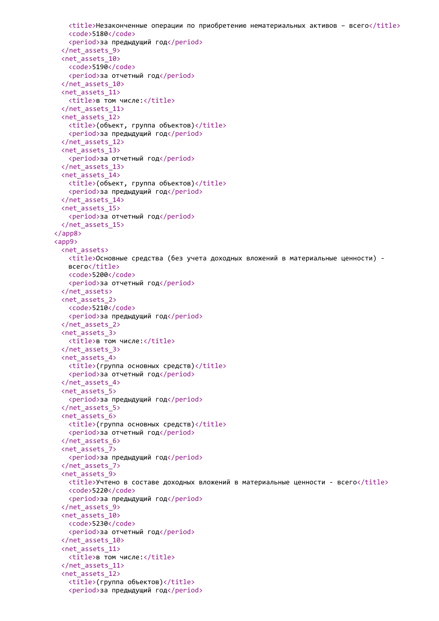```
<title>Незаконченные операции по приобретению нематериальных активов – всего</title>
   <code>5180</code>
   <period>за предыдущий год</period>
 </net_assets_9>
 <net_assets_10>
   <code>5190</code>
   <period>за отчетный год</period>
 </net_assets_10>
 <net_assets_11>
   <title>в том числе:</title>
 </net_assets_11>
 <net_assets_12>
   <title>(объект, группа объектов)</title>
   <period>за предыдущий год</period>
 </net_assets_12>
 <net_assets_13>
   <period>за отчетный год</period>
 </net_assets_13>
 <net_assets_14>
   <title>(объект, группа объектов)</title>
   <period>за предыдущий год</period>
 </net_assets_14>
 <net_assets_15>
   <period>за отчетный год</period>
 </net_assets_15>
</app8>
<app9>
 <net_assets>
   <title>Основные средства (без учета доходных вложений в материальные ценности) -
   всего</title>
   <code>5200</code>
   <period>за отчетный год</period>
 </net_assets>
 <net_assets_2>
   <code>5210</code>
   <period>за предыдущий год</period>
 </net_assets_2>
 <net_assets_3>
   <title>в том числе:</title>
 </net_assets_3>
 <net_assets_4>
   <title>(группа основных средств)</title>
   <period>за отчетный год</period>
 </net_assets_4>
 <net_assets_5>
   <period>за предыдущий год</period>
 </net_assets_5>
 <net_assets_6>
   <title>(группа основных средств)</title>
   <period>за отчетный год</period>
 </net_assets_6>
 <net_assets_7>
   <period>за предыдущий год</period>
 </net_assets_7>
 <net_assets_9>
   \langletitle>Учтено в составе доходных вложений в материальные ценности - всего\langle/title>
   <code>5220</code>
   <period>за предыдущий год</period>
 </net_assets_9>
 <net_assets_10>
   <code>5230</code>
   <period>за отчетный год</period>
 </net_assets_10>
 <net_assets_11>
   <title>в том числе:</title>
 </net_assets_11>
 <net_assets_12>
   <title>(группа объектов)</title>
   <period>за предыдущий год</period>
```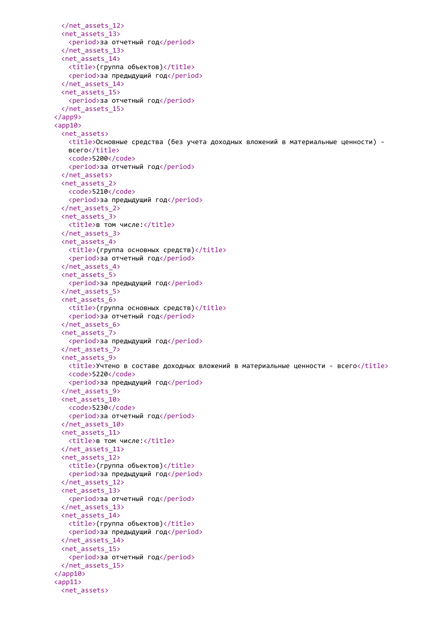```
</net_assets_12>
 <net_assets_13>
   <period>за отчетный год</period>
 </net_assets_13>
 <net_assets_14>
   <title>(группа объектов)</title>
   <period>за предыдущий год</period>
 </net_assets_14>
 <net_assets_15>
   <period>за отчетный год</period>
 </net_assets_15>
</app9>
<app10>
 <net_assets>
   <title>Основные средства (без учета доходных вложений в материальные ценности) -
   всего</title>
   <code>5200</code>
   <period>за отчетный год</period>
 </net_assets>
 <net_assets_2>
   <code>5210</code>
   <period>за предыдущий год</period>
 </net_assets_2>
 <net_assets_3>
   <title>в том числе:</title>
 </net_assets_3>
 <net_assets_4>
   <title>(группа основных средств)</title>
   <period>за отчетный год</period>
 </net_assets_4>
 <net_assets_5>
   <period>за предыдущий год</period>
 </net_assets_5>
 <net_assets_6>
   <title>(группа основных средств)</title>
   <period>за отчетный год</period>
 </net_assets_6>
 <net_assets_7>
   <period>за предыдущий год</period>
 </net_assets_7>
 <net_assets_9>
   <title>Учтено в составе доходных вложений в материальные ценности - всего</title>
   <code>5220</code>
   <period>за предыдущий год</period>
 </net_assets_9>
 <net_assets_10>
   <code>5230</code>
   <period>за отчетный год</period>
 </net_assets_10>
 <net_assets_11>
   <title>в том числе:</title>
 </net_assets_11>
 <net_assets_12>
   <title>(группа объектов)</title>
   <period>за предыдущий год</period>
 </net_assets_12>
 <net_assets_13>
   <period>за отчетный год</period>
 </net_assets_13>
 <net_assets_14>
   <title>(группа объектов)</title>
   <period>за предыдущий год</period>
 </net_assets_14>
 <net_assets_15>
   <period>за отчетный год</period>
 </net_assets_15>
</app10>
<app11>
 <net_assets>
```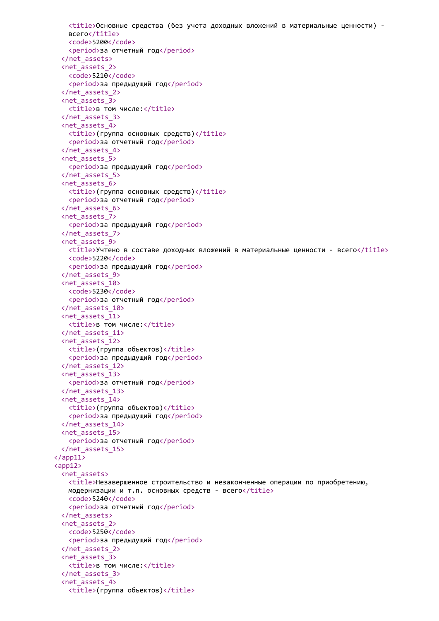```
<title>Основные средства (без учета доходных вложений в материальные ценности) -
   всего</title>
   <code>5200</code>
   <period>за отчетный год</period>
 </net_assets>
 <net_assets_2>
   <code>5210</code>
   <period>за предыдущий год</period>
 </net_assets_2>
 <net_assets_3>
   <title>в том числе:</title>
 </net_assets_3>
 <net_assets_4>
   <title>(группа основных средств)</title>
   <period>за отчетный год</period>
 </net_assets_4>
 <net_assets_5>
   <period>за предыдущий год</period>
 </net_assets_5>
 <net_assets_6>
   <title>(группа основных средств)</title>
   <period>за отчетный год</period>
 </net_assets_6>
 <net_assets_7>
   <period>за предыдущий год</period>
 </net_assets_7>
 <net_assets_9>
   <title>Учтено в составе доходных вложений в материальные ценности - всего</title>
   <code>5220</code>
   <period>за предыдущий год</period>
 </net_assets_9>
 <net_assets_10>
   <code>5230</code>
   <period>за отчетный год</period>
 </net_assets_10>
 <net_assets_11>
   <title>в том числе:</title>
 </net_assets_11>
 <net_assets_12>
   <title>(группа объектов)</title>
   <period>за предыдущий год</period>
 </net_assets_12>
 <net_assets_13>
   <period>за отчетный год</period>
 </net_assets_13>
 <net_assets_14>
   <title>(группа объектов)</title>
   <period>за предыдущий год</period>
 </net_assets_14>
 <net_assets_15>
   <period>за отчетный год</period>
 </net_assets_15>
\langle app11>
<app12>
 <net_assets>
   <title>Незавершенное строительство и незаконченные операции по приобретению,
   модернизации и т.п. основных средств - всего\langletitle>
   <code>5240</code>
   <period>за отчетный год</period>
 </net_assets>
 <net_assets_2>
   <code>5250</code>
   <period>за предыдущий год</period>
 </net_assets_2>
 <net_assets_3>
   <title>в том числе:</title>
 </net_assets_3>
 <net_assets_4>
   <title>(группа объектов)</title>
```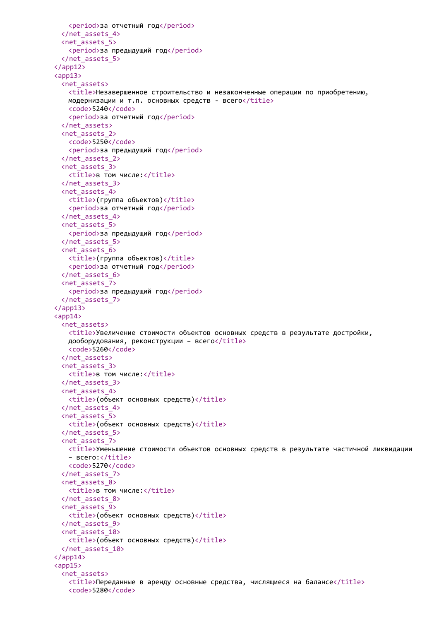```
<period>за отчетный год</period>
 </net_assets_4>
 <net_assets_5>
   <period>за предыдущий год</period>
 </net_assets_5>
</app12>
<app13>
 <net_assets>
   <title>Незавершенное строительство и незаконченные операции по приобретению,
   модернизации и т.п. основных средств - всего\langle\text{title}\rangle<code>5240</code>
   <period>за отчетный год</period>
 </net_assets>
 <net_assets_2>
   <code>5250</code>
   <period>за предыдущий год</period>
 </net_assets_2>
 <net_assets_3>
   <title>в том числе:</title>
 </net_assets_3>
 <net_assets_4>
   <title>(группа объектов)</title>
   <period>за отчетный год</period>
 </net_assets_4>
 <net_assets_5>
   <period>за предыдущий год</period>
 </net_assets_5>
 <net_assets_6>
   <title>(группа объектов)</title>
   <period>за отчетный год</period>
 </net_assets_6>
 <net_assets_7>
   <period>за предыдущий год</period>
 </net_assets_7>
</app13>
<app14>
 <net_assets>
   <title>Увеличение стоимости объектов основных средств в результате достройки,
   дооборудования, реконструкции - всего</title>
   <code>5260</code>
 </net_assets>
 <net_assets_3>
   <title>в том числе:</title>
 </net_assets_3>
 <net_assets_4>
   <title>(объект основных средств)</title>
 </net_assets_4>
 <net_assets_5>
   <title>(объект основных средств)</title>
 </net_assets_5>
 <net_assets_7>
   <title>Уменьшение стоимости объектов основных средств в результате частичной ликвидации
   – всего:</title>
   <code>5270</code>
 </net_assets_7>
 <net_assets_8>
   <title>в том числе:</title>
 </net_assets_8>
 <net_assets_9>
   <title>(объект основных средств)</title>
 </net_assets_9>
 <net_assets_10>
   <title>(объект основных средств)</title>
 </net_assets_10>
\langle/app14>
<app15>
 <net assets>
   <title>Переданные в аренду основные средства, числящиеся на балансе</title>
   <code>5280</code>
```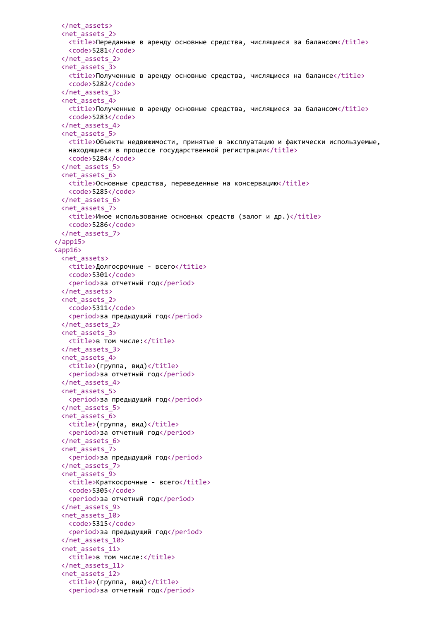```
</net_assets>
 <net_assets_2>
   <title>Переданные в аренду основные средства, числящиеся за балансом</title>
   <code>5281</code>
 </net_assets_2>
 <net_assets_3>
   <title>Полученные в аренду основные средства, числящиеся на балансе</title>
   <code>5282</code>
 </net_assets_3>
 <net_assets_4>
   <title>Полученные в аренду основные средства, числящиеся за балансом</title>
   <code>5283</code>
 </net_assets_4>
 <net_assets_5>
   <title>Объекты недвижимости, принятые в эксплуатацию и фактически используемые,
   находящиеся в процессе государственной регистрации</title>
   <code>5284</code>
 </net_assets_5>
 <net_assets_6>
   <title>Основные средства, переведенные на консервацию</title>
   <code>5285</code>
 </net_assets_6>
 <net_assets_7>
   \langletitle>Иное использование основных средств (залог и др.)\langletitle>
   <code>5286</code>
 </net_assets_7>
</app15>
<app16>
 <net_assets>
   <title>Долгосрочные - всего</title>
   <code>5301</code>
   <period>за отчетный год</period>
 </net_assets>
 <net_assets_2>
   <code>5311</code>
   <period>за предыдущий год</period>
 </net_assets_2>
 <net_assets_3>
   <title>в том числе:</title>
 </net_assets_3>
 <net_assets_4>
   <title>(группа, вид)</title>
   <period>за отчетный год</period>
 </net_assets_4>
 <net_assets_5>
   <period>за предыдущий год</period>
 </net_assets_5>
 <net_assets_6>
   <title>(группа, вид)</title>
   <period>за отчетный год</period>
 </net_assets_6>
 <net_assets_7>
   <period>за предыдущий год</period>
 </net_assets_7>
 <net_assets_9>
   <title>Краткосрочные - всего</title>
   <code>5305</code>
   <period>за отчетный год</period>
 </net_assets_9>
 <net_assets_10>
   <code>5315</code>
   <period>за предыдущий год</period>
 </net_assets_10>
 <net_assets_11>
   <title>в том числе:</title>
 </net_assets_11>
 <net_assets_12>
   <title>(группа, вид)</title>
   <period>за отчетный год</period>
```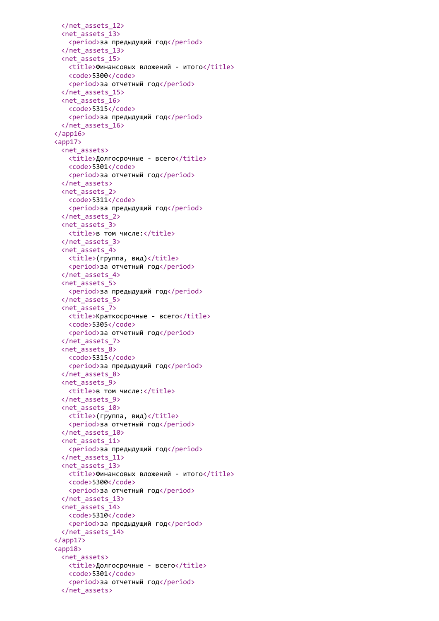```
</net_assets_12>
 <net_assets_13>
   <period>за предыдущий год</period>
 </net_assets_13>
 <net_assets_15>
   <title>Финансовых вложений - итого</title>
   <code>5300</code>
   <period>за отчетный год</period>
 </net_assets_15>
 <net_assets_16>
   <code>5315</code>
   <period>за предыдущий год</period>
 </net_assets_16>
</app16>
<app17>
 <net_assets>
   <title>Долгосрочные - всего</title>
   <code>5301</code>
   <period>за отчетный год</period>
 </net_assets>
 <net_assets_2>
   <code>5311</code>
   <period>за предыдущий год</period>
 </net_assets_2>
 <net_assets_3>
   <title>в том числе:</title>
 </net_assets_3>
 <net_assets_4>
   <title>(группа, вид)</title>
   <period>за отчетный год</period>
 </net_assets_4>
 <net_assets_5>
   <period>за предыдущий год</period>
 </net_assets_5>
 <net_assets_7>
   <title>Краткосрочные - всего</title>
   <code>5305</code>
   <period>за отчетный год</period>
 </net_assets_7>
 <net_assets_8>
   <code>5315</code>
   <period>за предыдущий год</period>
 </net_assets_8>
 <net_assets_9>
   <title>в том числе:</title>
 </net_assets_9>
 <net_assets_10>
   <title>(группа, вид)</title>
   <period>за отчетный год</period>
 </net_assets_10>
 <net_assets_11>
   <period>за предыдущий год</period>
 </net_assets_11>
 <net_assets_13>
   <title>Финансовых вложений - итого</title>
   <code>5300</code>
   <period>за отчетный год</period>
 </net_assets_13>
 <net_assets_14>
   <code>5310</code>
   <period>за предыдущий год</period>
 </net_assets_14>
</app17>
<app18>
 <net_assets>
   <title>Долгосрочные - всего</title>
   <code>5301</code>
   <period>за отчетный год</period>
 </net_assets>
```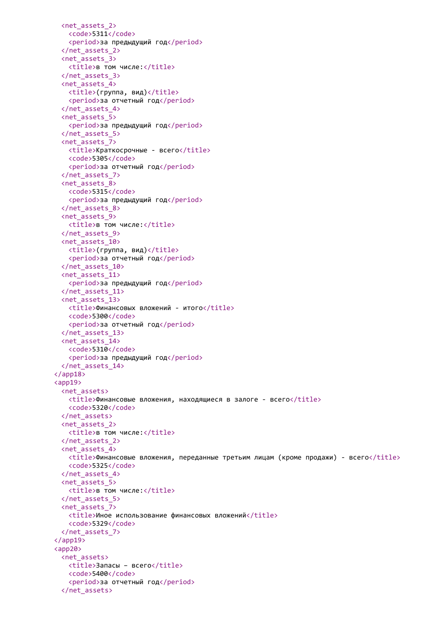```
<net_assets_2>
   <code>5311</code>
   <period>за предыдущий год</period>
 </net_assets_2>
 <net_assets_3>
   <title>в том числе:</title>
 </net_assets_3>
 <net_assets_4>
   <title>(группа, вид)</title>
   <period>за отчетный год</period>
 </net_assets_4>
 <net_assets_5>
   <period>за предыдущий год</period>
 </net_assets_5>
 <net_assets_7>
   <title>Краткосрочные - всего</title>
   <code>5305</code>
   <period>за отчетный год</period>
 </net_assets_7>
 <net_assets_8>
   <code>5315</code>
   <period>за предыдущий год</period>
 </net_assets_8>
 <net_assets_9>
   <title>в том числе:</title>
 </net_assets_9>
 <net_assets_10>
   \langle \text{title} \rangle(группа, вид)</title>
   <period>за отчетный год</period>
 </net_assets_10>
 <net_assets_11>
   <period>за предыдущий год</period>
 </net_assets_11>
 <net_assets_13>
   <title>Финансовых вложений - итого</title>
   <code>5300</code>
   <period>за отчетный год</period>
 </net_assets_13>
 <net_assets_14>
   <code>5310</code>
   <period>за предыдущий год</period>
 </net_assets_14>
</app18>
<app19>
 <net_assets>
   <title>Финансовые вложения, находящиеся в залоге - всего</title>
   <code>5320</code>
 </net_assets>
 <net_assets_2>
   <title>в том числе:</title>
 </net_assets_2>
 <net_assets_4>
   <title>Финансовые вложения, переданные третьим лицам (кроме продажи) - всего</title>
   <code>5325</code>
 </net_assets_4>
 <net_assets_5>
   <title>в том числе:</title>
 </net_assets_5>
 <net_assets_7>
   <title>Иное использование финансовых вложений</title>
   <code>5329</code>
 </net_assets_7>
</app19>
<app20>
 <net_assets>
   <title>Запасы - всего</title>
   <code>5400</code>
   <period>за отчетный год</period>
 </net_assets>
```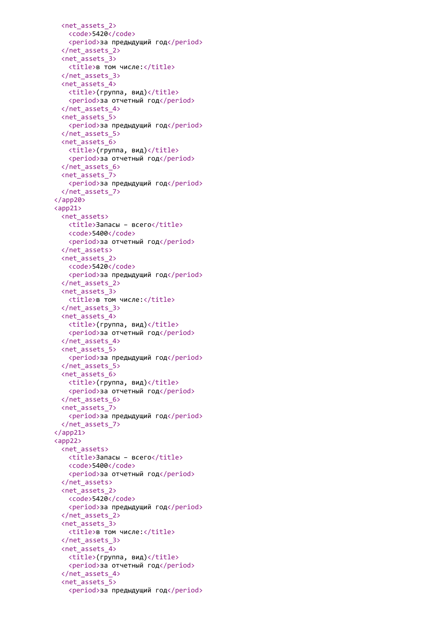```
<net_assets_2>
   <code>5420</code>
   <period>за предыдущий год</period>
 </net_assets_2>
 <net_assets_3>
   <title>в том числе:</title>
 </net_assets_3>
 <net_assets_4>
   <title>(группа, вид)</title>
   <period>за отчетный год</period>
 </net_assets_4>
 <net_assets_5>
   <period>за предыдущий год</period>
 </net_assets_5>
 <net_assets_6>
   <title>(группа, вид)</title>
   <period>за отчетный год</period>
 </net_assets_6>
 <net_assets_7>
   <period>за предыдущий год</period>
 </net_assets_7>
</app20>
<app21>
 <net_assets>
   <title>Запасы – всего</title>
   <code>5400</code>
   <period>за отчетный год</period>
 </net_assets>
 <net_assets_2>
   <code>5420</code>
   <period>за предыдущий год</period>
 </net_assets_2>
 <net_assets_3>
   <title>в том числе:</title>
 </net_assets_3>
 <net_assets_4>
   <title>(группа, вид)</title>
   <period>за отчетный год</period>
 </net_assets_4>
 <net_assets_5>
   <period>за предыдущий год</period>
 </net_assets_5>
 <net_assets_6>
   <title>(группа, вид)</title>
   <period>за отчетный год</period>
 </net_assets_6>
 <net_assets_7>
   <period>за предыдущий год</period>
 </net_assets_7>
</app21>
<app22>
 <net_assets>
   <title>Запасы – всего</title>
   <code>5400</code>
   <period>за отчетный год</period>
 </net_assets>
 <net_assets_2>
   <code>5420</code>
   <period>за предыдущий год</period>
 </net_assets_2>
 <net_assets_3>
   <title>в том числе:</title>
 </net_assets_3>
 <net_assets_4>
   <title>(группа, вид)</title>
   <period>за отчетный год</period>
 </net_assets_4>
 <net_assets_5>
   <period>за предыдущий год</period>
```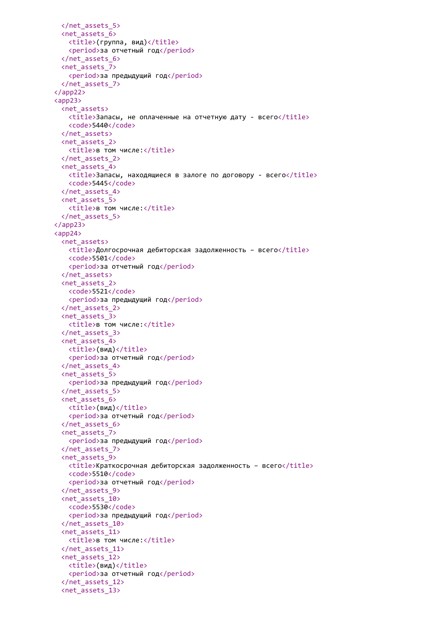```
</net_assets_5>
 <net_assets_6>
   <title>(группа, вид)</title>
   <period>за отчетный год</period>
 </net_assets_6>
 <net_assets_7>
   <period>за предыдущий год</period>
 </net_assets_7>
</app22>
<app23>
 <net_assets>
   <title>Запасы, не оплаченные на отчетную дату - всего</title>
   <code>5440</code>
 </net_assets>
 <net_assets_2>
   <title>в том числе:</title>
 </net_assets_2>
 <net_assets_4>
   <title>Запасы, находящиеся в залоге по договору - всего</title>
   <code>5445</code>
 </net_assets_4>
 <net_assets_5>
   <title>в том числе:</title>
 </net_assets_5>
</app23>
<app24>
 <net assets>
   <title>Долгосрочная дебиторская задолженность – всего</title>
   <code>5501</code>
   <period>за отчетный год</period>
 </net_assets>
 <net_assets_2>
   <code>5521</code>
   <period>за предыдущий год</period>
 </net_assets_2>
 <net_assets_3>
   <title>в том числе:</title>
 </net_assets_3>
 <net_assets_4>
   <title>(вид)</title>
   <period>за отчетный год</period>
 </net_assets_4>
 <net_assets_5>
   <period>за предыдущий год</period>
 </net_assets_5>
 <net_assets_6>
   <title>(вид)</title>
   <period>за отчетный год</period>
 </net_assets_6>
 <net_assets_7>
   <period>за предыдущий год</period>
 </net_assets_7>
 <net_assets_9>
   <title>Краткосрочная дебиторская задолженность – всего</title>
   <code>5510</code>
   <period>за отчетный год</period>
 </net_assets_9>
 <net_assets_10>
   <code>5530</code>
   <period>за предыдущий год</period>
 </net_assets_10>
 <net_assets_11>
   <title>в том числе:</title>
 </net_assets_11>
 <net_assets_12>
   <title>(вид)</title>
   <period>за отчетный год</period>
 </net_assets_12>
 <net_assets_13>
```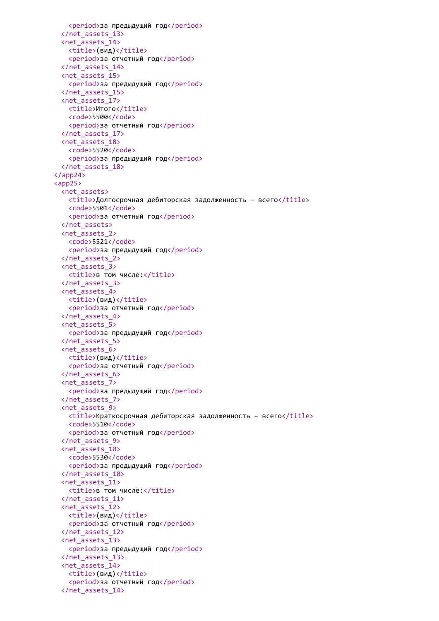```
<period>за предыдущий год</period>
 </net_assets_13>
 <net_assets_14>
   <title>(вид)</title>
   <period>за отчетный год</period>
 </net_assets_14>
 <net_assets_15>
   <period>за предыдущий год</period>
 </net_assets_15>
 <net_assets_17>
   <title>Итого</title>
   <code>5500</code>
   <period>за отчетный год</period>
 </net_assets_17>
 <net_assets_18>
   <code>5520</code>
   <period>за предыдущий год</period>
 </net_assets_18>
</app24>
<app25>
 <net assets>
   <title>Долгосрочная дебиторская задолженность – всего</title>
   <code>5501</code>
   <period>за отчетный год</period>
 </net_assets>
 <net_assets_2>
   <code>5521</code>
   <period>за предыдущий год</period>
 </net_assets_2>
 <net_assets_3>
   <title>в том числе:</title>
 </net_assets_3>
 <net_assets_4>
   <title>(вид)</title>
   <period>за отчетный год</period>
 </net_assets_4>
 <net_assets_5>
   <period>за предыдущий год</period>
 </net_assets_5>
 <net_assets_6>
   <title>(вид)</title>
   <period>за отчетный год</period>
 </net_assets_6>
 <net_assets_7>
   <period>за предыдущий год</period>
 </net_assets_7>
 <net_assets_9>
   <title>Краткосрочная дебиторская задолженность – всего</title>
   <code>5510</code>
   <period>за отчетный год</period>
 </net_assets_9>
 <net_assets_10>
   <code>5530</code>
   <period>за предыдущий год</period>
 </net_assets_10>
 <net_assets_11>
   <title>в том числе:</title>
 </net_assets_11>
 <net_assets_12>
   <title>(вид)</title>
   <period>за отчетный год</period>
 </net_assets_12>
 <net_assets_13>
   <period>за предыдущий год</period>
 </net_assets_13>
 <net_assets_14>
   <title>(вид)</title>
   <period>за отчетный год</period>
 </net_assets_14>
```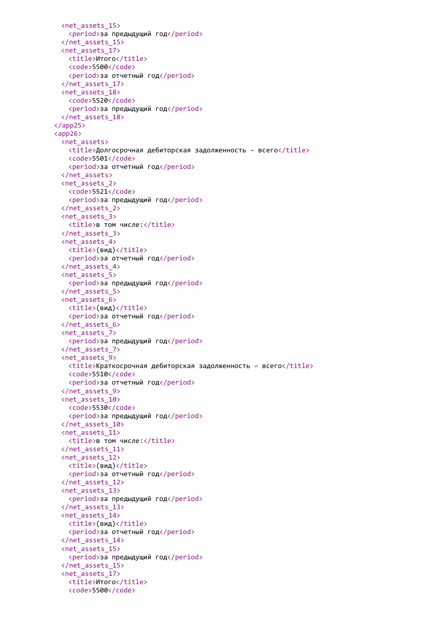```
<net_assets_15>
   <period>за предыдущий год</period>
 </net_assets_15>
 <net_assets_17>
   <title>Итого</title>
   <code>5500</code>
   <period>за отчетный год</period>
 </net_assets_17>
 <net_assets_18>
   <code>5520</code>
   <period>за предыдущий год</period>
 </net_assets_18>
</app25>
<app26>
 <net_assets>
   \langletitle>Долгосрочная дебиторская задолженность - всего\langletitle>
   <code>5501</code>
   <period>за отчетный год</period>
 </net_assets>
 <net_assets_2>
   <code>5521</code>
   <period>за предыдущий год</period>
 </net_assets_2>
 <net_assets_3>
   <title>в том числе:</title>
 </net_assets_3>
 <net_assets_4>
   <title>(вид)</title>
   <period>за отчетный год</period>
 </net_assets_4>
 <net_assets_5>
   <period>за предыдущий год</period>
 </net_assets_5>
 <net_assets_6>
   <title>(вид)</title>
   <period>за отчетный год</period>
 </net_assets_6>
 <net_assets_7>
   <period>за предыдущий год</period>
 </net_assets_7>
 <net_assets_9>
   <title>Краткосрочная дебиторская задолженность – всего</title>
   <code>5510</code>
   <period>за отчетный год</period>
 </net_assets_9>
 <net_assets_10>
   <code>5530</code>
   <period>за предыдущий год</period>
 </net_assets_10>
 <net_assets_11>
   <title>в том числе:</title>
 </net_assets_11>
 <net_assets_12>
   <title>(вид)</title>
   <period>за отчетный год</period>
 </net_assets_12>
 <net_assets_13>
   <period>за предыдущий год</period>
 </net_assets_13>
 <net_assets_14>
   <title>(вид)</title>
   <period>за отчетный год</period>
 </net_assets_14>
 <net_assets_15>
   <period>за предыдущий год</period>
 </net_assets_15>
 <net_assets_17>
   <title>Итого</title>
   <code>5500</code>
```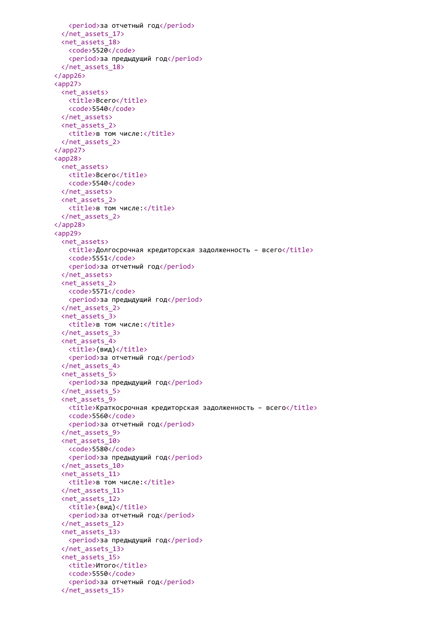```
<period>за отчетный год</period>
 </net_assets_17>
 <net_assets_18>
   <code>5520</code>
   <period>за предыдущий год</period>
 </net_assets_18>
</app26>
<app27>
 <net_assets>
   <title>Bcero</title>
   <code>5540</code>
 </net_assets>
 <net_assets_2>
   <title>в том числе:</title>
 </net_assets_2>
</app27>
<app28>
 <net_assets>
   <title>Всего</title>
   <code>5540</code>
 </net_assets>
 <net_assets_2>
   <title>в том числе:</title>
 </net_assets_2>
</app28>
<app29>
 <net assets>
   <title>Долгосрочная кредиторская задолженность – всего</title>
   <code>5551</code>
   <period>за отчетный год</period>
 </net_assets>
 <net_assets_2>
   <code>5571</code>
   <period>за предыдущий год</period>
 </net_assets_2>
 <net_assets_3>
   <title>в том числе:</title>
 </net_assets_3>
 <net_assets_4>
   <title>(вид)</title>
   <period>за отчетный год</period>
 </net_assets_4>
 <net_assets_5>
   <period>за предыдущий год</period>
 </net_assets_5>
 <net_assets_9>
   \timestitle>Краткосрочная кредиторская задолженность – всего\timestitle>
   <code>5560</code>
   <period>за отчетный год</period>
 </net_assets_9>
 <net_assets_10>
   <code>5580</code>
   <period>за предыдущий год</period>
 </net_assets_10>
 <net_assets_11>
   <title>в том числе:</title>
 </net_assets_11>
 <net_assets_12>
   <title>(вид)</title>
   <period>за отчетный год</period>
 </net_assets_12>
 <net_assets_13>
   <period>за предыдущий год</period>
 </net_assets_13>
 <net_assets_15>
   <title>Итого</title>
   <code>5550</code>
   <period>за отчетный год</period>
 </net_assets_15>
```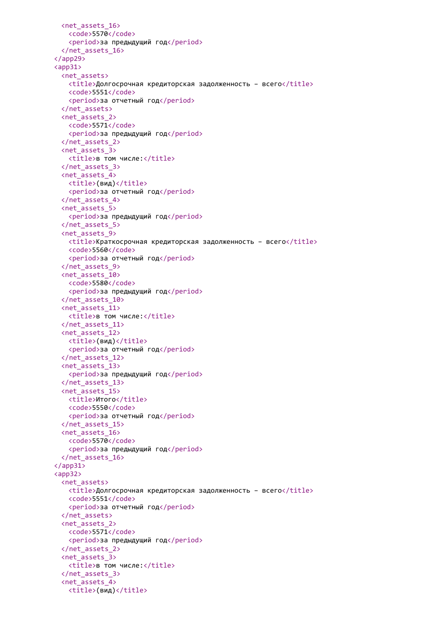```
<net_assets_16>
   <code>5570</code>
   <period>за предыдущий год</period>
 </net_assets_16>
</app29>
<app31>
 <net_assets>
   <title>Долгосрочная кредиторская задолженность – всего</title>
   <code>5551</code>
   <period>за отчетный год</period>
 </net_assets>
 <net_assets_2>
   <code>5571</code>
   <period>за предыдущий год</period>
 </net_assets_2>
 <net_assets_3>
   <title>в том числе:</title>
 </net_assets_3>
 <net_assets_4>
   <title>(вид)</title>
   <period>за отчетный год</period>
 </net_assets_4>
 <net_assets_5>
   <period>за предыдущий год</period>
 </net_assets_5>
 <net_assets_9>
   <title>Краткосрочная кредиторская задолженность – всего</title>
   <code>5560</code>
   <period>за отчетный год</period>
 </net_assets_9>
 <net_assets_10>
   <code>5580</code>
   <period>за предыдущий год</period>
 </net_assets_10>
 <net_assets_11>
   <title>в том числе:</title>
 </net_assets_11>
 <net_assets_12>
   <title>(вид)</title>
   <period>за отчетный год</period>
 </net_assets_12>
 <net_assets_13>
   <period>за предыдущий год</period>
 </net_assets_13>
 <net_assets_15>
   <title>Итого</title>
   <code>5550</code>
   <period>за отчетный год</period>
 </net_assets_15>
 <net_assets_16>
   <code>5570</code>
   <period>за предыдущий год</period>
 </net_assets_16>
</app31>
<app32>
 <net_assets>
   \langletitle>Долгосрочная кредиторская задолженность – всего\langletitle>
   <code>5551</code>
   <period>за отчетный год</period>
 </net_assets>
 <net_assets_2>
   <code>5571</code>
   <period>за предыдущий год</period>
 </net_assets_2>
 <net_assets_3>
   <title>в том числе:</title>
 </net_assets_3>
 <net_assets_4>
   <title>(вид)</title>
```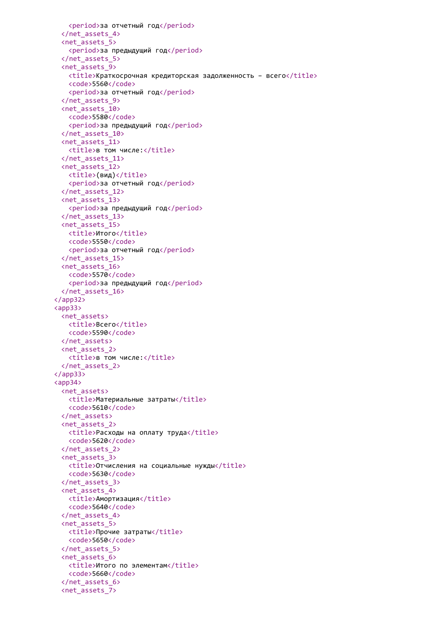```
<period>за отчетный год</period>
 </net_assets_4>
 <net_assets_5>
   <period>за предыдущий год</period>
 </net_assets_5>
 <net_assets_9>
   <title>Краткосрочная кредиторская задолженность – всего</title>
   <code>5560</code>
   <period>за отчетный год</period>
 </net_assets_9>
 <net_assets_10>
   <code>5580</code>
   <period>за предыдущий год</period>
 </net_assets_10>
 <net_assets_11>
   <title>в том числе:</title>
 </net_assets_11>
 <net_assets_12>
   <title>(вид)</title>
   <period>за отчетный год</period>
 </net_assets_12>
 <net_assets_13>
   <period>за предыдущий год</period>
 </net_assets_13>
 <net_assets_15>
   <title>Итого</title>
   <code>5550</code>
   <period>за отчетный год</period>
 </net_assets_15>
 <net_assets_16>
   <code>5570</code>
   <period>за предыдущий год</period>
 </net_assets_16>
</app32>
<app33>
 <net_assets>
   <title>Bcero</title>
   <code>5590</code>
 </net_assets>
 <net_assets_2>
   <title>в том числе:</title>
 </net_assets_2>
</app33>
<app34>
 <net_assets>
   <title>Материальные затраты</title>
   <code>5610</code>
 </net_assets>
 <net_assets_2>
   <title>Расходы на оплату труда</title>
   <code>5620</code>
 </net_assets_2>
 <net_assets_3>
   <title>Отчисления на социальные нужды</title>
   <code>5630</code>
 </net_assets_3>
 <net_assets_4>
   <title>Амортизация</title>
   <code>5640</code>
 </net_assets_4>
 <net_assets_5>
   <title>Прочие затраты</title>
   <code>5650</code>
 </net_assets_5>
 <net_assets_6>
   <title>Итого по элементам</title>
   <code>5660</code>
 </net_assets_6>
 <net_assets_7>
```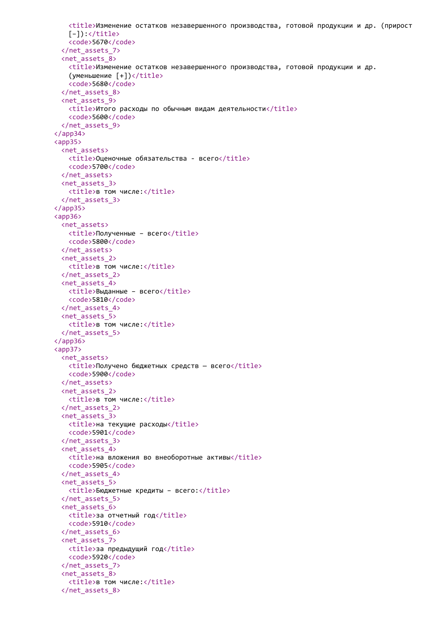```
<title>Изменение остатков незавершенного производства, готовой продукции и др. (прирост
   [-]):\langle/\text{title}\rangle<code>5670</code>
 </net_assets_7>
 <net_assets_8>
   <title>Изменение остатков незавершенного производства, готовой продукции и др.
   (yменьшение [+]) </title>
   <code>5680</code>
 </net_assets_8>
 <net_assets_9>
   <title>Итого расходы по обычным видам деятельности</title>
   <code>5600</code>
 </net_assets_9>
</app34>
<app35>
 <net_assets>
   <title>Оценочные обязательства - всего</title>
   <code>5700</code>
 </net_assets>
 <net_assets_3>
   <title>в том числе:</title>
 </net_assets_3>
</app35>
<app36>
 <net_assets>
   <title>Полученные - всего</title>
   <code>5800</code>
 </net_assets>
 <net_assets_2>
   <title>в том числе:</title>
 </net_assets_2>
 <net_assets_4>
   <title>Выданные – всего</title>
   <code>5810</code>
 </net_assets_4>
 <net_assets_5>
   <title>в том числе:</title>
 </net_assets_5>
</app36>
<app37>
 <net_assets>
   <title>Получено бюджетных средств - всего</title>
   <code>5900</code>
 </net_assets>
 <net_assets_2>
   <title>в том числе:</title>
 </net_assets_2>
 <net_assets_3>
   <title>на текущие расходы</title>
   <code>5901</code>
 </net_assets_3>
 <net_assets_4>
   <title>на вложения во внеоборотные активы</title>
   <code>5905</code>
 </net_assets_4>
 <net_assets_5>
   <title>Бюджетные кредиты – всего:</title>
 </net_assets_5>
 <net_assets_6>
   <title>за отчетный год</title>
   <code>5910</code>
 </net_assets_6>
 <net_assets_7>
   <title>за предыдущий год</title>
   <code>5920</code>
 </net_assets_7>
 <net_assets_8>
   <title>в том числе:</title>
 </net_assets_8>
```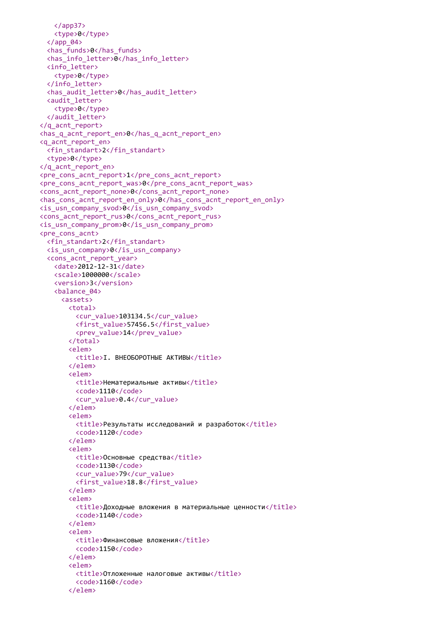```
</app37>
   <type>0</type>
  \langle app_04\rangle<has_funds>0</has_funds>
  <has_info_letter>0</has_info_letter>
  <info_letter>
   <type>0</type>
  </info_letter>
  <has_audit_letter>0</has_audit_letter>
  <audit_letter>
   <type>0</type>
  </audit_letter>
</q_acnt_report>
<has q acnt report en>0</has q acnt report en>
<q_acnt_report_en>
  <fin_standart>2</fin_standart>
  <type>0</type>
</q_acnt_report_en>
<pre_cons_acnt_report>1</pre_cons_acnt_report>
<pre_cons_acnt_report_was>0</pre_cons_acnt_report_was>
<cons_acnt_report_none>0</cons_acnt_report_none>
<has cons acnt report en only>0</has cons acnt report en only>
<is_usn_company_svod>0</is_usn_company_svod>
<cons_acnt_report_rus>0</cons_acnt_report_rus>
<is_usn_company_prom>0</is_usn_company_prom>
<pre_cons_acnt>
 <fin_standart>2</fin_standart>
  <is_usn_company>0</is_usn_company>
  <cons_acnt_report_year>
   <date>2012-12-31</date>
   <scale>1000000</scale>
   <version>3</version>
   <balance_04>
     <assets>
       <total>
         <cur_value>103134.5</cur_value>
         <first_value>57456.5</first_value>
         <prev_value>14</prev_value>
       </total>
       <elem>
         <title>I. ВНЕОБОРОТНЫЕ AKTИВЫ</title>
       </elem>
       <elem>
         <title>Нематериальные активы</title>
         <code>1110</code>
         <cur_value>0.4</cur_value>
       </elem>
       <elem>
         <title>Результаты исследований и разработок</title>
         <code>1120</code>
       </elem>
       <elem>
         <title>Основные средства</title>
         <code>1130</code>
         <cur_value>79</cur_value>
         <first_value>18.8</first_value>
       </elem>
       <elem>
         <title>Доходные вложения в материальные ценности</title>
         <code>1140</code>
       </elem>
       <elem>
         <title>Финансовые вложения</title>
         <code>1150</code>
       </elem>
       <elem>
         <title>Отложенные налоговые активы</title>
         <code>1160</code>
       </elem>
```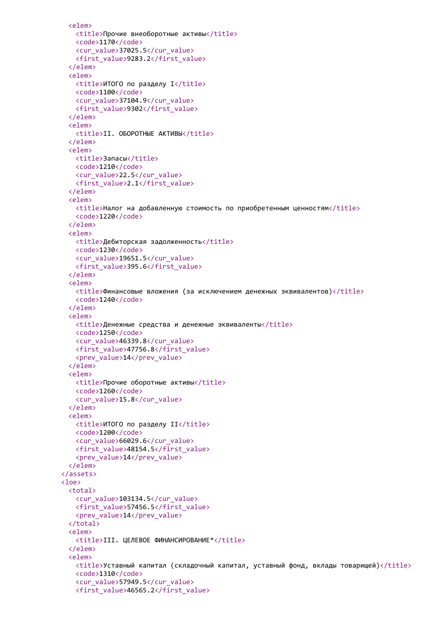```
\leq \leq \leq \leq \leq \leq \leq \leq \leq \leq \leq \leq \leq \leq \leq \leq \leq \leq \leq \leq \leq \leq \leq \leq \leq \leq \leq \leq \leq \leq \leq \leq \leq \leq \leq \leq \leq<title>Прочие внеоборотные активы</title>
    <code>1170</code>
    <cur_value>37025.5</cur_value>
    <first_value>9283.2</first_value>
  \langle/elem>
  <elem>
    <title>ИТОГО по разделу I</title>
    <code>1100</code>
    <cur value>37104.9</cur value>
    <first value>9302</first value>
  \langle/elem>
  <elem>
    <title>II. OБОРОТНЫЕ AKTИВЫ</title>
  \langle/elem>
  <elem>
    <title>Запасы</title>
    <code>1210</code>
    <cur value>22.5</cur value>
    <first value>2.1</first value>
  \langle/elem\ranglec<sup>lem></sup>
    <title>Налог на добавленную стоимость по приобретенным ценностям</title>
    <code>1220</code>
  \langle/elem\rangle<elem>
    <title>Дебиторская задолженность</title>
    <code>1230</code>
    <cur value>19651.5</cur value>
    <first_value>395.6</first_value>
  \langle/elem\rangle<elem>
    <title>Финансовые вложения (за исключением денежных эквивалентов)</title>
    <code>1240</code>
  \langle/elem>
  <elem>
    <title>Денежные средства и денежные эквиваленты</title>
    <code>1250</code>
    <cur value>46339.8</cur value>
    <first value>47756.8</first value>
    <prev value>14</prev value>
  \langle/elem>
  <elem>
    <title>Прочие оборотные активы</title>
    <code>1260</code>
    <cur value>15.8</cur value>
  \langle/elem>
  <elem>
    <title>ИТОГО по разделу II</title>
    <code>1200</code>
    <cur value>66029.6</cur value>
    <first value>48154.5</first value>
    <br />
sprev value>14</prev value>
  \langle/elem>
</assets>
\text{close}\left\langle \text{total}\right\rangle<cur value>103134.5</cur value>
    <first value>57456.5</first value>
    <br />
sprev value>14</brev value>
  </total>
  c<sup>1</sup>em<title>III. ЦЕЛЕВОЕ ФИНАНСИРОВАНИЕ*</title>
  </elem>
  \leq \leq \leq \leq \leq \leq \leq \leq \leq \leq \leq \leq \leq \leq \leq \leq \leq \leq \leq \leq \leq \leq \leq \leq \leq \leq \leq \leq \leq \leq \leq \leq \leq \leq \leq \leq \leq<title>Уставный капитал (складочный капитал, уставный фонд, вклады товарищей)</title>
    <code>1310</code>
    <cur_value>57949.5</cur_value>
    <first_value>46565.2</first_value>
```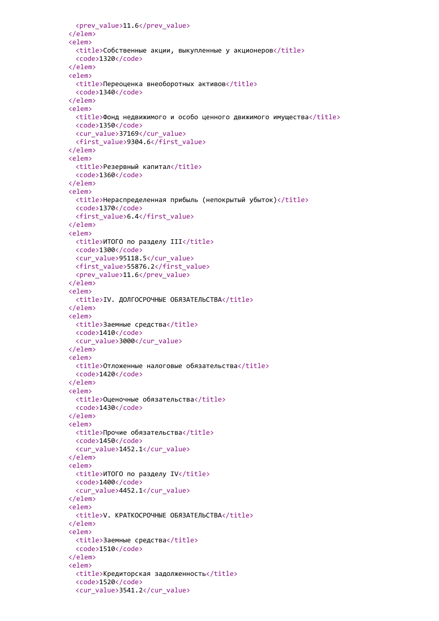```
<prev_value>11.6</prev_value>
\langle/elem>
<elem>
 <title>Собственные акции, выкупленные у акционеров</title>
 <code>1320</code>
</elem>
<elem>
 <title>Переоценка внеоборотных активов</title>
 <code>1340</code>
</elem>
c<sup>lem></sup>
 <title>Фонд недвижимого и особо ценного движимого имущества</title>
 <code>1350</code>
 <cur value>37169</cur value>
 <first_value>9304.6</first_value>
\langle/elem>
<elem>
 <title>Резервный капитал</title>
 <code>1360</code>
</elem>
<elem>
 <title>Нераспределенная прибыль (непокрытый убыток)</title>
 <code>1370</code>
 <first value>6.4</first value>
\langle/elem\ranglec<sup>lem></sup>
 <title>ИТОГО по разделу III</title>
 <code>1300</code>
 <cur value>95118.5</cur value>
 <first_value>55876.2</first_value>
 <prev value>11.6</prev value>
\langle/elem\rangle<elem>
 <title>IV. ДОЛГОСРОЧНЫЕ ОБЯЗАТЕЛЬСТВА</title>
\langle/elem>
<elem>
 <title>Заемные средства</title>
 <code>1410</code>
 <cur value>3000</cur value>
\langle/elem>
<elem>
 <title>Отложенные налоговые обязательства</title>
 <code>1420</code>
</elem>
<elem>
  <title>Оценочные обязательства</title>
 <code>1430</code>
\langle/elem>
<elem>
 <title>Прочие обязательства</title>
 <code>1450</code>
 <cur value>1452.1</cur value>
</elem>
celem>
 <title>ИТОГО по разделу IV</title>
 <code>1400</code>
 <cur value>4452.1</cur value>
\langle/elem>
celem>
 <title>V. КРАТКОСРОЧНЫЕ ОБЯЗАТЕЛЬСТВА</title>
</elem>
<elem>
 <title>Заемные средства</title>
 <code>1510</code>
\langle/elem>
<elem>
 <title>Кредиторская задолженность</title>
 <code>1520</code>
 <cur_value>3541.2</cur_value>
```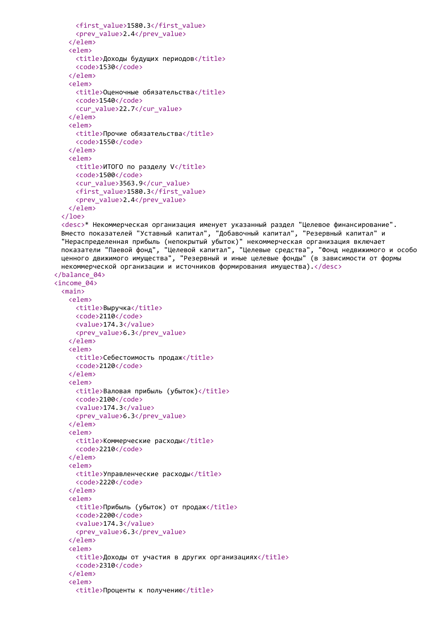```
<first_value>1580.3</first_value>
     <prev_value>2.4</prev_value>
   \langle/elem\rangle\langleelem>
     <title>Доходы будущих периодов</title>
     <code>1530</code>
   \langle/elem>
   celem>
     <title>Оценочные обязательства</title>
     <code>1540</code>
     <cur value>22.7</cur value>
   \langle/elem>
   <elem>
     <title>Прочие обязательства</title>
     <code>1550</code>
   </elem>
   <elem>
     <title>ИТОГО по разделу V</title>
     <code>1500</code>
     <cur value>3563.9</cur value>
     <first value>1580.3</first value>
     <prev value>2.4</prev value>
   </elem>
 \langle /loe><desc>* Некоммерческая организация именует указанный раздел "Целевое финансирование".
 Вместо показателей "Уставный капитал", "Добавочный капитал", "Резервный капитал" и
 "Нераспределенная прибыль (непокрытый убыток)" некоммерческая организация включает
 показатели "Паевой фонд", "Целевой капитал", "Целевые средства", "Фонд недвижимого и особо
 ценного движимого имущества", "Резервный и иные целевые фонды" (в зависимости от формы
 некоммерческой организации и источников формирования имущества).</desc>
</balance 04>
\langleincome_04>
 <sub>main</sub></sub>
   <elem>
     <title>Выручка</title>
     <code>2110</code>
     <value>174.3</value>
     <prev value>6.3</prev value>
   </elem>
   <elem>
     <title>Себестоимость продаж</title>
     <code>2120</code>
   \langle/elem>
   <elem>
     <title>Валовая прибыль (убыток)</title>
     <code>2100</code>
     <value>174.3</value>
     <prev value>6.3</prev value>
   \langle/elem>
   <elem>
     <title>Коммерческие расходы</title>
     <code>2210</code>
   \langle/elem>
   <elem>
     <title>Управленческие расходы</title>
     <code>2220</code>
   \langle/elem>
   <elem>
     <title>Прибыль (убыток) от продаж</title>
     <code>2200</code>
     <value>174.3</value>
     <br />
<br />
value>6.3</brev<br />
value>
   </elem>
   <elem>
     <title>Доходы от участия в других организациях</title>
     <code>2310</code>
   \langle/elem>
   <elem>
```
<title>Проценты к получению</title>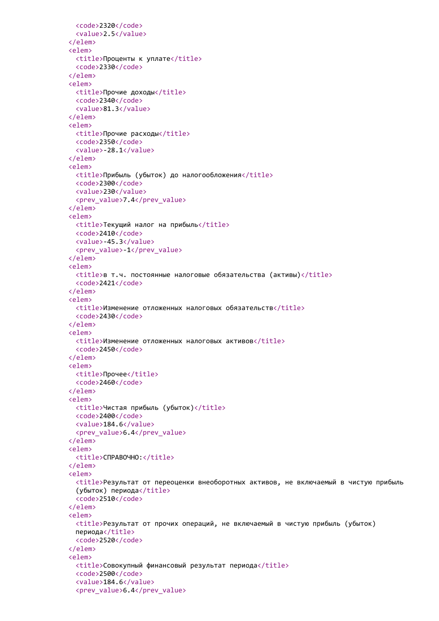```
<code>2320</code>
 <value>2.5</value>
</elem>
<elem>
 <title>Проценты к уплате</title>
 <code>2330</code>
</elem>
<elem>
 <title>Прочие доходы</title>
 <code>2340</code>
 <value>81.3</value>
</elem>
<elem>
 <title>Прочие расходы</title>
 <code>2350</code>
 <value>-28.1</value>
</elem>
<elem>
 <title>Прибыль (убыток) до налогообложения</title>
 <code>2300</code>
 <value>230</value>
 <prev_value>7.4</prev_value>
</elem>
<elem>
 <title>Текущий налог на прибыль</title>
 <code>2410</code>
 <value>-45.3</value>
 <prev_value>-1</prev_value>
</elem>
<elem>
 \langletitle>в т.ч. постоянные налоговые обязательства (активы)\langle/title>
 <code>2421</code>
</elem>
<elem>
 <title>Изменение отложенных налоговых обязательств</title>
 <code>2430</code>
</elem>
<elem>
 <title>Изменение отложенных налоговых активов</title>
 <code>2450</code>
</elem>
<elem>
 <title>Прочее</title>
 <code>2460</code>
</elem>
<elem>
 <title>Чистая прибыль (убыток)</title>
 <code>2400</code>
 <value>184.6</value>
 <prev_value>6.4</prev_value>
</elem>
<elem>
 <title>СПРАВОЧНО:</title>
</elem>
<elem>
 <title>Результат от переоценки внеоборотных активов, не включаемый в чистую прибыль
 (убыток) периода</title>
 <code>2510</code>
</elem>
<elem>
 <title>Результат от прочих операций, не включаемый в чистую прибыль (убыток)
 периода</title>
 <code>2520</code>
</elem>
<elem>
 <title>Совокупный финансовый результат периода</title>
 <code>2500</code>
 <value>184.6</value>
 <prev_value>6.4</prev_value>
```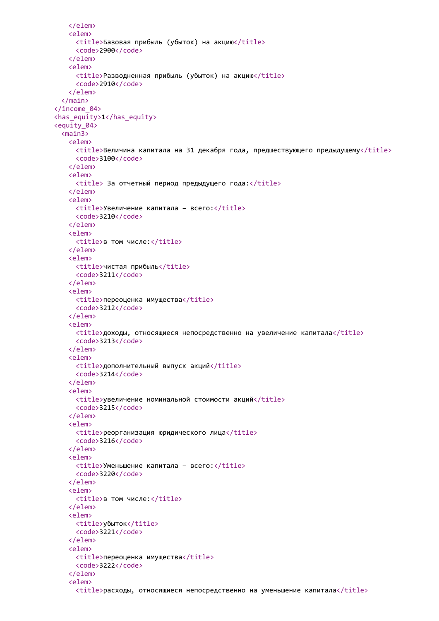```
</elem>
    <elem>
      <title>Базовая прибыль (убыток) на акцию</title>
      <code>2900</code>
    \langle/elem>
    <elem>
      <title>Разводненная прибыль (убыток) на акцию</title>
      <code>2910</code>
    </elem>
  \langle / \text{main} \rangle\langleincome 04>
<has_equity>1</has_equity>
<equity 04>
  <sub>main3</sub></sub>
    <elem>
      <title>Величина капитала на 31 декабря года, предшествующего предыдущему</title>
      <code>3100</code>
    </elem>
    <elem>
      <title> За отчетный период предыдущего года:</title>
    </elem>
    \leq \leq \geq \leq \leq \leq \leq \leq \leq \leq \leq \leq \leq \leq \leq \leq \leq \leq \leq \leq \leq \leq \leq \leq \leq \leq \leq \leq \leq \leq \leq \leq \leq \leq \leq \leq \leq<title>Увеличение капитала - всего:</title>
      <code>3210</code>
    \langle/elem\rangle<elem>
      <title>в том числе:</title>
    \langle/elem>
    <elem>
      <title>чистая прибыль</title>
      <code>3211</code>
    \langle/elem>
    <elem>
      <title>переоценка имущества</title>
      <code>3212</code>
    \langle/elem>
    <elem>
      <title>доходы, относящиеся непосредственно на увеличение капитала</title>
      <code>3213</code>
    \langle/elem\rangle<elem>
      <title>дополнительный выпуск акций</title>
      <code>3214</code>
    \langle/elem>
    <elem>
      <title>увеличение номинальной стоимости акций</title>
      <code>3215</code>
    \langle/elem>
    <elem>
      <title>реорганизация юридического лица</title>
      <code>3216</code>
    \langle/elem>
    celem>
      <title>Уменьшение капитала - всего:</title>
      <code>3220</code>
    \langle/elem>
    c<sup>lem></sup>
      <title>в том числе:</title>
    </elem>
    <elem>
      <title>vбыток</title>
      <code>3221</code>
    \langle/elem>
    celem>
      <title>переоценка имущества</title>
      <code>3222</code>
    \langle/elem>
    <elem>
      <title>расходы, относящиеся непосредственно на уменьшение капитала</title>
```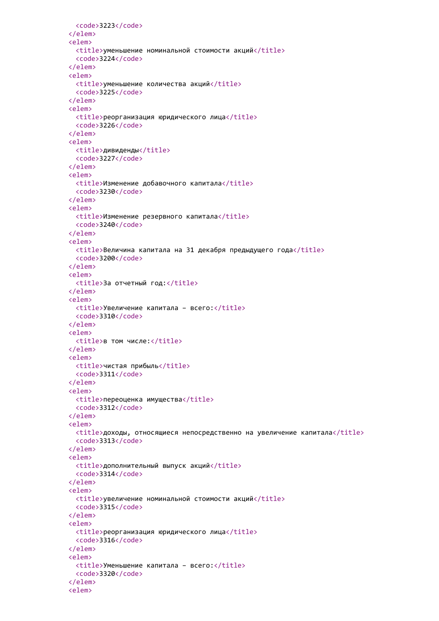```
<code>3223</code>
\langle/elem>
<elem>
 <title>уменьшение номинальной стоимости акций</title>
 <code>3224</code>
</elem>
<elem>
 <title>уменьшение количества акций</title>
 <code>3225</code>
</elem>
<elem>
  <title>реорганизация юридического лица</title>
 <code>3226</code>
</elem>
<elem>
 <title>дивиденды</title>
 <code>3227</code>
\langle/elem>
<elem>
  <title>Изменение добавочного капитала</title>
  <code>3230</code>
</elem>
<elem>
  <title>Изменение резервного капитала</title>
  <code>3240</code>
\langle/elem>
<elem>
  <title>Величина капитала на 31 декабря предыдущего года</title>
  <code>3200</code>
\langle/elem>
<elem>
 <title>За отчетный год:</title>
</elem>
<elem>
 <title>Увеличение капитала - всего:</title>
 <code>3310</code>
\langle/elem\rangle<elem>
  <title>в том числе:</title>
\langle/elem>
<elem>
 <title>чистая прибыль</title>
 <code>3311</code>
</elem>
<elem>
 <title>переоценка имущества</title>
 <code>3312</code>
\langle/elem>
<elem>
  <title>доходы, относящиеся непосредственно на увеличение капитала</title>
 <code>3313</code>
\langle/elem>
celem>
  <title>дополнительный выпуск акций</title>
 <code>3314</code>
\langle/elem>
c<sup>lem></sup>
  <title>увеличение номинальной стоимости акций</title>
 <code>3315</code>
\langle/elem>
<elem>
  <title>реорганизация юридического лица</title>
 <code>3316</code>
</elem>
<elem>
  <title>Уменьшение капитала - всего:</title>
 <code>3320</code>
\langle/elem>
<elem>
```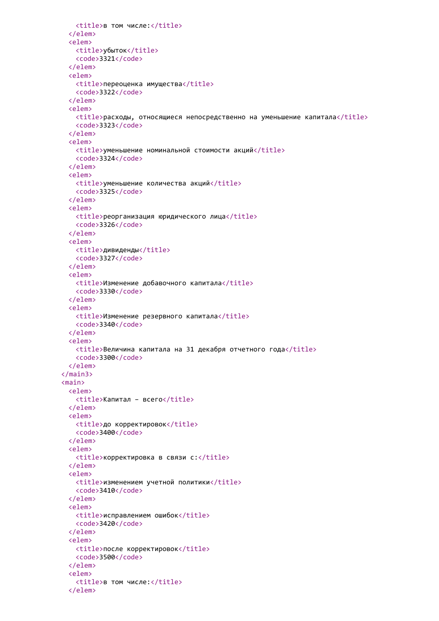```
<title>в том числе:</title>
  \langle/elem>
  <elem>
   <title>убыток</title>
   <code>3321</code>
  </elem>
  <elem>
   <title>переоценка имущества</title>
   <code>3322</code>
  </elem>
  <elem>
    <title>расходы, относящиеся непосредственно на уменьшение капитала</title>
   <code>3323</code>
  </elem>
  <elem>
    <title>уменьшение номинальной стоимости акций</title>
    <code>3324</code>
  </elem>
  <elem>
    <title>уменьшение количества акций</title>
    <code>3325</code>
  \langle/elem>
  <elem>
    <title>реорганизация юридического лица</title>
    <code>3326</code>
  </elem>
  <elem>
    <title>дивиденды</title>
    <code>3327</code>
  \langle/elem>
  <elem>
    <title>Изменение добавочного капитала</title>
    <code>3330</code>
  </elem>
  <elem>
    <title>Изменение резервного капитала</title>
    <code>3340</code>
  \langle/elem>
  <elem>
    <title>Величина капитала на 31 декабря отчетного года</title>
   <code>3300</code>
  </elem>
\langle / \text{main3} \rangle<sub>main</sub></sub>
 <elem>
   <title>Капитал - всего</title>
 </elem>
 <elem>
   <title>до корректировок</title>
   <code>3400</code>
  \langle/elem>
  celem>
    <title>корректировка в связи c:</title>
  </elem>
  celem>
    <title>изменением учетной политики</title>
   <code>3410</code>
  \langle/elem>
  celem>
    <title>исправлением ошибок</title>
   <code>3420</code>
  \langle/elem>
  celem>
    <title>после корректировок</title>
   <code>3500</code>
  </elem>
  <elem>
    <title>в том числе:</title>
  </elem>
```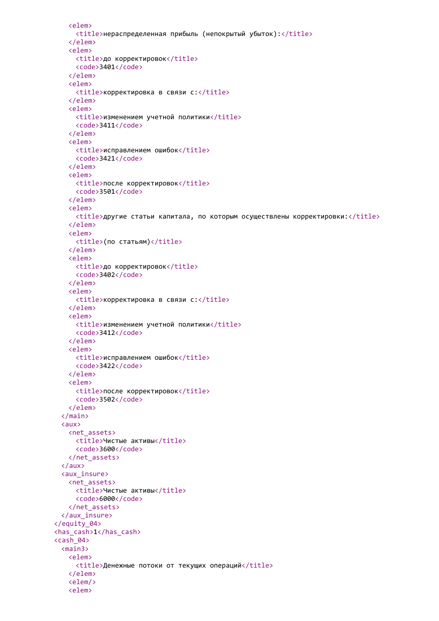```
<elem>
     <title>нераспределенная прибыль (непокрытый убыток):</title>
    </elem>
    <elem>
     <title>до корректировок</title>
     <code>3401</code>
    </elem>
    <elem>
     <title>корректировка в связи c:</title>
    </elem>
    <elem>
     <title>изменением учетной политики</title>
     <code>3411</code>
    </elem>
    <elem>
      <title>исправлением ошибок</title>
      <code>3421</code>
    </elem>
    <elem>
      <title>после корректировок</title>
      <code>3501</code>
    </elem>
    <elem>
      <title>другие статьи капитала, по которым осуществлены корректировки:</title>
    \langle/elem>
    <elem>
      <title>(по статьям)</title>
    \langle/elem>
    <elem>
      <title>до корректировок</title>
      <code>3402</code>
    \langle/elem>
    <elem>
      <title>корректировка в связи c:</title>
    \langle/elem>
    <elem>
     <title>изменением учетной политики</title>
     <code>3412</code>
    </elem>
    <elem>
     <title>исправлением ошибок</title>
     <code>3422</code>
    </elem>
    <elem>
     <title>после корректировок</title>
     <code>3502</code>
    </elem>
  \langle / \text{main} \rangle\langle \text{aux} \rangle<net assets>
     <title>Чистые активы</title>
     <code>3600</code>
   </net assets>
  \langle/aux>
  <aux insure>
   <net assets>
     <title>Чистые активы</title>
     <code>6000</code>
   </net assets>
  </aux insure>
</equity 04>
<has cash>1</has_cash>
<cash 04>
 <sub>main3</sub></sub>
   <elem>
     <title>Денежные потоки от текущих операций</title>
   </elem>
    \langleelem/\rangle<elem>
```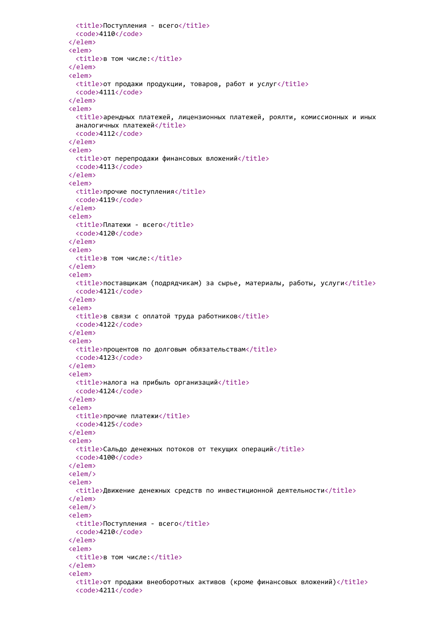```
<title>Поступления - всего</title>
 <code>4110</code>
</elem>
<elem>
 <title>в том числе:</title>
</elem>
<elem>
 <title>от продажи продукции, товаров, работ и услуг</title>
 <code>4111</code>
</elem>
<elem>
 <title>арендных платежей, лицензионных платежей, роялти, комиссионных и иных
 аналогичных платежей</title>
 <code>4112</code>
</elem>
<elem>
 <title>от перепродажи финансовых вложений</title>
 <code>4113</code>
</elem>
<elem>
 <title>прочие поступления</title>
 <code>4119</code>
</elem>
<elem>
 <title>Платежи - всего</title>
 <code>4120</code>
</elem>
<elem>
 <title>в том числе:</title>
</elem>
<elem>
 <title>поставщикам (подрядчикам) за сырье, материалы, работы, услуги</title>
 <code>4121</code>
</elem>
<elem>
 <title>в связи с оплатой труда работников</title>
 <code>4122</code>
</elem>
<elem>
 <title>процентов по долговым обязательствам</title>
 <code>4123</code>
</elem>
<elem>
 <title>налога на прибыль организаций</title>
 <code>4124</code>
</elem>
<elem>
 <title>прочие платежи</title>
 <code>4125</code>
</elem>
<elem>
 <title>Сальдо денежных потоков от текущих операций</title>
 <code>4100</code>
</elem>
<elem/>
<elem>
 <title>Движение денежных средств по инвестиционной деятельности</title>
</elem>
<elem/>
<elem>
 <title>Поступления - всего</title>
 <code>4210</code>
</elem>
<elem>
 <title>в том числе:</title>
</elem>
<elem>
 <title>от продажи внеоборотных активов (кроме финансовых вложений)</title>
 <code>4211</code>
```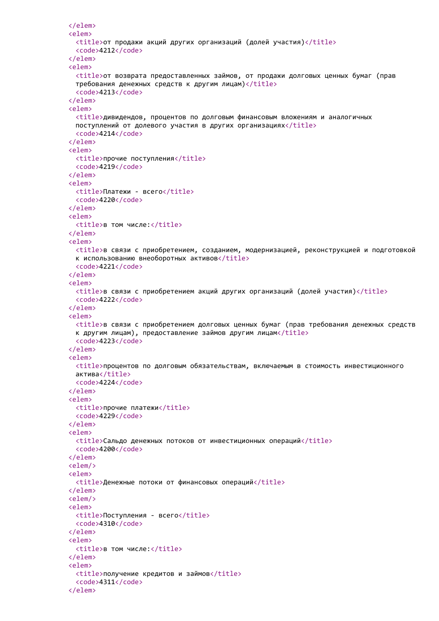```
</elem>
<elem>
  <title>от продажи акций других организаций (долей участия)</title>
  <code>4212</code>
</elem>
<elem>
 <title>от возврата предоставленных займов, от продажи долговых ценных бумаг (прав
 требования денежных средств к другим лицам)</title>
  <code>4213</code>
</elem>
<elem>
  <title>дивидендов, процентов по долговым финансовым вложениям и аналогичных
 поступлений от долевого участия в других организациях</title>
  <code>4214</code>
</elem>
<elem>
 <title>прочие поступления</title>
  <code>4219</code>
</elem>
<elem>
 <title>Платежи - всего</title>
 <code>4220</code>
</elem>
<elem>
  <title>в том числе:</title>
</elem>
<elem>
 <title>в связи с приобретением, созданием, модернизацией, реконструкцией и подготовкой
 к использованию внеоборотных активов</title>
 <code>4221</code>
</elem>
<elem>
  <title>в связи с приобретением акций других организаций (долей участия)</title>
 <code>4222</code>
</elem>
<elem>
 <title>в связи с приобретением долговых ценных бумаг (прав требования денежных средств
 к другим лицам), предоставление займов другим лицам</title>
 <code>4223</code>
</elem>
<elem>
  <title>процентов по долговым обязательствам, включаемым в стоимость инвестиционного
 актива</title>
 <code>4224</code>
</elem>
<elem>
 <title>прочие платежи</title>
 <code>4229</code>
</elem>
<elem>
  <title>Сальдо денежных потоков от инвестиционных операций</title>
 <code>4200</code>
</elem>
<elem/>
<elem>
  <title>Денежные потоки от финансовых операций</title>
</elem>
<elem/>
<elem>
  <title>Поступления - всего</title>
 <code>4310</code>
</elem>
<elem>
 <title>в том числе:</title>
</elem>
<elem>
  <title>получение кредитов и займов</title>
 <code>4311</code>
</elem>
```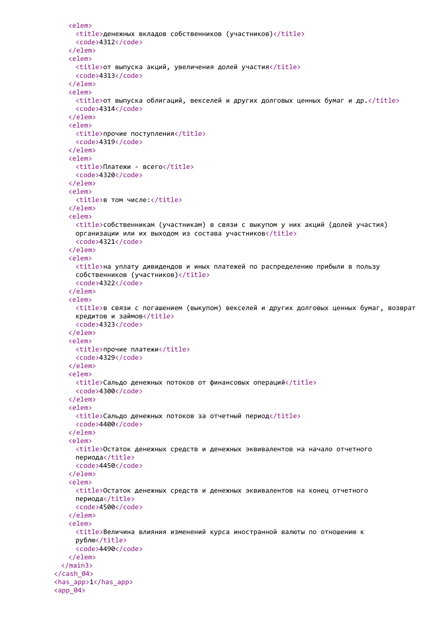```
<elem>
     <title>денежных вкладов собственников (участников)</title>
     <code>4312</code>
   </elem>
   <elem>
     <title>от выпуска акций, увеличения долей участия</title>
     <code>4313</code>
   </elem>
   <elem>
     \timestitle>от выпуска облигаций, векселей и других долговых ценных бумаг и др.\times/title>
     <code>4314</code>
   </elem>
   <elem>
     <title>прочие поступления</title>
     <code>4319</code>
   </elem>
   <elem>
     <title>Платежи - всего</title>
     <code>4320</code>
   </elem>
   <elem>
     <title>в том числе:</title>
   </elem>
   <elem>
     <title>собственникам (участникам) в связи с выкупом у них акций (долей участия)
     организации или их выходом из состава участников</title>
     <code>4321</code>
   </elem>
   <elem>
     <title>на уплату дивидендов и иных платежей по распределению прибыли в пользу
     собственников (участников)</title>
     <code>4322</code>
   </elem>
   <elem>
     <title>в связи с погашением (выкупом) векселей и других долговых ценных бумаг, возврат
     кредитов и займов</title>
     <code>4323</code>
   </elem>
   <elem>
     <title>прочие платежи</title>
     <code>4329</code>
   </elem>
   <elem>
     <title>Сальдо денежных потоков от финансовых операций</title>
     <code>4300</code>
   </elem>
   <elem>
     <title>Сальдо денежных потоков за отчетный период</title>
     <code>4400</code>
   </elem>
   <elem>
     <title>Остаток денежных средств и денежных эквивалентов на начало отчетного
     периода</title>
     <code>4450</code>
   </elem>
   <elem>
     <title>Остаток денежных средств и денежных эквивалентов на конец отчетного
     периода</title>
     <code>4500</code>
   </elem>
   <elem>
     <title>Величина влияния изменений курса иностранной валюты по отношению к
     рублю</title>
     <code>4490</code>
   </elem>
 </main3>
</cash_04>
<has_app>1</has_app>
<app_04>
```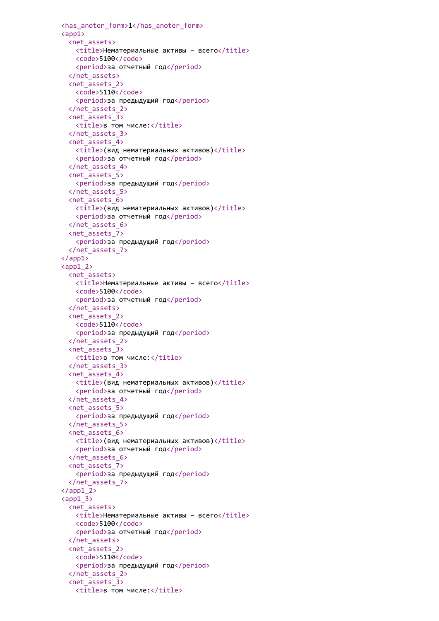```
<has_anoter_form>1</has_anoter_form>
\langle app1 \rangle<net_assets>
   <title>Нематериальные активы – всего</title>
   <code>5100</code>
   <period>за отчетный год</period>
 </net_assets>
 <net_assets_2>
   <code>5110</code>
   <period>за предыдущий год</period>
 </net_assets_2>
 <net_assets_3>
   <title>в том числе:</title>
 </net_assets_3>
 <net_assets_4>
   <title>(вид нематериальных активов)</title>
   <period>за отчетный год</period>
 </net_assets_4>
 <net_assets_5>
   <period>за предыдущий год</period>
 </net_assets_5>
 <net_assets_6>
   <title>(вид нематериальных активов)</title>
   <period>за отчетный год</period>
 </net_assets_6>
 <net_assets_7>
   <period>за предыдущий год</period>
 </net_assets_7>
</app1>
\langle app1_2 \rangle<net assets>
   <title>Нематериальные активы - всего</title>
   <code>5100</code>
   <period>за отчетный год</period>
 </net_assets>
 <net_assets_2>
   <code>5110</code>
   <period>за предыдущий год</period>
 </net_assets_2>
 <net_assets_3>
   <title>в том числе:</title>
 </net_assets_3>
 <net_assets_4>
   <title>(вид нематериальных активов)</title>
   <period>за отчетный год</period>
 </net_assets_4>
 <net_assets_5>
   <period>за предыдущий год</period>
 </net_assets_5>
 <net_assets_6>
   <title>(вид нематериальных активов)</title>
   <period>за отчетный год</period>
 </net_assets_6>
 <net_assets_7>
   <period>за предыдущий год</period>
 </net_assets_7>
\langle app1 2>
\langleapp13\rangle<net_assets>
   <title>Нематериальные активы – всего</title>
   <code>5100</code>
   <period>за отчетный год</period>
 </net_assets>
 <net_assets_2>
   <code>5110</code>
   <period>за предыдущий год</period>
 </net_assets_2>
 <net_assets_3>
   <title>в том числе:</title>
```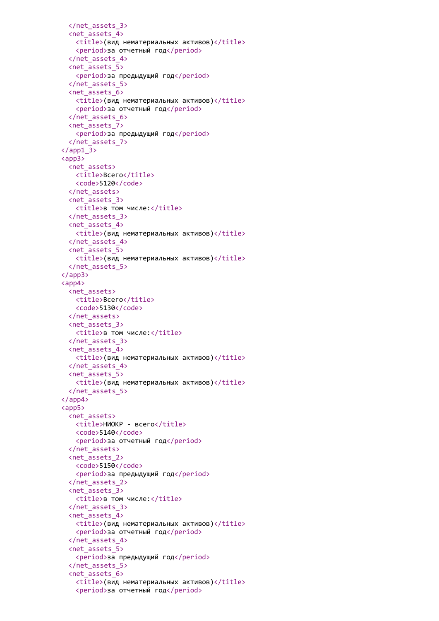```
</net_assets_3>
 <net_assets_4>
   <title>(вид нематериальных активов)</title>
   <period>за отчетный год</period>
 </net_assets_4>
 <net_assets_5>
   <period>за предыдущий год</period>
 </net_assets_5>
 <net_assets_6>
   <title>(вид нематериальных активов)</title>
   <period>за отчетный год</period>
 </net_assets_6>
 <net_assets_7>
   <period>за предыдущий год</period>
 </net_assets_7>
\langle app1 3><app3>
 <net_assets>
   <title>Всего</title>
   <code>5120</code>
 </net_assets>
 <net_assets_3>
   <title>в том числе:</title>
 </net_assets_3>
 <net_assets_4>
   <title>(вид нематериальных активов)</title>
 </net_assets_4>
 <net_assets_5>
   <title>(вид нематериальных активов)</title>
 </net_assets_5>
</app3>
<app4>
 <net assets>
   <title>Всего</title>
   <code>5130</code>
 </net_assets>
 <net_assets_3>
   <title>в том числе:</title>
 </net_assets_3>
 <net_assets_4>
   <title>(вид нематериальных активов)</title>
 </net_assets_4>
 <net_assets_5>
   <title>(вид нематериальных активов)</title>
 </net_assets_5>
</app4>
<app5>
 <net_assets>
   <title>НИОКР - всего</title>
   <code>5140</code>
   <period>за отчетный год</period>
 </net_assets>
 <net_assets_2>
   <code>5150</code>
   <period>за предыдущий год</period>
 </net_assets_2>
 <net_assets_3>
   <title>в том числе:</title>
 </net_assets_3>
 <net_assets_4>
   <title>(вид нематериальных активов)</title>
   <period>за отчетный год</period>
 </net_assets_4>
 <net_assets_5>
   <period>за предыдущий год</period>
 </net_assets_5>
 <net_assets_6>
   <title>(вид нематериальных активов)</title>
   <period>за отчетный год</period>
```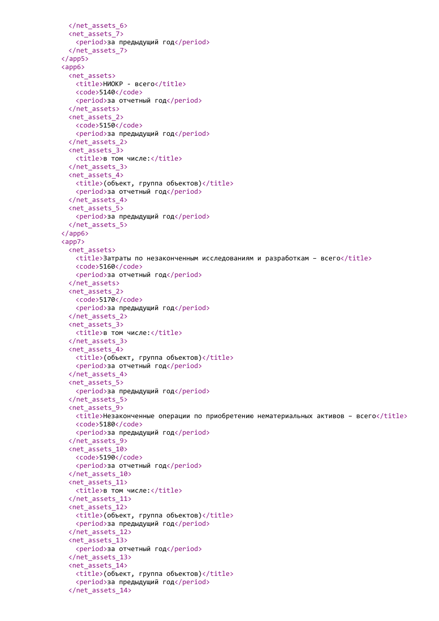```
</net_assets_6>
 <net_assets_7>
   <period>за предыдущий год</period>
 </net_assets_7>
</app5>
<app6>
 <net_assets>
   <title>НИОКР - всего</title>
   <code>5140</code>
   <period>за отчетный год</period>
 </net_assets>
 <net_assets_2>
   <code>5150</code>
   <period>за предыдущий год</period>
 </net_assets_2>
 <net_assets_3>
   <title>в том числе:</title>
 </net_assets_3>
 <net_assets_4>
   <title>(объект, группа объектов)</title>
   <period>за отчетный год</period>
 </net_assets_4>
 <net_assets_5>
   <period>за предыдущий год</period>
 </net_assets_5>
</app6>
<app7>
 <net_assets>
   <title>Затраты по незаконченным исследованиям и разработкам – всего</title>
   <code>5160</code>
   <period>за отчетный год</period>
 </net_assets>
 <net_assets_2>
   <code>5170</code>
   <period>за предыдущий год</period>
 </net_assets_2>
 <net_assets_3>
   <title>в том числе:</title>
 </net_assets_3>
 <net_assets_4>
   <title>(объект, группа объектов)</title>
   <period>за отчетный год</period>
 </net_assets_4>
 <net_assets_5>
   <period>за предыдущий год</period>
 </net_assets_5>
 <net_assets_9>
   \timestitle>Незаконченные операции по приобретению нематериальных активов - всего\times/title>
   <code>5180</code>
   <period>за предыдущий год</period>
 </net_assets_9>
 <net_assets_10>
   <code>5190</code>
   <period>за отчетный год</period>
 </net_assets_10>
 <net_assets_11>
   <title>в том числе:</title>
 </net_assets_11>
 <net_assets_12>
   <title>(объект, группа объектов)</title>
   <period>за предыдущий год</period>
 </net_assets_12>
 <net_assets_13>
   <period>за отчетный год</period>
 </net_assets_13>
 <net_assets_14>
   <title>(объект, группа объектов)</title>
   <period>за предыдущий год</period>
 </net_assets_14>
```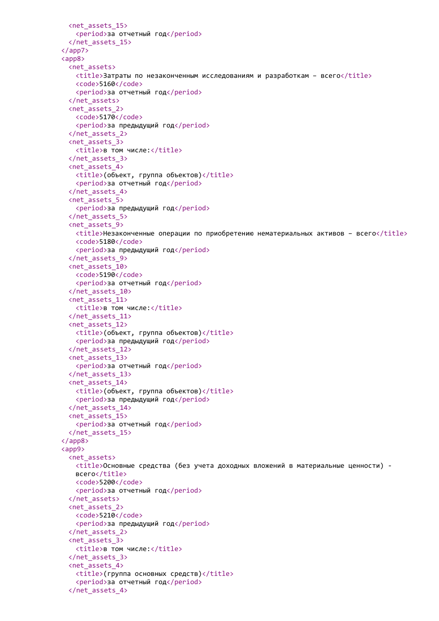```
<net_assets_15>
   <period>за отчетный год</period>
 </net_assets_15>
</app7>
<app8>
 <net_assets>
   <title>Затраты по незаконченным исследованиям и разработкам – всего</title>
   <code>5160</code>
   <period>за отчетный год</period>
 </net_assets>
 <net_assets_2>
   <code>5170</code>
   <period>за предыдущий год</period>
 </net_assets_2>
 <net_assets_3>
   <title>в том числе:</title>
 </net_assets_3>
 <net_assets_4>
   <title>(объект, группа объектов)</title>
   <period>за отчетный год</period>
 </net_assets_4>
 <net_assets_5>
   <period>за предыдущий год</period>
 </net_assets_5>
 <net_assets_9>
   <title>Незаконченные операции по приобретению нематериальных активов – всего</title>
   <code>5180</code>
   <period>за предыдущий год</period>
 </net_assets_9>
 <net_assets_10>
   <code>5190</code>
   <period>за отчетный год</period>
 </net_assets_10>
 <net_assets_11>
   <title>в том числе:</title>
 </net_assets_11>
 <net_assets_12>
   <title>(объект, группа объектов)</title>
   <period>за предыдущий год</period>
 </net_assets_12>
 <net_assets_13>
   <period>за отчетный год</period>
 </net_assets_13>
 <net_assets_14>
   <title>(объект, группа объектов)</title>
   <period>за предыдущий год</period>
 </net_assets_14>
 <net_assets_15>
   <period>за отчетный год</period>
 </net_assets_15>
</app8>
<app9>
 <net_assets>
   <title>Основные средства (без учета доходных вложений в материальные ценности) -
   всего</title>
   <code>5200</code>
   <period>за отчетный год</period>
 </net_assets>
 <net_assets_2>
   <code>5210</code>
   <period>за предыдущий год</period>
 </net_assets_2>
 <net_assets_3>
   <title>в том числе:</title>
 </net_assets_3>
 <net_assets_4>
   <title>(группа основных средств)</title>
   <period>за отчетный год</period>
 </net_assets_4>
```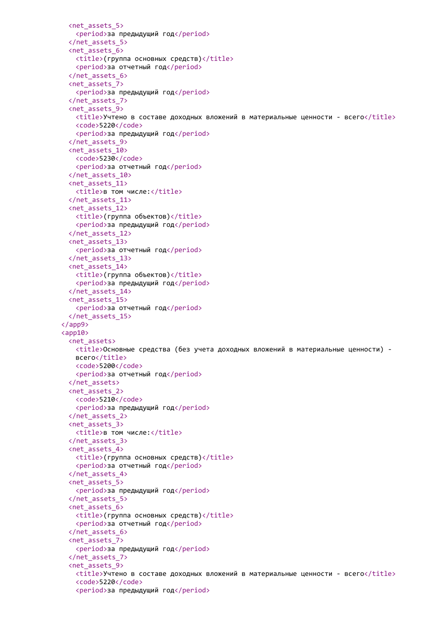```
<net_assets_5>
   <period>за предыдущий год</period>
 </net_assets_5>
 <net_assets_6>
   <title>(группа основных средств)</title>
   <period>за отчетный год</period>
 </net_assets_6>
 <net_assets_7>
   <period>за предыдущий год</period>
 </net_assets_7>
 <net_assets_9>
   <title>Учтено в составе доходных вложений в материальные ценности - всего</title>
   <code>5220</code>
   <period>за предыдущий год</period>
 </net_assets_9>
 <net_assets_10>
   <code>5230</code>
   <period>за отчетный год</period>
 </net_assets_10>
 <net_assets_11>
   <title>в том числе:</title>
 </net_assets_11>
 <net_assets_12>
   <title>(группа объектов)</title>
   <period>за предыдущий год</period>
 </net_assets_12>
 <net_assets_13>
   <period>за отчетный год</period>
 </net_assets_13>
 <net_assets_14>
   <title>(группа объектов)</title>
   <period>за предыдущий год</period>
 </net_assets_14>
 <net_assets_15>
   <period>за отчетный год</period>
 </net_assets_15>
</app9>
<app10>
 <net assets>
   <title>Основные средства (без учета доходных вложений в материальные ценности) -
   всего</title>
   <code>5200</code>
   <period>за отчетный год</period>
 </net_assets>
 <net_assets_2>
   <code>5210</code>
   <period>за предыдущий год</period>
 </net_assets_2>
 <net_assets_3>
   <title>в том числе:</title>
 </net_assets_3>
 <net_assets_4>
   <title>(группа основных средств)</title>
   <period>за отчетный год</period>
 </net_assets_4>
 <net_assets_5>
   <period>за предыдущий год</period>
 </net_assets_5>
 <net_assets_6>
   <title>(группа основных средств)</title>
   <period>за отчетный год</period>
 </net_assets_6>
 <net_assets_7>
   <period>за предыдущий год</period>
 </net_assets_7>
 <net_assets_9>
   <title>Учтено в составе доходных вложений в материальные ценности - всего</title>
   <code>5220</code>
   <period>за предыдущий год</period>
```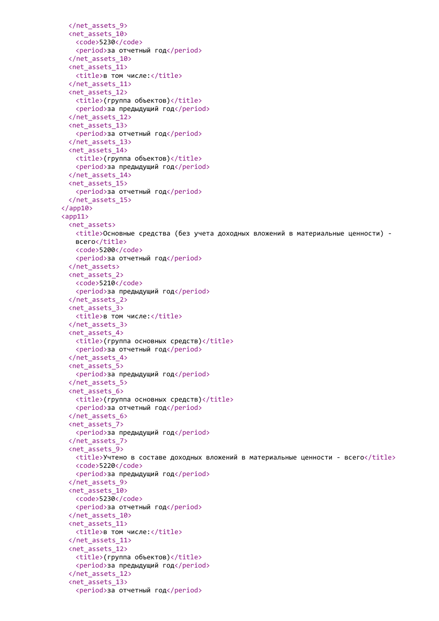```
</net_assets_9>
 <net_assets_10>
   <code>5230</code>
   <period>за отчетный год</period>
 </net_assets_10>
 <net_assets_11>
   <title>в том числе:</title>
 </net_assets_11>
 <net_assets_12>
   <title>(группа объектов)</title>
   <period>за предыдущий год</period>
 </net_assets_12>
 <net_assets_13>
   <period>за отчетный год</period>
 </net_assets_13>
 <net_assets_14>
   <title>(группа объектов)</title>
   <period>за предыдущий год</period>
 </net_assets_14>
 <net_assets_15>
   <period>за отчетный год</period>
 </net_assets_15>
\langle app10>
\langle app11 \rangle<net_assets>
   <title>Основные средства (без учета доходных вложений в материальные ценности) -
   всего</title>
   <code>5200</code>
   <period>за отчетный год</period>
 </net_assets>
 <net_assets_2>
   <code>5210</code>
   <period>за предыдущий год</period>
 </net_assets_2>
 <net_assets_3>
   <title>в том числе:</title>
 </net_assets_3>
 <net_assets_4>
   <title>(группа основных средств)</title>
   <period>за отчетный год</period>
 </net_assets_4>
 <net_assets_5>
   <period>за предыдущий год</period>
 </net_assets_5>
 <net_assets_6>
   <title>(группа основных средств)</title>
   <period>за отчетный год</period>
 </net_assets_6>
 <net_assets_7>
   <period>за предыдущий год</period>
 </net_assets_7>
 <net_assets_9>
   \langletitle>Учтено в составе доходных вложений в материальные ценности - всего\langle/title>
   <code>5220</code>
   <period>за предыдущий год</period>
 </net_assets_9>
 <net_assets_10>
   <code>5230</code>
   <period>за отчетный год</period>
 </net_assets_10>
 <net_assets_11>
   <title>в том числе:</title>
 </net_assets_11>
 <net_assets_12>
   <title>(группа объектов)</title>
   <period>за предыдущий год</period>
 </net_assets_12>
 <net_assets_13>
   <period>за отчетный год</period>
```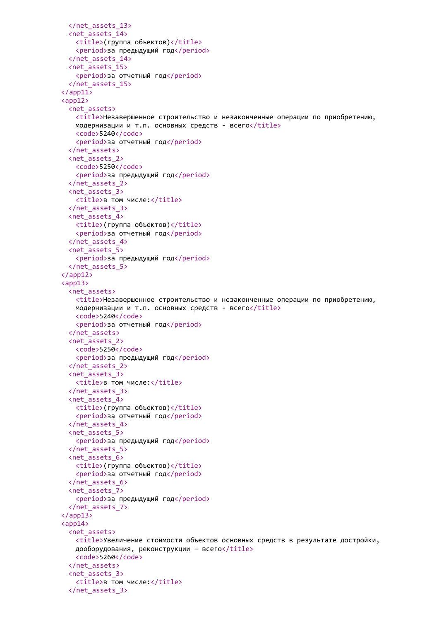```
</net_assets_13>
 <net_assets_14>
   <title>(группа объектов)</title>
   <period>за предыдущий год</period>
 </net_assets_14>
 <net_assets_15>
   <period>за отчетный год</period>
 </net_assets_15>
\langle app11>
<app12>
 <net assets>
   <title>Незавершенное строительство и незаконченные операции по приобретению,
   модернизации и т.п. основных средств - всего\langle\text{title}\rangle<code>5240</code>
   <period>за отчетный год</period>
 </net_assets>
 <net_assets_2>
   <code>5250</code>
   <period>за предыдущий год</period>
 </net_assets_2>
 <net_assets_3>
   <title>в том числе:</title>
 </net_assets_3>
 <net_assets_4>
   <title>(группа объектов)</title>
   <period>за отчетный год</period>
 </net_assets_4>
 <net_assets_5>
   <period>за предыдущий год</period>
 </net_assets_5>
</app12>
<app13>
 <net_assets>
   <title>Незавершенное строительство и незаконченные операции по приобретению,
   модернизации и т.п. основных средств - всего\langle\text{title}\rangle<code>5240</code>
   <period>за отчетный год</period>
 </net_assets>
 <net_assets_2>
   <code>5250</code>
   <period>за предыдущий год</period>
 </net_assets_2>
 <net_assets_3>
   <title>в том числе:</title>
 </net_assets_3>
 <net_assets_4>
   <title>(группа объектов)</title>
   <period>за отчетный год</period>
 </net_assets_4>
 <net_assets_5>
   <period>за предыдущий год</period>
 </net_assets_5>
 <net_assets_6>
   <title>(группа объектов)</title>
   <period>за отчетный год</period>
 </net_assets_6>
 <net_assets_7>
   <period>за предыдущий год</period>
 </net_assets_7>
</app13>
\langleapp14\rangle<net_assets>
   <title>Увеличение стоимости объектов основных средств в результате достройки,
   дооборудования, реконструкции - всего</title>
   <code>5260</code>
 </net_assets>
 <net_assets_3>
   <title>в том числе:</title>
 </net_assets_3>
```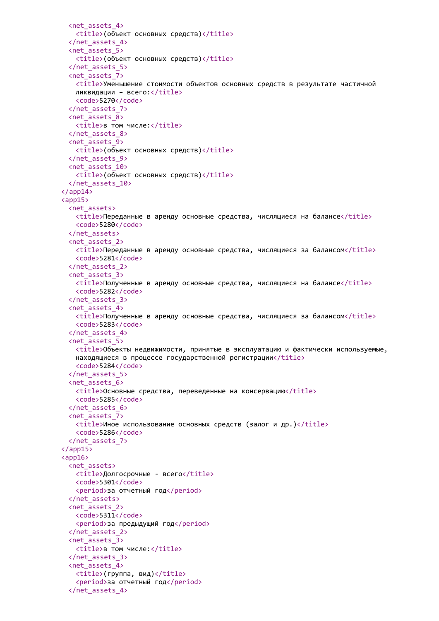```
<net_assets_4>
   <title>(объект основных средств)</title>
 </net_assets_4>
 <net_assets_5>
   <title>(объект основных средств)</title>
 </net_assets_5>
 <net_assets_7>
   <title>Уменьшение стоимости объектов основных средств в результате частичной
   ликвидации - всего:</title>
   <code>5270</code>
 </net_assets_7>
 <net_assets_8>
   <title>в том числе:</title>
 </net_assets_8>
 <net_assets_9>
   <title>(объект основных средств)</title>
 </net_assets_9>
 <net_assets_10>
   <title>(объект основных средств)</title>
 </net_assets_10>
</app14>
\langle app15 \rangle<net_assets>
   \langletitle>Переданные в аренду основные средства, числящиеся на балансе\langletitle>
   <code>5280</code>
 </net_assets>
 <net_assets_2>
   <title>Переданные в аренду основные средства, числящиеся за балансом</title>
   <code>5281</code>
 </net_assets_2>
 <net_assets_3>
   <title>Полученные в аренду основные средства, числящиеся на балансе</title>
   <code>5282</code>
 </net_assets_3>
 <net_assets_4>
   <title>Полученные в аренду основные средства, числящиеся за балансом</title>
   <code>5283</code>
 </net_assets_4>
 <net_assets_5>
   <title>Объекты недвижимости, принятые в эксплуатацию и фактически используемые,
   находящиеся в процессе государственной регистрации</title>
   <code>5284</code>
 </net_assets_5>
 <net_assets_6>
   <title>Основные средства, переведенные на консервацию</title>
   <code>5285</code>
 </net_assets_6>
 <net_assets_7>
   \langletitle>Иное использование основных средств (залог и др.)\langletitle>
   <code>5286</code>
 </net_assets_7>
</app15>
\langleapp16\rangle<net_assets>
   <title>Долгосрочные - всего</title>
   <code>5301</code>
   <period>за отчетный год</period>
 </net_assets>
 <net_assets_2>
   <code>5311</code>
   <period>за предыдущий год</period>
 </net_assets_2>
 <net_assets_3>
   <title>в том числе:</title>
 </net_assets_3>
 <net_assets_4>
   <title>(группа, вид)</title>
   <period>за отчетный год</period>
 </net_assets_4>
```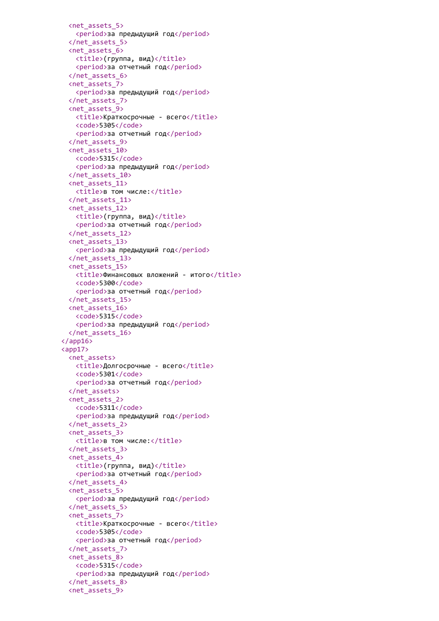```
<net_assets_5>
   <period>за предыдущий год</period>
 </net_assets_5>
 <net_assets_6>
   <title>(группа, вид)</title>
   <period>за отчетный год</period>
 </net_assets_6>
 <net_assets_7>
   <period>за предыдущий год</period>
 </net_assets_7>
 <net_assets_9>
   <title>Краткосрочные - всего</title>
   <code>5305</code>
   <period>за отчетный год</period>
 </net_assets_9>
 <net_assets_10>
   <code>5315</code>
   <period>за предыдущий год</period>
 </net_assets_10>
 <net_assets_11>
   <title>в том числе:</title>
 </net_assets_11>
 <net_assets_12>
   <title>(группа, вид)</title>
   <period>за отчетный год</period>
 </net_assets_12>
 <net_assets_13>
   <period>за предыдущий год</period>
 </net_assets_13>
 <net_assets_15>
   <title>Финансовых вложений - итого</title>
   <code>5300</code>
   <period>за отчетный год</period>
 </net_assets_15>
 <net_assets_16>
   <code>5315</code>
   <period>за предыдущий год</period>
 </net_assets_16>
\langle app16>
<app17>
 <net_assets>
   <title>Долгосрочные - всего</title>
   <code>5301</code>
   <period>за отчетный год</period>
 </net_assets>
 <net_assets_2>
   <code>5311</code>
   <period>за предыдущий год</period>
 </net_assets_2>
 <net_assets_3>
   <title>в том числе:</title>
 </net_assets_3>
 <net_assets_4>
   <title>(группа, вид)</title>
   <period>за отчетный год</period>
 </net_assets_4>
 <net_assets_5>
   <period>за предыдущий год</period>
 </net_assets_5>
 <net_assets_7>
   <title>Краткосрочные - всего</title>
   <code>5305</code>
   <period>за отчетный год</period>
 </net_assets_7>
 <net_assets_8>
   <code>5315</code>
   <period>за предыдущий год</period>
 </net_assets_8>
 <net_assets_9>
```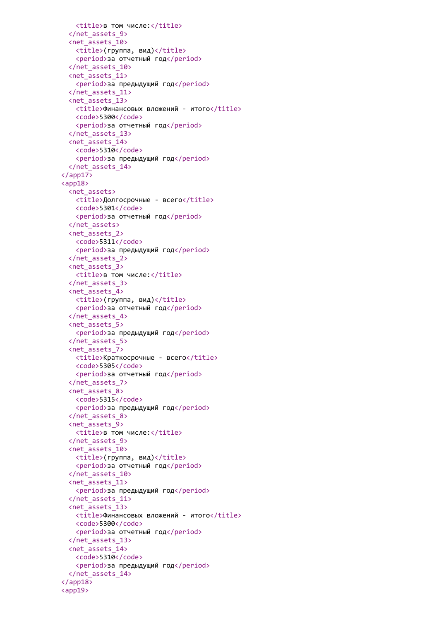```
<title>в том числе:</title>
 </net_assets_9>
 <net_assets_10>
   \langle title \rangle(группа, вид)</title>
   <period>за отчетный год</period>
 </net_assets_10>
 <net_assets_11>
   <period>за предыдущий год</period>
 </net_assets_11>
 <net_assets_13>
   <title>Финансовых вложений - итого</title>
   <code>5300</code>
   <period>за отчетный год</period>
 </net_assets_13>
 <net_assets_14>
   <code>5310</code>
   <period>за предыдущий год</period>
 </net_assets_14>
</app17>
<app18>
 <net assets>
   <title>Долгосрочные - всего</title>
   <code>5301</code>
   <period>за отчетный год</period>
 </net_assets>
 <net_assets_2>
   <code>5311</code>
   <period>за предыдущий год</period>
 </net_assets_2>
 <net_assets_3>
   <title>в том числе:</title>
 </net_assets_3>
 <net_assets_4>
   \langle \text{title} \rangle(группа, вид)</title>
   <period>за отчетный год</period>
 </net_assets_4>
 <net_assets_5>
   <period>за предыдущий год</period>
 </net_assets_5>
 <net_assets_7>
   <title>Краткосрочные - всего</title>
   <code>5305</code>
   <period>за отчетный год</period>
 </net_assets_7>
 <net_assets_8>
   <code>5315</code>
   <period>за предыдущий год</period>
 </net_assets_8>
 <net_assets_9>
   <title>в том числе:</title>
 </net_assets_9>
 <net_assets_10>
   <title>(группа, вид)</title>
   <period>за отчетный год</period>
 </net_assets_10>
 <net_assets_11>
   <period>за предыдущий год</period>
 </net_assets_11>
 <net_assets_13>
   <title>Финансовых вложений - итого</title>
   <code>5300</code>
   <period>за отчетный год</period>
 </net_assets_13>
 <net_assets_14>
   <code>5310</code>
   <period>за предыдущий год</period>
 </net_assets_14>
</app18>
<app19>
```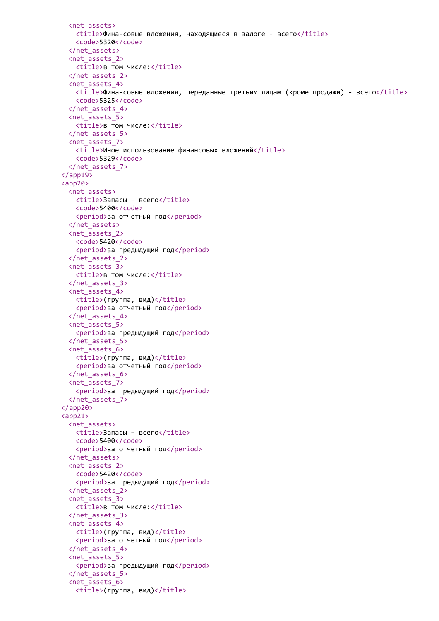```
<net_assets>
   \langletitle>Финансовые вложения, находящиеся в залоге - всего\langletitle>
   <code>5320</code>
 </net_assets>
 <net_assets_2>
   <title>в том числе:</title>
 </net_assets_2>
 <net_assets_4>
   <title>Финансовые вложения, переданные третьим лицам (кроме продажи) - всего</title>
   <code>5325</code>
 </net_assets_4>
 <net_assets_5>
   <title>в том числе:</title>
 </net_assets_5>
 <net_assets_7>
   <title>Иное использование финансовых вложений</title>
   <code>5329</code>
 </net_assets_7>
</app19>
<app20>
 <net_assets>
   <title>Запасы - всего</title>
   <code>5400</code>
   <period>за отчетный год</period>
 </net_assets>
 <net_assets_2>
   <code>5420</code>
   <period>за предыдущий год</period>
 </net_assets_2>
 <net_assets_3>
   <title>в том числе:</title>
 </net_assets_3>
 <net_assets_4>
   \langle \text{title} \rangle(группа, вид)</title>
   <period>за отчетный год</period>
 </net_assets_4>
 <net_assets_5>
   <period>за предыдущий год</period>
 </net_assets_5>
 <net_assets_6>
   \langle \text{title} \rangle(группа, вид)</title>
   <period>за отчетный год</period>
 </net_assets_6>
 <net_assets_7>
   <period>за предыдущий год</period>
 </net_assets_7>
</app20>
<app21>
 <net_assets>
   <title>Запасы – всего</title>
   <code>5400</code>
   <period>за отчетный год</period>
 </net_assets>
 <net_assets_2>
   <code>5420</code>
   <period>за предыдущий год</period>
 </net_assets_2>
 <net_assets_3>
   <title>в том числе:</title>
 </net_assets_3>
 <net_assets_4>
   \langle \text{title} \rangle(группа, вид)</title>
   <period>за отчетный год</period>
 </net_assets_4>
 <net_assets_5>
   <period>за предыдущий год</period>
 </net_assets_5>
 <net_assets_6>
   <title>(группа, вид)</title>
```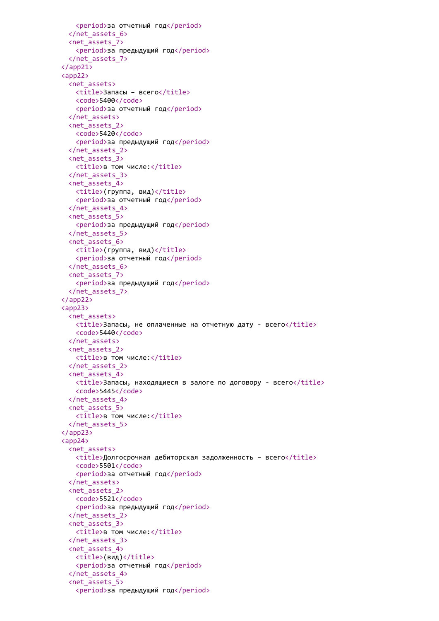```
<period>за отчетный год</period>
 </net_assets_6>
 <net_assets_7>
   <period>за предыдущий год</period>
 </net_assets_7>
</app21>
<app22>
 <net_assets>
   <title>Запасы – всего</title>
   <code>5400</code>
   <period>за отчетный год</period>
 </net_assets>
 <net_assets_2>
   <code>5420</code>
   <period>за предыдущий год</period>
 </net_assets_2>
 <net_assets_3>
   <title>в том числе:</title>
 </net_assets_3>
 <net_assets_4>
   \langle \text{title} \rangle(группа, вид)</title>
   <period>за отчетный год</period>
 </net_assets_4>
 <net_assets_5>
   <period>за предыдущий год</period>
 </net_assets_5>
 <net_assets_6>
   \langle \text{title} \rangle(группа, вид)</title>
   <period>за отчетный год</period>
 </net_assets_6>
 <net_assets_7>
   <period>за предыдущий год</period>
 </net_assets_7>
</app22>
<app23>
 <net_assets>
   <title>Запасы, не оплаченные на отчетную дату - всего</title>
   <code>5440</code>
 </net_assets>
 <net_assets_2>
   <title>в том числе:</title>
 </net_assets_2>
 <net_assets_4>
   <title>Запасы, находящиеся в залоге по договору - всего</title>
   <code>5445</code>
 </net_assets_4>
 <net_assets_5>
   <title>в том числе:</title>
 </net_assets_5>
</app23>
<app24>
 <net_assets>
   \timestitle>Долгосрочная дебиторская задолженность – всего\times/title>
   <code>5501</code>
   <period>за отчетный год</period>
 </net_assets>
 <net_assets_2>
   <code>5521</code>
   <period>за предыдущий год</period>
 </net_assets_2>
 <net_assets_3>
   <title>в том числе:</title>
 </net_assets_3>
 <net_assets_4>
   <title>(вид)</title>
   <period>за отчетный год</period>
 </net_assets_4>
 <net_assets_5>
   <period>за предыдущий год</period>
```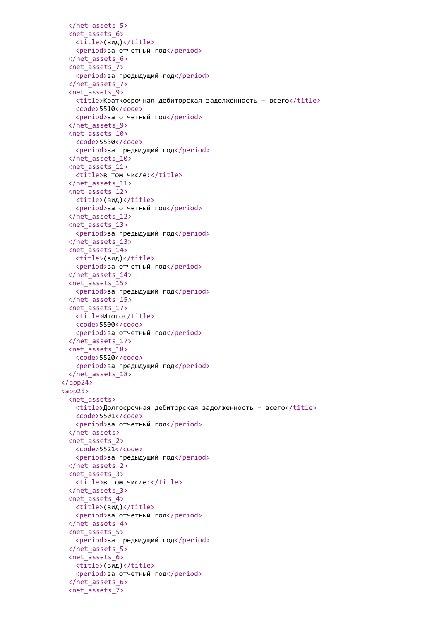```
</net_assets_5>
 <net_assets_6>
   <title>(вид)</title>
   <period>за отчетный год</period>
 </net_assets_6>
 <net_assets_7>
   <period>за предыдущий год</period>
 </net_assets_7>
 <net_assets_9>
   <title>Краткосрочная дебиторская задолженность – всего</title>
   <code>5510</code>
   <period>за отчетный год</period>
 </net_assets_9>
 <net_assets_10>
   <code>5530</code>
   <period>за предыдущий год</period>
 </net_assets_10>
 <net_assets_11>
   <title>в том числе:</title>
 </net_assets_11>
 <net_assets_12>
   <title>(вид)</title>
   <period>за отчетный год</period>
 </net_assets_12>
 <net_assets_13>
   <period>за предыдущий год</period>
 </net_assets_13>
 <net_assets_14>
   <title>(вид)</title>
   <period>за отчетный год</period>
 </net_assets_14>
 <net_assets_15>
   <period>за предыдущий год</period>
 </net_assets_15>
 <net_assets_17>
   <title>Итого</title>
   <code>5500</code>
   <period>за отчетный год</period>
 </net_assets_17>
 <net_assets_18>
   <code>5520</code>
   <period>за предыдущий год</period>
 </net_assets_18>
</app24>
<app25>
 <net_assets>
   <title>Долгосрочная дебиторская задолженность – всего</title>
   <code>5501</code>
   <period>за отчетный год</period>
 </net_assets>
 <net_assets_2>
   <code>5521</code>
   <period>за предыдущий год</period>
 </net_assets_2>
 <net_assets_3>
   <title>в том числе:</title>
 </net_assets_3>
 <net_assets_4>
   <title>(вид)</title>
   <period>за отчетный год</period>
 </net_assets_4>
 <net_assets_5>
   <period>за предыдущий год</period>
 </net_assets_5>
 <net_assets_6>
   <title>(вид)</title>
   <period>за отчетный год</period>
 </net_assets_6>
 <net_assets_7>
```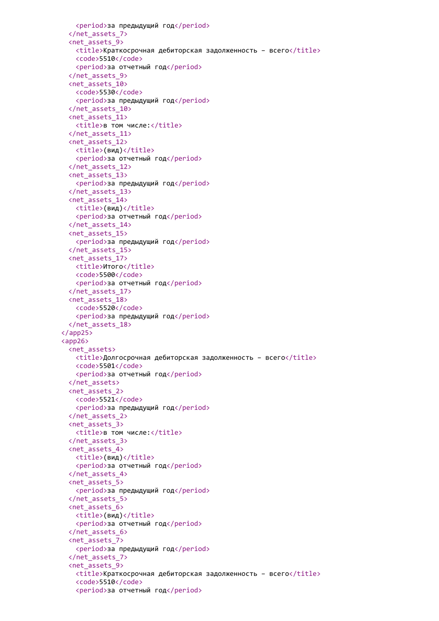```
<period>за предыдущий год</period>
 </net_assets_7>
 <net_assets_9>
   <title>Краткосрочная дебиторская задолженность – всего</title>
   <code>5510</code>
   <period>за отчетный год</period>
 </net_assets_9>
 <net_assets_10>
   <code>5530</code>
   <period>за предыдущий год</period>
 </net_assets_10>
 <net_assets_11>
   <title>в том числе:</title>
 </net_assets_11>
 <net_assets_12>
   <title>(вид)</title>
   <period>за отчетный год</period>
 </net_assets_12>
 <net_assets_13>
   <period>за предыдущий год</period>
 </net_assets_13>
 <net_assets_14>
   <title>(вид)</title>
   <period>за отчетный год</period>
 </net_assets_14>
 <net_assets_15>
   <period>за предыдущий год</period>
 </net_assets_15>
 <net_assets_17>
   <title>Итого</title>
   <code>5500</code>
   <period>за отчетный год</period>
 </net_assets_17>
 <net_assets_18>
   <code>5520</code>
   <period>за предыдущий год</period>
 </net_assets_18>
</app25>
<app26>
 <net_assets>
   <title>Долгосрочная дебиторская задолженность – всего</title>
   <code>5501</code>
   <period>за отчетный год</period>
 </net_assets>
 <net_assets_2>
   <code>5521</code>
   <period>за предыдущий год</period>
 </net_assets_2>
 <net_assets_3>
   <title>в том числе:</title>
 </net_assets_3>
 <net_assets_4>
   <title>(вид)</title>
   <period>за отчетный год</period>
 </net_assets_4>
 <net_assets_5>
   <period>за предыдущий год</period>
 </net_assets_5>
 <net_assets_6>
   <title>(вид)</title>
   <period>за отчетный год</period>
 </net_assets_6>
 <net_assets_7>
   <period>за предыдущий год</period>
 </net_assets_7>
 <net_assets_9>
   <title>Краткосрочная дебиторская задолженность – всего</title>
   <code>5510</code>
   <period>за отчетный год</period>
```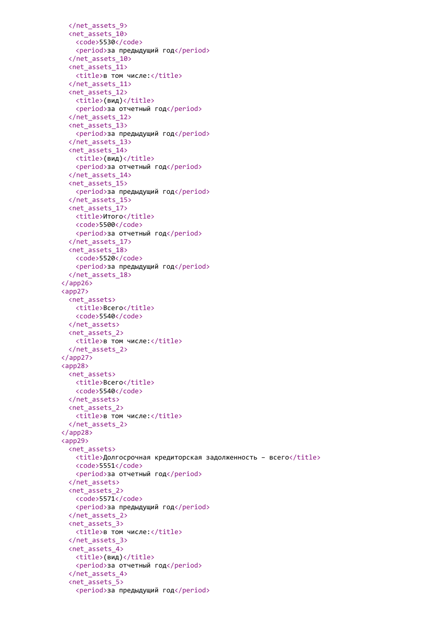```
</net_assets_9>
 <net_assets_10>
   <code>5530</code>
   <period>за предыдущий год</period>
 </net_assets_10>
 <net_assets_11>
   <title>в том числе:</title>
 </net_assets_11>
 <net_assets_12>
   <title>(вид)</title>
   <period>за отчетный год</period>
 </net_assets_12>
 <net_assets_13>
   <period>за предыдущий год</period>
 </net_assets_13>
 <net_assets_14>
   <title>(вид)</title>
   <period>за отчетный год</period>
 </net_assets_14>
 <net_assets_15>
   <period>за предыдущий год</period>
 </net_assets_15>
 <net_assets_17>
   <title>Итого</title>
   <code>5500</code>
   <period>за отчетный год</period>
 </net_assets_17>
 <net_assets_18>
   <code>5520</code>
   <period>за предыдущий год</period>
 </net_assets_18>
</app26>
<app27>
 <net assets>
   <title>Всего</title>
   <code>5540</code>
 </net_assets>
 <net_assets_2>
   <title>в том числе:</title>
 </net_assets_2>
</app27>
<app28>
 <net assets>
   <title>Bcero</title>
   <code>5540</code>
 </net_assets>
 <net_assets_2>
   <title>в том числе:</title>
 </net_assets_2>
</app28>
<app29>
 <net_assets>
   \langletitle>Долгосрочная кредиторская задолженность – всего</title>
   <code>5551</code>
   <period>за отчетный год</period>
 </net_assets>
 <net_assets_2>
   <code>5571</code>
   <period>за предыдущий год</period>
 </net_assets_2>
 <net_assets_3>
   <title>в том числе:</title>
 </net_assets_3>
 <net_assets_4>
   <title>(вид)</title>
   <period>за отчетный год</period>
 </net_assets_4>
 <net_assets_5>
   <period>за предыдущий год</period>
```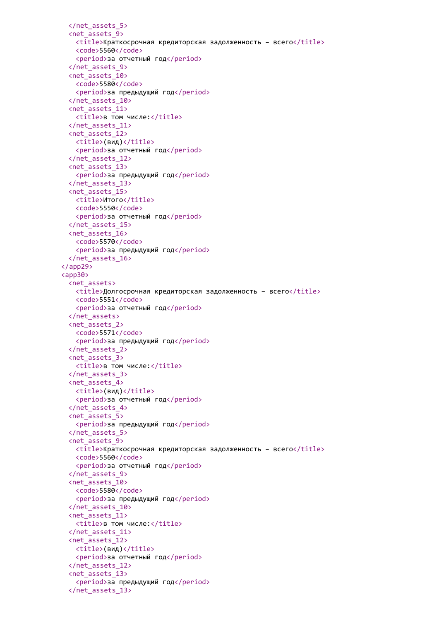```
</net_assets_5>
 <net_assets_9>
   <title>Краткосрочная кредиторская задолженность – всего</title>
   <code>5560</code>
   <period>за отчетный год</period>
 </net_assets_9>
 <net_assets_10>
   <code>5580</code>
   <period>за предыдущий год</period>
 </net_assets_10>
 <net_assets_11>
   <title>в том числе:</title>
 </net_assets_11>
 <net_assets_12>
   <title>(вид)</title>
   <period>за отчетный год</period>
 </net_assets_12>
 <net_assets_13>
   <period>за предыдущий год</period>
 </net_assets_13>
 <net_assets_15>
   <title>Итого</title>
   <code>5550</code>
   <period>за отчетный год</period>
 </net_assets_15>
 <net_assets_16>
   <code>5570</code>
   <period>за предыдущий год</period>
 </net_assets_16>
</app29>
<app30>
 <net_assets>
   <title>Долгосрочная кредиторская задолженность – всего</title>
   <code>5551</code>
   <period>за отчетный год</period>
 </net_assets>
 <net_assets_2>
   <code>5571</code>
   <period>за предыдущий год</period>
 </net_assets_2>
 <net_assets_3>
   <title>в том числе:</title>
 </net_assets_3>
 <net_assets_4>
   <title>(вид)</title>
   <period>за отчетный год</period>
 </net_assets_4>
 <net_assets_5>
   <period>за предыдущий год</period>
 </net_assets_5>
 <net_assets_9>
   \timestitle>Краткосрочная кредиторская задолженность – всего\timestitle>
   <code>5560</code>
   <period>за отчетный год</period>
 </net_assets_9>
 <net_assets_10>
   <code>5580</code>
   <period>за предыдущий год</period>
 </net_assets_10>
 <net_assets_11>
   <title>в том числе:</title>
 </net_assets_11>
 <net_assets_12>
   <title>(вид)</title>
   <period>за отчетный год</period>
 </net_assets_12>
 <net_assets_13>
   <period>за предыдущий год</period>
 </net_assets_13>
```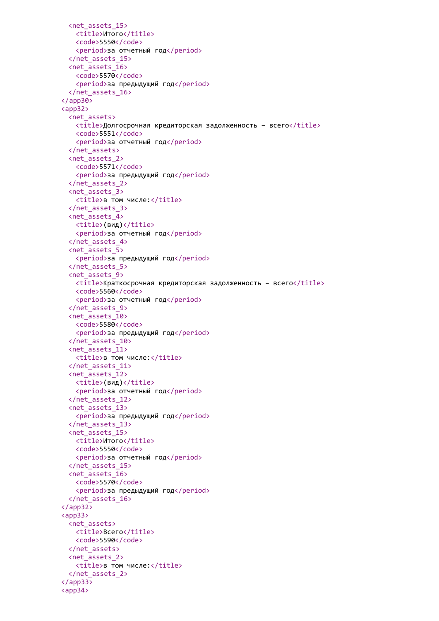```
<net_assets_15>
   <title>Итого</title>
   <code>5550</code>
   <period>за отчетный год</period>
 </net_assets_15>
 <net_assets_16>
   <code>5570</code>
   <period>за предыдущий год</period>
 </net_assets_16>
</app30>
<app32>
 <net_assets>
   <title>Долгосрочная кредиторская задолженность – всего</title>
   <code>5551</code>
   <period>за отчетный год</period>
 </net_assets>
 <net_assets_2>
   <code>5571</code>
   <period>за предыдущий год</period>
 </net_assets_2>
 <net_assets_3>
   <title>в том числе:</title>
 </net_assets_3>
 <net_assets_4>
   <title>(вид)</title>
   <period>за отчетный год</period>
 </net_assets_4>
 <net_assets_5>
   <period>за предыдущий год</period>
 </net_assets_5>
 <net_assets_9>
   <title>Краткосрочная кредиторская задолженность – всего</title>
   <code>5560</code>
   <period>за отчетный год</period>
 </net_assets_9>
 <net_assets_10>
   <code>5580</code>
   <period>за предыдущий год</period>
 </net_assets_10>
 <net_assets_11>
   <title>в том числе:</title>
 </net_assets_11>
 <net_assets_12>
   <title>(вид)</title>
   <period>за отчетный год</period>
 </net_assets_12>
 <net_assets_13>
   <period>за предыдущий год</period>
 </net_assets_13>
 <net_assets_15>
   <title>Итого</title>
   <code>5550</code>
   <period>за отчетный год</period>
 </net_assets_15>
 <net_assets_16>
   <code>5570</code>
   <period>за предыдущий год</period>
 </net_assets_16>
</app32>
\langleapp33\rangle<net_assets>
   <title>Всего</title>
   <code>5590</code>
 </net_assets>
 <net_assets_2>
   <title>в том числе:</title>
 </net_assets_2>
</app33>
<app34>
```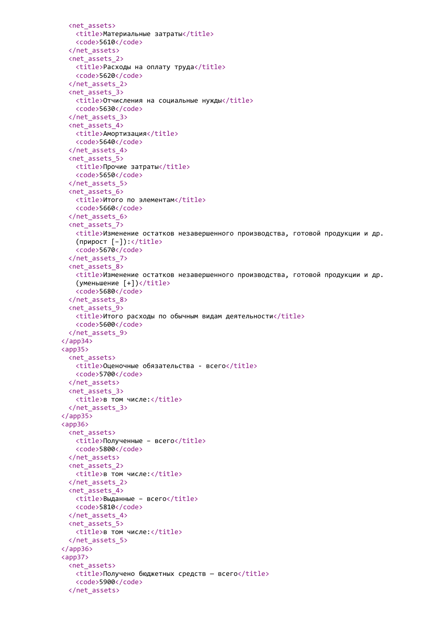```
<net_assets>
   <title>Материальные затраты</title>
   <code>5610</code>
  </net_assets>
  <net_assets_2>
   <title>Расходы на оплату труда</title>
   <code>5620</code>
  </net_assets_2>
  <net_assets_3>
   <title>Отчисления на социальные нужды</title>
   <code>5630</code>
  </net_assets_3>
  <net_assets_4>
   <title>Амортизация</title>
   <code>5640</code>
  </net_assets_4>
  <net_assets_5>
   <title>Прочие затраты</title>
   <code>5650</code>
  </net_assets_5>
  <net_assets_6>
   <title>Итого по элементам</title>
   <code>5660</code>
  </net_assets_6>
  <net_assets_7>
   <title>Изменение остатков незавершенного производства, готовой продукции и др.
   (np\mu pост [-]): </title>
   <code>5670</code>
  </net_assets_7>
  <net_assets_8>
   <title>Изменение остатков незавершенного производства, готовой продукции и др.
   (yменьшение [+])</title>
   <code>5680</code>
  </net_assets_8>
 <net_assets_9>
   <title>Итого расходы по обычным видам деятельности</title>
   <code>5600</code>
 </net_assets_9>
</app34>
<app35>
 <net assets>
   <title>Оценочные обязательства - всего</title>
   <code>5700</code>
 </net_assets>
 <net_assets_3>
   <title>в том числе:</title>
  </net_assets_3>
</app35>
<app36>
 <net_assets>
   <title>Полученные - всего</title>
   <code>5800</code>
  </net_assets>
  <net_assets_2>
   <title>в том числе:</title>
 </net_assets_2>
  <net_assets_4>
   <title>Выданные – всего</title>
   <code>5810</code>
 </net_assets_4>
 <net_assets_5>
   <title>в том числе:</title>
  </net_assets_5>
</app36>
<app37>
 <net_assets>
   <title>Получено бюджетных средств — всего</title>
   <code>5900</code>
  </net_assets>
```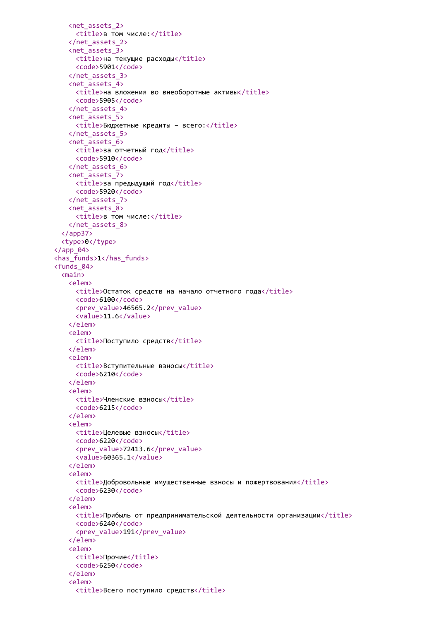```
<net_assets_2>
     <title>в том числе:</title>
   </net_assets_2>
   <net_assets_3>
     <title>на текущие расходы</title>
     <code>5901</code>
   </net_assets_3>
   <net_assets_4>
     <title>на вложения во внеоборотные активы</title>
     <code>5905</code>
   </net_assets_4>
   <net_assets_5>
     <title>Бюджетные кредиты - всего:</title>
   </net_assets_5>
   <net_assets_6>
     <title>за отчетный год</title>
     <code>5910</code>
   </net_assets_6>
   <net_assets_7>
     <title>за предыдущий год</title>
     <code>5920</code>
   </net_assets_7>
   <net_assets_8>
     <title>в том числе:</title>
   </net_assets_8>
  </app37>
  <type>0</type>
\langle app 04 \rangle<has_funds>1</has_funds>
<funds_04>
 <main>
   <elem>
     <title>Остаток средств на начало отчетного года</title>
     <code>6100</code>
     <prev_value>46565.2</prev_value>
     <value>11.6</value>
   </elem>
   <elem>
     <title>Поступило средств</title>
   </elem>
   <elem>
     <title>Вступительные взносы</title>
     <code>6210</code>
   </elem>
   <elem>
     <title>Членские взносы</title>
     <code>6215</code>
   </elem>
   <elem>
     <title>Целевые взносы</title>
     <code>6220</code>
     <prev_value>72413.6</prev_value>
     <value>60365.1</value>
   </elem>
   <elem>
     <title>Добровольные имущественные взносы и пожертвования</title>
     <code>6230</code>
   </elem>
   <elem>
     <title>Прибыль от предпринимательской деятельности организации</title>
     <code>6240</code>
     <prev_value>191</prev_value>
   </elem>
   <elem>
     <title>Прочие</title>
     <code>6250</code>
   </elem>
   <elem>
     <title>Всего поступило средств</title>
```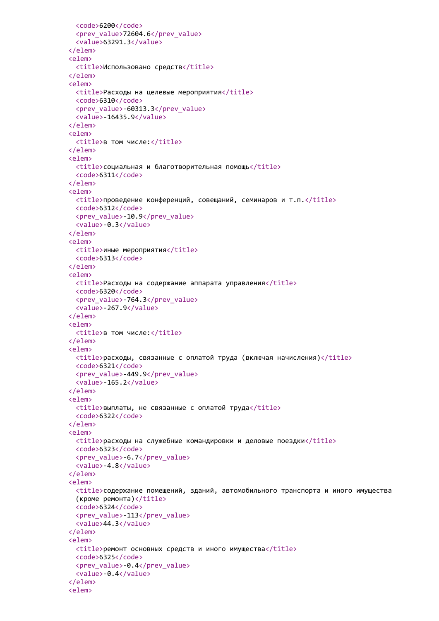```
<code>6200</code>
 <prev_value>72604.6</prev_value>
 <value>63291.3</value>
</elem>
<elem>
 <title>Использовано средств</title>
</elem>
<elem>
 <title>Расходы на целевые мероприятия</title>
 <code>6310</code>
 <prev_value>-60313.3</prev_value>
 <value>-16435.9</value>
</elem>
<elem>
 <title>в том числе:</title>
</elem>
<elem>
 <title>социальная и благотворительная помощь</title>
 <code>6311</code>
</elem>
<elem>
 <title>проведение конференций, совещаний, семинаров и т.п.</title>
 <code>6312</code>
 <prev_value>-10.9</prev_value>
 <value>-0.3</value>
</elem>
<elem>
 <title>иные мероприятия</title>
 <code>6313</code>
</elem>
<elem>
 <title>Расходы на содержание аппарата управления</title>
 <code>6320</code>
 <prev_value>-764.3</prev_value>
 <value>-267.9</value>
</elem>
<elem>
 <title>в том числе:</title>
</elem>
<elem>
 <title>расходы, связанные с оплатой труда (включая начисления)</title>
 <code>6321</code>
 <prev_value>-449.9</prev_value>
 <value>-165.2</value>
</elem>
<elem>
 <title>выплаты, не связанные с оплатой труда</title>
 <code>6322</code>
</elem>
<elem>
 \langletitle>расходы на служебные командировки и деловые поездки</title>
 <code>6323</code>
 <prev_value>-6.7</prev_value>
 <value>-4.8</value>
</elem>
<elem>
 <title>содержание помещений, зданий, автомобильного транспорта и иного имущества
 (кроме ремонта)</title>
 <code>6324</code>
 <prev_value>-113</prev_value>
 <value>44.3</value>
</elem>
<elem>
 <title>ремонт основных средств и иного имущества</title>
 <code>6325</code>
 <prev_value>-0.4</prev_value>
 <value>-0.4</value>
</elem>
<elem>
```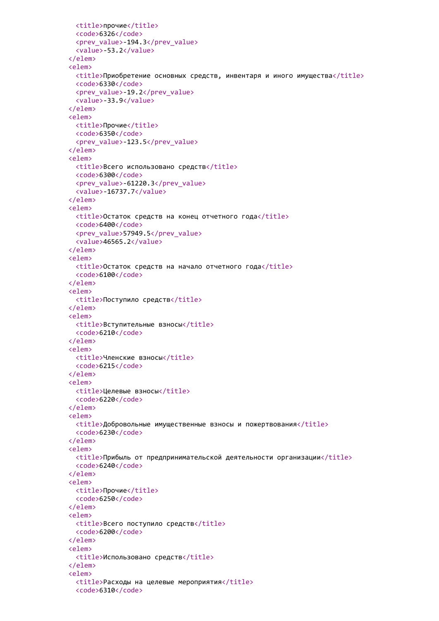```
<title>прочие</title>
 <code>6326</code>
 <prev_value>-194.3</prev_value>
  <value>-53.2</value>
</elem>
<elem>
 <title>Приобретение основных средств, инвентаря и иного имущества</title>
 <code>6330</code>
 <prev_value>-19.2</prev_value>
  <value>-33.9</value>
</elem>
<elem>
 <title>Прочие</title>
 <code>6350</code>
  <prev_value>-123.5</prev_value>
</elem>
<elem>
 <title>Всего использовано средств</title>
 <code>6300</code>
 <prev_value>-61220.3</prev_value>
 <value>-16737.7</value>
</elem>
<elem>
 <title>Остаток средств на конец отчетного года</title>
 <code>6400</code>
 <prev_value>57949.5</prev_value>
  <value>46565.2</value>
</elem>
<elem>
  <title>Остаток средств на начало отчетного года</title>
  <code>6100</code>
</elem>
<elem>
  <title>Поступило средств</title>
</elem>
<elem>
 <title>Вступительные взносы</title>
 <code>6210</code>
</elem>
<elem>
 <title>Членские взносы</title>
 <code>6215</code>
</elem>
<elem>
 <title>Целевые взносы</title>
 <code>6220</code>
</elem>
<elem>
 <title>Добровольные имущественные взносы и пожертвования</title>
 <code>6230</code>
</elem>
<elem>
  <title>Прибыль от предпринимательской деятельности организации</title>
 <code>6240</code>
</elem>
<elem>
 <title>Прочие</title>
 <code>6250</code>
</elem>
<elem>
 <title>Всего поступило средств</title>
 <code>6200</code>
</elem>
<elem>
  <title>Использовано средств</title>
</elem>
<elem>
  <title>Расходы на целевые мероприятия</title>
  <code>6310</code>
```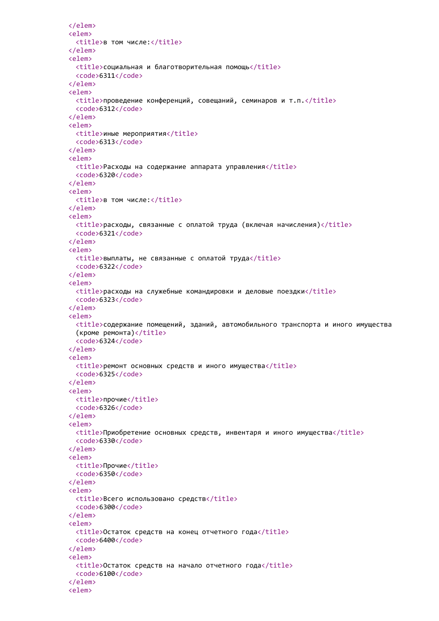```
</elem>
<elem>
 <title>в том числе:</title>
</elem>
<elem>
 <title>социальная и благотворительная помощь</title>
 <code>6311</code>
</elem>
<elem>
 \langletitle>проведение конференций, совещаний, семинаров и т.п.\langle/title>
 <code>6312</code>
</elem>
<elem>
 <title>иные мероприятия</title>
 <code>6313</code>
</elem>
<elem>
 <title>Расходы на содержание аппарата управления</title>
 <code>6320</code>
</elem>
<elem>
 <title>в том числе:</title>
</elem>
<elem>
 <title>расходы, связанные с оплатой труда (включая начисления)</title>
 <code>6321</code>
</elem>
<elem>
 <title>выплаты, не связанные с оплатой труда</title>
 <code>6322</code>
</elem>
<elem>
 \langletitle>расходы на служебные командировки и деловые поездки</title>
 <code>6323</code>
</elem>
<elem>
 <title>содержание помещений, зданий, автомобильного транспорта и иного имущества
 (кроме ремонта)</title>
 <code>6324</code>
</elem>
<elem>
 <title>ремонт основных средств и иного имущества</title>
 <code>6325</code>
</elem>
<elem>
 <title>прочие</title>
 <code>6326</code>
</elem>
<elem>
 <title>Приобретение основных средств, инвентаря и иного имущества</title>
 <code>6330</code>
</elem>
<elem>
 <title>Прочие</title>
 <code>6350</code>
</elem>
<elem>
 <title>Всего использовано средств</title>
 <code>6300</code>
</elem>
<elem>
 <title>Остаток средств на конец отчетного года</title>
 <code>6400</code>
</elem>
<elem>
 <title>Остаток средств на начало отчетного года</title>
 <code>6100</code>
</elem>
<elem>
```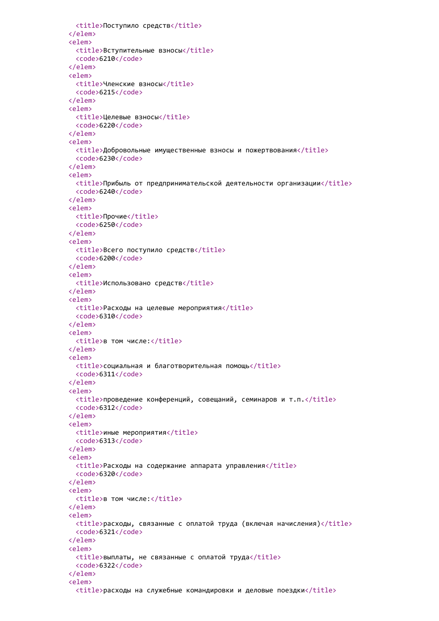```
<title>Поступило средств</title>
</elem>
<elem>
 <title>Вступительные взносы</title>
 <code>6210</code>
</elem>
<elem>
 <title>Членские взносы</title>
 <code>6215</code>
</elem>
<elem>
 <title>Целевые взносы</title>
 <code>6220</code>
</elem>
<elem>
 <title>Добровольные имущественные взносы и пожертвования</title>
 <code>6230</code>
</elem>
<elem>
 <title>Прибыль от предпринимательской деятельности организации</title>
 <code>6240</code>
</elem>
<elem>
 <title>Прочие</title>
 <code>6250</code>
</elem>
<elem>
 <title>Всего поступило средств</title>
 <code>6200</code>
</elem>
<elem>
 <title>Использовано средств</title>
</elem>
<elem>
 <title>Расходы на целевые мероприятия</title>
 <code>6310</code>
</elem>
<elem>
 <title>в том числе:</title>
</elem>
<elem>
 <title>социальная и благотворительная помощь</title>
 <code>6311</code>
</elem>
<elem>
 \timestitle>проведение конференций, совещаний, семинаров и т.п.\timestitle>
 <code>6312</code>
</elem>
<elem>
 <title>иные мероприятия</title>
 <code>6313</code>
</elem>
<elem>
 <title>Расходы на содержание аппарата управления</title>
 <code>6320</code>
</elem>
<elem>
 <title>в том числе:</title>
</elem>
<elem>
 <title>расходы, связанные с оплатой труда (включая начисления)</title>
 <code>6321</code>
</elem>
<elem>
 <title>выплаты, не связанные с оплатой труда</title>
 <code>6322</code>
</elem>
<elem>
  \langletitle>расходы на служебные командировки и деловые поездки</title>
```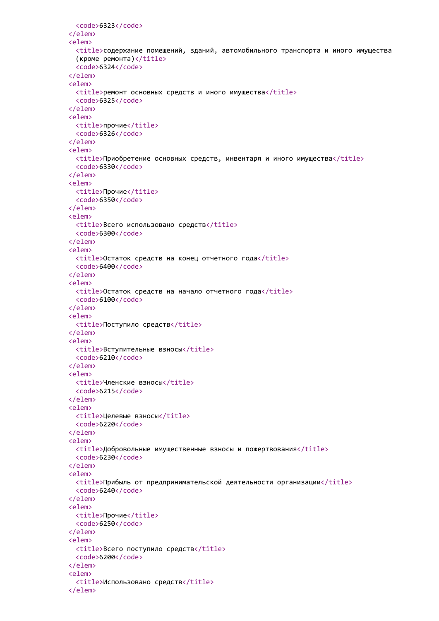```
<code>6323</code>
</elem>
<elem>
 <title>содержание помещений, зданий, автомобильного транспорта и иного имущества
  (кроме ремонта)</title>
  <code>6324</code>
</elem>
<elem>
 <title>ремонт основных средств и иного имущества</title>
 <code>6325</code>
</elem>
<elem>
 <title>прочие</title>
 <code>6326</code>
</elem>
<elem>
 <title>Приобретение основных средств, инвентаря и иного имущества</title>
  <code>6330</code>
</elem>
<elem>
 <title>Прочие</title>
 <code>6350</code>
</elem>
<elem>
 <title>Всего использовано средств</title>
  <code>6300</code>
</elem>
<elem>
 <title>Остаток средств на конец отчетного года</title>
 <code>6400</code>
</elem>
<elem>
 <title>Остаток средств на начало отчетного года</title>
 <code>6100</code>
</elem>
<elem>
 <title>Поступило средств</title>
</elem>
<elem>
  <title>Вступительные взносы</title>
 <code>6210</code>
</elem>
<elem>
  <title>Членские взносы</title>
 <code>6215</code>
</elem>
<elem>
  <title>Целевые взносы</title>
 <code>6220</code>
</elem>
<elem>
  <title>Добровольные имущественные взносы и пожертвования</title>
 <code>6230</code>
</elem>
<elem>
  <title>Прибыль от предпринимательской деятельности организации</title>
 <code>6240</code>
</elem>
<elem>
  <title>Прочие</title>
 <code>6250</code>
</elem>
<elem>
  <title>Всего поступило средств</title>
 <code>6200</code>
</elem>
<elem>
  <title>Использовано средств</title>
</elem>
```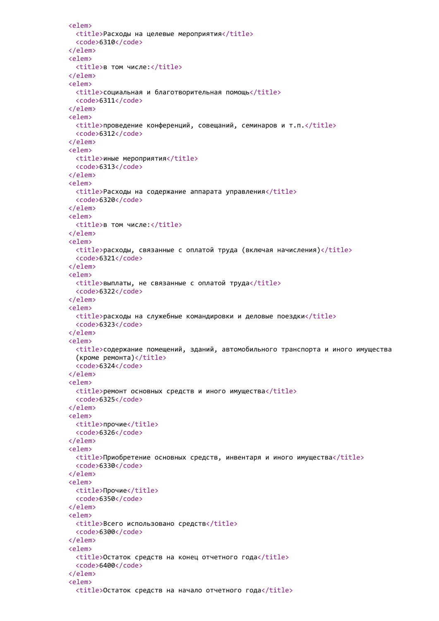```
<elem>
 <title>Расходы на целевые мероприятия</title>
 <code>6310</code>
</elem>
<elem>
 <title>в том числе:</title>
</elem>
<elem>
 <title>социальная и благотворительная помощь</title>
 <code>6311</code>
</elem>
<elem>
 \langletitle>проведение конференций, совещаний, семинаров и т.п.\langletitle>
 <code>6312</code>
</elem>
<elem>
 <title>иные мероприятия</title>
 <code>6313</code>
</elem>
<elem>
 <title>Расходы на содержание аппарата управления</title>
 <code>6320</code>
</elem>
<elem>
 <title>в том числе:</title>
</elem>
<elem>
 \langletitle>расходы, связанные с оплатой труда (включая начисления)</title>
 <code>6321</code>
</elem>
<elem>
 <title>выплаты, не связанные с оплатой труда</title>
 <code>6322</code>
</elem>
<elem>
 <title>расходы на служебные командировки и деловые поездки</title>
 <code>6323</code>
</elem>
<elem>
 <title>содержание помещений, зданий, автомобильного транспорта и иного имущества
 (кроме ремонта)</title>
 <code>6324</code>
</elem>
<elem>
 <title>ремонт основных средств и иного имущества</title>
 <code>6325</code>
</elem>
<elem>
 <title>прочие</title>
 <code>6326</code>
</elem>
<elem>
 <title>Приобретение основных средств, инвентаря и иного имущества</title>
 <code>6330</code>
</elem>
<elem>
 <title>Прочие</title>
 <code>6350</code>
</elem>
<elem>
 <title>Всего использовано средств</title>
 <code>6300</code>
</elem>
<elem>
 <title>Остаток средств на конец отчетного года</title>
 <code>6400</code>
</elem>
<elem>
  <title>Остаток средств на начало отчетного года</title>
```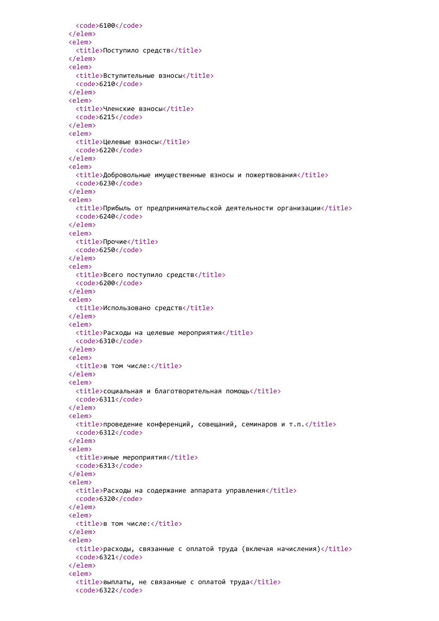```
<code>6100</code>
</elem>
<elem>
 <title>Поступило средств</title>
</elem>
<elem>
 <title>Вступительные взносы</title>
 <code>6210</code>
</elem>
<elem>
 <title>Членские взносы</title>
 <code>6215</code>
</elem>
<elem>
 <title>Целевые взносы</title>
 <code>6220</code>
</elem>
<elem>
 <title>Добровольные имущественные взносы и пожертвования</title>
 <code>6230</code>
</elem>
<elem>
 <title>Прибыль от предпринимательской деятельности организации</title>
 <code>6240</code>
</elem>
<elem>
 <title>Прочие</title>
 <code>6250</code>
</elem>
<elem>
 <title>Всего поступило средств</title>
 <code>6200</code>
</elem>
<elem>
 <title>Использовано средств</title>
</elem>
<elem>
 <title>Расходы на целевые мероприятия</title>
 <code>6310</code>
</elem>
<elem>
 <title>в том числе:</title>
</elem>
<elem>
 <title>социальная и благотворительная помощь</title>
 <code>6311</code>
</elem>
<elem>
 \timestitle>проведение конференций, совещаний, семинаров и т.п.\timestitle>
 <code>6312</code>
</elem>
<elem>
 <title>иные мероприятия</title>
 <code>6313</code>
</elem>
<elem>
 <title>Расходы на содержание аппарата управления</title>
 <code>6320</code>
</elem>
<elem>
 <title>в том числе:</title>
</elem>
<elem>
 <title>расходы, связанные с оплатой труда (включая начисления)</title>
 <code>6321</code>
</elem>
<elem>
 <title>выплаты, не связанные с оплатой труда</title>
 <code>6322</code>
```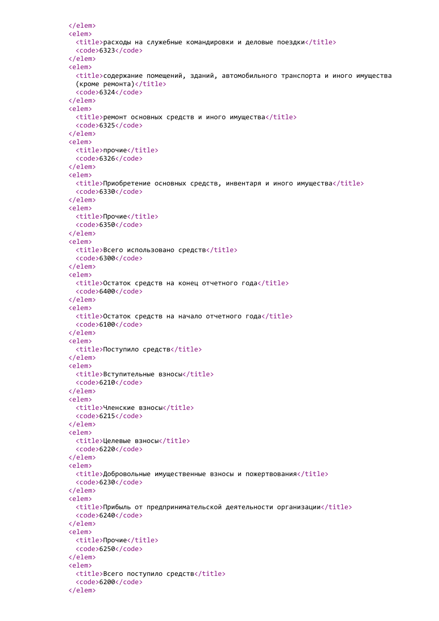```
</elem>
<elem>
 \langletitle>расходы на служебные командировки и деловые поездки\langletitle>
 <code>6323</code>
</elem>
<elem>
 <title>содержание помещений, зданий, автомобильного транспорта и иного имущества
 (кроме ремонта) \langle /title>
 <code>6324</code>
</elem>
<elem>
 <title>ремонт основных средств и иного имущества</title>
 <code>6325</code>
</elem>
<elem>
 <title>прочие</title>
 <code>6326</code>
</elem>
<elem>
 <title>Приобретение основных средств, инвентаря и иного имущества</title>
 <code>6330</code>
</elem>
<elem>
 <title>Прочие</title>
 <code>6350</code>
</elem>
<elem>
 <title>Всего использовано средств</title>
 <code>6300</code>
</elem>
<elem>
 <title>Остаток средств на конец отчетного года</title>
 <code>6400</code>
</elem>
<elem>
 <title>Остаток средств на начало отчетного года</title>
 <code>6100</code>
</elem>
<elem>
 <title>Поступило средств</title>
</elem>
<elem>
 <title>Вступительные взносы</title>
 <code>6210</code>
</elem>
<elem>
 <title>Членские взносы</title>
 <code>6215</code>
</elem>
<elem>
 <title>Целевые взносы</title>
 <code>6220</code>
</elem>
<elem>
 <title>Добровольные имущественные взносы и пожертвования</title>
 <code>6230</code>
</elem>
<elem>
 <title>Прибыль от предпринимательской деятельности организации</title>
 <code>6240</code>
</elem>
<elem>
 <title>Прочие</title>
 <code>6250</code>
</elem>
<elem>
 <title>Всего поступило средств</title>
 <code>6200</code>
</elem>
```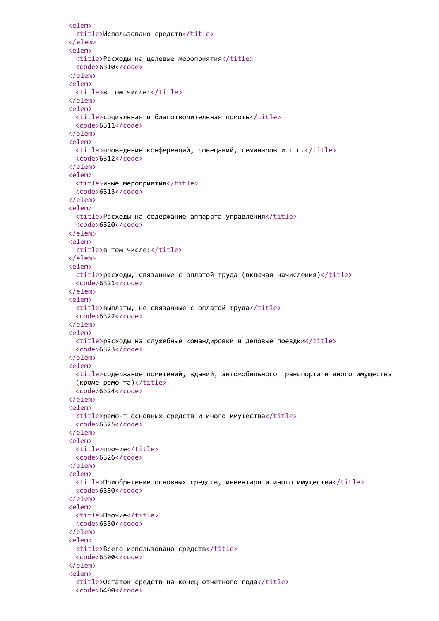```
<elem>
 <title>Использовано средств</title>
</elem>
<elem>
 <title>Расходы на целевые мероприятия</title>
 <code>6310</code>
</elem>
<elem>
 <title>в том числе:</title>
</elem>
<elem>
 <title>социальная и благотворительная помощь</title>
 <code>6311</code>
</elem>
<elem>
 \timestitle>проведение конференций, совещаний, семинаров и т.п.\times/title>
 <code>6312</code>
</elem>
<elem>
 <title>иные мероприятия</title>
 <code>6313</code>
</elem>
<elem>
 <title>Расходы на содержание аппарата управления</title>
 <code>6320</code>
</elem>
<elem>
 <title>в том числе:</title>
</elem>
<elem>
 \langletitle>расходы, связанные с оплатой труда (включая начисления)</title>
 <code>6321</code>
</elem>
<elem>
 <title>выплаты, не связанные с оплатой труда</title>
 <code>6322</code>
</elem>
<elem>
 \langletitle>расходы на служебные командировки и деловые поездки</title>
 <code>6323</code>
</elem>
<elem>
 <title>содержание помещений, зданий, автомобильного транспорта и иного имущества
 (кроме ремонта)</title>
 <code>6324</code>
</elem>
<elem>
 <title>ремонт основных средств и иного имущества</title>
 <code>6325</code>
</elem>
<elem>
 <title>прочие</title>
 <code>6326</code>
</elem>
<elem>
 <title>Приобретение основных средств, инвентаря и иного имущества</title>
 <code>6330</code>
</elem>
<elem>
 <title>Прочие</title>
 <code>6350</code>
</elem>
<elem>
 <title>Всего использовано средств</title>
 <code>6300</code>
</elem>
<elem>
 <title>Остаток средств на конец отчетного года</title>
 <code>6400</code>
```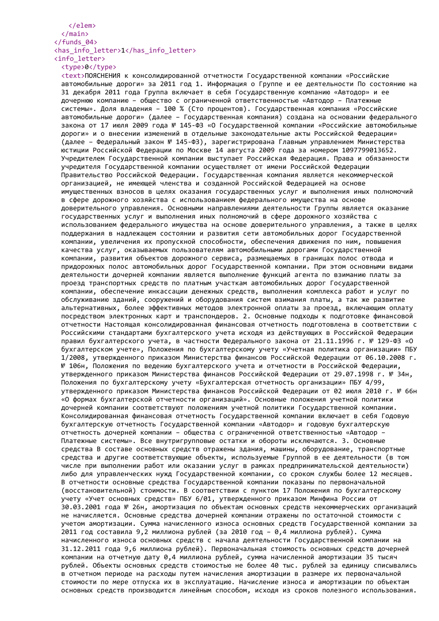## </elem> </main> </funds\_04> <has\_info\_letter>1</has\_info\_letter> <info\_letter>

<type>0</type>

<text>ПОЯСНЕНИЯ к консолидированной отчетности Государственной компании «Российские автомобильные дороги» за 2011 год 1. Информация о Группе и ее деятельности По состоянию на 31 декабря 2011 года Группа включает в себя Государственную компанию «Автодор» и ее дочернюю компанию – общество с ограниченной ответственностью «Автодор – Платежные системы». Доля владения – 100 % (Сто процентов). Государственная компания «Российские автомобильные дороги» (далее – Государственная компания) создана на основании федерального закона от 17 июля 2009 года № 145-ФЗ «О Государственной компании «Российские автомобильные дороги» и о внесении изменений в отдельные законодательные акты Российской Федерации» (далее – Федеральный закон № 145-ФЗ), зарегистрирована Главным управлением Министерства юстиции Российской Федерации по Москве 14 августа 2009 года за номером 1097799013652. Учредителем Государственной компании выступает Российская Федерация. Права и обязанности учредителя Государственной компании осуществляет от имени Российской Федерации Правительство Российской Федерации. Государственная компания является некоммерческой организацией, не имеющей членства и созданной Российской Федерацией на основе имущественных взносов в целях оказания государственных услуг и выполнения иных полномочий в сфере дорожного хозяйства с использованием федерального имущества на основе доверительного управления. Основными направлениями деятельности Группы является оказание государственных услуг и выполнения иных полномочий в сфере дорожного хозяйства с использованием федерального имущества на основе доверительного управления, а также в целях поддержания в надлежащем состоянии и развития сети автомобильных дорог Государственной компании, увеличения их пропускной способности, обеспечения движения по ним, повышения качества услуг, оказываемых пользователям автомобильными дорогами Государственной компании, развития объектов дорожного сервиса, размещаемых в границах полос отвода и придорожных полос автомобильных дорог Государственной компании. При этом основными видами деятельности дочерней компании является выполнение функций агента по взиманию платы за проезд транспортных средств по платным участкам автомобильных дорог Государственной компании, обеспечение инкассации денежных средств, выполнения комплекса работ и услуг по обслуживанию зданий, сооружений и оборудования систем взимания платы, а так же развитие альтернативных, более эффективных методов электронной оплаты за проезд, включающим оплату посредством электронных карт и транспондеров. 2. Основные подходы к подготовке финансовой отчетности Настоящая консолидированная финансовая отчетность подготовлена в соответствии с Российскими стандартами бухгалтерского учета исходя из действующих в Российской Федерации правил бухгалтерского учета, в частности Федерального закона от 21.11.1996 г. № 129-ФЗ «О бухгалтерском учете», Положения по бухгалтерскому учету «Учетная политика организации» ПБУ 1/2008, утвержденного приказом Министерства финансов Российской Федерации от 06.10.2008 г. № 106н, Положения по ведению бухгалтерского учета и отчетности в Российской Федерации, утвержденного приказом Министерства финансов Российской Федерации от 29.07.1998 г. № 34н, Положения по бухгалтерскому учету «Бухгалтерская отчетность организации» ПБУ 4/99, утвержденного приказом Министерства финансов Российской Федерации от 02 июля 2010 г. № 66н «О формах бухгалтерской отчетности организаций». Основные положения учетной политики дочерней компании соответствуют положениям учетной политики Государственной компании. Консолидированная финансовая отчетность Государственной компании включает в себя Годовую бухгалтерскую отчетность Государственной компании «Автодор» и годовую бухгалтерскую отчетность дочерней компании – общества с ограниченной ответственностью «Автодор – Платежные системы». Все внутригрупповые остатки и обороты исключаются. 3. Основные средства В составе основных средств отражены здания, машины, оборудование, транспортные средства и другие соответствующие объекты, используемые Группой в ее деятельности (в том числе при выполнении работ или оказании услуг в рамках предпринимательской деятельности) либо для управленческих нужд Государственной компании, со сроком службы более 12 месяцев. В отчетности основные средства Государственной компании показаны по первоначальной (восстановительной) стоимости. В соответствии с пунктом 17 Положения по бухгалтерскому учету «Учет основных средств» ПБУ 6/01, утвержденного приказом Минфина России от 30.03.2001 года № 26н, амортизация по объектам основных средств некоммерческих организаций не начисляется. Основные средства дочерней компании отражены по остаточной стоимости с учетом амортизации. Сумма начисленного износа основных средств Государственной компании за 2011 год составила 9,2 миллиона рублей (за 2010 год – 0,4 миллиона рублей). Сумма начисленного износа основных средств с начала деятельности Государственной компании на 31.12.2011 года 9,6 миллиона рублей). Первоначальная стоимость основных средств дочерней компании на отчетную дату 0,4 миллиона рублей, сумма начисленной амортизации 35 тысяч рублей. Объекты основных средств стоимостью не более 40 тыс. рублей за единицу списывались в отчетном периоде на расходы путем начисления амортизации в размере их первоначальной стоимости по мере отпуска их в эксплуатацию. Начисление износа и амортизации по объектам основных средств производится линейным способом, исходя из сроков полезного использования.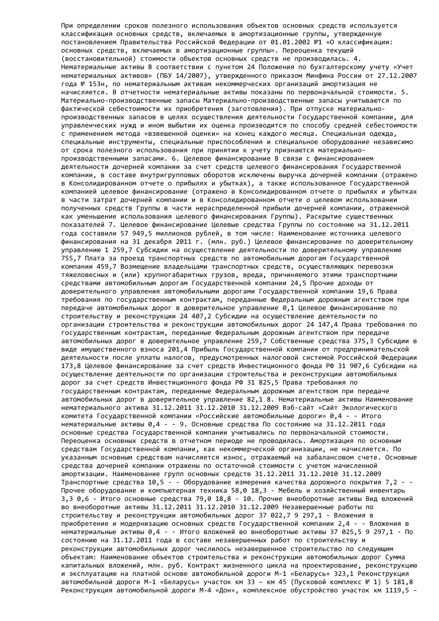При определении сроков полезного использования объектов основных средств используется классификация основных средств, включаемых в амортизационные группы, утвержденную постановлением Правительства Российской Федерации от 01.01.2002 №1 «О классификации: основных средств, включаемых в амортизационные группы». Переоценка текущей (восстановительной) стоимости объектов основных средств не производилась. 4. Нематериальные активы В соответствии с пунктом 24 Положения по бухгалтерскому учету «Учет нематериальных активов» (ПБУ 14/2007), утвержденного приказом Минфина России от 27.12.2007 года № 153н, по нематериальным активам некоммерческих организаций амортизация не начисляется. В отчетности нематериальные активы показаны по первоначальной стоимости. 5. Материально-производственные запасы Материально-производственные запасы учитываются по фактической себестоимости их приобретения (заготовления). При отпуске материальнопроизводственных запасов в целях осуществления деятельности Государственной компании, для управленческих нужд и ином выбытии их оценка производится по способу средней себестоимости с применением метода «взвешенной оценки» на конец каждого месяца. Специальная одежда, специальные инструменты, специальные приспособления и специальное оборудование независимо от срока полезного использования при принятии к учету признаются материальнопроизводственными запасами. 6. Целевое финансирование В связи с финансированием деятельности дочерней компании за счет средств целевого финансирования Государственной компании, в составе внутригрупповых оборотов исключены выручка дочерней компании (отражено в Консолидированном отчете о прибылях и убытках), а также использованное Государственной компанией целевое финансирование (отражено в Консолидированном отчете о прибылях и убытках в части затрат дочерней компании и в Консолидированном отчете о целевом использовании полученных средств Группы в части нераспределенной прибыли дочерней компании, отраженной как уменьшение использования целевого финансирования Группы). Раскрытие существенных показателей 7. Целевое финансирование Целевые средства Группы по состоянию на 31.12.2011 года составили 57 949,5 миллионов рублей, в том числе: Наименование источника целевого финансирования на 31 декабря 2011 г. (млн. руб.) Целевое финансирование по доверительному управлению 1 259,7 Субсидии на осуществление деятельности по доверительному управлению 755,7 Плата за проезд транспортных средств по автомобильным дорогам Государственной компании 459,7 Возмещение владельцами транспортных средств, осуществляющих перевозки тяжеловесных и (или) крупногабаритных грузов, вреда, причиняемого этими транспортными средствами автомобильным дорогам Государственной компании 24,5 Прочие доходы от доверительного управления автомобильными дорогами Государственной компании 19,6 Права требования по государственным контрактам, переданные Федеральным дорожным агентством при передаче автомобильных дорог в доверительное управление 0,1 Целевое финансирование по строительству и реконструкции 24 407,2 Субсидии на осуществление деятельности по организации строительства и реконструкции автомобильных дорог 24 147,4 Права требования по государственным контрактам, переданные Федеральным дорожным агентством при передаче автомобильных дорог в доверительное управление 259,7 Собственные средства 375,3 Субсидии в виде имущественного взноса 201,4 Прибыль Государственной компании от предпринимательской деятельности после уплаты налогов, предусмотренных налоговой системой Российской Федерации 173,8 Целевое финансирование за счет средств Инвестиционного фонда РФ 31 907,6 Субсидии на осуществление деятельности по организации строительства и реконструкции автомобильных дорог за счет средств Инвестиционного фонда РФ 31 825,5 Права требования по государственным контрактам, переданные Федеральным дорожным агентством при передаче автомобильных дорог в доверительное управление 82,1 8. Нематериальные активы Наименование нематериального актива 31.12.2011 31.12.2010 31.12.2009 Вэб-сайт «Сайт Экологического комитета Государственной компании «Российские автомобильные дороги» 0,4 - - Итого нематериальные активы 0,4 - - 9. Основные средства По состоянию на 31.12.2011 года основные средства Государственной компании учитывались по первоначальной стоимости. Переоценка основных средств в отчетном периоде не проводилась. Амортизация по основным средствам Государственной компании, как некоммерческой организации, не начисляется. По указанным основным средствам начисляется износ, отражаемый на забалансовом счете. Основные средства дочерней компании отражены по остаточной стоимости с учетом начисленной амортизации. Наименование групп основных средств 31.12.2011 31.12.2010 31.12.2009 Транспортные средства 10,5 - - Оборудование измерения качества дорожного покрытия 7,2 - - Прочее оборудование и компьютерная техника 58,0 18,3 - Мебель и хозяйственный инвентарь 3,3 0,6 - Итого основные средства 79,0 18,8 - 10. Прочие внеоборотные активы Вид вложений во внеоборотные активы 31.12.2011 31.12.2010 31.12.2009 Незавершенные работы по строительству и реконструкции автомобильных дорог 37 022,7 9 297,1 - Вложения в приобретение и модернизацию основных средств Государственной компании 2,4 - - Вложения в нематериальные активы 0,4 - - Итого вложений во внеоборотные активы 37 025,5 9 297,1 - По состоянию на 31.12.2011 года в составе незавершенных работ по строительству и реконструкции автомобильных дорог числилось незавершенное строительство по следующим объектам: Наименование объектов строительства и реконструкции автомобильных дорог Сумма капитальных вложений, млн. руб. Контракт жизненного цикла на проектирование, реконструкцию и эксплуатацию на платной основе автомобильной дороги М-1 «Беларусь» 323,1 Реконструкция автомобильной дороги М-1 «Беларусь» участок км 33 – км 45 (Пусковой комплекс № 1) 5 181,8 Реконструкция автомобильной дороги М-4 «Дон», комплексное обустройство участок км 1119,5 –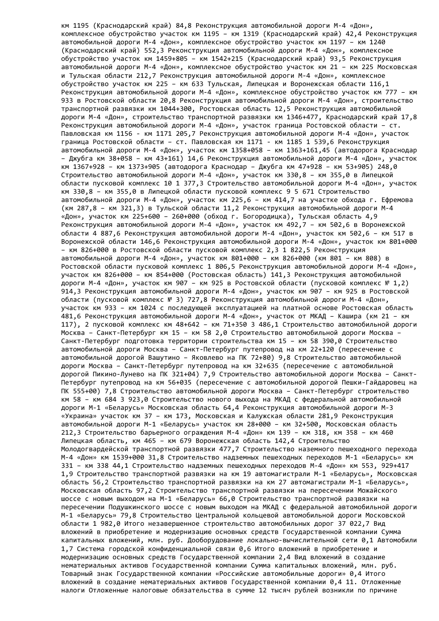км 1195 (Краснодарский край) 84,8 Реконструкция автомобильной дороги М-4 «Дон», комплексное обустройство участок км 1195 – км 1319 (Краснодарский край) 42,4 Реконструкция автомобильной дороги М-4 «Дон», комплексное обустройство участок км 1197 – км 1240 (Краснодарский край) 552,3 Реконструкция автомобильной дороги М-4 «Дон», комплексное обустройство участок км 1459+805 – км 1542+215 (Краснодарский край) 93,5 Реконструкция автомобильной дороги М-4 «Дон», комплексное обустройство участок км 21 – км 225 Московская и Тульская области 212,7 Реконструкция автомобильной дороги М-4 «Дон», комплексное обустройство участок км 225 – км 633 Тульская, Липецкая и Воронежская области 116,1 Реконструкция автомобильной дороги М-4 «Дон», комплексное обустройство участок км 777 – км 933 в Ростовской области 20,8 Реконструкция автомобильной дороги М-4 «Дон», строительство транспортной развязки км 1044+300, Ростовская область 12,5 Реконструкция автомобильной дороги М-4 «Дон», строительство транспортной развязки км 1346+477, Краснодарский край 17,8 Реконструкция автомобильной дороги М-4 «Дон», участок граница Ростовской области – ст. Павловская км 1156 - км 1171 205,7 Реконструкция автомобильной дороги М-4 «Дон», участок граница Ростовской области – ст. Павловская км 1171 - км 1185 1 539,6 Реконструкция автомобильной дороги М-4 «Дон», участок км 1358+058 – км 1363+161,45 (автодорога Краснодар – Джубга км 38+058 – км 43+161) 14,6 Реконструкция автомобильной дороги М-4 «Дон», участок км 1367+928 – км 1373+905 (автодорога Краснодар – Джубга км 47+928 – км 53+905) 248,0 Строительство автомобильной дороги М-4 «Дон», участок км 330,8 – км 355,0 в Липецкой области пусковой комплекс 10 1 377,3 Строительство автомобильной дороги М-4 «Дон», участок км 330,8 – км 355,0 в Липецкой области пусковой комплекс 9 5 671 Строительство автомобильной дороги М-4 «Дон», участок км 225,6 – км 414,7 на участке обхода г. Ефремова (км 287,8 – км 321,3) в Тульской области 11,2 Реконструкция автомобильной дороги М-4 «Дон», участок км 225+600 – 260+000 (обход г. Богородицка), Тульская область 4,9 Реконструкция автомобильной дороги М-4 «Дон», участок км 492,7 – км 502,6 в Воронежской области 4 887,6 Реконструкция автомобильной дороги М-4 «Дон», участок км 502,6 – км 517 в Воронежской области 146,6 Реконструкция автомобильной дороги М-4 «Дон», участок км 801+000 – км 826+000 в Ростовской области пусковой комплекс 2,3 1 822,5 Реконструкция автомобильной дороги М-4 «Дон», участок км 801+000 – км 826+000 (км 801 – км 808) в Ростовской области пусковой комплекс 1 806,5 Реконструкция автомобильной дороги М-4 «Дон», участок км 826+000 – км 854+000 (Ростовская область) 141,3 Реконструкция автомобильной дороги М-4 «Дон», участок км 907 – км 925 в Ростовской области (пусковой комплекс № 1,2) 914,3 Реконструкция автомобильной дороги М-4 «Дон», участок км 907 – км 925 в Ростовской области (пусковой комплекс № 3) 727,8 Реконструкция автомобильной дороги М-4 «Дон», участок км 933 – км 1024 с последующей эксплуатацией на платной основе Ростовская область 481,6 Реконструкция автомобильной дороги М-4 «Дон», участок от МКАД – Кашира (км 21 – км 117), 2 пусковой комплекс км 48+642 – км 71+350 3 486,1 Строительство автомобильной дороги Москва – Санкт-Петербург км 15 – км 58 2,0 Строительство автомобильной дороги Москва – Санкт-Петербург подготовка территории строительства км 15 – км 58 390,0 Строительство автомобильной дороги Москва – Санкт-Петербург путепровод на км 22+120 (пересечение с автомобильной дорогой Вашутино – Яковлево на ПК 72+80) 9,8 Строительство автомобильной дороги Москва – Санкт-Петербург путепровод на км 32+635 (пересечение с автомобильной дорогой Пикино-Лунево на ПК 321+04) 7,9 Строительство автомобильной дороги Москва – Санкт-Петербург путепровод на км 56+035 (пересечение с автомобильной дорогой Пешки-Гайдаровец на ПК 555+00) 7,8 Строительство автомобильной дороги Москва – Санкт-Петербург строительство км 58 – км 684 3 923,0 Строительство нового выхода на МКАД с федеральной автомобильной дороги М-1 «Беларусь» Московская область 64,4 Реконструкция автомобильной дороги М-3 «Украина» участок км 37 – км 173, Московская и Калужская области 281,9 Реконструкция автомобильной дороги М-1 «Беларусь» участок км 28+000 – км 32+500, Московская область 212,3 Строительство барьерного ограждения М-4 «Дон» км 139 – км 318, км 358 – км 460 Липецкая область, км 465 – км 679 Воронежская область 142,4 Строительство Молодогвардейской транспортной развязки 477,7 Строительство наземного пешеходного перехода М-4 «Дон» км 1539+000 31,8 Строительство надземных пешеходных переходов М-1 «Беларусь» км 331 – км 338 44,1 Строительство надземных пешеходных переходов М-4 «Дон» км 553, 929+417 1,9 Строительство транспортной развязки на км 19 автомагистрали М-1 «Беларусь», Московская область 56,2 Строительство транспортной развязки на км 27 автомагистрали М-1 «Беларусь», Московская область 97,2 Строительство транспортной развязки на пересечении Можайского шоссе с новым выходом на М-1 «Беларусь» 66,0 Строительство транспортной развязки на пересечении Подушкинского шоссе с новым выходом на МКАД с федеральной автомобильной дороги М-1 «Беларусь» 79,8 Строительство Центральной кольцевой автомобильной дороги Московской области 1 982,0 Итого незавершенное строительство автомобильных дорог 37 022,7 Вид вложений в приобретение и модернизацию основных средств Государственной компании Сумма капитальных вложений, млн. руб. Дооборудование локально-вычислительной сети 0,1 Автомобили 1,7 Система городской конфиденциальной связи 0,6 Итого вложений в приобретение и модернизацию основных средств Государственной компании 2,4 Вид вложений в создание нематериальных активов Государственной компании Сумма капитальных вложений, млн. руб. Товарный знак Государственной компании «Российские автомобильные дороги» 0,4 Итого вложений в создание нематериальных активов Государственной компании 0,4 11. Отложенные налоги Отложенные налоговые обязательства в сумме 12 тысяч рублей возникли по причине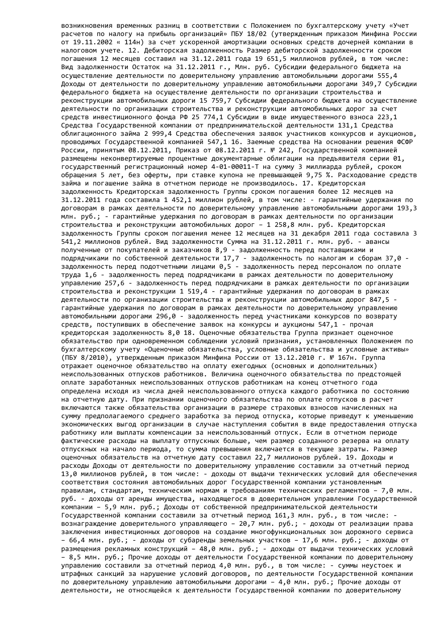возникновения временных разниц в соответствии с Положением по бухгалтерскому учету «Учет расчетов по налогу на прибыль организаций» ПБУ 18/02 (утвержденным приказом Минфина России от 19.11.2002 « 114н) за счет ускоренной амортизации основных средств дочерней компании в налоговом учете. 12. Дебиторская задолженность Размер дебиторской задолженности сроком погашения 12 месяцев составил на 31.12.2011 года 19 651,5 миллионов рублей, в том числе: Вид задолженности Остаток на 31.12.2011 г., Млн. руб. Субсидии федерального бюджета на осуществление деятельности по доверительному управлению автомобильными дорогами 555,4 Доходы от деятельности по доверительному управлению автомобильными дорогами 349,7 Субсидии федерального бюджета на осуществление деятельности по организации строительства и реконструкции автомобильных дороги 15 759,7 Субсидии федерального бюджета на осуществление деятельности по организации строительства и реконструкции автомобильных дорог за счет средств инвестиционного фонда РФ 25 774,1 Субсидии в виде имущественного взноса 223,1 Средства Государственной компании от предпринимательской деятельности 131,1 Средства облигационного займа 2 999,4 Средства обеспечения заявок участников конкурсов и аукционов, проводимых Государственной компанией 547,1 16. Заемные средства На основании решения ФСФР России, принятым 08.12.2011, Приказ от 08.12.2011 г. № 242, Государственной компанией размещены неконвертируемые процентные документарные облигации на предъявителя серии 01, государственный регистрационный номер 4-01-00011-Т на сумму 3 миллиарда рублей, сроком обращения 5 лет, без оферты, при ставке купона не превышающей 9,75 %. Расходование средств займа и погашение займа в отчетном периоде не производилось. 17. Кредиторская задолженность Кредиторская задолженность Группы сроком погашения более 12 месяцев на 31.12.2011 года составила 1 452,1 миллион рублей, в том числе: - гарантийные удержания по договорам в рамках деятельности по доверительному управлению автомобильными дорогами 193,3 млн. руб.; - гарантийные удержания по договорам в рамках деятельности по организации строительства и реконструкции автомобильных дорог – 1 258,8 млн. руб. Кредиторская задолженность Группы сроком погашения менее 12 месяцев на 31 декабря 2011 года составила 3 541,2 миллионов рублей. Вид задолженности Сумма на 31.12.2011 г. млн. руб. - авансы полученные от покупателей и заказчиков 8,9 - задолженность перед поставщиками и подрядчиками по собственной деятельности 17,7 - задолженность по налогам и сборам 37,0 задолженность перед подотчетными лицами 0,5 - задолженность перед персоналом по оплате труда 1,6 - задолженность перед подрядчиками в рамках деятельности по доверительному управлению 257,6 - задолженность перед подрядчиками в рамках деятельности по организации строительства и реконструкции 1 519,4 - гарантийные удержания по договорам в рамках деятельности по организации строительства и реконструкции автомобильных дорог 847,5 гарантийные удержания по договорам в рамках деятельности по доверительному управлению автомобильными дорогами 296,0 - задолженность перед участниками конкурсов по возврату средств, поступивших в обеспечение заявок на конкурсы и аукционы 547,1 - прочая кредиторская задолженность 8,0 18. Оценочные обязательства Группа признает оценочное обязательство при одновременном соблюдении условий признания, установленных Положением по бухгалтерскому учету «Оценочные обязательства, условные обязательства и условные активы» (ПБУ 8/2010), утвержденным приказом Минфина России от 13.12.2010 г. № 167н. Группа отражает оценочное обязательство на оплату ежегодных (основных и дополнительных) неиспользованных отпусков работников. Величина оценочного обязательства по предстоящей оплате заработанных неиспользованных отпусков работникам на конец отчетного года определена исходя из числа дней неиспользованного отпуска каждого работника по состоянию на отчетную дату. При признании оценочного обязательства по оплате отпусков в расчет включаются также обязательства организации в размере страховых взносов начисленных на сумму предполагаемого среднего заработка за период отпуска, которые приведут к уменьшению экономических выгод организации в случае наступления события в виде предоставления отпуска работнику или выплаты компенсации за неиспользованный отпуск. Если в отчетном периоде фактические расходы на выплату отпускных больше, чем размер созданного резерва на оплату отпускных на начало периода, то сумма превышения включается в текущие затраты. Размер оценочных обязательств на отчетную дату составил 22,7 миллионов рублей. 19. Доходы и расходы Доходы от деятельности по доверительному управлению составили за отчетный период 13,0 миллионов рублей, в том числе: - доходы от выдачи технических условий для обеспечения соответствия состояния автомобильных дорог Государственной компании установленным правилам, стандартам, техническим нормам и требованиям технических регламентов – 7,0 млн. руб. - доходы от аренды имущества, находящегося в доверительном управлении Государственной компании – 5,9 млн. руб.; Доходы от собственной предпринимательской деятельности Государственной компании составили за отчетный период 161,3 млн. руб., в том числе: вознаграждение доверительного управляющего – 20,7 млн. руб.; - доходы от реализации права заключения инвестиционных договоров на создание многофункциональных зон дорожного сервиса – 66,4 млн. руб.; - доходы от субаренды земельных участков – 17,6 млн. руб.; - доходы от размещения рекламных конструкций – 48,0 млн. руб.; - доходы от выдачи технических условий – 8,5 млн. руб.; Прочие доходы от деятельности Государственной компании по доверительному управлению составили за отчетный период 4,0 млн. руб., в том числе: - суммы неустоек и штрафных санкций за нарушение условий договоров, по деятельности Государственной компании по доверительному управлению автомобильными дорогами – 4,0 млн. руб.; Прочие доходы от деятельности, не относящейся к деятельности Государственной компании по доверительному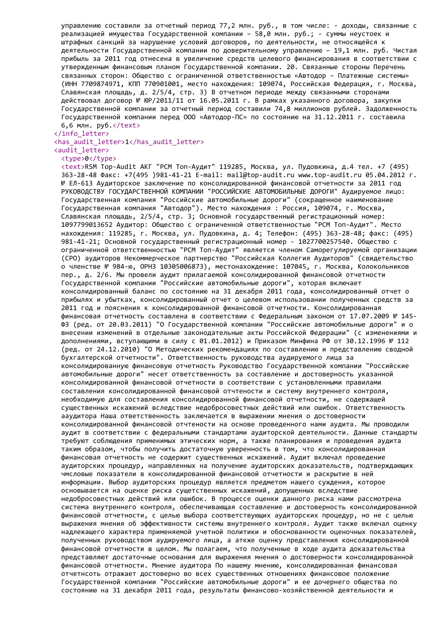управлению составили за отчетный период 77,2 млн. руб., в том числе: - доходы, связанные с реализацией имущества Государственной компании – 58,0 млн. руб.; - суммы неустоек и штрафных санкций за нарушение условий договоров, по деятельности, не относящейся к деятельности Государственной компании по доверительному управлению – 19,1 млн. руб. Чистая прибыль за 2011 год отнесена в увеличение средств целевого финансирования в соответствии с утвержденным финансовым планом Государственной компании. 20. Связанные стороны Перечень связанных сторон: Общество с ограниченной ответственностью «Автодор – Платежные системы» (ИНН 7709874971, КПП 770901001, место нахождения: 109074, Российская Федерация, г. Москва, Славянская площадь, д. 2/5/4, стр. 3) В отчетном периоде между связанными сторонами действовал договор № ЮР/2011/11 от 16.05.2011 г. В рамках указанного договора, закупки Государственной компании за отчетный период составили 74,8 миллионов рублей. Задолженность Государственной компании перед ООО «Автодор-ПС» по состоянию на 31.12.2011 г. составила  $6,6$  млн. ру $6.$  </text>

</info\_letter> <has\_audit\_letter>1</has\_audit\_letter> <audit\_letter>

<type>0</type>

<text>RSM Top-Audit АКГ "РСМ Топ-Аудит" 119285, Москва, ул. Пудовкина, д.4 тел. +7 (495) 363-28-48 Факс: +7(495 )981-41-21 E-mail: mail@top-audit.ru www.top-audit.ru 05.04.2012 г. № ЕЛ-613 Аудиторское заключение по консолидированной финансовой отчетности за 2011 год РУКОВОДСТВУ ГОСУДАРСТВЕННОЙ КОМПАНИИ "РОССИЙСКИЕ АВТОМОБИЛЬНЫЕ ДОРОГИ" Аудируемое лицо: Государственная компания "Российские автомобильные дороги" (сокращенное наименование Государственная компания "Автодор"). Место нахождения : Россия, 109074, г. Москва, Славянская площадь, 2/5/4, стр. 3; Основной государственный регистрационный номер: 1097799013652 Аудитор: Общество с ограниченной ответственностью "РСМ Топ-Аудит". Место нахождения: 119285, г. Москва, ул. Пудовкина, д. 4; Телефон: (495) 363-28-48; факс: (495) 981-41-21; Основной государственный регистрационный номер - 1027700257540. Общество с ограниченной ответственностью "РСМ Топ-Аудит" является членом Саморегулируемой организации (СРО) аудиторов Некоммерческое партнерство "Российская Коллегия Аудиторов" (свидетельство о членстве № 984-ю, ОРНЗ 10305006873), местонахождение: 107045, г. Москва, Колокольников пер., д. 2/6. Мы провели аудит прилагаемой консолидированной финансовой отчетности Государственной компании "Российские автомобильные дороги", которая включает консолидированный баланс по состоянию на 31 декабря 2011 года, консолидированный отчет о прибылях и убытках, консолидированный отчет о целевом использовании полученных средств за 2011 год и пояснения к консолидированной финансовой отчетности. Консолидированная финансовая отчетность составлена в соответствии с Федеральным законом от 17.07.2009 № 145- ФЗ (ред. от 20.03.2011) "О Государственной компании "Российские автомобильные дороги" и о внесении изменений в отдельные законодательные акты Российской Федерации" (с изменениями и дополнениями, вступающими в силу с 01.01.2012) и Приказом Минфина РФ от 30.12.1996 № 112 (ред. от 24.12.2010) "О Методических рекомендациях по составлению и представлению сводной бухгалтерской отчетности". Ответственность руководства аудируемого лица за консолидированную финансовую отчетность Руководство Государственной компании "Российские автомобильные дороги" несет ответственность за составление и достоверность указанной консолидированной финансовой отчетности в соответствии с установленными правилами составления консолидированной финансовой отчтености и систему внутреннего контроля, необходимую для составления консолидированной финансовой отчетности, не содержащей существенных искажений вследствие недобросовестных действий или ошибок. Ответственность ааудитора Наша ответственность заключается в выражении мнения о достоверности консолидированной финансовой отчтености на основе проведенного нами аудита. Мы проводили аудит в соответствии с федеральными стандартами аудиторской деятельности. Данные стандарты требуют соблюдения применимых этических норм, а также планирования и проведения аудита таким образом, чтобы получить достаточную уверенность в том, что консолидированная финансовая отчетность не содержит существенных искажений. Аудит включал проведение аудиторских процедур, направленных на получение аудиторских доказательств, подтверждающих чмсловые показатели в консолидированной финансовой отчетности и раскрытие в ней информации. Выбор аудиторских процедур является предметом нашего суждения, которое основывается на оценке риска сущетственных искажений, допущенных вследствие недобросовестных действий или ошибок. В процессе оценки данного риска нами рассмотрена система внутреннего контроля, обеспечивающая составление и достоверность консолидированной финансовой отчетности, с целью выбора соответствующих аудиторских процедур, но не с целью выражения мнения об эффективности системы внутреннего контроля. Аудит также включал оценку надлежащего характера применяемой учетной политики и обоснованности оценочных показателей, полученных руководством аудируемого лица, а аткже оценку представления консолидированной финансовой отчетности в целом. Мы полагаем, что полученные в ходе аудита доказательства представляют достаточные основания для выражения мнения о достоверности консолидированной финансовой отчетности. Мнение аудитора По нашему мнению, консолидированная финансовая отчетнсоть отражает достоверно во всех существенных отношениях финансовое положение Государственной компании "Российские автомобильные дороги" и ее дочернего общества по состоянию на 31 декабря 2011 года, результаты финансово-хозяйственной деятельности и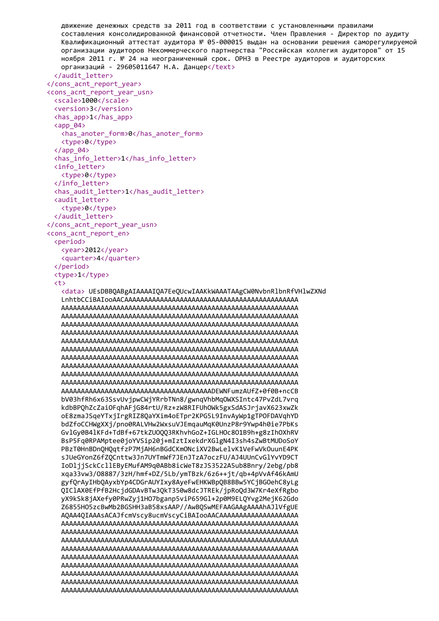```
движение денежных средств за 2011 год в соответствии с установленными правилами
  составления консолидированной финансовой отчетности. Член Правления - Директор по аудиту
  Квалификационный аттестат аудитора № 05-000015 выдан на основании решения саморегулируемой
  организации аудиторов Некоммерческого партнерства "Российская коллегия аудиторов" от 15
  ноября 2011 г. № 24 на неограниченный срок. ОРНЗ в Реестре аудиторов и аудиторских
  организаций - 29605011647 Н.А. Данцер</text>
 </audit_letter>
</cons_acnt_report_year>
<cons_acnt_report_year_usn>
 <scale>1000</scale>
 <version>3</version>
 <has_app>1</has_app>
 <app 04>
  <has anoter form>0</has_anoter_form>
  <type>0</type>
 \langle app 04 \rangle<has info letter>1</has_info_letter>
 <info letter>
  <type>0</type>
 </info letter>
 <has audit letter>1</has audit letter>
 <audit letter>
  <type>0</type>
 </audit letter>
</cons_acnt_report_year_usn>
<cons acnt report en>
 <period>
  <year>2012</year>
  <quarter>4</quarter>
 </period>
 <type>1</type>
 (t)<data> UEsDBBQABgAIAAAAIQA7EeQUcwIAAKkWAAATAAgCW0NvbnRlbnRfVHlwZXNd
  bV03hfRh6x63SsvUvjpwCWjYRrbTNn8/gwnqVhbMq0WXSIntc47PvZdL7vrq
  kdbBPQhZcZaiOFqhAFjG84rtU/Rz+zW8RIFUhOWk5gxSdASJrjavX623xwZk
  oE8zmaJSqeYTxjIrgRIZ8QaYXim4oETpr2KPG5L9InvAyWp1gTPOFDAVqhYD
  bdZfoCCHWgXXj/pno0RALVHw2WxsuVJEmgauMgK0UnzP8r9Ywp4h0ie7PbKs
  GylGy0B41KFd+TdBf+67tkZU0003RKhyhGoZ+IGLHOc801B9h+g8zIhOXhRV
  BsP5Fa0RPAMptee0ioYVSip20i+mIztIxekdrXGlgN4I3sh4sZwBtMUDoSoY
  PBzT0HnBDn0HOatfzP7MiAH6nBGdCKmONciXV2BwLelvK1VeFwVkOuunE4PK
  sJUeGYonZ6fZ0Cnttw3Jn7UYTmWf7JEnJTzA7oczFU/AJ4UUnCvGlYvYD9CT
  IoDljjSckCcllEByEMufAM9q0ABb8icWeT8zJS3522A5ub8Bnry/2ebg/pb8
  xga33vw3/08887/3zH/hmf+DZ/5Lb/vmTBzk/6z6++it/gb+4pVvAf46kAmU
  gyf0rAvIHbOAvxbYp4CDGrAUYIxv8AveFwEHKWBpOB8BBw5YCjBGOehC8vLg
  OIClAX0EfPfB2HcidGDAvBTw30kT350w8dcJTREk/ipRoOd3W7Kr4eXfRgbo
  vX9kSk8iAXefv0PRwZvi1H07bganp5viP659Gl+2p0M9ELOYvg2MeiK62Gdo
  Z6855H05zcBwMb2BGSHH3aB58xsAAP//AwBQSwMEFAAGAAgAAAAhAJlVfgUE
```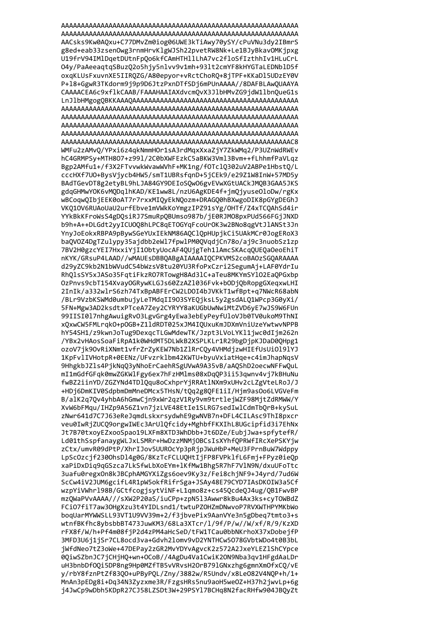AACsks9Kw0AQxu+C77DMvZm0iog06UWE3kTiAwy70ySY/cPuVNu3dy2IBmrS g8ed+eab33zsenOwg3rnmHrvKlgWJSh22pvetRW8Nk+Le1BJyBkavOMKjpxg U19frV94IMlDqetDUtnFpQo6kfCAmHTHllLhA7vc2floSfIzthhIv1HLuCrL 04y/PaAeeaqtqSBuzQ2o5hjy5nlvv9v1mh+93lt2cmYF8kHYGTaLEDNblD5f oxqKLUsFxuvnXE5IIRQZG/A80epyor+vRctChoRQ+8jTPF+KKaDl5UDzEY0V P+18+GgwR3TKdorm9j9p9D6JtzPxnDTfSDj6mPUnAAAA//8DAFBLAwQUAAYA CAAAACEA6c9xflkCAAB/FAAAHAAIAXdvcmQvX3JlbHMvZG9jdW1lbnQueG1s WMFu2zAMvO/YPxi6z4qkNmmHOr1sA3rdMqxXxaZjY7ZkWMq2/P3UZnWdRWEv hC4GRMPSy+MTH807+z991/2C0bXWFEzkC5aBKW3Vml3Bvm++fLhhmfPaVLqz Bgp2AMfu1+/f3X2FTvvwkWvawWVhF+MK1ng/f0TclQ302uV2ABPe1HbstQ/L cccHXf7UO+BysVjycb4HW5/smT1UBRsfqnD+5jCEk9/e29Z1W8InW+57MD5y BAdTGevDT8g2etyBL9hLJA84GY9DEIoSQw06gvEVwXGtUACkJMQB3GAA5JKS gdqGHMwYOK6vMQDqlhKAD/KE1ww8L/nzU6AgKDE4f+jmQjyuseOloDw/rgKx wBCoqwQIbjEEK0oAT7r7rxxMIQyEkNQozm+DRAGQ0hBXwgoDIK8pGYgDEGhJ VKQ10V6RUAoUaU2urfEbve1mVWkKoYmgzIPZ91sYg/OHTf/Z4xTCQAhSd4ir YYkBkKFroWsS4gDQsiRJ7SmuRpQBUmso987b/jE0RJM08pxPUd566FGjJNXD b9h+A++DLGdt2yyICU0Q8hLPC8qET0GYqFcoUrOK3w2BNo8qgVtJlANSt3Jn YnyJoEokxRBPA9pBywSGeYUxIEkNM86AQClQpHUpjkCi5UAkMCr0JogERoX3 baQVOZ4DgTZulypy35ajdbb2eWl7fpwlPM0QVqdjCn78o/aj9c3nuobSz1zp 7BV2H0gzcYEI7HxxiYjI1ObtyUocAF4QUjgTeh1lAmcSKAcqQUEQaOeoEhiT nKYK/GRsuP4LAAD//wMAUEsDBBQABgAIAAAAIQCPKVMS2coBA0zSGQARAAAA d29yZC9kb2N1bWVudC54bWzsV8tu20YU3RfoPxCzri2SegumAj+LAF0YdrIu RhQlsSY5xJASo35FqtiFkzRO7RTowgH8Ad3lC+aTeu8MKYmSYlO2EaQPGxbp OzPnvs9cbT154XvayOGRywKLGJs60ZzAZ1036Fvk+bODjQbRopgGXeqxwLHI 2InIk/a332wlrS6zh74TxBpABFErCW2LD0I4bJVKkT1wfBpt+q7NWcR68abN /BLr9VzbKSWMd0umbujyLeTMdqII903SYEQjksL5y2gsdALQ1WPcp3G0yXi/ 5FN+Mgw3AD2ksdtxPTceA7Zey2CYRYY8aKUGbUwNwiMtZVD6yE7wJS9W6FUn 99IISI017nhgAwuigRvO3LgvGrg4yEwa3ebEyPeyfUloVJb0TV0ukoM9ThNI xQxwCW5FMLrqkO+pOGB+Z11dRDT025xJM4IQUxuKmJDXmVniUzeYwtwvNPPB hY54SH1/z9kwnJoTug9DexqcTLGwMdewTK/Jzpt3LVoLYK11jwc0dIjm262n /YBx2vHAosSoaFiRpA1k0WHdMT5DLWkB2XSPLKLr1R29bgDjpKJDaD0QHpg1 ozoV7jk90vRiXNmt1vfrZrZyKEW7Nb1ZlRrCQy4VHMdjzwHIEfUsUi0l9lYJ 1KpFvlIVHotpR+0EENz/UFvzrklbm42KWTU+byuVxiatHqe+c4imJhapNqsV 9HhgkbJZls4PjkNqQ3yNhoErCaehRSgUVwA9A35vB/aAQShD2oecwNFFwQuL mI1mGdfGFqk0mwZGKWlFgy6ex7hFzHMlms08xDqQP3ii53qwnv4vj7kBHuNu fwBZ2iinYD/ZGZYNd4TDlQqu8oCxhprYjRRAtlNXm9xUHv2cLZgVteLRoJ/J +HDj6DmKIV0SdpbmDmMneDMcx5THsN/tQq2g8QFE1iI/Hjm9asOo6LVGVeFm B/alK2q7Qv4yhbA6hGmwCjn9xWr2qzV1Ry9vm9trtlejWZF98MjtZdRMWW/Y XvW6bFMqu/IHZp9A56Z1vn7jzLVE48EtIe1SLRG7sedIwlCdmTbQrB+kySuL zNwr641d7C7J63eReJqmdLskxrsydwhE9gwNVB7n+DFL4CILAsc9ThI8pxcr veu0IwRjZUC09orgwIWEc3ArUlOfcidy+MghbfFKXIhL8UGcipfid3i7EhNx Jt7B70txovEZxooSpao19LXFm8XTD3WhDbb+Jt6DZe/EubiJwa+spfvtefR/ Ld01thSspfanavgWLJxLSMRr+HwDzzMNMiOBCsIsXYhfOPRWfIRcXePSKYiw zCtx/umvR09dPtP/XhrIJov5UUROcYp3pRipJWuHbP+MeU3FPrnBuW7Wdppv LpScOzcif2300hsD14g0G/8KzTcFCLUOHtIiFP8FVPklfL6Fmi+FPvz0ieOp xaPiDxDig9qGSzca7LkSfwLbXoEYm+lKfMw1Bhg5R7hF7VlN9N/dxuUFoTtc 3uafu0regx0n8kJBCphAMGYXiZgs6oev9Kv3z/Fei8chiNF9+J4vrd/7ud6W ScCw4iV2JUM6gcifL4R1pW5okfRifrSga+JSAv48E79CYD7IAsDKOIW3a5Cf wzpYiVWhrl98B/GCtfcogisvtViNF+L1amo8z+cs45Ocde0J4ug/0B1FwvBP mzOWaPVvAAAA///sXW2P20aS/iuCPp+zpN513Awwr8kBu4Ax3ks+cvTOWBdZ FCi07fiT7aw30HgXzu3t4YIDLsnd1/twtuPZ0HZmDNwvoP7RVXWTHPYMKbWo bogUarMYWWSLL93VT1U9VV39m+2/f3ibvePix9AanVYe3n5gDbeg7tmto3+s wtnfBKfhc8vbsbbBT473JuwKM3/68La3XTcr/1/9f/P/w//W/xf/R/9/KzXD rFX8f/W/h+Pf4m08fiP2d4zPM4aHcSeD/tFW1TCau0bbNKrhoX37xDobeifP 3MFD3U6i1iSr7CL8ocd3va+Gdvh21omv9vD2YNTHCw5078GVbtWDo4t0B3bL jWfdNeo7tZ3oWe+47DEPay2zGR2MvYDYvAgvcK2z572A2JxeYLEZ1ShCYpce 0QiwSZbnJC7jCHjHQ+wn+OCoB//4AgDu4Va1CwiK2ON9Nba3qv1HFgdAaLDr uH3bnbDf0Qi5DP8ng9Hp0MZfTB5vVRvsH2OrB791GNxzhg6gmnXmOfxCQ/vE y/rbY8fznPtZf83Q0+uPByPQL/Zny/3882w/R5Undv/x8Le082V4NQP+h/1+ MnAn3pEDg8i+Dq34N3Zyzxme3R/FzgsHRs5nu9aoH5weOZ+H37h2jwvLp+6g j4JwCp9wDbh5KDpR27CJ58LZSDt3W+29PSYl7BCHq8N2facRHfw904JBQyZt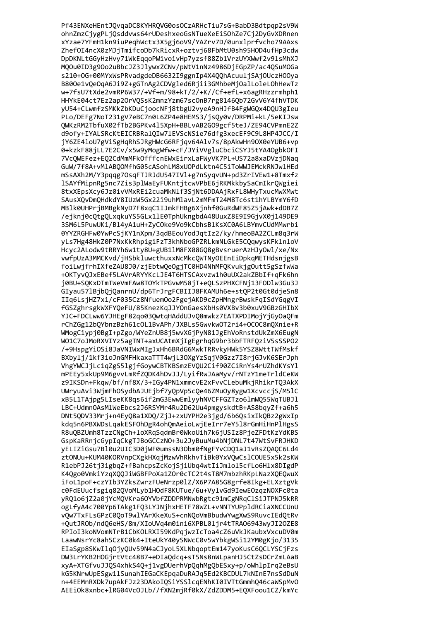Pf43ENXeHEntJQvqaDC8KYHRQVG0osOCzARHcTiu7sG+BabD3Bdtpqp2sV9W ohnZmzCjygPLjQsddvws64rUDeshxeoGsNTueXeEiSOhZe7Cj2DyGvXDRnen xYzae7YFmH1kn9iuPeqhWctx3X5gj6oV9/YAZrv7D/0unxlprfvcho79AAxs ZhefOI4ncX0zMJjTmifcoDb7kRicxR+oztvj68FbMtU0sh95HOD4ufHp3cdw DpDKNLtGGyHzHvy71WkEqqoPWivoivHp7yzsf88Zb1VrzUYXWwf2v9lsMhXJ MQOu0ID3g9Oo2uBbcJZ3JlywxZCNv/pWtV1nNz4986DjEGpZP/ac4QSuMOGa s210+0G+00MYxWsPRvadgdeDB6632I9ggnIp4X4QQhAcuuljSAjOUczHOOya B800e1vQeOqA6Ji9Z+gGTnAg2CDVgled6Rjii3GMhbeMjOalLoleLOhHewTz w+7fsU7tXde2vmRP6W37/+Vf+m/98+kT/2/+K//Cf+efL+x6agRHzzrmhph1 HHYkE04ct7Ez2ap20rVQSsK2mnzYzm67scOnB7rg8146Qb72GvV6Y4fhVTDK yU54+CLwmfzSMKkZbKDuCjoocNFj8tbgU2vyeA9nHJfB4FgWGQx4DQU3gIeu PLo/DEFg7NoT231gV7eBC7n0L6ZP4e8HEMS3/jsQy0v/DRPMi+kL/5eKIJsw QWKzRM2TbfuX02fTb2BGPKv415XpH+BBLvAB2G09gcf5teJ/ZE94CVPmnE2Z d9ofv+IYALSRcKtEICRBRal0Iw7lEVScNSie76dfg3xecEF9C9L8HP4JCC/I jY6ZE4loU7gViSgHqRhSJRgHWcG6RFjqv64Alv7s/8pAkwHn9OX0eYUB6+vp 0+kzkF88jLL7E2Cv/x5w9yMogWfw+cF/JYiVVgluCbciCSYJ5tYA40gbk0FI 7VcOWEFez+E02CdMmMFkOfffcnEWxEirxLaFWyVK7PL+US72a8xaDVzjDNag GuW/7f8A+vM1AB00MfhG05cASohLM8xU0PdLktn4C5iToWWJEMckRNJwlHEd mSsAXh2M/Y3pqqg70sqFTJRJdU547IV1+g7nSyqvUN+pd3ZrIVEw1+8Tmxfz 1SAYfMipnRg5nc7Zis3p1WaEyFUKntjtcwVPbE6jRKMkkbySaCmIkrQWgiei 8txXEpsXcy6Jz0ivVMxREi2cuaMkNlf3SjNt6DDAAjRxFL8WHyTxucMwXMwt SAusXQvDmQHdkdY8IUzW5Gx22i9uhMlavL2mMFmT24M8Tc6st1hYLBYmY6fD MBlk0UHPrjBMBgkNyD7F8xqC1IJmkFHBg6Xjnhf0GuRdWF85Z5jAwk+dDB7Z /ejknj0cQtgQLxqkuYS5GLx1lE0TphUkngbdA48UuxZ8E9I9GjvX0j149DE9 3SM6L5PuwUK1/Bl4yA1uH+ZyCOke9Vo9kCbhsBlKsXC0A6LBYmvCUdMMwrbi 0YYZRGHFw0YwPcSjKY1nXpm/3qdBEouYodJqtIz2/ky/hmeoBA2ZCLm8q3rW yLs7Hg48HkZ0P7NxKkRhpigiFzT3khNboGPZRLkmNLGkE5CQqwysKFklnloV Hcyc2ALodw9tRRYh6w1ty8U+gUB11M8FX08GQ8gBvsruerAzHJyOwl/xe/Nx vwfpUzA3MMCKvd/jHSbkluwcthuxxNcMkcQWTNyOEEnEiDpkqMETHdsnjgsB foiLwjfrhIXfeZAU8J0/zjEbtwQeOgjTC0HD4NhMFQKvukjgOutt5gSzfwWa +OKTyvQJxEBef5LAVrARYYKcLJE4T6HTSCAxvzw1h0uUX2akZBbIf+qFk6hn j0BU+SQKxDTmTWeVmFAw8TOYkTPGvwM58jT+eQLSzPHXCFNj13FODlw3Gu3J GIyau571BjbQjQanrnU/dp6TrJrgFCBIIJ8FKAMUh6e+stQP2t0Gt0djeSn8 IIq6LsjHZ7x1/cF035Cz8NfuemOo2FgejAKD9cZpHMngrBwskFqISdYGqgVI fGSZghrsgkWXFYQeFU/85KnezKqJJYOnGaesXbHs0VXBv3b0xuV9GBzGHIbX YJC+FDCLww6YJHEgF82qo03QwtqHAddUJvQ8mwkz7EATXPDIMojYjGyOaQFm rChZGg12bQYbnzBzh61cOL1BvAPh/JXBLs5GwvkwOT2ri4+OCOC8mQXnie+R WMogCiypj0BgI+pZgo/WYeZnUB8j5wvXGjPyN81JgEhVoRnstdUkZmX6EugN WO1C7oJMoRXVIYz5agTNT+axUCAtmXjIgEgrhqG9br3bbFTRFQziV5sSSP02 /+9HspgYiOSi8JaVNIWxMIgJxHh6BRdG6MwkTRRvkyHWk5YSZ8WttTWfMskf BXbylj/1kf3ioJnGMFHkaxaTTT4wjL30XgYzSqjV0Gzz7I8rjGJvK6SErJph VhgYWCJjLc1qZgS51gjfGoywCBTKBSmzEVQU2Cif90ZCiRnYs4rUZhdKYsYl mPEEy5xkUp9M6gvvLmRfZQDK4hDvJJ/LyifRwJAaMyv/rNTzY1meTrldCeKW z9IKSDn+Fkqw/bf/nf8X/3+IGy4PN1xmmcvE2xFvvCLebuMkjRhikrTQ3AkX UWryuAvi3WjmFhOSydbAJUEjbf7yQpVp5cQe46ZMuOy8ygw1XcvccjS/M51C xB5L1TAjpg5LIseKK8qs6if2mG3EwwEmlyyhNVCFFGZTzo61mWQ55WqTUBJ1 LBC+UdmnOAsMlWeEbcs2J6RSYMr4Ru2D62Uu4pmgyskdtB+AS8bqyZf+a6h5 DNt5QDV33Mrj+n4EyQ8a1XDQ/ZjJ+zxUYPH2e3jgd/6b6QsixIkQBz2gWxIp kdg5n6PBXWDsLgakESFOhDgR4ohOmAeioLwjEeIrr7eY518rGmHiHnPlHgsS R8u0BZUmh8TzzCNgCh+loXRaSadmBr0WkoUih7k6jUSIz8PjeZFDtKzYdKBS GspKaRRnicGvpIgCkgTJBoGCCzNO+3u2JvBuuMu4bNiDNL7t47WtSvFRJHKD vELIZiGsu7B10u2UIC3D0iWF0umssN30bm0fNgFYvCD01aJ1vRsZ0A0C6Ld4 ztONUu+KUM40KORVnpCXgkHXqiMzwVhRkhvTiBk0YxVOwCslCOUE5x5k2sKW R1ebPJ26tj3igbgZ+fBahcpsZcKojSjiUbg4wtIiJmlol5cfLo6Hlx8DIgdP K40go0VmkiYzaX00JiWGBFPoXa1Z0r0cTC2t4sT8M7mbzhRKpLNazX0E0wuX iFoL1poF+czYIb3YZksZwrzFUeNrzp01Z/X6P7A85G8grfe8Ikg+ELXztgVk c0FdEUucfsgia820VoMLvb1HOdF8KUTue/6u+VvlvGd9IewEOzazNOXFc0ta vRO1o6iZ2a0iYcMOVKra6OYVbfZDDPRMNwbRgtc91mCgNRqClSiJTPNJ5kRR ogLfyA4c700Yp6TAkg1FQ3LYJNjhxHETF78WZL+vNNTYUPp1dRCiaXNCCUnU v0w7TxFLsGPzC00oT9wlYArXkeXuS+cnN0oVmBbudwYwgXwS9RuvcIEd0tRv +OutJROb/ndO6eHS/8m/XIoUVa4m0ini6XPBL0lir4tTRAO6943wvJI2OZE8 RPIoI3koNVomNTrB1CbKOLRXI59KdPqjwzIcToa4cZ6uVkJKaubxVxcuDV0m LaawNsrYc8ah5CzKC0k4+IteUkY40vSNWcC0v5wYbkgWSi12YM0gKjo/3135 EIaSgp8SKwIlq0jyQUv59N4aCJyoL5XLNbqoptEm147yoKusC6QCLYSCjFzs DW3LrYKB2HOGjrtVtc48B7+eDIaQdcq+sT5Ns8nWLpanHJ5CtZsDCrZmLAaB xyA+XTGfvuJJQS4xhkS4Q+j1vgDUerhVpQqhMgQbESxy+p/oWhlpIrq2eBsU kG5KNrwUpESgw1lSunahIEGaCKEpqaDuRAJq5Ed2KBCDUL7kNInE7nsSdDuN n+4EEMnRXDk7upAkFJz23DAkoIQSiYSSlcqENhKI0IVTtGmmhQ46caWSpMvO AEEiOk8xnbc+lRG04VcOJLb//fXN2mjRf0kX/ZdZDDM5+EQXFoou1CZ/kmYc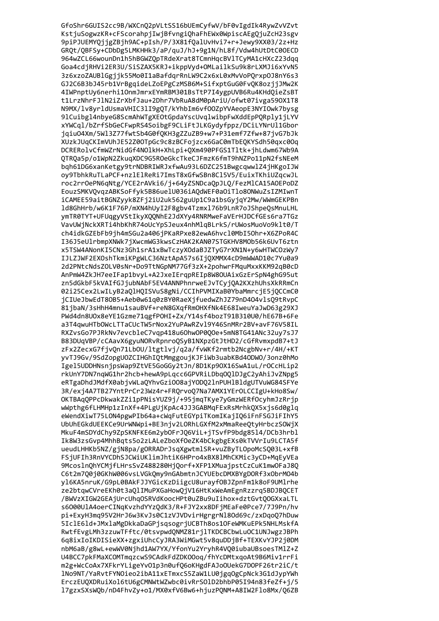GfoShr6GUIS2cc9B/WXCnQ2pVLtSS16bUEmCyfwV/bF0vIgdIk4RywZvVZvt KstjuSogwzKR+cFScorahpjIwjBfvngiQhaFhEWx0WpiscAEgQjuZcH23sgv 9piPJUEMYQjjgZBjh9AC+pIsh/P/3X81fQalUvHvi7+r+Jewy9XX03/2z+Hz GRQt/QBFSy+CDbDg5LMKHHk3/aP/quJ/hJ+9g1N/hL8f/Vdw4hUtDtC00ECD 964wZCL66wounDn1h5hBGWZQpTRdeXrat8TCmnHqcBVlTCyMA1cHXcZ23dqq Goa4cdjRHVi2ER3U/SiSZAX5KRJ+ikppVyd+OMLailkSu9k8rLXMJi6xYvN5 3z6xzoZAUBlGgjjk55Mo0I1aBafdqrRnLW9C2x6xL0xMvVoPQrxp0J8nY6s3 GJ2C6B3bJ45rb1VrBgqideLZoEPgCzMSB6M+SifxptGuG0FvQK8ozjjJMw2K 4IWPnptUy6nerhi10nmJmrxEYmRBM301BsTtP7I4ygpUVB6Ru4KHdQieZsBT t1LrzNhrFJlN2iZrXbfJau+2Dhr7VbRuA8dM0pAriU/ofwt07ivga590X1T8 N9MX/lv8yrldUsmaVHIC3lI9gQT/kYhbIm6vf00ZpYVAeopE3NYIOwk7bysg 91Cuibg14nbyeG8ScmAhWTgXEOtGpdaYscUvqlwibpFwXddEpPQRply1jLYV xYWCql/bZrfSbGeCFwpRS4SoibgF9CLiFtJLKGydyfppz/DCiLYNrUl1Gbor jqiu04Xm/5Wl3Z77fwtSb4G0f0KH3gZZuZB9+w7+P31emf7Zfw+87jvG7bJk XUzkJUqCKImVUhJE52Z00TpGc9c8zBCFojzcx6GaC0mTbEQKYSdh50qxc0Oq DCRERolvCfmWZrNidGf4NOlkH+XhLpi+OXm490PFGS1Tltk+jhLdwm67Wb9A OTROa5p/o1WpN2ZkuqXDC9G5ROeGkcTkeCJFmzK6fmT9hNZPo11pN2fsNEeM bgh61DG6xanKetgy9trNDBRIWRJxfwAu93L6DZC251BwgcgwwlZ4jHKgoIJW oy9TbhkRuTLaPCF+nzlElReRi7ImsT8xGfwSBn8Cl5V5/EuixTKhiUZgcwJL roc2rr0ePN6qNtg/YCE2rAVki6/j+64yZSNDcaQpJLQ/FezMlCA15A0EPoDZ EouzSMKVOvgzABKSoFfyk5B86uelU036iAOdWEF0aOiTlo8ONWuZsIZMIwnT iCAMEE59aitBGNZyyk8ZFj2iU2uk562guUp1C9a1bsGyjqY2Mw/WWmGEKPBn 1d8GhHrb/w6K1F76P/mXN4hUyI2F8gbv4Tzmx176b9LnR7oJShpeQsMnuLHL ymTR0TYT+UFUqgyVStIkyXQQNhE2JdXYy4RNRMweFaVErHJDCfGEs6ra7TGz VavUWjNckXRTi4hbKhR74oUcYpSJeux4nhMlqBLrkS/rUWosMuoVo9klt0/T ch4idkGZEbFb9jh4mSGu2a406jPKaRPxe82ewA6hvcl0MbI50hr+X6ZPoR4C I36J5eUlrbmpXNWk7jXwcmWG3kwsCzHAK2KAN07STGKHV8MOb56k6UvT6ztn x5TSW4ANonKI5CNz3Gh1srA1xBwTczyXOdaBJZTyG7rXN1N+y6wHTWCOzWy7 IJLZJWF2EXOshTkmiKPgWLC36NztApA57s6IjQXMMX4cD9mWWAD10c7Yu0a9 2d2PNtcNdsZOLV0sNr+Do9TtNGpNM77Gf3zX+2pohwrFMquMxxKKM92qB0cD AnPmW4ZkJH7eeIFap1bvyL+A2JxeIErqpREIp8W8OUAixGzErSpN4ghG95ut zn5dGkbF5kVAIfGJjubNAbF5EV4ANNPhnrweEJvTCyjQA2KXzhUhsXkRRmCn 02i25Cex2LwILyB2aQlHQISVuS8gNi/CCIhPVMIXaB0YbaMmrcjE5jQCCmC0 jCIUeJbwEdT80B5+Aeb0w61q0zBY0RaeXjfuedwZhJZ79nD404vlsQ9tRvpC 81jbaN/3sHhH4mnu1sauBVf+reN8GXqfRmOHXfNk4E68IweuYaJwD63g29XJ PWd4dn8U0x8eYE1Gzme71qgfP0HI+Zx/Y14sf4bozT91B310U0/hE67B+6Fe a3T4qwuHTbOWcLTTaCUcTW5rNox2YuPAwRZv19Y46SnMRr2BV+avF76V58IL RXZvsGo7PJRkNv7evcbleC7vqp418u6OhwOP0QOe+5mN8TG41ANc32uy7sJ7 B83DUqVBP/cCAavX6gyuNORvRpnroQSyB1NXpzGtJtHD2/cGfRvmxpdB7+tJ zFx2ZecxG7fjvQn71Lb0U/ltgtlvj/q2a/fvWKf2rmtb2NcgbNv+r/4H/+KT yvTJ9Gv/9SdZopgUOZCIHGhIQtMmggoujKJFiWb3uabKBd4ODWO/3onz0hMo Igel5UDDHNsnjpsWap9ZtVE5GoGGy2tJn/8D1Kp9OX16SwA1uL/rOCcHLip2 rkUnY7DN7nqWG1hr2hcb+hewA9pLqcc6GPVRiLDbqOQlDJgC2yAhiJvZNpg5 eRTgaDhdJMdfX0abjvWLaQYhvGziOO8ajYODQ21nPUHlBldgUTVuWG84SFYe 3R/exj4A7TB27YntPrCr23Wz4r+FRQrvoQ7Na7AMX1YErOLCCIgU+kHo8Sw/ OKTBAqQPPcDkwakZZi1pPNisYUZ9j/+95jmqTKye7yGmzWERfOcyhmJzRrjp wWpthg6fLHMHp1zInXf+4PLgUjKpAc4JJ3GABMqFExRsMrhkQX5xjs6d0glq eWendXiwT75LON4pgwPIb64a+cWqFutEGYpiTKomIKajIQ6iFnFSGJiFIhY5 UbUhEGkdUEEKCe9UrWNWpi+BE3njv2LORhLGXfM2xMmaReeOtyHrbczSOWjX MkuF4mSDYdChv9ZpSKNFKE6m2vb0FrJ06ViL+iTSvfP9bdg8514/DCb3hrb1 Ik8W3zsGvp4MhhBats5o2zLALeZboXf0eZK4bCkgbgEXs0kTVVrIu9LCTA5f ueudLHHKb5NZ/giN8pa/gORRADrJsqXgwtmlSR+vuZBvTLOpoMcSO03L+xfB FSiUFIh3RnVYCDhSJCWiUKlimJhtiK6HPro4xBX8lMhCKMic3vCD+MaEvVEa 9McoslnOhYCMjfLHrsSvZ488280HjOorf+XFP1XMuajpstCzCuK1mwOFaJ80 C6t2m700i0GKhW006vsLVGkOmv9nGAbmtnJCYUEbcDMXBYgDORf3xObrM04b vl6KA5nruK/G9pL0BAkFJJYGicKzDiigcU8uravfOBJZpnFm1k8oF9UMlrhe ze2btawCVreEKh0t3a01IMuPXGaHowOiV16HtKxWeAmEgnRzzrg5BDJBOCET /BWVzXIGW2GEAiUrcUhaOSRVdKoocHPt0uZBu9uIihox+dztGvtOOGXxaLTL s6000UlA4oerCINgKvzhdYYz0dK3/R+FJY2xx8DFjMEaFe0Pce7/7J9Pn/hv pi+ExvH3ma95V2HrJ6w3KvJs0C1zVJVDvirHgrgrN180d69c/zxDao07hDuw 5IclE6ld+JMxlaMgDkkaDaGPjsgsogrjUCBTh8os1OFeWMKuEPk5NHLMskfA RwtfEvgLMh3zzuwTFftc/0tsvpwdONMZ81rilTKDCBCbwLuOC1UNJwgzJBPh 6a8ixIoIKDISieXX+zgxiUhcCvJRA3WiMGwt5v8auDDiBf+TEXKvYJP2i0DM nbM6aB/g8wL+ewWV0Njhd1AW7YX/YfonYu2YryhR4VQ0iubaUBsoesTM1Z+Z U4BCC7pkFMaXCOMTmqzcwS9CAdkFdZDK00oq/fhYcDMtxqoAt9B6Miv1rrFi m2g+WcCoAx7XFkrYLigeYv01p3n0ufQ6oKHgdFAJoOUekG7DOPF26tr2iC/t 1No9NT/YaRvtFYNOieo2ibA11xETmxcS5ZaW1LU0jgqOgCpNck3G1dJypYWh ErczEUQXDRuiXol6tU6gCMNWtWZwbc0ivRrSOlD2bhbP05I94n83feZf+j/5 17gzxSXsWQb/nD4FhvZy+o1/MX0xfV6Bw6+hjuzPQNM+A8IW2Flo8Mx/Q6ZB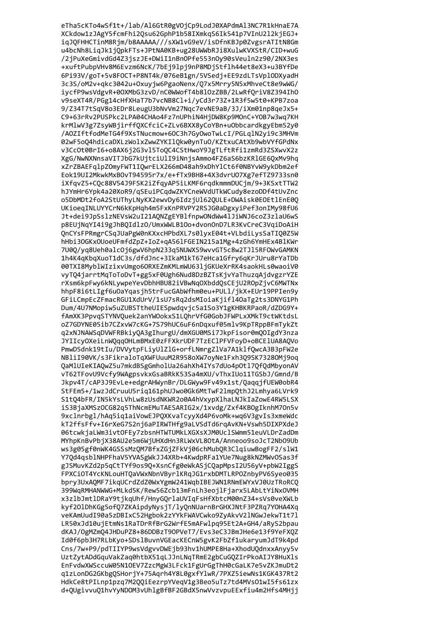eTha5cKTo4wSf1t+/lab/Al6GtR0gVOjCp9LodJ0XAPdmAl3NC7R1kHnaE7A XCkdow1zJAgY5fcmFhi2Qsu62GphP1b58IXmkqS6Ik541p7VInU2l2kjEGJ+ iqJQFHHCTinM8Rjm/b8AAAAA///sXW1vG9eV/isDfnKBJp0ZvgsrATItN8Gm u4bcNh8LiqJk1jQpkFTs+JPtNA0KB+ug28UWWbRJi8XulwKVXStR/CID+wuG /2jPuXeGmivdGd4Z3jszJE+DWiI1nBnOPfe553nOy90sVeuln2z90/2NX3es +xuftPubpVHv8M6Evzm6NcK/7bEj9lpj9nP8MDjStflh44et8eX3+u3BYfDe 6Pi93V/goT+5v8FOCT+P8NT4k/076eB1gn/5VSedj+EE9zdLTsVplODXyadH 3c3S/oM2v+qkc3042u+0xuyjw6PgaoNenx/Q7x5Mrry5N5xMhveCt8e9wWG/ iycfP9wsVdgvR+00XMbG3zvD/nC0WWofT4b8l0zZBB/2LwRfQriV8Z394Ih0 v9seXT4R/PGg14cHfXHaT7b7vcNB8Cl+i/yCd3r73Z+1R3f5w5t0+KPB7zoa 9/Z34T7tSqV8o3EDr8LeugU3bNvVm27Nqc7evNE9aB/3J/iXm01np8qeJx5+ C9+63rRv2PUSPkc2LPA04CHAo4Fz7nUPhiN4HjDW8Kp9MOnC+Y0B7w3wq7KH krMlwV3g7ZsyWBjirffQXCfciC+ZLv6BXX8yCoYBn+uObbcardkgyEbm52y0 /A0ZIftfodMeTG4f9XsTNucmow+60C3h7Gy0woTwLcI/PGLg1N2yi9c3MHVm 02wF5oQ4hdicaDXLzWolxZwwZYKIlQkw0ynTuO/KZtxuCAtXb9wbVYfGPdNx v3Cc0t0BrI6+o8AX6j2G3v15To0C4CStHwoY9JgTLftRfi1zmRd3ZSXwvX2z XgG/NwNXNnsaVITJbG7kUjtciUlI9iNnjsAmmo4FZ6aS6bzKRlGE6OxMv9hq xZrZBAEFq1pZOmyFWT1IOwrELX266mD48ah9xDhY1Ct6f0NBYvW9ykDbm2ef Eok19UI2MkwkMxB0vT94595r7x/e+fTx9BH8+4X3dvrU07Xg7efTZ9733sn0 iXfqvZ5+CQc88V54J9FSK2iZfqyAP5iLKMF6rqdkmmmDUCjm/9+3KSxtTTW2 hJYmHr6Ypk4a20XoR9/qSEuiPCqdwZKYCneWVdUTkWCudy8ezoDDf4tUvZnc o5DbMDt2foA2StUThyLNyKX2ewvDy6IdzjU162QULE+DWAisk0EOEt1EnE0Q UKioeqINLUYYCrN6kKpHqh4m5FxKnPRVPY2RSJG0aDgxyiPef3onIMy98fU6 Jt+dei9JpSslzNEVsW2uI21AQNZgEYBlfnpwONdWw4lJiWNJ6coZ3zlaU6wS p8EUjNqYI4i9gJhBQIdlzO/UmxWWLB1Oo+dvonOnD7LR3KvCreC3VqiDoAiH QnCYsFPRmgrCSqJUaPgW0nKXxcHPbdXL7s0lyxE04t+VLbdiLysSaTIQ0Z5W hHbi30GKx0UoeUFmfdZpZ+IoZ+qA56lFGEIN215a1Mg+4zGh6YmHEx4BlKWr 7U0Q/yq8Ueh0alcOj6gwV6hpN233q5NUWXS9wvvGT5c8w2TJ15RFOWvGAMKN 1h4K4qKbqXuoT1dC3s/dfdJnc+3IkaM1kT67eHca1Gfry6qKrJUru8rYaTDb 00TXI8MyblWIzixvUmgo6ORXEZmKMLmWU63ljGKUeXrRK4saokHLs0waoiV0 vyTQ4jarrtMqToToDvT+gg5xF0Ugh6Nud8DzBZTsKjvYaThuzqAjdvgzrYZE rXsm6kpFwy6kNLywpeYevDbhHBU82iVBwNqOXbddQsCEjU2ROpZjvC6MWTNx hhpF8i6tLIgf6u0aYqasjh5trFucGAbWfhm0eu+PULl/jkX+EUr19PPIen9y GFiLCmpEcZFmacRGU1XdUrV/1sU7sRq2dsMIoiaKjifl4OaTg2ts3DNYG1Ph Dum/4U7NMopiw5uZUBSTtheUIESpwdqvjc5a1So3Y1gKHBKRPaoR/dZDG9Y+ fAmXK3PpvqSTYNVQuek2anYWOokxS1LQhrVfG0GobJFWPLxXMkT9ctWKtdsL oZ7GDYNE05ib7CZxvW7cKG+7S79hUC6uF6nDqxuf05mlv9KpTRppBFmTykZt q2xNJNAWSqDVWFRBkiyQA3gIhurgU/dmXGU0MSi7JkpFisor0mQOIgdY3nza JYIIcyOXeiLnWQqqOHLmBMxE0zFFXkrUDF7TzEClPFVFoyD+oBCElUA8AQVo PmwD5dnk19tIu/DVVytpFLiyUlZlG+orfLNmrgZlVa7A1klfQwcA3B3pFW2e NBliI90VK/s3FikraloTqXWFUuuM2R958oXW7oyNe1Fxh3Q9SK7328OMj9oq QaMlUIeKIAQwZ5u7mkdBSgGmholUa26ahXh4IYs7dUo4p0tl7QfQdMbyonAV vT62TFovU9Vcfy9WAgpsvkxGsaBRkK53Sa4mXU/vThxIUo11TGSbJ/Gmnd/B Jkpv4T/cAP3J9EvLe+edgrAHWynBr/DLGWyw9Fv49x1st/QaqqjfUEW0obR4 StFEm5+/1wzJdCruuU5riq161phUJwo0Gk6MtTwF2lmpQthJ2Lmhya6LVrk9 S1tQ4bFR/IN5kYsLVhLw8zUsdNKWR2o0A4hVxypXlhaLNJkIaZowE4RW5LSX iS3BjaXMSzOCG82q5ThNcmEMuTAESARIG2x/1xvdg/Zxf4KBOgIknhM7On5v 9xclnrbgl/hAq5iq1aiVowEJPQXKvaTcyyXd4P6voMk+wq6V3gvIs3xmeWdc kT2ffsFfv+I6rXeG7S2nj6aPIRWTHfg9aLVSdTd6rgAvKN+Vswh5DIXPXdeJ 06tcwkiaLWm3ivtOFEv7zbsnHTWTUMkLXGXsXJM0UclSWmm51euVLDrZadDm MYhpKnBvPbiX38AU2e5m6WiUHXdHn3RLWxVL8OtA/Anneoo9soJcT2Nb09Ub ws3g05gf0nWK4GSSsMzOM7BfxZGiZFkVi06chMubOR3ClaiuwBogFF2/slW1 Y70d4asb1NHPFhaV5YVASgWkJJ4XRb+4KwdpRFa1YUe7Nug8kNZMWvOSas3f gJSMuvKZd2p5qCtTYf9os90+XsnCfg0eWkASjC0apMpsI2U56yV+pbW2IggS FPXCiOT4YcKNLouHTOaVWxNbnVBvrlKRaJG1rxbDMTLRP0ZnbvPV6Sveo035 bprv3UxAOMF7ikaUCrdZdZ0WxYgmW241WabIBEJWN1RNmEWYxVJ0UzTRoRCO 399WaRMHANWWG+MLkd5K/Rew56Zcb13mFnLh3eoilFiarx5LAbLtYiNxOVMH x3z1bJmt1DRaY9tikqUhf/HnvGOrlaUVIqFsHfXbtcM00nZ34+sVs0veXWLb kyf201DhKGg5of07ZKAipdyNysjT/lyOnNUarnBrGHXJNtF3PZRg7YOHA4Xg veKAmUudI90a5zDBIxC52Hgbok2zYYkFWAVCwko9ZvAkvV21NGwJekwT1t71 LR50xJd10uiEtmNs1RaTDrRfBrG2WrfE5mAFwlpg95Et2A+GH4/aRvS2bpau dKAJ/OgMZmO4JHDuPZ8+86DDBzT9OPVeT7/Evs3eC3JBmJHe6e13f9YeFXOZ Id0f6pb3H7RLbKyo+SDs1BuvnVGEacKECnW5gvK2FbZf1ukaryumJdT9k4pd Cns/7w+P9/pdTIIYP9wsVdgvvDWEjb93hv1hUMPE8Ha+XhodUQdnxxAnyy5v UztZytADdGquVakZaq0htbX51qLJJnLNqTRmE2gbCuGQZIrPkoAIJY8HuXls EnFvdwXWSccuW05N10EV7ZzcMgW3LFck1FgUrGgThH0cGaLK7e5vZKJmuDt2 q1zLonDG2GKbgQSHorjY+75Aqrh4Y8L0gxfYlwR/7PXZ5iewNs1KGK437Rt2 HdkCe8tPILnp1pzq7M2QQiEezrpYVeqV1g3Beo5uTz7td4MVs01wI5fs61zx d+QUgivvuQ1hvYyNDOM3vUhlgBfBF2GBdX5nwVvzvpuEExfiu4m2Hfs4MHjj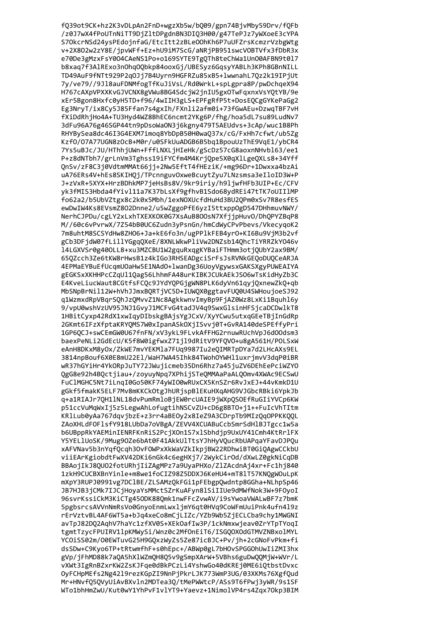fQ39ot9CK+hz2K3vDLpAn2FnD+wgzXb5w/bQ09/gpn74BjvMby59Drv/fQFb /z0J7wX4fPoUTnNiTT9DjZltDPgdnBN3DIQ3H00/g47TePJz7yWXoeE3cYPA S70kcrNSd24ysPEdojnfaG/EtcItt2zBLeOOhKh6P7uUFZrsKcmzrVzbgWtg v+2X802w2zY8E/jpvWFf+Ez+hU9iM7ScG/aNRjPB951swcVOBTVfx3fDbR3x e70De3gMzxFsY004CAeNS1Po+o169SYTE9TgQTh8teChWa1Un00AFBN9t017 b8xaq7f3AlRExo3nOhqOQbkp84ooxGj/UBESyz6GqsyYABLh3KPh8GBnNILL TD49AuF9fNTt929P2q0Jj7B4Uyrn9HGFRZu85xB5+lwwnahL7Qz2k19IPjUt 7y/ve79//9J18auFDNMfogTfKuJiVsL/Rd0WrkL+spLgpra8P/pwDchqeX94 H767cAXpVPXXKvGJVCNX8gVWu8BG4SdcjW2jnIU5gxOTwFqxnxVsYQtYB/9e xEr5Bgon8Hxfc0yH5TD+f96/4wIIH3gLS+EPFgRfP5t+DosEQCgGYKePaGg2 Eg3NryT/ix8Cy5J85Ffan7s4gxIh/FXnli2afm0i+73fGwAEu+DzwqTBF7vH fXiDdRhjHo4A+TU3Hyd4WZ8BhEC6ncmt2YKg6P/fhg/hoa5dL7su89LudNv7 3dFu96A76g46SGP44tn9pDsoWaON3j6kgny479T5AEUdvs+3cAp/wuc1B8Ph RHYBySea8dc46I3G4EXM7imoq8YbDpB50H0wa037x/cG/FxHh7cfwt/ub5Zg Kzf0/07A77UGN8z0cB+M0r/u0SFkUuADGB6B5bq1BpouUzThE9VqE1/ybCR4 7Ys5uBJc/JU/HThhjUWn+FffLNXLjHIeHk/gScDz57cG8aoxnNHvbl63/ee1 P+z8dNTbh7/grLnVm3Tghss19iFYCfm4M4KrjQpe5X0qXlLgeQXLs8+34Yff OnSv/zF8C3j0VdtmMMAt66jj+2Nw5EftT4fHEziK/+mg96Dr+1Dwxxa4bzAi uA76ERs4V+hEs8SKIHQj/TPcnnguvOxweBcuytZyu7LNzsmsa3eIloID3W+P J+zVxR+5XYX+HrzBDhkMP7jeHsBs8V/9kr9iriy/h9ljwfHFb3UIP+Ec/CFV yk3fMIS3Hbda4fYivl11a7K37bLsXf9gfhvB1Sdo68ydREi47tTK7oUIIlMP fo62a2/b5UbVZtgx8c2k0x5Mbh/1exNOXUcfdHuHd3BU2QPm0xSv7R8esfES ewDwIW4Ks8EVsmZ8O2Dnne2/u5wZggoPfE6yzI5ttxppOgD547DHhmuvNWY/ NerhCJPDu/cgLY2xLxhTXEXKOK0G7XsAuB800sN7XfjjpHuv0/DhQPYZBqP8 M//60c6vPvrwX/7Z54bB0UC6Zudn3yPsnGn/hmCdWyCPvPbevs/VkecyqoK2 7m8uhtM8SCSYdHw8ZH06+Ja+kE6fo3n/ugPPlkFEB4yr0+KI6Bu9VjM3b2vf gCb3DFjdW07fLillYGgqQXeE/8XNLWkwPliVw2DNZsb14QhcTiYRRZkYO46v l4LGXVSr0g400LL8+xu3MZCBU1W2gquRxqgKYBaiFTHmm3otjQUbY2ax9BM/ 65QZcch3Ze6tKW8rHwsB1z4kIGo3RHSEADgciSrFsJsRVNkGEQoDUQCeARJA 4EPMaEYBuEfUcqmUOaHw5E1NAdO+lwanDg36UoyVgywsxGAKSXgyPUWEAIYA gEGKSxXKHHPcCZqUl1Qag56LhhmFA48urKIBKJCUkAEkJSO6wTsKidHyZb3C E4KveLiucWaut8CGtfsFCQc9JYdYQPGjgWN8PLK6dyVn61qyjQxnewZkQ+qb MbSNpBrNil12W+hVhJJmxBQRTjVC5D+IUWQX0ggtavFUQ0U4SWHoujoeSJ92 q1WzmxdRpVBqrSQhJzQMvvZ1Nc8AgkkwnvImyBp9FjAZ0Wz8LxKi1Bquhl6y 9/vpU0wshVzUV95JNJ1GvyJ1MCFvG4tadJV4q9SwxGlsinHFSjcaDCDwlkT8 1HBitCyxp42RdX1xwIqyDIbskgBAjsYgJCxV/XyYCwu5utxqGEeTBjInGdRp 2GKmt6IFzXfptaKRYQMS7W0xIpanASkOXjISvvj0T+GvRA140deSPEffyPri 1GP6QCJ+swCEmGW0U67fnFN/xV3ykL9FLvkAfFHG2rnuwRUchVpJ6d00dsm3 baexPeNLi2GdEcU/K5f8W0igfwxZ71jl9dRitV9YFQVO+u8gA561H/POLSxW eAnH8DKxM8yOx/ZkWE7mvYEKMla7FUq9987Iu2eQIMRTpDYa7d2LHcAXs9EL 3814npBouf6X0E8mU22El/WaH7WA45Ihk84TWohOYWHl1uxrjmvV3dqP0iBR wR37hGYiHr4YkORpJuTY72JWujicmeb35Dn6Rhz7a45juZV6DEhEePciWZYO QgG8e92h4BQctjiau+/zoyuyNpq7XPhijSTeQMMAaPaALQOmv4XWAc9ECSwU FuClMGHC5Nt7iLnqI0Go50KF74yWI00wRUxCX5KnSZr6RvJxEJ+44vKmkD1U gGkf5fmakK5ELF7Mv8mKKCkOtgJhURjspBlEKuHXqAHG9VJGbcRBki6YpkJb q+a1RIAJr7QH1lNL18dvPumRmloBjEW0rcUAIE9jWXpQSOEfRuGIiYVCp6KW p51ccVuMqWxIj5z5LegwAhLofugtihNSCvZU+cD6g8BT0+j1++FuIcVhTItm KRlLub0yAa767dqvjbzE+z3rr4aBEOy2x8IeZ9A3CDrpTb9MIzQqOPPKKQQL ZAoXHLdFOFlsfY918LUbDa7oVBgA/ZEVV4XCUABuCcbSmrSdHlBJTgcc1w5a b6UBppRkYAEMinIENRFKnRiS2PciXOn1S7x1Sbhdip9UxUY41Cmh4KtRrlFX Y5YEL1UoSK/9Mug90Ze6bAt0F41AkkUlTtsYJhHvVOucRbUAPaaYFavDJPOu xAFVNav5b3nYqfOcqh3OvFOWPxXkWaVZkIkpiBW22RDhwiBT0GiOAgwCCkbU viiEArKgiobdtFwXV42DKi6nGk4c6egHXi7/2WvkCirOd/dXwLZ0gkNiCaDB BBAojIkJ80U02fotURhjIiZAgMPz7a9UyaPHXo/ZlZAcdnAj4xr+Fc1hj840 1zkH9CUCBXBnYinle+m8we1foCIZ98Z5DDXJ6KeHU4+mT81T57KNOgWOuLpK mXpY3RUPJ0991vg7DC1BE/ZLSAMzOkFGi1pFEbgp0wdntp8GGha+NLhpSp46 JB7HJB3iCMk7IJCiHovaYsMMctSZrKuAFvn8lSiIIUe9dMWfNok3W+9FOvoI 96svrKssiCkM3KiCTg45ODK88Omk1nwFFcZvwAV/i9sYwoaVWALwBF7z7bmK 5pgbsrcsAVVnNmRsVo0GnyoEnmLwxljmY6qt0HVq9CoWFmUuiPnk4ufn419z rErVztvBL4AF6WT5a+bJq4xeCo8mCiLIZc/YZb9Wb5ZiECLCba9chv1MWGNI avTpJ82D02AqhV7haYc1zfXV0S+XEkOafIw3P/1ckNmxwieav0ZrYTpTYoqI tgmtTzvcFPUIRV11pKMWvSi/Wnz0c2MfOnEiT6/ISGOOXOdGTMVZNBxolMYL YCOiSS02m/O0EWTuvG25H9GOxzWvZs5Ze87icBJC+Pv/ih+2cGNoFvPkm+fi dsSDw+C9Kyo6TP+tRtwmfhF+s0hEpc+/ABWp0gL7bHOvSPGGOhUwIiZMI3hx gVp/jFhMD88k7aQA5hX1WZmQH8Q5v9gSmpXArW+5VBhs6guDwQQMjW+WVr/L vXWt3IgRnBZxrKW2ZsKJFqe0dBkPCzLi4YshwGo40dKREj0ME6iQtbstDvxc OyFCHpMEfs2Ng4219rezKGpZI9NnPjPkrLJK773WmP3UG/03XKMs76XgfQud Mr+HNvfQ5QVyUiAvBXvln2MDTea3Q/tMePWWtcP/ASs9T6fPwj3yWR/9s1SF WTo1bhHmZwU/Kut0wY1YhPvF1vlYT9+Yaevz+1NimolVP4rs4Zqx70kp3BIM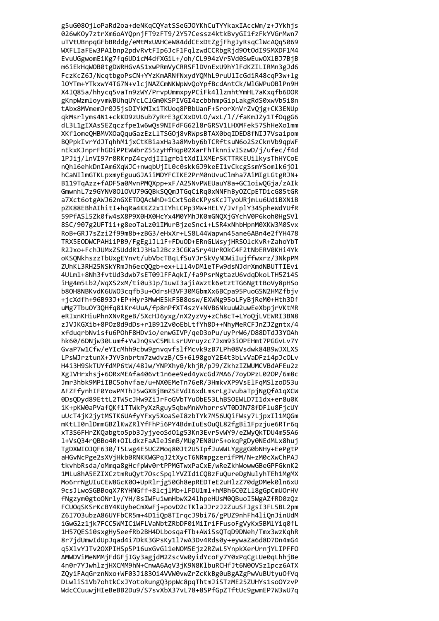g5uG080jloPaRd2oa+deNKqCQYatSSeGJOYKhCuTYYkaxIAccWm/z+JYkhjs 026wKOy7ztrXm6oAYQpnjFT9zFT9/2Y57Cessz4ktkBvyGI1fzFkYVGrMwn7 uTVtUBnpqGFbBRddg/eMtMxUAHCeW84ddCExDtZgjFhgJyRsqClWcAQq5069 WXFLIaFEw3PA1bnp2pdvRvtFIp6JcF1FqlzwdCCRbgRjd90tOdI95MXDF1M4 EvuUGgwomEiKg7fq6UDicM4dfXGiL+/oh/CL994zVr5Vd0SwEuwOXlBJ7BjB m6iEkHqWOB0tgDWRHGvAS1xwPRmVyCRRSFlDVnExU9hYlFdKZILIRMn3gJd6 FczKcZ6J/NcqtbgoPsCN+YYzKmARNfNxydYQMhL9ruU1IcGdiR48cqP3w+lg 10YTm+YTkxwY4TG7N+vlcjNAZCmNKWpWvQoYpfBcdAntCk/WlGWPu0BlPn9H X4IQ85a/hhycq5vaTn9zWY/PrvpUmmxpyPCiFk4llzmhtYmHL7aKxqfb6DOR gKnpWzmloyvmWBUhqUYcLClGm0KSPIVGI4zcbbhmpGipLakgRdS0xwVb5i8n tAbx8MVmemJr0J5jsDIYkMIxiTKUoq8PBbUanF+SrorXnVrZvQjg+CK3ENUp qkMsrlyms4N1+ckKD9zU6ub7yRrE3gCXxDVLO/wxL/l//faKmJZy1TfOqgG6 dL3L1gIXAsSEZqczfpe1w6wQs9NIFdFG6218rGRSV1LHXMFek57ShHeXo1mm XKf1omeOHBMVXOaOquGazEzL1TSGOj8vRWpsBTAX0bqIDED8fNIJ7Vsaipom BQPpkIvrYdJTghhM1jxCtKBiaxHa3a8Mvby6bTCRftsuN6o2SzCknVb9qpWF nEkxKJnprFhGDiPPEWWbrZ55zyHfHqp02XarFhTknnivISzwD/j/ufec/f4d 1PJij/lnVI97r8RKrpZ4cydjII1grb1tXdIlXMErSKTTRKEUilkysThHYCoE n0h16ehkDnIAm6XqWJC+nwqbUjIL0c0skkGJ9keEI1vCkcgSsmYSomlk6j0l hCaNIlmGTKLpxmyEguuGJAiiMDYFCIKE2PrM0nUvuClmha7AiMIgLGtgRJN+ B119TqAzz+fADF5a0MvnPMQXpp+xF/A25NvPWEUauY8a+GC1oiwQGja/zAIk GmwnhL7z9GYNV0010VU79GQBkSQQmJTGqCiRq0xNNFhBy0ZCpETDicG85tGR a7Xct6otgAWJ62nGXETDQAcWhD+1Cxt5o0cKPysKcJTyoURjmLu6Ud1BXN1B pZK88EBhAIhitI+hqRa4KKZ2x1IYhLCPp3MW+HELY/JvFplY34SpheWdYUfR 59PfAS15Zk0fw4sX8P9X0HX0HcYx4M0YMhJK0mGNQXjGYchV0P6koh0HgSV1 8SC/907g2UFT1i+g8eoTaLz01IMurBjzeSnci+LSR4xNhbHpnM0XKW3M0Svx RoB+GRJ7sZzi2f99m8b+zBG3/eHxXr+LS8L44Wapwn45ane6ABn4e2fYH478 TRX5EODWCPAH1iPB9/FgEglJL1F+FDuOD+ERnGLWsyjHRSOlcKvR+ZahoYbT R2Jxo+FchJUMxZSUddR1J3Hal2Bcz3CGKa5ry4UrROkC4F2tNbERV0KHi4Yk oKSQNkhszzTbUxgEYnvt/ubVbcTBqLfSuYJrSkVyNDWiIujffwxrz/3NkpPM ZUhKL3RH25NSkYRmJh6ecQQgb+ex+Lll4vDM1eTFw9dsNJdrXmdNBUTTIEvi 4ULml+8Nh3fvtUd3dwb7sET09lFFAqkI/fa9PsrNgtazU6vdqDkoLTH5Z14S iHg4m5Lb2/WqXS2xM/ti0u3Jp/1uwI3ajiAWztk6etztTG6NgttBoVy8pHSo b80H8NBKvdK6UWO3cqfb3u+OdrsH3VF30MGbmXx6BCpa95PuoGSN2HMZfbjv +jcXdfh+96B93J+EP+Hyr3MwHE5kF5B8osw/EXWNg95oLFyBjReM0+Hth3Df uMg7Tbu0Y3QHfq81Kr4UuA/fp8nPfXT4szY+NVB6NkuuW2uwEeXbpjrVKtMR eRIxnKHiuPhnXNvRgeB/5XcHJ6yxg/nX2yzVy+zCh8cT+LYoQjLVEWRI3BN8 zJVJKGXib+8P0z8d9dDs+r1B91Zv0oEbLtfYh8D++NhyMeRCFJnZJZgntx/4 xfduqrbNvisfu6POhF8HDvio/enwGIVP/qeD3oPu/uyPrW6/D88DTdJ3YOAh hk60/6DNjw30Lumf+YwJnQsvC5MLLsrUVruyzc7Jxm93iOPEHmt7PGGvLv7Y GvaP7w1Cfw/eYIcMhh9cbw9gnvqvfs1fMcvk9zB7LPh08Vsdwk84B9wJXLXS LPsWJrztunX+JYV3nbrtm7zwdvzB/C5+6198goY2E4t3bLvVaDFzi4pJcOLv H4i3H9SkTUYfdMP6tW/48Jw/YNPXhy0/khjR/pJ9/ZkhzIZWUMCVBdAFEu2z XgIVHrxhsj+60RxMEAfa406vt1n6ee9ed4yWcGd7MA6/7oyDPzL020P/6m8c Jmr3hbk9MPiIBC5ohvfae/u+NX0EMeTn76eR/3HmkvXP9VsElFqMSlzoD53u AFZFfynhIF0YowPMThJ5wGXBjBmZSEVdI6xdLmsrLgJvubaTpjNgQfA1qXCW 0DsQDyd89EttL2TW5cJHw9ZiJrFoGVbTYuObE53LhBSOEWLD7I1dx+er8u0K iK+pKW0aPVafQKf1TTWkPyXzRguy5qbwMnWVhorrsVT0DJN78fDFlu8FjcUY uUcT4jK2jytMSTK6UAfyYFxy5XoaSeI8zbTYk7M56UQiFWsy7LjpxIl1MQGm mKtLI0n1DmmGBZ1KwZR1YfFhPi6PY4BdmIuEsOuOL82fgBi1Fpzjue6RTr6g xT3S6FHrZK0abgto5pb3JviveoSd01g53Kn3Evr5vWY9/eZWv0kTDU4m55A6 1+Vs034r0BBo4R+0ILdkzFaAIeJSmB/MUg7EN0UrS+okaPgDv0NEdMLx8hui TgDXWIOJOF630/T5Lwg4E5UCZMoa80Jt2U5IpfJuWWLYgggG0bNHv+EePgtP aHGvNcPge2sXViHkb0RNKKWGPaJ2tXvcT6NRmpgzerifPM/N+zM0cXwChPAJ tkvhbRsda/oMmga8gHcfpWv0rtPPMGTwxPaCxE/wReZkhWowwGBeGPFGknK2 1MLu8hA5EZIXCztmRuOvt7OscSpalYVZId1COBzFuOureDgNulvhTEh1MgMX Mo6rrNgUIuCEW8GcK00+UpRlrjg50Gh8epREDTeE2uHlzZ70dgDMek0ln6xU 9csJLwoSGBBogX7RYHNGff+8lcjlMb+lFDU1ml+hMBh6C0ZLl8gGpCmU0rHV fNgzvm0gtoONrlv/YH/8sIWFuiwmHbwX24lhpeHUsM00BuoI5WgAZfRD0z0z FCUOgSKSrKcBY4KUybeCmXwFj+povD2cTKlaJJrzJ2ZuuSFJgsI3FL5BL2pm Z6I703ubzA86UYFbCR5m+4D1iOp8TIracJ9bi76/gPUZ9nhFh4liOnJinUdM iGwG2z1ik7FCC5WMICiWFLVaNbtZRbDF0iMiIriFFusoFgVvKx5BMlYia0fL 1H570ESi0sxgHv5eefRb2BH4DLbosaafTb+AWiSsOTaD9DNeh/Tmx3wzKahR 8r7idUmwIdUpJgad4i7DkK3GPsKv1l7wA3Dv4Rds0v+evwaZa6d8D7Dn4mG4 q5X1vYJTv20XPIHSp5P16uxGvGl1eNOM5Ejz2RZwL5YnpkXerUrnjYLIPFF0 AMWDViMeNMMjFdGFjIGy3agjdM2ZscVw0yidYcoFy7Y0xPqCgLUe0qLhhjBe 4n0r7YJwhlzjHXCMM9hN+CnwA6AqV3jK9N8KlbuRCHfJt6N00VSz1pcz6ATX ZQyiFAqGrznNxo+WF03Ji83Oi4VVW0vwZrZcKkBg0uBgAZgPwVuBUtyuOfVq DLwliS1Vb7ohtkCxJYotoRungQ3ppWc8pqThtmJiSTzME25ZUHYs1soOYzvP WdcCCuuwjHIeBeBB2Du9/S7svXbX37vL78+8SPfGpZTftUc9gwmEP7W3wU7q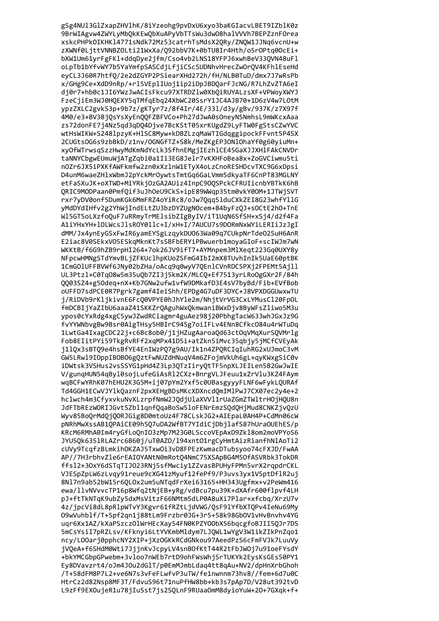gSg4NUl3GlZxapZHVlhK/8iYzeohg9pvDxU6xyo3baKGIacvLBET9IZblK0z 9BrWIAgvw4ZWYLyMbQkKEwQbXuAPyVbTTsWu3dwO8halVVVh7BEPZznFOrea xskcPHPkOIKHK14771sNdk72Mz53catrhTsMdsX2QRy/ZNQW1JJNq6vcnU+w zXWNf0LjttVNNBZOLti21WxXa/Q92bbV7K+0bTU8Ir4Hth/o5rOPtq0OcEi+ bXW1Um61yrFgFKl+ddqDye2jfm/Cso4vb2LNS18YFPJ6xwhBeV33QVN48uFl oLpTb1bYfvWY7b5YaYmfpSASCdjLfjiCScSUDNhvHrecZwOrQV4KFhlEseHd eyCL3J60R7htfQ/2e2dZGYP2PSiearXHd272h/fH/NLB0TuD/dmx7J7wRsPb x/GHg9Ce+XdD9nRp/+rl5VEplIUoj1ip2iDpJBDQarFJcNG/R7LhZvZTA6eI dj0r7+hb0c1JI6YWzJwACIsFkcu97XTRDZlw0XbQiRUYALzsXF+VPWoyXWYJ FzeCjiEm3WJ0HQEXY5qTMfqEbq24XbWC20SsrY1JC4AJB70+1D6zV4w7L0tM ypzZXLC2gvkS3p+9b7z/gKTyr7z/8f4Ir/4E/331/d3y/gBv/937K/z7X97f 4M0/e3+BV38jQsYsXyEnQQFZBFVCo+Ph27dJwA0sOneyNSNmhsL9mWKcxAaa zs72donFE7j4Nz5qd3qDQ4Djve7BcKStT05xrKUgdZ9LyFTW0FgStsCZwYVC wtHsWIKW+S248lpzyK+HlSC8Myw+kDBZLzqMaWTIGdqggipockFFvnt5P4SX 2CUGtsOG6s9zbBkD/z1nv/OGNGfTZ+S8k/MeZKgEP3ONlOhaYf0g60yiuMn+ xyOfWTrwsqSzzHwyMdKmNdYcLk3SfhnEMgjIEzhlCE45GaXJJXHlFAkCNVDr taNNYCbgwEUmuWjATgZqbi0a1Ii3EG8Jelr7vKXHFoBea8x+ZoGVCiwmu5ti n0Zr6JX5iPXKfAWFkmfw2zn0xXzlnW1ETyX4oLzCnoRESHDcvTXC9G6xDpsi D4unM6waeZH1xWbmJ2pYckMrOywtsTmtGq6GaLVmm5dkyaTF6CnPT83MGLNY etFaSXuJK+oXTWD+MiYRkjOzGA2AUiz4InpC90QSPckCFRUIicnbYBTkK6hB QRIC9MODPaan0PmfQif3uJhOeU9CkS+ipE89WWqp35tm0vkY0OM+1JTWjSVT rxr7yDV0onf5DumKGk6MmFRZ4oYiRc8/oJw7Qqq5lduCXkZEI8G23whfYllG yMdDYdIHfv2g2YhWjIndELtZU3bzDYZUgNOcem+B4byFzQJ+sOCtE2hO+TnE Wl5GT5oLXzfoQuF7uRRmyTrMElsibZIgByIV/iT1UqN6SfSH+xSj4/d2f4Fa A1iYHxYH+lOLWcsJlsROY0llc+I/xH+I/7AUCU7s9DORmNxWYiLERIiJzJgI dMM/Jx4ynEyGSxFwIR6yamEYSgLzqykDU063Wa09q7CUkpNrTde02SuH6AnR E2iac8V0SEkxV05ESkqMknKt7sSBFbERYiPBwuerb1moyaGIoF+scIWJm7wN WKKtB/f6G9hZB9rpHI264+7ok26JV9ifT7+AYMnpem3MlXeqt223Gq0UXY8y NFpcwHMNgSTdYmvBLjZFKUclhpKUoZSFmG4IbI2mX8TUvhInIk5UaE60ptBK 1CmGOlUFFBVWf6JNy02bZHa/oAcq9q0wyV7QEnlCVnRDC5PXj2FPEMt5Ajll UL3Ptzl+C0Tq08w5m35uQb7ZI3j5km2K/MLCQ+Ef7513yrLRoOgGXr2F/84h QQ03SZ4+g5Odeq+nX+Kb7GNw2ufw1vfW9DMkafD3E4sV7byBd/Fib+EVfBob oUFFD7sdPCE0R7Pgrk7gamf4IeiShh/EPDg4G7uDF3DYC+J8VPXDGGUwxwTU j/RiDVb9rKljkivnE6FcQ0VPYE0hJhYle2m/NhjtVrVG3CxLYMusCl20FpOL fmDCBIjYaZIbU6aaaZ41SKKZrQAguhWxQkmwaniBWxDjv8ByWFsZliwo5M3u ypos0cYxRdg4xgC5ywJZwdRCiagmr4guAez98j20PbhgTacW633whJGxJz9G fvYYWNbvgBw9Bsr0AigTHsy5HBIrC945g7oiIFLv4ENn8Cfkc084u4rWTuDq 1LwtGa4IxagCDC22j+c6Bc8ob0/j1jHZugAaroaQd63ctOqVMqXurSQVMrlg Fob8EIitPYi59TkgRvRFf2xqMPx41D5i+atZkn5iMvc35qbjy5jMCfCVEyAk j11Qx3sBTQ9e4hsBfYE4EnIWzPQ7g9AU/Ik1n4ZPQRCIqIuhRG2xUJmoC3vM GW5LRw19IOppIBOBO6gQztFwNUZdHNuqV4m6ZFojmVkUh6gL+qyKWxgSiC0v iDWtsk3VSHus2vsSSYG1pHd4Z3Lp3QTzIiryQtTF5npXLJEILen5B2GwJwIE V/gungHUN54qByl0sojLufeGiAsRl2CXz+BnrgVLJFeuu1xZrVlu3KZ4FAym wqBCFwYRhK07hEHU2K3G5M+ij07pYm2Yxf5c0UBasgyyyFLNF6wFykLQURAf Td4GGH1ECwVJYlkQaznF2pxXEHgBDsMKcXDXncdQmIMlPwJ7CX07ec2y4e+2 hclwch4m3CfyxvkuNvXLzrpfNmW2JQdjUlaXVVl1rUaZGmZTWltrHOjHQU8n JdFTbREzWORIJGvtSZbl1qnfQqaBoSw5loFENrEmzSQdQHjMud8CNKZjvQzU Wyv85BoQrMdQjQORJGig8D0mtoUz4F78CLskJG2+AIEpaL0AH4P+CdMn06cW pNRhMwXssAB10PAiCE09h507uDA2WfBT7YIdiCjDbjlafS87hUraOUEhES/p KRcM6RMhA0Im4rvGfLoOnI03zMp7M23G0LSccoVEpAxD9Zk18om2moVPYoS6 JYU50k6351RLAZrc6B60i/uT0AZD/194xnt01rgCvHmtAizRianfhNlAoTi2 cUVv9TcafzBLmkihOKZAJ5TxwOi3vD8FPEzKwmacDTubsvoo74cFXJD/FwAA AP//7H3rbhvZle6rEAIOYANtN0mRot04NmC75XSApBG4M50fASVRbk3TokDR ffs12+30xY6dSTqTIJ023RNj5sfMwciy1ZZvasBPUHyFPMn5vrX2rqpdrCKL VJESpZpLW6zLvav91reue9cXG41zMvuf12fePf9/P3uvs3vx1V5ptDf1R2ui 8N17n9ab52bW15r6OLOx2um5uNTqdFrXei63165+HH343Ugfmx+v2PeWm416 ewa/llvNVvvcTP16p8Wfq2tNjEB+yRg/vdBcu7pu39K+dXAfr600flpvf4LH pJ+ftTkNTaK9ubZv5dxMsVitzF66NMtm5dLP0A8uXi7Plar+xfcbq/XrzU7v 4z/jpcVi8dL8pRlpWTvY3Kgvr61fRZtLjdVWG/0sF9lYfbXT0Pv4IeNu69My 09wVuhblf/T+5pf2an1i88tLm9Frzbr0JG+3r5+58k98Gb0V1vHvBnvhv4YG uqr6Xx1AZ/kXaPSzczOlWrHEcXay54FN0KPZYOObX56bqcgfoBJII5OJr7DS 5mCsYsiI7pRZLsv/KFknyi6LtYVKmbMldym7LJQWL1wYgV3W1ikZIkPnZqo1 ncy/L00arj0pphcNY2XIP+jXz0GKkRCdGNkou97AeedPzS6cFmFVJk7LuuVy jVQeA+f6SHdM0Wti7JjjnKvJcpyLV4snBOfKtT44R2tFbJWOj7u91oeFYsdY +bkYMCGbpGPwebm+3vloo7nWEb7rtD9ohFWsWhjSrTUKYk2EysKsGEs50PY1 Ey8DVavzrt4/oJm4J0u2dGlT/p0EmMJmbLdaq4tt8qAu+NV2/dpHnXrbGhoh /T+58dFM8P7L2+ve6N7s3vFeFLwfvP3uTW/fe1nwnnm73hv8//fem+6d7u0C HtrCz2d82Nsp8MF3T/FdvuS96t71nuPfHW8bb+kb3s7pAp7D/V28ut392tvD L9zFf9EXOujeR1u78jIuSst7js2SQLnF9RUaaOmM8dyioYuW+20+7GXqk+f+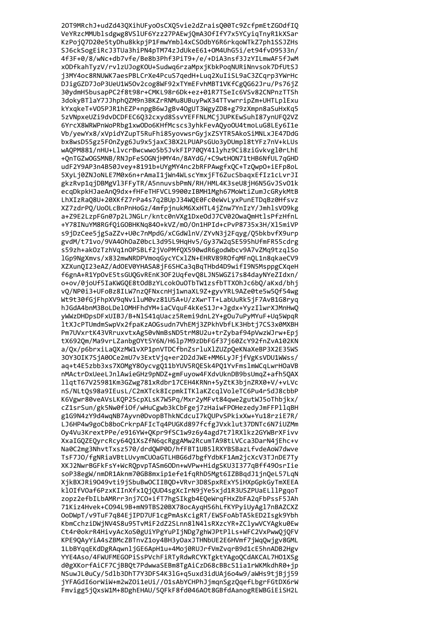20T9MRchJ+udZd43QXihUFyoOsCXQ5vie2dZraisQ00Tc9ZcfpmEtZGOdfIQ VeYRzcMMUblsdgwg8VSlUF6Yzz27PAEwjQmA3OfIfY7x5YCyiqTnyR1kXSar KzPojQ7D20e5tyDhu8kkpjP1FmwYmbl4xCSOdbY6R6rkqoWTkZ7ph1SSJZHs SJ6ckSogEiRcJ3TUa3hiPN4pTM74zJdUkeE61+OM4UhG5i/et94fvD9533n/ 4f3F+0/8/wNc+db7vfe/Be8b3Phf3PiT9+/e/+DiA3nsf3JzYILmwAF5fJwM xODfkahTyzV/rvlzUJogKOU+Sudwq6rzaMpxjKbkPoqNURiNnvsok7DfUtSJ j3MY4oc8RNUWK7aesPBLCrXe4PcuS7qedH+Luq2XuIiSL9aC3ZCqrp3YWrHc DJigGZD7JoP3UeU1W5Ov2cog8WF92xTYmEFvhMBT1VKfCgQG62Jru/Ps76jZ 30ydmH5busapPC2f8t98r+CMKL98r6Dk+ez+01R7TSeIc6VSv82CNPnzTTSh 3dokyBTlaY7JJhphQZM9n3BKZrRNMu8UBuyPwX34TTvwrripZm+UHTLplExu kYxqkeT+V05PJR1hEZP+npgB6wJgBv40gUT3WgyZD8+g79zXmpn8aSuHxKq5 5zVNpxeUZi9dvDCDFEC6Q32cxyd8SsvYEFFNLMCjJUPKEwSuhI87ynUFQ2VZ 6YrcX8WRWPnWoPRbg1xwODo6KHfMcscs3yhkFevAQyoOU4tmoLuG8LEy6I1e Vb/yewYx8/xVpidYZupT5RuFhi85yovwsrGyjxZSYTR5AkoSiMNLxJE47DdG bx8wsD55gz5F0nZyg6Ju9x5jaxC3BX2LPUAPsGUo3yDUmp18tYFz7nV+kLUs wAOPM881/nHU+LlvcrBwcwwo5b5JvkFIP700Y41lyhz9Ci8ziGvkvgl0rLhE +OnTGZwOGSMNB/RNJpFeSOGNjHMY4n/8AYdG/+C9wtHON71tHB6NfUL7gGHD udF2Y9AP3n4B50Jvey+8191b+UYgMY4nc2bRFPAwgfx0C+Tz0wp0+iEFp8oL 5XyLj0ZNJoNLE7M0x6n+rAmaI1jWn4WLscYmxjFT6ZucSbagxEfIz1cLvrJI gkzRvp1qjDBMgVl3FFyTR/A5nnuvsbPmN/RH/HML4K3seU8jH6N5GvJSvO1k ecgDkpkHJaeAnO9dx+fHFeTHFVCL9900zIBMH1Mgh67MoWtiZumJcGRykMtB LhXIzRaQ8U+20XKfZ7rPa4s7q2BUpJ34WQE0Fc0eWvLyxPunETDqBz0Hfsvz XZ7zdrPO/UoOLcBnPnHoGz/4mfpjnukM6XxHTL4jZnw7YnIzY/JmhlsVO9kg a+Z9E2LzpFGn07p2LJNGLr/kntc0nVXg1DxeOdJ7CV02OwaQmHtlsPfzHfnL +Y78INuYM8RGfQiGOBHKNq840+kVZ/mO/On1HPId+cPvP8735x3H/Xl5miVP s9jDzCee5jgSaZZv+U0c7nMpdG/xCGdWlnV/ZYvN3j2Fqyg/Q5bkbvfX9urp gvdM/t71vo/9VA40h0aZ0bcL3d95L9HqHv5/Gy37W2qSE595hUfmFR55cdrg s59zh+ak0zTzhVq1nOPSBLf2jVoPMfQX590wdR6godWbcv9A7vZMq9tzqlSo lGp9NgXmvs/x832mwNRDPVmoqGycYCxlZN+EHRV89ROfqMFnQL1n8qkaeCV9 XZXunQI23eAZ/AdOEV0YHASA8jF6SHCa3qBqTHbd4D9wifI9N5MsppgCXqeH f6gnA+R1YpOvE5tsGUQGvREnK3OF2UqfevQ8LJN5WGZi7s84dayNYeZIdxn/ o+ov/0joUf5IaKWGQE8tOdBzYLcokOuOTbTW1zsfbTTXOhJc6bQ/aKxd/bhj vQ/NP0i3+UFoBz8ILW7nzQFNxcnHj1wnaXL9Z+gyvYRL9AZe0te5w5Qf54wg Wt9t30fGjFhpXV9qNviluM0vz81U5A+U/zXwrTT+LabUuRk5jF7AvB1G8ryq hJGdA4bnM3BoLDelOMHFhdYM+iaCVquF4kKeS1Jr+Jgdx+YyzIlwrXJMnHwQ yWWzDHDpsDFxUIBJ/B+NlS41qUacz5Remi9dnL2Y+gOu7uPyMYuF+Uq5WpqR 1tXJcPTUmdmSwpVx2fpaKzAOGsudn7VhEMj3ZPkhVbfLK3Hbtj7CS3x0MXBH Pm7UVxrtK43VRruxvtxAg50vNmBsND5trM8U2u+trZybaf94pVwzWJrw+Epj tX692Qm/Ma9vrLZanbgOYt5Y6N/H61p7M9zDbFGf37j60ZcY92fnZvA102KN a/Qx/p6brxiLaQXzMW1vXP1pnVTDCfbnZsrluXlZUZpQeKNaXeBP3X2E35WS 30Y30IK7SjA00Ce2mU7v3ExtVjq+er2D2dJWE+MM6LyJFjfVgKsVDU1WWss/ aq+t4E5zbb3xs7XOMgY8OycvgQ11bYUV5RQESk4PQ1YvFmslmWCqLwrHOaVB nMActrDxUeeLJnlAwieGHz9pNDZ+gmFuyow4FXdvUknDB9bsUmqZ+afh5QAX llgtT67V25981Km3GZwg781xRdbr17CEH4KRNn+5yZtK3bjnZRX0+V/+vLVc nS/NLtQs98a9IEusL/C2mXTck8IcpmkITKlaKZcqlVoleTC6Pu4r5dJ8cbbP K6Vgwr80veAVsLKQP25cpXLsK7W5Pq/Mxr2yMFvt84qwe2gutWJ5oThbjkx/ cZ1srSun/gk5Nw0fiOf/wHuCgwb3kCbFgej7zHaiwFPOHezedyJmFFPllqBH g1G9N4zY9d4wqNB7Ayvn0DvopBThkNCdcuI7kQUPvSPkixXw+Yu18rziE7R/ LJ6HP4w9goCb8boCrkrpAFIcTq4PUGKd897fcfgJVxklut37DNTc6N7iUZMm Ov4Vu3KrextPPe/e916YW+OKpr9fSC1w9z6v4agd7t71RX1kz2GYWBrXFivv XxaIGOZEOvrcRcv6401XsZfN6qcRggAMw2RcumTA98tLVCca3DarN4iEhc+v Na0C2mg3NhvtTxsz570/drdOWP0D/hfFBT1UB51RXYBSBazLfvdeAoW7dwye TsF7J0/fgNRiaVBtLUvvmCUOaGTLHBG6d7bgfYdbKF1Am2icXcV3TJnDE7Tv XKJ2NwrBGFkFsY+WcROpvpTASm6ODn+wVPw+HidgSKU3I377qBff49OsrIie soP38egW/nmDR1Aknm70GB8mxip1efe1faRhD5Mgt6IZBBadJ1inOeL57LaN XikBXJRi9049vti9iSbuBwOCIIBOD+VRvr3D8SpxRExY5iHXpGpkGvTmXEEA klOIfVOaf6PzxKIInXfx10j0UD4sgXcIrN9jYe5xjd1R3USZPUaELllPgqoT zopz2efbILbAMRrr3ni7CO+ifT7hgSIkgb4EOeWraFHxZbFA2aFbPssF5JAh 71Kiz4Hvek+C094L9B+mN9TBS20BX78ocAyqH56hLfKYPyiUyAgl7nBAZCXZ OoDWpT/v9TuF7q84EiIPD7UF1cgPmAsKcigRT/EWSFoAbTA5kED2Isgk9Ybh KbmCchziDWiNV4S8u95TvMiF2dZ2SLnn81N41sRXzcYR+ZClvwVCYAgku0Ew Ct4r0okrR4HivyAcXoS0gUiYPgYuPIjNDg7ghWJPtPlLs+WFC2VxPwwQjQFV KPE90AvYiA4sZBMcZBTnvZ1ov4BH3vOaxJTHNbUE2E6HVmf7iWaOwigv8GML 1LbBYggEKdDgRAgwnljGE6ApH1u+4Moj0RUJrfVmZvgrB9d1cE5hnADB2Hgv YYE4Aso/4FWUFMEGOPiSsPVchFiRTyRdwRCYKTgktYAgoQCdAKCAL7H01XSg d0gXKorfAiCF7CjBBQt7PdwwaSEBm8TgAiCzD68cBBcS1ia1rWKMkdhR0+jp NSuwJL0uCy/5dlb3DhT7Y3DFS4K3lG+q5uxd3idUAj6o4w9/aWHs9tjBjj59 jYFAGdI6orWiW+m2wZOi1eUi//01sAbYCHPhJjmqnSgzQqefLbgrFGtDX6rW Fmvigg5jQxsW1M+8DghEHAU/5QFkF8fd046AOt8GBfdAanogREWBGiEiSH2L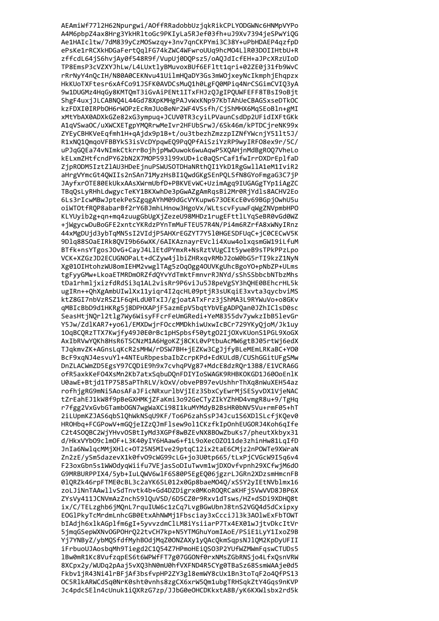AEAmiWf7712H62Npurgwi/AOffRRadobbUzjqkRikCPLYODGWNc6HNMpVYPo A4M6pbpZ4ax8Hrg3YkHRltoGc9PKIyLa5RJef03fh+uJ9Xv7394jeSPwYiQG Ae1HAIcltw/7dM839yCzMOSwzqy+3nv7qnCKPYmi3C38Y+uPbHDAEP4qzfpD ePsKe1rRCXkHDGaFertQqlFG74kZWC4WFwroUUq9hcMO4LlR03DOIIHtbU+R zffcdL64jS6hvjAy0f548R9f/VupUj0DQPsz5/oAQJdIcfEH+aJPcXRzUIoD TP8EmsP3cVZXYJhLw/L4LUxtlyBMuvoxBUf6EFltt1qri+02ZE0j31fb9WvC rRrNyY4nQcIH/N80A0CEKNvu41UilmHQaDY3Gs3mWOjxeyNcIkmphjEhqpzx HkKUoTXFtesr6xAfCo91JSFK0AVDCsMuQ1h0LgFQ0MPiq4NrCSGimCVIQ3yA 9w1DUGMz4HqGy8KMTQmT3iGvAiPENt1ITxFHJzQJgIPQUWFEFF8TBsI9oBjt ShgF4uxjJLCABNQ4L44Gd78XpKMHgPAJvWxKNp97KbTAhUeCBAGSxseDTkOC kzFDXI0IRPbOH6rWOPzEcRmJUoBeNr2WF4VSsfh/CjShMHX6MqSEoBln+gMI xMtYbAX0ADXkGZe82xG3ympuq+JCUV0TR3cyiLPVaunCsdDp2UFidIXFtGKk A1qVSwaOC/uXWCXETgpYMQRrwMeIvr2HFUbSrwJ/6Sk46m/kPTDCjreNK99x ZYEyCBHKVeEqfmh1H+qAjdx9p1B+t/ou3tbezhZmzzpIZNfYWcnjY511t5J/ R1xNQ1QmqoVFBBYkS3isVcDYpqwEQ9PqQPfAiSziYzRP9wyIRF08ex9r/5C/ uPJqGQEa74vNImkCtkrrBojhjpMwOuwok6wuAqwP5XQAHjnMdBgROQ7VheLo kELxmZHtfcndPY62bN2X7MOP593199xUD+ic0aOSrCaf1fwIrrDXDrEplfaD ZjpRODM5IztZlAU3HDeEjnuPSWUSOTDHaNRthOI1YkD1RgGwllA1eM1IviR2 aHrgVYmcGt4QWIIs2nSAn71MyzHsBI1QwdGKgSEnPQLSfN8GYoFmgaG3C7jP JAyfxrOTE80EkUkxAAsXWrmUbfD+PBKVEvWC+UzimAgq9IUGAGgTYp1iAgZC TBqQsLyRHhLdwgycTeKY1BKXwhDe3pGwAZgAmRqsBi2Mr0RjYdls8ACHV2Eo 6Ls3rIcwMBwJptekPeSZgqgAYhM09dGcVYKupw6730EKcE0v69BGpjOwhU5u oiWTOtfRQP8abarBf2rY6BJmhLHnow3HgoVx/WLtscvFyuwFqWgZNVpmbHPO KLYUyib2g+qn+mq4zuugGbUgXjZezeU98MHDz1rugEFttlLYqSeBR0vGd0WZ +jWgycwDuBoGFE2xntcYKRdzPYnTmMuFTEU57R4N/Pi4m6RZrfA8xWNyIRnz 44xMgDUjd3ybTqMN5sI2VIdjP5AHXrEGZYT7Y510HGESDFUqC+jC0CECwV5K 9Dlq88SOaEIRk8QVI9b66wXK/6AIKAznayrEVcli4Xuw4olxqsmGW19iLfuM BTfk+nsYTgosJ0vG+CayJ4LlEtdPYmxR+NsRztVUgCIt5yweB9sTPkPPzLpo VCK+XZGzJD2ECUGNOPaLt+dCZyw4jlbiZHRxqvRMbJ2oW0bG5rTI9kzZ1NyN Xg010IHtohzWU8omIEHM2vwglTAg5z0q0gg40UVKgUhcBgoY0+pNbZP+ULms tgFyyGMw+LkoaETMRDmORZfdQYvYdTmktFmnvrRJNYd/sShSSbbcbNTbzMhs tDa1rhmljxizfdRdSi3q1AL2visRr9P6viJu5J8peVgSY3hQHE0BEhcrHL5k ugIRn++QhXgAmbUIwlXx11yiqr4I2qcHL09ptjR3sUKqiE3xvta3qycbviMS ktZ8GI7nbVzRSZ1F6qHLdU0TxIJ/gjoatATxFrz3jShMA3L9RYWuVo+o8GKv qMBIcBbD9d1HKRg5j8DPHXAPjF5azmEpV5bqtYbVEgADPQan0JZhIClsD0sc SeasHtjNQrl2tlg7Wy6WisyFFcrFeUmGRedi+YeM8355dv7ywkzIbB5levGr Y5Jw/ZdlKAR7+yo6l/EMXDwjrFOccMMDkhiwUxwIcBCr729YKyQjoM/Jk1uy 10qBCQRzTTX7Kwjfy49J0E0rBc1pHSpbsf50ytg02Ij0XvKUonS1PGL9XoGX AxIbRVwYQKh8HsR6TSCNzM1A6HgoKZj8CKL0vPtbuAcMW6gtBJ05rtWj6edX TJqkmvZK+AGnsLqKcR2sMHW/rDSW7BH+jEZKw3CgJjfyBLeMEmLRKaBC+Y00 BcF9xqNJ4esvuYl+4NTEuRbpesbaIbZcrpKPd+EdKULdB/CUShGGitUFgSMw DnZLACWmZD5EgsY97CQDiE9h9x7cvhqPVg87+MdcE8dzRQr13B8/E1VCRA6G ofR5axkKeF04XsMn2Kb7atxSqbuDQnFDIYIoSWAGK9RHBKOKGD1J600oEnlK U0awE+Btjd1TP7585aPThRLV/k0xV/obvePB97evUshhrThXq8nWuXEH54az rofhjgRG9mNi5AosAFaJFicNRxurlbVjIEz3SbxCyEwrMjSESyvDX1VjeNAC tZrEahEJ1kW8f9pBeGXHMKjZFaKmi3o92GeCTyZIkYZhHD4vmgR8u+9/TgHq r7fgg2VxGvbGTambOGN7wgWaXCi98I1kuMYMdyB2BsHR0bNV5Vu+rmF05+hT 2iLUpmKZJAS6qbSlQhWkNSqU9KF/To6P6zahSsPJ4Jcu1S6XDlSLcfjKQev0 HROHbg+FCGPowV+mGOjeIZzOJmFlsew9ol1CKzfkIpOnhEUGORJ4Koh6gIfe C2t4S00BC2WiYHvv0SBtIvMd3XGPf8wBZEvNX8B0wZbuKs7/pheutXkbvx31 d/HkxVYb09clm0F+L3K40vIY6HAaw6+f1L9oXec0Z011de3zhinHw81LqIfD JnIa6NwlgcMMiXHlc+OT25N5MIve29ptgC12ix2taE6CMiz2nPOWTe9XWraN Zn2zE/vSm5dazevX1k0fv09cWG99cLG+io3U0tp665/tLxPiCVGcW9I5q6v4 F23oxGbn5s1WWOdyqWiifu7VEjasSoDIuTwvm1wjDXOvfvpnh29XCfwjM6dO G9MRBURPPIX4/5yb+IuLQWV6wlF6S80P5EgEQ06jgzrLJGRn2XDzsmHmcnFB 010RZk46rpFTME0cBL3c2aYK6SL012x0Gp8baeM040/xS5Y2vIEtNVb1mx16 zoLJiNnTAAwllvSdTnvtk4b+Gd4DZDigrx0MKoROORCaKHFiSVwVVD8JBP6X ZYsVv411JCNVmAzZnchS910uVSD/6D5CZ0r9Rxv1dTsws/HZ+dSDi9XDH08t ix/C/TELzghb6jMOnL7rguIUW6c1zCg7LvgBGwUbnJ8tnS2VGO4d5dCxipxy EOG1PkvTcMrdmLnhcGB0EtxAhNWMi1Fbsciav3xCcciJ13k3A01wExFbT0WT bIAdih6xlkAGplfm6gI+5vvvzdmClLM8iYsiiarP7Tx4EX01wJitvDkcItVr 5imgGSepWXNvOGPOHrO22tvCH7kp+N5YTMGhuYomIAoE/PSiE1LvY1IxoZ9B Yi7YNBvZ/vbMOSfdfMvhBOdiMaZ0ONZAXv1vOAcOkmSapsNJ1OM2KpDvUFII iFrbuoUJAosbqMh9Tiegd2C1Q54Z7HPmoHEiQSO3P2YUfWZMWmFqswCTUDs5 1Bw0mR1Kc8VufzqpES6t6WPWfFT7g07GGONf0rxNMsZGbRNSjo4LfxQsnVRW 8XCpx2y/WUDq2pAaj5vXQ3hN0mU0hfVXFND4R5CYg0TBaSz68SsmWAAje0d5 Fkbv1jR43Ni4lrBFjAf3bsfvpHP2ZY3gl8emWY8cUx1Bn3toTqF2o4QfPS13 OC5RlkARWCdSq0NrK0sht0vnhs8zgCX6xrW5Qm1ubgTRHSqkZtY4Gqs9nKVP Jc4pdcSEln4cUnuk1iQXRzG7zp/JJbG0eOHCDKkxtA8B/yK6KXWlsbx2rd5k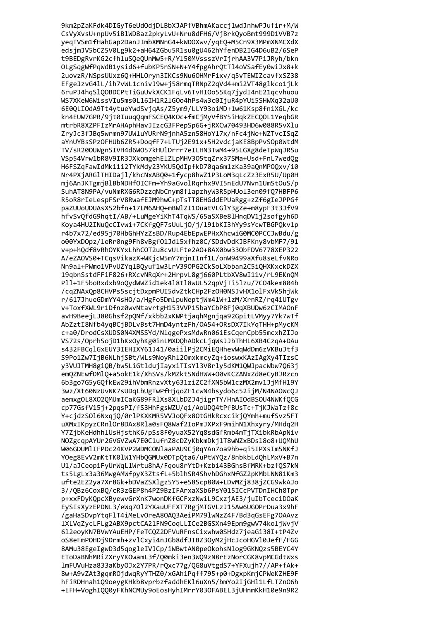9km2pZaKFdk4DIGyT6eUdOdjDLBbXJAPfVBhmAKaccj1wdJnhwPJufir+M/W CsVyXvsU+npUv5iBlWD8az2pkyLvU+Nru8dFH6/VjBrkQyoBmt999D1VVB7z yeqTVSm1fHahGap2DanJImbXMNnG4+kWDOXwv/yqEQ+M5Cn9X3MPmXNMCXdX edsjmJV5bCZ5V0Lg9k2+aH64ZGbu5R1su0gU462hYfenDB2IG4D6uB2/6SeP t9BEDgRvrKG2cfhluSQeQUnMw5+R/Yl50MVssszVrIjrhAA3V7PiJRyh/bkn OLgSqgWfPqWdB1ysid6+fubKP5nSN+N+Y4fpgAhrQtTl4oVSafEy0wiJx8+k 2uovzR/NSpsUUxz6Q+HHLOryn3IKCs9Nu6OHMrFixv/q5vTEWIZcavfxSZ38 EFgeJzvG41L/ih7vWL1cnivJ9w+j58rmqTRNpZ2qVd4+mi2VT48glkco1jLk 6ruPJ4hqSlQOBDCPtTiGuUvkXCK1FqLv6TvHIOo55Kq7jydI4nE21qcvhuou WS7XKeW6WissVIu5ms0L16IH1R2lGOo4hPs4w3c0IjuR4pYUi5SHWXq32aU0 6E0QLIOdA9Tt4ytueYwdSvjqAs/Z5ym9/LLY93oiMD+1w61Ksp8fn1XGL/kc kn4EUW7GPR/9jt0IuuqQqmFSCEQ4KOc+fmCjMyVfBY5iHqkZECQOL1YeqbGR mtrbR8XZPFIzMrAHAphHavJIzcG3FPepSp6G+jRXCw70493HD6w088R5vXlu ZryJc3fJBq5wrmn97UWluYURrN9jnhA5zn58HoYl7x/nFc4jNe+NZTvcISqZ aYnUYBsSPzOFHUb6ZR5+DoqfF7+LTUj2E91x+5H2vdcjaKE8BpPvSOp0WtdM TV/sR200UWgn5IVH4d6W057kHUlDrrr7eILHN3TwM4+95LGXg8deTpWgJRSu VSp54Vrw1bR8V9IR3JXkomgehElZLpMHV305tqZrx37SMa+Usd+FnL7wedQg H6FSZqFawIdMk11i2TYkMdy23YKU5QdIpfkD70qa6m1zKa39aQnMP0Qxv/i0 Nr4PXjARGlTHIDajl/khcNxAB00+1fycp8hwZ1P3LoM3qLcZz3ExR5U/Up0H mj6AnJKTgmjBlBbNDHfOICFm+Yh9aGvolRgrhx9VI5nEdU7Nvn1UmStOuS/p SuhAT8N9PA/vuNmRXG6RDzzqNbCnym8flapzhyW3R5pHUol3en09fQ7HBFP6 R5oR8rIeLespFSrV8RwafEJM9hwC+pTsTT8EHGddEPUaRgg+zZf6gIeJPPGf paZUUoUDUAsX52bfn+17LM6AH0+mBWlZI1DuatVLGlY3gZe+m8ypF3t3JfV9 hfvSvQfdG9hqtI/AB/+LuMgeYiKhT4TqWS/65aSXBe8lHnqDV1j2sofgyh6D Koya4HU2INuQcCIvwi+7CKfgQF7sUuLjO/j/l91bKI3hYy9sYcwTBGPQkvlp r4b7x72/ed95j70HbGhHYzZsBD/Rup4EbEpwEPHxXhcwiG0MC0PCCJwBdu/g o00YxDOpz/leRr0ng9Fh8vBgfO1Jd15xfhz0C/SDdvDdKJBFKny8vbMF7/91 v+p+hQdf8vRh0YKYxLhhCOT2u8cvULFte2A0+8AX0bw330bFDV6778XEP322 A/eZAOVS0+TCqsVikazX+WKjcW5mY7mjnIInf1L/onW9499aXfu8seLfvNRo Nn9al+PWmo1VPvUZYqlBQyuf1w3LrV39OPG2CkSoLXbban2C5iQHXKxckDZX 19qbnSstdFFiF826+RXcvNRqXr+2HrpvL8gj660PLtbXV8wI11v/rL9EKnQM Pll+1F5boRxdxb9oQydWWZid1ek418t18wUL52qpVjTi5lzu/7CO4kem804b /cqZNAxQp8CHVPs5scjtDxpmPUI5dvZtkCHp2FzOH0NSJvHX1olFxVk5hjWk r/617JhueGDmYY4sHO/a/HgFo5DmlpuNeptjWm41W+1zM/XrnRZ/rq41UTgv v+ToxfXWL9r1Dfnz0wvNtavrtgH153VVP15baYCbP8Fj0qXBUDw6zCIMAOnF avH9BeejLJ80Ghsf2pQNf/xkbb2xKWPtjaqhMgnjqa92GpitLVMyy7Yk7wTf AbZztI8Nfb4yqBCjBDLvBst7HmD4yntzFh/OA54+ORsDX7IkYqTHH+pMycKM c+a0/DrodCsXUDS0N4XMSSYd/NlqgePxsMdwRn06iEsCqenCpb55mcxhZIJo VS72s/OprhSojD1hKxOyhKg0inLMXDQhADkcLjqWsJJbThHL6XB4CzqA+DAu s432FBCqlGxEUY3IEHIXY61J41/0aiilPj2CMiEQHhevWqWdDm6zVKBuJtf3 S9Po1Zw7IjB6NLhjSBt/WLs9NoyRhl2OmxkmcyZq+ioswxKAzIAgXy4TIzsC y3VUJTMH8giQB/bw5LiGtldujIayxiTIsYl3V8rly5dKM1QWJpacWbw7Q63j emQZNEwfDMlQ+a5okE1k/XhSVs/kMZkt5NdHWW+O0vKCZANxZd8eCyBJRzcn 6b3go7G5yGQfkEw29ihVbmRnzvXty631ziZC2fXN5bW1czMX2mv1JjMfH19Y 3wz/Xt60NzUvNK7sUDqLbUgTwPfHjqoZF1cwN4bsydo6c52ijM/N4NAOWcQJ aemxgOL8XO2QMUmICaKG89FRlXs8XLbDZJ4jigrTY/HnAIOdBSOU4NWKfQCG cp77GsfV15j+2pqsPI/fS3HhFgsWZU/q1/AoUDQ4tPfBUsTc+TjKJWaTzf8c Y+cjdzS016NxqjQ/0rlPKXKMR5VVJoQFx8OtGHkRcxcikjQYmh+mufSvz5FT uXMxIKpyzCRnlOr8DAx8Rla0sF08Waf2IoPmJXPxF9mihN1Xhxyry/MHdq2H Y7ZibKeHdhhlUsHisthK6/pSs8F0vuaX52Yq8sdGfRmb4mTiTXibkRbApNiv NOZgcapAYUr2GVGVZwA7E0C1ufnZ8cDZvKbkmDkilT8wNZxBDs18o8+UOMhU W06GDUMlIFPDc24KVP2WDMCONlaaPAU9Ci0aYAn7oa9hb+ai5IPXsIm5NKfJ YOeg8EvV2mKtTK01W1YHbOGMUx0DTpOta6/uPtWYOz/8nbkbLdOhLMxV+B7n U1/aJCeopiFyUrWgLlWrtu8hA/Fgou8rYtD+Kzbi43BGhsBfMRK+bzf0S7kN ts5LgLx3a36MwgAMWfpvX3ZtsfL+5blhSR4ShvhDGhxNfGZ2pKMbLNN81Km3 ufte2EZ2va7Xr8Gk+bDVaZSX1gz5Y5+e58Scp80W+LDvMZi838iZCG9wkAJo 3//OBz6CoxBO/cR3zGEP8h4PZ9BzIFArxaXSb6PsY015ICcPVTDnIHCh8Tpr p+xxFDvKOpcXBvewvGrXnK7wonDKfGCFxzNwiL9CxziAE3/iuIbTcec1DOaK EySIsXyzEPDNL3/eWq7012YXauUFFXT7RgjMTGVLzJ15Aw6UGOPrDua3x9hF /gaHaSDvpYtqF1T4iMeLvOreA80A03AeiPM791wNzZ4F/Bd3qGsEFg70AAvz 1XLVaZvcLFLg2ABX9pctCA21FN9CoaLLICe2BGSXn49Epm9gwV74koliWviV 612eovKN7BVwYAuEHP/FeTCOZ2DFVuRFnsCixwhw0SHdz7ieaGi38I+tP4Zv oS8eFmPOHDj9Drmh+zvlCxyi4nJGb8dfJTBZ3OyM2jHcJcoHGVl0JefF/FGG 8AMu38EgeIgwD3d5qogleIVJCp/iWBwtAN0peOkohsNlog9GKNQzs5BEYC4Y EToDaBNhMRiZXryYKOwamL3f/Q0mki3en3WQ9zN8rEzNorCGK8vpMCGdtWxs 1mFUVuHza833aKby0Jx2Y7PR/rQxc77g/QG8uVtgdS7+YFXujh7//AP+fAk+ 8w+A9vZAt3gqmROjdwqRyYTHZ0/xGAh1Pqff795+p0+DgxpKmjCPWeKZHE9F hFiRDHnah1Q9oeygKHkb8vprbzfaddhEKl6uXn5/bmYo2IjGHl1LfLTZnO6h +EFH+VoghIQQ0yFKhNCMUy9oEosHyhIMrrY03OFABEL3jUHnmKkH10e9n9R2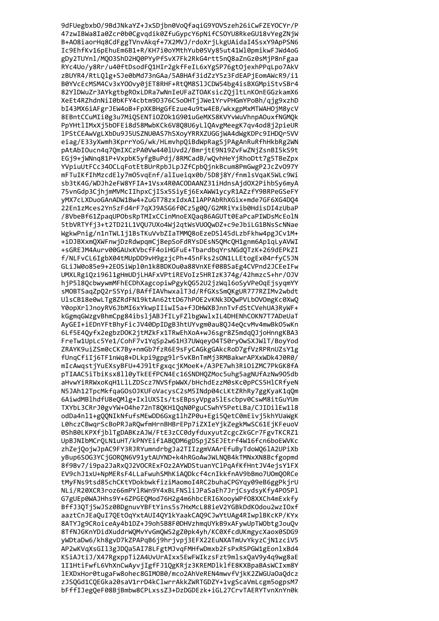9dFUegbxb0/9BdJNkaYZ+JxSDjbn0VoQfaqiG9Y0VSzeh26iCwFZEY0CYr/P 47zwIBWa8Ia0Zcr0b0Cgvqdik0ZfuGypcY6pNifCSOYU8RkeGU18vYegZNjW B+A08iaorHq8CdFggTVnvAkqf+7X2MVJ/rdoXrjLkgUAidaI4SsxY9ApPSN6 Ic9EhfKv16pEhuEm6B1+R/KH7i0oYMthYub05Vy85ut41Wl0pmikwFJWd4oG gDy2TUYnl/MQO3ShD2HQ0PYyPfSvX7Fk2RkG4rtt5nQ8aZnGz0sMjP8nFgaa RYc4Uo/y8Rr/u40ftDsodFQ1HIr2gkfFeIL6xYgSP76gtOjexhPPqLpo7AkV zBUYR4/RtLQlg+SJe0bMd73nGAa/5ABHAf3idZzY5z3FdEAPjEomAWcR9/i1 B0YVcEcMSM4Cv3xY00vy0jET8RHF+RtQM8SlJCDW54bg4isBXGMpiStvSBr4 82YlDWuZr3AYkgtbgROxLDRa7wNnIeUFaZTOAKsicZQjltLnKOnEGGzkamX6 XeEt4RZhdnNiI0bKFY4cbtm9D376C5oOHTjJWe1YrvPHGmYPoBh/qjg9xzhD bI43MX6iAFgrJEW4oB+FpXKBHgGfEzue4u9tw4EB/wkxgpMxMTWAHOjM8ycV 8EBntCCuMIi0g3u7MiQSENTiOZOk1G901uGeMXS8KVYvWuVhnpAOuxfNGMQk PpYHtlIMxXj5bOFEi8d58MwbKCk6V8Q8U6yLlQAvgMeegK7qv4od8j2pieUR 1PStCEAwVgLXbDu9J5USZNU0AS7hSXoyYRRXZUGGjWA4dWgKDPc9IHD0r5VV eiag/E33yXwmh3KprrYoG/wk/HLmvhpQiBdWpRagSjPAgAnRuRfhHkbRg2WN pAtAbIOucn4q7QmIXCzPA0Vw440lUvd2/BmrjtE9N19ZvFwZNjZsnBI5kS9t EGj9+jWNnq81P+VxpbK5yfgBuPdj/8RMCadB/wQvhHeYjRhoDtt7g5TBeZpx YVpiuUtFCc340CLqFotEtBUrRpbJLpJZfCpbQjnkBcum8PmGwgP2JcZv097Y mFTuIKfIhMzcdEly7mO5vgEnf/alIueigx0b/5D8j8Y/fnmlsVgaK5WLc9Wi sb3tK4G/WDJh2eFW8YFIA+1Vsx4R0ACODAANZ31iHdnsAjdOX2PihbSy6myA 75vnGdp3CjhjmMVMcIIhpxCjISx5SiyEj6ExAWW1ycyR1AZzfY9BRPeGSeFY yMX7cLXDuoGAnADW1Bw4+ZuGT78zxIdxAIlAPPAbRhXGix+mde7GF6XG4DQ4 22En1zMces2Yn5zFd4rF7qXJ9ASG6f0Cz5g0Q/G2MRiYxib0HdisDI4zUbaP /8VbeBf61ZpaqUPObsRpTMIxCCinMnoEXOaq86AGUTt0EaPcaPIWDsMcEolN 5tbVRTYfj3+t2TD21L1VQU7UXo4Wj2qtWsVUOQwDZ+c9eJbiLG1BNsScNNae WgkwPnig/n1nTWL1j1BsTKuVvbZIaTMMQ8oEzeDS145dLzbFkhw4pgJCv1M+ +iDJBXxmQXWFnwjDzRdwpqmCjBepSoFdRYsDEsN5QMcQH1gnm6Ap1qLyAVWI +sGREJM4Aurv00GAUxKVbcfF4oiHGFuE+TbardbqYrsNGdQTzK+269dEPkZI f/NLFvCL6IgbX04tMUpDD9vH9gzjcPh+45nFks2sON1LLEtogEx04rfyC5JN GLiJW0o85e9+2EOSiWpl0n1k8BDKOu0a88VnXEf08BSaEg4CVPnd2JCEeIFw UMXLRgiQzi96l1gHmUDjLHAFxVPtiREVoIz5HRIzK374g/42hmzcS+hr/OJV hjP518QcbwywmMFhECDhXagcopiwPgykQG52U2jzWq16oSyVPeOqEjsyqmYY sMOBTSaqZpQ2rS5Ypi/BAffIAVhwxalT3d/RfGXsSmQKgUR777RZIMv2wbdt UlsCB18e0wLTg8ZRdFN19ktAn62ttD67hPOE2vKNk3DQwPVLbOVOmgKc0XwQ Y0opXrlJnoyRV6JbMI6xYkwpIIiwI5a+fJDHWXBJnnTvFdStCVehUA3RyWF+ kGgmqGWzgvBhmCpg84ibsljABJfILyFZlbgWwlxIL4DHENhCOKN7T7ADeUaT AyGEI+iEDnYFtBhyFicJV40DpIDgB3htUYvgm0au8QJ4eQcvMv4mwBk05wKn 6Lf5E4Qyfx2egbzDOK2jtMZkFx1TRwEhXoA+wJ6sgr8Z5mdqQJjoHnngKBA3 FreTw1UpLc5Ye1/CohF7v1YqSp2w61H37UWqey04TS0ry0wSXJWlT/BoyYod ZRAYK9uiZSm0cCK7By+nmGb7fzR6E9sFyCAGkgGAkcRoD7gfVzRPRnUZsY1g fUngCfiIj6TF1nWq8+DLkpi9gpg9lr5vKBnTmMj3RMBakwrAPXxWDk4J0R0/ mIcAwqstjYuEXsyBFU+4J91tFgxqcjKMoeK+/A3PE7wh3RiOiZMC7PkGK8fA pTIAAC5iTbiKsx8ll0yTkEEfPCN4Ec16SNDHQZMoc5uhg5agNUfAzNw905db aHvwYiRRWxoKqH1LlLZDScz7NVSfpWWX/bHchdEzzM0sKc0pPCS5HlCRfyeN N5JAh12TpcMkfqaGOsOJKUFoVacysC2sM5INdp04cLKtZRhRy7ggKyaK1qQm 6AiwdMBlhdfU8eQMlg+IxlUXSIs/tsEBpsyVpga5lEscbpv0CswM8itGuYUm TXYbL3CRrJ0gvYW+04he72nT8QKH1QqN0PguCSwhY5PetLBa/CJIDilEw118 odDa4nl1+gQQNIkNfufsMEwDD6Gxg1lhZP0u+Egi5QetC0mEivj5khYUaWgK L0hczCBwgrScBoPRJaROwfmHrnBHBrEPp7iZXIeYjkZegkMwSC61EjKFeuoV 0ShB0LKPXfiblTgDABKzAJW/FtE3zCC0dvfduxvutZcgcZkGCr7FgvTKCRZ1 UpBJNIbMCrOLN1uHT/kPNYEif1ABODM6gDSpiZSEJEtrf4W16fcn6boEWVKc zhZeiOoiwJpAC9FY3RJRYumndrbgJa2TIIzgmVAArEfuBvTdoWO61A2UPiXb vBup6SOG3YCiGORON6V91vtAUYND+k4hRGoAwJWLN0B4kTMNxXN8Bcfgopmd 8f9Bv7/i9pa2JaRx0J2VOCRExF0z2AYWDStuanYClPgAfKfHntJV4ejsY1FX EV9chJ1xU+NpMERsF4LLaFwuhSMhKiAODkcf4cnIkkfnAV9bBmo7U0mOORCe tMvFNs9tsd85chCKtYDokbwkfiziMaomoI4RC2buhaCPGYqv09eB6ggPkirU NLi/R20XCR3roz66mPY1RWn9Y4xBLFNSliJPaSaEh7JriCsvdsvKfv4PO5Pl G7gUEp0WAJHhs9Y+6ZPGEQMod76H2g4m6hbcERI6XooyWPf08XXCh4mExkfy BffJ30Tj5wJSz0BDgnuvYBFtYins5s7HxMcL88ieV2YGBkDdKOdou2wzIOxf aaztCnJEaOuI7OEtOgYxtAUI4OY1kYaakCAO9CJwYtUAg4RIwplBKcKP/KYx 8ATYJg9CRoiceAv4b1DZ+J9oh5B8F0DHVzhmaUYkB9xAFvwUpTWObtgJouOv 8TfNJGKnYDidXuddrWQMvYvGmQWS2gZ0pk4yh/KC0XfcdUKmgycXaox0SDG9 vWDtaDw6/kh8gvD7kZPAPqB6i9hrivpi3EFX22EuNXATmUvYkvzCiN1zciV5 AP2wKVqXsGIl3gJDQa5AI78LFgtMJvqFMHfwDmxb2FsPxRSPGW1gEonlxBd4 KSiAJtiJ/X47RgxppTi2A4UvUrAIxx5EwFWIkzsFzt9mlsxQaV9y4q9wg8aE 1I1HtiFwfL6VhXnCwAyvjIgfFJ1QgKRjz3KREMDlklfE8KXBpaBAsWCIxm8Y 1EXDxHor0tugaFw8ohec8GIMOB0/mco2AhVeREN4mwvfVjkK2ZWGUaOaQdcz zJSQGd1CQEGka20saV1rrD4kClwrrAkkZWRTGDZY+1vgScaVmLcgm5ogpsM7 bFffIJegQeF08BjBmbw8CPLxssZ3+DzDGDEzk+iGL27CrvTAERYTvnXnYn0k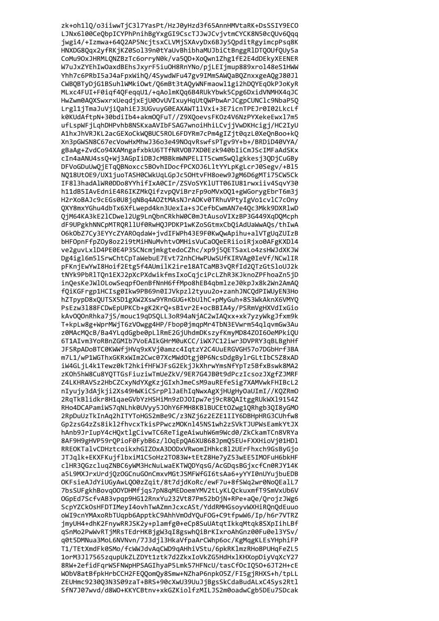zk+oh1lQ/o3iiwwTjC3l7YasPt/HzJ0yHzd3f65AnnHMVtaRK+DsSSIY9ECO LJNx6100CeQbpICYPhPnihBgYxgGI9CscTJJwJCvjvtmCYCK8N50cQUv6Qqq jwgi4/+Izmwa+64Q2AP5NcjtsxCLVMjSXAvyDx6BJy5QpditRgyimcpPsq8K HNXDG8Qqx2yfRKjKZ0Sol39n0tYaUvBhibhaMUJbiCtBnggRlDTQOUfQUy5a CoMu90xJHRMLQNZBzTc6orryN0k/va5QD+XoQwn1Zhg1fE2E4dDEkyXEENER W7uJxZYEhIwOaxdBEhsJxyrF5iuOH8RnYNo/pjLEIjmup889xrol48eS1HWW Yhh7c6PRbI5aJ4aFpxWihQ/4SywdWFu47gv9IMmSAWQaBQZnxxgeAQgJ80Jl CWBQBTyDjG1BSuhlWMkiOwt/Q6mBt3tAQyWNFmaowl1gi2hDQYEqOkPJoKyR MLxc4FUI+F0iqf4QFeqqU1/+qAolmKQq6B4RUkYbwk5Cpg6DxidVNMHX4qJC HwZwm0AQXSwxrxUeqdjxEjU0OvUVIxuyHqUtQWPbwArJCgpCUNClc9NbaP5Q Lrgl1jTmaJuVjiQahiEJ3UGvuyG0EAXAWT1lVxi+3E7icnTPEJr0I02LkcLf k0KUdAftpN+30bdiIb4+akm0QFuT//Z9XQoevsFK0z4V6NzPYXekeEwxl7m5 ufLspWFjLqhDHPvhb8NSKxaAVIbFSAG7wnoiHhiLCvjjVwDKHcigj/HC2IyU A1hxJhVRJKL2acGEXoCkWOBUC5ROL6FDYRm7cPm4gIZjt0qzL0XeOnBoo+kO Xn3pGWSN8C67ecVowHxMhwJ36o3e49NOqvRswfsPTgv9Y+b+/BRDiD40VYA/ gBaAg+ZvdCo94XAMngafxbkU6TTfNRVOB7XD0Ezk940bIiCmJScIMFaAdSKx cIn4aANU4ss0+Wj3AGpIiDBJcMBBkmWNPELIT5cwmSw0lgkkesj30DjCuGBy DFVoGDuUwQjETqOBNoxcc5BOvhIDocfPCXOJ6L1tYYLpKgLcrJ0Segv/+B15 NO18UtOE9/UX1juoTASH0CWkUqLGpJc5OHtvFH8oew9JgM6D6gMTi75CW5Ck IF813hadA1WR0DDo8YYhifIxA0CIr/ZSVoSYK1UTT06IU81rwxiiv4SqvY30 h11dB5IAvEdniE4R6IKZMkQifzvpQViBrzFp9oMVxOQ1+gWGorygEbrT6m3j H2rXoBAJc9cEGs0U8jqNBq4A0ZtMAsNJrA0Kv0TRhuVPtyIgVo1cv1C7cOny 0XY8mxYGhu4dbTx6XfLwepd4kn3UexIa+sJCefbCwmAN7e40c3Mkk9DXRlwD 0jM64KA3kE21CDwe12Ug9Ln0bnCRkhW0C0mJtAusoVIXzBP3G449XqD0Mcph dF9UPgkhNNCpMTROR11Uf0RwHOJPDKP1wKZoSGtmxCbOiAdUaWwAOs/thIwA O6kObZ7Cy3EYYcZYAROqdaW+jvdIFWPh43E9F0KwQwApihu+alVTgUqZUIzB bHFOpnFfpZOy8oz2i9tMiHNuMvhtvOMHisVuCaOQeERiioiRjxo0AFgKXDl4 ve2guvLx1D4PE0E4P3SCNcmjmkgtedoCZhc/xp9j5QETSaxLo4zsHWJdXKJW Dg4ig16m51SrwChtCpTaWebuE7Evt72nhCHwPUwSUfKIRVAg0IeVf/NCwlIR pFKnjEwYwI8Hoif2Etg5f4AUmilK2ire18ATCaMB3vQRfId2QTzGtSloUJ2k tNYk9PbRlTQn1EXJ2pXcPXdwikfmsIxoCqjciPcLZhR3KJknoZPFhoaZn5jD inQesKeJWlOLowSeqpfOenBfNnH6ffMpo8hEB4qbmlzeJ0kpJx8k2Wn2AmAQ fQiKGFrgp1HCIsg0Ikw9PB69n0IJVkpzl2tyuu2o+zanhJNCQdPIWUyEN3Ho hZTpypD8xQUTSX5D1gXW2Xsw9YRnGUG+KbU1hC+pMyGuh+8S3WkAknX6VMYQ PsEzw3188FCDwEpUPKCb+gK2KrQ+sB1vr2E+ocBBIA4y/PSRmVgHXVdIxGio kAvOQOnRhka7jS/mouc19qDSQLL3oR94aNjAC2wIAQxx+xk7yzyWkgJfxm9k T+kpLw8g+WprMWjT6zVOwgg4HP/Fbop0jmqpMr4TbN3EVwrm54qlqvmGw3Au z0MAcMQcB/Ba4YLqdGgbe0pLlRmE2GjUhdmDKszyfKmyMD84Z0I6OeMPkiQU 6T1AIvm3YoRBnZGMIb7VoEAIkGHrM0uKCC/iWX7C12iwr3DVPRY3qBLBghHf JFSRpADoBTC0KWWfjHVq9xKVj0amzc4IqtzY2C4UuERGVGH57o7DGbHrf3BA m7L1/wP1WGThxGKRxWIm2Cwc07XcMWdOtgj0P6NcsDdgBylrGLtIbC5Z8xAD iW4GLjL4k1Tewz0kT2hkifHFWJFsG2EkjJkXhrwYmsNfYpTz5BfxBswk8MA2 zKOh5hW8Cu8YQTTGsFiuziwTmUeZkV/9ER7G4JB0t9dPczIcsozJXgfZJMRF Z4LKHRAVSz2HbCZCxyNdYXgKzjGIxhJmeCsM9auREfeSig7XAMVwkFHIBcL2 nIyujy3dAjkji2Xs49HWKiCSrpPlJaEhIqNwxAgXjHUgHyOaUImI//KQZRmO 2RqTkBlidkr8H1qaeGVbYzHSHiMn9zDJOIpw7ej9cR8QAItggRUkWX19154Z RHo4DCAPamiWS7qNLhk0UVyy5J0hY6FMH8KBlBUCEt0Zwg1QRhgb3QI8yGMO 2RpDuUzTkInAq2hITYToHGS2mBe9C/z3NZj6z2EZE1IIY6DBHpHRG3CUhfw8 Gp2zsG4zZs8ikl2fhvcxTkisPPwczMOKnl45NS1wh2zSVkTJUPWsEamkYtJX hAnb9JrIupY4cH0xtlgCivwTC6ReTigeAiwuhW6m9Wcd0/ZkCkamTCn8VRYa 8AF9H9gHVP59rOPioF0FvbB6z/10qEp0A6XU868Jpm05EU+FXXHioVi01HD1 RREOKTalvCDHztcoikxhGIZOxA3DODxVRwomIHhkc8l2UErFhxch9GsBvGio JTJalk+EKXFKuiflbxiM1C5oHz2T083W+tEtZ8He7vZ53wEE5IMOFuH6bkHF clHR3OGzclugZNBC6yWM3HcNuLwaEKTWODYgsG/AcGDgsBGjxcfCn0RJY14K a5L9MXJrxUrdiOzOGCnuGOnCmxvMGtJSMFWfGI6tsAa6+vYYI0nUYuibuEDB OKFsieAJdYiUGvAwLOO0zZait/8t7didKoRc/ewF7u+8fSWa2wr0NoOEalL7 7bsSUFgkhBova00YDHMfias7pN8aMEDoemYMV2tLvKLOckuxmfT9SmVxUb6V OGpEd7ScfvAB3vpap9HG12RnxYu232Vt87Pm52b0iN+RPe+a0e/OroizJWg6 ScpYZCkOsHFDTIMeyI4ovhTwAZmnJcxcASt/YddRMHGsoyvWXHiROnOdEuuo oWI9cnYMAxoRbTUapb6ApptkC9AhhVmOdYOuFOG+C9tfpwW6/Ip/h6r7VTRZ imvUH4+dhK2FnvwRRJSK2v+plamfg0+eCp8SuUAtatIkkaMtak8SXpIihLBf aSnMo2PwWvRTiMRsTEdrHKBigW3aI8gswhOiBrKIxroAhGnz00Fu0el3YSv/ g0t5DMNua3MoL6NVNvn/7J3dil3HkaVfpaArCWhp6oc/KgMggKLEsYHphiFP T1/TEtXmdFk0SMo/fcWWJdvAqCWD9qAHhiVStu/6pkRKlmzRHoBPUHqFeZL5 1orM3J17565zqupUkZLZDYt1ztk7d2ZkxIoVkZG5HdHx1KHXopDiyVqXcY27 8RW+2efidFqrWSFNWpHPSAGIhyaP5Lmk57HFNcU/tasCfOcIQ50+6JT2H+cE WObV8atBfpkHrbCCH2FEQQomQy8Smw+NZhaP6npkO5Z/FI5gjRHXS+h/tpLL ZEUHmc9230Q3N3S09zaT+BRS+90cXwU39UuJjBgsSkCdaBudALxC4Sys2Rtl SfN7J07wvd/d8WO+KKYCBtnv+xkGZKiolfzMILJS2m0oadwCgb5DEu7SDcak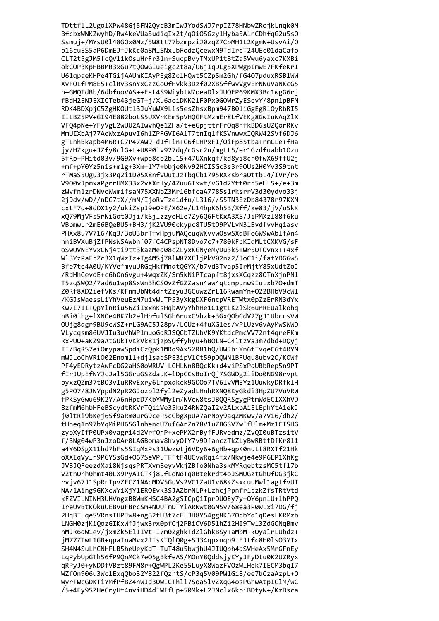TDttflL2UgolXPw48Gj5FN2QycB3mIwJYodSWJ7rpIZ78HNbwZRojkLnqk0M BfcbxWNKZwyhD/Rw4keVUa5udiqIx2t/q0iOSGzylHyba5AlnCDhfqG2u5s0 Ssmuj+/MYsU0148GOx0Mz/5W8tt77bzmpziJ0zqZ7CpMH1L2KgmW+UsvAi/O b16cuES5aP6DmEJfJkKc0a8MlSNxLbFodzQcewxN9TdIrcT24UEc01daCafo CLT2t5gJM5fcQVl1kOsuHrFr31n+SucpBvyTMxUP1tBtZa5Vwu6yaxc7KXBi okCOP3KpHBBMR3xGu7tQOwGIueigc2t8a/U6jIqDLg5XPWgpImwE7FKfeKrI U61qpaeKHPe4TGijAAUmKIAyPEg8ZclHQwt5CZpSm2Gh/fG407pduxRSBlWW XvFOLfPM8E5+clRv3snYxCzzCoQfHvkk3Dzf02XBSffwvVgvErNNuVaNKcG5 h+GMQTdBb/6dbfuoVAS++EsL4S9WiybtW7oeaDlxJUOEP69KMX3Bc1wgG6rj fBdH2ENJEXICTeb43jeGT+j/Xu6aeiDKK21F0Px0GOWrZyESevY/8pn1pBFN RDK4BDXpjC5ZgHKOUtlSJuYuWX9Lis5esZhsxBpm947B0liGgEgRlOyRbRI5 IiLBZ5PV+GI94E882botS5UXVrKEm5pVHQGFtMzmEr8LfVEKg8GwIuWAqZlX VFQ4pNe+YFyVgL2wUU2AIwvhQe1ZHa/t+eGpjttrFrOq8rfkBD6sUZQorRKv MmUIXbAj77AoWxzApuvI6hlZPFGVI6A1T7tnIg1fKSVnwwxI0RW42SVf6DJ6 gTLnhBkapb4M6R+C7P47AW9+d1f+ln+C6fLHPxFI/OiFp85tba+rmCLe+fHa jy/HZkgu+JZfy8clG+t+U8P0iv927dq/cGsc2n/mgtt5/er1Gzdfuabb10zu 5fRp+PHitd03v/9G9Xv+wpe8ce2bL15+47UXnkqf/kd8yi8cr0fwX69ffU2j +mf+pY0Yz5n1s+mlg+3Xm+1Y7+bbje0Nv92HCISGc3s3r90Us2H0Yv3S9tnt rTMaS5Ugu3jx3Pq2i1D05X8nfVUutJzTbqCb1795RXksbraOttbL4/IVr/r6 V900vJpmxaPgrrHMX33x2vXXrly/4Zuu6Txwt/vG1d2Ytt0rr5eHlS+/e+3m zWvfn1zrDNvoWwmifsaN75XXNpZ3Mr16bfcaA7785s1rksrrV3d30ydvo33j 2j9dv/wD//nDC7tX//mN/IjoRvTze1dfu/L316//S5TN3EzDb84378r97KXN cxtF7q+8d0X1y2/ukiZspJ9eOPE/X62e/L14bpK6h5B/Xff/xe83/jV/u5kK xQ79MjVFs5rNiGot0Jji/kSjlzzyoHle7Zy6Q6FtKxA3XS/JiPMXzl88f6ku VBpmwLr2mE6BQeBU5+BH3/jK2VU90ckypc8TU5t09PVLvN31BvdfvvHq1asv PHXx8u7V716/Kq3/3oU3brTfvHpjuMAQcuqWKvvwOswSXqBFo6W9wAblfAn4 nniBVXuBjZfPNsWSAwbhf07fC4CPspNT8Dvo7c7+780kFcKIdMLtCXKVG/sF oSwUVNEYvxCWj4ti9tt3kazMed08cZLyxKGNyeMyDu3k5+Wr50TOvnx++4xf Wl3YzPaFrZc3X1qWzTz+Tg4MSj78lW87XEljPkV02nz2/JoC1i/fatYDG6w5 Bfe7te4A0U/KYVefmyuURGgHkfMndtQGYX/b7vd3Tvap5IrMjtY85xUdtZoJ /RdHhCevdE+c6hOn6vgu+4wqxZK/Sm5kNiPTcapft8jxsXCqzz8OTnXjnPNl T5zqSWQ2/7ad6u1wp8SxWnBhCSQvZfGZZasn4aw4qtcmpunw9IuLxb70+dmT Z0Rf8XD2iefVKs/KFnmUbNt4dntZzyu3GCuwzZrL16RwamYn+022BHbV9cWl /KGJsWaessLiYhVeuEzM7uivWuTP53yXkgDXF6ncpVRETWtx0pZzErRN3dYx Kw7I71I+QpYlnRiu56ZiIxxnKsHqbAVyYhhHe1C1gtLK2lSk6urREUalkohq hBi0ihg+1XNOe4BK7b2e1HbfulSGh6ruxCVhzk+3GxQObCdV27gJ1UbccsVW OUjg8dgr9BU9cWSZ+rLG9AC5J28pv/LCUz+4fuXGles/vPLUzv6vAyMwSWWD VLycqsm86UVJIu3uVhWPlmuoGdRJSQCbTZUbVK9YKtdcPmcVV72nt4qreFKm RxPUQ+aKZ9aAtGUkTvKkVk81jzpSQffyhyu+hBOLN+C4ltzVa3m7dbd+DQyj II/BqRS7eiOmypawSpdiCzQpk1MRq9AxS2R81hQ/UWJbiYn6tTvqeC6t40YN mWJLoChVRiO02Enoml1+djlsacSPE3ipVlOt59pOQWN1BFUqu8ubv2O/KOWf PF4yEDRytzAwFcDG2aH60oWRUV+LCHLNn8BQcKk+d4viPSxPqUBbRep5n9PT fIrJUpEfNYJcJal5GGruGSZdauK+lDpCCsBoIrQj7SGWDg2iiDo0NG98rvpt pyxzQZm37tBO3vIuRRvExry6Lhpxqkck9GOOo7TV6lvVMEYz1UuwkyDRfklH g5P07/8JNYppdN2pR2GJozbl2fyl2eZyadLHnhRXNQ8KyGkdi3HpZU7VuVRW fPKSyGwu69K2Y/A6nHpcD7KbYWMyIm/NVcw8tsJBQQRSgygPtmWdECIXXhVD 8zfmM6hbHFeBScydtRKVrTQi1Ve35kuZ4RNZQaI2v2ALxbAiELEphYtA1ekJ j01tRi9bKej65f9aRm0urG9ceP5cCbgXpUA7arNoy9aq2MKwv/a7V16/dh2/ tHneg1n97bYqMiPH65GlnbencU7uf6ArZn78V1uZBGSV7wIfUlm+Mz1CISHG zvpXvIfP0UPx0vagri4d2VrfOnP+xePMX2rBvfFURvedmz/ZvOI0uBTzsitV f/SNg04wP3nJzoDAr0LAGBomav8hvvOfY7v9DfanczTkZLvBwRBttDfKr811 a4Y6DSgX11hd7bFs5SIaMxPs31Uwzwti6VDv6+6gHb+apK0nuLt8RXTf21Hk oXXIaVvlr9PGYSsGd+067SeVPuTFFtF4UCvwRai4fx/Nkwie4e9P6EP1XhKg JVBJQFeezdXai8NjsgsPRTXvmBeyvVkjZBfo0Nha3skMYRgebtzsMC5tfl7b v2thOrh0hmt40LX9PvAICTKi8ufLoNoTa0Btekrdt4oJSMUGztGhUfDG3ikC rviv67J1SpRrTpvZFCZ1NAcMDV5GuVs2VC1ZaU1v68KZsxcuuMwl1agtfvUT NA/1Aing9GKXcwYiXiY1EROEvk3SJAZbrNLP+LzhciPpnfr1czkZfsTRtVtd kFZVILNINH3UHVngzBBWmKHSC4BA2gSICpOiIprDUOEv7v+OY6pn1U+1hPPO 1reUvBtKOkuUEBvuFBrcSm+NUUTmDTYiARNwt0GM5v/68ea3P0WLxi7DG/fi 2HaBTLaeSVRnsIHPJw8+ngB2tH3t7cFLJH8Y54gg8K670cbYd1qDesLKRMzb LNGH0zjKiQozGIKxWfJjwx3rx0pfCj2PBiOV6D51hZi2HI9Twl3ZdGONqBmv nMJR6qW1ev/jxmZk5ElIIVt+I7m02ghkTdZlGhkBSy+aMbM+kOyalrLUbdz+ jM77ZTwL1GB+qpaTnaMvx2IIsKTQlQ0g+SJ34qpxuqb9iEJtfc8H0lsO3YTx SH4N4SuLhCNHFLB5heUeyKdT+TuT48u5bwjhU4JIUQph4dSVHeAx5MrGFnEy LqPybUpGTh56fP9QnMCk7e05gBkfeAS/MOnY8QddsjyKYyJFyDtu0K2UZRyx qRPyJ0+yNDDfVBzt89FM8r+QgWPL2Ke55LuyX8WazFVOzWlHek7IECM3bqI7 WZfOn906u3WclExqQbo32Y822fQzrtS/cP3q5V09PW1Gi8/ee7bCzaAzpL+O WyrTWcGDKTiYMfPfBZ4nWJd3OWICThll7Soa5lvZXqG4osPGhwAtpIClM/wC /5+4Ey9SZHeCryHt4nviHD4dIWFfUp+50Mk+L2JNclx6kpiBDtyW+/KzDsca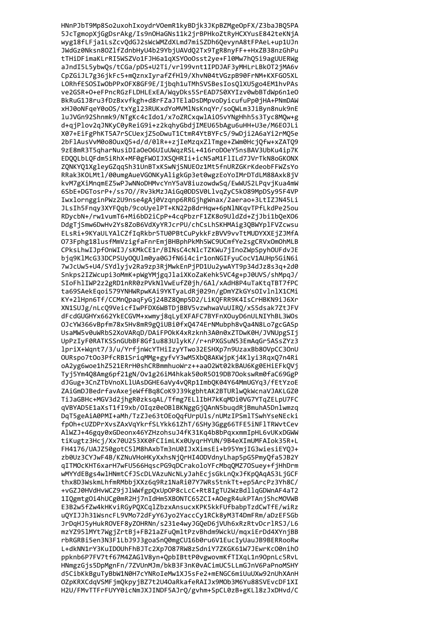HNnPJbT9Mp8So2uxohIxoydrV0emR1kyBDjk3JKpBZMgeOpFX/Z3baJBQ5PA 5JcTgmopXjGgDsrAkg/Is9nOHaGNs11k2jrBPHkoZtRyHCXYusE842teKNjA wyg18fLFja1LsZcvQdGJ2sWcWMZdXLmd7miSZDh6QevynA8tFPAeL+up1UJn JWdGz0Nksn8OZlfZdnbHyU4b29YbjUAVdQ2Tx9TgR8nyFF++HxZB38nzGhPu tTHiDFimaKLrRI5WSZVo1FJH6a1qXSYOoOsst2ye+Fl0Mw7hQ5i9agUUERWg aJndI5L5ybwQs/tCGa/pDS+U2Ti/vrl99vnt1IPDJAF3yMHLrLBkOT2jMA6v CpZGiJL7g36jkFc5+mQznxIyrafZfHl9/XhvN04tVGzpB90FrNM+KXFGO5XL LORhfESOSIwObPPxOFX8GF9E/Ijbqh1uTMhSVSBesIosQlXU5go4EM1hvPAs ve2GSR+0+eFPncRGzFLDHLExEA/WqyDks5SrEAD7S0XYIzv0wbBTdWp6n1e0 BkRuG1J8ru3fDzBxvfkgh+d8rFZaJTElaDsDMpvoDyicufuPp0jHA+PNmDAW xHJ0oNFqeY0oOS/txYgl23RUKxdYoMVMlNsKnqYr/soQWLm3JiByn8nuk9nE luJVGn92Shnmk9/NTgKc4cIdo1/x7oZRCxqwlAiO5vYNgHhh5s3Tyc8MQw+g d+qjPlov2qJNKyC0yReiG9i+z2kqhyGbdjIMEU65bAgu6uHH+U3e/M6E0JLi X07+EiFgPhKT5A7rSCUexjZ5oDwuT1CtmR4YtBYFc5/9wDji2A6aYi2rM05e 2bFlAusVvM0o8OuxQ5+d/d/0lR++zjIeMzqxZlTmge+ZWm0HcjQfw+xZATQ9 9zE8mR3T5gharNusiDIaOeO6UIuUWgzRSL+416roDOeY5nsBAV3UbKu4ip7K EDOOLbLOFdm5iRhX+MF0gFWOIJXSOHRIi+icN5aM1FlILd7JVrTkN8oGKONX ZONKYO1XgleyGZqqSh31UnBTxKSwNjSNUEOz1Mt5fnURZGKrKdeobFFWZsYo RRak3KOLMtl/00umgAueVGONKyAligkGp3et0wgzEoYoIMrDTdLM88Axk8jV kvM7gXiMnqmEZ5wPJwNNoDHMvcYnY5aV8iuzowdwSq/EwWUS2LPqvjKua4mW 6SbE+DGTosrP+/ss70//Rv3kMzJAiGq0DDSV0LlvqZyC5k089MpDSy95F4VP IwxlorngginPWz2U9nse4gAj0Vzqnp6RRGjhgWnax/2aerao+3LtIZJN45Li JLsIh5Fnqy3XYFQqb/9coUye1PT+KN22p8drHqw+6pN1NKqvTPfLkdPe25ou RDycbN+/rw1vumT6+Mi6bD2iCpP+4cqPbzrF1ZK8o9UldZd+ZjJbi1bQeXO6 DdgTjSmw6DwHv2Ys8ZoB6VdXyYRJcrPU/chCsLhSKHMAig3QBWYp1FVZcwsu ELsRi+9KYaULYAlCZfIqRkbr5TU0PBtCuPykkFzBVV9vvTtMUDYXXEjZJMfA 073Fphg18lusfMmVzigfaFnrEmjBHBphPkMh5WC9UCmfYe2sgCRVxOmOhMLB CPksLhwIJpfOnWIJ/sKMkCE1r/BINsC4cNlcTZKWu7jInoZWpSpyhOUFdvJE bjq9KlMcG33DCPSUyOQUlm0ya0GJfN6i4cir1onNGIFyuCocV1AUHp5GiN6i 7wJcUw5+U4/SYdlyjv2Ra9zp3RjMwkEnPjPD1Uu2ywAYT9p34dJz8s3q+2d0 Snkps2IZWcupi3oMmK+pWgYMjgqJlaiXKoZaKehk5VC4g+pJ0UVS/shMpqJ/ SIoFhlIWP2z2gRD1nRR0zPVkNlVwEufZ0jh/6Al/xAdH8P4uTaKtqTBT7fPC ta69SAekEqoi579YNHWRpwKAi9YKTyaLdRj029n/gDmYZkGYsOIvlnlX1CMi KY+2lHpn6Tf/CCMnQpaqFyGj24BZ8Qmp5D2/LiKQFRR9K4IsCrHBKN9iJ6Xr XN1SUJg/nLcQ9VeicfIwPFDX6WBTDjBBV5vzwhwaVuUIRQ/xS5dsak7ZtJFV dFcdGUGHYx662YkECGVM+xwmyj8qLyEXFAFC7BYFnXOuyD6nULNIYhBL3WOs OJcYW366vBpfm78x5Hv8mR9gQiUBi0fxQ474ErNMubph8vQa4N8Lo7gcGASp UsaMW5v0uWRbS2XoVARqD/DAiFPOkK4xRzknh3A0n0xZTDwK0H/JVNUpgSIj UpPzIyF0RATKSSnGUbBF8Gf1u883UlykK//r+nPXGSuN53EmAqGr5ASsZYz3 lpriX+Wqnt7/3/u/YrfjnWcYTHiIzyYTwo32ESHXp7n9UzaxBb8OVpCC3OnU OURspo7t0o3PfcRB1SrigMMg+gyfvY3wM5XbQ8AKWjpKj4Klyi3RqxQ7n4Ri oA2yg6woe1hZ521ERrH0shCRBmmhuoWrz++aaO2Wt02kBAU6Kg0EHiEFkQVj Tyj5Ym4Q8Amg6pf21gN/Ov1g26iM4hkak50oR5019DB70okswRm0faC69GgP dJGug+3CnZTbVnoXLlUAsDGHE6aVy4vQRp1ImbQK04Y64MmUGYq3/fEtYzoE ZAiGmDJBedrfavAxejeWffBq8CoK9J39kgbhtAK2BTURlwQkWcnaVJAKLGZ0 TiJaGBHc+MGV3d2jhgR0zksqAL/Tfmg7ELlIbH7kKqMDi0VG7YTqZELpU7FC qVBYAD5E1aXsT1fI9xb/OIqz0eOBlBKNggGjQAnN5buqdRjBmuhA5Dnlwmzq DqT5geAiA0PMI+aMh/TzZJe63tOEoQqfUrpUls/nUMzIPSmlTSwhYseNEcki fp0h+cUZDPrXvsZAxVqYkrfSLYkk61ZhT/6SHy3Ggg66TFE5iNF1TRWvtCev AlWZJ+46gav0xGDeonx46YZHzohsuJ4fK31Ka4b8bPaxxmmIpHL6vUKxDGWW tiKugtz3Hci/Xx70U253XK0FCIimLKx0UvarHYUN/9B4eXImUMFAIok35R+L FH4176/UAJZ50gotC51M8hAxbTm3nU0IJxXimsEi+b95YmiIG3wiesiEY0J+ zb0Uz3CYJwF4B/KZNuVHoHKvXxhsNiOrHI4ODVdnvLhap5pG5PmvOfa5JB2Y gITMOcKHT6xarH7wFU566HgscPG9gDCrakoloYFcMbgOMZ70Suey+fiHhDrm wMYYdEBgs4wlHNmtCfJScDLVAzuNcNLvJahEcisGkLnOxJfKpOAqAS3LiGCF thx8D3WskmLhfmRMbbiXXz6q9Rz1NaRi07Y7WRs5tnkTt+ep5ArcPz3Yh8C/ +vGZJ0HVdHvWCZ9iJlWWfgpOxUpOP8cLcC+Rt8IgTU2WzBdllaGDWnAF4aT2 1I0gmtg0i4hUCg0mR2Hi7nIdHm5XB0NTC65ZCI+A0egR4ukPTAniShcM0VWB E3B2w5fZw4kHKviRGyPOXCglZbzxAnsucxKPK5kkFUfbabpTzdCwTfE/wiRz u0YIJJh31WsncFL9VMo72dFvY6Jvo2YaccCv1RCk8vM3T4DmFRm/aDzEFSGb JrDaHJ5vHukROVEF8vZOHRNn/s231e4wvJGOeD6iVUh6xRzRtvDcrlRSJ/L6 mzYZ951MYt7WgiZrtBi+FB21aZFuOmltPzvBhdm9WckU/maxiErDd4XYniBB rbRGRBi5en3N3F1LbJ9J3goaSnQ0mgCU16b0ru6V1EucIyUauJB9BERRooRw L+dkNN1rY3KuIDOUhFhBJTc2Xp7087RW8zSdniY7ZKGK61W7JEwrKc00nih0 ppknb6P7FV7tf67M4ZAGlV8yn+QpbIBttP0vgwovmKfTIXqL1n9OpnLc5RvL HNmgzGjs5DpMgnFn/7ZVUnMJm/bkB3F3nK0vACimUC5LLmGJnV6PaPnoMSHY d5CibKkBguTyBbW1N0H7cYNRoIeMw1XJ5sFe2+mENGC6miUuUXw92nUhXAnH OZpKRXCdqVSMFjmQkpyjBZ7t2U4OaRkafeRAIJx9MOb3M6Yu88SVEvcDF1XI H2U/FMvTTFrFUYY0icNmJXJINDF5AJrQ/gvhm+SpCL0zB+gKLl8zJxDHvd/C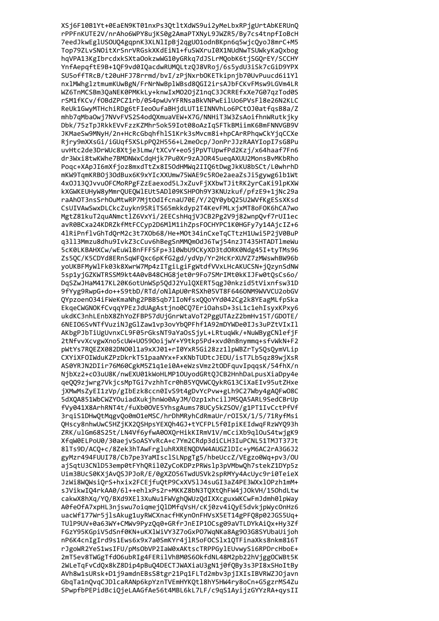XSj6F10B1Yt+0EaEN9KT01nxPs3QtltXdWS9ui2yMeLbxRPjgUrtAbKERUnQ rPPFnKUTE2V/nrAho6WPY8ujKS0g2AmaPTXNyL9JWZR5/By7cs4tnpfIoBcH 7eedJkwEglUSOUQ4gqpnK3XLNlIpBj2qgU01odnBKpn6q5wjcQyoJ8mrC+M5 Top79ZLvSNOitXrSnrVRGskXKdEiN1+fuSWXruI0X1NUdNwTSUWkyKaQxbog hqVPA13KgIbrcdxkSXtaOokzwWG10yGRkq7dJSLrMQobK6tjSGQrEY/SCCHY YnfAepqftE9B+1QF9vd0IQacdwRUMQLtzQJ8VRoj/6s5ydU3iSk7cGiD9YPX SU5offTRcB/t20uHFJ78rrmd/bvI/zPjNxrbOKETkipnjb70UvPuucd6i1Yl nxlMWhglztmumKUwBgN/FrNrNwBplWBsd8QGI2irsAJbFCKvFMsw9LGVm4LR WZ6TnMCSBm3QaNEK0PMKkLy+knwIxM020jZ1nqC3JCRREfxXe7G07qzTod0S rSM1fKCv/f0BdZPCZ1rb/0S4pwUvYFRNsaBkVNPwEilUo6PVsFl8e26N2KLC ReUk1GwyMTHchiRDg6tFIeoOufaBHjdLUT1EINNVhLo6PCt0J0atfqsB8a/Z mhb7qMbaOwj7NVvFVS2S4odQXmuaVEW+X7G/NNHiT3W3ZsAoifhnWRutkjky Dbk/75zTpJRkkEVvFzzKZMhr5ok59Iot08oAzIqSFTkBMiimK6BmFNNVGB9V JKMaeSw9MNyH/2n+HcRcGbghfhlS1Krk3sMvcm8i+hpCArRPhgwCkYjgCCXe Rjry9mXXsGi/iGUqf5XSLpPQ2H556+L2meOcp/JonPrJJzRAAYIopI7sG8Pu uvHtc2de3DrWUc8Xtie3Lmw/tXCvY+eo5iPpVTUpwfPd2Kzi/x64haaf7Fn6 dr3Wxi8twKWhe7BMDNWxCdqHjk7Pu0Xr9zAJ0R45ueqAXUU2MonsBvMKbRho Pogc+XApJI6mXfjoz8mxdTtZx8I50dHMWg2II06tDwgJkKU8bSCt/L0whrhD mKW9TqmKRB0j3OdBux6K9xYIcXXUmw75WAE9c5R0e2aeaZsJi5gywg6lb1Wt 4x0J13QJvvuOFCMoRPgFZzEaexod5LJxZuvFjXXbwTJitRK2yrCaKi9lpKXW kXGWKEUHyW8yMmrOUEOWlEUt5AD109KSHPOh9Y3KNUzkuf/pfzE9+1jNc29a raAhOT3nsSrhOuMtwRP7MjtOdIfcnaU70E/Y/2QY0ybQ25U2WVfKgESsXKsd CsUIVAwSwxDLCkcZuykn9SRiTS65mkkdyp2T4KevFMLxjxMT8oF0K6hCA7wo MgtZ81kuT2quANmctlZ6VxYi/2EECshHqjVJCB2Pg2V9j82wnpQvf7rUI1ec avR0BCxa24KDRZkfMtFCCyp2D6MlM1ihZpsFOCHYPC1K0HGFy7y14AjcIZ+6 41RiPnflvGhTdQrM2c3t7XOb68/He+MOt34inCxeTqCTtzH1Uwi5P2jV0BuP q3113Mmzu8dhu9IvkZ3cCuv6hBegSnMMQmOdJ6Twj54nzJT435HTADT1meWu 5cK0LKBAHXCw/wEuWl8nFFFSFp+310WbU9CKyXD3tdORK0Ndg45I+tyTMs96 Zs5QC/K5CDYd8ERnSqWFQxc6pKfG2gd/ydVp/Yr2HcKrXUVZ7zMWswhBW96b yoUKBFMyWlFk03k8XwrW7Mp4zITgiLgiFgWtdfVVxLHcAKUCSN+jQzynSdNW 5sp1yjGZKWTRSSM9kt4A0vB48CHG8jet0r9Fo7SMrIMt0kKIJFw0tQsCs6o/ DqSZwJHaM417KL20K6otUnWSp5QdJ2YulQXERT5qgJ0nkzid5tVixnfsw31D 9fYyg9RwpG+do++S9tbD/RTd/oN1ApU0rRSXh05VT8F6460NM9WVCU2obGV QYpzoenO34iFWeKmaNhg2PBB5qb7lIoNfsxQQoYYd042Cg2k8YEagMLfpSka EkgeCWGNOKfCvgqYPEzJdUAgAstjno0CQ7EriOahsD+3sL1c1ehIsyxKPxy6 ukdKC3nhLEnbX8ZhYoZFBP57dUjGnrWtaVoT2PggUTAzZ2bmHv15T/GDOTE/ 6NEIO6SvNTfVuziNJgGlZaw1vp3ovYbQPFhf1A92mDYWDe0IJs3uPZtVIxIl AKbgPJbTiUgUvnxCL9F05rGksNT9aYaOsSjyL+LRtuqWk/+NuWBygCNlefjF 2tNfvvXcvgwXno5cUW+U0590oijwY+Y9tkp5Pd+xvd0n8nymmq+sfvWkN+F2 pWtYs7RQEZX082DNO0l1a9xXJ01+rI0YxR5Gi28zz1lpWBZrTySQsQymVLip CXYiXFOIWduKZPzDkrkT51paaNYx+FxKNbTUDtcJEDU/isT7Lb5qz89wjXsR AS0YRJN2DIir76M60CgkM5Z1q1ei0A+eWzsVmz2tODFquvIpqqsK/54fhX/n NjbXz2+c03uU8K/nwEXU01kWoHLMP10UyodGRtQJCB2HnhDaLpusXiaDpy4e qeQQ9zjwrg7VkjcsMpTGi7vzhhTcr0hB5YQVWCQykRG13CiXaEIv95utZHxe jXMwMsZyEI1zVp/gIbEzk8ccn0IvS9t4gDvYcPvw+gLh9C27Wby4gAQFw08C 5dXQA851WbCWZYOuiadXukjhnWo0AyJM/Ozp1xhcilJMSQA5ARL9SedCBrUp fVy041X8ArhRNT4t/fuXb00VE5YhsgAums78UCy5kZS0V/g1PT1IvCctPfVf 3rgiS1DHwQtMqgvQo0mO1eMSC/hrDhMRyhCdRmaUr/rOI5X/1/5/71RyfMsi OHscy8nhwUwC5HZjKX2OSHpsYEXOh4GJ+tYCFPL5f0IpiKEIdwgFRzWYO93h ZRK/ulGm68S25t/LN4Vf6vfwA00XOrHikKIRmV1V/mCciXb9alOuS4twigK9 XfaW@ELPoU0/30aeivSoASYvRcA+c7Ym2CRdp3diCLH3IuPCNL51TMJT37Jt 81Ts9D/AC0+c/8Zek3hTAwFrg1uhRXRENODVW4AUGZ1DIc+vM6AC2rA3G6J2 gyMzr494FUUI78/Cb7pe3YaMIsclSLNpgTg5/hbeUccZ/VEgzo0Wg+py3/OU ajSqtU3CN1D53emp0tFYhQRil0ZyCoKDPzPRWslp3pVMbwQh7stekZ1DYp5z Uim3BUcS0KXiAvOSJPJoR/E/0gXZO56TwdUSVk2spRMYv4AcUvc9ri0TeieX JzWi8WOWsiOrS+hxix2FCEjfuOtP9CxXV51J4suGI3aZ4PE3WXx1OPzh1mM+ sJVikwIO4rkAA0/61++ehlxPs2r+MKKZ8bN3TOXtOhFW4iJOkVH/15OhdLtw cakwX8hXq/YO/BXd9XE13XuNu1FWVghOWUzOdIXXcguxWKCwFmJdmh01pWav A0fe0fA7xpHL3njswu7oigmej01DMfgVsH/cKj0zv4i0yE5dvkjpWyc0nHz6 uacWf177Wr5jlsAkug1uyRWCXnacfHKynOnFHVsX5ET14gPF08p02JGS5Uq+ TUlP9UV+0a63WY+CMWv9PyzQq0+GRfrJnEIP1OCsg09aVTLDYkAi0x+Hv3Zf FGzY95KGpiV5dSnf0KN+uKXlWiVY3Z7oGxP07WaNKa8Ag903G8SYUbaUijoh nP6K4cnIgIrd9s1Ews6x9x7a0SmKYr4jlR5oFOCSlx1QTFinaXks8nkm816T rJgoWR2YeS1wsIFU/pMsObVP2IaW0xAKtscTRPPGylEUvwySi6RPDrcHboE+ 2mT5ev8TWGgTfd06ubRIg4FERilVhBM0S60kfdNL48M2pb22hVjggOCWBt5K 2WLeTqFvCdQx8kZ8Dip4pBuQ4DECTJWAXiaU3gN1j0fQBy3s3PI8xSHoItBy AVh8w1sURsk+D1j9amdnEBsS8tgr21Pq1FLTd2mbv3pjIXIsIBVRWZJOjavn GbqTa1nQvqCJDlcaRANp6kpYznTVEmHYKQtl8hY5HW4ry8oCn+G5gzrMS4Zu SPwpfbPEPidBciQjeLAAGfAe56t4MBL6kL7LF/c9qS1AyijzGYYzRA+qysII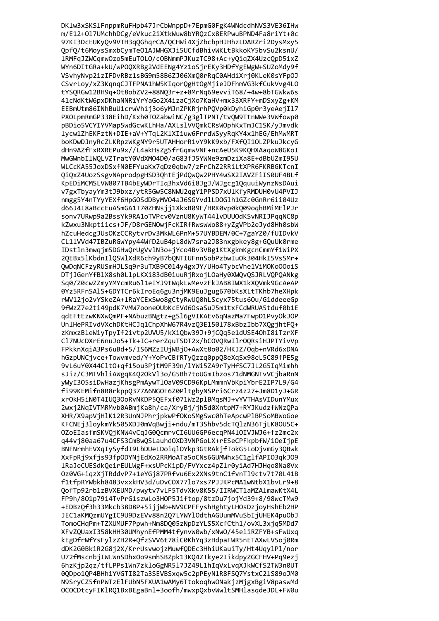DK1w3xSKS1FnppmRuFHpb47JrCbWnppD+7EpmG0FgK4WNdcdhNVS3VE36IHw m/E12+Ol7UMchhDCg/eVkuc2iXtkWuw8bYRQzCx8ERPwuBPND4Fa8riYt+0c 97KI3DcEUKyQv9VTH3qQGhqrCA/QCHWi4XjZbcbpHJHhzLDARZri2DysMxy5 QpfQ/t6MoysSmxbCymTeO1AJWHGXJi5UCfdBhivWKLtBkkoKY5bvSu2ksnU/ 1RMFqJZWCqmwOzo5mEuTOLO/cOBNmmPJKuzTC98+Ac+yQiqZX4UzcQpD5ixZ WYn6DItGRa+kU/wPOQXRBg2VdEENg4Yz1oSjrEKy3HDfYgEWgW+SUZoMdy9f VSvhyNvp2izIFDvRBz1sBG9m58B6ZJ06XmQ0rRqC0AHdiXrj0KLeK0sYFp0J CSvrLoy/xZ3KqnqCJTFPNA1hW5KIqorQgHtOgMjieJDFhmVG3kfCukVvg4LO tYSQRGw12BH9q+0t8obZV2+88NQ3r+z+8MrNq69evviT68/+4w+8bTGWkw6s 41cNdKtW6pxDKhaNNRiYrYaGo2X4izaCjXo7KaHV+mx33XRFY+mDSxyZg+KM EEBmUtm86INhBuU1crwVhij3o6yMJnZPKRjrhPQVp0kDyhiGp0r3yeAejIl7 PXOLpmRmGP338EihD/Kxh0TOZabwiNC/g3glTPNT/tvQW9TtnWWe3VWfowp0 pBDio5VCYIYVMap5wdGcwKLhHa/AXLslVVQmkCRsWOphKxTmJC1SK/yJmvdk lycw1ZhEKFztN+DIE+aV+YTgL2KlXIiuw6FrrdWSyyRgKY4x1hEG/EhMwMRT boKDwDJnyRcZLKRpzWKgNY9r5UTAHHorR1vY9kK9xb/FXfQI10LZPkuJkcyG dHn9AZfFxRXREPu9x//L4akHsZgSfrGqmwVNF+ncAeU5K9K0HXAagoW8GKoI MwGWnbIlWOLVZTratY0VdXMO4D0/aG83fJ5YWNe9zmDziXa8E+dBbUZmI95U WLCcKA55JoxDSxfN0EFYuaKx7qDz0qbw7/zFrChZ2RRiLtXPR6FKRBGKTcnI QiQxZ4UozSsgvNAprodpgHSD3QhtEjPdQwQw2PHY4wSX2IAVZFiIS0UF4BLf KpEDiMCMSLVW807TB4bEyWDrTIq3hxVd6i8JgJ/WJgcg1QquuiWynzNsDAui v7gxTbyayYm3tJ9bxz/ytR5Gw5C8NWU2qgY1PPSD7xUlKfyRMDUH0vU4PVIJ nmgg5Y4nTYyYEXf6HpGOSdDByMVO4aJ6SGYvdlLDOGlh1GZc0GnRr6ii04Uz d66J4I8aBccEuASmGA1T70ZHNsjj1XkxB09F/HRK0vp0kQ09oqhBMiMElPJr sonv7URwp9a2BssYk9RA1oTVPcv0VznU8KyWT441vDUU0dKSvNRIJPggNC8p kZwxu3Nkpti1cs+JF/D8rGENOwjFcKIRfRwswWo88+yZgVPb2eJyd8Hh0sbW hZcuHedcgJUsOKzCCRytvrDv3MkWL6PnM+57UYBDEM/0C+7gaYZ0/fUIDvkV CL11VVd47IBZuRGwYpy44WfD2uB4pL8dW7sra2J83nxgbkey8g+GQuUk0rme IDstln3mwqjm5DGHwQrUgVvlN3o+jYco4Bv3VBg1KtXgkmKgcnCmmYf1WiPX 2QEBx51KbdnI1QSW1XdR6ch9yB7bQNTIUFnnSobPzbwIuOk304HkI5VsSMr+ QwDqNCFzyRUSmHJLSq9r3uTXB9C014y4gxJY/UHo4TybcVhe1ViMOKoOOoiS DTjJGenYfBlX8sh0LlpLKXi83dB0iuuRjRxojLOaHy0XWQvQSJRLVQPQANkg Sq0/Z0cwZZmyYMYcmRu6l1eIYJ9tWqkLwMevzFkJAB8IWX1kXQVmk9GcAeAP 0Yz5RFnSAlS+GDYTCr6kIroEq6gu3njMK9EuJgug670bKsXLtTKhb7heXHpk rWV12jo2vYSkeZA+lRaYCExSwo8gCtyRwUQ0hLScyx75tus60u/G1ddeeeGp 9fWzZ7e2ti49pdK7VMW7ooneOUbKcEVd6OsaSuJ5m1txFCdWRUA5tduf0b1E qdEFtEzwKNXwQmPF+NAbuzBNgtz+gSl6gVIKAEv6qNazMa7FwpD1PvyOkJOP UnlHePRIvdVXchDKtHCJq1ChpXhW67R4vzQ3E150l78xBbzIbb7XQgjhtFQ+ zKmxzBleWiyTpyIf2ivtp2UVU5/kXiQbw39J+9jCQq5e1dUSE40hI8iTzrXF Cl7NUcDXrE6nuJo5+Tk+IC+rerZquTSDT2x/bCOVQRwIlrOQRsiHJPTYivVp FPkknXqiA3Ps6uBd+5/IS6MZzIUjWBjO+AwXt8o02/HKJZ/Oqb+nVRd6xDNA hGzpUNCjvce+Towvmved/Y+YoPvCBfRTyQzzq0ppQ8eXqSx98eL5C89fPE5g 9vL6uY0X44CltO+qf15ou3PjtM9F39n/lYWi5ZA9rTyHfSC7JL2G5IqMimhh sJiz/C3MTVhliAWgqK4Q2OkVl3o/G5Bh7toUGmIbzos71dNMGNTvVCjbaRnN yWyI3O5siDwHazjKhsgPmAywTlOaV09CD96KpLMmmnVbKpiYbrE2IP7L9/G4 fi99KEMifn8R8rkppQ377A6NGOF6Z0PltgbyNSPri6Crz4z27+Jm8D1yJ+GR xr0kH5iN0T4IUQ30oRvNKDP5QEFxf071Wz2p1BMqsMJ+vYVTHAsVIDunYMux 2wxj2NqIVTMRMvb0ABmjKa8h/ca/XryBj/jh5d0XntpM7+RYJKudzfWNzQPa XHR/X9apVjHlK12R3UnNJPhrjpkwPfOKoSMgSwc0hTeApcwPlBPSoMBWoGoe KFCNEj3loykmYk505XDJ0mVqBwji+ndu/mT3Shbv5dcT0lzN36TjLK80U5C+ OZoEIasfmSKVOiKNW4vCaJG00cmrvCI6UU6GP6ecaPN410IVJWJ6+fz2mc2x q44vi80aa67u4CFS3CmBwOSLauhdOXD3VNPGoLX+rESeCPFkpbfW/10eIipE BNFNrmhEVXaIvSvfdI9LbDUeLDoialOYkp3GtRAkifTokG5LoDivmGv3OBwk XxFpRi9xfis93fp0DYNiEdXo2RRMoATa5oCNs6GUMWhx5C1glfAPI03qkJ09 1RaJeCUESdkQeirEULWgF+xsUPcKipD/FVYxcz4pZlr0yiAd7HJHqo8Na0Vx 0z0VG+iazXiTRddvP7+1eYGi87PRfvu6Ex2XNs9tnC1fvnTl9ctv7t70L41B f1tfpRYWbkh8483vxxkHV3d/uDvCOX771o7xs7PJJKPcMA1wNtbX1bvLr9+8 OofTp92rb1zBVXEUMD/pwvtv7vLF5TdvXkv8K55/IIRWCT1aMZAlmawKtX4L FP9h/801p7914TvPrG1szwLo3H0P5Jiftop/8tzDu7ioiYd39+8/98wcTMw9 +EDBzQf3h33Mkcb38D8P+5ijjWb+NV9CPFFyshHghtyLHOsDzjoyHshEb2HP JEC1aKMOzmUYgIC9U9DzEVv88n207LYWY10dthAGUumMVuSbIiUHEK4pu0bJ TomoCHaPm+TZXUMUF7Ppwh+Nm8D005zNpDzYLS5XcfCth1/ovXL3xia5MDd7 XFvZOUaxI358kHH30UMhvnEfPMM4tfvnvW0wb/xNw0/45eliRZFYB+sFwUxq kEgDfrWfYsFylzZH2R+OfzSVV6t78iC0KhYq3zHdpaFWR5nETAXwLV5oj0Rm dDK2G0BkiR2G8j2X/KrrUsvwojzMuwfQDEc3HhiUKauiTy/Ht4UqylPl/nor U72fMscnbjIWLWnSDhxOo9smhSBZpk13KQ4ZTkye2IikdpyZGCFHV+Pq9ezj 6hzKjp2qz/tfLPPs1Wn7zkloGgNR5l7JZ49L1hIqVxLvqXJkWCfS2TW3n0UT 0QDpo1QP4BHhiYVGTI82Ta3SEVBSxqw5c2pPEyNlR8FSQ7YstxC2lS89oJM0 N9SryCZ5fnPWTzElFUbN5FXUA1wAMy6TtokoqhwONakjzMjgxBgiV8paswMd OCOCDtcyFIKlRQ1BxBEgaBnl+3oofh/mwxpQxbvWwltSMHlasqdeJDL+FW0u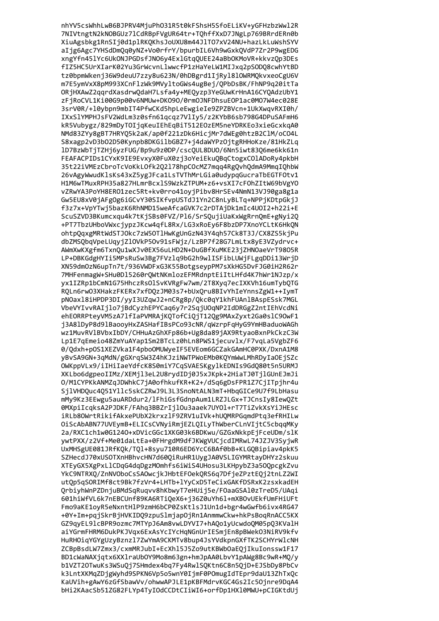nhYV5csWhhLwB6BJPRV4MjuPh031R5t0kFShsH5SfoELiKV+yGFHzbzWwl2R 7NIVtngtN2kNOBGUz71CdRBpFVgUR64tr+TQhffXxD7JNgLp769BRrdERn0b XiuAgsbkg1RnSIj0d1plRKQKhsJoUXU8m44JlTO7xV24NU+hazLkLuWshSYV aIjg6Agc7YHSdDmQq0yNZ+Vo0rfrY/bpurbIL6Vh9wGxkQVdP7Zr2P9wgEDG xngYfn45lYc6UkONJPGDsfJNO6y4ExlGtqQUEE24aBbOKMoVR+kkvzQp3DEs fIZ5HC5UrXIarK02Yu3GrWcvnLlwwcfP1zHaYeLW1MIJxq2pSODQ8cwhYtBD tz0bpmWkenj36W9deuU7zzy8u623N/0hDBgrd1IjRy1810WRMQkvxeoCgU6V m7E5ymVxX8pM993XCnFlzWk9MVyltoGWs4ugBej/QPbDsBK/FhNP9q20itTa ORjHXAwZ2qqrdXasdrwQdaH7Lsfa4y+MEQyzp3YeGUwKrHnA16CYQAdzUbY1 zFjRoCVL1Ki00G9p00v6NMUw+DK090/0rm0JNFDhsuEOP1ac0M07W4ec028E 3srV0R/+10ybpn9mbIT4PfwCKd5hpLeEwgieIe9ZPZBVcn+1UkXwqvRXI0h/ IXxSlYMPHJsFV2WdLm3z0sfn61qcqz7VlIy5/z2KYbB6sb798G4DPuSAFmH6 kR5Vubygz/829mDyTOIjqKeuIEhEqBiT512EOzEM5neYDRKEo3xieGcxkqA0 NMd83ZYy8gBT7HRYO5k2aK/ap0f221zDk6HicjMr7dWEg0htzB2ClM/oCO4L S8xagp2vD3b02D50Kynpb8DKGilbGBZ7+j4daWYPzOjtgRHHoKze/81HkZLq 1D7BzWbTjTZHj6yzFUG/Bp9u9z0DP/cscOUL8DUO/6Nn5iwt8306me6kk61n FEAFACPIDs1CYxK9IE9EvxyX0FuX0zj3oYeiEkuQBqCtogxC0lADoRy4pkbH 35t22iVMEzCbroTcVoKkL0fk202178hpC0cMZ7mgg4Rg0vh0dmA9MmgI0hbW 26vAgyWwudKlsKs43xZ5ygJFca1LsTVThMrLGia0udypqGucraTbEGTFOtv1 H1M6wTMuxRPH35a827HLmrBcxlS9WzkZTPUM+z6+vsXI7cF0hZItW69bVgY0 vZRwYA3PoYH8ER01zec5Rt+kv0rro41oyjPibv8HrSEv4NmN13VJ90ga8g1a Gw5EU8xV0jAFgOg6iGCvY30SIKfvpUSTdJ1Yn2C8nLyBLTq+NPPjKDtpGkjJ f3z7x+VpYTwj5bazK6RhNMD15weAfcaGVK7c2rDTAjDk1mIc4U0I2+h22i+E ScuSZVD3BKumcxqu4k7tKjSBs0FVZ/Pl6/SrSQujiUaKxWgRrnQmE+gNyi2Q +PT7TbzUHboVWxcjypzJKcw4qfL8Rx/LG3xRoEy6F8bzDP7XnoYCLtK6HkQN ohtpQqxgMRtWdSTJOkc7zW50TlHwKgUnGzN43Y4qh57Ck8T3J/CX8ZS5kjPu dbZMSQbqVpeLUqyjZ10VkP50v91sFWjz/LzBP7f28G7LmLtx8yE3VZydrvc+ AWmXwKXgfm6TxnQu1wXJv0EX56uLHD2N+DuGBfXuMKE23jZHNOaeVrT9805R LP+DBKGdgHYIi5MPsRuSw3Bg7FVzlq9bG2h9wlISFibLUWjFLgqDDi13WrjD XN59dm0zN6upTn7t/936VWDFxG3K55BotgseypPM7sXkHG5DvFJG0iH2R62r 7MHFenmagW+SHu0D15260rQWtNKmlozEFMRdnptEiItLHfd4K7hWr1NJzp/x yx1IZRp1bCmN1G75HhczRsOlSvKVRgFw7wm/2T8Xyq7ecIXKVh16umTybQTG RQLn6rwO3XHakzFKERx7xfDQzJM03s7+bUxQru8BIvYhIeYnnsZgW1++IymT pNOaxl8iHPDP3DI/yyI3UZqwJ2+nCRg8p/Qkc0qY1khFUAnlBAspESsk7MGL VbeVYIvvRAIjlo7jBdCyzhEPYCaq6y7r2SqjUOqNP2IdDRGgZ2ntIEhVcdNi ehEORRPteyVM5zA7lfIaPVMRAjKQTofCiQjT12Qg9MAxZyxt2Ga0slC9OwF1 j3A81DyP8d91BaooyHxZASHafIBsPCo93cNR/qWzrpFqHyG9YmHBaduoWAGh wz1MuvRVlBVbxIbDY/CHHuAzGhXFp86b+Ug8da89jAX9RtyaoBxnPkCkzC3W Lp1E7qEmeio48ZmYuAYap1Sm2BTcLz0hLn8PWS1jecuvlx/F7vqLa5VgbZF6 0/Qdxh+pOS1XEZVka1F4pboOMUWyeIF5EVEom6GCZakGAmHC0PXK/DxnA1M8 yBvSA9GN+3qMdN/gGXrqSW3Z4hKJziNWTPWoEMb0KQYmWwLMhRDyIaOEjSZc OWKppVLx9/iIHiIaeYdfcK8S0miY7CqSVAESKgylkEDNIs9GdQ80t5n5URMJ XKLbo6dgpeoIIMz/XEMjl3eL2U8rydIDj0J5xJKpk+2HiaTJ0TjlGUnEJmJi 0/M1CYPKkANMZqJDWhkC7jA0ofhkufKR+K2+/dSq6gDsFPR1Z7CjITpjhr4u SjlVHDQuc4Q51Yllc5skCZRwJ9L3L3SnoNtALN3mT+HbqGICe9U7f9LbHasu mMy9Kz3EEwgu5auARDdur2/lFhiGsfGdnpAum1LRZJLGx+TJCnsIy8IewQZt 0MXpiIcqksA2PJDKF/FAhq3BBZrIjlOu3aaek7UYOl+rT7TiZvkXsYiJHEsc iRLb80WrtRikifAkxePUbX2krxzlF9ZRV1uIVk+hUQMRPGqmdPtq3efRHILw OiScAbABN77UVEymB+ELICsCVNyiRmjEZLOILyThWberCLnVIjtC5cbggMKy 2a/RXC1ch1w0G1240+xDVicGGc1XKG03k6BDKwu/GZGxNkkpEiFceUDm/slK vwtPXX/z2Vf+Me01daLtEa+0FHrgdM9dfJKWgVUCicdIMRwL74JZJV3SviwR UxMHSgUE081JRfKOk/TO1+8svu710R6ED6YcC6BAf0bB+KLGOBipiav4pkK5 SZHecdJ70xUSOTXnHBhvcHN7d600iRuHR1UvgJA0VSLIGYMRtavDHYz2skuu XTEyGX5XgPxLlCDqG4dqDgzMOmhfs6iWiS4UHosu3LKHpybZ3a500pcgkZvu YkC9NTRXO/ZnNV0boCsSAOwcikJHbtEF0ekORS6a7DfieZPztE0i2tnLZ2WI utOp5aSORIMf8ct9Bk7fzVr4+LHTb+lYvCxD5TeCixGAKfDSRxK2zsxkadEH OrbivhWnPZDniuBMdSaRuavv8hKbwvT7eHUii5e/FOaaGSA10zTreD5/UAqi 601hiWfVL6k7nEBCUnf89KA6RTiOeX6+i36Z0uYh61+mXBOvUEkfUmFHiUFt Fmo9aKE1oyR5eNxntH1P9zmH6bCP0ZsKt1sJ1Un1d+bgr4wGwfb6ivx4RG47 +0Y+Im+pgiSkrBiHVKIDO9zpuSlmiapOiRn1AnmmwCkw+hkPsBogRnACC5KX GZ9avEL91cBPR9ozmc7MTYpJ6Am8vwLDYVI7+hAOo1vUcwdoOM05pO3KValH aiYGrmFHRM6DukPKJVax6ExAsYcIYcHaNGnUrIESmiEn8pBWek03NiRV9kfv HuRHOiaYGYgUzyBznz17ZwYmA9CKMTv8bup4JsYVdkpnGXfTK2SCHYrWlcNH ZCBpBsdLW7Zmx3/cxmMRJubI+EcXh15J5Zo9utKBWbOaEOjIkuIonssw1F17 BD1cWaNAXjqtx6XXlraUbOY9Mo8m63gn+hmJpAA0LbvY1pAWg8Bc9wR+MQ/y b1VZT20TwuKs3WSuQj7SHmdex4bq7Fy4RwlSQKtn6C8n5QjD+EJSbDy8PbCv k3LntXKMqZDjgWyhd9SPKN6Vp5o5wnY0IjmF0POmugIdTEpr9daU13ZhTxQc KaUVih+gAwY6zGfSbawVv/ohwwAPJLE1pKBFMdrvKGC4Gs2Ic5Ojnre9DqA4 bHi2KAacSb51ZG82FLYp4TyIOdCCDtCIiWI6+orfDp1HXl0MWU+pCIGKtdUj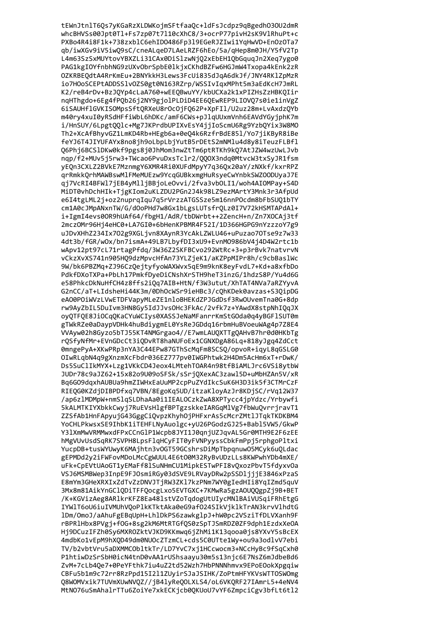tEWnJtnlT6Qs7yKGaRzXLDWKojmSFtfaaQc+ldFsJcdpz9qBgedh030U2dmR whcBHVSs00Jpt0Tl+Fs7zp07t7l10cXhC8/3+ocrP77pivH2sK9VlRhuPt+c PXBo4R4i8F1k+738zxblC6ehID0486Fp3l9EGeRJZIwi1YqHwVD+En0zOTa7 qb/iwXGv9iV5iwQ9sC/cneALqeD7LAeLRZF6hEo/5a/qHep8m0JH/Y5fV2Tp L4m63SzSxMUYtovYBXZLi31CAx0DiSlzwNjQ2xEbEH1QbGquqJn2Xeq7ygo0 PAG1kgIOYfnbhNG9zUXvObrSpbE01kjxCKhdBZFw6HGJmW4Txopa4kEnk2zR OZKRBEQdtA4RrKmEu+2BNYkkH3Lews3FcUi835dJqA6dkJf/JNY4RKlZpMzR io7HOoSCEPtADDSSlvOZS0gt0N163RZrp/WSSIvIqxMPht5m3aEdKcH7JmRL K2/reB4rDv+BzJQYp4cLaA760+wEEQBwuYY/kbUCXa2k1xPIZHsZzHBKQIir nqHThgdo+6Eg4fPQb26j2NY9gjolPLDiD4EE6QEwREP9LIOVQ7s0ie1inVgZ 6iSAUHflGVKISOMpsSftQRXeU8rOcOjFQ62P+XpFIl/U2uz28m+LvAxdzQYb m40ry4xuI0yRSdHFfiWbL6hDKc/amF6CWs+pJlqUUxmVnh6EAVdYGyjphK7m i/HnSUY/6LpgtQQlc+Mg7JKPrdbUPIXvEsY4jjIoScmU6Rg9YzbQYix3W8MO Th2+XcAfBhyvGZ1LmKD4Rb+HEgb6a+0e04k6RzfrBdE851/Yo7jiKByR8iBe feYJ6T4JIYUFAYx8no8jh9oLbpLbjYutB5rDEtS2mNMlu4d8y8iTeuzFLBfl Q6Phj6BCS1DKw0kf9pgs8j0JhMom3nwZtTm6ptRTKh9kQ7AtJZW4wzUwLJvb nqp/f2+MUv5j5rw3+TWcao6PvuDxsTclr2/QQOX3ndq0MtvcW3txSyJR1fsm yEQn3CXLZ2BVkE7MznmgY6XMR4Ri0XUFdMpyY7q36Qx20aY/zNXkf/kxrRPZ qrRmkkQrhMAWBswMlFMeMUEzw9YcqGUBkxmgHuRsyeCwYnbkSWZOODUyaJ7E qj7VcRI4BFWl7jEB4yMlljBBjoLeOvvi/2fva3vbOLI1/woh4AIOMPay+S4D MiDT0vhDchHIk+TjgKIom2uKLZDU2PGn2J4k98LZ9ezMArtY3Mnk3r3AfpUd e6I4tgLML2j+oz2nuprqIqu7q5rVrzzATGSSze5m16nnP0cdm8bFbSUQ1bTY cm1A0cJMpANxnTW/G/dOoPHd7w8Gx1bLgsLUTsfrQLz0I7V72kHSMTAPdAl+ i+IgmI4evs00R9hUAf64/fbgH1/AdR/tbDWrbt++2ZencH+n/Zn7XOCAj3tf 2mczOMr96Hj4eHC0+LA7GI0+6bHenKPBMR4F52I/1D366HGPG9nYzzzoY7g9 uJDvXHhZ234Ix702g9XGLjvn8XAynR3YcAkLZWLU46+uPuzao70Tse9z7w33 4dt3b/fGR/w0x/bn7ismA+49LB7LbyfDI3xU9+EvnM0986bV4j4D4W2rtc1b wApv12pt97cL71rtagPfdq/3W36Z2SKFBCvo292WtRc+3+p3rBvk7natvrvN vCkzXvXS741n905HQ9dzMpvcHfAn73YLZjeK1/aKZPpMIPr8h/c9cbBaslWc 9W/bk6PBZMq+ZJ96CzQejtyfyoWAXWvx5qE9m9knK8eyFvdL7+Kd+a8xfbDo PdkfDXoTXPa+PbLh17PmkfDyeDiCNshXrSTH9heT3inzG/1hdzS8P/Yu4d6G e58PhkcDkNuHfCH4z8ffs2iQq7AIB+HtN/f3W3utut/XhTAT4NVa7aRZYyvA G2nCC/aT+LIdsheHi44K3m/0DhOcWSr9ieHBc3/cQhKDek0avzas+S3QipDG eA00POiWVzLVwETDFVapyMLeZE1nloBHEKdZPJGdDsf3RwOUvemTna0G+8dp rw9AyZbIL5DuIvm3HN8Gy5IdJJvsOHc3FkAc/2vfk7z+YAwdX8stpNhIQqJX oyQTFQE8JiOCqQKaCYuWCIys0XASSJeNaMFanrrKmStGOda0q4yBGFlSUT0m gTWkRZe0aDaypVDHk4huBdiygmEL0YsReJGDdq16rbmHuBVoeuWAg4p7Z8E4 VVAyw02h8Gyzo5bTJ55KT4NMGrgao4//E7wmLAUQXTTgQAHvB7hr0d0HKbTg rQSfyNfMr+EVnGDcCt3iQDvRT8haNUFoEx1CGNXDgA86Lq+818yJgq4ZdCct 0mngePyA+XKwPRp3nYA3C44EPw87GThScMqFm8SCSQ/opvoR+iqyL8qGSLG0 OIwRLqbN4q9gXnzmXcFbdr036EZ777pv0IWGPhtwk2H4Dm5AcHm6xT+rDwK/ Ds5SuClIkMYX+Lzg1VKkCD4Jeox4LMtehTOAR4n98tfBiAMLJrc6VSi8ytbW JUDr78c9aJZ62+15x82o9U09oSFSk/sSrjQXexAC3zawl5D+uMbHZAn5V/xR Bq6GO9dqxhAUBUa9hmZIWHxEaUuMP2cpPuZYdIkcSuK6H3D3ik5f3CTMrCzF RIEQG0KZdjDIBPDfxq7VBN/8EgoKq5UD/itzaKloyAzJr8KDjSC/rVq12W37 /ap6zlMDMpW+nmSlqSLDhaAa0i1IEALOCzkZwA8XPTycc4jpYdzc/Yrbywfi 5kALMTKIYXbkkCwyj7RuEVsHlgfBPTgzskkeIARGqMlVg7fbWuQvrrjravT1 ZZSfAb1HnFApyujG43GggCiQvpzKhyhOjPHFxrAs5cMcrZMtlJTqkTKDKBM4 YoCHLPkwsxSE9IhbK1iTEHFLNyAuolgc+yU26PGodzGJ25+Babl5VW5/GkwP Y31XmMwVRMMwxdFPxCCnGlP1Wcpb8JYI1J0aniUZJavAL5Gr0MTH9E2F6zEE hMgVUvUsdSaRK7SVPH8LpsFlaHCvFIT0vFVNPvvssCbkFmPpi5rphgoPltxi YucpDB+tusWYUwvK6MAihtn3vOGT59GCshrsDiMpTbpanuwO5MCvk6uOLdac gEPMDd2v2iFWFovMDoLMcCgWUUL4E6t00M32RvBvUDzLLs8KWPwhYDb4mXE/ uFk+CpEVtUAoGT1yEMaFf8lSuNHmCU1MipkESTwPFI8v0xozPbvT5fdyxv0a VSJ6MSMBWep3InpE9FJOsmiRGv03dSVE9LRVavDRw2pSSDliiiE3846xPzaS E8mYm3GHeXRXIxZdTvZzDNVJTiRW3ZK17kzPNm7WY0gIedHIi8YaIZmd5auV 3Mx8m81AikYnGClODiTFFOocgLxo5EVTGXC+7KMwRa5gzA0UOOgpZi9B+BET /K+KGVizAeg8ARlkrKFZ8Ea48lstVZoTadogUtUIvcMNlBAiVUSaiFRhEtgG IYWlT6oU6iuIVMUhV0oPlkKTktAka0eG9af024SIkVjklkTrAN3krvVlhdtG 1Dm/OmoJ/aAhuFgEBqUpH+Lh1DkPS6zawkg1pJ+hW0pc2VSziTfDLVXanh9F rBPR1Hbx8PVgj+f0G+8sg2kM6MtRTGfQS0zSpTJSmRDZ0ZF9dph1EzdxXeOA Hi9DCuzIFZh0Sv6MXROZktVJKD9KKmwq6iZhMi1K13qooa0is8YXvY5sBcEX 4mdbKo1vEpM9hXOD49dm0NUOcZTzmCL+cds5C0UTte1Wv+ou9a3odlvV7ebi TV/b2vbtVru5aDXMMCObltkTr/LD7YvC7xj1HCcwocm3+NCcHyBc9fSqCxh0 P1htiwDzSrSbH0icN4tnD0vAA1rUShsaayu30m5s13njc6E7NsZ6mJdbeBd6 ZvM+7cLb4Qe7+0PeYFthk7iu4uZ2td52Wzh7HbPNNNhmvx9EPoE0okXpgqiw CBFu5b1m9c72rr8RzPpd15I2l1ZUyirSJaJSIHK/ZoPtmHFYKVsWTTOSWOmg Q8WOMVxik7TUVmXUwNVQZ//jB4lyReQOLXLS4/oL6VKQRF27IAmrL5+4eNV4 MtNO76uSmAhalrTTu6ZoiYe7xkECKjcb0QKUoU7vYF6ZmpciCgv3bfLt6tl2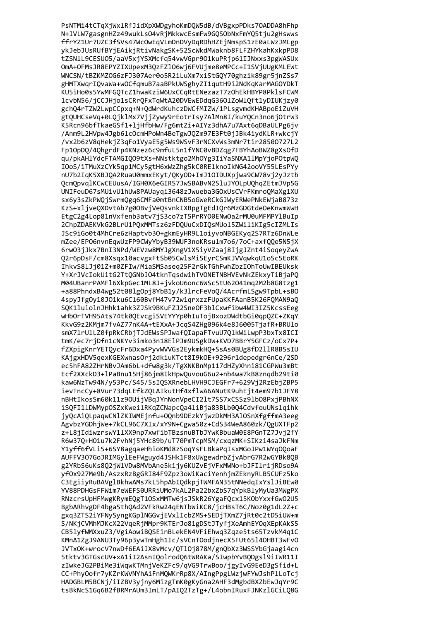PsNTMi4tCTqXjWxlRfJidXpXWDgyhoKmDQW5dB/dVBgxpPDks70ADDA8hFhp N+1VLW7gasgnHZz49wukLsO4vRjMkkwcEsmFw9GQSObNxFmYQ5tju2gHswws ffrYZ1Ur7UZC3fSVs47WcOwEqVLmDnDVyDqRDhHZEjNmspS1zE0aLWzJMLgp ykJebJUsRUfBYjEAikjRtivNakgSK+52ScWkdMWaknb8FLFZHYkahKxkpPD8 tZSNlL9CESU05/aaV5xjYSXMcfq54vwVGpr901kuPRjp61IJNxxs3pgWASUx OmA+OFMsJR8EPYZIXUpexM3QzFZ106wj6FVUjme8eMPCc+I1SVjUUgKMLEWt WNCSN/tBZKMZOG6zFJ307Aer0o5R2iLuXm7xiStGQY70ghzik89gr5jnZSs7 gHMTXwqrIQvaWa+wOCfqmuB7aaBPkUWSghyZI1qutH9i2NdKqKarMAGOYDkT KU5iHo0s5YwMFGQTcZ1hwaKziW6UxCCqRtENezazT7zOhEkHBYP8PklsFCWM 1cvbN56/jCCJHjo1sCRrQFxTqWtA20DVEwEDdqG3601ZoWlQft1yDIUKjzy0 gchQ4rTZW2LwpCCpxq+N+QdWrdKuhczDWCfMIZW/1PLsgvmdKHABpoEiZuVH gtQUHCseVq+0LQjklMx7VjjZywy9rEotrIsy7AlMn8I/kuYQCn3no6jOtrW3 K5Rcn96bfTkaeGSf1+ljHfbHw/Fg6mtZi+AIYz3dhA7u7Axt6qDBaULPg6jv /Anm9L2HVpw4Jgb6lcOcmHPoWn4BeTgwJQZm97E3Ft0jJBk4iydKLR+wkcjY /vx2b6zV8qHekjZ3qFo1VyaE5g5Ws9WSvF3rNCXvWs3mNr7tir28500727L2 Fp10pDQ/4QhgrdFp4KNzez6c9mfuL5n1fYNC0vBDZqg7FBYhAoBWZ8gXsOfD qu/pkAHlYdcFTAMGIQO9tXs+NNstktgo2MhOYg3IiYaSNXA1lMpYjoPOtpWQ IOoS/iTMuXzCYk5qp1MCy5gtH6xWzZhg5kC0RElknoIkNG42ooVY55LEsPYy nU7b2IqK5XBJQA2RuaU0mmxEKyt/QKyOD+ImJ1OIDUXpjwa9CW78vj2yJztb OcmOpvqlKCwCEUusA/IGH0X6eGIRS7JwSBABvN2SluJYOLpUQhqZEtmJVp5G UNIFeuD67sMUivU1hUw8PAUaygi3648zJwueba3GOxUsCVrFKmroOMaXg1XU sx6y3sZkPWQjSwrmQgq6CMFa0mtBnCNB5oGWeRCkGJWyERWePNkEWjaB873z KzS+xljveQXDvtAb7g0OBvjVeQsvnkIXBpgTgEdIQr6MzGDGtdeOeKnwmWwH EtgC2g4Lop81nVxfenb3atv7jS3co7zT5PrRY00ENwOa2rMU0uMFMPY1BuIp 2ChpZDAEKVkG2BLrU1PQxMMTsz6zFDQUuCxDIQsMUol5ZWiliKIg5cIZMLIs JSc9iGo0t4MhCre6zHaptvb3O+gkmEyHR9L1oiyvoNBGEKyq2S7RTz6DnWLe mZee/EPO6nvnEqwUzFP9CWyYbyB39WUF3noKRsulm7o6/7oC+axfQQe5N5jX 6rw03jJkx7BnI3NPd/WEVzw8MYJgXngV1X5iyVZaaj8IjgJZnt4iSoqeyZwA Q2r6pDsF/cm8Xsqx10acvgxFtSb05CwlsMiSEyrCSmKJVVqwkqU1oSc5EoRK IhkvS8lJj01Z+m0ZFIw/MiaSMSaseq25F2rGkTGhFwhZbzIOhToUwIBEUksk Y+XrJVcIokUitG2TtQGNbJO4tknTqsdwihTVONETNBHVEvNkZEkxyTiBjaPQ M04UBanrPAMFl6XkpGec1ML8J+jvkoU6onc6WSc5tU62041mq2M2b8G8tzg1 +a88PhndxB4wg52t08lgOpj8YbB1y/k3lrcFeVoQ/4AcrfmLSgw9TpbL+sBO 4spyJfgOy10JO1ku6Cl60BvfH47v72w1qrxzzFUpaKKFAanB5K26FQMAN9aQ SQK1lulolnJHhk1ahk3ZJSk9BKuFZJ2SneOF3blCxwfibw4WI3IZ5KcssEeg wHbOrTVH95Ats74tk0QEvcgiSVEYYYp0hIuTojBxozDWdtbGi0qpQZC+ZKqY KkvG9z2KMjm7fvAZ77nK4A+tEXxA+JcqS4ZHg096k4e8J6005TjafR+BRUlo smX7lrUlLZ0fpRkCRbjTJdEWsSPJwafQIapaFTvuU7QlkWiLwpP3bxTx8ICI tmK/ec7rjDfn1cNKYv3imko3n18ElPJm9USgkDW+KVD7BBrY5GFCz/oCx7P+ fZXpigKnrYETQycFr6Dxa4PyvWVVGs2EykmkHQ+SsAs0BUg8fD211R8BSsIU KAjgxHDV5qexKGEXwnasOrj2dkiuKTct8I9kOE+9296r1depedgr6nCe/2SD ec5hFA82ZHrNBvJAm6bL+dfw8g3k/TgXNKBnMp117dHZyXhni81CGPWu3mBt Ecf2XXckD3+lPaBnu15Hj86jm8IkHpwQuvouG6u2+nb4wa7kB8znqdb29ti0 kaw6NzTw94N/y53Pc/S45/5sIQSXRnebLHVH9CJEGFr7+629Vj2RzEbjZBP5 ievTncCy+8Vur73dqLEfkZQLAIkutHf4xflwA6ANutK9uhEjt4em97b1JFY8 nBHtIkosSm60k11z90UijVBqJYnNonVpeCI2lt7SS7xCSSz9lb08PxjPBhNX iSQFI11DWMypOSZxKweilRKqZCNapcQa4liBja83BLb0Q4CdvfouUNslqihk jyQcAiQLpaqwCNlZKIWMEjnfu+OQnb9DEzkYjwzDkMH3AlOSnXfgffmA3eeg AgvbzYGDhjWe+7kCL96C7XIx/xY9N+Cgwa50z+CdS34WeA860zk/OgUXTFp2 z+L8iIdiwzrswY11XX9np7xwfibTBzsnuBTbJYwKBbuaW0E8PGnTZ7Jvi2fY R6w370+H01u7k2FvhNi5YHc89b/uT70PmTcpMSM/cxazMK+SIKzi4saJkFNm Y1vff6fVLi5+6SY8aggaeHhioKMd8zSogYsFLBkaPgIsxMGoJPw1WYgOOoaF AUFFV307GoJRIMGvlEeFWguvd4JSHk1F8xUWgewdrbZivAbrG7R2wGYBk80B g2YRbS6uKs802jWlVDw8MVbAne5kijy6KUZvEjVFxMWNo+bJFIlrijRDso9A vf0x927Me9b/AszxRzBgGRI84F9Zpz3oWiKaciYenhimZEknvRLB5CUFz5ko C3EgiiyRuBAVglBkhwAMs7kL5hpAbIQdkpjTWMFAN35tNNedqIxYslJiBEw0 YV88PDHGsFFWim7eWEFS0URRiUMo7kAL2Pa22bxZbS7qYpkBlvMvUa3MWgPX RNzcrsUpHFMwgKRvmEOgT10SxMMTw6isJSkR26YgaFOcx15KObYxxfGwO2U5 BgbARhvgDF4bga5thOAd2VFkRw24gENTbWiKC8/jcHBsT6C/Noz0g1dL2Z+c gxa3ZTS2iYFNvSvngKGplNGGviEVxlIcbZMS+SEDiTXmZ7iRt0c2tD5iUW+m S/NKiCVMhMJKcX22VaeRiMMpr9KTErJo81gDStJTvfiXeAmhEYOaXEpKAkS5 CB51vfWMXxuZ3/VgiAowiBOSEinBLekEN4VFiEhwa3Zaze5ts65TzvkM4a1C KMnA1ZgJ9ANU3Ty96p3ywTmHgh1Ic/sVCnTOodinecX5FUt6514OHBT3wFvO JVTxOK+wrocV7nwDf6EAiJX8vMcv/QTl0j878M/gnQbXz3WSSYbGjaagi4cn 5tktv3GTGscUV+xA1iI2AsnIQolrodQ6tWRAKa/SIwpbYvBQDgsl9iIWR11I zIwkeJG2PBiMe3iWqwKTMnjVeKZFc9/qVG9TrwBoo/jgyIvG9EeD3gSfid+L CC+PhyOofr7yKZrKWVNYhAiFnMQWKrRp8X/AIngPpgLWzjwFYwJshPlLoTcj HADGBLM5BCNj/iIZBV3yjny6MizgTmK0gKyGna2AHF3dMgbdBXZbEwJqYr9C tsBkNcS1Gq6B2fBRMrAUm3ImLT/pAIQ2TzTg+/L4obnIRuxFJNKzlGCiLQ8G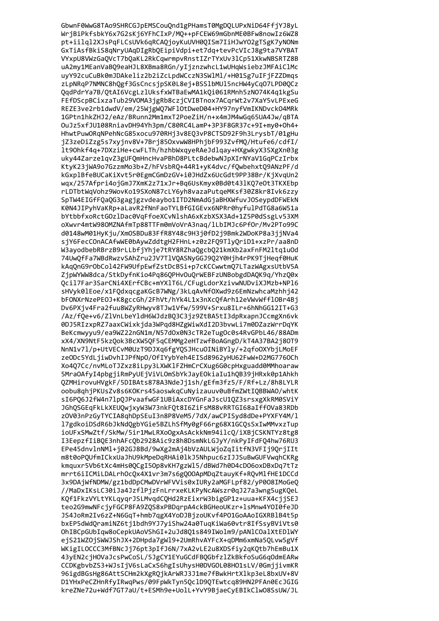GbwnF0WwG8TAo9SHRCGJpEMSCouQnd1gPHamsT0MgDQLUPxNiD64FfjYJ8yL WrjBiPkfsbkY6x7G2sKj6YFhCIxP/MQ++pFCEW69mGbnME0BFw8nowIz6WZ8 pt+iilql2XJsPqFLCsUVk6qRCAQjoyKuUVH0QISm7IiHJwY02gTSgK7yNONm GxTiAsfBkiS8qNryUAqDIgRbQEipiVdpi+et7dq+tevPcVIcJ8g9ta7VYBAT VYxpU8VWzGaQVcT7bQaKL2RkCqwrmpvRnstIZrTYxUv3lCp51XkwNBSRTZ8B uA2my1MEanVaBQ9eaHJL8XBma8RGn/yIjznzwhcL1wUHqWsiebzJMFAiClMc uyY92cuCuBk0mJDAkeliz2b2iZcLpdWCczN3SWlMl/+H01Sg7uIFjFZZDmqs zLpNRqP7NMNC8hQgf3GsCncsjpSK0L8ej+BSS1bMUl5ncHW4yCq07LPD0QCz QqdPdrYa7B/QtAI6VcgLzlUksfxWTBaEwMA1kQi061RMnh5zN074K4q1kgSu FEfDScpBCixzaTub29VOMA3jgRb8czjCVIBTnox7ACqrWt2v7XaY5vLPExeG REZE3ve2rb1dwdV/em/25WjgWQ7WF10tDweD04+HY97nyfVmIKNDvck04MRk 1GPtn1hkZHJ2/eAz/BRunn2Mm1mxT2PoeZiH/n+x4mJM4wGq65UA4Jw/qBTA OuJz5xfJU108RniavDH94Yh3pm/C80RC4LamP+3P3F8GR37c+9I+my0+Oh4+ HhwtPuwORqNPehNcG85xocu970RHj3v8E03vP8CTSD92F9h3LrysbT/01gHu jZ3zeDiZzg5s7xyjnv8V+7Brj850xvwW8HPhjbF993ZvfMQ/Htufe6/cdfI/ lt90hkf4q+7DXziHe+cwFLTh/hzhbWxqyeRAeJdlqay+HXgwkyX3SXgXn03g uky44Zarze1qvZ3gUFOmHncHvaPBhD8PLtcBdebwNJpXIrNYaV1GqPCzIrbx KtyK23jWA9o7GzzmMo3b+Z/hFVsbRO+44R1+yK4dvc/fOwbehxt09ANzPF/d kGxplBfeBUCaKiXvt5r0EgmCGmDzGV+i0JHdZx6UcGdt9PP38Br/KjXvqUn2 wqx/257Afpri4ojGmJ7XmK2z71xJr+Bq6UsKmyx0Bd0t431KQ7eOt3TKXEbp rLDTbtWgVohz9WovKo19SXoN87cLY6yh8vazaPutgeMKsf30Z8kr8Ivk6zzy SpTW4EIGfFQaQG3gagjgzvdeaybo1ITD2NmAdGjaBHXWfuvJOSeypdDFWEkN K0N4JIPyhVaKRp+aLavR2fNnFaoTYLBfGIGEvx6NPRr0hyfulPdTG8a6W51a bYtbbfxoRctGOzlDac0VqFfoeXCvNlshA6xKzbXSX3Ad+1Z5P0dSsgLv53XM oXwvr4mtW980MZNAfmTp88TTFm0mVoVrA3naq/lLbIMJc6Pf0r/Mv2PTo99C d0148wM01HyKju/XmOSBDu83FfR8Y48c9H3j0fD2j9Bmk2WDoKP8a3jjNVa4 sjY6FecCOnACAfwWE0bAywZddtgH2FHnL+z0z2FQ9TlyQriD1+xzPr/aa8nD W3ayodbebRBrzB9rLLbfjYhje7tRY8RZhaQgcbQ21kmXb2axFnFM2ltq1uOd 74UwQfFa7WBdRwzvSAhZru2JV7TlVQASNyGGJ9Q2Y0Hjh4rPK9TjHeqf0HuK kAqQnG9rObCol42FW9UfpEwfZstDcBSi+p7cKCCwwtmQ7LTazWAgxsUtbV5A ZjpWYWW8dca/StkDyfnKio4Pq86QPHvOuQrWEBFzUNBobgdDAQK9q/YhzQ0x Qcil7Far3SarCNi4XErfCBc+mYXlT6L/CFugLdorXzivwNUDviXJMzb+NPl6 sHVyk0lEoe/x1FQdxqcgaKGcB7WNg/3kLqAvNf0Xwd9z6EmNzwhcaMzhhj42 bFONXrNzePEOJ+K8gccGh/2FhVt/hYk4L1x3nXcQfArh12eVWvWffl0Br4Bj Dv6PXjv4Fra2fuu8WZyRHwyv8TJw1Vfw/599V+Srxu8ILr+6hNhGG12IT+G3 /Az/fQe+v6/ZlVnLbeYldH6WJdzBQ3C3jz9ZtBA5tI3dpRxapnJCcmgXn6vk 0DJ5RIzxpRZ7aaxCWixkjda3WPqd8HZgWiwXdI2D3bvwLi7m0DZazWrrDqYK BeKcmwyyu9/ea9WZ22nGN1m/N57d0x0N3cTR2eTug0c0s4RvGPbL46/88ADm xX4/XN9NtF5kzQok3BcXW5QF5qCEMMg2eHTzwfBoAGngD/kT4A37BA2j80T9 NnN1v71/p+UtVECvM0UzT9DJXq6fgYQSJHcuOINiBYly/+2qfoOXYbjLMoEF zeODc5YdLjiwDvhIJPfNpO/OfIYybYeh4EISd8962yHU62FwW+D2MG776OCh Xo4Q7Cc/nvMLoTJZxz8iLpy3LXWKlFZHmCrCXug6G0cpHxguadd0MMhoaraw 5MraOAfyI4pbgjiRmPyUEjViVLOmSbYkJayEOkiaIu1hQB39jHRxk0p1Ahkh QZMHirovuHVgkF/5DIBAts878A3NdeJj1sh/gEfm3fz5/F/Rf+Lz/8h8LYLR oobu8qhjPKUsZv8s6KOKrs45aoswkqCuNyizauuv0uBfmZWtIQBBWAO/whtK sI6PQ6J2fW4n7lpQJPvaafwGF1UBiAxcDYGnFaJscU1QZ3srsxgXkRM0SViY JGhQSGEqFkLkXEUQwjxyW3W73nkFQt8I6ZiFsM88vRRTGI68aIffOVa83RDb z0V03nPzGyTYCIA8qhDpSEuI3n8P8VeM5/7dX/awCPISyd8dDe+PYXFY4M/1 17gdkoiDSdR6bJkNdOgbYGie5BZLhSfMy0gF66rg68X1GCOsSxIwMMvxzTup ioUFxSMwZtf/SkMw/5ir1MwLRXoOgxAsAckkNm94ilcO/iXBiCSKNTYz8tg8 I3EepzfIiBOE3nhAFcOb2928Aic9z8h8DsmNkLGJvY/nkPvIFdFO4hw76RU3 EPe45dnvlnNMl+i02GJ8Bd/9wXg2mAi4bVzAULWioZaIitfN3VFIi9OriIIt m8t0oPOUfmICkxUaJhU9kMpeDqRHAi0lkJ5Nhpuc6zIJJSuBwGUFVwqhCKRg kmguxr5Vb6tXc4mHs0OCgI5Op8vKH7gzWl5/dBWd7h0D4cDO6oxDBxDg7tTz mrrt6iICMiLDALrh0c0x4X1vr3m7s6g000ApMDaZtauvKf+R0vMlfHE1DCCd 3x9DAiWfNDMW/gz1bdDpCMwDVrWFVVis0xIURv2aMGFLpf82/vP008IMoGeO //MaDxIKsLC30iJa4JzflPizFnLrrxeKLKPvNcAWszr0aJ27a3wng5ugK0eL KQf1FkzVYLtYKLqyqrJSLMvqdCQHd2RzEixrW3bigGP1z+uua+KFX4ciiSEJ teo2G9mwNFcjyFGCP8FA9Z0S8xPBDgrpA4ckBGHeoUKzr+1sMnw4Y0I0feJD JS4JoRm2Iv6zZ+N6GqT+hmb7qgX4YoDJBjzoUKvf4P01GoAAoIGXRBlB4t5p bxEP5dWdOramiNZ6ti1bdh9YJ7viShw24a0TuqKiWa60vtr8IfSsvBViVts0 OhIBCpGUbIaw8oCepkUAoVShGI+2uJd801s849IWolm9/pANlCOalXtEDlWY eiS21WZOiSWWJShJX+2DHpda7gWl9+2UmRhvAYFcX+aDMm6xmNa5OLvw5gVf WKigILOCCC3MfBNcJj76pt3pIfJ6N/7xA2vLE2u8XDSfiy2qKQtb7hEmBu1X 43yEN2cjHOVaJcsPwCoSL/5JgCY1EYuGCdFBQGbfzlZkBkfoSuG6qOdmEARw CCDKgbvbZS3+WJsIjV6sLaCxS6hgIsUhysH0DVGOL08H01sLV/0GmjjivmKR 96igdBGsHg86AttSCHm2kXgRQjkArWRJ3J1me7fBwkHrtXlkp3eL8bxUV+8V D1YHxPeCZHnRfyIRwqPws/09FpWkTyn5QclD9QTEwtcq89HN2PFAn0EcJGIG kreZNe72u+Wdf7GT7aU/t+ESMh9e+UolL+YvY9BjaeCyEBIkClwO8SsUW/JL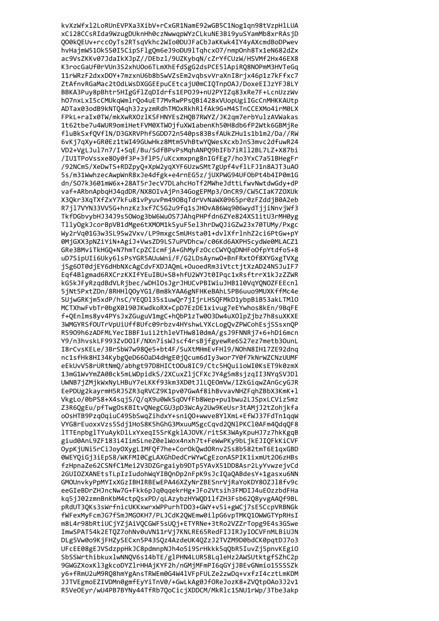kvXzWfxl2LoRUnEVPXa3XibV+rCxGR1NamE92wGB5C1Nog1qn98tVzpHlLUA xCi28CCsRIda9WzugDUknHh0czNwwqpWYzCLkuNE3Bi9yuSYamMb8xrRAsjD QO0kQEUv+rccOyTs2RTsqVkhc2WIo0DUJFaCbJaKKwk4IY4yAXcmdBoDPwev hvHajmW510k5S0I5CipSFlgQm6eJ9oDU9lTqhcxO7/nmpOnh8Tx1eN682dZx ac9VsZKKv07JdaIkXJpZ//DEbzl/9UZKybqN/cZrYfCUzW/HSVMf2Hx46EX8 K3rocGaUf0rVUn3S2xhU0o6TLmXhEfdSgG2dsPCE51ApiRQ8NOPmM3HVTeGq 11rWRzF2dxxDOY+7mzxnU6b8bSwVZsEm2vqbsvVraXnI8rjx46p1z7kFfxc7 ZtAfnvRGaMac2tOdLWsDXGGEEpuCEtcajU0mCIQTnpOAJ/DoxeEIJzYFJ8LY BBKA3Puy8pBhtr5HIgGflZqDIdrfs1EP0J9+nU2PYIZq83xRe7F+LcnUzzWv h07nxLxI5cCMUkqWmlrQo4uET7MvRwPPsQBi428xVUopUgiIGcCnMHKKAUtp ADTax03odB9kNTQ4qh3JzyzmRdhTMOxRkhRlfAk9G+M4STnCCEXMo4irM0LX FPkL+raIx0TW/mkXwRXOzlKSFHNYEsZHQB7RWYZ/JK2qm7erbYulzAVWakas 1t62tbe7u4WUR9omiHetFVM0XTWOjfuXW1abenKh50H8db6fP2Wtk6GBMjRe fluBkSxf0VflN/D3GXRVPhfSGDD72n540ps83BsfAUkZHu1s1b1m2/Da//RW 6vKj7qXy+GR0Ez1tWI49GUwHkz8Mtm5VhBtwYQWesXcxbJnS3mvc2dfuwR24 VD2+VgLJul7n7/I+SqE/Bu/SdfBPvPsMqhANPO9bIFb7iRll2BL7LZ+X87bi /IU1TPoVssxe80y0f3P+3f1P5/uKcxmxpng8nIGfEg7/ho3YxC7a51BHegFr /92NCmS/XeDwTS+RDZpy0+XpW2yqXYF6UzwSMt7gUpf4vf1LFJ1n8AJT3uA0 5s/m31WwhzecAwpWnR8xJe4dfgk+e4rnEG5z/jUXPWG94UF0bPt4b4IP0m1G dn/S07k3601mW6x+28AT5rJecV7DLahcHoTf2MWheJdttLfwvNwtdwGdy+dP vaf+ARbnApbqHJ4qdDR/NX80IvAjPn34GogEPMp3/OnCR9/CW5CIaK7Z0XUk X3Qkr3XqTXfZxY7kFu81vPyuvPm490BqTdrVvNaWX0965pr0zFZddjB0A2eb R7jl7VYN33VV5G+hnzKz3xf7C5G2u9fg1sJHOvA86Wg906wydTjjiNnvjWf3 TkfDGbvybHJ34J9s50Wog3bW6WuOS7JAhqPHPfdn6ZYe824XS1itU3rMH0yg TllyOgkJcorBpVB1dMge6tXMOM1k5yuF5el3hrDwQJiGZw23x70TUMy/Pxgc Wy2rVq01G3w3SL9Sw2Vxv/LP9mxgcSmUHsta01+dvlXfrlnhZ2ci6PtGw+pY 0MjGXX3pNZiYiN+AgiJ+VwsZD9LS7uPVDhcw/c06Kd6AXPH5cydWe0MLACZ1 GRe3BMviTkHGQ+N7hmTcpZCIcmFjA+GhMyFzOccCWYQqDNHFoOfpYtdfo5+8 uD7SipUIi6Uky6lsPsYGR5AUuWni/F/G2LDsAynwO+BnFRxtOf8XYGxgTVXg jSg6OT0djEY6dHbNXcAgCdvFXDJAQmL+OuoedRm3iVtctjtXzAD24NSJuIF7 Eqf4Blgmad6RXCrzKXIfYEuIBU+SB+hfU2WYJt0IPqc1xRsftrrX1kJzZZWR kG5kJFyRzqdBdVLRjbec/wDHlOsJgrJHUCvPBIWiuJHB1l0VqYQNOZFEEcnl 5jNt5PxtZDn/8RHH1QOyYG1/Bm8kYAA6gNFHKeBAhL5PB6uuo9MUXKffMc4e SUjwGRKjm5xdP/hsC/YEQD135s1uwQr7jIjrLHSQFMkD1ybpBiB53akLTM10 MCTXhwFvbTr0bgX0190JKwdkoRX+CpD7EzDE1xivug7eEYwhos8kEn/9BqFE f+QEnlms8yv4PYsJxZGuguV1mgC+hQbP1zTw0O3Dw4uXOlpZjbz7h8suXKXE 3WMGYRSfOUTrVpUiUff8Ufc09rbzv4HYshwLYXcLogQvZPWCohEsjSSsxnQP R5909h6zADFMLYecIBBF1uii2thleVTHw8l0dmA/gsJ9FNNRj7+6+hDi6mcn Y9/n3hvskLF993ZvDOlF/NXn7isWJscf4rsBjfgyewRe6S27ez7metb3OunL I8rCvsKELe/3BrSbW7w98Qe5+bt4F/5uXtMHmEvFH19/NOhN8IH17ZE92dnq nc1sfHk8HI34KybgQeD66OaD4dHgE0jQcum6dIy3wor7Y0f7kNrWZCNzUUMF eEkUvV58rURtNmQ/abhgt97D8HICt0Ou8IC9/Ctc5HQuiioWI0KsET9k0zmX 13mG1WvYmZA0Bck5mLWDpidkS/2XCuxZljCFXcJY4g5m8sjzqII3NYqSVJDl UWNB7jZMjkWxNyLHBuY7eLKKf93km3XD0tJlLQEOmVw/IZkGiqwZAnGcyGJR EePDUg2kayrmH5RJ5ZR3qRVCZ9K1pv07GwAf8ihBvvavNHZFqhZBbX3KmK+1 VkgLo/0bPS8+X4sqjS/Q/qX9u0WkSqOVfFb8Wep+pu1bwu2LJSpxLCViz5mz Z3R6QgEu/pfTwgOsKBItvQNegCGU3pD3WcAy2Uw9KeUsr3tAMjJ2tZohjkfa oOsHTB9PzqOqiuC49SbSwqZihdxY+sniQO+wwve8YlXmL+EfWJ37FdTn1qqW VYG8rEuoxxVzs5Sdj1HoS8K5hGhG3MxuuMSgcCqvd20N1PKC10AFm40dq0F8 lTTEnpbglTYuAvkDlLxYxeaI5SrKgklAJOVK/ritSK3WAvKpuHJ7z7hkKgaB giud0AnL9ZF183i4IimSLneZ0elWox4nxh7t+FeWwPKv9bLikEJIOFkKiCVF OvpKiUNi5rCiJovOXvgLIMFOf7he+CorOkOwdORnv2Ss8b582tmT6E1axGBD @WEYOiGi3iEpS8/WKFMI@CgLAXGhDedCrWYwCgEzonASPIK1ixmUt206zHBs fzHpnaZe62CSNfC1Mei2V3DZGrgaiyb9DTp5YAvX51DD8Asr2LyYvwzejvCd 2GUIOZXANEtsTLpIzIudohWqYIBOnDp2nFpK9sJcIOaOABdesY+1gasxu6NN GMOUnvkvPpMYIxXGzIBHIRBEwEPA46XZvNrZBESnrViRaYoKDY80ZJ18fv9c eeGIeBDrZHJncNw7G+Fkk6pJq0aaekrHg+JFo2Vtsih3FMDIJ4uEOzzbdFHa ka5iJ02zmnBnKbM4ctpOsxPD/aLAzvbzHYWOD11fZH3Fsb62O8vvgAAOf9BL pRdUT30Ks3sWrfnicUKKxwrxWPPurhTD03+GWY+v5i+gWCj7sE5CcpVRBNGk fWFexMvFcmJG7fSmJMGOKH7/PLJCdK2OWEmw0ilpG6vpTMK010WWGTYpRHsI m8L4r98bRtiUCiYZiAiVOCGWF5sU0i+ETYRNe+3tRo2VZZrTopg9E4s3GSwe ImwSPAT54k2ETQZ7ohNv0uVN11rVj7KNLRE65RedFIJIRJyIOCVFnMLBiUJN DLg5Vw0o9KiFHZvSECxn5P43S0z4AzdeUK40ZzJ2TVZM9D0bdCK0patDJ7o3 UFcEE08gEJVSdzppHkJC8pdmnpNJh4o5i9SrHkkk5q0bR5IuvZj5pnvKEgi0 SbSSWrthibkuxlwNNQV6s14bTE/glPHN4LUR58LqleHz2AWSUtktgfSZhC2p 9GWGZXoxKl3gkcoDYZlrHHAjKYF2h/nGMjMFmPI6qGYjJBEvGNmio15SSSZk y6+fRmU2uM9RQ8hmYgAnsTRWEm0G4W41VFpFULZe2zwDq+vxfzI4cztLmKDM JJTVEgmoEZIVDMn0gmfEyYiTnV0/+GwLkAg0JfOReJozK8+ZVQtpOAo3J2v1 R5VeOEyr/wU4PB7BYNy44TfRb7QoCicjXDDCM/MkRlc1SNU1rWp/3Tbe3akp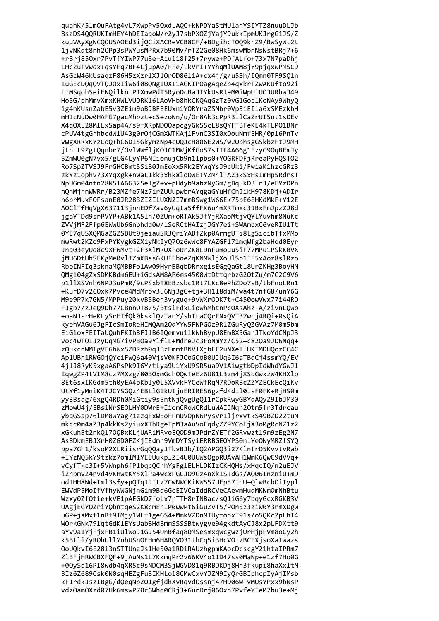quahK/51mOuFAtg4vL7XwpPv5OxdLAQC+kNPDYaStMUlahYSIYTZ8nuuDLJb 8szDS4QQRUKImHEY4hDEIaqoW/r2yJ7sbPXOZjYajY9ukkIpmUKJrgGiJS/Z kuuVAyXgNCQOUSAOEd3ijQCiXACReVCB8CF/+BDgihcTOQ9krZ9/BwSyWt2t 1jvNKqt8nh2OPp3sPWYusMPRx7b90Mv/rTZ2Ge08Hk6mswMbnNsWstBRj7+6 +rBrj850xr7PvTfYIWP77u3e+Aiui18f25+7rywe+PDfALfo+73x7N7paDhj LHc2uTvwdx+qsYFq7BF4LjupA0/FFe/LkVrI+YYhqMlUAM8jY9pjqxwPM5C9 AsGcW46kUsaqzF86H5zXzrlXJlOrOD86l1A+cx4j/g/u5Sh/IQmn0TF9SQln IuGEcDQqQVTQJOxIiw6i08QNgIUXI1AGKIPOagAqeZp4qxkrTZwAKUfto92i LIMSqohSeiENQilkntPTXmwPdT5RyoDcBaJTYkUsRJeM0iWpUiU0JURhwJ49 Ho5G/phMmvXmxKHWLVUORK16LAoVHb8hkCKQAqGzTz0vG1GoclKoNAy9WhyQ ig4hKUsnZabE5v3ZEim9oBJBFEEUxn1YORYraZSNbr0Vp3iEIla6xSMEzkbH mHIcNuDw0HAFG7gacMhbzt+cS+zoNn/u/Or8Ak3cPpR3ilCaZrUISut1sDEv X4q0XL28MlLxSap4A/s9fXRpND00apcgyGkSScL8sQYFTBFeKE4kTLP01BNr cPUV4tgGrhbodW1U43g0r0jCGmXWTKAj1FvnC3SI0xDouNmfEHR/0p16PnTv vWgXRRxKYzCoQ+hC6DI5GkymzNp4cOQJcH806E2WS/w2ObhsgGSkbzFtJ9MH jLhLt9ZgtQqnbr7/OvlWWfljKOJC1MWjKfGoS7sTTF4A66g1FzyC9OqBEmJy 5ZmWU0gN7vx5/gLG4LyYP6NIionujCb9n1lpbs0+YOGRFDFjRreaPyHOSTO2 Ro7SpZTVSJ9FrGHCBmt5SiB0JmEoXx5Rk2EYwqYsJ9cUki/FwiaK1hzcGRz3 zkYz1ophv73XYqXgk+nwaL1kk3xhk8loDWETYZM4lTAZ3kSxHsImHp5RdrsT NpUGm04ntn28N51A6G325e1gZ+v+pHdyb9abzNyGm/gBqukD31rJ/eEYzDPn nQhMjrnWWRr/B23MZfe7Nz7irZUUupwbrAYqgaGYuHfCnJikH978KDj+ADIr n6prMuxFOFsanE0JR28BZIZILUXN2I7mmBSwg1W66Ek75pE6EHKdMkF+Y12E AOClTfHqVgX637113jnnEDf7av6yUqtaSffFK6u4mXRTmxc3JBxFmJpzZJ8d jgaYTDd9srPVYP+ABk1A5ln/0ZUm+oRTAk5JfYjRXaoMtjvQYLYuvhm8NuKc ZVVjMF2Ffp6EWwUb6Gnphdd0w/lSeRCtHAIzjJGY7ei+SWAmbxC6veRIUlTt 0YE7qUSXQMGaZGZSBUt0jeiauSR3QriYABfZkp0ArmgUTi8LgSicibTfxMMo mwRwt2KZo9FxPYKygkGZXiyNkIyQ7Oz6wWc8FYAZGF171mqWfg2baHod0Eyr Jnq03eyUo8c9XF6Mvt+2F3X1MROXFoUrZK8LDnFumouu5iF77MPu1PSkK0VX jMH6DtHhSFKgMe0vlIZmKBss6KUIEboeZqKNMWljXoUlSp1IF5xAoz8slRzo RboINFIq3sknaMQMBBFolAw09HyrBBqbDRrxgisEGgQaGtl8UrZKHg3BoyHN QMg104gZxSDMKBdm6EU+iGdsAM8AP6ms4500WtDttqrbzG2OtZu/m7C2C9V6 p1llXSVnh6NPJ3uPmR/9cPSxbT8EBzsbc1Rt7LKc8ePhZDo7sB/tbFnoLRn1 +KurD7v260xk7Pvce4MdMrbv3u6Nj3gG+tj+3H118diM/wa4t7nfG8/unY6G M9e9P7k7GN5/MPPuy20kyB5Beh3vyguq+9vWXrODK7t+C450owVwx77i44RD FJgb7/zJeQ9Dh77CBnnOT875/BtslFdxLiowhMhtnPcOXsAhz+A/zivnLQwo +oaNJsrHeKLySrEIfQk0ksklQzTanY/shILaCQrFNxQVT37wcj4RQi+0sQiA kyehVAGu6JgFIcSmIoReHIMQAm2OdYYw5FNPGOz9R1ZGuRyQZGVAz7M0m5bm EiGioxFEITaUQuhFKIhBFJlB6IQemvu1lkWhBypU8EmBX5GarJTkoYdCNpJ3 voc4wT0IJzyDqMG7ivPBOa9YlflL+MdreJc3FoNmYz/C52+c82Qa9JD6Nqq+ zQukcnWMTgVE6bWxSZDRzh0qJBzFmmtBNV1XjbEF2uNXeI1HKTMDHQozCC4C Ap1UBn1RWGOjQYciFwQ6a40VjsV0KFJCoGOoB0UJUq6I6aTBdCj4ssmYQ/EV 4jlJ8RyK5xgaA6PsPk9I6Y/tLya9U1YxU9SR5ua9V1AiwgtbDpIdWhdYGwJl IqwgZP4tVIM8cz7MXzg/80BOxmGchOQwTeEz6U81L3zm4jXSbGwxzW4KHXlo 8Et6sxIKGdm5th0yEA4bKbIy0L5XVvkFYCeWfRqM7RDoRBcZZYZECkEcQiKv UtYf1yMniK4TJCYSGQz4EBLlGIkUIjuERIRES6gzfdKdil0isF0FK+RjHS0m yy3Bsag/6xgQ4RDh0MiGtiy9s5ntNjQvgUgQI1rCpkRwyGBYqAQyZ9IbJM30 zMowU4j/EBsiNrSEOLHY0DWrE+IiomCRoWCRdLuWAIJNgn2Otm5fr3Tdrcau ybqGSap761DM8wYag71zzqFxWEoFPmUVOpN6PysVr1ljrxvtkS49BZD22tuN mkcc0m4aZ3p4kkKs2yiuxXThRgeTpMJaAuVoEgdyZZ9YCoEjX3oMgRcNZ1z2 xGKuhBt2nk01700BxKLiUARiMRvoE00D9mJPdrZYETf2GRvwzt19m9zEg2N7 As8DkmEBJXrH0ZGD0FZKiIEdmh9VmDYTSviERRBGEOYPS0nlYeONvMRZfSYO ppa7Gh1/ksoM2XLRiisrGq00avJTbvBJb/I02APG03i27KlntrD5KvvtvRab +IYzN05kY9tzkz7omlMlYEEUukplZI4U0UUWs0gpRUAvAH1WmK60wC9dVVa+ vCyfTkc3I+5VWnph6fPlbgc0CnhYgFglELHLDKIzCKH0Hs/xHgcI0/n2uEJV i2nbmvZ4nvd4vKHwtKY5X1Pa4wcxPGCJ09Gz4nXkIS+dGs/A006InzniU+mD odIHH8Nd+Iml3sfv+p0TaJJItz7CwNWCKiNW557UEp57IhU+0lwBcb0iTvpl EWVdP5MoIfVfhvWWGNihGim9Ba6GeEIVCaIddRCVeCAevmHudMKNmOmNhBtu Wzxv0ZfOtie+kVE1pAEGkD7foLx7rTTH8rINBac/s01iG6v7bayGcxRGKB3V UAgiEGYOZriYObntgeS2K8cmEnIP0wwPt6iGuZvT5/POn5z3ziW0Y3rmXDgw uGP+jXMxf1nBf9IMjy1WLf1geGS4+MmkVZDnMIUytohxT91s/oSQKc2pLhT4 WOrkGNk791qtGdK1EYsUabBHdBmmSSSSBtwygye94gKdtAyCJ8x2pLFDXtt9 aYv9a1YiFixFB1iUlWoJ1GJ54UnBfaq80MSesmxqWcgwziUrHipFVm8oCv2h k5Btli/yROhUllYnhUSnOEHm6HARQVO31thCq5i3HcVOizBCFXjsoXaTwazs OoUQkvI6E28i3nSTTUnzJs1He50a1RDiRAUzhgpmKAocDcscgY21htaIPRm7 Z1BFjHRWCBXFQF+9jAuNs1L7KkmqPr2v66KV4o1ID47ss0MaNp+e1zf7Ho0G +00ySp16PI8wdb4qXR5c9sNDCM3SjWGVD81q9RBDKDj8Hh3fkupi8haXxltM 3Iz6Z689Csk0N0sqHEZgFu3IKHLoi8CMwCxvYJZM9IyQrGBIphcpIyAjIMsb kF1rdkJszIBgG/dQeqNpZO1gfjdhXvRqvdOssnj47HD06WTvMUsYPxx9bNsP vdzOamOXzd07Hk6mswP70c6Whd0CRj3+6urDrj06Oxn7PvfeYIeM7bu3e+Mj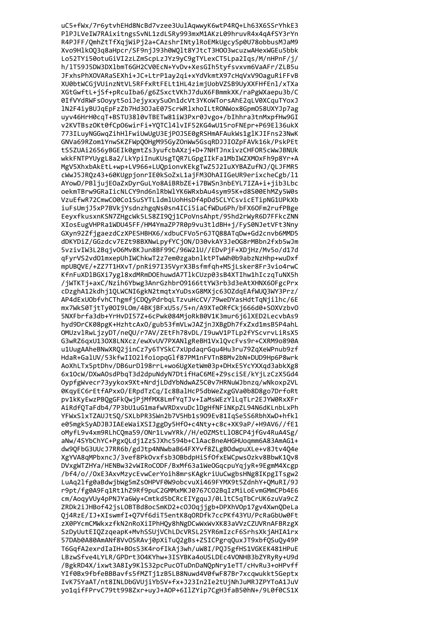uC5+fWx/7r6ytvhEHd8NcBd7vzee3UulAqwwyK6wtP4RQ+Lh63X6SSrYhkE3 PlPJLVeIW7RAixitngsSvNL1zdLSRy993mxM1AKzL09hruvR4x4qAfSY3rYn R4PJFF/QmhZtTfXqjWiPj2a+CAzshrINtylRoEMkUgcySp0U78obbusMJaM9 Xvo9HlkOQ3q8aHpcr/SF9njJ93h0WQlt8YJtcT3HOO3wcuzwAHexWGEu5bbk Lo52TYi50otuGiVI2zLZmScpLzJYz9yC9gTYLexCT5Lpa2Iqs/M/nHPnF/j/ h/lT59J5DW3DXlbmT6GH2CV0EcN+YvDv+XesGIh5tyfsvxvm6VaAFr/ZLB5u JFxhsPhXOVARaSEXhi+JC+LtrP1ay2qi+xYdVkmtX97cHqVxV9OaguRiFFvB XU0btWCGjVUinzNtVL5RFfxRtFELt1HL4zimjUobVZSB9UyXXFHfEnl/xTXa XGtGwftL+jSf+pRcuIba6/g6ZSxctVKhJ7duX6FBmmkXK/raPgWXaepu3b/C 0IfVYdRWFsOoyyt5oiJejyxxySuOn1dcVt3YKoWTorsAhE2qLV0XCquTYoxJ 1N2F4iyBUJqEpFzZb7Hd3OJaE075crWR1xhoILtRONWox8Gpm058UXYJp7ag uyv46HrH0cqT+BSTU3810vTBETw81iW3Pxr0Jvgo+/bIhhra3tnMxpfHw9GI v2KVTBszOKt0fCpO6wirFi+YQTCl4lvIF52KG4wU15roFNEpr+P69El36ukX 773ILuyNGGwgZihHlFwiUwUgU3EjPOJSE0gRSHmAFAukWs1glKJIFns23NwK GNVa69RZom1YnwSKZFWpQOHgM95GyZOnWw5GsqRDJJIOZpFAVk16k/PskPEt tS5ZUAi2656yBGEIk0gmtZs3yufcbAXzj+D+7NHTJnxivzCHFOR5cWwJBNUk wkkFNTPYUygL8a2/LkYpiInuKUsgTQR7LGpgIIkFa1MbIWZXMOxFh9p8Yr+A MgV5XhxbAkEtL+wp+LV966+LUOpionvKEkgTwZ5J2IuXYBAZufNJ/OLJFMR5 cWwJ5JROz43+60KUgpjonrIE0kSoZxL1ajFM30hAIIGeUR9erixcheCgb/l1 AYowD/PBljujEOaZxDyrGuLYo8AiBRbZE+i7BWSn3nbEYL7IZA+i+jib3Lbc oekmTBrw9GRaIicNLCY9nd6nlRbWlYK6WRxbAu4sym95K+d8S00EhMZy5W0s VzuEfwR72CmwCO0Co1SuSYTL1dmlUohHsDf4pDd5CLYCsvicETipNG1UPkXb iuFsUmjJ5xP7BVkjYsdnzhgqNs0sn4ICi5iaCfWDu6Ph/bFX60Fm2rufPBge EeyxfkusxnKSN7ZHgcWk5LS8ZI9Qj1CPoVnsAhpt/95hd2rWyR6D7FFkcZNN XIosEugVHPRa1WDU45FF/HM4YmaZP7R0p9vu3tldBH+j/FyS0NJetVFt3Nny GXyn92ZfigaezdCzXPESHBHX6/xdbuCFVo5r6JT088ATqDw+Gd2cnvb6MMD5 dDKYDiZ/GGzdcv7EZt98BXNwLpyfYCjON/D30vkAY3JeOG8rMBbn2fxb5wJm 5vzivIW3L2BqjvO6Mv8KJun8BF99C/96W2lU//EDvPjF+XDjHz/Mv5o/d17d qFyrVS2vdO1mxepUhIWChkwT2z7em0zgabn1ktPTwWh0b9abzNzHhp+wuDxf mpUBQVE/+ZZ7T1HXvT/pnRi97I35VyrX3Bsfmfqh+MSjLsker8Fr3vio4rwC KfnFuXDlBGXi7ygl8xdMRmDOEhuwdA7TlkCUzp03sB4XTIhw1hIczqTuNX5h /jWTKTj+axC/Nzih6Ybwg3AnrGzhbr09166ttYW3rb3d3eAtXHNX6OFgcPrx cDzghA12kdhj1QLWCNI6gkN2tmqtxYuDsxG8MXjc63OZdqEAfWUQ3WY3Prz/ AP4dExU0bfvhCThgmfjCDQyPdrbqLTzvuHcCV/79weDYasHdtTqNjilhc/6E mx7WkS0TjtTy0OI9LOm/4BKjBFxU5s/5+n/A9XTeORfCkj666d0+SOXVzbvO 5NXFbrfa3db+YrHvDI57Z+6cPwk084MjoRkB0V1K3mur6j6lXED2LecvbAs9 hyd9DrCK08pgK+HzhtcAxO/gub53fmVLwJAZjnJXBgDh7fxZxd1msB5P4ahL OMUzvlRwLjzyDT/neQU/r7AV/ZEtFh78vDL/I9uwV1PTLp2fYScvrvLiRsX5 G3wRZ6qxU130X8LNXcz/ewXvUV7PXAN1gReBH1Vx1QvcFvs9r+CXRM9o890A u1UugAAheBNwXRQ2jinCz7y6TYSkC7xUpdaqrGqu4Hu3ru79ZqXeWPnub9zf HdaR+GalUV/53kfwIIO2lfoiopqGlf87PM1nFVTn8BMv2bN+DUD9Hp6P8wrk AoXhLTx5ptDhv/DB6urD198rrL+wo6UgXetWm03p+DHxE5YcYXXqd3abkXg8 6x10cW/DXwAOsdPbqT3d2dpuNdyN7DtifHaC6ME+Z9sciSE/kYjLzCzX5Gd4 OypfgWvecr73yykox9Xt+NrdjLDdYbNdwAZ5C0v7HRNuWJbnzq/wNkoxp2VL 0KqyEC6rEtfAPxxO/ERpdTzCq/Ic8BalHcP5dbWeZxgGVa0b8D8go7DrfoRt pv1kKyEwzPBQgGFkQwjPjMfMX8LmfYqTJv+IaMsWEzYlLqTLr2EJYW0RxXFr AiRdfQTaFdb4/7P3bU1uG1mafwVRDxvuDclDgHfNFiNKpZL94N6dKLnbLxPh YFWxSlxTZAUJtSQ/SXLbPR3SWn2b7V5Hb1s909Ev81IqSe5S6RbhXwD+hfkl e05mgkSyADJBJIAEeWaiXSIJggDy5Hf0+c4Nty+c8c+XK9aP/+H9AV6//fE1 oMyfL9v4xm9RLhCOma59/ONr1LvwYRk//H/e0ZMStL108CP4ifGv4RuA4Sg/ aNw/4SYbChYC+PgxOLdi1ZzSJXhc594b+ClAacBneAHGHUogmm6A83AmAG1+ dw90FbG3UUcJ7RR6b/gdJtp4NNwbaB64FXYvf8ZLgBOdwpuXLe+v8Jtv404e XgYVA8aMPbxncJ/3vef8PkOvxfsb3OBbdpHiSfOfxEWCpwsOzkv8BbwK1Ov8 DVxgWTZHYa/HENBw32vWIRoCODF/BxMf63a1WeOGqcpuYqjyR+9EgmM4Xcgp /bf4/o//0xE3AxyMzycEywCerYoih8mrsKAgkriUuCwgbsHNg8IKpgITsgw2 LuAa2lfg0aBdwibWg5mZsOHPVF0W9obcvuXi469FYMX9t5ZdnhY+OMuRI/9J r9pt/fg0A9Fa1Rt1hZ9Rf9puC2GMMxMKJ0767C02BaIzMiLoEvmGMmCPb4E6 cm/AogvVUv4pPNJYa6Wv+Cmtkd5bCRcEIYgguJ/0LltC5gTbCrUK6zuVa9cZ ZRDk2iJHBof42jsLOBTBd8ocSmKD2+c0JOqjjgb+DPXhVOp17gv4XwnQDeLa 0i4RzE/IJ+XIswmfI+07Vf6diT5entK8a0RDfk7ccPKf43YU/PcRaGbUw0Ft zX0PYcmCMWkxzfkN2nRoXiIPhHOv8hNgDCwWxWvXK83aVVzCZUVRnAFBRzgX SzDvUutEIOZzaeapK+MvhSSUiVChLDcVRSL25YR6mIzcF6SrhsXkiAHIA1rx 57DAb0A80AmANf8VvOSRAvj0pXiTuQ2gBs+ZSICPgrqQuxJT9xbfQSuQy49P T6GgfA2exrdIaIH+B0sS3K4rofIkAj3wh/uW8I/P0J5gfHS1VGKEK481HPuE LBzwSfve4LYLR/GPDrt304KYhw+3ISYBKa4oUSLDEc4VONHB3bZYRvRv+U9d /BgkRD4X/ixwt3A8Iy9KlS32pcPucOTuDnDaNQpNry1eTT/cHvRu3+oHPvff YIf0Bx9fbfeBBBavfs5fMZTj1zB5LB8Nuwd4V0fwF87Br7xcqwukkt5Geptx IvK75YaAT/nt8INLDbGVUjiYbSV+fx+J23In2Ie2tUjNhJuMRJZPYToA1JuV yo1qifFPrvC79tt998Zxr+uyJ+A0P+6IlZYip7CgH3faB50hN+/9L0f0CS1X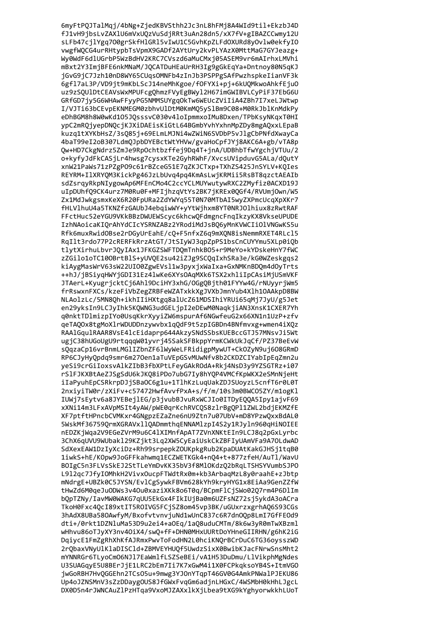6myFtPQJTalMqj/4bNg+ZjedKBVSthh2Jc3nL8hFMj8A4WId9til+EkzbJ4D fJ1vH9jbsLvZAXlU6mVxUQzVuSdjRRt3uAn28dn5/xX7fV+gIBAZCCwmy12U sLFb47cjlYgq700grSkfHlGRl5vIwU1C5GvhKpZLFdOXURd8yOvlw0ekfyIO vwgfWQCG4urRHtypbTsVpmX9GADf2AYtUry2kvPLYAzX0MttMaG7GYJeazg+ Wy0WdF6dlUGrbP5WzBdHV2KRC7CVszd6aMuCMxj05ASEM9vr6mAIrhxLMVhi mBxt2Y3ImjBFE6nkMNaM/JQCATDuHEaUrRH3Ig9gGkEqYa+Dntnoy80N5qKJ jGvG9jC7Jzh10nD8WY65CUqsOMNFb4zInJb3PSPPgSAfPwzhspkeIianVF3k 6gf17aL3P/VD9jt9mKbLScJ14neMhKgoe/fOFYXi+pj+6kUQMkwoAhkfEjuO uz9zSQU1DtCEAVsWxMPUFcgQhmzFVyEgBWy12H67imGWIBVLCyPiF37EbG6U GRfGD7jy5G6WHAwFFyyPG5NMMSUYgq0kTw6WEUcZViIiA4ZBh7I7xeLJWtwp I/VJTi63bCEvpEKNMEGM0zbhvUlDtM0KmMQ5ySlBm9C08+M0RkJblKnMdkPy eDhBGM8h8W0wKd105JQsssvC030v4loIpmmxoIMu8Dxen/TPbKsyNKqxT0HI ypC2mRQjyepDNQcjKJXiDAEisKiGtL64BGmbYvhYxhnMpZDy8mgAQxxLEpaB kuzg1tXYKbHsZ/3s085j+69ELmLMJNi4wZWiN6SVDbP5vJlgCbPNfdXwayCa 4baT99eI2oB307LdmQJpbDYEBctWtYHVw/gvaHoCpfJYj8AKC6A+gb/vTA8p Qw+HD7CkgNdrz5ZmJe9RpOchtbzffej9Dq4T+jnA/UDBhbTfwYgchjVTUu/2 o+kyfyJdFkCASjLr4hwsg7cysxKTe2GyhRWhF/XvcsUVipduvG5ALa/dQutY xnW21PaWs71zPZgP09c61rBZceG51E7qZKJCTxp+TXhZS425JnSYLV+KQIes REYRM+IlXRYQM3KickPg46JzLbUvq4pq4KmAsLwjKRMii5RsBT8qzctAEAIb sdZsrgyRkpNIygowAp6MFEnCMo4C2ccYCLMUYwutywRXC2ZMyfiz0ACXD19J uIpDUhfQ9CK4urz7M0Ru0F+MFIjhzqVtYs2BK7jKREx0QGf4/RVUmjOwn/W5 Zx1MdJwkgsmxKeX6R20FpURa2ZdYWYq55T0N70MTbAI5wyZXPmcUcqXpXKr7 fHLVlhuU4a5TKNZfzGAUbJ4ebqiwWY+yYtWjhxm8YT0NRJOlhiux8zRwtRAF FFctHuc52eYGU9VKkBBzDWUEWScyc6khcwQFdmgncFnqIkzyKX8VkseUPUDE IzhNAoicaKIQrAhYdCIcYSRNZABz2YRodiMdJsBQ6yMnKVWCIiOlVNGwKS5u Rfk6muxRwidOBse2rDGyUrEahE/cQ+F5nfxZ6q9mXQN8isNemmRXET4RLcl5 RqIlt3rdo77P2cRERFkRrzAtGT/JtSIyWJ3qpZpPS1bsCnCUYYmu5XLp0iQb tlytXirhuLbvrJQyIAx1JFKGZSWFTDQmTnhkB05+r9MeYo+kYDskeHnY7fWC zZGilo1oTC100BrtBlS+yUVQE2su42iZJg9SCQqIxhSRa3e/kG0WZeskgqs2 kiAygMasWrV63sW22UIO0ZgwEVsl1w3pyxjxWaIxa+GxNMKnBDQm4dOyTrts ++hJ/jBSiyqHWYjGDI31Ez4lwKe6XYsOAqMXk6TSX2xhliIpCAsiMjUSmVKF JTAerL+KyugrjcktCj6Ahl9DciHY3xhG/OGgQBjth01FYYw4G/rNUyyrjWm5 frRswxnFXCs/kzeFiVbZegZRBFeWZATxkkXgJVXbJmnYub4Xlh1OAAkpD8BW NLAolzLc/5MN8Qh+ikhIIiHXtgq8alUcZ61MDSIhiYRUi65qMj7JyU/g5Jet en29yksIn9LCJyIhk5KQWNG3udGELjpI2eDEwM0NaqkjiAN3XnsK1CXER7Yh q0nktTDlmizpIYo0UsqKkrXyyiZW6mspurAf6NGwfeuG2x66XN1n1UzP+zfv qeTAQ0x8tgMoX1rWDUDDnzywvbx1qQdF9t5zpIGBDn4BNfmvxg+wmen4iXQz RAAlGqulRAAR8VsE4lcEidaprp644AkzySNdSSbsKUEBccGTJ57MNsvJi5Wt ugjC38hUGoUgU9rtqqqW01yvrj45SakSFBkppYrmKCWkUkJqCf/PZ37BeEvW sQqzaCp16vrBnmLMGlIZbnZF6lWyWeLFRidigpMywUT+CkOZyN9uj6O8GRmD RP6CJyHyQpdq9smr6m270en1aTuVEpGSvMUwNfv8b2CKDZCIYabIpEqZmn2u yeSi9crGiIoxsvAlkZIbB3fbXPtLFeyGAkROdA+Rkj4NsD3y9YZSGTRz+i07 rS1FJKXBtAeZJSgSdU6kJKQ8iPDo7ubG7Iy8hYQP4VMCfKpWKX2eSMnNjeHt iIaPyuhEpCSRkrpDJjSBaOC6g1u+1TlhKzLuqUakZDJSUoyzL5cnfT6r0L0T 2nxiyiTW0r/zXiFv+c57472HwfAvvfPxA+s/f/m/10s3m0BWC05ZY/m1ogKl IUWj7sEytv6a8JYEBejlEG/p3jvubBJvuRxWCJIo0ITDyEQQA5Ipy1ajvF69 xXNi14m3LFxAVpMSIt4yAW/pWE0qrKchRVCQS8zlrBgQPl1ZWL2bdjEKMZfE XF7ptftHPncbCVMKxr4GNgpzEZaZne6nU9Ztn7u07UbV+mD8YPzwQxxBdAL0 5WskMf367590rmXGRAVxll0ADmmthgENNAMlzpI4S2y1RJyln960gHiNOIEE nEDZKiWga2V9EGeZVrM9u6C41XIMnfApAT7ZVnXNKtEIn9LCJ8g2pGxLvrbc 3ChX6aUVU9WUbak129KZikt3La2XW5CvEaiUskCkZBFIvUAmVFa9A70LdwAD SdXexEAW1DzIvXciDz+Rh99srpepkZOUKpkgRub2KpaDUAtKakGJHSi1tqB0 1iwkS+hE/KOpw9JoGFFkahwmg1ECZWETKGk4+n04+t+877zfeH/AuT1/WavU BOIgC5n3FLVsSkEJ2StTLeYmDvKK35bV3f8Ml0KdzQ2bRqLTSHSYVumbSJPO L912ac7JfvIOMhkH2VivxOucpFTWdtRx0m+kb3ArbaaMzL8v0raahE+zJbtp mNdrgE+UBZk0C5JYSN/EvlCgSywkFBVm628kYh9kryHYG1x8EiAa9GenZZfW tHwZd6M0aeJuODWs3v4Ou0xaziXKk8o6T0a/BCpmFlCiSWo02O7rm4P6DlIm bOpTZNv/IavMW0WAKG7qUU5EkGx4FIkIUiBa0m6UZFsNZ72si5vkdA3oACra TkoH0Fxc4OcI89xtIT5ROIVG5FCjSZ8om45vp3BK/uGUxrzxgrhA06S93CGs 3hAdX8UBa580AwfvM/BxofvtvnviuNd1wUnC837c6R7dn00p8LmI7GfFE0d9 dti+/0rkt1DZNluMa53D9u2ei4+a0Eq/1a08uduCMTm/8k6w3vR0mTwXBzml wHhvu86oTJvXY3nv40iX4/sw0+fF+DHN0MHxUURtDoYHneGIIRHN/g6hK2iG DaivcE1FmZgRhXhKfAJRmxPwvToFodHN2L0hciKNOrBCrDuC6TG36ovsszWD 2r0baxVNyUlKlaDISCld+ZBMVEYHUOf5UwdzSixX0BwibKJacFNrwSnsMht2 mYNNRGr6TLyoCmO6NJ17EaWmlfLSZSeBEi/vA1H53DuDmu/LlVikphMgNdes U3SUAGqyE5U8BErJjE1LRC2bEm7Ii7K7xGwM4i1X0FCPkqksoYB4S+ItmVGO jwGoRBH7HvQGGEhn2TCsO5u+9mwg3YJOnYTqpT46GV0G4AmkPNWalPJEKU86 Up4oJZNSMnV3sZzDDaygOUS8JfGWxFvqGm6adjnLHGxC/4WSMbH0kHhLJgcL DX0D5n4rJWNCAuZlPzHTqa9VxoMJZAXxlkXjLbea9tXG9kYghyorwkkhLUoT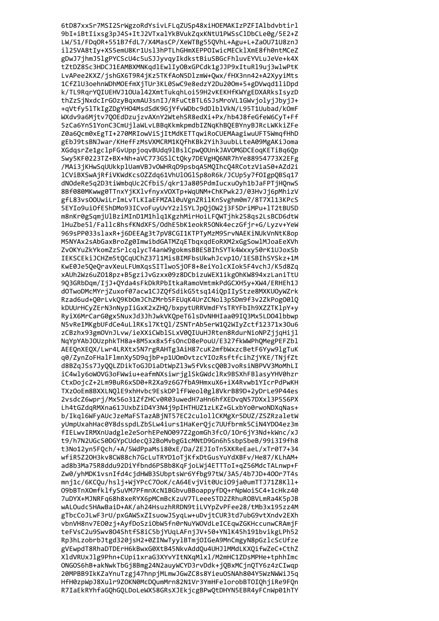6tD87xxSr7MSI2SrWgzoRdYsivLFLqZUSp48xiHOEMAKIzPZFIAlbdvbtirl 9bI+iBtIixsg3pJ4S+ItJ2VTxalYkBVukZqxKNtU1PWSsClDbCLe0g/5E2+Z LW/51/FDq0R+551B7fdL7/X4MasCP/XeWTBg55QVhL+Agu+L+Za0U71U8znJ il25VA8tIy+XS5emU8Kr1Usl3hPTLhGHmXEPPOIwicMECklXmE8fh0ntMCeZ gDwJ7jhmJ5lgPYCScU4c5uSJJyvqyIkdkstBiuSBGcFhluvEYVLuJeVe+k4X tZtDZ8Sc3HDCJ1EAMBXMNKqdlEwlIyOBxGPCdk1gJJP9xItuRl9uj3wlwPtK LvAPee2KXZ/jshGX6T9R4jKz5TKfAoN5DlzmW+Qwx/fHX3nn42+A2XyyiMts 1CfZ1U3oehnWDhMOEfmXjTUr3KL0SwC9e8edzY2Du200m+5+gDVwqd1liDpd k/TL9RqrYQIUEHVJ10Ual42XmtTukqhLoi59H2vKEKHfKWYgEDXARksIsyzD thZzSjNxdcIrGOzyBqxmAU3snIJ/RFuCtBTL6SJsMroVL1GWvjolyjJbyjJ+ +qVtfy51TkIgZDgYHO4MsdSdK9GjYfvWDbc9dD1b1VkN/L95T1Uubad/kOmF WXdv9a6Mjtv7QOEdDzujzvAXnY2WtehSR8edXi+Px/hb4J8feGfeW6CyT+Ff 5zCa6YnS1YonC3CmUjlaWLvLBBqKkmkpmdbIZNqKhBQEBYnyBJRcLWKkiZFe Z0a6Ocm0xEgTI+270MRIowViSjItMdKETTqwiRoCUEMAagiwuUFT5WmqfHhD gEbJ9tsBNJwar/KHefFzMsVXMCRM1KQfhKBk2Yih3uubLLteA09MgAKiJoma XGdgsrZe1gclpFGvUppjogvBUdg91Bs1Cpw00UnkJAVOMGDCEogKETiBg6Op Swy5KF0223TZ+BX+Nh+aVC773GS1Ct0ky7DEVgH06NR7hYe88954773X2EFg /MAi3jKHwSqUUkkplUamVBJvOWHRqD9psbqA5MQIhcQ4RCotzViaS0+AZd2i lCViBXSwAjRfiVKWdKcsOZZdq61VhUlOGlSp8oR6k/JCUp5y7fOIgpQBSq17 dNOdeRe5q2D3tiWmbqUc2CfbiS/qkr1Ja805PdmIucxuOyh1bJaFPTjHQnwS 8Bf080MKwwg0TTnxYjKXlvfnyxVOXTp+WqUNM+ChKPwk2J/03HvJj6pMhizV gfL83vs00UwiLrImLvTLKIaEFMZAl0uVgnZRilKnSvghm0m7/8T7Xl13KPcS 5EYIo9ui0fE5hDMo93ICvoFuyUvY2zl5YLJpQjOW2j3F5DriMPu+lT2tBU5D m8nKr0gSqmjUlBziMInD1M1hlq1KgzhMirHoiLFQWTjhk258qs2LsBCD6dtW lHuZbe5l/Fallc8hsfKNdXFS/OdhE5bK1eokR5ONk4eczGfir+G/Lyzv+YeW 969sPP033slaxR+j6DEEAg3t7pV8CGI1KTPTyMzM9SrvNAEKiNUkVnNtK8op M5NYAx2sAbGaxBroZg0ImwibdGATMZqETbqxqdEoRXM2xGgSowlMJoaEeXVh ZvOKYuZkYkomZzSrlcqlycT4anW9gokmsBBESBIhSYTk4Wxxy50rK1UJoxSb IEKSCEkiJCHZm5tQCqUChZ3711MisBIMFbsUkwhJcvp10/1ESBIhSYSkz+1M KwE0Je5QeQravXeuLFUmXqsSITlwoSjOF8+8eiYolcXIok5F4vchJ/K5d8Zq xAUh2Wz6uZ018pz+B5gziJvGzxx09z8DCbizuWEX1ikgOhKW894xzLaniTtU 9Q3GRbDqm/IjJ+QYda4sFkDkRPbItkaRamoVmtmkPdGCXH5y+XW4/ERHEh1J dOTwoDMcMYrjZuxof07acw1CJZQfSdikG5tsq14iQpIIyStze8MXKUOyWZrk Rzad6ud+Q0rLvkQ9KbOmJChZMrb5FEUqK4UrZCNol3pSDm9f3v2ZkPogO01Q kDUUrHCyZErN3nNypIiGxK2xZHQ/bxpytURRVmdFYsTRYFbIh9XZZTK1pY+y RyiX6MrCarG0gx5NuxJd3JhJwkVKQpeT6lsDvNHHIaa09IQ3Mx5LD04lbbwp N5vReIMKgbUFdCe4uLlRKsl7KtQl/ZSNTrAb5erW1Q2WIyZctf12371x30u6 zCBzhx93gmOVnJLvw/ieXXiCWblSLxV0QIUuHJRten8RdurNioNPZjjqHijl NqYpYAbJOUzphkTH8a+8M5xx8x5fsOncD8ePouU/E327fkWWPhQMegPEFZbl AEEQnXEQX/Lwr4LRXtx5N7rgRAHTg3AiH87cuK2mfbWxzcBetF6Yyw9lgTuK q0/ZynZoFHalFlmnXy5D9qjbP+p1U0mOvtzcYIOzRsftfcihZjYKE/TNjfZt d8BZqJSs7JyQQLZDikToGJDiaDtWpZl3w5fVkscQ0BJvoRsiNBPVV3MoMhLI iC4wly6oWOVG3oFWwiu+eafmNXsiwrjglSkGWdclRx9BSXhFBlasyYHV0hzr CtxDojcZ+2Lm9BuR6xSD0+R2Xa9z6G7fbA9HmxuX6+iX4Rvwb1YIcrPdPwKH TXzOoEm8BXXLNQlE9xhHvbc9EskDPlfFWeol0gl8VkrB89D+2yDrLe9P44es 2vsdcZ6wprj/Mx56o31ZfZHCv0R03uwedH7aHn6hfXEDvqN57DXx13P5S6PX Lh4tGZdqRMXna61JUxbZiD4Y3N4j9pIHTHUZ1zLKZ+GLxbYo0rwoNDXqNas+ b/Ikgl6WFyAUcJzeMaFSTazABjNT57EC2culollCKMgXr5DUZ/ZSZRzaletW yUmpUxahHac0Y8dsspdLZbSLw4iurs1HaKerOjc7UUfbrmk5CiN4YD04ez3m fIELwvIRMXnUadgle2eSorhEPeN0097Z2gomGh3fc0/10r6jY3Nd+kWnc/xJ t9/h7N2UGcS0DGYpCUdec032BoMvbgG1cMNtD9Gn6h5sbpSbeB/99i3I9fh8 t3No12vn5FOch/+A/5WdPpaMsi80xE/Da/ZEJIoTn5XKReEaeL/xTr0T7+34 wfiR5Z20H3kv8CW88ch7GcLuTRYD1oTiKfxDtGusYuYdXBFv/He87/KLhAM+ ad8b3Ma75R8ddu92DiYfbnd6PSBb8KgFjoLWj4ETTToI+gZ56MdcTALnwp+F Zw0/vhMDK1vsnIfd4cidHWB3SUbptsWr6Yfbg97tW/3A5/4b7JD+400r7T4s mni1c/6KCOu/hsli+WiYPcC7OoK/cA64EviVit0UciO9ia0umTTJ71Z8Kll+ 09bBTnXOmfklfvSuVM7PFmnXcN1BGbvuBBoappvfD0+rNpWoiSC4+1cHkz40 7uDYX+MJNRFa68h8xeRYX6pMCmBcKzuV7TLeeeSTD2ZRhuROBVLmRa4K5pJB wALOudc5HAwBaiD+AK/ah24HsuzhRRDN9tiLVYpZvPFee28/tMb3x195zz4M gTbcCoJLwF3rU/pxGAWSxZIsuowJSvaLw+uDvitCUR3td7ubG9vtXndv2EXh vbnVH8nv7E00zi+AvfDoSziObW5fn0rNuYWOVdLeICEawZGKHccunwCRAmiF teFVsC2u9Swv804ShtfS8iC5biYUaLAFniJV+50+YN1K45h191bvikgLPh52 Rp3hLzobrbJtgd320jsH2+0ZINwTyy1BTmjOIGeA9MnCmgyN8pGzlcScUfze gVEwpdT8RhaDTDErH6kBwxG0XtB45NkvAddQu4UHJ1MMdLKXQifwZeC+CthZ XldVRUxJlg9Phn+CUpi1xraG3XYvYItNXqMlxl/M2mHC1ZDsMPHe+tphhImc ONGOS6hB+akNwkTbGj8Bmg24N2auyWCYD3rvDdk+jQBxMCjnQTY6z4zCIwqp 20MPBB9IkKZaYnuTzgj47hnpjMLmwJGwZC8s8YieuOSNAh804Y5WzNWWiJ5q HfH0zpWpJ8Xulr9ZOKN0McDQumMrn82N1Vr3YmHFelorobBTOIQhjiRe9FQn R7IaEkRYhfaGQhGQLDoLeWX58GRsXJEkjcgBPwQtDHYN5EBR4yFCnWp01hTY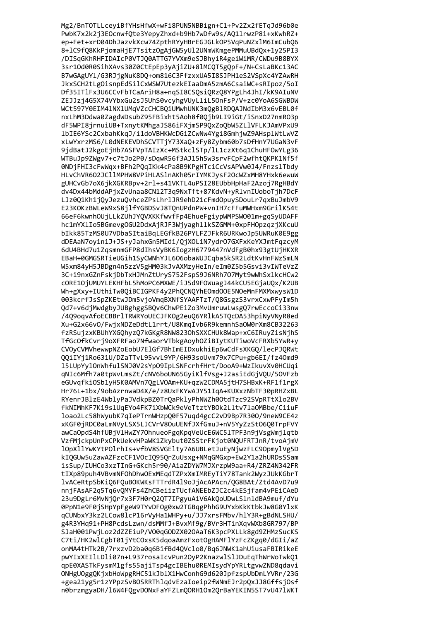Mg2/BnTOTLLceyiBfYHsHfwX+wFi8PUN5NBBign+C1+Pv2Zx2fETqJd96b0e PwbK7x2k2j3EOcnwfQte3YepyZhxd+b9Hb7wDfw9s/AQ1lrwzP8i+xKwhRZ+ ep+Fet+xrD04DhJazvkXcw74ZpthRYyHBrEGJGLkOP5VqPuNZxlM6ImCubQ6 8+1C9fQ8KkPjomaHjE7TsitzOgAjGW5yU12UNmWKmgePMMuUBdQx+1y25PI3 /DISqGKhRHFIDAIcP0VTJQ0ATTG7YVXm9eSJBhyiR4geiWiMR/CWDu9B8BYX 3sr10d0R0SihXAvs30Z0CtEpEp3yAjiZU+8lMCQT5gQpF+/N+CsLaBKc13AC B7wGAgUYl/G3RJjgNuK8DQ+om816C3FfzxxUA5I8SJPH1eS2VSpXc4YZAwRH JkxSCH2tLgOisnpEdSilCxWSW7UtezkEIaaDmA5zmA6CsaiWC+sRIpoz/5oI Df35IT1Fx3U6CCvFbTCaAriH8a+nqSI8CSQsiQRzQ8YPgLh4JhI/kK9AIuNV ZEJJzj4G5X74VYbxGu2sJ5UhS0vcyhgVUyLliL5OnFsP/V+zc0YoA6SGWBDW WCt597Y0EIM41NX1UMqVZcCHCBQiUMwhUNK3mQgBlRDQAJNdIbM3x6vEBL0f nxLhM3Ddwa0ZagdWDsubZ95FBixht5Aoh8f0Qjb9LI9iGt/iSnxD27nmR03p dF5WPI8jrnuiUB+TxnytKMhgaJS86iFXjmSP9QxZoQbW5ZLlVFLKJAmVPxU9 1bIE6YSc2CxbahKkgJ/i1doVBHKWcDGiZCwNw4Ygi8GmhjwZ9AHsp1WtLwVZ xLwYxrzMS6/L0dNEKEVDhSCVTTjY73XaQ+zFy8Zybm60b7sDfHnY7UGaN3vF 9jdBatJ2kgoEjHb7ASFVpTAIzXc+MStkclSTp/lL1czXt6q1ChuHFOwYLg36 WTBuJp9ZWgv7+c7tJo2P0/sDqwR56f3AJ15h5w3srvFCpF2wfht0KPK1Nf5f 0NDjFHI3cFwWqx+BFh2POqIKk4cPa8B9KPgHTciCcVsAPVw0J4/Fnzs1Tbdv HLvChVR602JCllMPHW8VPiHLASlnAKh05rIYMKJysF20cWZxMH8YHxk6ewuW gUHCvGb7oX6jkXGKRBpv+2rl+s41VKTL4uPSI28EUbbHpHaF2Azoj7RgHBdY dv4Dx44bMddAPjxZvUnaa8CN12T3q9NxTft+87KdvN+yRlvnIUoboTjh7DcF LJz0Q1Kh1jQyJezuQvhceZPsLhrlJR9ehD21cFmdOpuySDouLr7qxBuJmbV9 E23KOKzBWLeW9xS8jlfYGBDSvJ8TOnUPdnPW+vnIH7cFFuMWHxm9GrilK54t 66eF6kwnhOUjLLkZUhJYQVXKKfwvfFp4EhueFgiypWMPSWO01m+gqSyUDAFF hc1mYXlIo5BGmevgOGU2DdxAjRJF3WjyaghllkSZGMM+0xpFHOpzqzjXKcuU bIkk85TzMS0U7VDbaSItaiBqLEGfkB26PYLFZJFkR6URKwoJp5UWRuK0E9gg dDEAaN7oyin1J+JS+yJahxGn5MIdi/QjXOLiN7ydrO7GXFxKeYXJmtFqzcyM 6dU4BHd7u1ZqsmnmGFP8dIhsVyBK6IogzH6779447nVdFgB0hx93gtUjHKXR EBaH+0GMGSRTieUGih1SyCWNhYJL6O6obaWUJCqba5kSR2LdtKvHnFWzSmLN W5xm84yH5JBDgn4n5zzV5gHM03kJvAXMzyHeIn/eIm0Z5b5Gsvi3vIWTeVzZ 3C+i9nxGZnFskjDbTxHJMnZtUryS752FspS9J6NRh707Myt9wWhSxlkcHCw2 cORE10jUMUYLEKHFbL5hMoPC6MXWE/iJ5d9FOWuagJ44kCU5EGjaUQx/K2UB Wh+gXxy+IUthiTw0QiBCIGPKF4y2PhQCNQYhEOmdOOE5NOeMnFMXMxwysW1D 003kcrfJsSpZKEtwJDm5vjoVmqBXNfSYAAFTzT/Q8GsgzS3vrxCxwPFyIm5h Qd7+v6djMwdgbyJUBghggSBQv6ChwPEiZo3MvUmruwLwsgQ7rwEccoCi33nw /4Q9oqvAfoECBBrlTRWRYoUECJFKOg2euQ6YRlkA5TQcDA53hpiNyVNyR8ed Xu+G2x66vO/FwjxNDZeDdtL1rrt/U8KmqIvb6R9kemnhSaOW0rXm8CB32263 fzRSujzxKBUhYXGQhyzQ7kGKgR8NW8230hSXXCHUk8Wap+xC6IRuyZisNjhS TfGcOfkCvrj9oXFRFao7NfwaorVTbkgAoyhOZiBIytKUTiwoVcFRXb5YwR+y CVOyCVMVhewwpNZoEobU7E1Gf7BhImEIDxukhiEp6wCdFsXKGQ/lecPJQRWt QQiIYj1Ro631U/DZaTTvL95vvL9YP/6H93soUvm79x7CPu+gb6EI/fz40md9 15LUpYy10nWhfulSNJ0V2sYp09IpLSNFcrhfHrt/DooA9+WzIkuvXv0HCUqi qNIc6Mfh7a0tpWvLmsZt/cNV6boUN65GyiKlfVsg+J2asiEdGjVQU/50VFzb eGUvqfkiOSb1yH5K0AMVn7QgLVOAm+KU+qzW2CDMA5jtH7SHBxK+RF1f1rgX Hr76L+1bx/9obAzrnwaD4X/e/z8UxFKYwAJY51IqA+KUXxzNbTF30pRHZxBL RYenrJBlzE4WblyPaJVdkpBZ0TrQaPklyPhNWZh0OtdTzc92SVpRTtXlo2BV fkNIMhKF7Ki9slUqEYo4FK7iXbWCk9eVeTtztYBOk2Lltv7laOMBbe/C1iuF loao2Lc58hWyubK7qIePTrnWHzpQ0F57uqd4gcC2vD9Bp7R300/9neW9CE4z xKGF0jRDC0aLmNVyLSX5LJCVrV8OuUENfJXfGmuJ+nV5YyZzSt0600TrpFVY awCaOpdS4hfUBiV1HwZY70hnueoFgaKpaVeUcE6WC51TPF3n9iVsgWmilatb VzfMickpUnPxCPkUekvHPaWK1Zkvbut0ZSStrFKiot0NOUFRTJnR/tvoAimV 10pX11YwKYtPOlrhIs+vfbV8SVGE1tv7A6UBLetJuEvNiwzFLC90pmv1Vg5D kIOGUw5uZawAZFzcCF1VOcIO95OrZuUsxg+NMqGMGxp+Ew2Y1a2hURDsSSam isSup/IUHCo3xzTInG+GKch5r90/AiaZDYW7MJXrzpW9aa+R4/ZRZ4N342FR tIXp89puh4VBvmNFOhDhwOExMEadTZPxXmIMREvTiY78Tank2WvzJUkKGbrT lvACeRtpSbKi06FOuBOKWKsFTTrdR419oJiAcAPAcn/0G8BAt/Ztd4AvD7u9 nniFAsAF2a5Ta6vOMYFs4ZhCBeiizTUcfANEEbZJC2c4kESifam4vPEiCAeD 23u9DgLr6MvNjQr7x3F7H0rQ2QT7IPgyuA1V6AkQoUDwLSlnldBA9muf/dYu 0PpN1e9F0jSHpYpFgeW9TYvDF0g0xw2TGBqgPhhG9UYxbKkKtbkJw8G0Y1xK aCUNbxY3kz2LCow8lcP16rVvHa1WHPv+u/JJ7xrsFMbv/hlY3R+gBdNLSHU/ g4R3YHq91+PH8PcdsLzwn/dsMMfJ+BvxMf9g/BVr3HTinXqvWXb8GR797/BP SJaH001PwiLoz2dZZEiuP/V00aGODZX02OAaT6K3pcPXLLk8gd9ZHMzSucKS C7ti/HK2wlCgbT01iYtCOxsK5daoaAmzFxotOgHAMFlYzFcZKgq0/dGIi/aZ onMA4tHTk2B/7rxzvD2ba0q6BifBd4QVclo0/Bq6JNWK1ahUiusaFBIRikeE pwYIxXEIlLDli07n+L937rosaIcvPun2OyP2KnazwlSlJDuEqThWrWoTwkQ1 qpE0XASTkFysmM1gfs55ajiTsp4gcIBEhu0REMIsydYpYRLtgvwZND8qdavi ONHgUOggQKjxbHoWpgRHC51kJblX1HwConhG9d620JpfzspUbDmLYVRr/23G +gea21yg5r1zYPpzSvBOSRRThlqdvEzaIoeip2fWNmEJr2pQxJJ8GffsjOsf n0brzmgyaDH/l6W4FQgvDONxFaYFZLmQORH1Om2QrBaYEKIN5ST7vU47lWKT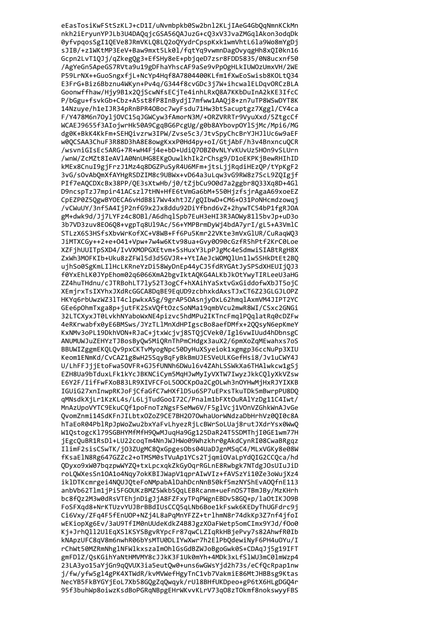eEasTosiKwFStSzKLJ+cD1I/uNvmbpkb0Sw2bnl2KLjIAeG4GbQqNmnKCkMn nkh2iEryunYPJLb3U4DAQqjcGSA56QAJuzG+cQ3xV3JvaZMGqlAkon3odqDk 0yfvpqosSgI1QEVe8JRmVKLQ8LQ2oQYydrCpspKxk1wmVhtL6la9Wo8mYgDj sJIB/+z1WKtMP3EeV+Baw9mxt5Lk0l/fqtYq9vwmnDagOvyqgHh8xQI0kn16 Gcpn2LvT1QJj/qZkegQg3+EfSHy8eE+pbjqeD7zsr8FDD5835/0N8ucxnf50 /AgYeGn5ApeGS7RVta9u19gDFhaYhscAF9aSe9vPpOgHLkIUWOzUmxVH/2WE P59LrNX++GuoSngxfjL+NcYp4Hqf8A7804400KLfm1fXwEoSwisb8KOLtQ34 E3FrG+Biz6Bbznu4WKyn+Pv4q/G344f8cvGDc3j7W+ihcwalELDqvORCzBLA Goonwffhaw/Hjy9B1x2QjScwNfsECjTe4inhLRxQ8A7KKbDuInA2kKE3IfcC P/bGgu+fsvkGb+Cbz+A5st8fP8InBydjI7mfww1AAQj8+zn7uTP8WSwDYT8K 14Nzuye/h1eIJR34pRnBPR40Boc7wyFsdu71Hw3bt5acuptgz7Xggl/CY4ca F/Y478M6n70yljOVC15qJGWCyw3fAmorN3M/+ORZVRRTr9VyuXxd/5ZtgcCf WCAEJ9655f3AIojwrHk50A9CgqBG6PcgUg/g0b8AYbovpOY1SjMc/Mpi6/MG dg0K+BkK4KkFm+SEHOivzrw3IPW/Zvse5c3/JtvSpyChcBrYJHJ1Uc6w9aEF w0QCSAA3ChuF3R88D3hA8E8owgKxxP0Hd4py+oI/GtjAbF/h3v4BnxncuQCR /wsvniGIsEc5ARG+7R+wH4Fi4e+bD+Udi070BZ0vNLYvKUvUz5H0n9vSLUrn /wnW/ZcMZt8IeAVlA0NnUHG8EKgOuwlkhIk2rChsg9/D1oEKPKjBewRHIhID kMEx8CnuI9gjFrzJ1Mz4q8DGZPuSyR4U6MFm+jtsLjjRqdiHEzQP/tYpKgF2 3vG/s0vAb0mXfAYHgRSDZIM8c9UBWx+vD64a3uLqw3vG9RW8z7ScL9Z0Igjf PIf7eAQCDXcBx38PP/QE3sXtwHb/j0/tZjbCu900d7a2ggbr8Q33Xq8D+4Gl D9ncspTzJ7mpir41ACszl7tHN+HfE6tVmGa6bM+550HjzfsjrAgaA69xoeEZ CpEZP0Z5QgwBYOECA6vHdB8i7Wv4xhtJZ/gQIbwD+CM6+031PoNHcmdzowqj /vCWuUY/3nf5A4IjP2nfG9x2Jx8ddu92DiYfbnd6vZ+2hywTC54bP1fgRJOA gM+dwk9d/Jj7LYFz4c80Bl/A6dhqlSpb7EuH3eHI3R3A0Wy81l5bvJp+uD3o 3b7VD3zuv8E06Q8+vgpTq8Ul9Ac/56+YMPBrmDyWj4bdA7yrI/gL5+A3VmlC STLzX6S3HSfsXbvWrKofXC+V8WB+Ff6Pu5Kmr22VKte3mVxG1UR/CuRaqWQ3 JiMTXCGy++2+e+041+Vpw+7w4w6Ktv98ua+Gvy0090cGzfR5hPtf2KrC0Loe XZFjhUUITpSXD4/IvVXMOPGXEtvm+SsHuxY3LpPJgMc4eSdmwiSIABtRgH8X ZxWh3MOFKIb+Uku8zZFW15d3d5GVJR++YtIAeJcWOMQ1Un11w5SHkDtEt2BQ ujhSo0SgKmLIlHcLKRneYzDi58WyDnEp44yCJ5fdRYGAtJySPSdXHEUIjQJ3 f0YxEhLK0JYpEhom02q6066XmA2bgvIktAQKG4ALKbJkOtYwyTIRLeeU3aHG ZZ4huTHdnu/cJTRBohLT7ly52T3ogCf+hXAihYaSxtvGxGiddofwXbJT5ojC XEmjrxTsIXYhxJXdRcGGCA8DqBE9EqUD9zcbhxkdAxsTJxCT6Z23GLGJLOPZ HKYq6rbUwzWZ3lT4clpwkxA5g/9grAP50AsnjyOxL62hmqlAxmVM4JIPT2YC GEe6pOhmTxga8p+jutFK2SxVQftOzcSoNMa19qmbVcu2mwR8WI/CSxc2GNGi 32LTCXyxJT0LvkhNYaboWxNE4pizvc5hdMPu2IKTncFmqlPQqlatRq0cDZFw 4eRKrwabfx0yE6BMSws/JYzTLlMnXdHPIgscBo8aefDMfx+2QQsyN6epKmeY KxNMv3oPL19DkhVON+RJaC+jtxWcjvj8STQjCVek0/Igl6vwIUud4hDbnsgC ANUMUWJuZEHYzTJBosByQw5MiQRnThPmCHdgx3auX2/6pmXoZqMEwahxs7oS BBUWIZggmEKQLQv9pxCKTvMyogNpc50DyHuXSyeiok1xgmgp36ccNuPp3XIU Keom1ENmKd/CvCAZ1g8wH25SqyBqFyBkBmUJESVeULKGefHsi8/Jv1uCWY4J U/LhFFJjjEtoFwa50VFR+GJ5fUNNh6DWul6v4ZAhLSSWkXa6THAlwkcw1gSj EZH8Ua9bTduxLFk1kYcJBKNCiCym5MqHJwMyIyVXTW7IwyzJkkCQlyXkVZsw E6Y2F/IifFwFXoB83LR9XIVFCFoL500CKp0a2CgOLwh3n0YHwMjHxRJYIXKB IGUiG27xnInwpRKJoFjCfaGfC7wHXflD5u6SP7uEPxsTkuTDk5mBwrpPU8DQ qMNsdkXjLr1KzKL4s/L6LjTudGooI72C/Pnalm1bFXtOuRAlYzDg11C4Iwt/ MnAzUpoVYTC9EkuCQf1poFnoTzNgsFSeMw6V/F5glVcj1VOnVZGhkWnAJvGe QvomZnmi14SdKFnJILbtxOZoZ9CE7BH2O7OwhaUorWNdzaDbHrhVz0QI0c8A hTaEoR04PblRpJpWoZwu2bxYaFvLhyezRjLcBWrSoLUaj8rutJXdrYsx0WwO W10stogcK179SGBHYMfMfH90wMJuaHa9Gg125DaR24T5SDMThiI0GE1wm77H iEgcOuBR1RsD1+LU22coaTm4NnJWJHWo09Whzkhr0gAkdCvnRI08CwaBRgqz IlimF2sisCSwTK/iO3ZUgMC8OxGpgesObs04UaDJgnMSqC4/MLxVGKv8e08W fKsaElN8Rg647GZZc2+oTMSM0sTVuAp1YCs2TigmiOVaLpYdOIG2CCOca/hd 0Dyxo9xW07bgzpwWYZ0+txLpcxqkZkGy0grRGLnE8Rwbgk7NTdgJ0sUIuJiD roLOWXesSn10A1o4Nav7okKBIJWapV1aprAIwVIz+fAVSzYi10Ze3oWuiXz4 iklDTKcmrgei4NOUJOteFoNMpabAlDahDcnNnB50kf5mzNYShEvA00fnE113 anbVb62T1m1iPi5FGOUKzBMZ5Wkb5OaLEBRcanm+ueFnOS7TBmJBv/MzKHrh bc8f0z2M3w0dRsVTEhinDigJiA8FZFxvTPaPWgnEBDv58GO+p/laOtIKJO9B FoSFXgd8+NrKTUzvYUJBrBBdIUsCC05gLNb6Boe1kFswk6KEDyThUGFdrc9j Ci6Vxv/ZFq4F5fEnUOP+NZi4L8aPqMnYFZZ+trlhmN8r74dkKp3Z7nf4ifoI wEKiopXg6Ev/3aU9TfIM0nUUdeKdkZ4B8JgzXOaFWetp5omCImx9YJd/f0o0 Ki+Jrh0ll2UlEaXSlKSYSBgvRYpcFr87awCLZIaRkHBiePvv7s82AhwfR0Ib kNApzUFC8aV8m6nwhR06bYsMTU0DLIYwXwr7h2E1PbOdewiNvF6PH4u0Yu/I rChWt50MZRmNhglNFWlkxszaImOhlGsGdBZWJoBgoGwk0S+CDAgJj5g19IFT gmFD1Z/OsKGihYaNtHMVMY8cJJkK3F1Uk0mYh+4MDk3xLfS1WU3mC01mWzp4 23LA3yo15aYjGn9qQVUX3ia5eutQw0+uns6wGWsYjd2h73s/eCfQcRpap1nw j/fw/yfw5gl4gPK4XTWdR/kvMVWefHgyTnC1vb7VakmiE86MtJHBBsg9Ktas NecYB5FkBYGYjEoL7Xb58GQgZqQwqyk/rU18BHfUKDpeo+gP6tX6HLgDGQ4r 95f3buhWp8oiwzKsdBoPGRqNBpgEHrWKvvKLrV73q08zT0kmf8nokswyyFBS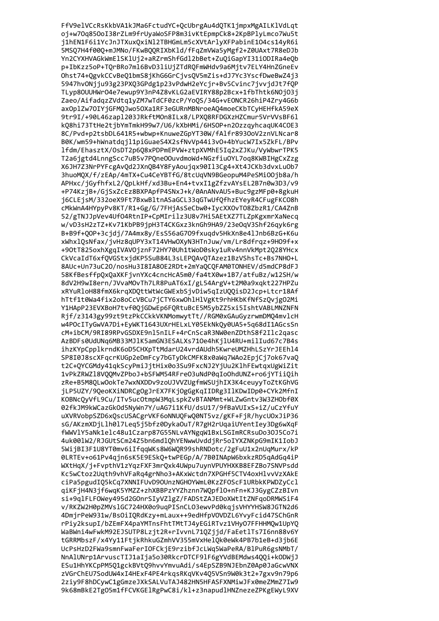FfV9elVCcRsKkbVA1kJMa6FctudYC+QcUbrgAu4dQTK1jmpxMgAILKlVdLqt oj+w70q850oI38rZLm9frUyaWoSFP8m3ivKtEpmpCk8+2KpBPlyLmco7Wu5t j1hEN1F6i1YcJnJTXuxQxiNl2TBHGmLm5cXVtArlyXFPabinE1O4cs14yR6i 5MSQ7H4f00Q+mJMNo/FKwBQQRIXbKld/fFqZmVWa5yMgf2+Z0UAxt7R8eDJb Yn2CYXHVAGkWmElSKlUj2+aRZrmShfGdl2bBet+ZuQiGapYI31iODIRa4eQb p+IbKzz5oP+TQrBRo7ml6BvD3liUjZTdRQFmWHdv9a6Mjtv7ELY4HnZGneEv Ohst74+QgvkCCvBeQ1bmS8jKhG6GrCjvsQV5mZis+dJ7Yc3YscfDweBwZ4j3 5947hv0Njju93g23PXQ3GPdg1p23vPdwH2eYcjr+Bv5Cvinc7jvvjdJt7fQP TLyp80UUHWr04e7ewup9Y3nP4Z8vKLG2aEVIRY88p2Bcx+1fbThtk6N0j03j Zaeo/AifadqzZVdtq1yZM7wTdCF0zcP/YoQS/34G+vEONCR26hiP4Zry4G6b axOplZw7OIYjGFMQJwo5OXa1RF3eGURnMBNroeAQ4moeCKbTCyHEHfkA59eX 9tr9I/+90L46zap1203JRkftMOn8ILx8/LPXQ8RFDGXzHZCmur5VrVVsBF61 kQ8hi73TtHe2tjbYmTmkH99w7/U6/kXbHMi/6HSOP+n2OzzqyhcaqUK4COE3 8C/Pvd+p2tsbDL641R5+wbwp+KnuweZGpYT30W/fAlfr8930oV2znVLNcar8 B0K/wm59+hWnatdqjl1piGuaeS4X2sfNvVp44i3v0+4bYucW7Ix5ZkFL/BPv 1fdm/EhasztX/OsDT2p6O8xPDPmEPVW+ztpXVMhE5Iq2xZJKu/VyWbwrTPK5 T2a6jgtd4LnngScc7uB5v7P0ne00uvdmoWd+NGzfiu0YL7og8KWBIHgCxZzg X6JH7Z3NrPYFcgAvOd2JXnOB4Y8FyAoujgx90Il3Cg4+Xt4JCKb3dvxLuOb7 3huoMOX/f/zEAp/4mTX+Cu4CeYBTfG/8tcUqVN9BGeopuM4PeSMiOOjb8a/h APHxc/jGyfhfxL2/QpLkHf/xd3Bu+En4+tvxI1gZfzvAYsEL2B7n0w3D3/v9 +P74KziB+/GiSxZcEz8BXPApfP4SNxJ+k/0AnANvAU5+Buc9gzMFp0+8gkuH j6CLEjsM/332oeX9Ft7BxwBltnASaGCL33qGTwUfQfhzEYeyR4CFugFKC08h cMkWnA4HYpyPv8KT/R1+Gg/G/7FHjAsSeCbw0+IycXXOvT08ZbzR1/CA4ZnB 52/gTNJJpVev4Uf04RtnIP+CpMIrilz3U8v7Hi5AEtXZ7TLZpKgxmrXaNecq w/vD3sH2zTZ+Kv71KbPB9jpH3T4CKGxz3knGh9HA9/23eOqV3Shf26qyk6rg B+B9f+QOP+3cjdj/7A4mx8y/EsS56aG7O9fxuqdv5HkXn8e4lJnb6BzG+K6u xWhxlQsNfax/jvHz8qUPY3xT14VHwOXyN3HTnJuw/vm/Lr8dfrqz+9H09f+x +90tT825oxhXgqIVAV0jznF72HY70Uh1tWoD0sky1uRv4nnVkMpt2Q28YHcx CkVcaIdT6xfQVGStxjdKP5SuB84L3sLEPQAvQTAzez1BzVShsTc+Bs7NH0+L 8AUc+Un73uC20/nosHu3I8IA80E2RDt+2mYaQCQFAM0TONHEV/d5mdCP8dFJ 58KfBesffpQxQaXKFjvnYXc4cncHcA5m0/fa4tX0w+1B7/atfuBz/w12SH/w 8dV2H9wI8ern/JVvaMOvTh7LR8PuAT6xI/gL54ArgV+t2M0a9xqkt227HPZu xRYuRloH88fmX6krqXDQttWtWcGWExbSjvDiw5qIzUQQisD2Jcp+Ltcr18Af hTtf1t0Wa4fix2o8oCcVBCu7jCTY6xwOhlHlVgKt9rhHKbKfNfSzQvjgO2Mi Y1HApP23EVXBoH7tvf0QjGDwEp6FQRtuBcE5M5ybZZ5xi5IshtVABLMNZNFN Rjf/z3143gy99zt9tzPkCCkkVKNMomwytTt//RGM0xGAuGyzrwmDMQ4mvlcH w4POcITyGwVA7Di+EyWKT1643UXrHELxLY05EkNkQy0UA5+5q68dI1AGcsSn cM+ibCM/9RI89RPvGSDXE9nl5nILF+4rCnScaR3NW0enZDthS8f2Ilc2qasc AzBDFs0UdUNq6MB33MJlK5amGN3ESALXs710e4hKjlU4RU+milIud67c7B4s ihzKYpCpplkrndK6oD5CHXpTtMdarU24vrdAUdh5KwreUMZHhLSzYrJEEhl4 SP8I0J8scXFqcrKUGp2eDmFcy7bGTyDkCMFK8x0aWq7WAo2EpjCj7ok67vaQ t2C+QYCGMdy41qkScyPmiJjtHix0o3Su9FxcNJ2YjUu2KlhFEwtqxUgWiZit 1vPkZRWZ18VQQMvZPboJ+bSFWM54RFreO3uNdP0qIoOhdUNZ+ro6jYTiiQih zRe+B5M8QLwOokTe7wxNXDDv9zoUJVVZUgfmWSUjhIX3K4ceuyyToZtKGhVG jLP5UZY/9QeoKXiNDRCgOgJrEX7FKjOgGgKqIIDRg3IlKDwIDp0+CYk2MfnI KOBNcQyVfL9Cu/ITv5uc0tmpW3MqLspkZvBTANMmt+WLZwGntv3W3ZHObf0X 02fkJM9kWCazGkOd5NyWn7Y/uAG7i1KfU/dsU17/9fBaVUIxS+iZ/uCzYfuY uXVRVobpSZD6xQscUSACgrVKF6oNNUQFwQ0NT5vz/gKF+FjR/hycU0xJiP36 sG/AKzmXDjLlh0l7Leg5j5bfz0DykaOuT/R7gH2rUgaiUYentIey3Dg6wXgF fWWVlY5aNk1elc48u1Czarp87G55NLvAYNgqW1BxLSGImRCRsuDo30J5Co7i 4uk001W2/RJGUtSCm24Z5bn6md10hYENwwUvddiRr5oIYXZNKpG9mIK1IobJ 5WiiBI3F1U8YT0mv6iIfaaWKs8W6WOR99shRNDotc/2gFuU1x2nUaMurx/kP 0LRTEv+o61Pv4ain6sK5E9ESk0+twPEGp/A/7B0INApW6bxkzRD5aAdGa4iP WXtHgX/j+FvpthV1zYgzFXF3mr0xk4UWpu7uynVPUYHXKB8EFZBo7SNVPsdd Kc5wCtoz2Uath9vhVFaRa4grNho3+AKxWctdn7XPGHf5CTV4oxH1vvVzXAkE ciPa5pgudI05kCq7XNNIFUvD90UnzNGHOYWmL0KzZFOScF1URbkKPWDZvCcl giKFiH4N3if6waK5YMZZ+zhXBBPzYYZhznn7WOpflO+nFn+KJ3GvgCZzBIvn si+9alFLF0Wev495d2GOnrSIvVZlgZ/FADStZAJEDoXWtItZNFaoDRMWSiF4 v/RKZW2H0pZMVslGC724HX0o9uqPISnCLO3ewvPd0kgjsVHYYHSW8JGTN2d6 4DmirPeW931w/BsOiIORdKzv+mLaux++9edHfpVOVDZL6YvvFcid47SChGnR rPiv2ksupI/bZEmFX4paYMTnsFhtTMtTJ4vEGiRTvz1VHvO7FFHHMOw1UpYO WaBWni4wFwkM92EJSUTP8Lzjt2R+rIvvnL71QZjjd/FaEetlTs7I6nn88v6Y tGRRMbszF/x4Yv11FtikRhkuGZmhVV355mVxHelOk0eWk4PB7b1eB+d3ib6E UcPsHzD2FWa9smnFwaFerIOFCkjE9rzibfJcLWq5WaPeRA/BlPuR6gsNMbT/ NnAlUNrp1ArvuscTIJ1aIja5o30RkcrDTCF9lF6gYVdBEMdws4QQi+kODWjJ ESu1HhYKCpPM5Q1gckBVtQ9hvvYmvuAdi/s4EpSZB9NJEbnZ0Ap0JaGcwVNX zVGrChEU7SodUW4xI4HExF4PE4rkqsRKqVKv4Q5VSn9W0k3t2+7gxv9n79p6 2ziy9F8hDCywC1gGmzeJXkSALVuTAJ482HN5HFASFXNMiwJFx0meZMmZ7Iw9 9k68mBkE2TgO5m1fFCVKGElRgPwC8i/kl+z3napudlHNZnezeZPKgEWyL9XV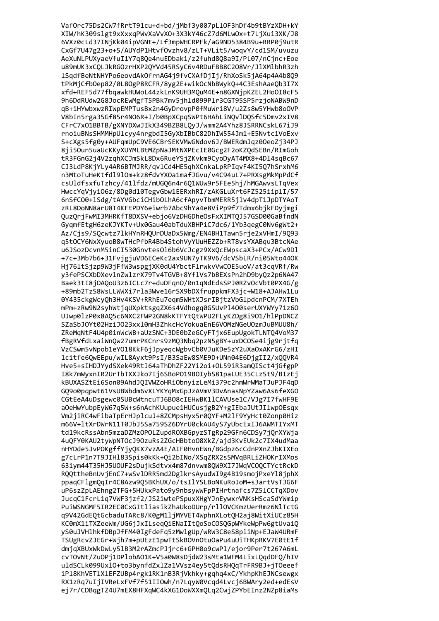Vaf0rc75Ds2CW7fRrtT91cu+d+bd/jMbf3y007pLlOF3hDf4b9tBYzXDH+kY XIW/hK309slgt9xXxxqPWvXaVvXO+3X3kY46cZ7d6MLwOx+t7LjXui3XK/J8 6VXz0cLd37INjKk04ipVGNt+/Lf3mpWHCRPFk/aG9ND5384B9u+RRP0j9utR CxGf7U47g23+o+5/AUYdP1HtvfOvzhv8/zLT+VLit5/woqvY/cd1SM/uvuzu AeXuNLPUXyaeVfuI1Y7q8Qe4nuEDbaki/z2fuhd8Q8a9I/PL07/nCjnc+Eoe u89mUK3xCQLJkRGOzrHXP2QYVd45RSyC6v4RDuFBB8C208Vr/JlXMlbhR3zh 1SqdfBeNtNHYPo6eovdAkOfrnAG4j9fvCXAfDjIj/RhXoSk5jA64p4A4b8Q9 tPkMjCfbOep82/0L8OgP8RCFR/8yg2E+wikOcNbBWykQ+4C3EshAaeQb3I7X xfd+REF5d77fbqawkHUWoL44zkLnK9UH3MQuM4E+n8GXNjpKZEL2HoOI8cF5 9h6DdRUdw2G8JocREwMgfT5PBk7mv5jhld099Plr3CGT95SP5rzjoNABW9nD qB+iHYwbxwzRIWpEMPTusBx2n4GyDrovpP0fMuWri8V/u2Zs8w5YHwb8oOVP V8bIn5rga35Gf85r4NO6R+I/b0BpXCpqSWPt6HAhLiNQvlDQSfc5Dmv2xIV8 CFrC7x01BBTB/gXNYDXwJIkX349BZB8LQyJ/wmm2A4Yhz8JSRRNCskL67iJ9 rnoiuBNsSHMMHpUlcyy4nrgbdI5GyXbIBbC82DhIW554Jm1+E5Nvtc1VoExv S+cXgs5fg0y+AUFqmUpC9VE6CBrSEKVMwGNdov6J/BWERdmJqz00eoZj34PJ 8ji50un5uaUcKKyXUYMLBtMZpNaJMtNXPEcIE0Gcg2F2oKZ0dSEBn/RImGoh tR3FGnG2j4V2zqhXCJmSkL8Dx6RueYSjZKvkm9CyoDyAT4MX8+4D14sqBc67 CJ3LdP8KjYLy4AR6BTMJRR/gvlCd4HE5ghXCnkaLpRPIgvF4KI507hSrxhM6 n3MtoTuHeKtfd1910m+kz8fdvYX0a1mafJGvu/v4C94uL7+PRXsgMkMpPdCf csUldfsxfuTzhcy/41lfdz/mUGQ6n4r6Q1WUw9r5FEe5hj/hMGAwvsLTqVex HwccYqVjyiO6z/8Dg0d10TegvGbw1EERxhRI/zAKGLuXrt6FZ525iiplI/57 6nSfC00+lSdg/tAYVGbciCHibOLhA6cfApyvTbmMERR5jlv4dpT1JpDTYAoT zRL8DoNN8arU8T4KFtPDY6eiwrb7Abc9hYa4e8ViPp9f7Tdmx6bjkFDyjmgi OuzOriFwMI3MHRKfT8DXSV+ebjo6VzDHGDheOsFxXIMT0J57GSD00GaBfndN GygmfEtgH6zeKJYKTv+Ux0Gau40abTduXBHPiC7dc6/1Yb3gegC0Nv6gWt2+ Az/Cjs9/SQcwtz71kHYnRHQUrDUaDx5Wmg/EN4BH1Tawn5rje2xVHmI/9Q93 q5t0CY6NxXyuoB8wTHcPfbR4Bb4StohVyYUuHEZZb+RT8vsYXABqu3BtcNAe u6JSozDcvnM5inCI530GnvtesOl6b6VcJcgz9XxQcEWpscaX3+PCx/ACw9Dl +7c+3Mb7b6+31FvjgjuVD6ECeKc2ax9UN7yTK9V6/dcVSbLR/ni05Wto440K Hj76ltSjzp9W3jFfW3wspgjXK0dU4YbctFlrwkvVwCOE5uoV/at3cqVRf/Rw y3fePSCXbDXevlnZwlzrX79Tv4TGVB+8YflVs7bBEXsPn2hD9byQz2p6NA47 Baek3tI8jOAQoU3z6ICLc7r+duDFqnO/0n1qNdEdsSPJ0RZvOcVbt0PX4G/g +89mb2TzS8WsLLWWXi7rla3Wve16rSX9bDXfruppkmFX3jc+W18+AJAHw1Lu 0Y435ckgWcyQh3Hv4KSV+RRhEu7eqm5WHtXJsrIBjtzVbGlpdcnPCM/7XTEh mPm+zRw9N2syhWtjqUXpktsgqZX6s4Vdhogq0GSUvP1400serUXYWYy71z60 UJwp01zP0x8AQ5c6NXC2FWP2GN8kKTFYtQtWPU2FLyKZDg8i901/hlPpDNCZ SZaSbJOYt02HziJO23xx10mH3ZhkcHcYokuaEnE6VOMzNGeUOzmJuBMUU8h/ ZReMqNtF4U4p0inWcWB+aUzSNC+3DE0bZeGCyFTjx6EupUgokTLNTQ4VoM37 fBgRVfdLxaiWnQw27umrPKCnrs9zMQ3Nbq2pzN5gBY+uxDCOSe4ijg9rjtfq VzCSwm5vNpob1eY018KkF6jJpyeqcWgbvCb0VJuKDe5zY2uXaOxAKrG6/zHI 1citfe6QwEEpu/wIL8Ayxt9PsI/B3SaEw8SME9D+UNn04E6DjgII2/xQQVR4 Hve5+sIHDJYydSXek49RtJ64aThDhZF22Yi2oi+OL59iR3amQISct4jGfgpP I8k7mWyxnIR2UrTbTXXJko7Ij6SBoP019B0IybS81paLUE35CLzSt9/BIzEj kBUXASZtEi6Son09AhdJQIVWZoHRiObnyizLeMi379c2hmWrWMaTJuPJF4qD GQ9o0pqpwt61VsUBWbdm6vXLYKYqMxGpJzAVmV3DvAnasNpYZaw6As6feXGO CGtEeA4uDsgewc0SUBcWtncuTJ6B08cIEHwBK11CAVUse1C/VJg7I7fwHF9E a0eHwYubpEyW67q5W+s6nAchKUupue1HUCusjgB2Y+gIEbaJUtJIlwp0Esqx Vm2jiRC4wFibaTpErHJplcuJ+8ZCMpsHyx5r0QYF+M2lF9YyHct0Zonp0Hiz m66V+1tXrDWrN11T0JbJ5Sa759SZ6DYrU0ckAU4yS7yUbcExIJ6AWMTIYxMT td19kcRssAbn5mzaDZMzOPOLZupdROXBGpvzSTgRp29GFn6CDSv7iOrXYWia 4u0FY0KAU2tvWpNTOcJ9OzuRs2ZGcHBbtoO8XkZ/aid3KvEUk2c7IX4udMaa nHYDde5JvPOKgffYivOKX7vzA4E/AIF0HvnEWn/BGdpz6cCdnPXnZJbKIXEo g7cLrP1n7T9JIH183Spis0kKk+Oi2bINo/XSaZRX2sSMVaBRLiZHOKrIXMos 63iym44T35HJ5U0UF2sDujkSdtvx4m87dnvwm80W9XI7JWqVC00CTYctRckD ROOttheBnUviEnC7+wSv1DRR5md2Dg1krsAvudWI9g4B19smoiPxeY18iphX ppagCFlgmOgIr4C8Azw9O5BKhUX/o/tsIlYSLBoNKuRoJoM+s3artVsTJG6F uP6szZpLAEhng2TFG+5HUkxPato9v9nbsvwWFpPIHrtnafcs7Z51CCTqXDov JucaC1FcrL1a7VWF3izf2/JS2iwtePSpuxXHgYJnEvwxrVNKsHScaSdYWmip PuiWSNGMF5IR2EC0CxGItliasikZhaUkoDUrp/rllOVCKmzUerRmz6NlTctG g9V42GdEOtGcbaduTARc8/K0gM11iMYVET4WphnXLotOH2ai8WitXiUCz85H KC0mX1iTXZeeWm/UG6iJxILseaOiENaIItOoSoCOSOGpWYkeWpPw6gtUvaiO vS0uJVHlhkfDBpJfFM40IgFdeFa5zMwlgUp/wRW3C8eS8pliNp+EJaW4URmF TSUgRcvZJEGr+Wih7m+pUEzE1pwTtSkBOVnOtuOaPu4uUiTHKpRKV7E0tE1f dmigXBUxWkDwLy51B3M2rAZmcPJirc6+GPH0o9cwPl/ejor9Per7t267A6mL cvTOvNt/ZuOPj1DPlobA01K+V5a0W8sDjdW23sMta1WFM4LixLQqdDFQ/hIV uldSCLk099Uxl0+to3bynfdZxlZa1VVsz4ey5tQdsRHQqTrFR9BJ+jT0eeef iP18KhVET1X1EFZUBp4rgk1RK1nB3RjVkhky+gqhq4xC/YkhpKhEJNCsewgx RX1zRq7uIjIVReLxFVf7f51IIOwh/n7LqyW0Vcqd4Lvcj6BWAry2ed+edEsV ej7r/CDBqgTZ4U7mEX8HFXqWC4kXG1DoWXXmQLq2CwjZPYbEInz2NZp8iaMs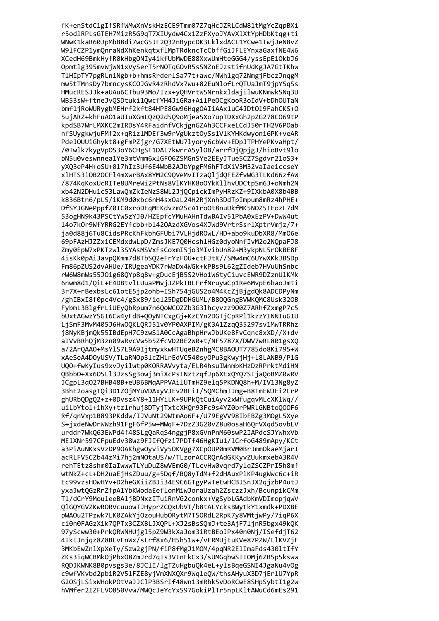fK+enStdC1gIfSRfWMwXnVskHzECE9Tmm07Z7qHcJZRLCdW81tMgYcZqpBXi r5odlRPLsGTEH7MizR5G9qT7XIUydw4Cx1ZzFXyoJYAvXlXtYpHDbKtqg+ti WNwK1kaR60JpMbB8di7wcG5JF2Q32nBypcDK3LklxdACL1YCwe1TwjJeN8vZ W91FCZP1ymQnraNdXhKenkqtxflMpTRdkncTcCbffGiJFLEYnxaGaxfNE4W6 XCedH69BmkHyfR0kHbgONIy4ikfUbMwDE88XxwUmHteGGG4/yssEpE10kbJ6 Opmtlg395mvWjWN1xVySerT5rNOTqGOvR5sSNZnEJzstifnUdKgJA7GtTKhw TlHIpTY7pgRLn1Ngb+b+hmsRrderlSa77t+awc/NWh1gq72NmgjFbczJnqgM mw5tTMnsDy7bmncysKCOJGvR4zRhdVx7wu+82EuNlofLrQTUaJmT9jpY5qSs HMucRESJJk+aUAu6CTbu93Mo/Izx+yQHVrtW5NrnkxldajilwuKNmwkSNq3U WB53sW+ftneJvQSDtuki1QwcfYH4JiGRa+AilPeOCgKooR3oIdV+bDhOUTaN bmf1jRoWURygbMEHrf2kft84HPE8Gw96HqgOAIiAAx1uC4JDt0l9FahCKS+0 5ujARZ+khFuA01aUIuXGmLQzQ2d5Q9oMjeaSXo7upTDXxGh2pZG278C069tP kpdSB7WrLMXKC2mIRDsY4RFaidnfVCkjgnGZAh3CCFxeLCdJ50rTH2V6POab nfSUygkwjuFMf2x+qRiz1MDEf3w9rVgUkztOySs1V1KYHKdwyoni6PK+veAR PdeJOUUiGhykt8+gFmPZjgr/G7XEtWU7lyory6cbWv+EDpJTPHYePKvaHpt/ /0Twlk7kygVpOS3oY6CHgSF1DAL7kwrrA5y10B/arrfDj0pjgJ/hioBvt9lo bN5u0veswnnea1Ye3mtVmm6x1GF06ZSMGnSYe2EEyJTue5CZ7Sgdvr21oS3+ yX03eP4H+oSU+017hIz3Uf6E4WbB2AJbYpgFM6hFTdXiV3M32vaIae1ccseY x1HTS3iOB2OCF14mXwrBAx8YM2C9OVeMvITzaO1jdOFEZfvWG3TLKd66zfAW /874KqKoxUcRITe8UMreWi2PtNs8VlKYHK8oOYkKllhvUDCtpSm6J+oNmh2N xb42N2DHu1c53LawQmZkIeNzS8WL2JjQCpickImPyHRzKZ+9IXkbA0X8b4BB k836Btn6/pL5/iKM9d0xbc6nH4sxOaL24H2RjXnh3DdTpImpum8mRz4hPHE+ DfSYJGNePppfZ0IC0xroDEgMEKdvzm2ScA1roOt8nuUkfMK5NOZ5TEozL7dM 53ogHN9k43PSCtYw5zYJ0/HZEpfcYMuHAHnTdwBAIv51PbA0xEzPV+DwW4ut 14o7k0r9WfYRRG2EYfcbb+b1420AzdXGVos4XJWd9VrtrSsrlXptrVmjz/7+ ja0d88j6Tu8CidsPRcKhFkbhGFUbi7VLHjdROwL/HD+abo9kuDbXR8/MmO6e 69pFAzHJZZxiCEMdxdwLpD/ZmsJKE7Q0HcshlHGz0dyoNnfIvM2o2NQpaFJ8 Zmy0EpW7xPKTzwl3SYAsMSVxFsCoxmI5jo3MIvibUn82+M3ykpNL5rOkBE8F 4isKk0pAiJavpQKmm7d8TbSQ2eFrYzFOU+ctFJtK//SMw4mC6UYwXKkJBSDp Fm86pZUS2dvAHUe/IRUgeaYDK7rWaDx4WGk+kPBs9L62gZIdeb7HVuUhSnbc rW6W8mWs55J0ig68QYp8qBv+gDucEjB5S2VHo1W6tyCiuvcEWR9DZznUlKMk 6nwm8d1/QiL+E4DBtvlLUuaPMvjJZPkTBLFrfNruywCp1Re6MvpE6haoJmti 3r7X+rBexbsLc61otE5jp2ohb+ISh754jGUS2o4M4KcZjBjgdQk8ADCDPyNm /ghIBxI8f0pc4Vc4/gSx89/iql25DgDDHGUML/B80QGngBVWKQMC8Usk32OB FybmL3BlgfrLiUEyQbRpum7n6QoWCOZZb3G3lhcyvzz9O0Z7ARhfZxmgP7c5 bUxtAGwzYSGI6Cw4yFdB+QOyNTCxgGj+KzCYn2DGTjCpRPl1kzzYINNIuGIU LjSmF3MvM405J6HwOQKLQRJ51v0YP0AXPIM/gK3A1ZzqQ35297sv1MwTRRhz j8NyKBjmQk55IBdEpH7C9zwSlA0CcAgaBhpHrwJbUKe8FvCqnc8xXD//X+dv aIVvBRhQjM3zn09wRvcVw5b5ZfcVD2BE2W0+t/NF5787X/DWV7wRL801gsXQ a/2ArQAAO+MsYlS7L9A9IjtmyxkwHTUqeBZnhgMC8BAOUT7785do8Ki795+W xAeSeA4DOyUSV/TLaRNOp3lcZHLrEdVC540syOPu3gKwyjHj+L8LANB9/P1G UQO+fwKyIus9xvJyilwtp0KORRAVvyta/ELR4hsuIWnmbKHzDzRPrktMdiHN QBbbO+Xx6O5Ll3JzsSg3owj3miXcPsINztzqfJp6XtxQYQ7SIjaQoBMZ0wRV JCgpL3q027BHB48B+eUB6BMqAPPVAilUTmHZ9elq5PKDNQ8h+M/IV13Ng8yZ 3BhE2oasgTQi3D1ZOjMYuVDAxyVJEv2BFiI/5QMChmIJmg+B8TmEWJEi2LrP ghURbQDgQ2+z+0Dvsz4Y8+11HYiLK+9UPkQtCuiAyv2xWfugqvMLcXKlWq// uiLbYtol+1hXy+tzlrhuj8DTyjTxtcXHQr93Fc9s4YZ0brPWRLGNBtoQOOF6 Rf/gnVxp1B893PKddw/IJVuNt29WtmAo6F+/U79EgVV98IbFBZg3M0gL5Xye S+jxdeNwDrWWzh91FgF6fP5w+MWqF+7DzZ3G20vZ8u0osaH60rVXqd5ovbLV urddr7Wk063EWPd4f48SLgOaRgS4nggiP8xGVnPnM60swP2IAPdcSJYWhxVb ME1XNr597CFpuEdv38wz9FJIfOfzi7PDTf46HgKIu1/lCrfoG489mApv/KCt a3PiAuNKxsVzDP9OAKhgwOyviVy5OKVgg7XCpOUP0mRVM0BrJmmOkaeMjarI acRLFV5CZb44zMi7hi2mNOtaUS/w/TLzorACCROrAdGKKvvZUukmxebA3R4V rehTEtz8shm0IaIwwwTLYuDuZ8wVEmG0/TLcvHw0vgrd7ylgZSCZPrI5h8mf wtNkZ+cL+DH2uaEiHsZDuu/g+5Dgf/BO8vTdM+f2dHAuxP1KP4ugWwc6c+iR Ec99vzsH0wHYv+D2heGXiiZBJi34E9C6GTgvPwTeEwHCBJSnJX2aizbP4utJ vxaJwtOGzRrZfpA1YbKWodaEeflonMiwJoraUzah2ZsczzJxh/BcunpikCMm T1/dCrY9MouleeBAliBDNxzITuiRnVG2conkx+VgSvbLGAdbKmVDImopiawV 01G0YGVZKwRORVcuuowTJHyprZCOxUbVT/b8tALYcksBWytkY1xmdk+PDXBE pWAOu2TPzwk7LK0ZAkYiOzouHubORvtM7TSORdL2RpK7v8VMtiwPv/7iaP6X ci0n0FAGzXik70PTx3CZXBLJX0PL+XJ2sBsS0mJ+te3AiF7linR5bgx49k0K 97yScww30+PrkQRWNHUjgl5pZ9W3kXaJom3iRtBEoJPx40n0Nj/ISefdiT62 4IkIJniaz8Z8BLvFnWx/sLrf8x6/H5h51w+/vFRMUiEuKVe87PZW/L1KVZiF 3MKbEwZnlXpXeTy/Szw2gjPN/fiP8fMgJ1MOM/4pqNR2ElImaFds430ltIfY ZKs3iqWCBMkOjPbxO8ZmJrd7qIs3VInFkCx3/sUMGqbwSIIOMj6ZBSp5ksww RQDJKWNK8B0pvsgs3e/8JClI/lgTZuHgbuQk4eL+ylsBqeGSNI4JgaNu4vOg c9wfVKvbd2pb1R2V51FZE8yjVmXNXQXr9WqleQW/thsAHyuX3D7jErlU7YpR G2OSjLSixWHokPOtVaJJClP3BSrIf48wn13mRbk5vDoRCwE8SHpSybtI1g2w hVMfer2IZFLV0850Vvw/MWQcJeYcYxS97GokiPlTr5npLKltAWuCd6mEs291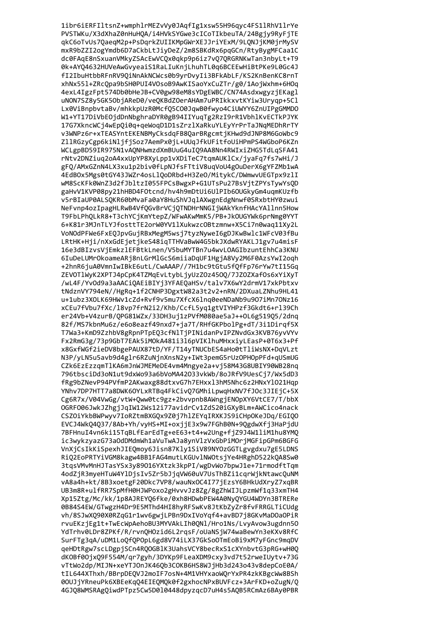1ibr6iERFIltsnZ+wmphlrMEZvVy0JAqfIg1xsw55H96qyc4FS1lRhV1lrYe PVSTWKu/X3dXhaZ0nHuHQA/i4HVkSYGwe3cICoTIkbeuTA/24Bgjy9RyFjTE qkC6oTvUs7QaeqM2p+PsDqrkZUIIKMpGWrXEJJriYExM/9LQNJjKM0jrMySV mxR9bZZI2ogYmdb6D7aCkbLtJiyDeZ/2m8SBKdRx6pqGCn/RtyBygMFCaa1C dc0FAqE8nSxuanVMkyZSAcEwVCQx0qkp9p6iz7vQ7QRGRNKwTan3nbyLt+T9 0k+AYQ4632HUVeAwGvyeaiS1RaLIuKnjLhuhTL0q6BCEEwHiBtPKe9L0Gc4J fI2IbuHtbbRFnRV9QiNnAkNCWcs0b9yrDvyIi3BFkAbLF/KS2KnBenKC8rnT xhNx551+ZRcQpa9bSH0PUI4VOsoB9AwKISaoYxCuZTr/g0/1AojWxhm+6HOq 4exL4IgzFpt574Db0bHeJB+CV0gw98eM8sYDgEWBC/CN74AsdxwgyzjEKagl uNON7SZ8y5GK5ObjAReD0/veQKBdZOerAHAm7uPRIkkxvtKYiw3Uryqp+5Cl Lx0ViBnpbvtaBv/mhkkpUzR0McfQ5C00JqwB0fwyo4CiUWYY6ZnUIPgGMMD0 W1+YT17DiVbEOjdDnNbghraDYR0gB94IIYuqTg2RzI9rR1VbhlKvECTkPJYK 17G7XkncWCj4wEpQi0q+qeWoqD1D1sZrzlXaRkuYLEyYrPrTaJNqMEDhRrTY v3WNPz6r+xTEASYntEKENBMyCksdqFB8QarBRgcmtjKHwd9dJNP8M6GoWbc9 ZllRGzyCgp6kiNljfjSoz7AemPx0jL+UUqJfkUFitfoUiHPmPS4WGboP6KZn WCLgpBD59IR975N1vA0NHwmzdXmBUuG4uI09AA8Nn4RWIxiZHG5TdLgSFA41 rNtv2DNZiug2oA4xxUpYP8XyLpp1vXDiTeC7tgmAUKlCx/jyaFg7fs7wHi/J gFQ/AMxGZnN4LX3xu1p2biv0fLpNJfsFTtiV8uqVoU4gOuDerX6gYFZMb1wA 4EdBOx5Mgs0tGY43JWZr4osLlOoDRbd+H3ZeO/MitykC/DWmwvUEGTpx9zlI wM8ScKFk0WnZ3d2fJbltzI055FPCsBwgxP+G1UTsPu27BsVjtZPYsTywYsQD gaHvV1KVP08py21hHBD4F0tcnd/hv4h9mDtUi6UlPIb6OUGkyGm4ugmKUzfb v5rBIaUP0ALSQKR60bMvaFa0aY8HuShVJqlAXwgnEdgNnwf0SRxbtHY0zwui NeFvnp4ozIpagHLRwB4VfQGvBrVCjQTNDHrNNGIjWAkYknfHAcYAllnn5How T9FbLPhOLkR8+T3chYCjKmYtepZ/WFwAKwMmK5/PB+JkOUGYWk6prNmg0YYT 6+K81r3MJnTLYJfosttTE2orW0YV11XukwzcOBtzmnw+X5Ci7n0wag11Xy2L VoNOdPFWe6FxEQJpvGujRBxMegM5wsj7tyzNyweI6gDJKwBwlc1WFcV03fBu LRtHK+Hji/nXxGdEjetjkeS48iqTTHVaBwW4G5bkJXdwRYAKLJ1gv7u4misF 16e3dBIzvsVjEmkzlEFBtkLnen/V5buMYTBn7u4wvLOAGIbzuntEhhCa3KNU 6IuDeLUMrOkoameARj8nLGrMlGcS6miiaDqUF1HgjA8Vy2M6F0AzsYwI2oqh +2hnR6juA0VmnIwIBkE6utL/CwAAAP//7H1bc9tGtu5fQfFp76rYw7tI15Gq ZEVOTlWyK2XPTJ4pCpK4TZMqEvLtybLjyUzZOz450Q/7JZOZXafOs6xYiXyT /wL4F/YvOd9a3aAACiQAEiBIYj3YFAEQaHSv/talv7X6wY2drmV17xkPbtxv tNdznVY794eN//HgRq+1f2CNHP3DgxtW82a3t2v2+nRN/2DXuaLZNhu9HL41 u+1ubz3XOLK69HWv1cZd+Rvf9v5mu7XfcX6lnq0eeNDaNb9u907iMn7ONz16 xCEu7fVbu7fXc/l8vp7frN2i2/Khb/CcfL5yq1gtVIYHPzf3Gkdt6+rl39Ch er24Vb+V4zurB/QPG81WZx/33DH3uj1zPVfM080ae5aJ++0L6g519Q5/2dnq 82f/MS7kbnMu6z/e6o8eazf49nxd7+ja7T/RHfGKPbolPg+dT/3i1Dirqf5X T7Wa3+KmD9ZzhbV8gRpnPTpEQ3cfNlTjPINidanPvIPZNvdGx3KVB76yvVYv Fx2RmG3g/73p9GbT7EAk5iMOkA481i3l6pVIKlhuMHxxiyLEasP+0T6x3+Pf x8GxfWGf2ieDV8bgePAUX87tD/YF/T14yTNUCbES4aHo0tTliWsNX+DqVLzt N3P/yLN5u5avb9d4glr6RZuNjnXnsN2y+IWt3pemG5rUzOPHOpPFd+qUSmUG CZk6EzEzzqmTlKA6mJnWJMEMeDE4vm4Mngye2a+vj58M43G8UBIY90WB28nq 796tbsciDd3oN1ut9dxWo93a6bVoMA42033vkWb/8oJRfV9UesCj7/Wx5dD3 fRg9bZNevP94PVfmP2AKwaxg88dtxvG7h7EHxx13hM5Nhc6z2HNxY1021Hqp YNhv7DP7HTT7a8DWK6OYLxRTBq4FkCivQ7GMhiLpwqHxNV7fJOc3JIEjC+5X Cg6R7x/V04VwGg/vtW+Qww0tc9gz+2bvvpnb8AWngjENOpXY6VtCE7/T/bbX OGRFO06JwkJZhgjJqIW12Ws12i77avidrCv1ZdS20iGXyBLm+AWCico4nack CSZOiYkbBWPwyv7IoRZtmBXGQx9Z0j7hlZEYqIRXKJS9iCHpOKeJDq/EGIQO EVCJ4Wk04037/8Ab+Yh/vyHS+MI+oxjjE3x9w7FGhB0N+90gdwXfj3HaPjdU 7BFHnuI4vn6ki15TaBLfEarEdTg+eE63+t4+w2Ung+fiZ9J4W1liM1hu8YMO ic3wvkzvazG73aOdDMdmWh1aVuTwAJa8vnVlzVxGbPiMOriMGFipGPm6BGFG VnXiCsIkKiSpexhJIEOmov6Jisn87Klv1SiV89NYOzGGTLgvgdxu7gE5LDNS RiO2EoPRTYiVGM8kagw4BB1FAG4mutLKGUvlNWOtsiYe4HRghD522kOA8Sw0 3tgsVMvMnHJTasYSx3y89016YXtzk3kpPI/wgDvWo7bpwJ1e+71rmodftTgm 4odZiR3mveHTuW4Y1DisIv5Zr5bJiaVW60uV7UsThBZi1carWikNtawcOuNM vA8a4h+kt/8B3xoetgF20Dkc7VP8/wauNx0C4I77iEzsY6BHkUdXrvZ7xqBR UB3m8R+ulfRR7SpMfH0HJWPoxo2gHvvvJz8Zg/8gZhWIJLpzmWf1q33xmTH4 Xp15Ztg/Mc/kk/1p8AJREY06fke/0xh8HDwbPEW4A0Nv0YGU4WDYn3BTRERe 0B84S4EW/GTwgzH4Dr9E5MThd4HI8hyRFSwKv8JtKbZyZr8fvFRRGLTiCUdg vh/8SJwX090X0RZqG1r1wv6gwiLPBn9DxIVoYqf4+avBD7i8GKvMaDOaOPiR rvuEKziEg1t+TwEcWpAehoBU3MYVAkLIh00N1/Hro1Ns/LvvAvow3ugdnn50 YdTrhv0LDr8ZPKf/R/rvn0H0zid6L2rasF/oUaNSiW74waBewYn3eKXv8RfC SurFTg3aA/uDM1LoOfOPOpL6gd8V74iLX37GkSoOTmEoBi9xM7vFGnc9maDV geHDtRgw7scLDgpjSCn4RQOGB1K3UahsVCY8becRxS1cXYnbvtG3pRG+wH0Q dKOBf00jxQ9F554M/qr7gyh/3DYKp9FLeaXDM9cxy3vd7t52rweIUytv+73G vTtWo2dp/MIJN+xeYTJOnJK46Qb3COKB6HS8WJjHb3d243o43v8depCoE0A/ tIL644XThxh/BBrpDEQVJ2moIF7osN+4M1VHYxaoWQrYxPR4zkKBgcWw8BSh 00UJjYRneuPk6XBEeKqQ4EIEQMQk0f2gxhocNPxBUVFcz+3ArFKD+oZugN/Q 4GJQ8WMSRAgQiwdPTpz5Cw5D010448dpyzqcD7uH4s5AQB5RCmAz6BAy0PBR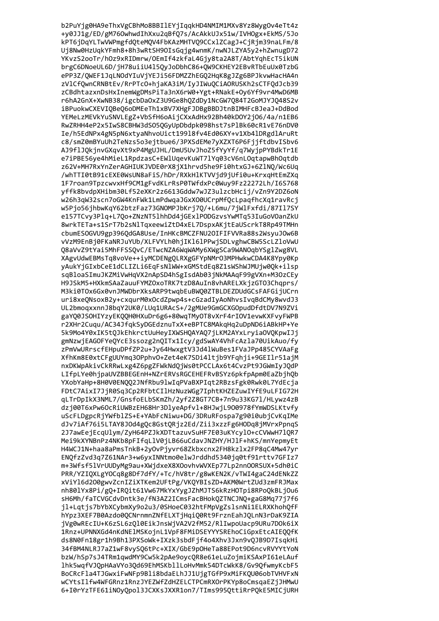b2PuYjg0HA9eThxVgCBhMo8BBIlEYjIqqkHD4NMIM1MXv8Yz8WygOv4eTt4z +y0JJ1g/ED/gM760whwdIhXxu2qBfQ7s/AcAkkUJx51w/IVHOgx+EkMS/5Jo kPT6jDqYLTwVWPmgfdQteMQV4FbKAzMHTVQ9CCxlZCagJ+CjRjm39naLFm/8 Uj8Nw0HzUqkYFmh8+8h3wRtSH9OIsGqjg4wnmK/nwNJLZYA5y2+hZwnugD72 YKvzS2ooTr/hOz9xRIDmrw/OEmIf4zkfaL4Gjy8ta2A8T/AbtYqhEcT5ikUN brgC6DNoeUL6D/jH78uiiU415QyJoDbhC86+QW9CKHEY2EBvRTbEuUx0TzbG ePP3Z/QWEF1JqLNOdYIuVjYEJi56FDMZZhEGQ2HqK8gJZg6BPJkvwHacHA4n zVlCfQwnCRNBtEv/RrPTcO+hjaKA3iM/IyJIWuQCiAORUSKh2sCTFQdJcb39 zCBdhtazxnDsHxInemWgDMsPiTa3nX6rW0+Ygt+RNakE+Oy6Yf9vr4MwD6MB r6hA2GnX+XwNB38/igcbDa0xZ3U9Ge8hQZdDy1NcGW7Q84T2GoMJYJQ48S2v iBPuokwCXEVIQBeQ6oDMEeTh1xBV7XHgFJDBgBBDJtnBIMHFcBJeaJ+DdBod YEMeLzMEVkYuSNVLEgZ+VbSfH6oAijCXxAdHx92Bh40kD0Y2j06/4a/n1EB6 RwZRHH4eP2x5IwS8CBHW3dS05QGyUpDbdpk098hst7sPlBk60cR1vE76nDV0 Ie/h5EdNPx4gN5pN6xtyaNhvoUict19918fv4Ed06XY+v1Xb41DRgdlAruRt c8/smZ0mBYuUh2TeNzs5o3ejtbue6/3PXSdEMe7yXZXT6P6FjjftdbvISbv6 AJ9flJ0kjnvGXqvXt9xP4MgUJHL/DmU5UvJhoZ5fYyYf/q7WyjpPYBdkTr1E e7iPBE56ye4hMieL1RpdzasC+EWlUgevKuWT7lYg03cV6nL0gtapwBh0gtdb z62V+MH7RxYnZerAGHIUKJVDE0rX8jX1hrvd5he9Fi0htxGJ+6ZlNQ/Wc6Uq /whTTI0tB91cEXE0WsUN8aFiS/hDr/RXkHlKTVVjd9jUfi0u+KrxgHtEmZXg 1F7roan9TpzcwvxHf9CM1gFvdKLrRsP0TWfdxPc0Wuy9Fz22272Lh/I6S768 yffk8bvdpXHibm30Lf52eXKr2z6613Gddw7wJZ3ulzcbHcij/vZn9Y2DZ6oN w26h3qW32scn7oGW4KnFWk1LmPdwqaJGxXO0UCrpMfQcLpaqfhcXq1ravRcj w5Pjo56jhbwKqY62btzFaz73GNOMPJbKrj7Q/+L6mu/7jWlFxfdi/87Il7SY e157TCvy3Plq+L7Qo+ZNzNT5lhhDd4jGExlPODGzvsYwMTq53IuGoVOanZkU 8wrkTETa+s1SrT7b2sNlTqxeewiZtD4xEL7DspxAKjtEaUScrkT8Rp49TMHn cbumESOGVU9gp396QdGA8Use/InHKcBMCZFNU2OIFIFVVRa88s2WsyuJOw6B vVzM9EnBj0FKaNRJuYUb/XLFVYLh0hjIK16lPPwjSDLvghwCBW5ScLZloVwU Q8aVvZ9tYai5MhFFSSQvC/ETwcNZA6WqWAMy6XWgSCa9WANOqbYSglZwg8VL XAgvUdwEBMsTq8voVe++iyMCDENgQLRXgGFYpNMrO3MPHwkwCDA4K8Ypy0Kp yAukYjGIxbCeE1dCLIZLi6EqFsNlWW+xGMStdEq8Z1sWShWJMUjw0Qk+ilsp sqBloaSImuJKZMiVwHqVX2nApSD4hSgIsdAb03jNkMAAqF99gVXn+M3OzCEy H9JSkM5+HXkmSAaZauuFYMZOxoTRK7tzD8AuIn8vhARELXkjzGTO3Chqprs/ M3ki0TOx6Gx0vnJMWDbrXksARP9twqbEuBWQ0ZTBLDEZDUdGCsFAFGijUCrn uri8xeQNsoxB2y+cxqurM0xOcdZpwp4s+cGzadIyAoNhvsIvqBdCMy8wvdJ3 UL2bmoqxxnnJ8bqY2UK0/LUq1URAcS+/2gMUe9GmGCXGOpudDfdtDV7N9ZVi gaYQ0JSOHIYzyEKQQH0HXuDr6g6+80wqTMyOT8vXrF4rIOV1evwKXFvyFWPB r2XHr2Cuqu/AC34JfqkSyDGEdznuTxX+eBPTC8MAkqHq2uDpND6iABkHP+Ye 5k9Mo4Y0xIK5tQJkEhkrctUuHeyIXWSHQAYAQ7jLKM2AYxLryiaOVQKpwIJj gmNzwjEAGOFYeQYcE3ssozg2nQITx1Icy/gdSwAY4VhFcAzla70UikAuo/fy zPmVwURrscfEHpuDPfZP2u+Jy64HwxgtV3Jd41WuBes1FVaJPp485CYVAaFg XfhKm8E0xtCFgUUYmq30Pphv0+Zet4eK7SDi4ltjb9YFqhji+9GEIlr51ajM nxDKWpAkivCkRRwLxg4Z6pgZFWkNdQjWs0tPCCLAx6t4CvzPt9JGWmIyJQdP LIfpLYe0hjpaUVZBBEGEnH+NZrERVsRGCEHEFRvBSYz6pkfpApm0EaZbjhQb YXobYaHp+8H0V0ENQQ2JNfRbu9lwIqPVaBXPIqt2RBzsFgk0Rwk0L7YdEcja FDtC7AixI7JjR0Sq3Cp2RFbtCIlHzNuzWGg7IphtKHZEZuwIYfE9uLFIG72H qLTrDpIkX3NML7/GnsfoELbSKmZh/2yf2Z8GT7CB+7n9u33KG71/HLywz4zB dzj00T6xPw6OcRiUWBzEH68Hr3DlyeApfvl+8HJwjL900978fYmWDSLKtvfy uScFLDgpcRjYWfblZS+E+YAbFcNiwu+DG/3DRuRFospa7g90i0ubjCvKqIMe dJv7iAf76i5LTAY8J0d4g0c8Gst0Rjz2Ed/Zii3xzzFg6H0Dq8jMVrxPpnqS 2J7awEeiEcqUlvm/ZvH64PZJkXDTtazuvSuHF7E03uKYcvlO+cCVWwH710R7 Mei9kXYNBnPz4NKb8pFIfaLlV0iLB66uCdavJNZHY/HJlF+hKS/mnYepmvEt H4WCJ1N+haa8aPmsTnkB+2yOvPjyvr68Zkbxcnx2FH8kzlx2FP8qC4Mw47yr ENOfzZvd3a7Z61NAr3+w6vxINNtmo0elwJrddhd5340ia0tf91rtty7GFIz7 m+3Wfsf51VrUUDyMg9au+XWjdxeX8XOovhvWVXEp77Lp2nnOORSUX+5dh0iC PRR/YZIOXLgYOCq8g8Df7dfY/+Tc/hV8tr/g8wKEN2K/vTWI4gaC24dENkZZ xViY16d200gwyZcnIZiXTKem2UFtPg/VKOYBIsZD+AKM0WrtZUd3zmFRJMax nh801Yx8Pi/gQ+IRQit61Vw67MkYxYygJZhMJTS6kRzHOTpi8RPoQkBLjOu6 sH6Mh/faTCVGCdvDntk3e/fN3AZ2ICmsFacBHokOZTNCJNO+gaG8Mg77i7f6 jl+Lqtjs7bYbXCybmXy9o2u3/0SHoeC032htFMpVgZslsnNi1ELRXKhohOfF hYpz3XEF7B0Azdo0OCNrnmnZNfELXTiHaiO0Rt9FrznEahJOLnN3rDaK9ZIA jVg0wREcIU+K6zSL6zOl0EikJnsWjVA2V2fM52/RlIwpoUacp9URu7DOk6iX 1Rnz+UPNNXGd4nKdNElMSKoinL1VpF8FMiDSEYYYSREhoCiGpxEtcAIEOOfK ds8N0Fn18gr1h9Bh13PXSoWk+IXzk3sbdFif4o4Xhv3Jxn9v0JB9D7IsakHi 34fBM4NLRJ7aZ1wF8vySQ6tPc+XIX/GbE9pOHeTa88EPot9D6ncvRVYYtYoN bzW/hSp7sJ4TRm1qwdMY9Cw5k2pAe9oycQR8e61eLuZojmiKSAxPI61eLAuf 1hk5wqfVJQpHAaVYo3Qd69EhMSKbllLoHvMmk54DTcWkK8/Gv9QfwmyKcbF5 BoCRcFla4TJGwxiFwNFp9Bli8bdaELhJJ1UjgTGfP9xMiFKQU06obTVHVFxN wCYtsIlfw4WFGRnz1RnzJYEZWfZdHZELCTPCmRXOrPKYp8oCmsqaEZjJHMwU 6+I0rYzTFE61iNOyQpol3JCXKsJXXR1on7/TIms995QttiRrPQkE5MICjURH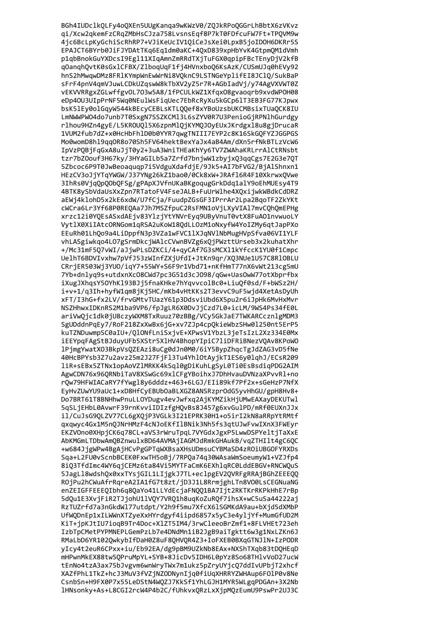BGh4IUDclkQLFy4oQXEn5UUgKanqa9wKWzV0/ZQJkRPoQGGrLhBbtX6zVKvz qi/Xcw2qkemFzCRqZMbHsCJza758LvsnsEqf8P7kT0FDfcuFW7Ft+TPQVM9w 4jc6BcLpKyGchiScRhRP7+VJiKeUcIV1QiCeJsXei0LpxB5joIDOH6DKRr5S EPAJCT6BYrb0JiFJYDAtTKq6Eq1dm0aKC+4QxD839xpHbYvK4GtpmQM1dVmh p1qbBnokGuYXDcsI9Egl11XIqAmnZmRRdTXjTuFGX0qpipFBcTEnyDjV2kfB qOanqhQvtK0sGxlCFBX/ZlboqUqF1fj4HVnxboQ6KsAzK/CUSmUJq0hEVy92 hnS2hMwqwDMz8FRlKYmpWnEwWrNi8VQknC9LSTNGeYplifEI8JClQ/SukBaP sFrF4pnV4qmVJuwLCDkUZqswW8kTbXV2yZ5r7R+AGbIadVj/y74AgVXVWT0Z vEKVVRRgxZGLwffgvOL703w5A8/1fPCULkWZ1XfqxO8gvaoqrb9xvdWPOH08 eDp40U3UIpPrNF5Wq0NEulWsFiqUec7EbRcRyXu5kGCp6lT3EB3FG77KJpwx bsK5lEy0olGqyW544kBEcyCEBLsKTLQQef8xYBoUzsbUKCMBsixTUaQCK8IU LmNWWPW04do7unb7T0SxgN7SSZKCM13L6sZYV0R7U3PenioGjRPNlhGurdgy rlhou9HZn4gyE/L5KROUQl5X6zpnMlQjKYMQJOyEUxJKrdgxl8u8gjDrucaR 1VUM2fub7dZ+x0HcHbFh1D0b0YYR7qwgTNIII7EYP2c8K16SkGQFYZJGGPGS Mo0womD8hl9qq0R8o70Sh5FV64hektBexYaJx4aB4Am/dXn5rfNkBTLzVcW6 IpVzPOBjFqGxA8uJjT0y2+3uA3WniTHEaKhYy6TV7ZWAhaKRLrrAlCtRNsbt tzr7bZ0ouf3H67ky/3HYaGILb5a7Zrfd7bnjwW1zbyjxQ3qqCgs7E2G3e7QT 5Zbcoc6P9T0JwBeoaquqp7i5VdguXdafdjE/9Jk5+AI7bFVG2/BjAlShnxn1 HEzCV3oJjYTqYWGW/J37YNg26kZ1bao0/0Ck8xW+JRAf16R4F10XkrwxQVwe 3IhRs0VjqQpQObQFSg/gPApXJVfnUKaBKgoqugGrkDdq1alY9oEhMUEsy4T9 4BTK8ySbVdaUsXxZpn7RTatoFV4FseJALB+FuUrWlhe4X0xijwkWBdkCdDRZ aEWj4klohD5x2kE6xdW/U7fCja/FuudpZGsGF3IPrrAr2Lpa2BqoTF2ZkYKt cWCra6Lr3Yf68P0REQAa7Jh7MSZfpuC2RsFMN1oVjLXyVIA17mvCQhQmEPHg xrzc12i0YQEsASxdAEjv83YlzjYtYNVrEyq9UByVnuT0vtX8FuA01nvwuoLY VytlX0XiIAtcORNGom1qRSA2uKoW18QdLLOzM1oNxyfW4YoIZMy6qtJapPXo EEuRh01LhQo9a4LiDppfN3p3VZa1wFVC11XJqNVlNbMugHVpSfva06VI1YLF vhLASgiwkqo4L07gSrmDkcjWAlcCVwnBVZg6xQjPWzttUrseb3x2kuhatXhr +/Mc31mF5Q7vWI/aJjwPLsDZKCi/4+qyCAf7G3sMCXl1kYfccK1YU0f1Cmpc UelhT6BDVIvxhw7pVfJ53zWInfZXjUfdI+JtKn9qr/XQ3NUe1U57C8RlOBLU CRrjER503Wj3YUO/iqY7+55WY+S6F9r1Vbd71+nKfHmT77nX6vWt213cg5mU 7Yb+dnlyq9s+utdxnXcO8CWd7pc3G51d3cJO98/qGw+UasOwW77otXbprfbx iXugJXhqsY50YhKl93BJj5fnaKHke7hYqvvcolBc0+LiuQf0sd/F+bWSz2H/ i+v+1/q3Ih+hyfW1qm8jKj5HC/mKb4vHtKKs2T3evvC9uF5wjd4XetAsDyUh xFT/I3hG+fx2LV/frvGMtvTUazY61p3DdsviUbd6X5pu2r6iJpHk6MvHxMvr NSZHhwxIDKnRS2M1ba9VP6/fpJgLR6X0DvJjCzd7L0+icLM/9WS4Ps34fE0L ariVwQjc1dk0jU8czyWXM8TxRuuz70zBBg/VCy5GkJaE7TWKARCcznlgMDM3 SgUDddnPqEy7/RoF218ZxXwBx6jG+xv7ZJp4cpQkieWbzSHw0l250nt5ErP5 kuTZNDuwmpSC0aIU+/QlONfLniSxjvE+XPwsV1YbzL3jeTsIzL2Xz334E0Mx iEEYpqFAgStBJduyUFb5XStr5X1HV4BhopYIpiC7liDFRiBNezVQAv8KPoWO 1PjmgYwatXO3BkpVsQZEAzi8uCg0dJn0M0/6iY5BypZhqcTgJdZAG3vD5fNe 40HcBPYsb3Z7u2avz25m2J27FjF13Tu4YhlOtAyjkT1ES6y0lqhJ/ECsR209 liR+sEBx5ZTNx1opAoVZlMRKK4kSql0gDiKuhLgSyL0Ti0EsBsdiqPDG2AIM AgwCDN76x96QRNbiTaV8XSwGc69xlCFgYBoihxJ7DhHvauDVNzaXPvvRl+no rQw79HFWIACaRY7fYwgl8y6dddz+463+6LGJ/EIi89kf7Pf2x+sGeHzP7NfX EyHvZUwYU9aUc1+xD8HfCyEBUb0aBLXGZ8ANSRzpr0dG5yvHhGU/gpH8Hv8+ Do7BRT61T8BNHhwPnuLLOYDugv4evJwfxq2AjKYMZikHjUMwEAXayDEKUTwl 5qSLjEHbL0AvwrF39rnKvviIDIzfgHQvBs8J457g6xvGulPD/mRf0EUXnJJx il/CuJsG9QLZV77CL6gXQjP3VGLk3I21EPRK30H1+o5irI2kN8aRRpYtRMtf gxgwyc4Gx1M5n0JNrHMzF4cNJoEKfIlBNik3Nh5fs3gtUJwFvwIXnX3FWEyr EKZVOno0XHpiCK6q78CL+aVS3rWruTpgL7VYGdxJgxP5LwwDSPYeltiTaXxE AbKMGmLTDbwAmOBZnwu1xBD64AVMAiIAGMJdRmkGHAukB/vaZTHI1t4gC60C +w684JigWPw4BgAiHCvPgGPTqWXBsaXHsUDmsuCYBMaSD4zROiUBGOFYRXDs Sqa+L2FU0vScnbBCEK0FxwTH5oBi/7RPOa74q30WAsaWmSoeumvW1+VZJfp4 8i03TfdImc4WY6gjCEMz6ta84Vi5MYTFaCmK6EXhlgRC0LddEBGV+RNCWOuS 5JagLl8wdshQx0xxTYsjGIL1LIjgkJ7TL+eclpgEV2QVRFgRRAjBGhZEEEQQ ROiPu2hCWuAfrRareA2IA1fG7t8zt/iD3J1L8RrmighLTn8VO0LsCEGNuaNG enZEIGFFEEEOIbh6a8OaYo41LLYdEciaFNOO1BA7Iit2RKTKrRKPkHhE7rBp 5dOu1E3XviFiR2TJiohU1lVOY7VRO1h8uaKoZuROf7ihsX+wC5uSa44222ai RzTUZrfd7a3nGkdWl77utdpt/Y2h9f5mu7XfcX6lSGMKdA9au+bXjd5dXMbP UfWQDnEp1xILWWnXTZyeXxHYrdgyf4iipd6857x5yC3e4yljYf+MumGfUD2M KiT+ipKJtIU7ioaB9Tr4Doc+X1ZT5IM4/3rwCleeoBrZmf1+8FLVHEt723eh IzbTpCMetPYPMNEPLGemPzLb7e4DNdMn1iB2JgB9aiTgktt6w3g1NxLZKn6J RMaLbD6YR1020wkvbIfDaH0Z8uF80HVOR4Z3+IoFXEB0BXqGTNJ1N+IzPODR yIcy4t2euR6CPxx+iu/Eb92EA/dg9pBM9UZkNb8EAx+NXShTXqb83tDQHEqD mHPwnMkEX88tw5QPruMpYL+SYB+8JicDv5IDH6L0pYz8So68THlvVoD27ucW tEnNo4tzA3ax75bJvgvm6wnWryTWx7m1ukz5pZryUYjcQ7ddIvUPbjT2xhcf XAZfPhL1TkZ+hcJ3MuV3fVZjNZODNynIjq0fiUqXHRRYZWHAup6FOlP0v8Ne CsnbSn+H9FX0P7x55LeDStN4WQZJ7KkSf1YhLGJH1MYR5WLgqPDGAn+3X2Nb 1HNsonky+As+L8CGI2rcW4P4b2C/fUhkvxQRzLxXjpMQzEumU9PswPr2UJ3C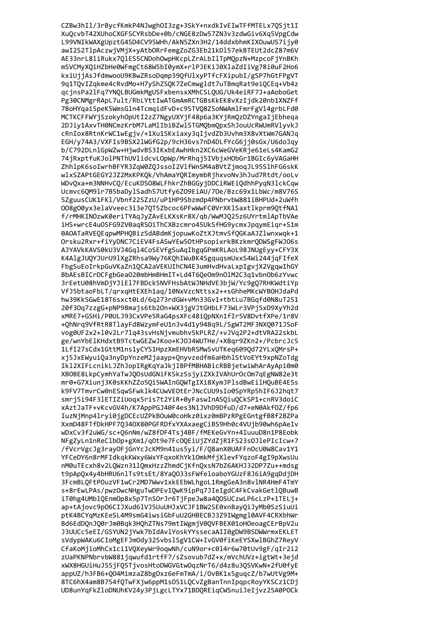CZBw3hIl/3rBycfKmkP4NJwghOI3zg+3SkY+nxdkIvEIwTFfMTELx7QSjt1I XuQcvbT42XUhoCXGFSCYRsbDe+0b/cNGE8zDw57ZN3v3zdwGiv6Xq5VpgCdw L99VNIkWAXgUpztG4SD4CV95WHh/AkN5ZXn3H2/14ddxbhmKIXOuwUS7ijy0 awI2S2TlpAczwjVMjX+yAtbORrFemgZoZG3Eb21kDl57ekBTEUt2dcZ87m6V AE33nrL8liRukx7QlES5CNDohOwpHKcpLZrALbIlTpMQpzN+MzpcoFjYnBKh mSVCMyXQiHZbHe0WFmgCt68W5bI0ymX+rlPJEKiJ0XlaZdIiVg78i0uF2Ho6 kxiUjjAsJfdmwooU9KBwZRsoDqmp39QfUlxyPTfcFXipubI/gSP7hGtFPgVT 9q1TQvIZqkme4cRvdMo+H7yShZSQK7ZeCmwgldt7uTBmqRat9eiQCEq+Vb4z qcjnsPa2lFq7YNQLBUGmkMgUSFxbensxXMhCSLQUG/Uk4eiRF7J+aAoboGet Pg30CNMgrRApL7ult/RbLYttIwATGmAmRCTGBsKkEK8vXzIjdk20nb1XNZFf 7BoHYqai5peK5WmsGln4TcmqidFvD+c9STVQ8Z5oNWAmlFmrFgVl4grbLFd0 MCTKCFFWYjSzokyhOpUtI2zZ7NgyUXYjF48p6a3KYjRmQzDZYngaIjEbheqa 2DJiy1AxvTH0NCmzKrbM7LaMlIbiBZwlSTGMQbmQpxShJouUcRWUmRVlyvkJ cRnIox8RtnKrWC1wEgjv/+1Xu1SKxiaxy3qIjvdZb3Uvhm3X8vXtWm7GANJq EGH/y74A3/VXFIs9BSX21WGfG2p/9cH36vs7nD4DLfYcG6jj0sGx/U6doJqy b/C792DLnlGpWZw+HjwdvBS3IKxbEAwhHkn2XC6cWeGVeKRje61eLs4KamG2 74jRxptfuKJolPNThUVlidcvLOpWp/MrRhqj5IVbjxHObGr1BGIc6yVAGaHH ZhhlpK6soIwrhBFYR3ZqW0Z0JssoI2VlfWnSM4aBVtZjmogJL95SlhFG6skK wlxSZAPtGEGY2JZ2MxKPKOk/VhAmaYORImymbRjhxvoNv3hJud7Rtdt/ooLv WDvQxa+m3NNHvCQ/EcuKDSO8WLFhkrZhBGGyjDDCiRWEiQdhhPyqN3lckCqw Ucmvc60M91r7B5baDy1Sadh57Utfy6Z09EiAU/70e/Bzc69x1LbWc/m8V76S 5ZguusCUK1FK1/Vbnf22SZzU/uP1HP9Sbzmdp4PNbrvbW881iBHPUd+2uWfh 008g00yx3elaVveec3i3e70T5Zbcoc6PFwWwFC0VrXKlSaxtlkprm90tfNAl f/rMHKINOzwK0eriTYAqJyZAvELKXsKr8X/qb/WwMJQ25z6UYrtmlApTbVAe iHS+wrcE4u0SFG9ZV0agRS0iThCXBzcmro45UkSfHG9ycmxJpgymEigr+S1m 0AOATaRVEQEqpwMPHQBizSdABdmKjopuwKoZtXJtmvSfQGKaAJZlwnxwqk+1 Orsku2Rxr+fiYyDNC7CiEV4FsASwYEw5OtHPsopixrkBKzkmrQDWSgFWJO6s AJYAVkKAVS0kU3VJ4Gq14CoSEVfgSuAqIbgqGPmKRLAoL98JNUgEyy+CFY3X K4AlgJUQYJUrU9lXgZRhsa9Wy76KQhIWuBK4SgquqsmUxxS4Wi244jqFIfeX FbgSuEoIrkpGuVKaZn1QCA2aVEKUIhCN4E3umHvdHvaLxpIgvjX2VgqwIhGY BbAEsBICrDCFgbGea020mbHmBHmIT+Ld4T6QeOm9n01M2C3q1vbn0b6zYvwc 3rEetU08hVmDjYJiEl7FBDck5NVFHsbAtWJNHdVE3bjW/Yc9gQ7RHKWdtiYp VfJ5btaoFbLT/grxqHtEXEh1aq/10NxVzcNttsx2++sGhheMKcWYBOHJdaPd hw39KkSGwE18T6sxct0Ld/6q273rdGW+vMn33Gv1+tbtLu7BGqfd0N8uT251 20f3Oq7zzgG+pNP98majs6tb2On+WX3jgVJtGHbLF73WLr3VPj5xD9XyYh2d xMRE7+GSHi/P0ULJ93CxVPe5RaG4psXFc48iQpNXn1fIr5V8DvtfXPe/1r8V +QhNrq9VfRtR8TlayFd8WzymFeU1n3v4d1y94Bq9L/SgWT2MF3NXQ071JSoF vog0UF2x2+10v2Lr71q43svHsNjvmubhv5kPLRZ/+vJVq2P2+dtVRA22skbL ge/wnYbElKHdxtB9TctwGEZwJKoo+KJ0J4WUTHe/+XBqr9ZKn2+/PcbrcJc5 1LfI27sCdx1GttM1ns1yCYS1HpzXmEHVbRSMwSvUTKeq609Qd72YLxQMrsP+ xj5JxEWyuiQa3nyDpYnzeM2jaayp+Qnyvzedfm6aHbhlStVoEYt9xpNZoTdg Ikl2XIFLcnikLJZhJopIRgKqYaJkjIBPfMBHABicRBBjetwiWhArAyApi0m0 XBOBE8LkpCymhYaTwJQOsUdGNiFKSkzSsjyiZXkIVAhUrOcOm7qEgNW82e3t mr0+G7Xiunj3K0sKKhZZo5Qi5WAInGQWTgIXi8XymJPlsdBwEilHQuBE4ESs k9FV7TmvrCw0nESqwSFwklk4CUwVEOtErJNcCUU9sIo0SpYRp5hIF6J2hqt7 smrj5i94F3lETIZiUoqx5ris7t2YiR+0yFaswInASQiuQCkSP1+cnRV3doiC xAztJaTF+vKcvGV4h/K7AppPGJ40F4es3NlJVhD9DfuD/d7+eN0Akf0Z/fp6 IuzNjMnp4lryi0jgDCEcUZPkBOuW0coHkz0ixz0mBPzRPgEGntgfB8f2BZPa XxmD48FTfDkHPF70340X80PGFRDfxYXAxaegCiBS9Hh0c4VUjb90wh6pAeIv wDxCv3f2uWG/sc+06nNm/wZ8fDF4Tsi4BF/fMEKeGvYn+4IuuuD8n1P8Eobk NFgZvLn1nReClbOp+gXm1/aOt9e7FcOOEiUiZYdZiR1FS23sOJlePIcIcw+7 /fVcrVgcJg3ravOFiGnYcJcKM9n41us5vi/F/O8anX0UAFFnOcU0W8Cav1Y1 YFCeDY6n8rMFIdkakKWxv6WxYFaxoKhYk10mkMfiXlevFYazoF4gI9pXwsUu nM0uTEcxh8v2L0Wzn3110mxHzzZhmdCjKfn0xsN7bZ6AKHJ32DP7Zu++mdsg t9pAp0x4v4bHRU6nlTs9tsEt/8Ya0033sFWfeloaboYGUzF8J6iA9gqDdiDH 3FcmBLOFtPOuzVF1wCr2MD7Wwv1xkEEbWLhgoL1RmgGeA3n8v1NR4HmF4TmY s+8rEwLPAs/pwzOwcNHguTwDPEvIOwK9ipPa7JIeIgdC4FkCvakGet1OBuwB iT0hg4UMb10Enm0p8x5p7TnS0rJr6TiFpeJw8a400SUCzwLP6cLzP+1TELi+ ap+tAjovc9p06CIJXud6lVJ5UuUHJxVCJF1BW2SE0xnBayOiJyMb0SzSiuUi ptK4BCYaMzKEeSL4M9smG4iwsiGbFuU2GHBECBJ3Z9IWgmg10AVF4CRXbhWr Bd6EdDQnJQ0rJm0Bqk3HQhZTNs79mtIWgmjV0QVFBEX01oHOeoagCErBpV2u J3UUCc5eEI/GSYUN2iYwk7bIdAvlYoskYYssecaAII0gDW9BSDWWrmxEKLET sVdypWAKu6CIoMgEFJmOdy32SvbslSgV1CW+IvGV0fiKeEYSXwlBGhZ7ReyV CfaKoMjioMhCx1ci1VQXeyWr9oqwNh/cuN9or+c0l4r6w70tUv9gF/qIr2i2 zUaPKNPNbrvbW881jqwufd1rtfF7/sZsovub7dZ+x/mVchUVz+igtWt+3ejd xWX8HGUiHuJS5jFQ5TjvosHtoDWGVGtwOqzNrT6/d4z8u3QSVKwN+2fU0fyE appUZ/h3FB6+QO4MimzaZ8bgOxz6eFmTmA/i/OvBK1x5guqcZ/b7wUtVg9M+ 8TC6hX4am8B754fQTwFXjw6ppM1sO51LQCvZgBanTnnIpqpcRoyYKSCz1CDj UD8unYqFkZloDNUhKV24y3PjLgcLTYx71BDQREiqCWSnuiJeIjvz25A0POCk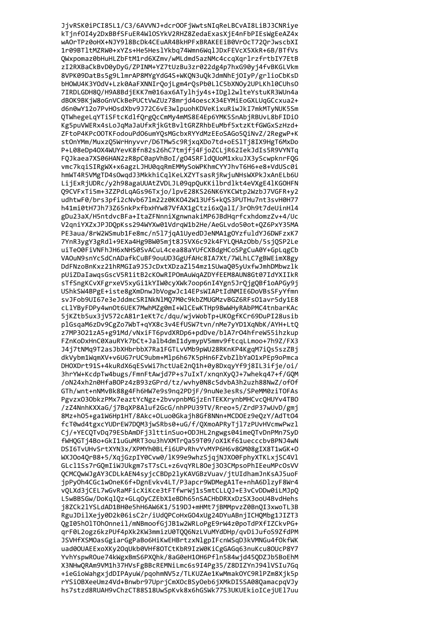JjvRSK0iPCI85L1/C3/6AVVNJ+dcrOOFjWwtsNIqReLBCvAI8LiBJ3CNRiye kTjnfOI4y2DxBBfSFuER4WlOSYkV2RHZ8ZedaExasXjE4nFbPIEsWgEeAZ4x wAOrTPz0oHX+NJY918BcDk4CEuAR4BkHPFxBRAKEEiB0VrOcT72QrJwscbXI 1r09BTltMZRW0+xYZs+He5HeslYkbq74Wmn6WqlJDxFEVcX5XkR+6B/BTfVs QWxpomaz0bHuHLZbFtM1rd6XZmv/wMLdmd5azNMc4ccqXqrlrzfrtbIY7EtB zI2RXBaCkBvD0yDyG/ZPINM+YZ7tUzBu3zr022dg4p7hxG90yj4fvBKGLVkm 8VPK09DatBs5g9LlmrAP8MYgYdG4S+WKQN3uQkJdmNhEjOIyP/grlioCbKsD bHOWU4K3YOdV+Lzk0AaFXNNIrQojLgm4rQsPb0LlC5bXNOy2UPLKhl0CUhsO 7IRDLGDH8Q/H9A8BdjEKK7m016ax6ATylhjy4s+IDgl2wlteYstuKR3WUn4a dBOK9BKjW8oGnVCkBePUCtVwZUz78mrjd4oescX34EYMiEoGXLUqGCcxua2+ d6n0wY12o7PvH0sdXbv9J72C6vE3wlpuohKDVeKixuRiwJkI7mkMTyNUK5Sm QTWhegeLqYTiSFtcKdlfQrgQcCmMy4mMS8E4Ep6YMK5SnAbjRBUvL8bFIDiO Kg5puVWERx4sLoJqMaJaUfxRjkGtBvltGRZRhbEuMbf5xtzKtfGWGxSzHzd+ ZFtoP4KPc00TKFodouPd06umY0sMGcbxRYYdMzEEoSAGo50iNvZ/2RegwP+K stOnYMm/MuxzQ5WrHnyvvr/D6TMw5c9RjxqXDo7td+oES1Tj8IX9HgT6MxDo P+L08eDp40X4WUYevK8fn82s26hC7tmjfj4FjoZCLjR62IekJdIs5R9VYNTq FQJkaea7XS06HAN2zR8pC0apVhBoI/gO4SRFldQUoM1xkuJX3yScwpknrFQG vmc7kqiSIRgWX+x6agzLJHU0qqRmEMMySoWPKhmCYYJhvT6H6+e8+VdUSc0i hmWT4R5VMgTD4sOwqdJ3MkkhiCqlKeLXZYTsasRjRwjuNHsWXPkJxAnELb6U LijExRjUDRc/y2h98agaUUAtZVDLJL09qpQuKKilbrdlkt4eVXgE4lKGOHFN 09CVFxTi5m+3ZZPdLgAGs96Txjo/lpvE28KS26NK6YKCWtp2WzbJ7VGFR+y2 udhtwF0/brs3pfi2cNvb671m22z0KK042W13UfS+kQS3PUTHu7nt3svH0H77 h41mi0tH7Jh73Z65nkPxfbxHYw87VfAX1gCtzi6xQalI/3r0h9t7deUinHl4 gDu23aX/H5ntdvcBFa+ItaZFNnniXgnwnakiMP6JBdHqrfcxhdomzZv+4/Uc V2qniYXZxJPJDQpKss294WYXw01VdrqW1b2He/AeGLvdo50ot+QZ6PxY35MA PE3aua/8rW2WSmub1Fe8mc/n517jqA1UyedDJeNMA1gOYzfuldYJ6DWFzxK7 7YnR3ygY3gRdl+9EXa4Hg9BW05mjt8J5VX6c92k4FYLQHAzObb/5sjQSP2Le uiTeO0FiVNFhJH6xNHS0SvACuL4cea88aYUfCXBdgHCoSPgCuA0Y+GpLqgCb VAOuN9snYcSdCnADafkCuBF9ouUD3GgUfAHc8IA7Xt/7WLhLC7gBWEimX8gy DdFNzoBnKxz21hRMGIa9JSJcDxtXDzaZl54mz1SUwaQ05yUxfwJmhDMbwzlk pUiZDaIawqsGscV5R1itB2cKOwRIPOmAuWqAZDYfEEM8AUN8Gt07IdYXIIkR sTfSngKCvXFgrxeV5xyGi1kYIW0cyXWk7oop6nI4Ygn5JrQjgQBf1oAPGy9j UShkSW4BPgE+iste8gXmDnwJbVogwJc14EPsWIAPtIdNMIE6DoVBsSFyYfmn svJFob9UI67e3eJddmcSRINkNlMQ7M0c9kbZMUGMzvBGZ6RFs01avr5dy1E8 cLlYByFDPy4wn0t6UEK7MwhMZg0mI+WlCEwKTHp98wWHyRAbPMC4tnbarKAc 5jKZtb5ux3jV572cA81r1eKt7c/dqu/wjvWobTp+UKOgfKCr69DuPI28usib plGsqaM6zDv9CgZo7WbT+qYX8c3v4EfUSW7tvn/nMe7yYD1XqNbK/AYH+LtQ z7MP3021zA5+g91Md/vNxiFT6pvdXRDp6+pdDve/blA7r04hfreW55ihzkup FZnKoDxHnC0XauRYk7bCt+Jalb4dmI1dymypV5mmv9ftcqLLmoo+7h9Z/FX3 J4j7tNMq9T2asJbXHbrbbX7Ra1FGTLvVMb9pWU28RKnKP4KgqM7iQs5szZBj dkVybm1WqmXV+v6UG7rUC9ubm+M1p6h67K5pHn6FZvbZ1bYa01xPEp9oPmca DHOXDrt91S+4kuRdX6qESvWi7hctUaE2nQ1h+0y8DxqyYf9j8IL3ifje/oi/ 3hrYW+KcdpTw4bugs/FmnFtAwjd7P+s7uIxT/xnqnXyQJ+7whekq47+f/GQM /oN24xh2n0HfaBOPz4zB93zGPrd/tz/wvhy0N8c5dvbA3h2uzh88NwZ/of0f GTh/wnt+nNMvBk88g4Fh6HW7e9s9nq2PDjF/9nuNe3esRs/SPeMM0ziTOFAs Pgvzx030bkzPMx7eaztYcNgz+2bvvpnbMGjzEnTEKXrynbMHCvcQHUYv4TB0 /zZ4NnhKXXaG/j7BqXP8Aluf2GcG/nhPPU39TV/Rreo+5/ZrdP37wUvD/gmj 8Mz+h05+ga1W6Hp1HT/8Akc+0Luo0Gkajh8Gf8NNn+MCD0Ez9eQzY/AdTt04 fcT0wd4tgxcYUDrEW7DOM3jwSRbs0+uG/f/OXmoAPRyTjl7zPUvHVcmwPwzl Ci/+YECOTvDa79ESbAmDFi31ttinSuo+ODJHL2ngwgs04imeOTvDnPMn7SvD fWHOGTi4Bo+GkI1uGuMRT3ou3hVXMTrOa59T09/oX1Kf61uecccbvBPNJ4wN DSI6TvUHvSrtXYN3x/XPMYh0BLfi6UPvRhvYvMYP6H6v8GM08gIX8T1wGK+0 WXJ0o40rB8+5/XaiGzpIY0Cvw0/lK99e9whzSiaiNJX00FphvXTKLxiSC4Vl GLcl1Ss7rGOmIiWJUkgm7sT7sCL+z6vqYRL8Oej3O3CMpsoPhIEeuMPcOsVV OCMCOwWJgAY3CDLkAEN4svicCBDp21vKAVGBzVuav/itUIdhamJnKsAJ5uoF ipPvOh4CGc1wOneK6f+DgnEvkv4LT/P3apcr9WDMegA1Te+nhA6D1zvF8Wr4 vOLXd3iCEL7wGvRaMFicXiKce3tFTfwrWi1s5mtCLLOJ+E3vCvDDw0iLMJpO L5wBBSGw/DoKal0z+GLa0vCZEbX1eBDh65nSACHbDRXxDzSX3ooU4BvdHehs j8ZCk21YSLdAD1BH0e5hH6AW6K1/519DJ+mHMt7jBMMpvzZ0BnOI3xwoTL3B RguJDilXeiv0D2k06isC2r/iUdOPCoHxGO4xUg24DYuABniICHOMbg1JIZT3 OgI05h01T0h0nneil/mNBmoofGiJB1w2WRLoPgE9rW4z0poTdPXfIZCkvPG+ arF0L2ogz6kzPUf4pXk2KW3mmizU0T006NzLVuMYdDHp/avDiJufoS9ZfdPM JSVHfXSMOasGgiarGgPaBo6HiKwEHBrtzxNlgpIFcnWSqD3kVMNGu4fOkfWK uad00UAEExoXKy2OqUkb0VHf8OTCtKbR9IzW0KiCgGAGq63nuKcu8OUcP8Y7 YvhYspwROue74kWgxBmS6PXQhk/8aG0eH1OH6Pfln584wjd45QDZJb5BoEhM X3NHwQRAm9VM1h37HVsFgBBcREMNiLmc6s9I4Pg35/Z8DIZYnJ94lVSIu7Gq +ieGioWahgxjdDIPAyuW/pqohmNV5z/TLKUZAe1KwMmakOYC9RlPZm8Xjk5p rYSiOBXeeUmz4Vd+Bnwbr97UprjCmXOcBSyOeb6jXMkDI5SA08QamacpqVJy hs7stzd8RUAH9vChzCT88S18UwSpKvk8x6hGSWk77S3UKUEkioICejUEl7uu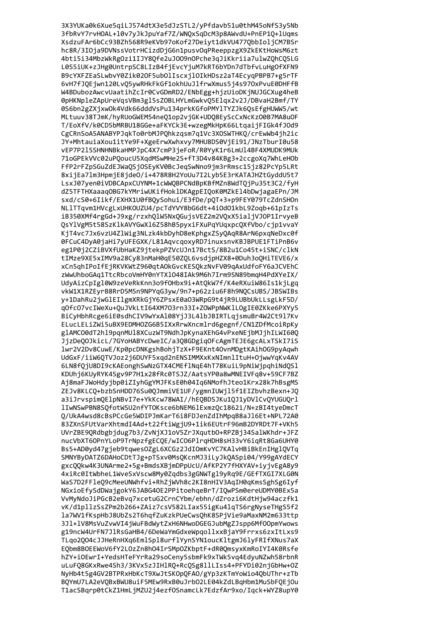3X3YUKa0k6Xue5qiLJ574dtX3e5dJzSTL2/yPfdavb51u0thM45oNfS3y5Nb 3fbRvY7rvHOAL+10v7yJkJpuYaf7Z/WNQxSqDcM3p8AWvdU+PnEP1Q+1Uqms XsdzuFAr6bCc93BZh568R9eKVb97oKof27Deiyt1dkVU477QbbIoljCM7BSr hc8R/3IOja9DVNssVotrHCizdDjG6n1pusvOqPReeppzgX9ZkEKtHoWsM6zt 4bti5i34MbzWkRgOzi1IJY8Qfe2uJ009nOPche3qJiKkriia7ulwZQhCQSLG L0S5iUK+zJHg0UntrpSC8LIzB4fjEvcYjuM7kRT6bYDn7dTbfvLuHgOfXFN9 B9cYXFZEaSLwbvY0Zik02OF5ubOlIscxjlOIkHDsz2aT4EcyqPBPB7+g5rTF 6vH7fJQEjwn120LvQ5ywRHkFkGf1okhUuJlfrwXmus5j4s970xPvuE0DHFfB W4BDubozAwcvUaatihZcIr0CvGDmRD2/ENbEgg+hjzUioDKjNUJGCXug4heB 0pHKNpleZApUreVqsVBm3gl5sZOBLHYLmGwkvQ5Elqx2v2J/DBvaH2Bmf/TY 0S6bn2gZXjxw0k4Vdk66dddVsPu134prkKGfoPMYlTYZJk6QsEfgHUWW5/wt MLtuuv38TJmK/hyRUoGWEM54neQ1op2vjGK+UDQ8EyScCxNcKz00B7MA8uOF T/EoXfV/k0CD5bMRBU18GGe+aFKYCk3E+wzegMkHpK66LtqaijFIGk4fJ0d9 CgCRnSoA5ANABYPJqkTo0rbMJPOhkzqsm7q1Vc3XOSWTHKO/crEwWb4jh2ic JY+MhtauiaXou1itYe9F+XgeErwXwhxvy7MHU8DS0VjEi91/JNzTburI0u58 vEP7P215SHNHNBkaHMPJpC4X7cmP3jeFoR/R0YyK1r6LmU14BF4XMUDK9MUk 71oGPEkVVc02uPOoucU5XgdMSwMHe2S+fT3D4v84KBg3+2ccgoXg7WhLeHOb FfP2rFZpSGuZdEJWaOSjOSEyKV0BcJegSwNno9jm3rRmsc15jz82PcYp5LRt 8xijEa7lm3HpmjE8jde0/i+478R8H2YoUu7I2Lyb5E3rKATAJHZtGyddU5t7 LsxJ07yen0iVDBCApxCUYNM+1cWWQBPCNdBpKBfMZn8WdTQjPu35t3C2/fyH dZ5TFTHXaaaqOBG7kYMriwUKifHoklDKAgpEIQoK0MZkEl4bDwjagaEPn/JM sxd/cS0+6Iikf/EXHX1U0fBQySohui/E3fDe/pQT+3+p9FEY079TcZdnSHOn NL1TTqvm1HVcgLxUHKOUZU4/pcTdYVY8bG6dt+4i0d01kbL9Zoqb+61pIzTs iB350XMf4rgGd+J9xg/rzxhQlW5NxQGujsVEZ2m2VQxX5ialjVJOP1IrvyeB QsYlVgM5t58SzKlkAVYGwXl6Z58hB5pyxiFXuPqYUqxpcQXfVbo/cjp1vvaY KjT4vc7Jx6vzU4Z1Wig3NLzk4kbDyhD8eKphgxZSyQAqR8ArN6pxqNeDxc0f 0FCuC4DyA0jaHi7yUFEGXK/L81AqvcqoxyRD7inuxsnvKBJBPUE1FTiPnB6v eg1P0j2CZiBVXfUbHaKZ9jtekpPZVcUJn17BctS/8B2u1Co45t+iSNC/clkN tIMze9XE5xIMV9a28Cy83nMaH0qE50ZQL6vsdjpHZX8+0Duh3oQHiTEVE6/x xCn5qhIPoIfEjRKVKWtZ960qtAOkGvcKESQkzNvFV09qAxUdfoFY6aJCVEhC zWwUhboGAq1TtcRbcoVmHY0nYTX1048IAk9M6h7Irm9SN89bmqH4PdXYeIX/ UdyAizCpIgl0W9zeVeRkKnn3o9fOHbx9i+AtQkW7f/K4eRXuiW86Is1kjLgq vkW1X1RZEyrB8RrD5M5n9NPYqG3yw/9n7+p62ziu6F8h9NQCsUBS/JBSWIBs y+1DahRu2jwGlEIlgmXRkGjY6ZPsxE0a03WRpG9t4jR9LUBbUkLLsgLkF5D/ q0fc07vcIWeXu+QuJVkLtI64XM703rn33I+ZOWPpNWKlLOgIE0ZKke6PXYy5 BiCyHbhRcge6iE0sdhCIV9wYxAl08YjJ3L4lbJBIRTLqjsmuBr4W2Ct9l7Kv ELucLELiZWi5uBX9EDMHOZG6B5IXxRrwXncmlrd6gegnf/CN1ZDfMcoiRpKy glAMCO0dT2hl9pqnMUl8XCuzWT9NdhJpKynaXEhG4vPxeNEjbMJjhILWI60Q JjzDeQOJkicL/7GYoHABYcDweIC/a3Q8GDgiqOFcAgmTEJE6gcALxTSkI7iS 1wr2V2Dv8CuwE/Kp0pcDNKgshBohjTzX+F9EKnt4OvnMDgtKAihOG9pyAqwh UdGxF/iiW6QTVJoz2j6DUYF5xqd2nENSIMMXxKxNImnlItuH+OjwwYqKv4AV 6LN8fQjU8DI9cKAEonghSwNzGTX4CMEflNqE4hT78KuiL9pNiWjpqhiNdQSl KDUhj6KUyRYK45gv9P7H1x28fRc0TSJZ/AatsYP0a8wMNEIVFq8v+59CF7BZ Aj8maFJWoHdyjbp0iZIyhGgYMJFKsE0h04Iq6NMofhJteo1Krx28k7hBsgMS ZEJv8KLCQ+bzbSnHDD76Su0QJmmiVE1UF/ygmnIUWjl5f1EIZbvhzBexn+JQ a3iJrvspimQElpNBvI7e+YkKcw78WAI//hEQBDSJKu1QJ1yDVlCvQYUGUQrl lIwNSwPBN8SQfotWSU2nfYTOKsce6bNEM6lExmzQc1862i/N+zBI4tyeDmcT Q/UkA4wsd8cBsPCcGe5WDIPJmKarT6i8FDJenZdIhMpqB8aJ16Et+NPL72A0 83ZXnSFUtVarXhtmdI4Ad+t22ftiWgjU9+1ik6EUtrF96mB2DYRDt7F+VKh5 UVrZBE90Rdbgbidug7b3/ZvNiXJ1oV5ZrJXautb0+RPZBi34SalWKhdr+JFZ nucVbXT60PnYLoP9TrNpzfgEC0E/wIC06P1raHDH8sH33vY6iaRt8Ga6UHY0 Bs5+AD0vd47gieb9tawes0ZgL6XCGz2JdIOmKvYC7KAlvHBiBkEnIHg10VTa SMNYBvDATZ6DAHoCDtTJg+pTSxv0MsOKcnMJ3iLvJkOASpi04/Y99gAYdECY gxc00kw4K3UNArme2+5g+BmdsXBjmDPpUcU/AfKP2Y7fHXYAV+iyjvEgA8y9 4xiRc0ItWbheL1WveSxVscw8Mv0Zadbs3gGNWTg19vRa9E/GEfTXGI7XLG0N WaS7D2FFle09cMeeUNWhfvi+RhZiWVh8c2KI8nHIV3AaIH0aKmsSghSg6Ivf NGxioEfvSdDWaigokY6JABG4OE2PPitoehaeBrT/IOwPSm0ereUDMY0BEx5a VvMvNdoJiPGcB2eBva7xcetuG2CrnCYbm/ebhn/dZrozi6KdtHiw94aczfk1 vK/d1pllzSsZPm2b266+ZAiz7csV582LIax55igKu4lgTS6rgNyseTHgS5f2 la7WV1fKspHbJ8UbZs2T6hqfZuKzkPUeCwsOhK8SPiVie9aMaxNM2m633ttp 3J1+1V8MsVuZvwVI4iWuFBdWvtZxH6NHwoDGEGJubMgZJspp6Mf00pmYwows g19ncW4UrFN7JlRsGaHB4/6DeWaYmGdxeWpgollxxBiaY9Frrxs6zxItLxs9 TLao2004cJJHeRnHXa6EmlSpl8urflYvnSYN1oucKltgmJ6lvFRIfXNus7aX EObm8BOEEWoV6fY2LOzZn8h04IrSMpOZKbptF+dR0QmsyxKmRoIYI4K0Rsfe hZY+iOEwrI+YedsHTeFYrRa29soCeny5sbmFk9xTWk5vq4EdyuNZwh58rbnR uLuFQ8GKxRwe4Sh3/3KVx5zJIHlRQ+RcQSg8llLIss4+PFYDi02njGbHw+OZ NyHb4t5g4GV2BTPRxHbKcT9XwJtSKOpQFAO/gYp3zKTmYoWio4QbUThr+zTb BQYmU7LA2eVQBxBWU8uiF5MEw9RxB0uJrbO2LE04kZdLBqHbm1MuSbFQEjOu T1acSBqrp0tCkZ1HmLjMZU2j4ezfOSnamcLk7EdzfAr9xo/Iqck+WYZ8upY0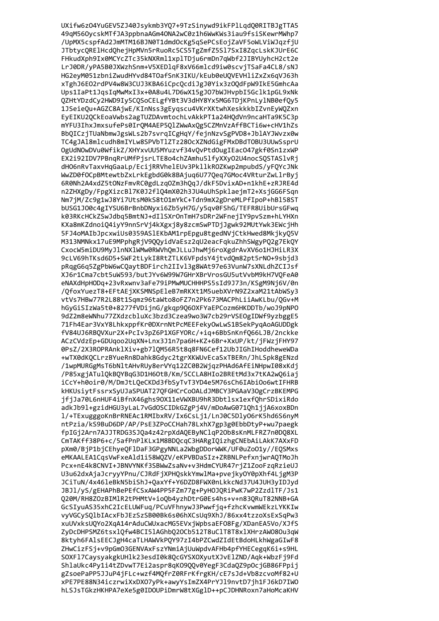UXifw6z04YuGEV5ZJ40Jsykmb3YQ7+9TzSinywd9ikFPlLqdQ0RITBJgTTA5 49qM56OycskMTfJA3ppbnaAGm4ONA2wC0z1h6WwKWs3iau9fsiSKewrMWhp7 /UpMX5cspfAd2JmMTM16BJN0T1dmdOcKg5qSePCsEojZaVF5oWLViWJqzfjU JTbtycQRElHcdQhejHpMVn5rRuoRc5CS5TgZmfZ5Sl7SxI8ZqcLskKJUrE6C FHkudXph9Ix0MCYcZTc35kNXRml1xplTDju6rmDn7qWbf2JIBYUyhcH2ct2e LrJ0DR/yPA5B0JXWzhSnm+V5XEDlqF8xV66mlcd9iw0scvjTSaFa4CL8/sNJ HG2eyM051zbniZwudHYvd84TOafSnK3IKU/kEub0eUQVEVHliZxZx6qVJ63h xTghJ6E02rdPV4w8W3CUJ3KBA6iCpcQcdiJgJ0Yix3z0QdFpW9IkE5GmhcAa Ups1IaPt1JqsIqMwMxI3x+0A8u4L7D6wX15gJ07bWJHvpbI5Gclk1pGL9xNk QZHtYDzdCy2HWD9Iy5CQSoCELgfYBt3V3dHY8Yx5MG6TDjKPnLy1NB0efQy5 1JSeieQu+AGZC8AjwE/KInNss3gEyqscu4VKrXKtwhXeskkkbIZvnEyWQZxn EyEIKU2QCkEoaVwbs2agTUZDAvmtochLvAkkPT1a24HQdVn9ncaHTa9K5C3p mYFU3IhxJmxsufePs0IrQM4AEP5QlZWwAxQg5CZMnVzAffBCTi6w+cHV1hZs BbOICzjTUaNbmwJgsWLs2b7svrgICgHqY/fejnNzvSgPVD8+JblAYJWvzx0w TC4gJAl8mlcudh8mIYLw8SPVbTlZTz280cXZNdGigFMxDBdT0BU3UUwSsprU OgUdNOwDVu0WfikZ/XHYxvUU5MYuzvf34vOvPtdOugIEacO47gkf0Sn1zxWP EX2i92IDV7PBngRrUMfPjsrLTE8o4chZAmhu5lfyXXy02U4nocS0STASlvRj dHO6nRvTaxvHqGaaLp/EcijRRVhelEUv3PkllkROZKwp2mpubdS/yFOYcJNk WwZD0f0CpBMtewtbZxLrkEgbdG0k8BAjuq6U77Qeq7GMoc4VRturZwLlrByj 6R0Nh2A4xdZ5tONzFmvRC0gdLzqOZm3hQqJ/dkF5DvixAD+n1khE+zRJRE4d n2ZHXgDy/FpgXizcBl7K0J2flO4mX02h3JU4uUhSpklaejmT2+XsjGG6FSqn Nm7jM/Zc9g1wJ8Yi7UtsM0kS8t01mYkC+Tdn9mX2gDreMLPfIpoP+hBl58ST bUSG1J00c4gIYSU6BrBnbDNyxi6Zb5yH7G/y5qv0FShG/TEFR8UibUrsGFwq k03RKcHCkZSwJdbg5BmtNJ+dIlSXrOnTmH7sDRr2WFnejIY9pvSzm+hLYHXn KXa8mKZdnoiQ4iyY9nnSrVj4kXgxj8y8zcmSwPTDjJgwk92MUtYwk3EWcjHh 5FJ4oMAIbJpcxwiUs0359ASlEKbAM1rpEpgu8tgedNVjCtkHwed8MkjkyQ5V M313NMNkx17uE9MPphgRjV9QQyidVaEsz2qU2eacFqkuZhhSWgyPQ2g7EkQY CxocW5miDU9MyJlnNXlWMw0RWVhQmJLLuJhwMj6roXgdrAvXV6o1HJHiLR3X 9cLV69hTKsd6D5+SWF2tLykI8RtZTLK6VFpdsY4jtvdQm82pt5rNO+9sbjd3 pRqgG6q5ZgPbW6wCQaytBDFirch2IIvl3g8WAt97e63VunW7sXNLdhZCIJsf XJ6r1Cma7cbt5uW593/butJYv6W99W7GHrXBrVrosGU5utVvbM9kH7VQFeA0 eNAXdHpHODq+23vRxwnv3aFe79iPMwMUCHHHPS5sId9J73n/KSgM9Nj6V/0n /QfoxYuezT8+EFtAEjXKSMNSpEleB7mRKXt1M5uebXVrN9Z2xaM21tAbWSy3 vtVs7HBw77R2L88t1Sqmz96taWto8oFZ7n2Pk673MACPhLiiAwKLbu/QGv+M hGyGiSIzWa5t0+8277fVDijnG/gkqp9Q6OXFYaEPCozm6HKDDTb/woJ9pNPO 9dZ2m8eWNhu77ZXdzcbluXc3bzd3Czea9wo3W7cb29rVSEOgIDWf9yzbggE5 71Fh4Ear3VxY8LhkxppfKr0DXrnNtPcMEEFekyOwLwS1BSekPyqAoAGUDDgk fV84UJ6RBQVXur2X+PcIv3pZ6P1XGFYORc/+iq+6BbSnKnfQ66LJB/2nckke ACzCVdzEp+GDUqoo2UqXN+Lnx3J1n7pa6H+KZ+6Br+XxUP/kt/jFWzjFHY97 0PsZ/2X3ROPRAnklXiv+gb7lQM56R5t8q8FN6Cef12UbJIGhIHoddheweWDa +wTX0dKQCLrzBYueRn8Dahk8Gdyc2tgrXKWUvEcaSxTBERn/JhLSpk8gENzd /1wpMURGgMsT6bNltAHvRUy8erVYq12ZC0B2WjqzPHAd6AfEiNHpwI08xKdj /P85xgjATulQkBQYBqG3D1H6OtB/Km/5CCLA8HIo2BREtMd3x7tKA2wQ6iaj iCcY+h0oir0/M/DmJtLQeCKDd3fbSyTvT3YD4e5M76sCh6IAbiOo6wtIFHRB kHKUsiytFssrxSyUJaSPUAT27QFGHCrCoOALdJMBCY3PGAaV3OgCrzBKEMPG jfjJa70L6nHUF4iBfnX46ghs90X11eVWXBU9hR3Dbtlsx1exfQhrSDixiRdo adkJb91+gzidHGU3yLaL7vGdOSCIDkGZgPj4V/mDoAwG071Qh1jjA6xoxBDn 1/+TExugggoKnBrRNEAc1RMIbxRV/Ix6CsLj1/LnJ0C5D1y06rK5hd6S6nyM ntPzia/kS9BuD6DP/AP/PsE3ZPoCCHah78LxhX7gp3g0EbbDtyP+wu7paegk fpIGi2Arn7AJJTRDG3SJ0a4z42rpXdAOEBvNClaP2Ob8sKnMLFRZ7n0DO8XL CmTAKff38P6+c/5afPnPlKLx1M8BDOcqC3HARgIOizhgCNEbAiLAkK7AXxFD pXm0/BiP1biCEhveOF1DaF3GPgvNNLa2WbgDDorWWK/UF0uZoO1v//EOSMxs eMKAALEA1CasVwFxeAld1i58W0ZV/eKPVBDaSIz+ZRBNLPefxnjwrAOTMoJh Pcx+nE4k8CNVI+JBNVYNKf3SBWwZsaNv+v3HdmCYUR47rjZ1ZooFzqRzieUJ U3u62dxAiaJcrvvYPnu/CJRdFiXPHOskkYmwlMa+pveikvOY0pXhf4LigM3P JCiTuN/4x46leBkN5biShJ+OaxYf+Y6DZD8FWX0nLkkcNd37U4JUH3vIDJvd JBJ1/vS/gEHAPhBePEfCSxAW4PP5FZm77g+PvHOJORiPwK7wP2ZzdlTF/Js1 020M/RH8Z0zBIMlR2tPHMtV+io0b4vzhDtrG0Es4hs+v+n830RuT82NNB+GA GcSIyuAS35xhC2IcELUWFug/PCuVFhnywJ3Pwwfig+fzhcKvwmWEkzLYKKIw vvVGCvSOlbIAcxFbJEzSzSB00Bk6s06hXCsUa9XhJ/86xx4tzzoXsExSaPw3 xuUVxksU0Yo2XqA14rAduCWUxacMG5EVxiWpbsaEF08Fg/XDanEA5Vo/XJfS ZvDcDHPSMZ6tsx10fw4BCI51AGhb020Cb512T8uC1T8T8x1XHrzAW080u3aW 8ktvh6FAlsEECJgH4caTLHAWVkPOY97zI4bPZCwdZIdEtBdoHLkhWgaGIwF8 ZHwCizFSj+v9pGmO3GENVAxFszYNmiAjUuWpdvAFHb4pfYHECeggK6i+s9HL SOXF17CaysyakgkUH1k23esdI0k8QcGYSXOXyutXJvE1ZND/Aqk+WbzFj9Fd ShlaUkc4Py1i4tZDvwT7Ei2aspr8qK09QQv0YegF3CdaQZ9pOcjGB86FPpij gZsoePaPP5JJuP4jFLc+wzf4MQfrZ0RFrKfrgKH/cE7sJd+Vb8zcvoMf82+U xPE7PE88N34iczrwiXxDXO7yPk+awyYsImZX4PrYJl9nvtD7jh1FJ6kD7IWO hLSJsTGkzHKHPA7eXe5g0IDOUPiDmrW8tXGglD++pCJDHNRoxn7aHoMcaKHV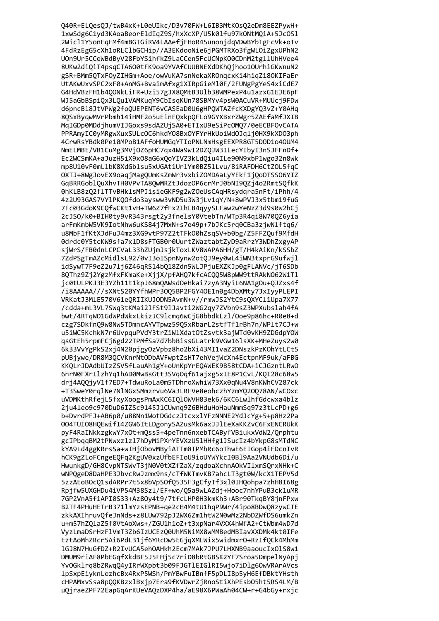Q40R+ELQesQJ/twB4xK+L0eUIkc/D3v70FW+L6IB3MtKOsQ2eDm8EEZPywH+ 1xwSdg6C1yd3KAoaBeorEldIqZ9S/hxXcXP/U5k0lfu97kONtMQiA+5JcOSl 2Wicl1Y5onFqFMf4mBGTGiRV4LAAefjFHoR45unonjdqVDwBYbTgFcVk+oTv 4FdRzEgG5cXh1oRLClbGCHip//A3EKdooNie6jPGMTRXo3fgWLOiZgxUPhN2 UOn9Ur5CCeWBdByV28FbYSihfkZ9LaCCen5FcUCNpK00CDnM2tgllUhHVee4 8UKw2diQiT4psqCTA600tFK9oa9YVAfCUUBNEXdDKhQjhoo10UrhiGKWnuN2 gSR+BMm5QTxFOyZIHGm+Aoe/owVuKA7snNekaXROnqcxKi4hiqZi8OKIFaEr UtAKwUxvSPC2xF0+AnMG+BvaimAfxg1XIRpGieMl0F/2FUNgPgYeS4xiCdE7 G4HdVBzFH1b4QONkLiFR+Uzi57gJX8QMtB3Ulb38WMPexP4u1azxG1EJE6pF WJ5aGbBSpiQx3LQu1VAMKuqY9CbIsqKUn78SBMYv4psW0ACuVR+MUUcj9FDw d6pncBl8JtVPWg2foQUEPENT6vCASEaD0U6gHPQWTAZfcKXDgYQ3vZ+Y0AHq 8QSxByqwMVrPbmh14iHMF2o5uEinFQxkpQFLo9GYXBxrZWgr5ZAEfaMfJXIB MqIGDp0MDdjhumVIJGoxs9sdAZUjSA0+ETIxU9eSiPcOMQ7/0eECBFOvCATA PPRAmyIC0yMRgwXuxSULcOC6hkdY08BxOYFYrHkUoiWdOJqlj0HX9kXDO3ph 4CrwRsYBdk0Pe10MPoB1AFfoHUMGqYTIoPNLNmHsgEEXPR8GT5DOD1o40UM4 NmELMBE/VB1CuMg3MVjOZ6pHC7qx4Wa9wI2DZOJW3ILecYIbyI3nSJFFnDf+ Ec2WCSmKA+aJuzH5iX9x08aG6xQoYIVZ3kLdQiu4ILe90N9xbP1wgo32n8wk mp8U10vF0mLlbK8XdGblsu5xUGAt1UrlYm0BZ5lLvu/8iRAFDH6CtZOL5fgC OXTJ+8WgJovEX9oaqjMagQUmKsZmWr3vxbiZOMDAaLyYEkF1jQoOTSSO6YIZ GgBRRGoblQuXhvTH0VPvTA8QwMRZtJdozOP6crMrJ0bNI9QZj4o2RmtSQfkK 0hKLB8zQ2flTTvBHklsMPJisieGKF9g2wZOeUsCAqHRsydqra5nFt/iPhh/4 4z2U93GAS7VYlPKQOfdo3aysww3vND5u3W3jLv1qY/N+8wPVJ3x5tbm19fuG 7Fc03GdoK9CQfwCKt1vH+TW6Z7fFx2IhLB4qyySLFaw2wYeNzZ3d9s0W2hCj 2cJSO/k0+BIH0ty9vR343rsgt2y3fnelsY0VtebTn/WTp3R4qi8W70QZ6yia arFmKmbW5VK9IotNhw6uKS84j7MxN+s7e49p+7bJKc5rq0CBa3zjwNlftq6/ u8MbF1fKtXJdFuJ4mz3XG9vtP97Z2tTFk00hZsqSV+b0bg/Z5FFZQuf9MfdH 0drdc0Y5tcKW9sfa7x1D8sFTGB0r0UurtZWaztabtZyD9aRrzY3WDhZxgyAP sjWrS/FB0dnLCPCVaL33hZUjmJsjkToxLKV8WAPA6HH/gT/H4kAiKn/kSSbZ 7ZdPSgTmAZcMidlsL92/0vI3oISpnNynw2otQJ9ey0wL4iWN3txprG9ufwjl idSywT7F9eZ2u7lj6Z46qRS14bQ18Zdn5WLJPjuEXZKJp0gFLANVc/jT6SDb 8QThz9Zj2YgzMfxFKmaKe+XjjX/pfAHQ7kfcACQQ5W8pWW9ttRAkN062W1Tl jc0tULPKJ3E3YZh11t1kpJ68mQAWsdOeHkai7zyA3NyiL6NA1gOu+QJZxs4f /i8AAAAA///sXNtS20YYfhWPr30Q5BP2FGY40E1n0g4DbXMty7JxIyyPLEPI VRKatJ3MlE570V61eQRIIKUJODN5AvmN+v//rmwJS2YtC9sQXYCl1Upa7X77 /cdda+mL3VL7SWq3tKMai2lFSt9lJavti2WG2qy7ZVbn9sZ3WPXubslah4fA bwt/4RTqW01GdWPdWkxLkizJC91cmq6wCjG8bbdkLz1/Ooe9p86hc+R0e8+d czg7SDkfnQ9w8Nw5TDmncAYVTpwz59Q5xRbarL2stfTf1rBh7n/WPlt7CJ+w u5iWC5KchkN7r6UvpquPVdY3trZiWlXdatOtZsvtk3ajWTd0vKH9ZDGdpYOW qsGtEh5rpmFCj6gd22TPMfSa7d7bbBissGLatrk9VGw16lsXK+MHeZuys2w0 6k33VvYgPkS2xj4N20pjgyOzVpbz8ho2bXi43MI1vaZ2DNszkPzKOhYtLCt5 pUBjywe/DR8M3QCVKnrNtODbAVFwptZsHT7ehVejWcXn4EctpnMF9uk/aFBG KKQLrJDAdbUIzZSV5fLauAh1gY+oUnKpYrEQAWEK9B58tCDA+iCJGzntLRwO 6nrN0FXrIlzhYq1hAD0MwBsGtt3SVqOqf61ajxg5xIE8P1CvL/KQI28c68w5 drj4AQQjyV1f7ED7+TdwuRoLa0m5TDhroXwhiW73Xx0qNu4V8nKWhCV287ck +T3SweY0rqlNe7NlNGxSMmzrvu6Va3LRFVe8eohczhYzmYQ20Q78AN/wC0xc uVDMKthRfejL5fxyXoogsPmAxKC6IQ10WVH83ek6/6KC6LwlhfGdcwxa4blz 2ju4leo9c970DuD6IZSc9145J1CUwnq9Z6BHduHoHauNmmSq97z3tLcPD+g6 b+DvrdPFJ+AB6p0/u88Nn1WotDGdczJtcxxlYFzNNNE2YdJcYg+5+p8Hz2Pa 004TUI08H0EwifI4ZGW6ItLDgonySAZusMk6axJJlEeXaKKZvC6FxENCRUkK pvF4RaINkkzgkwY7xOt+mOss5+4peTnn6nxebTCABvfVBiukxVdW2/Orphtu gcIPbggBM2tPNwxzlzl7hDvMiPXrYEVXzU5lHHfg1JSucIz4bYkpG8sMTdNC kYA9Ld4ggKRrsSa+wIHiObovMBviATTm8TPMhRc6oThwE6EIGop4iFDcnIvR hCK9gZLoFCngeEOFg2KgUV0xzUfbEFIoU9ioUYWYkcI0Bl9Aa2VNUdb6Di/u HwunkgD/GH8CvpNTSWvT3jN0V0tXZfZaX/zgdoaXchnAOkVIlxmSOrxNHk+C wNPOgeD8DaHPE3JbvcRwJzmx9ns/cTfWKTmvKB7ahcLT3gt0W/kcX1TEPV5d 5zzAEoBOcO1sdARPr7t5x8bVpSOfO535F3gCfvTf3x10IHOohpa7zhH8I68g Rpifw5UXGHDu4iVP54M38Szl/EF+wo/O5a9wLAZdi+Hooc7nhYPuB3ck1uMR 7GP2VnA5fiAPI0S33+Az8Ov4t9/7tfcLHP0H3kmKh3+ABr90TkaBY8inFPxw B2TF4PHuHETrB3711mYzsEPNB+ge2cH4M4tU1hgP9Wr/4ipo8BDw08zywCTE zkkAXIhruvOfeJnNds+z8LUw792pJ2WX6Zm1htW2N0wMz2NbDZWfDS6umkZn u+m57hZ0laZ5f0VtAoXws+/ZGU1h1oZ+t3xpNar4VXX4hWfA2+CtWbm4wD7d VvzLmaDSrHzFlVmT3Zb6IzUCEz00UhM5NiMX8wMMBedMBIavXXDMk4kt0IFe EztAoMhZRcr5Ai6PdL31jf6YRcDw5EGjqXMLWix5widmxr0+RzIfQCk4MhMm 1GJ8N7HuGfDZ+R2IvUCA5ehOAHkh2Ecm7MAk7JPU7LHXNB9aaoucIxOlS8w1 DMUM9riAF8PbEGqfXkdBF5J5FHj5c7riD8bRtGBSK2YF7Sroa5DmpelNyApj YvOGklrq8bZRwqQ4yIRrWXpbt3b09FJGTlEIGlRI5wjo7iDlg6OwVRArAVcs lpSxpEiyknLezhcBx4RxP5WSh/PmYBwFuIBnfF5pDLI8p5yH6EfDBktYHsth cHPAMxvSsa8pQQKBzxlBxjp7Era9fKVDwrZjRnoStiXhPEsbO5ht5RS4LM/B uQjraeZPF72EapGqArKUeVAQzDXP4ha/aE98X6PWaAh04CW+r+G4bGy+rxjc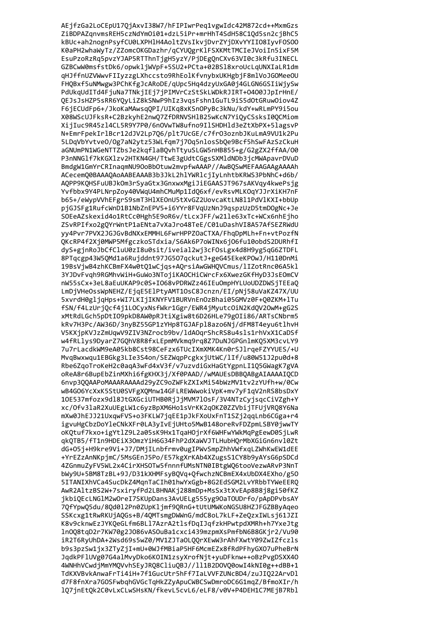AEjfzGa2LoCEpU17QjAxvI38W7/hFIPIwrPeq1vgwIdc42M872cd++MxmGzs ZiBDPAZqnvmsREH5czNdYmOi01+dzL5iPr+mrHhT4SdH58C1Qd5sn2cjBhC5 kBUc+ah2nognPsyfCU0LXPH1H4AoltZVsIkvjDvrZYjDXvYYII08IyvF0S00 K0aPH2whaWyTz/ZZomcOKGDazhr/qCYUQgrKlFSXKMtTMCIeJVoiIn5ixF5M EsuPzoRzRq5pvzYJAP5RTThnTjgH5yzY/PjDEgQnCXv63VI0c3kRfu3INECL GZBCwW0msfstDk6/opwkljWVpF+5SU2+PCta+02BSl8xroUcLqUNXIaLR1dm qHJffnUZVWwvFIIyzzgLXhccsto9RhEolKfvnybxUKHgbjF8mlVoJGOMeeOU FHQBxf5uNMwgw3PChKfgJcARoDE/qUpc5Hq4dzyUxGA0j4GLGN6GSIiWjySw PdUkqUdITd4FjuNa7TNkjIEj7jPIMVrCzStSkLWDkRJIRT+0400JJpIrHnE/ QEJsJsHZP5sRR6YQyLiZ8kSNwP9hIz3vqsFshn1GuTL9iS5dOtGRuwOiov4Z F6jECUdFp6+/JkoKaMAwsqQPI/UIKq8xKSnOPyBc3kNu/kdY+wRLmPY9i5ou X08WScUJFksR+C2BzkyhE2nwQ7ZfDRNVSHlB25wKcN7YiQyCSsksI0QCMiom XijIuc9R45zl4CL5R9Y7P0/6n0VwTW8ufno9IlSHDHld3eZtXbPX+5lagsvP N+EmrFpekIrlBcr12dJV2Lp706/plt7UcGE/c7fr03oznbJKuLmA9VU1k2Pu 5LDqVbYvtve0/0g7aN2ytz53WLfgm7j70g5nlosSbQe9Bcf5hSwFAzSzCkuH aGNUmPN1WGeNTTZbsJe2kqflaBQvhTtyuSLGW5nHB855+g/G2gZX2ffAA/00 P3nNNG1f7kKGX1zv2HTKN4GH/TtwE3gUdtCGgsSXM1dNDb3jcMWApavrDVuD BmdgW1GmYrCRInagmNU9OoBbOtuw2mvpfwAAAP//AwBOSwMEFAAGAAgAAAAh ACecemO0BAAAOAoAABEAAAB3b3JkL2hlYWRlcjIyLnhtbKRWS3PbNhC+d6b/ AQPP9KQHSFuUBJkOm3rSyaGtx3GnxwxMgiJiEGAASJT967sAKVqy4kwePsjg Yvfbbx9Y4PLNrpZoy40VWqU4mhCMuMp1IdQ6xf/evRsvMLKOqYJJrXiKH7nF b65+/eWypVVhEFgrS9smT3HlXEOnU5tXvGZ2UovcaKtLN8l1PdVlKXI+bbUp pjGJSFg1RufcWnD1B1NbZnEPV5+i6YYr8FVqUzNnJ9qspzUzD5tmD0gNc+Je SOEeAZskexid4o1RtCc0Hgh5E9oR6v/tLcxJFF/w21le63xTc+WCx6nhEjho ZSvRPIfxo2gQYrWntP1aENta7vXaJro48TeE/C01uDashVI8A57AfSEZRWdU yy4Pvr7PVX2JGJGvBdNXxEMMHL6FwrHPPZOaCTXA/FhqDpMLh+Fn+vtPozfN QKcRP4f2Xj0MWP5MfgczkoSTdxia/S6Ak6P7oWINx6j06fu10obdS2DURhfI dyS+gjnRoJbCfCluU0zI8u0sit/iveial2wj3cF0sLgx4d8H9yg5qG6ZTDFL 8PTqcgp43W5QMd1a6Rujddnt97JG507qckutJ+geG45EkeKPOwJ/H110DnMi 19BsVjwB4zhKCBmFX4w0tQ1wCjqs+AQrsiAwGWHQVCmus/lIZotRnc06A5kl 3YJDvFvqh9RGMhvWiH+GuWo3NTojiKAOCHiCWrcFx6XwezGKfHyD3JsEOmCV nW55sCx+3eL8aEuUKAP9c0S+IO68vPDRWZz46IEuOmpHYLUoUDZDWSjTEEaQ LmDjVHeOssWpNEHZ/EjqE5ElPtyAMT1OsC8Jcnzn/EI/pNj58uVaKZ47X/UU 5xvrdH0gljqHps+WI7LKIjIKNYFV1BURVnEnOzBhai05GMVz0F+Q0ZKM+lTu fSN/f4LzUrjQcf4j1LOCyxNsfWkr1Ggr/EWR4jMyutcOiN2KdQV20wM+gG2S xMtRdLGch5pDtIO9pkD8AW0pRJtiXgiw8t6D26HLe79gOIi86/ARTsCNbrm5 kRv7H3Pc/AW36D/3nyBZ55GP1zYHp8TGJAFpl8azo6Nj/dFM8T4eyu6tlhvH V5KXjpKVJzZmUqwV9ZIV3NZrocb9bv/ldAOqrShcRS8u4sls1rhVxX1CaDSf w4fRLlys9DyarZ7GQhV8R8fxLEpmMVkmq9rq8Z7DuNJGPGnlmKQ5XM3cvLY9 7u7rLacdkWM9eA05kb8Cst98CeFzx6TUcIXmXMK4Kn0rSJlrqeFZYYUES/+U MvqBwxwqu1EBGkg3LIe3S4on/SEZWqpPcgkxjUtWC/lIf/u80W51J2pu0d+8 Rbe6ZqoTroKeH2c0aqA3wFd4xV3f/v7uzvdiGxHaGtYgpnLI1Q5GWagK7gVA oReA8r6BupEbZinMXhi6fgKHX3j/Xf0PAAD//wMAUEsDBBQABgAIAAAAIQCD 6nvp3QQAAPoMAAARAAAAd29yZC9oZWFkZXIxMi54bWzMV1tv2zYUfh+w/0Cw wB4G06YcXxK5StU0SVFgXQMnw14GFLREWWwokiVpK+mv7yF1qV2nRS8bsDxY 10E537mfozx9d18JtGXGciUTHB0RjJjMVM7lOsF/3V4NTzCyjsgcCiVZgh+Y xc/Ofv3laR2XuUEgLW1c6yzBpXM6Ho1sVrKK2qOKZ0ZZVbijTFUjVRQ8Y6Na mXw0JhEJJ21UxqwFVS+o3FKLW7jqEE1pJkFXoUxFnT1SZj2qqLnb6CGga+r4 igvuHgCbzDoYleCNkXFr0LA3yIvEjUHto5MwB148oreRvFDZpmLSBY0jwwTY oKOtuf7kxo+igYt1Z9L2a05sK9Hx1TgaH0irXf6WHFwYWkMgPgEewD0SiLwR gkOTB5/fT1n9HDEiX30mzYiH6G34FhP2dXaWVJTLHubHOrMbXGiGn6nvl0Zt dG+05i+H9kre9Vi+J7/DMiILnbfrmv0ugIPWvSmpZhhVWfxaLZWhKwEW1dEE +YrEZzAnNKpimC/5MsGEnJ5Po/E57kgXrKAb4XZugsS1CY8b9vAYsG6pSDCd 4ZGnmuZyFV5WL2x4CirXHSOTw5fnnnfUMsNTN0IBtgW06tooVezwARvP3NnT bWv9U+5BM8TzBL+9J/D31kXHMFsvBOVa+OfwchzNCBmEX4xUbDX4EXho/g50 5ITANIXhVCa4SucDkZ4MgnTaCIh01hwYxGgb+8G2EdSGM2LvYRbbTYWeEERO AwR2AltzBS2W+7sxirvfPd2LBHNAKi288mDp+MsSx3tXvEAp8B8i8gi50fKZ jkbiQEcLNGlM2wOreI7SKUpDans3AvUELg555yg9OaTOUDrfo/pApDPvbsAY 70fYpw05du/80d012Pn0ZUpK1jmf90RnG+tUtUMWKoNGSU8HZJFGZBByAgeo SSKcxg1tRwRKUiAOGs+B/40MTsmgDWWnG/mdC8oL7kLF+ZeOzxIWLsi61JZI K8v9cknwEzJYKOeGLfm6BL17AzrA2t1sfDaIJafzkHPwtpdXMRh+h7YxeJtg 1n008taD2r7KW70g2J086vASOuBa1cxci439mzpmXsPmfbN6B8GKir2/Vu90 iR2T6RvUhDA+2Wsd69s5wZ0/MV1ZJTaOLOOrXEwW3rAhFXwtY09ZwIZfczls b9s3pzSw1jx3ZTyZjI+mU+0WJfMBiaP5HF6McmEZx8fRdPFhyGX07uPheBrN JqdkPFlUVg07G4alMvyDko6KOIN1zsyXrofNjt+yuDFknw++oBzPvgDSXX40 4WNHhVCwdjMmYMQVvhSEyJRQ8CliuQBJ//ll1B2DOVQ0owI4kNI0g++dBB+1 TdKXVBvkAnwaFrTi4iH+7f1GucUtr5hFf7IaLVVFZUNcBD4/zuJIQ22ArvDl d7F8fnXra7GOSFwbqhGVGcTqHkZZyApuCWBCSwDmroDC6G1mqZ/BfmoXIr/h 1Q7jnEtQk2C0vLxCLwSHsKN/fkevL5cvL6/eLF8/v0V+P4DEH1C7MEjB7Rb1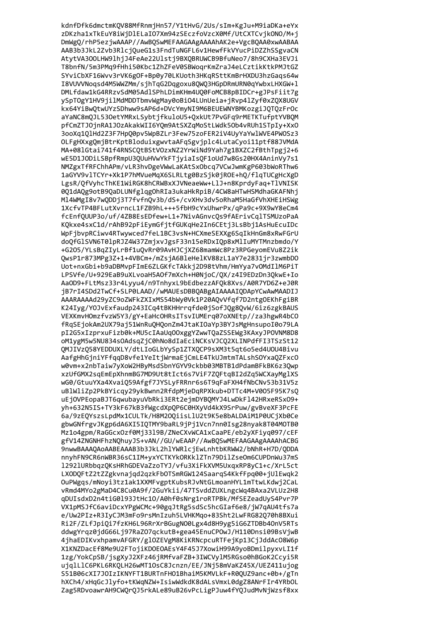kdnfDfk6dmctmKQV88MfRnmjHn57/Y1tHvG/2Us/sIm+KgJu+M9iaDKa+eYx zDKzha1xTkEuY8iWjDlELaIO7Xm94zSEczfoVzcX0Mf/UtCXTCvjkONO/M+j DmWgQ/rhP5ezjwAAAP//AwBQSwMEFAAGAAgAAAAhAK2e+VgcBQAA0xwAABAA AAB3b3JkL2Zvb3RlcjQueG1s3FndTuNGFL6v1HewfFkVYucPiDZZhSSgvaCN AtytVA300LHW9lhjJ4FeAe22Ulstj9BXQBRUWCB9BfuNeo7/8h9CXHa3EVJi T8bnfN/5m3PMq9fHhi50Kbc1ZhZFeV0SBWoqrKmZraJ4eLCztikKtkPMJtGZ SYviCbXF16Wvv3rVK6gOF+Bp0y70LKUoth3HKqRSttKmBrHXDU3hzGaqs64w I8VUVVNoqsd4M5WWZMm/sjhTqG2Dqgoxu8QWQ3HGpDRmURN0qYwbxLHXGW+1 DMLfdaw1kG4RRzvSdM05AdlSPhLDimKHm4UQ0FoMCB8pBIDCr+gJPsFiit7g ySpTOgY1HV9jilMdMDDTbmvWgMay0oBiO4LUnUeia+jRvp4lZyf0xZQX8UGV kx64YiBwQtwUYzSDhww9sAP6d+DVcYmyNI9M6BEUEWNYBMKozgiJQTQzFrOc aYaNC8mQJL530etYMRxLSybtjfkuloU5+QxkUt7PvGFq9rMETKTufptYVBQM pfCmZTJOjnRA1JOzAkakWII6YQm9AtSXZqMoStLWdk5Ob4vRUh1STpIy+XxO 3ooXq101Hd2Z3F7Hp00pv5WpBZLr3Few75zoFER2iV4UyYaYw1WVE4PW0Sz3 OLFgHXxgQmjBtrKptBloduixgwvtaAFqSgvjplc4LutaCyoi11ptf88JVMdA MA+081Gtai741f4RNSCOtBStVOzxNZ2YrWiNd9Yah7g1BXZC2fBthTpgj2+6 wE5D1JODiLSBpfRmpU3QUuHVwYkFTjyiaIsQF1oUd7w8Gs20HX4AninVy7s1 NMZgxTfRFChhAPm/vLR3hvDgeVWwLaKAtSx0bcq7VCwJwmKgP603bWoRThw6 1aGYV9vlTCYr+Xk1P7hMVueMqX6SLRLtg0BzSjk0jROE+hQ/flqTUCgHcXgD LgsR/QfVyhcThKE1WiRGK8hCRWBxXJVNeaeWw+LlJ+n8KprdyFaq+TlVNISK 0Q1dAQg9otB9QaDLUNfglqgOhRIa3ukaHkRpiB/4CW8aHTwHSMdhaGKAFNhj Ml4WMgI8v7wQDDj3T7fvfnQv3b/dS+/cvXHv3dv5oRhaM5HaGfVhXHEiHSWg 1XcfvTP4BFLutXvrncL1FZB9hL+++5fbH9cYxUhwrPx/qPa9c+9X9wY8eCm4 fcEnf0UUP3o/uf/4ZB8EsEDfew+L1+7NivAGnvcOs9fAErivCglTSMUzoPaA KQkxe4sxC1d/rAhB92pFiEymGfjtfGUKqHe2In6CEtj3LsBbj1AsHuEcuIDc WpFjbvpRCiwv4RTwywced7feL1BC3vsN+HCXmeSEXXg6SqIkHnGm8xRwFGrU doQfGlSVN6T0lpRJZ4W37ZmjxvJgsF33n15eRDxIQp8xMlIuMYTMnzbmdo/Y +G2O5/YLsBqZIyLrBf1uQvRr09AvHJCjXZ68mamWc8Pz3RPGeyomEVu8Z2ik QwsP1r873MPg3Z+1+4VBCm+/mZsjA6BleHelKV88zL1aY7e2831jr3zwmbDO Uot+nxGbi+b9aDBMvpFImE6ZLGKfcTAkkj2D98tVhm/HmYya7vOMdIlM6PiT LPSVfe/U+929EaB9uXLvoaH5AOf7mXch+H0NjoC/QX/z4I9EDzDn3QkwE+Io AaOD9+FLtMsz33r4Lyyu4/n9TnhyxL9bEdbezzAFQk8Xvs/A0R7YD6Z+eJ0R jB7rI4SDd2TwCf+SLP0LAAD//wMAUEsDBBQABgAIAAAAIQDApYCwAwMAADIJ AAARAAAAd29yZC9oZWFkZXIxMS54bWy0Vk1P20AQvVfqf7D2ntgOEKhFgiBR K24Iyg/Y0JvExfaudp243ICq4tBKHHrrqfde0jSofJQg8QvW/6iz6zgkBAUS VEXKmvHOmzfvzW5Y3/gY+EaHcOHRsITsvIUMErq07oXNEtp//za3hgwR4bCO fRqSEjokAm2UX79aj51WnRuQHQonZm4JtaKIOaYp3BYJsMgHnsupoI0o79LA pI2G5xIzprxuFizb0k+MU5cIAaUqOOxggYZwwTQaZSSEWg3KAxyJPOVNM8D8 oM1ygM5w5NU834sOAdsqZjC0hNo8dIaEciNCKsVJCQ2XLINPdfFI3TSzSt12 QMJIVzQ58YEDDUXLY/dtLIoGLbYySp1ZTXQCP9sXM3t5qt6o5ed4UOU4Bivu AafgHhGjniYFfqqD8vfe1YeItjWrmaEjCmLE4TkUJmtmTALshSOYxaQZFxcO w0vm+x2nbTaiw7yXoW2HByMsdSbnYGYV9ckbb03MBTB1dPdamBFkBK6z3Qwp xzUfGMX2sqEmEpXhnmBG7MD9Ut8tIct6s7ViF7ZQFtqBI2dZq5WCXayMglXS wG0/GtuuYXa4XvaiQ59Afgf7JYSLyFRRnr6s6T9qFaFXH4fNbCNv53b31V5z uBlWliZp2PkBYicqy29ykBwnn2RfdpMjeDqRPXkub+DTTc4M+V005F95K7sQ uEjOVPEopaBJT6qwubayuVbRki3ERt2ejmDYBQMYJ4LwDkFl42HRxeRSxO9+ yh+632N5IS+TY3kF67kB3fWgcdXpQP6C0HXyVd4kX9SrPuw/gvBveXF3PcFE 6a/9zEQYszsLpdMx1CULTk/H8M20QiisLlU2t9K5e8bALDAiM1P0UCjXb0Ce gbwGNfrgvJKgp6dA6XI5IOTMY9baRL9jPj1Vcn7nn0Isg28nyak8T04MOTB0 Mz1o4gpm/RaGGcxOzf0Mi3319B/ZNeCXvWCA1xCaaPE/eb2vXFivg097/cEF gfV14ZNGNHFhzNOhuvJS+vAN//GU/wEAAP//AwBOSwMEFAAGAAgAAAAhACBG 9nwwBAAAOAoAABEAAAB3b3JkL2hlYWRlciEwLnhtbKRWW2/bNhR+H7D/ODDA nnvhFN9CR6nWBR36sC1IM+vxYCTKYkORKk1ZTn79DilZseOm6CUPDnWu37mS 12921URbbgzQKsHRhGDEVaZzoTYJ/vfu3XiFkXVM5UxgxRP8yC1+c/XrL5ct LXODOFtZ2tZZgkvnaigd2gzkFbOTSmRGW124SaargS4KkfFpg00+iUlEwgk2 OuPWgas/mNovi3tz1ak1XXMFvgptKubsRJvNtGLmoanHYL1mTtwLKdwi2CaL vRmd4MYo2gMaD4C8Cu0A9f/2GuYkii/47TSvddZUXLngcWg4BAxa2VLUz2H8 aDUIsdxD2n4tiG0193JtHc10/A0hf0sNrg1roRTPBk/MfSEZeadUvS4Pvr7P VX1pMSJfC6aviDcxYPgWCMc+90ggJtRg5sdSc5hcGIaf6e8/jW7gAU4tfs7a e/Uw2PIz+R3IvCJM3mFo9rsMnIzuh5LVHKMao+83Sht2LwFRG82070h8BXui Ri2F/ZLfJpi0i7fzKH6L96RrXrBGugN00Lgx4d8H9vg5iG6ZTDBb40nV5RTs ddwgYrqz0jdG66Lj97RaZ07qckutB+gea45EnuCPOwJ/H110Dnsi09BsVjwB 4jhaEDIKvxhpamvAFGRY/glOZEVgM8KiKRNcpcuRTFejKp13CjJddAcO8W6p X1KNZDacEf8Me9U2FTojiKDOEOAEsY4F45J7XowiH99A9yoBDmilpyxvLI1f 1zg/YokCpSB/jsgXyJ2XFz46jRMfvaFZB+3IWCVylM5RGso0hBGoK2Ccyi5R ujqlLlC6PKL6RKQLH26wMT10sC8Jcnzn/EE/JNj58mVaKZ45X/UEZ411ujog S51B06cXI7JOIzIKNYFT1BURTnFHO1BhaiM5KMVLkF+R0QUZ9anc+0b+/gTn hXCh4/xHqGcJlyfo+tKWqNZW+IsiwWdkdK8dALsVmxL0dgZ8ANrFIr4YRbOL Zag5RDvoawrAH9CWQrQJ5rkALe89uB26vPcLigPJuw4fYQJudMvNjWzsf8xx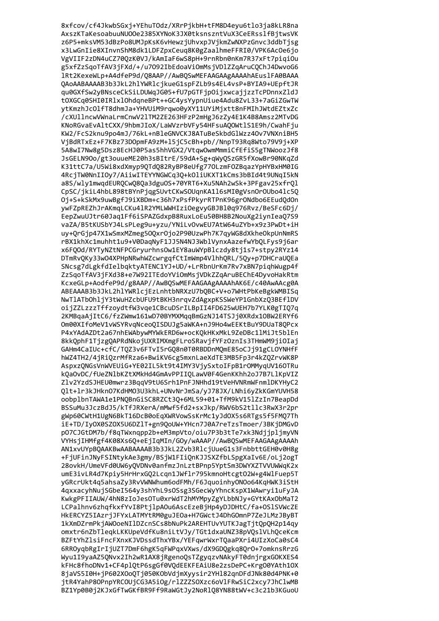8xfcov/cf4JkwbSGxj+YEhuTOdz/XRrPjkbH+tFM8D4eyu6tlo3ja8kLR8na AxszKTaKesoabuuNU00e2385XYNoK3JX0tksnszntVuX3CeERsslfBjtwsVK z6P5+mksVM53dBzPo8UMJpKsK6vHewzjUhvxpJVjkmZwNXPzGnvc3ddbTjsg x3LwGnIie8XInvnShM8dk1LDFZpxCeuq8K0gZaalhmeFFRI0/VPK6AcOe6jo VgVIIF2zDN4uCZ70QzK0VJ/kAmIaF6wS8pH+9rnRbn0nKm7R37xFt7piqiOu g5xfZzSqoTfAV3jFXd/+/u7092IbEdoaViOmMsjVDlZZqAruCQChJ4DwvoG6 1Rt2KexeWLp+A4dfeP9d/Q8AAP//AwBQSwMEFAAGAAgAAAAhAEus1FA0BAAA QAoAABAAAAB3b3JkL2hlYWRlcjkueG1spFZLb9s4EL4vsP+BYIA9+UEpftJR qu0GXfSw2yBNsceCkSiLDUWqJG05+fU7pGTFjpOijxwcajjzzTcPDnnxZldJ t0XGCq0SHI0IRlxl0hdqneBPt++GC4ysYypnUiue4Adu8ZvL33+7aGiZGwTW ytKmzhJcOlfT8dhmJa+YHVUiM9rqwo0yXY11UYiMjxtt8nFMIhJWtdEZtxZc /cXUllncwVWnaLrmCnwV2lTM2ZE263HFzP2mHgJ6zZy4E1K4B8Amsz2MTvDG KNoRGvaEvAltCXX/9hbmJIoX/LaWVzrbVFy54HFsuAQOWtlS1E9h/CwahFju KW2/FcS2knu9po4mJ/76kL+nBleGNVCKJ8ATuBeSkbdGlWzz40v7VNXniBH5 VjBdRTxEz+F7KBz73DOpmFA9zM+15jC5cBh+pb//NnpT93Rq8Wto79V9j+XP 5A8wI7Nw8g5Dsz8EcHJ0P5as5hhVGX2/Vtqw0wmMmmiCfEfiS5gTNWoozJf8 JsGELN90o/gt3ouueME20h3sBItrE/59dA+Sg+qWyOSzGR5fXowBr90NKqZd K31ttC7a/U5Wi8xdXmyp9QTdQ82RyBP8eUfg770LzmF0ZBqazYpHYBxHM0IG 4RcjTW0NnIIOy7/AiiwITEYYNGWCq3Q+kOliUKXT1kCms3bBId4t9UNqI5kN a8S/wly1mwqdEURQCwQ8Qa3dguOS+70YRT6+Xu5NAh2wSk+3PFgav25xfrQl CpSC/jkiL4hbL898tBYnPjqgSUvtCKwS0UqnKA116sMI0gVsnOr0Ubo41c5Q Oj+S+kSkMx9uwBgfJ9iXBDm+c36h7xPsfPkyrRTPnK96grONdbo6EEudQdOn ywFZpREZhJrAKmqLCKu41R2YMLWWHIziOegvyGBJBl0q976Rvz/BeSFc6Dj/ EepZwuUJtr60Jaq1Ff6iSPAZGdxpB8RuxLoEu50BH8B2NouXg2iynIeaQ7S9 vaZA/B5tKUSbYJ4LsPLeg9u+yzu/YNiLvOvwEU7AtW64uZYb+x9z3PwDt+iH uy+QrGjp47X1wSmxMZmeg50QxrOjo2P90UzwPh7K7qyWG8dXkheOkpUnNmRS rBX1khXc1muhht1u9+V0DaqNyF1JJ5N4NJ3WblVynxAazefwYbQLFys9j6ar x6FQOd/RYTyNZtNFPCGryurhnsOw1EY8auWYpBlczdy8tj1s7+stpy2RYz14 DTmRvQKy33w04XPHpNRwhWZcwrgqfCtImWmp4VlhhQRL/5Qy+p7DHCraUQEa SNcsg7dLgkfdIelbqktyATENC1YJ+UD/+LrRbnUrKm7Rv7xBN7piqhWugp4f ZzSqoTfAV3jFXd38+e7W92ITEdoYViOmMsjVDkZZqAruBEChE4DyvoHakRtm KcxeGLp+AodfeP9d/g8AAP//AwBQSwMEFAAGAAgAAAAhAK6E/c40AwAAcg0A ABEAAAB3b3JkL2hlYWRlcjEzLnhtbNRXzU7bQBC+V+o7WHtPbKeBgkWMBISq NwTlATbOhljY3tWuHZcbUFU9tBKH3nrqvZdAgxpKSSWeYP1GnbXzQ3BEflDV oijZZLzzzTffzoydtfW3vqe1CBcuDSrILBpII4FD625wUEH7b7YLK0gTIQ7q 2KMBqaAjItC6/fzZWmw161wD70BYMXMqqBmGzNJ14TSJj0XRdx1OBW2ERYf6 Om00XIfoMeV1vWSYRvqNceoQISDUJg5aWKA+nJ9Ho4wEEKtBuY9DUaT8QPcx P4xYAdAZDt2a67nhEWAbywMYWkERD6w+ocKQkHKxMkL9ZeDBc1lMiJt5blEn 8kkQphF1TjzgQAPRdNkojUXRIMXmgFLroSRavjfYFzOznIs3THmWM9jiOIaj GAHm4CaIUc+cfC/TQZ3v6FTvI5rGQ8n0T0RBDDnMQmE85oCJj91gCLOYNHfF hWZ4TH2/4jRiQzrMfRza6+BwiKV6cg5mxnLaeXdTE3MB5Fp3r4kZQZrvWK8P AspxzQNGsVnWVEUiG+YE02IL5kt9t4IMY3VjySxtoIFpB1rOMMyqUV160TRu kQaOvDC/fUeZNlbKZtXMkHd4GmAvPPIIQLawV0F4GenKKhh2oJ7B7LlKpVIZ Zlv2YzdSJHEU0mwrz3BqqV9tU6Srh1PnFJNHhd19tVeHVNRmWFnmlDKYHyC2 Qlt+lr3kJHkn07KdHM03U3khL+UNvNrJmSa/yJ78JX/LNhi6yZkKGmYUVH58 oobplbnTAWA1e1PNQBnGiSC8RZCt3Q+6ML59+01+TfM9kV15lZzIn7BeapDd BSSuMu3JczBdJ5/kTfJRXerA/mMwf5fd2+sxJkp/RWV6bS2tllc3RwX3r2pr gWp60CWtH1UgN6BkT16DcB0oEqXWRVowSsKrMc1yJd0X5s6RTgs5f5FMQ7Th iE+TD/IyOX0SZOX5U6DZlT+gn9QoUW+YHcn7J0A7reTzsTmoer/3BKjDMGvD p07CJGtDM7b/f8aTWxnapp2b+eM3mpVto/oiu7P3b3tTe7xk3NdiiplimvVN VYHsiIHMfgf4K08Xs6O+eEiIaMIn/GOv/wAAAP//AwBOSwMEFAAGAAgAAAAh AN1xvUYpBOAAKBwAABAAAAB3b3JkL2Zvb3RlciUueG1s3FnbbttGEH0v0H8g +FiUFinJNvFSINtvkAe3gmv/BSiW1FIiOnKJJSXZfbLSpgXaIv6E/oLi2ogT 28ovkH/UmeVFd0UW6y0VDNv0anfmzJnLztBPnp5YptSm3DWYXZTVVUWWgK2x umE3ivLR4d7Kpiv5HrHrxG02Lcan1JWf1r795kmnoHtcgt02W+g4WlFuep5T vGRcrUkt4q5ahsaZv3RvVWNWhum6odFMh/F6JquoinhvON0o64KqHWK3iStH 4gxxacvhNuiSGbeI564v3shYhL9sOSsg3SGecWyYhncKspX1WAwrvi1uFvJA KwkgPFIIAUW/4hN8zIoJesOTu0xrWdT2hMYMpvZgYLbbNJv+GYtKAxObMaT2 LCPalhnv6zhqfkxfYvI8PtjlpA0u6AscEzeBjHp4yDJDHtC/fa+0SlSVWcZE HkERCYZ5IAzriJFYxLATMYtRM0guJEOa+H7GWctJ4DhGOmnP7ZeJLMzJBvBT 1kXmDZrmPkiAWOoeNIlDZcnSCs8bNuPk2AREHTUvYUTKJagTitOpOH2p14gv omxtr6nZbTleakLKKUpeVdfKu8niLtVJv/TGt1dxaUNZ38pVOslVLhOceKcm BZFtYhZlsiFncFXnxKJVDssdThxYBx/YEFawrWxrTOaaPXri4UIzXoCa0sC4 6RROyqbRgIrIjUZT7DmF6hgK5qFWPqxVXws/dX9GDQgkq8QrO+7omknsRrzG Wyu1I9yaAZ5QNvx2Ih2wR1AX8jRgenoQsTZgyqzvNAkyFT0dnjrgxGOKXES4 kFHc8fhoDNv1+CF4plQtP6sgGf0VQdEEKFEAiU8e2zsDePC+Krg00YAth10X 8jaVS5I0H+jP602XOoQTj050KObVdjmXyysir2YH182qnDFdJNk80d4PNK+0 jtR4YahP8OPnpYRCOUjCG3A5iOg/rlZZZSOXzc6oVlFRwSiC2xcy7JhClwMB BZ1Yp0B0j2KJxGfTwGKfBR9Ff9RaWGtJy2NoRlQ8YN88tWV+c3c21b3KGuoU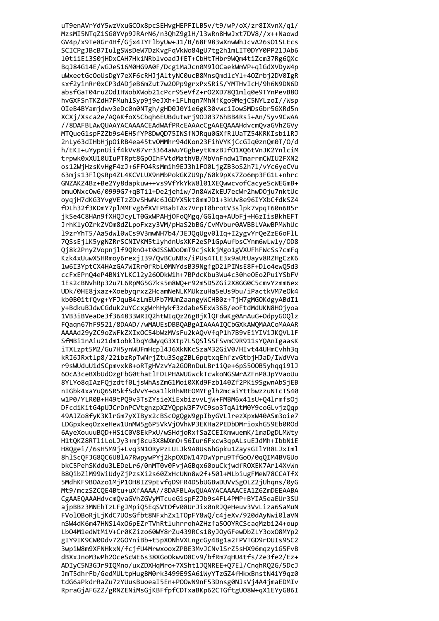uT9enAVrYdY5wzVxuGCOx8pcSEHvgHEPFILB5v/t9/wP/oX/zr8IXvnX/q1/ MzsMI5NTqZ1SG0YVp9JRArN6/n3QhZ9glH/l3wRn8HwJxt7DV8//x++Naowd GV4p/x9Te8Gr4Hf/Gjx4IYFlbyUw+J1/B/68F983wXnwWhJcvA26sO1SLEcs SCICPgJBcB7IulgSWsDeW7DzKvgFqVkWo84gU7tg2h1mLIT0DYY0PP21JAb6 10tiiEi3S0jHDxCAH7HkiNRblvoadJfET+CbHtTHbr9WQm4tiZcm37Rg6QXc BqJ84G14E/wGJeS16M0HG9A0F/Dcg1MaJcn0M910CaekWmVP+qlGdXVDyW4p uWxeetGcOoUsDgY7eXF6cRHJjAltyNC0ucB8MnsQmdlcYl+40Zrbj2DV0IgR sxf2yinRr0xCP3dADjeB6mZut7w2OPp9grxPxSRiS/YMTHvIcH/9h6N9DN6D absfGaT04ruZOdIHWobXWob21cPcr9SeVfZ+r02XD78Q1mlq0e9TYnPevB80 hvGXFSnTKZdH7FMuhlSyp9j9eJXh+1FLhqn7MhNfKgo9MejC5NYLzoI//Wsp OIeB4BYamjdwv3eDc0n0NTgh/gHD0J0Yie6gK30vwciIowSMDsGbr5GXRd5n XCXj/Xsca2e/AQAKfoX5Cbqh6EUBdutwrj9OJ0376hBB4Rsi+An/5yv9CwAA //8DAFBLAwQUAAYACAAAACEAdWAfPRcEAAAcCgAAEQAAAHdvcmQvaGVhZGVy MTOueG1spFZZb9s4EH5fYP8DwOD75INSfNJRqu0GXfR1UaTZ54KRKIsbilRJ 2nLy63dIHbHjpOiRB4ea45tvOMMhr94dKon23FihVYKjCcGIq0znQm0T/O/d h/EKI+uYypnUiif4kVv87vr3364aWuYGgbeytKmzBJf01X06tVnJK2YnlciM trpwk0xXU10UIuPTRpt8GpOIhFVtdMathVB/MbVnFndw1TmarrmCWIU2FXN2 os12WiHzsKvHgF4zJ+6FF04RsMmih9EJ3hlF00LjgZB3oS2h7l/vYc6yeCVu 63mjs13Fl0sRp4ZL4KCVLUX9nMbPokGKZU9p/60k9pXs7Zo6mp3FG1L+nhrc GNZAKZ4Bz+Be2Yy8dapkuw++vs9VfYkYkW8101XEQwwcvofCacyeScWEGmB+ bmuONxcOw6/0999G7+qBTi1+De2jehiw/Jn8AWZkEU7ecWr2hwDOju7nktUc oygjH7dKG3YvgVETzZDvSHwNc6JGDYX5kt8mmJD1+3kUv8e96IYXbCfdkSZ4 fDLh32f3KDmY7plMMFvg6fXVFPBabTAx7VrpT0brotV3slpk7vpqT60n6B5r jkSe4C8HAn9fXHQJcyLT0GxWPAHjOFoQMgq/GGlqa+AUbFj+H6zIisBkhEFT JrhKlyOZrkZVOm8dZLpoFxzy3VM/pHaS2bBG/CvMVbur0AVBBLVAwBPMWhUc 19zrYhT5/Aa5dwl0wCs9V3mwNH7b4/JEJQqUgv0lIq+I2ygvYrQeZzE6oFlL 7QSsEjlK5ygNZRrSCNIVKM5tlyhdnUsXKF2eSP1GpAufbsCYnm6wLwly/OD8 Qj8k2PnyZVopnjlf9QRnO+t0dSSWOoOmT9cjskkjMgo1gVXUFhFWcSs7cmFq Kzk4xUuwX5HRmoy6rexjI39/QvBCuNBx/iPUs4TLE3x9aUtUayv8RZHgCzK6 1w6I3YptCX4HAzGA7WIRr0fRbL0MNYdsB39NgfgD21PINsE8F+Dlo4ewQ5d3 ccFxEPnQ4eP4BNiYLKCl2y260DkW1h+7BPdcKbu3Wu4c30he0Eo2PuiYSbFV 1Es2cBNvhRp32u7L6RpMG5G7ks5m8WQ+r92m5D5ZGi2X8GG0C5cmvYzmm6ex UDk/0HE8jxaz+Xoebyqrxz2HcamNeNLKMUkzuHa5eUs9bu/iPactkVM7eOk4 kb0B0itfQvg+YFJquB4zLmEUFb7MUmZaangyWCHB0z+TjH7gMGOKdgyABdI1 y+BdkuBJdwCGduk2uYCcxgWrhHykf3zdabe5ExW36B/eoFtdMdUKN8H0jyoa 1VB3iBVeaDe3f364833WRIQ2htWIqQz26gBjKlQFdwKg0AnAuG+OdpyGOQlz FQaqn67hF9521/8DAAD//wMAUEsDBBQABgAIAAAAIQCbGXkAWQMAACoMAAAR AAAAd29yZC9oZWFkZXIxOC54bWzMVsFu2kAQvVfqP1h7B9vEiYIViJKQVLlF SfMBi1nAiu21dm1obklbqYdWyqG3Xtp7L5QSlSSFSvmC9R911sYQAnIgaasK iTXLzpt5M2/Gu7H5ynWUFmHcp14J6XkNKcSzaM32GiV0/HIvt44UHmCvhh3q kRI6JRxtlp8/22ibzRpTwNrjZtu3SqgZBL6pqtxqEhfzvGtbjHJaD/IWdVVa r9sWUduU1dSCpmvxk8+oRTgHVzvYa2GORnDuLBr1iQe+6pS500B5yhqqi9lJ 60cA3ceBXbUdOzgFbG0thaElFDLPHAWUGwckTcwkoNGSWrAZFnP8JpYVaoUu 8YLYo8qIAzFQjzdtf0LjsWhAsZmG1Moi0XKd9Fzb140Zf2PKi9SgwnAbSjEB nIGbk4xaYuQ6SR5kfSdVvY+oa1lkRhWREOMYFglh2mcaiYttbwzzuNTcTS40 w1P0/YLR0B+H49tPQ9v3TsZYsieXiExbizvvLjW+FMBM6x41sU+Q4lrmfsOj DFcdiKitG4pUJCrDnPCVtgnzpXZYQppW3F7VC9so3TqAltM0Y9coGLvjzQqp 49AJZo8fyK3KlrGm7yXIByx2cBScOgQgW9gpIbyGVLlrezXpxW40ASm3oie7 LDGpxkeqOzxeHew1UnMW5g6P5VkVjOVhWP3EKHa2PEDbDMrioxhG59Eb0ROd 6AveXouuuBOD+HSiC0V8EkPxU/wSHdioRxfSaZCEIKmwuemK/1maDgDLMWtv H1tOKZ8RTliLoLJv3+mi8cu3X8WXmO+56Iur6Fxcw3apALsuEJdMh+IbbN1E H8Ogei//6sH5M9i+Lvg3N1ORvPzLULJk9A8Us6hGpku1ZavsGIlYR8LJxIml 8h1Sc0FJG80C6U81A7RwpvwPYi2kp0XDW147DwYpru9TfGo0/0a0IM4BVGUo bkC5PehSKddu3LEDeLr6/0nMT0v0FvjAGBgx60ouCkjwdfROXEK7Arl4XvWn B80ibZ1M99WiUdvZiPzsXi2s60ZxHcUNn8w2f+501+MLbiugFMeW78CCATfX 5MdhKF9B0Azo1MiP10H8IZ9pEvfaD9FR4D5bUGBwDUVvSg0LZ2iUhans/0vG Mt9/mczSZCOE4Btu+uXfAAAA//8DAFBLAwOUAAYACAAAACEA1Z6ZmDEEAABA CgAAEOAAAHdvcmOvaGVhZGVvMTcueG1spFZJb9s4FL4PMP+BYIA5eaEUr3SU ajpBBz3MNEhTzLFgJMpiO5EgSVtOfv08UrJix0nRJOeHeuv3VvLiza6SaMuN FVolOBoRjLjKdC7UOsGfbt8NFxhZx1TOpFY8wQ/c4jeXv/920dAyNwi0laVN nSW4dK6m47HNS14x06pEZrTVhRtluhrrohAZHzfa500YRCScagMzbi24+oup Lb04M1edWtM1V+Cr0KZizo60WY8rZu439RCs18yJOyGFewDbZLY3oxO8MYp2 gIY9IK9CW0Ddv72GOYniBb+t5pXONhVXLngcGy4Bg1a2FPVTGD9rDUIs95C2 3wpiW8m9XFNHkxN/fcjfU4MrwxooxZPBE3MvJCNvlSrZ5sHX96mqzy1G5FvB dBXxJnoM3wPh2OceScWE6s38XGoOkwvD8Cv9/bfRm7qHU4tfs/Ze3fe2/Ez+ ADIyC5N3GJr9IQMno/uxZDXHqMro+7XSht1JQNREE+Q7E1/CnqhRQ2G/5DcJ JmT5dhrFb/GedMULtpHugBM0rk3499E9SA6iWyYTzGZ4fHkxBnstN4iY9qz0 tdG6aPkdrRaZu7zYUusBuoeaI5En+POOwN9nF53Dnsg0NJsVj4A4jmaEDMIv RpraGjAFGZZ/gRNZENiMsGjKBFfpfCDTxaBKp62CTGftgU08W+qX1EYyG86I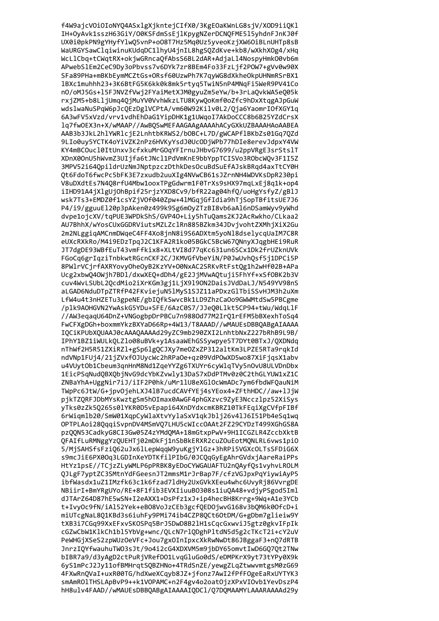f4W9ajcV0i0IoNYQ4ASxlgXjkntejCIfX0/3KgE0aKWnLG8sjV/X0D9iiQKl IH+OyAvk1sszH63GiY/O0KSFdmSsEjlKpygNZerDCNQFME515yhdnFJnKJ0f UX0i0pkPN9gYHyfYlwQ5vnP+oO8T7Hz5Mq0Uz5yveoKzjXW6OiBLnUHTp8sB WaURGYSawClqiwinuKUdqDC1lhyU4jnIL8hgSQZdKve+kb8/wXkhXOg4/xHq WcLlCbq+tCWqtRX+okjwGRncaQfAbsS6BL2dAR+AdjaLl4NospyHmkO0vb6m APwebSlEm2CeC9Dy3oPbvss7v6DYk7zr8BEm4Fo33FzLjf2POW7+gVv0w90X SFa89PHa+mBKbEymMCZtGs+ORsf60UzwPh7K7qyWG8dXkheOkpUHNmRSrBX1 1BXc1muhhh23+3K6BtFG5K6kk0k8mk5rtyq5TwiN5nP4MNqFi5WeR9PV41Co n0/oMJ5Gs+15FJNVZfVwj2FYaiMetXJM0gyuZm5eYw/b+3rLaQvkWA5eQ05k rxjZM5+b8LljUmq4QjMuYV0VvhWkzLTU8KywQoKmf0oZfc9hDxXtqgAJpGuW wdslwaNuSPqW6pJcQEzDglVCPtA/vm60W92Kilv0L2/Qja6YaomrIOfXGY1q 6A3wFV5xVzd/vrv1vdhEhDaG1YipDHK1g1UWqoI7AkDoCCC8b6B25YZdCrsX 1q7fw0EX3n+X/wMAAP//AwBQSwMEFAAGAAgAAAAhACyGXkUZBAAAHAoAABEA AAB3b3JkL2h1YWR1cjE2LnhtbKRWS2/bOBC+L7D/gWCAPf1BKbZs01Gq70Zd 9LIo0uy5YCTK4oYiVZK2nPz6HVKyYsdJ0UcODjWPb77hDIe8erevJdpxY4VW KY4mBCOucl0ItUnxv3cfxkuMrGOqYFIrnuJHbvG7699/u2ppVRgE3srStslT XDnX00nU5hWvmZ3UIjfa6tJNcl1PdVmKnE9bbYppTCISVo3RObcWOv3F1I5Z 3MPV52i64OpildrUzNmJNptpzczDthkDesOcuBdSuEfAJskBRgd4axTtCY0H Ot6FdoT6fwcPc5bFK3E7zxudb2uuXIg4NVwCB61sJZrnNH4WDVKsDpR230pi V8uDXdtEs7N4Q8rfU4Mbw1ooxTPgGdwrm1F0TrXs9sHX97mqLxEj8q1k+op4 iIHD91A4jXlgUjOhBpif25rjzYXD8Cv9/bfR22ag04hfQ/uoHgYsfyZ/gBlJ wsk7Ts3+EMDZ0f1csYZjVOf040Zpw+41MGqjGfIdia9hTjSopTBfitsUE7J6 P4/i9/gguuEl20p3pAken0z499k9Sg6mOyZTzBI8vb6aAl6nDSamWyv9yWhd dvpe1ojcXV/tqPUE3WPDkShS/GVP40+Liy5hTuQams2KJ2AcRwkho/CLkaa2 AU7BhhX/wYosCUxGGDRViutsMZLZclRn885BZkm34JDvjvohtZXMhjXiX2Gu 2m2NLggiqAMCnmDWqeC4FF4Xo8jnN8i9S6ADXtm5yoNl8dselycqUaIM7C8R eUXcRXkRo/M4i9EDzTpqJ2C1KFA2R1ko05BGkC5BcW67QNnyXJqgbHEi9RuR JT7dgDE93WBfEuT43vmFfkix8+XLtVI8d77qKc631un6SCx1Dk2frUZknUVk FGoCq6grIqziTnbkwtRGcnCKF2C/JKMVGfVbeYiN/P0JwUvhQsf5j1DPCi5P 8PWlrVCjrfAXRYovyOheOyB2KzYV+O0NxAC2SRKvRtFstQg1h2wHf02B+APa Ucg2xbwQ40Wjh7BD1/dxwXEQ+dDh4/gE2JjMVwAQtuji5FhYf+xSf0BK2b3V cuv4WvLSUbL2QcdMio2iXrKGm3gj1LjX919ON2DaisJVdDaLJ/N549YV98nS aLGAD6NduDTpZTRfP42FKviejuN5lMyS1SJZ11aPDxzGlTbiSSvHJM3h2uXm LfW4u4t3nHZETu3gpeNE/gbIQfkSwvcBk1LD9ZhzCaOo9GWWMtdSw5PBCgme /plk9AOHGVN2YwAskG5YDu+SFE/6AzC0S7/JJeQ0Llkt5CP94+tWu/WdqLlF //AW3eqaqU64DnZ+VNGogbpDrPBCu7n9880d77M2IrQ1rEFM5bBXexhToSq4 FwCFXgDGh+boxmmYkzBXYaD66Rp+4W13/T8AAAD//wMAUEsDBBQABgAIAAAA IQCiKPUbXQUAAJ0cAAAQAAAAd29yZC9mb290ZXI2LnhtbNxZ227bRhB9L9B/ IPhY1BZ1iWULkQLZlo08uBVk+y1AsaaWEhGSSywpye5T7DYt0BTxJ/QXDNdq nThWf2H5R51ZXiRZ1+gSp61gQCJXy7meOZxZP312altKm3LPZE5RTa9rqkId ndVNp1FUj4/21jZVxf0JUycWc2hRPaOe+qz09VdPOwXD5wo87XiFjqsX1abv u4VUyt0b1Cbeum3qnHnM8Nd1ZqeYYZg6TXUYr6cyWlqTVy5n0vU8ULVDnDbx 1EicPSqNudQBXQbjNvG9dcYbKZvwly13DaS7xDdPTMv0z0C2thGLYUW1xZ1C ZNBaYhA+UggNir7iJ/iIF2P0hk/uMr1lU8eXGlOcWmADc7ym6fbdWFQauNiM TWpPc6JtW/G+jpvOjehLXJ41B7ucdCAVfYEj4sYEox4+ZFthHDC//aw+1JjW pjkTZQRFJDbMYsKwztgSm5hOImax0AwGF4phGXzvc9ZyE3Nccz1pz52XiSys yTks0zZk5Q265s0lYKR0D5vEpapi64XnDYdxcmKBRZ10TkFEqiXgCVfpFIBf 6rWigmlb20/SmW01XqpCyWlaXtvYylaSxV1qkJblj26v4lJ6I51Pb4eSq1wq OPTPLAoi280ggiSvpnDV4MSmVO7LHU5cWIccOAAt2FZ29CYDzT499XGhGS8A pz00N53CadkvG8CI3Gw05Z4zYMd0MA+18mGtxpPwV+9H1ICGZLR4ZccbXktB OFAIfLuRMNggYzOUEHTi02mDkFi1nSbBkERXR2cuZOuEotMONLRL6vws1pi0 5/MiSAHSfsFzi062uJx6lLepWaaW9vuKgiYlGz+3hRPi5VGXcOLTsSFDiG6X s9mcJiE6PX00a3LGDInXeYDTKfilPIbG/0JCOaGvEgAhrGVdxiAareRaiPPs HtYz1psE//TCjzZLyWMLP6pPRBK8yEDoCYWGAUAFTU2n0Ayf0s1vyhvLR0LM OJLgF7vptZC3SMtnYdFGeesnJT2mmsM1rJrBap7F/cfzVGJpxPqYivwiAvP5 ibfWasdx1uZ1IMzfk63c1k6fzad71dHv2UxGVkXEeu4whc6UvvRi86VvrgDE NBiirI+BmYRgUYo/RE+8F1fib3EVXIiuuB0308s1iu0A48+vdivPSgod5Iml dJTArZ64D87hE5wSN+I2eAXX1+DsPfz1xJ+ip4hecBH8Krrg+9Wq+A1e3YCb t+Ivy0c9fN/iAl52Yek+eB08VoJzCEb3gcf0ED0jwvG168v3b0M6k00fcD+i miUTcgNaL801KBd3s6iuhFv9PMi74ib4CZP8OCt6OtDM/G+gDbm7glieiw9Y tXB3i7CGq99XxEFxvSKOSPq5BrJ5DwD8B21H1sCqcGxwviJ5gtz0gkvIFpIk cGZwCbW1KlkCh1bl5YbVg+wnc/QLcN7rlQDghPltdN5d5g2cTKcT2i+cY2uV PeWHGjXSeS2zpWUz0eVFc+Jou7gx0InIpxcXkRwNwDt86JBggaF3+nQ7dRTB JnrzIQYfwauhuTWO3sJt/9o4i2cG4XDXVM5m9jbDY65omvtIwD6G070t2TNw bIBR7a9/d3yAgD2ctPuRjVRefD01LvqGluGo0dS/eDMPKrX9yt73tYPy0X9k 6yS1mPcJ2Jy11ofBMHrqtSQBZHNo+4TRdSnZE/yewgZLqZtwwvmtgsM0zG69 4FXwRnQVaI+uxR00TG/hdXweXCqyb8JZ+jfonz7AwI2fPfFOgeEaRxUYTYK3 smAmROlTHSLApBvP9++k1VOPAMC+n2F4gv4o2oatOjzXPxVIOvb1YevDszP4 hH8ulv4FAAD//wMAUEsDBBQABgAIAAAAIQDCl/Q7DQMAAMYLAAARAAAAd29y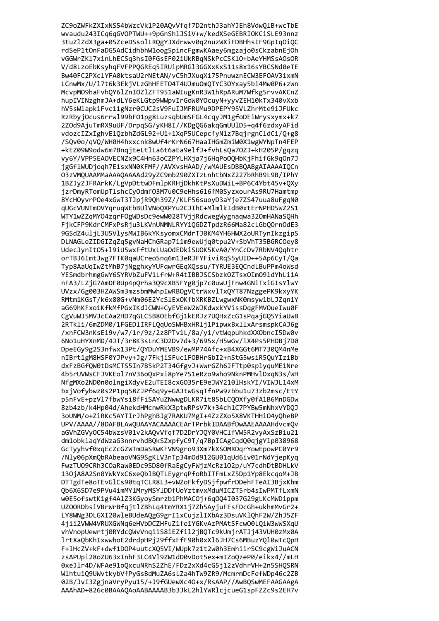ZC9oZWFkZXIxNS54bWzcVk1P20AQvVfqf7D2nthJ3ahYJEh8VdwQlB+wcTbE wvaudu243ICq6qGVOPTWU++9pGnShlJSiV+w/kedXSeGEBRIOKCiSLE93nnz 3tuZ1ZdX3ga+0SZceDSsolLRQgYJXdrwwv0q2nuzWXiFDBHhsIF9GpIqOiQC rdSeP1tOnFaDG5AdCidhbhW1oog5pincFgmwKAaey6mgzajo0sCkzabnEjOh vGGWrZKl7xinLhECSq3hsI0FGsEF02iUkRBqNSkPcCSKl0+bAeYHMSsA0sOR V/d8LzoEbKsyhqFVFPPQGREq5IRUipMRGl3GGXxKxS11s8x16sYBCSNd0eTE Bw40FC2PXclYFA0ktsaU2rNEtAN/vC5hJXuqXi75PnuwznECW3EF0AV3ixmN LCnwMx/U/17t6k3EkjVLzGhHFET04T4UJmuOmQTYC30Yxay5bi4Mw0P6+zWn McvpM09haFvhQY61ZnIOZ1ZFT951aWIugKnR3W1hRpARuM7Wfkg5rvvAKCnZ hupIVINzghmJA+dLY6eKLGtp9WWpvIrGoW0Y0cuyN+yyvZEH10kTx340vXxb hV5sWlapkiFvc11gNzr0CUC2sV9FuIJMFRUMu9DPEPY95VLZhrMte9iJFUkc RzRbyjOcus6rrwl99bF01pg8LuzsqbUmSFGL4cqyJM1gfoDEiWrysxymx+k7 2ZOd9AjuTmRX9uUF/DrpqSG/yKH8I//KDgQG6akqGmUUlD5+q4f6zdxyAFid vdozcIZxIghvE1QzbhZdGL92+U1+1XqP5UCepcfyN1z7BqjrgnCldCi/Q+g8 /SQv0o/qVQ/WH0H4hxxcnk8wUf4rKrN667HaaIHGmZmiW0X1wgWYNpTn4FEP +kEZ09W9odw6m7BnqjteLtlLa6t6aEa9elfJ+fvhLsQa7OZJ+kH205P/gqzq vy6Y/VPP5EA0VECNZx9C4Hn63oCZPYLHXja7j6HqPo0QHbKjFhifGk9q0n7J jgGflWUDjogh7E1sxNN0KFMF//AVXvsHAAD//wMAUEsDBBOABgAIAAAAIOCn 03zVM0UAAMMaAAA0AAAAd29yZC9mb290ZXIzLnhtbNxZ227bRhB9L9B/IPhY 1BZJyZJFRArkK/LgVpDttwDFmlpKRHjDkhKtPsXuDWiL+BP6C4Ybt45v+QXy jzrDmyRTomUpTlshcCyOdmf03M7u0C9eHhs616fM0SyzxourAs9RU7Hamtmp 8YcHOyvrPOe4xGwT3TJpjR9Qh39Z//KLF56suoyD3aYje7ZS47uua8uFgqN0 qUGcVUNTmOVYqruqWEbBUlVNoQXPYu2CJIhC+MlmlkIdB0xtErNPHD5WZ2S1 WTY1wZZqMYO4zqrFOgWDsDc9ewW028TVjjRdcwegWygnaqwa320mHANaSQHh FjkCFP9KdrCMFxPsRju3LKVnUNMNLRYY1QGDZTpdzR66Ma82cLGbQOrnOdE3 9GSdZ4uljL3U5VlysMWIB6kYKsyomxCMdrTJ0KM4YH6HWX2oURTynIkzgipS DLNAGLeZIDGIZqZq5gvNaHChGRap711m9ewUjq0tpu2V+SbVhT35BGRC0ey8 UdecJynItO5+19iU5wxFftUxLUaOdEDkiSUOK5KvA0/YnCcDv7RbNV4Qqhtr orTBJ6ImtJwg7FTK0qaUCreoSnq6m13eRJFYFiviRqS5yUID++5Ap6CyT/Qa Typ8AaUqIwZtMhB7jNgghxyYUFqwrGEqXQssu/TYRUE3EQCndLBuPPm4oWsd YESmdbrhmgGwY6SYRVbZuFV1LfrW+R4tIBBJSCSbzkOZTsxOImO9ldYhLi1A nFA3/LZjG7AmDF0Up4pQrha3Q9cXB5FYg0jp7c0uwUjFnw4GNiTxiGIsYlwY UVzx/Gg003HZAWSm3mzsbmMwhpIwRBOgVCtrWxvlTxQYT87NzggePK9kxyYK RMtm1KGsT/k6x80G+vNm06E2YcSlExOKfbXRKBZLwgwxNK0msyw1bLJZqn1Y aG69hKFxo1KfkMfPGxIKdJCWN+CyEVEeW2WJKdwxkYVissDqgFMVOueIwu0F CgVuWJ5MVJcCAa2HD7qGLC5B8OEbfGj1kERJz7UQHxZcG1sPqajGQ5YiaUwB 2RTkli/6mZDM0/1FGEDlIRFLQqUoSWHBxHRlj1PipwxBxllxArsmspkCAJ6g /xnFCW3nKsEi9v/w7/1r/9z/2z8PTv1L/8a/yi/vtWqpuhkdXXObncI5Dw0v 6No1uHYXnMD/4JT/3r8K3sLnC3D2Dv7d+3/695x/H5wGv/iX4Ps5PHDBj7D0 DpeEGy9g2S3nfwx13Pt/QYDuYMEVB9/ewMP74Afc+xB4XGGt6MT730QM4nMe nIBrt1gM8HSF0YJPvy+Jg/7FkjiSFuc1F0BHrGbI2+nStG5wsiR5QuYIziBb dxFzBGfQW0tDsMCTS5In7B5kP2T34GfgvJ+WwrGZh6JFTtp0splyquME1Nre 4b5rUVWsCFJVKEol7nV36oQxPxi8pYe751eRzo9who9NknPMHvlDxqN3s/WH NfgMXo2ND0n0olngiXdyvE2uTEI8cxG035rE9eJWY210lHskYI/VIWJL14xM bxjVofybwz0s2P1pq58ZJPf6q9y+GAJtwGsqTfnPw9zbbu1u73zb2msc/EtY p5nFvE+pzVl7fbwYsi8fFiSAYuZNwwgDLKR7it85bLCQOXfy0fA1B6MnDGDw 8zb4zb/k4Hp04d/AhekdHMcnwRkX3ptwRPsV7k+34ch1C7PYBw5mNhxVYDQJ 3oUNM/o+ZiRKc5AYTIrJhPghBJg7RAKU7MgI+4ZzZXo5X8VKTHHi04yQheBP UPV/AAAA//8DAFBLAwQUAAYACAAAACEArTPrbkIDAABfDwAAEAAAAHdvcmQv aGVhZGVvOC54bWzsV01v2kAOvVfaf7D2DrYJOY0VHClfVW5R2vvAxSzBiu21 dm1obklagYdWzaG3nnryhdBOkSZxpfyC9T/g7BpICAgCgdO0gigYlp038968 GcTvvhvf0xaEcZcGZWTmDaSRwKFVN9gro93Xm7kXSOMRDarYowEpowPC0Yr9 /Nlv06pXmObRAbeaoVNG9SgKLV3nTp34mOd912GU01qUd6iv01rNdYiepKvq FwzTU09CRh3C0aRaw0EDc9SD80fRaEgCyFWjzMcRz102p/uY7cdhDtBDHLkV 130jA8A2Sn0YWkYxC6xeQb1BQTLEygrqPfoRbITFmLxZ5Dp1Yp8EkcqoM+JB DTTgdTe8oTEvGlCs90tgTCLR8L3+vWZoFkfvDSifpwfrDDehFTeAI3BixKhm Ob6X6SD7e9PVu4imMY1MrvMSY1DDfUoYztmvxMduMICZT5rb4sIwPMTfLxmN w0E5ofswtK1gf4A1Z3KGvovSmrzb1PhMACOi+6a004I037G29gLKcMWDippm UZOORDbsiVBrWrBfgjtlZBhLg4tmYRX1j7Zh5AyjuFEsFDcGh+ukhmMvGr2+ LY8WNg3DLGXI20wleBUdeAOgG9grI1xCuizlIXbAz3DsuVKlOhF2W/ZhJ5ZF 4iii2VWW4VRUXGWNa6eHVbDCZHFuZ1fe1YGKvAzPMAtSFcw00LOiW3wWSXaU vhVnopUewrti0RYdcOWvVnaiiS8iEZfil2iBOTc9kUmirATJi43VUH0zMx0A 1rtXaObKhIxwwhoE2drdpHPi29ffxFfF90h0xX16JH7Cs6MBuzYO10wTcOpH F+1HcZV+kF+dwf1DOP4uutcXQ5VI/WUpk7z1t2w0h3EmhiirSC9cgWiJuACN zsAPUpi28oZU63xInhF3LC4Vl9ZW1dD0vDot5ex+mIZoQzeP0/eikx4//mLH 0xeJlr4D/WFAe91oQxcuNRhS2ZhE/FDz2xXd4cG5j12zVdhrVH+2n5SHQSRN WlhtuiQ9UWvtkybVfPyGsBdMuZA6sLZa4hTW9ZR9/McmrmDcFefWDp46c2ZB 02B/JvI3ZgjnaVryPyu15/+J9fGUewXc4O+x/RsAAP//AwBQSwMEFAAGAAgA AAAhAD+826c0BAAAQAoAABAAAAB3b3JkL2hlYWRlcjcueG1spFZZc9s2EH7v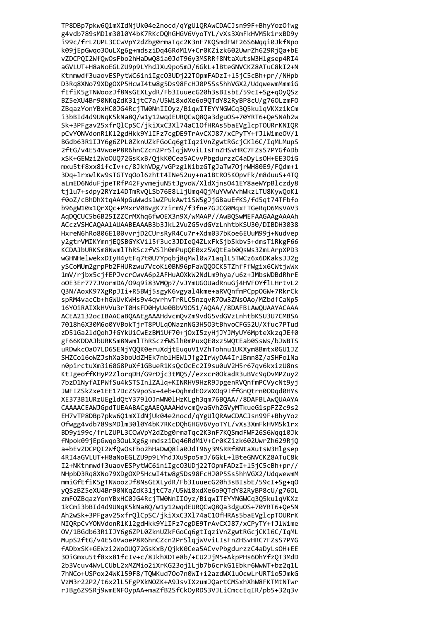TP8DBp7pkw6Q1mXIdNjUk04e2nocd/qYgU1QRAwCDACJsn99F+BhyYozOfwg g4vdb789sMDlm30l0Y4bK7RKcDQhGHGV6VyoTYL/vXs3XmFkHVM5k1rxBD9y i99c/frLZUPL3CCwVpY2dZbg0rmaTqc2K3nF7KQSmdFWF26S6Wqqi0JkfNpo k09jEpGwqo3OuLXg6g+mdsziDq46RdM1V+Cr0KZizk602UwrZh629RjQa+bE vZDCPQI2WfQwOsFbo2hHaDwQ8ia0JdT96y3MSRRf8NtaXutsW3Hlgsep4RI4 aGVLUT+H8aNoEGLZU9p9LYhdJXu9po5mJ/6GkL+1BteGNVCKZ8ATuC8kI2+N Ktnmwdf3uaovESPytWC6iniIgc03UDj22T0pmFADzI+15jC5cBh+pr//NHpb D3Rq8XNo79XDgOXP5HcwI4tw8g5Ds98FcHJ0P5Ss5hhVGX2/UdqwewmMmmiG fEfiK5gTNWoozJf8NsGEXLydR/Fb3IuuecG20h3sBIsbE/59cI+Sg+qOyQSz BZ5eXU4Br90NKqZdK31jtC7a/U5Wi8xdXe6o9QTdY82RyBP8cU/g760LzmF0 ZBqazYonYBxHC0JG4RcjTW0NnIIOyz/BiqwITEYYNGWCq3Q5kulqVKXz1kCm i3bBId4d9UNqK5kNa8Q/w1y12wqdEURQCwQ8Qa3dguOS+70YRT6+Qe5NAh2w Sk+3PFgav25xfrQlCpSC/jkiXxC3Xl74aC10fHRAs5baEVglcpT0URrKNIQR pCvYONVdonR1Kl2gdHkk9YlIFz7cgDE9TrAvCXJ87/xCPyTY+fJlWimeOV/1 BGdb63R1IJY6g6ZPL0ZknUZkFGoCq6gtIqziVnZgwtRGcjCKl6C/IqMLMupS 2ftG/v4E54VwoeP8R6hnCZcn2PrSlqjWVviLIsFnZHSvHRC7FZsS7PYGfADb xSK+GEWzi2WoOUQ72GsKxB/QjkK0Cea5ACvvPbgdurzzC4aDyLsOH+EE3OiG mxu5tf8xx81fcIv+c/8JkhVDg/vGPzglNibzGTgJaTw7OjrWH80E9/FQdm+1 3Dq+1rxwlKw9sTGTYqOol6zhtt4INe52uy+na1BtRO5KOpvFk/m8duuS+4TQ aLmED6NduFjpeTRfP42FyvmejuN5tJgvoW/XldXjnsO41EY8aeWYpBlczdy8 tj1u7+sdpy2RYz14DTmRvQLSb76E8LljUmq4QjMuYVwVvhWkzLTU8KywQoKl f0oZ/cBhDhXtqAANpGuWwdslwZPukAwt1SW5gJjGBauEfKS/fd5qt74TFbfo b96gW10x10rX0c+PMxrV0BvgK7zirm9/f3fne7GJCG0MqxFTGeRqD6MsVAV3 AqDQCUC5b6B25IZZCrMXhq6fw0EX3n9X/wMAAP//AwBQSwMEFAAGAAgAAAAh ACczVSHCAQAAlAUAABEAAAB3b3JkL2VuZG5vdGVzLnhtbKSU30/DIBDH3038 HxreN6hRo806E100vvrjD2CUrsRyR4Cu7r+Xdm037bKoe6EUuM99j+Nudvep y2gtrVMIKYmnjEQSBGYKVil5f3uc3JDIeQ4ZLxFkSjbSkbv5+dmsTiRkgF66 KCDAJbURKSm8NwmlThRSczfVSlh0mPupQE0xz5WQtEab0QsWs3ZmLArpXPD3 wGHNHelwekxDIyH4ytFq7t0U7Ypqbj8qMwl0w71aqlL5TWCz6x6DKaksJJ2g ySCoMUm2grpPb2FHURzwu7VcoKi0BN96pFaWQQOCK5TZhfFfWgix6CWtjwWx 1mV/rjbx5cjfEPJvcrCwvA6p2AFHuAOXkW2NdLm9hya/u6z+JMbsWDBdRhrE oOE3Er777JVormDA/09q9i83VMQp7/vJYmUGOUadRnuGj4HVFOYflLHrtvL2 Q3N/AoxK97XgRpJIi+R5BWj5sgyK6vgyal4kme+aRVQnfmPCppOGW+7RkrCk spRM4vacCb+hGWUvKWHs9v4qvrhvTrRLC5nzqvR70w3ZNs0Ao/MZbdfCaNp5 16YOiRAIXkHVVu3rT0HsFD0HyUe0BbV9051/AQAA//8DAFBLAwQUAAYACAAA ACEA2132ocIBAACaBQAAEgAAAHdvcmQvZm9vdG5vdGVzLnhtbKSU3U7CMBSA 7018h6X30M6o0YVBokTjrT8PULqONaznNG3H5O3tBhvoCFG52U/Xfuc7PTud zD51Ga2ldQohJfGYkUiCwEzBMiUf70+jOxI5zyHjJYJMyUY6MpteXkzqJEf0 gF66KDDAJbURKSm8NwmlThRSczfWSlh0mPuxQE0xz5WQtEab0SsWs/bJWBTS uRDwkcOaO7LD6SENjYQQK0eruXdjtEuquV1VZhTohnu1UKXym8Bmtx0GU1JZ SHZCo16oWZJshXa3boUdZHEk7nblHEWlJfg2IrWyDA4IrlBmn8Z/aSHFolNa n0pirctuXm3i60G8PuXf1GBueR1KsQcOcEc2I9su0uV2H5r67qv6kxizU8ns KtIgeoffKHyP2ZlorqDH/G9rDjc3tMQ5//ezxcr0OkadR3uBVc9qOvMPZuy2 7bzD1NyfAIPWfSu4kSTSInlZAlq+KINRHV9HzR9JpgenRVQnfmPCVycNt9yj JWFIZSkZxe1EE17DcZS9poSx+4eb+OqhmdEOzWXOq9IffGnQtrn0ODqd0HYs XE373B1URzUEgldQtY37910JnWN01HzKLgh3qm76BQAA//8DAFBLAwQUAAYA CAAAACEAWJGpdTUEAABACgAAEQAAAHdvcmQvaGVhZGVyMTkueG1spFZZc9s2 EH7vTP8DBp7pkw6Q1mXIdNjUk04e2nocd/qYgU1QRAwCDACJsn99F+BhyYoz Ofwgg4vdb789sMDlm3010Y4bK7RKcDQhGHGV6VyoTYL/vXs3XmFkHVM5k1rx BD9vi99c/frLZUPL3CCwVpY2dZbg0rmaTgc2K3nF7KOSmdFWF26S6Wggi0Jk fNpok09iEpGwao30uLXg6g+mdsziDq46RdM1V+Cr0KZizk602UwrZh629RiO a+bEvZDCPOI2WfOwOsFbo2hHaDwO8ia0JdT96v3MSRRf8NtaXutsW3Hlgsep 4RI4aGVLUT+H8aNoEGLZU9p9LYhdJXu9po5mJ/6GkL+1BteGNVCKZ8ATuC8k I2+NKtnmwdf3uaovESPytWC6iniIgc03UDj22T0pmFADzI+15jC5cBh+pr// NHpbD3Ra8XNo79XDgOXP5HcwI4tw8g5Ds98FcHJ0P5Ss5hhVGX2/UdawewmM mmiGfEfiK5gTNWoozJf8NsGEXLvdR/Fb3IuuecG20h3sBIsbE/59cI+Sg+q0 vOSzBZ5eXU4Br90NKaZdK31itC7a/U5Wi8xdXe6o9OTdY82RvBP8cU/g760L zmFOZBaazYonYBxHC0JG4RciTW0NnIIOvz/BiawITEYYNGWCa3O5kulaVKXz 1kCmi3bBId4d9UNgK5kNa80/w1y12wgdEUROCw080a3dgu0S+70YRT6+0e5N Ah2wSk+3PFgav25xfr01CpSC/ikiXxC3X174aC10fHRAs5baEVg1cpT0URrK NIQRpCvYONVdonR1Kl2gdHkk9YlIFz7cgDE9TrAvCXJ87/xCPyTY+fJlWime OV/1BGdb63R1IJY6g6ZPL0ZknUZkFGoCq6gtIqziVnZgwtRGcjCK16C/IqML MupS2ftG/v4E54VwoeP8R6hnCZcn2PrSlgjWVviLIsFnZHSvHRC7FZsS7PYG fADbxSK+GEWzi2WoOUQ72GsKxB/QjkK0Cea5ACvvPbgdurzzC4aDyLsOH+EE 30iGmxu5tf8xx81fcIv+c/8JkhXDTe8b/+CU2JjM5+AkpPHs6OhYfzQT3MdD 2b3Vcuv4WvLCUbL2xMZMio2iXrKG23oj1Ljb7b6crkG1Ebkr6WwWT+bz2q1L 7hNCo+USPox24WK159F8/TQWKud70o7n0WI+i2azdWX1u0cwLrURT1o5JmkG VzM3r22P2/t6x2lL5FgPXkNOZK+A9JsvIXzumJQartCMSxhXhW8FKTMtNTwr rJBg6Z9SRj9wmENFOypAA+maZfB2SfCkOyRDS3VJLiCmccEqIR/pb5+32q3v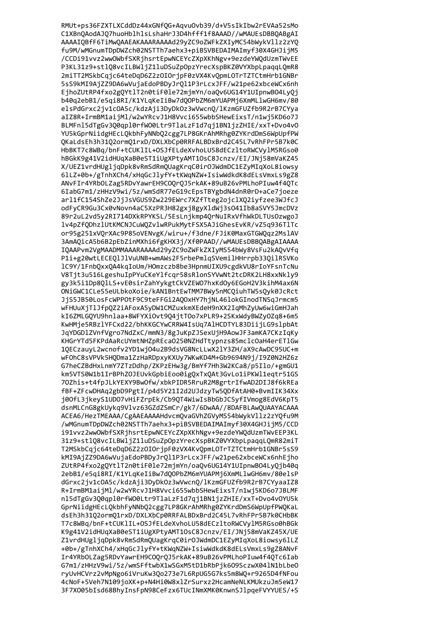RMUt+ps36FZXTLXCddDz44xGNfQG+AqvuOvb39/d+V5sIkIbw2rEVAa52sMo C1XBnQAodAJQ7huoHblhlsLshaHrJ3D4hfff1f8AAAD//wMAUEsDBBQABgAI AAAAIQBfF6TiMwQAAEAKAAARAAAAd29yZC9oZWFkZXIyMC54bWykVllz2zYQ fu9M/wMGnumTDpDWZch02NSTTh7aehx3+piBSVBEDAIMAImyf30X4GHJijM5 /CCDi91vvz2wwOWbfSXRjhsrtEpwNCEYcZXpXKhNgv+9ezdeYWQdUzmTWvEE P3KL31z9+stlQ8vcILBWljZ1luDSuZpOpzYrecXspBKZ0VYXbpLpaqqLQmR8 2miTT2MSkbCqjc64teDqD6Z2z0I0rjpF0zVX4KvQpmL0TrTZTCtmHrb1GNBr 5sS9kMI9AjZZ9DA6wVujaEdoPBDyJrQl1P3rLcxJFF/w21pe62xbceWCx6nh EjhoZUtRP4fxo2gQYtlT2n0tiF0le72mjmYn/oaQv6UG14Y1UIpnwBO4LyQj b40q2ebB1/e5qi8RI/K1YLqKeIiBw7dQOPbZM6mYUAPMj6XmMLlwGH6mv/80 elsPdGrxc2jv1cOA5c/kdzAji3DyDkOz3wVwcnQ/lKzmGFUZfb9R2rB7CYya aIZ8R+IrmBM1aijMl/w2wYRcvJ1H8Vvci655wbbSHewEixsT/n1wj5KD6o7J BLMFnl5dTgGv3Q0qpl0rfW00Ltr9TlaLzF1d7qj1BN1jzZHIE/xxT+Dvo4v0 YU5kGprNiidgHEcLQkbhFyNNbQ2cgg7LP8GKrAhMRhg0ZYKrdDmS6WpUpfPW QKaLdsEh3h31Q2ormQ1rxD/DXLXbCp0RRFALBDxBrd2C45L7vRhFPr5B7k0C HbBKT7c8WBq/bnF+tCUKlIL+OSJfELdeXvhoLU58dECzltoRWCVylM5RGso0 hBGkK9g41V2idHUqXaB0eST1iUgXPtyAMT1OsC8Jcnzv/EI/JNj58mVaKZ45 X/UEZ1vrdHUgljqDpk8vRmSdRmQUagKrqC0irOJWdmDC1EZyMIqXoL8iowsy 61LZ+0b+/gTnhXCh4/xHqGcJ1yfY+tKWqNZW+IsiwWdkdK8dELsVmxLs9gZ8 ANvFIr4YRbOLZag5RDvYawrEH9COQrQJ5rkAK+89uB26vPMLhoPIuw4f4QTc 6IabG7m1/zHHzV9wi/5z/wmSdR77eG19cEpsTBYgbdN4dnR0rD+aCe7joeze arl1fC154ShZe2JjJsVGUS9Zw229EWrc7XZfTteg2ojclXQ2iyfzee3WJfcJ odFyCR9Gu3Cx0vNovn4aC5XzPR3H82gxj8gyXldWj3sO41Ib8aSVY5JmcDVz 89r2uL2vd5y2RI714DXkRPYKSL/5EsLnjkmp4QrNuIRxVfhWkDLTUsOzwgoJ lv4pZfQDhzlUtKMCNJCuWQZvlwRPukMytFSX5AJiGhesEvKR/vZ5q936TlTc or95g251xVQrXAc9P85oVENvgK/wiru+/f3dne/FJiK0MaxGTGWQqz2MslAV 3AmAQicA5b6B2pEbZinMXhi6fgKHX3j/Xf0PAAD//wMAUEsDBBQABgAIAAAA IQAAPvm2VgMAADMMAAARAAAAd29yZC9oZWFkZXIyMS54bWy8VsFu2kAQvVfq P1i+g20wtLECEQ1J1VuUNB+wmAWs2F5rbePmlqSVemilHHrrpb33QilRSVKo 1C9Y/1FnbQxxQA4kqIoUm/HOmzczb8be3HpnmUIXU9cgdkVU8rIoYFsnTcNu V8Tjt3u516LgeshuIpPYuCKeYlfcqr58sRlonSYVwNt2tcDRK2LH8xxNkly9 gy3k5i1Dp8QlLS+vE0sirZahYykgtCkVZEWO7hxKdOy6EGoH2V3kihM4ax6N ONiGWC1CLeS5eULbkoXoie/kAN1BntEwTMM7BWy5nMCQiuhTW5sQyk0JcRct JjS5JB50LosFcWPPOtF9C9teFFGi2AQOxHY7hjNL46lokGInodTNSqJrmcm5 wFHUuXjTlJfpQZ2iAFoxA5yDW1CMZuxkmXEdeH9nXX2IqMhZyUw6wiGmHJah kI6ZMLGQYU9hnlaa+8WFYXiOvt9Q4jtTOo7xPLR9+2SKxWdyBWZyOZq8+6m5 KwHMje5RBzlYFCxd22/bhKKGCYwCRRW4IsUq7AlHCDTYL83DiijLG9slpbAt JqYDGDlZVnfVgro7NdZxC/mmN3/8gJuKpZJSexUjH9AowJF3amKA7CKzIqKy KHGrYTd5FKPdAaRcUYmtNHZpREcaO250NZHdTtypnzs85mclcOaH4erET1Gw 1QECzauyL2wcnofv2YD1wjO4u2B9dsVG8NcLLwX2lY3ZH/aX9cAwDC95UC+m wFOhC8sVPVk5HQDma1ZzHaRDpxyKXUy7WKwKD4M+Gb9694N9j/I9Z0N2HZ6z G7heCZBdHxLnmY7ZTzDdhp/ZKPzEHw3g/BmYf7Hh3W2KCa8/p5Ilo/+gmGU1 km5VTS0W1b1IrBPhZ0JEUvkGpbiEoo0igQxTxQAt3GvLo1iPKWl1eqtr51GS 70Zhis+t4fpJLkYEXY9BwOfw/xbkPIDR5RruR2M8grtrIfwAD2DIJ8f6kREa fBF+ZFcwDHAq2gbD9PgtI/p4d5Y21I2d2UJdzyTw5QDfAtAH0+BvmIIK34Xx j00fL3jkeyS1UD07vHiFZrpEk/Cb9QT4WiwIsBbGbJCSyfIVmog8EdV6KpT5 dsnMLCnG8gkUykq9Vlvz63GZdZSmCr/gk7/6DwAA//8DAFBLAwQUAAYACAAA ACEA6/HezTMEAAA/CgAAEAAAAHdvcmQvaGVhZGVyMS54bWykVllz2zYQfu9M /wMGnumTDpDWZch02NSTTh7aehx3+piBSVBEDAIMAImyf30X4GHJijM5/CCD i91vvz2wwOWbfSXRihsrtEpwNCEYcZXpXKhNgv+9ezdeYWOdUzmTWvEEP3KL 31z9+stl08vcILBWliZ11uDSuZp0pzYrecXspBKZ0VYXbpLpaggL0mR82miT T2MSkbCaic64teDaD6Z2zOIOripF0zVX4KvOpmLOTrTZTCtmHrb1GNBr5sS9 kMI9AiZZ9DA6wVuiaEdoPBDvJr0l1P3rLcxJFF/w21pe62xbceWCx6nhEiho ZUtRP4fxo2g0Yt1T2n0tiF0le72mjmYn/oa0v6UG14Y1UIpnwB04Ly0jb40g 2ebB1/e5ai8RI/K1YLaKeIiBw7d00PbZM6mYUAPMi6XmMLlwGH6mv/80elsP dGrxc2iv1c0A5c/kdzAii3DvDk0z3wVwcn0/lKzmGFUZfb9R2rB7CYvaaIZ8 R+IrmBM1aiiMl/w2wYRcvJ1H8Vvci655wbbSHewEixsT/n1wi5KD6o7JBLMF nl5dTgGv300apl0rfW00Ltr9TlaLzF1d7ai1BN1izZHIE/xxT+Dvo4v0YU5k GprNiidgHEcLOkbhFyNNbO2cgg7LP8GKrAhMRhg0ZYKrdDmS6WpUpfPWOKaL dsEh3h3102orm01rxD/DXLXbCp0RRFALBDxBrd2C45L7vRhFPr5B7k0CHbBK T7c8WBa/bnF+tCUK1IL+OSJfELdeXvhoLU58dECzltoRWCVvlM5RGso0hBGk K9g41V2idHUqXaB0eST1iUgXPtvAMT1OsC8Jcnzv/EI/JNi58mVaKZ45X/UE Z1vrdHUgliaDpk8vRmSdRmQUagKrqC0irOJWdmDC1EZyMIqXoL8iowsy6lLZ +0b+/gTnhXCh4/xHqGcJlyfY+tKWqNZW+IsiwWdkdK8dELsVmxLs9gZ8ANvF Ir4YRbOLZag5RDvYawrEH9COQrQJ5rkAK+89uB26vPMLhoPIuw4f4QTc6Iab G7m1/zHHzV9wi/5z/wmSFftwbX1wSGxM5tD1bRbPjk609SczwX041N1bLbe0 ryUvHCVrz2vMpNgo6iVruKw3Qo273e7L6RpUG5G7ks5m8WQ+r9265D4fNFou 4cNoF+5Veh7N109joXK+p+N4Hi0W8xlZrSurxz2HcamNeNLKMUkzuJm5eW17 3F7X005bIsd68BhyInsFpN98CeFzx6TUcINmXMK0KnwnSJlpqeFVYYUES/+S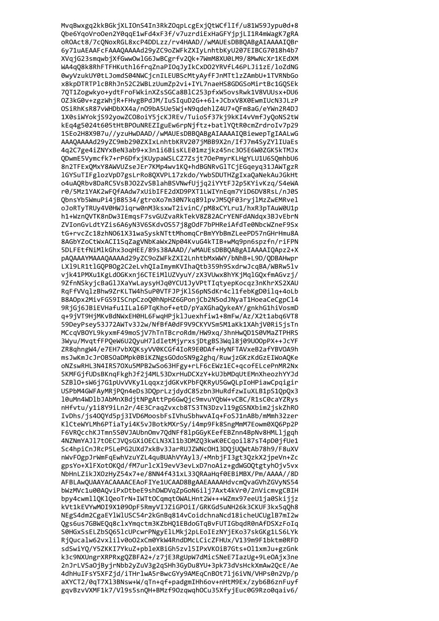MvqBwxgq2kkBGkjXLIOnS4In3RkZOqpLcgExjQtWCflIf/u81W59Jypu0d+8 Qbe6YqoVroOen2Y0qqE1wFd4xF3f/v7uzrdiExHaGFYjpjLI1R4mWagK7gRA oROAct8/7cQNoxRGL8xcP4DDLzz/rv4HAAD//wMAUEsDBBQABgAIAAAAIQBr 6y71uAEAAFcFAAAQAAAAd29yZC9oZWFkZXIyLnhtbKyU207EIBCG7018h4b7 XVqjG23smqwbjXfGwwOwlG6JwBCgrfv2Qk+7WmM8XU0LM9/8MwNcXr1KEdXM WA4qQ8k8RhFTFHKuthl6frqZnaPIOqJyIkCxDO2YRVfL46PLJi1zE/loZdNG 0wyVzukUY0tLJomdS04NWCjcnILEUBScMtyAyfFJnMTtlzZAmbU+1TVRNbGo x8kpDTRTPlcBRhJn52C2WBLzUumZp2vi+IYL7naeHS8GDGSoMirtBc1GQSEk 7QT1Zogwkyo+ydtFroFWkinXZsSGCa8BlC253pfxW5ovsRwk1V8VUUsx+DU6 0Z3kG0v+zgzWhjR+FHvgBPdJM/IuSIquD2G++61+JCbxV8X0EwmIUcN3JLzP OSiRhKsR87vWHDbXX4a/nO9bA5Ue5Wj+N9qdehlZ4U7+QFm8aG/eYWn2R4DJ 1X0siWYokjS92yowZCO8oiY5jcKJREv/TuioSf37kj9kKI4vVmfJyQoNS2tW kEq4g5024t605tHtBPOuNREZIguEw6rpNjftz+batlYQtR0cmZrdroIv7p29 1SEo2H8X9B7u//yzuHwDAAD//wMAUEsDBBQABgAIAAAAIQBiewepTgIAALwG AAAQAAAAd29yZC9mb290ZXIxLnhtbKRV207jMBB9X2n/IfJ7m4SyZYlIUaEs 4g2C7ge4iZNYxBeN3ab9+x3n1i6BisKLE01mzjkz45nc3O5E6W0ZGK5kTMJx QDwmE5Vymcfk7+rP6DfxjKUypaWSLCZ7Zsjt70ePmyrKLHgYLU1U6SQmhbU6 8n2TFExQMxY8AWVUZseJEr7KMp4wv1KQ+hdBGNRvGlTCjEGqeyq31JAWTgzR 1GYSuTIFglozVpD7gsLrRo80XVPL17zkdo/YwbSDUTHZgIxaOaNekAuJGkHt o4uAQRbv8DaRC5VsBJ02ZvSBlahBSVNwfUjjq2iYYtFJ2p5KYivKzq/S4eWA r0/5Mz1YAK2wFQfAAdw7xUibIFE2dXD9PXT1LWIYnEgm7YiD6DV8RsL/nJ0S QbnsYb5WmuPi4jB8534/gtroXo7m30N7kq891pvJM5QF03ryj1MzZwEMRvel oJoRTyTRUy4V0HWJiqrw0nM3ksxwT2ivinC/pM8xCYLru1/hxR3pTAuW0U1p h1+WznOVTK8nDw3IEmgsF7svGUZvaRkTekV8Z82ACrYENFdANdgx3BJvEbrN ZVIonGvLdtYZis6A6yN3V6SKdvOS57j8gOdF7bPHReiAfdTe0NbcWZneF9Sx tG+rvcZc18zhN061X31waSyskNTttMhomqCrBmYYbBmZLeePD57nGHrHmu8A 8AGbYZoCtWxACI1SqZagVNbKaWx2Np04KvuG4kTIB+wMq9pn6spzfn/riFPN 5DLFEtfNiMlkGhx3oqHEE/89s38AAAD//wMAUEsDBBQABgAIAAAAIQApz2+X pAQAAAYMAAAQAAAAd29yZC9oZWFkZXI2LnhtbMxWWY/bNhB+L9D/QDBAHwpr LX19LR1tlGQPBOg2C2eLvhQIaImymKVIhaQtb359h9SxdrwJcqBA/WBRw5lv vjk41PMXu1KgLdOGKxnj6CTEiMlUZVyuY/zX3VUwx8hYKjMqlGQxfmAGvzj/ 9ZfnNSkyjcBaGlJXaYwLaysyHJq0YCU1JyVPtTIqtyepKocqz3nKhrXS2XAU RqFfVVqlzBhw9ZrKLTW4hSuP0VTFJPjKlS6pNSdKr4cl1febKgD0ilq+4oLb B8AOpx2MivFGS9ISCnpCzoQ0hNpHZ6GPonjCb2N5odJNyaT1HoeaCeCgpCl4 9RjGj6JBiEVHafu1ILal6PTqKhof+etD/pYaXGhaQykeAY/gnkhG1hiVosmD q+9jVT9HjMKvBdNWxEH0HL6FwqHPjklJuexhfiw1+8mFw/Az/X2t1abq6VT8 59DeyPsey53J72AWTv3J2w/NfBfA0dF9V9CKYVSm5M1aKk1XAhjV0Ri5jsTn MCcqVBOYL9kyxmF49moSjV7hTnTBcroRdm/HW9xq/3hnHwQD1S0VMaZTPHRS 3Wyu/MvqtfFPQeW6U2QyuH7ldIetMjyrxsjDtgBS3Wql8j09U00pPX++JcYF ZR8qhngW4/e7EH7vbXQKsyVV0KCGf4IoR9E0DAf+HyNFTAVxeB2afYBV0A9h msJwKmJcJrOBSOaDMpk0BiKZNgsGOdoSN9g2ghq/RuwjzGKzKdGzEIWoAQKe oNZswRHL3N4IRS70Xu5MPB2wSo63HFgy+rLF6cEWz1EC+qcofELcePnMR2Nx 5KMFGjfUDsBKnqFkghJf2j4ML53DxrHuDCXzY+kUJbMDqUtEMnXheozhYYJd SZBlO+sW6j7G1pUvVVKy1LqqxzjdGKvKPbFQKRyU5GwQLpIoHPiawCpqigir USPbM4GWFAyMRjPQn4eDs3DQprLzjdydC85zbn3HuRdfzwIuXLB1pS1QpQx3 10uMn4WD1bJAbMnXBdjtNPgAttPp6GwQjc9mvuYQbW+vCBC/R1sC0caYZRys nHfvtu/y1i8Y9iLn2r/4E3CragZvxcb8TS3TN3Dzvl19gGSNXbim2jskZhRO IvDhs/js40QYd5pj3IVD6MoosbFsIVhuSbhwvAIq+FoSJ1nABb/mMmh32zer KlCteWYLMh6PTiaTyi4K5vJBotkMXrSy/i4mp9Fk8SngMmM7Eowm0X06Pp2P F6VROcchKJTmn5S0VJAUbnOmv7OdNFf81pGGvKEefEBZnn4BpNv8HMLligah 4NZNmYAJ17tOECJVOsGXiOECLN3X11b3DMZO3kwK0ECaoi187sT4pD0ifUe1 Sc4hpiCnJRcP5LePG2UXd7xkBv3JarRUJZWNcOH13DOjUOWtAb78h9/F8uXV nWyFOgpJrWmFaEwhVzuYZL4auBUAhVYAv13/+MnbiFI3gt3OzkX2ipeVn+Zc gpsYo+X1FXotOKOd/fM7urlcX19evV3evLxD7noAiz+gdWGOOtgtyhOjv5vx NbHnLZikJXOzHvZ54x7+e/8NN4f431xL33ORAaHqf0EBiMBX/Pm/AAAA//8D AFBLAwOUAAYACAAAACEAoFIYe1UCAAD8BgAAEAAAAHdvcmOvaGVhZGVvNS54 bWzMVc1u00AOviPxDtbeE9shDWDVaZpGoN6ili7Axt4kVr0/2nVicmvgCBIH bpv4cwmll0Kl0eoTrN+IWTt0Camat0WALHnt2W+++WZmx97eeU1ia0Skiiiz kVt1kEVYwMOI9X109OpF5RmyVIJZiGPOiI/GRKGd5uNH26k3CKUF3kx5gOh8 NEgS4dm2CgaEY1W1USC54r2kGnBq814vCoidchnaNcd18icheUCUg1B7mI2w Ogs6us7GBWEOa8clxYmactm3KZbHO1EBdoGTaBvFUTIGbadR0nAfDSXzFoIa S0HGxSsELZbSQ651cUPcwrPNgyE1LMkj2pLEoIEzNYjEKo37skGKg1LS6LYk RiOucalw62vxlilv0o02xCm0YkW4RndDMcLCicZFHUx/V139m9F1bktm0RFD sdSwiYQ/Y5ZKKI7YkuZ+pbleXBiGh5zvl5IPxVKOiB7Gts+0l1xmJu+gzGnk k3c9NXUngrXRPRxgQZBFA2+/z7jE3RgUpW7dMicSNeE7IazUg+9LeOAjx3ne 2nJrLVSaOjByjrNbb2yZuV3g2qSHh3GyDu8YU+3pk73dVsHckXmAw2QcE/Ae 4dhHuIFsY5XFZjd/iTHrlwA5rBwcGYy9AMEqCnBOt7lj6iVN/VHPs0n2Vp/p aXYCT2/0qT7X13BNsw+W/qTn+qf+padgmIHh6ov+nHtM9Ex/zyb6B6znFuyf gqvBzvVXMF1k7/V19s5snQH+BMzf9OzqwqhOCu35XfyjEuc0G9Rzo0qaiv6/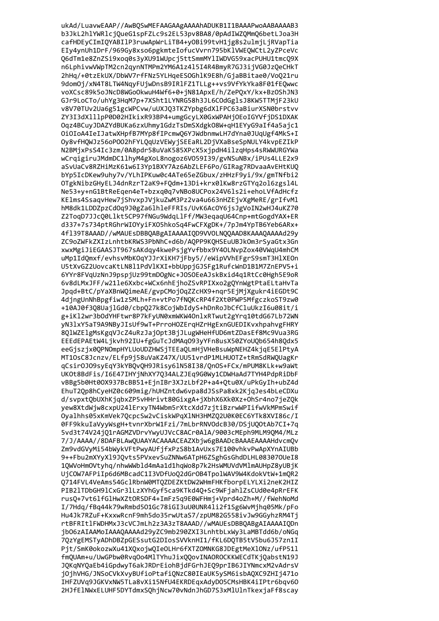ukAd/LuavwEAAP//AwBQSwMEFAAGAAgAAAAhADUKB1I1BAAAPwoAABAAAAB3 b3JkL2hlYWRlcjQueG1spFZLc9s2EL53pv8BA8/0pAdIWZQMmQ6betLJoa3H cafHDEyCImIQYABIlP3ruwApWrLiTB4+yOBi99tvH1jg8s2ulmjLjRVapTia EIy4ynUh1DrF/969Gy8xso6pgkmteIofucVvrn795bKlVWEQWCtL2yZPceVc Q6dTm1e8ZnZSi9xoq0s3yXU91WUpcj5ttSmmMYlIWDVG59xacPUHU1tmcQ9X n6LphivwVWpTM2cn2qynNTMPm2YM6A1z4l5I4R4BmyR7GJ3ijVG0JzQeCHkT 2hHq/+0tzEkUX/DbWV7rfFNz5YLHqeESOGhlK9E8h/GjaBBitae0/VoQ21ru 9dom0j/xN4T8LTW4NqyFUjwDnsB9IRlFZ1TLLg++vs9VfYkYka8F01fEQwwc voXCsc89k5oJNcD8WGoOkwuH4Wf6+0+jN81ApxE/h/ZePQxY/kx+BzOShJN3 GJr9LoCTo/uhYg3HqM7p+7XSht1LYNRG58h3JL6COdGglsJ8KW5TTMjF23kU v8V70TUv2Ua6g51gcWPCvw/uUXJQ3TKZYpbg6dXlFPC63aBiurXSN0brstvv ZY3I3dXlllpP0D02HIkixR93BP4+umgGcyLX0GxWPAHjOEoIGYVfjDS1DXAK Oqz4BCuyJDAZYdBUKa6zxUhmy1GdzTsDmSXdgkO8W+qH1EYyG9aIf4a5ajc1 OiOIoA4IeIJatwXHpfB7MYp8fIPcmwO6YJWdbnmwLH7dYna0JUqUgf4MkS+I Oy8vfHQWJz56oPOO2hFYLQqUzVEWyjSEEaRL2DjVXaBseSpNULY4kvpEZIkP N2BMjxPsS4Ic3zm/0A8pdr58uVaK585XPcX5xjpdH4ilzqHps4sRWWURGYWa wCrqigiruJMdmDC1lhyM4gXoL8nogoz6V059I39/gvNSuNBx/iPUs4LLE2x9 aSvUaCv8RZHiMzK61w6I3Yp1BXY7Az6AbZLEF6Po/GIRag7RDvaaAvEHtKUO bYp5IcDKew9uhy7v/YLhIPKuw0c4ATe65eZGbux/zHHzF9yi/9x/gmTNfbi2 OTgkNibzGHyELJ4dnRzrT2aK9+FQdm+13Di+krx0lKw8rzGTYq2ol6zgsl4L Ne53+y+nG1BtReEqen4eT+bzxq0q7vNBo8UCPox24V61s2i+ehoLVfAdHcfz KElms4SsaqvHew7jShvxpJVjkuZwM3Pz2va4u663nHZEjvXgMeRE/grIfvMl hM8dk1LDDZpzCdOq9J0gZa6lhleFFRIs/UvK6AcOY6jsJgVoIN2wHJ4uKZ70 Z2ToqD7JJcQ0Llkt5CP97fNGu9WdqLlFf/MW3eqaqU64Cnp+mtGogdYAX+ER d337+7s734ptRGhrWIOYyiFXO5hkoSq4FwCFXgDK+/7pJm4YpTB6Yeb6ARx+ 4f139T8AAAD//wMAUEsDBBQABgAIAAAAIQD9VVOLNQQAAD8KAAAQAAAAd29y ZC9oZWFkZXIzLnhtbKRWS3PbNhC+d6b/AQPP9KQHSEuUBJkOm3rSyaGtx3Gn xwxMgiJiEGAASJT967sAKdqy4kwePsjgYvfbbx9Y40LNvpZox40VWqU4mhCM uMp1IdQmxf/evhsvMbKOqYJJrXiKH7jFby5//eWipVVhEFgrS9smT3HlXEOn U5tXvGZ2UovcaKtLN8l1PdVlKXI+bbUppjGJSFg1RufcWnD1B1M7ZnEPV5+i 6YYr8FVqUzNnJ9pspjUz99tmDOgNc+JOSOEeAJskBxid4q1RtCc0Hgh5E9oR 6v8dLMxJFF/w21le6Xxbc+WCx6nhEjhoZSvRPIXxo2gQYnWgtPtaELtaHvTa Jpqd+BtC/pYaXBnWQimeAE/gvpCMojOqZZcHX9+nqr5EjMjXgukr4iEGDt9C 4djngUnNhBpgfiw1z5MLh+Fn+vtPo7fNQKcRP4f2Xt0PWP5MfgczkoST9zw0 +10AJ0f3Q8UajlGd0/cbpQ27k8CojWbIdyS+hDnRoJbCfCluUkzI6u08it/i g+iKl2wr3bOdYHFtwr8P7kFyUN0xmWKW4OnlxRTwut2gYrq10tdG67Lb72WN yN31xY5aT9A9NByJIsUf9wT+PrroHOZErqHZrHgExnGUEDIKvxhpahvgFHRY 8QlWZElgMsKgqVJcZ4uRzJajOpt3BjJLugWHeHfUD6mtZDasEf8Mc9Vua3RG EEEdEPAEtW4Ljkvh92IU+fgGuTcJdMAq093yYFn8usX50ZYoUQb654h8Qdx5 eeGjszjx0QPNOmpHYLUoUDZHWSjTEEaQLmHjVHeBsuWpNEHZ4kjqE5E1PtyA MT10sC8Jcnzv/ELfp9j58uVaKZ47X/UU51vrdP1MLHUOTZ+tRmSdRWQUagKr qCsirOJO9syEqY3kYBQvQH9JRisy6lN58I38/QnOS+FCx/mPUM8KLk+w9aWt UKOt8BdFis/I6E47IHYjNhXY7Q34ALZJEq9G0Wy1CDWHaAd7TYH4PdpRiDbF vBBg5b0Ht00X937BcBB51+EjnIBr3XJzLbf2P+a4+Qtu0X/uPkGyIh+ubZ4d EhuT2Qp8hCyeHZ0c609mig/hUHZntdw6vpa8dJSsPa8xk2KjqJes4bLeCDXu d/svpxtQbUXhKjqbxZP5vHHrivt80GixgA+jXbhX6Xk0Xz+OhSr4no7jeZQk yew8XtdWjw8cxpU241ErxyTN4Wbm5rXtcXdd7zjtiBzrwWPIifwVkMPmSwif Oyalhhs05xKmVek7QcpcSw2vCiskWPqX1NH3HMZQ2U0K0EC6YTk8XVI86c/I 0FF9kkuIaVyyWsgH+tvnrXbrW1Fzi/7mLbrRNVOdcB30/DSjU00tAb7CI+7g 5vd3t74V24i01rAGMZVDrvYwvUJVcC8ACr0A1A/9003cMEph9MLM90M4/MLz 7/J/AAAA//8DAFBLAwOUAAYACAAAACEAZXbiw6gBAADcBAAAEAAAAHdvcmOv Zm9vdGVvMi54bWvkVFtPwvAUfifxPzS8b1AvUxs7E100vhkvPwApXYnAIUBb 9++Fbu2mXYvX19JOvts5PVxevSuZNNw6ATpH6ZSghGsGhdDLHL083070UeI8 10WVoHm0Vtyhg/nhwWWbld4mAa1d1hgWo8p7k2HsWMUVdVMlmAUHpZ8yUBjK UiCOW7AFPiIp6d6MBcadC1I3VDfUo02dGrOB4TpolWAV9W4KdokVtW+1mOR2 0714FVL4VeAms54GclRbnW0MT0ZDEZKtDW2WHmFHKfborpELYLXi2neK2HIZ PIB21TDbGH91CxGr31LzXYhGvf5ca9KTkd40+Sc9WFiah1ZsCUd0e4pRrEFK rus0+7vt61fG1HwXZt0RSDF4+ImFz5a9E0WFHmi+Vprd4oZh+M//fWehNoMd I/7Hdg/fBg44k79wRmbd501Gc78iGI3uU0UNR4li2f1Sg6WvMjhg05Mk/pFo Hu4Jk7RZuF+KxxwRcnF9mh5do35rwUtaS7/zpUM82G558ivJw9GGvhzRM4Ti rtBFRItlFWDHMxJ3cVCJmLh2z3A3zT8AAAD//wMAUEsDBBOABgAIAAAAIODn ibO6zAIAAMoIAAAOAAAAd29vZC9mb290ZXI3LnhtbLxWv3LaMBTdd6b/oNGa 70zYgEMSTvADhDBZpGESsutG2DIosSVVknHI1/fKL6D0TB5tV5bu6J57zn1I Pjt/SmK0okozwXu41XQxojwQIeOLHr6fXTZOMNKG8JDEgtMeXlONz/ufP51l fmQUAm+u/UwGPbw0RvqOo4MlTYhuJixQQovINAOROCKKWECdTKjQabstN19J JQKqNYQaEb4iGpdwyT6akJRDrEiohBjdFGrhJEQ9prIB6JIYNmcxM2vAdrsV jOjhVHG/JNSoCVkXvyBUfioPtafiQNzC80IEaUK5ySM6isbAQXC9ZHIj471o IHFZUVq9JGKVxNW5TLa8vXi15NfU4EKRDEqxAdyDO5CMsHBK4iIPtr6bqv60 2HJfElNWxELUHF5DYTdmxSQhjNcw70vNdnJhGD7S3xMlUlnTkexjaFf8scay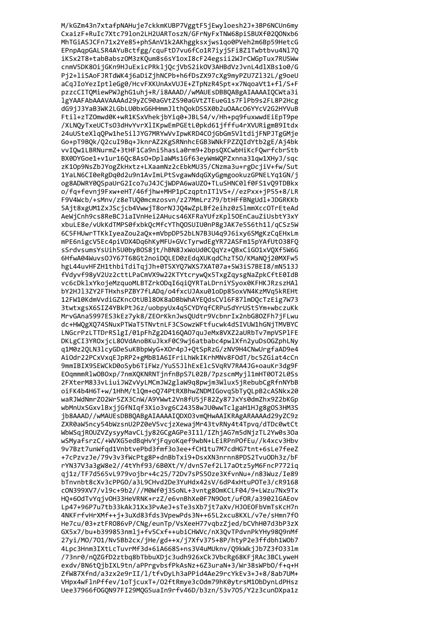M/kGZm43n7xtafpNAHuje7ckkmKUBP7VggtF5jEwyloesh2J+3BP6NCUn6my CxaizF+RuIc7Xtc79lon2LH2UARToszN/GFrNyFxTNW68piSBUXf02QONxb6 MhTGiASJCFn71x2Ye85+phSAnV1k2AKhggksxjws1qo0PVeh2m6Bp59HetcG EPnpAqpGALSR4AYuBctfgg/cquFtD7vu6fCo1R7iyjSFi8Z1Twbtbvu4Nl7Q iKSx2T8+tabBabszOM3zKQum8s6sY1oxI8cF24egsii2WJrCWGpTux7RUSWw cnmV5DK80ijGKn9HJuExicPRkljQcjVbS2ikOV3AHBdVzJvnL4dlXBs1o0/G Pj2+liSAoFJRTdWK4j6aDiZjhNCPb+h6fDsZX97cXg9myPZU7Zl32L/g9oeU aCqJIoYezIptleGg0/HcvFXKUnAxVUJE+ZTpNzR45pt+x7NqoaVt1+fl/S+F pzzcCITQMiewPWJghG1uhj+R/i8AAAD//wMAUEsDBBQABgAIAAAAIQCWta3i lgYAAFAbAAAVAAAAd29yZC90aGVtZS90aGVtZTEueG1s7FlPb9s2FL8P2Hcg dG9jJ3YaB3WK2LGbLU0bxG6HHmmJlthQokDSSX0b2u0AAc06YYcV2G2HYVuB Ftil+zTZOmwd0K+wR1KSxVhekjbYiq0+JBL54/v/Hh+pq9fuxwwdEiEpT9pe /XLNQyTxeUCTsO3dHvYvrXlIKpwEmPGEtL0pkd61jfffu4rXVURigmB9Itdx 24uUSteXlgOPw1he5ilJYG7MRYwVvIpwKRD4COjGbGm5VltdijFNPJTgGMje Go+pT9BQk/Q2cuI9Bq+JknrAZ2KgSRNnhcEGB3WNkFPZZQIdYtb2gE/Aj4bk vvIOw1LBRNurmZ+3tHF1Ca9ni5hasLa0rm9+2bpsOXCwbHiKcFOwrfcbrStb BX0DYGoe1+v1ur160c8As0+DplaWMs1Gf63eyWmWOPZxnna31qw1XHyJ/sqc zK10p9NsZbJYogZkHxtz+LXaamNz2cEbkMU35/CNzma3u+rgDcjiV+fw/Sut 1YaLN6CI0eRgDq0d2u9n1AvImLPtSvgawNdqGXyGgmgookuzGPNELYq1GN/j og8ADWRY0QSpaUrG2Ico7uJ4JCjWDPA6waUZO+TLuSHNC01f0FS1vQ9TDBkx o/fq+fevnj9Fxw+eHT/46fjhw+MHP1pCzqptnITlVS+//ezPxx+jP55+8/LR F9V4Wcb/+sMnv/z8eTUQ0mcmzosvn/z27MmLrz79/btHFfBNgUdl+JDGRKKb 5Ajt8xgUM1ZxJScjcb4VwwjT8orNJJQ4wZpLBf2eihz0zSlmmXccOTrEteAd AeWiCnh9cs8ReBCJiaIVnHei2AHucs46XFRaYUfzKpl50EnCauZiUsbtY3xY xbuLE8e/vUkKdTMPS0fxbkQcMfcYThQOSUIU0nP8gJAK7e5S6th1l/qCSz5W 6C5FHUwrTTKkIyeaZou2aQx+mVbpDP52bLN7B3U4q9J6ixy6SMgKzCqEHxLm mPE6nigcV5Ec4piVDX4Dq6hKyMFU+GVcTyrwdEgYR72ASFm15pYAfUt038FQ sSrdvsumsYsUih5U0byBOS8jt/hBN8JxWoUd0CQqYz+QBxCiGO1xVQXf5W6G 6HfwA04WuvsOJY67T68Gt2noiDQLED0zEdqXUKqdChzT50/KMaNQj20MXFw5 hgL44uvHFZH1thbiTdiTqjJh+0T5XYQ7WXS7XAT07a+5W3iS7BEI8/mN513J fVdyvf98yV2Uz2cttLPaCmVX9w22KTYtcrywQx5TxgZqysgNaZpkCftE0IdB vc6cDklxYkojeMzquoMLBTZrkODqI6qiQYRTaLDrniYSyox0KFHKJRzszHAl bY2HJ13ZY2FTHxhsPZBY7fLADq/o4fxcUJAxu01oDp85oxVN4KzMVq5kREHt 12FW10KdmVvdiGZKncOtUBl8OK8aDBbWhAYEQdsCVl6F87lmDQcTzEig7W73 3twtxgsX6SIZ4YBkPtJ6z/uobpyUx4q5CYDYqfCRPuSdYrUSt5Ym+wbczuKk MrvGAna5997ES3kEz7yk8/ZEOrKknJwsQUdtr9VcbnrIx2nbG80ZFh7jFLwu dc+HWQgXQ74SNuxPTWaT5TNvtnLF3CSowzWFtfucwk4dSIVUW1hGNjTMVBYC LNGcrPzLTTDrRSlgI/01pFhZg2D416QA07quJeMx8VXZ2aURbTv7mpVSPlFE DKLgCI3YROxjcL8OVdAnoBKuJkxF0C9wj6atbabc4pwlXfn2yuDsOGZphLNy q1M0z2QLN3lcyGDeSuKBbpWyG+XOr4pJ+QtSpRzG/zNV9H4CNwUrgfaAD9e4 AiOdr22PCxVxqEJpRP2+gMbB1A6IFriLhWkIKrhMNv8FOdT/bc5ZGiat4cCn 9mmIBIX9SEWCkD0oSyb6TiFWz/YuS5JlhExElcSVqRV7RA4JG+oauKr3dg9F EOqmmmRlwOBOxp/7nmXQKNRNTjnfnBpS7L02B/7pzscmMyjl1mHT0OT2L0Ss 2FXterM833vLiuiJWZvVyLMCmJW2glaW9q8pwjm3Wlux5jRebubCgRfnNYbB oiFK4b4H6T+w/1HhM/tlQm+oQ74PtRXBhwZNDMIGovqSbTyQLpB2cASNkx20 waRJWdNmrZO2Wr5ZX3CnW/A9YWwt2Vn8fU5jF82Zy87JxYs0dmZhx9Z2bKGp wbMnUxSGxvlBxjjGfNIqf3Xio3vg6C24358wJU0wwTclgaH1HJg8gOS3HM3S jb8AAAD//wMAUEsDBBQABgAIAAAAIQDX03vmQHwAAIKRAgARAAAAd29yZC9z ZXR0aW5ncy54bWzsnU2PZ0eV5vcjzXewajMr43tvRNy4t4Tpvg/dTDc0wtCt WbWSqiROUZVZvsvvMavCLiv82GCgAGPe3I11/IZhiAG7m5dNizTL2Yw0s3Oa wSMvafsrzC/+WVXG5edBaHvYiFavoKaef9wbN+LEiRPnPOfEu//k4xcv3Hbv 9v7Bzt7unWfad1VnbtvePbd3fmf3o3ee+fCH1tu7M7cdHG7tnt+6sLe7feeZ +7cPzvzJe/79v3v3fWcPtg8P+dnBbTxi9+DsxXN3nrnn8PDS2Tvu0Dh3z/bF rYN37V3a3gW8e2//4tYhf93/6B0Xt/Y/dvnS7ef2Ll7a0tz5yM6FncP772ig qi1z/TF7d565vL979voibr+4c25/72Dv7sPS50ze3XfvnNu+/n83Wuz/Ie89 bTnvnbt8cXv3cPPG0/a3L9CHvd2De3YuHdx42sV/6dP4xHtuP0Te3/cR9168 cON399XV7/v19c+9b2///M0Wf0i3SoNL+3vntg80mKCLF04/9+LWzu7Nx9Tx HO+6OdTvYaivOH33HeVRNK+rzZ/e6vnBhXe0F7N9Oot/ufOR/a39021GAEov Lp47+96P7u7tb33kAkJ1Xx3PvAeJ+sTe3sXb7jt7aXv/HJ0E0FbVmTsKcH7n 4NKFrfvHrXMf++i+3uXd83fds3VpewPds3N++65L2xcu8KXL/v7e/sHmn7f0 He7cu/03+ztFR086vP/CNg/eunTp/VsXeeH77vgbzZjed/bCVhH07d3bP3zX GX5x7/bu+b399853nmlj+fv5Cxf++ubiCHWVc/nX3QvTPdvnPkYHy98Q9nMf 27yi/MO/701/Nv5Bb2cx/jHe/gd++x/j7Xfv375+8P/htyP2e3ffdbh1WOb7 4Lpc3Hnm3IXtLcTuvrMf3d+6iA668S+ns3V4uMUknv/Q9kWkjJb7Z3f0331m /73nr0/nQZGfD2ztbq8bTbbuXDjc3udh926xCkJVbcRg68KFjRAc3BCLyweH exdv/BN6tQjbIXL9tn/aPPrgvbsfPkAsNz+6Z3uraN+3/Wr38sWPb0/f+q+H ZfW87Xfnd/a3zx2e9rII/l/tfvDyLh3aPPid4Ae29rcYkEv3+J+8/8ab7UM+ VHpx4wFlnPffev/1oTjcuxT+/O2ftRmye3cOdm79hK0ytrsM1ObDynLdPHsz Uee37966f0GQN97FI29MQG5uaIn9rfv46D/b3zn/53v705/Y2z3cunDXpa1z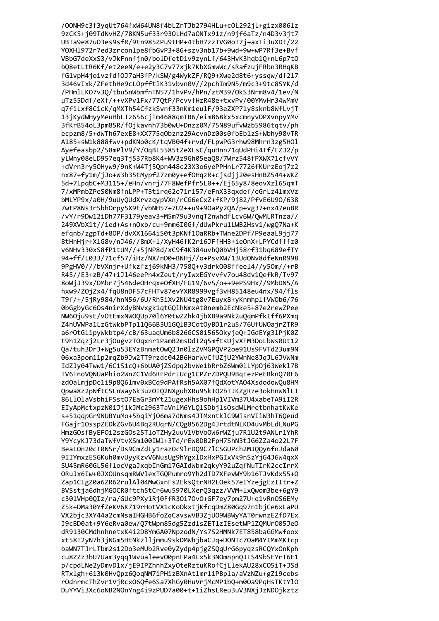/OONH9c3f3yqUt764fxW64UN8f4bLZrTJb2794HLu+cOL292jL+gizx006lz 9zCK5+j09TdNvHZ/78KN5uf33r93OLHd7aONTx91z/n9jf6aTz/n4D3v3jt7 UBTa9e87u03es9sfR/9tn985ZPu9tHP+4tbH7zzTVG0oT7j+axTi3uXDt/22 YOXH1972r7ed3zrcon1pe8fbGvP3+86+szv3nb17b+9wd+9w+wP7Rf3e+Bvf VBbG7deXxS3/vJkFnnfjn0/bolDfetD1v9zynLf/643HvK3hqb1Q+nL6p7t0 bQ8etLtR6Kf/et2eeN/e+e2y3C7v77xjk7KbXGmwWc/sRafzujFRbn3RHqKB fG1vpH4joivzfdf0J7aH3fP/kSW/g4WykZF/RQ9+Xwe2d8t6+yssqw/df2l7 3d46vIxk/ZFethHe9cLOpfftlK31vbvn0V//2pchIm9N5/m9c3+9tc8SYK/d /PHmlLKO7v3Q/tbu5nWbmfnTN57/1hvPv/hPn/ztM39/OkS3Nrm8v4/1ev/N uTz55Ddf/eXf/++vXPv1Fx/77QtP/PcvvfHzR48e+txvPv/00YMvHr34wMmV q7fiLxf8C1cK/qMXTh54CfzkSvnf33nKm1eulF/93eZXP71y8sknb8WfLvjT 13jKydWHyyMeuHbLTz656cjTm4688qmTB6/eim868kx5xcmnyvOPXvnpyYMv 3fKrB54oL3pm85R/f0jkavnh73b0wU+Dnzz0M/75N89ufvWzb5986tqtv/ph ecpzm8/5+dWTh67exE8+XX775q0bznz29AcvnDz00s0fbEb1zS+Wbhy98vTR A185+sW1k888fwv+pdKNo0cK/tqVB04f+rvd/FLpwPG3rhw98Mhrn3zg5H01 Avefeasbp2/58mPlV9/Y/OqBL5585tZeXLsC/guHnn71qUdPHi4Tf/LZJ2/p vLWnv08eLD957eq3Tj537Rb8K4+WV3z9Gh05ea08/7Wrz548fPXWX71cfvVY +dVrn3ry50Hyw9/9nK+W4Tj50pn448c23X3o6yePPHnLr7726fKUrzEoj7z2 nx87+fy1m/jJo+W3b35tMypf27zm0y+ef0HqzR+cjsdjj20esHnBZ544+WKZ 5d+7LpqbC+M3115+/eHn/vnrj/7F8WefPfr5L0++/Ej65y8/8eovXzl65qmT 7/xMPmbZPeS0Nm8fnLPP+T3tirq62e71r157/eFnX33qxdef/eGrLz41mxVz bMLYP9x/a0H/9uUyQUdXrvzqypVXn/rCG6eCxZ+fKP/9j82/PfvE6U90/638 7wtP8Ns3r5bhOrpy5X9t/vbNH57+7U2++u9+9OaPy2QA/p+vg37+nx47euBR /vY/r9Dw12iDh77F3179yeav3+M5m79u3vnqT2nwhdfLcv6W/0wMLRTnza// 249XVbX1t//1ed+As+n0xb/cu+9mm6I0Gf/dUwPkru1LWB2Hsv1/wg07Na+K efgnb/zgpTd+80P/dvXX1664iS0t3pKNf10aRRb+TWne2DPf/P9eaaL9jj77 8tHnHjr+XlG8v/nJ46//8mX+1/XyH46fK2r16JFfHH3+ieOnX+LPYCdfffz0 v6NHv330xS8fP1tUM//+5jNP8d/xC9f4K384uvbQ0bVHj58rf31bq689efTY 94+ff/L033/71cf57/iHz/NX/nD0+BNHj//o+PsvXW/13UdONv8dfeNnR998 9PgHV0///bVXnjr+Ufkzfzj69kNH3/758Q+v3drk008ffeel4//y50m//+rB R45//E3+zB/47+iJl46eePn4xZeut/ryIwxEGYvvfv7ou48dv1QefkR/Tv97 8oWjJ39x/OMbr7j546deOHrqxeOfXH/FG19/6vS/o++9ePS9Hx//9MbDN5/A hxw9/Z0jZx4/fqU8nDF57cFHTv87evYXR8999vgf3vH85148eu4nx/94/fls T9f/+/5jRy984/hnN56/6U/Rh5iXv2NU4tg8v7Euyx8+yKnmhplfVWOb6/76 0bGgbyGc6Os4nirXdyBNvxgk1qtGQlhNmxAt0nemb2EcNke5+87e2rewZPee NW6Oju9sE/vOtEmxNWOQUp70l6Y0twZZhk4jbXB9a9Nk2uQqmPfkIff6PXmq Z4nUVWPa1LzGtWkbPTp11Q66B3U1GQlB3CotOyBD1r2u5/76UfUWOajrZTR9 a6rOtGlipyWkbtp4/cB/63uaqUm6b826GCS0i565OkyjeQ+IGdEYg3lPjK0Z t9h1Zqzj2Lr3jOugvzTOqxnr1PamB2msDdI2q5mftsUjvXFM3DoLbWs0Ut12 Qa/tuh3DrJ+Wg5u53EYzBnmat0wQ2Jn01zZVMGPQVP2oe91Us9FVTd23um9N 06xa3pom11p2mqZb9Jw2TT9rzdc042B6HarWvCfUZjU2YWnNe8JqJL6JVWNm IdZJy04Tww1/6C1S1cQ+6bUA0jZSdpq2bvWe1bRrbZ6Wm0lLYp0j63Wekl7B TV6TnoVQNUaPhio2WnZC1Vd6REPdrLUcg1CPZrZDPQU9BqFezPeEBknQ70F6 zdOaLmjpDc1i9p8Q6lmv0xBCq9dPAfRsh5AX07fQdXotYAO4XsdodowQu8HM Qpwa8z2pNftCSLnWay6k3uzOIQ2NXguhXRu95kIO2bTJKZgRze3okHnWNlLI 86L10laVsbhiFSst07EaGr3mYt21ugexHhs9ohHp1VIVm37U4xabeTA9iI2R EIyApMctxpzN01Jj1kJMc2963TaVnlM6YLQlSDbjlsOsdWLMretbnhatKWKe s+51qqpGr9NUBYuMo+5bqiYjO6ma7dNms4JTMxntklC9WisnVIiW3hT6Qeud FGajr10sspZEDkZGv6U4Bg2RUgrN/COg8562Dg4JrtdtNLKD4uvMbLdLNuPG HmzGOsfBvEFOi2szGOs25TloTZHv2uuV1VbVoOW6rWZju7R1U2t9ANLr1YhR Y9YcvKJ73daTWfVtvXSm100IWl+3Td/rEW0DB2FpH7ShN3tJG6ZZa4o22L7F BeaLOn20cT0NSr/Ds9CmZdLv1razOc91rDO9C71CSGUPch2MJOOv6fnJda60 9IIYmxzESGKuh0mvUvvKzvV6NusUg9hYgx1DxHxPGIxVk9nSzYiG4J6W4axX SU45mR60GL56flocVgaJxqbInGm17GAIdWbm2qkyY92uZqfNuTIrK2ccIrrX ORuJx6Iw+0JXOUnsamRWVlexTGOPumro9Yh2dTD7XFevWY9b16TJvKdx55+0 Zap1CIgZ0a6ZR62rulAl04MwGxnFs2Eks0trNH2L0ek57eIYzeigEzIItr+Z BVSstia6dhiMGOCR0ftch5tCr6wu5970LXer03azz/VVM+1xOwom3be+6gY9 c301VHp0OIz/ra/GUc9PXv1Ri0FfR3Oi7OvO+GF7ev7pm27U+g1vRnOS6EMv Z5k+DMa30YfZeKV6K719rHotVX1cKoOkxtjKfcgDmZ80Gg97n1bjCe6xLaPU VX2bic3XY44a2cmNsaIHGHB6foZqCavswVB3ZiU09WBWvYAT0rwnzEZfD7Ex J9cBD0at+9Y6eRva0ew/Q7tWpm85dg5ZzdlsZET1zIEsetWP1ZQMUr005JeO dR9130CMdhnhnetxK4i2D8YmGA07NpzodN/Ys7S2HMNk7ET858baGGMwfoox xt58T2yN7h3jNGm5HtNkzlljmmu9skDMWhjbaCJq+DONTc70aM4YIMmMKIcp baWN7TJrLTbm2s12Do3eMUb2Rve0yZydp4pjgZSQqUrG6pyqzsRCQYxOnKph cu8ZZz3bU7Uam3yqq1Wvualeev00pnFPa4Lx5k3NOmnpnQJLS49bSEYrT6E1 p/cpdLNe2yDmvD1x/jE9IPZhnhZxyOteRztuKRofCjLlekAU28xCO5iT+JSd RTxlgh+613k0HvQpz6QoqNM7iPHizBXnAtlmrliPBpla/aVzNZu+gZi9cebs rOdnrmcThZvr1VjRcxO6Qfe6Sa7XhGy0HuVrjMcMP1bQ+m0Oa9PqHsTKtY1O DuYYVi3Xc6oNB2NOnYng4i9zPUD7a00+t+1iZhsLReu3uV3NXjJzNDOjkztz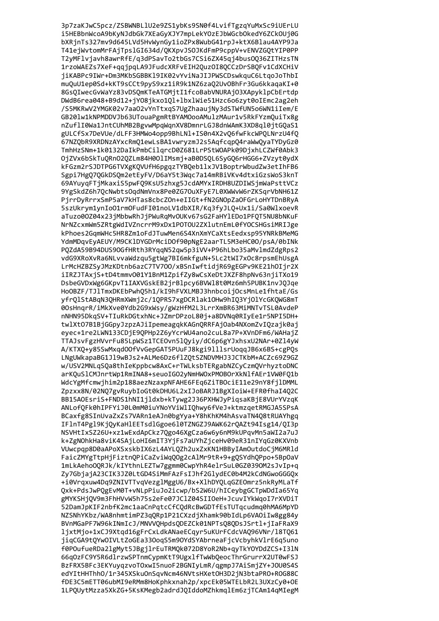3p7zaKJwC5pcz/ZSBWNBLlU2e9ZS1ybKs9SN0f4LvifTgzqYuMxSc9iUErLU i5HEBbnWcoA9bKyNJdbGk7XEaGyXJY7mpLekYOzEJbWGcbOkedY6ZCkOUj0G bXRjnTs327mv9d645LVd5HvWynGy1ioZPx8WubG41rpJ+ktX6Blau4AYP9Ja T41ejWvtomMrFAjTpslGI634d/QKXpvJSOJKdFmP9cppV+vENVZGQtYIP0PP T2yMFlvjavh8awrRfE/q3dPSavTo2tbGs7CSi6ZX45qj4bus0Q36ZITHzsTN 1rzoWAEZs7XeF+qqjpqLA9JFudcXRFvEIH2Quz0I8QCCzDrSBQFv1CdXCHiV jiKABPc9IWr+Dm3MKbSGBBK19IK02vYviNaJIJPWSCDswkquC6LtqoJoThbI muQuU1ep0Sd+kKT9sCCt9pyS9xz1iR9k1NZ6zaQ2UvOBhFr3Gu6kkaqaKI+0 8GsQIwecGvWaYz83vDSQmKTeATGMjtI1fcoBabVNURAj03XApyklpCbErtdp DWdB6rea048+B9d12+jY08jkxo1Ql+lbxlWie51Hzc6o6zyt0oIEmc2ag2eh /S5MKRwV2YMGK02v7aa02vYnTtxqS7UgZhaaujNy3dSTWfUN5o6WN1iIem/E GB201w1kNPMDDVJb63UTouaPgmRtBYAMOooAMulzMAur1v5RkFYzmQuiTx8g nZuflI0Wa1JntCUhMB2BgvwMpqWqnXV8DmnrLGJ8dnWAmK3XD8ql0jtGQaS1 gULCfSx7DeVUe/dLFF3HMWo4opp9BhLN1+IS0n4X2v06fwFkcWP0LNrzU4f0 67NZQbR9XRDNzAYxcRmQ1ewLsBA1vwryzmJ2s5AqfcqpQ4raWwQyaTYDyGz0 TmhHzSNm+1k0132DaIkPmbCilgrcD0Z681LrPStWOAPk09DjxhLCZWf0Abk3 OjZVx6bSkTu0Rn020ZLm84H00lIMsmj+aB0DS0L6SyG06rHGG6+ZVzyt0ydX kFGzm2rSJDTPG6TVXgKQVUfH6pgqzTYBQeb1lxJV1BoptrWbudZw3etIhFB6 Sgpi7Hg07OGkDSOm2etEyFV/D6aY5t3Wgc7a14mRBiVKv4dtxiGzsWoS3knT 69AYuyqFTjMkaxiS5pwFQ9KsU5zhxg5JcdAMYxIRDH8UZDIWSjmWaPsttVCz 9YgSkdZ6h7QcNwbtsOqdNmVnx8Pe0ZG7OuXFyE7L0XWWvW6rZKSqrVbNH61Z PjrrDyRrrxSmP5aV7kHTas8cbcZOn+eIIGt+fN2GNOpZaOFGrLoHYTDnBRyA 5szUkrym1ynIoO1rmOFudFI01noLV1dbXIR/Kq3fyJLQ+Ux1i/Sa0WlxoevR aTuzo00Z04x23jMbbwRhJjPWuRqMvOUKv67sG2FaHYlEDo1PFQT5NU8bNKuF NrNZcxmWm5ZRtgWdIVZncrrM9xDx1P0T0U2ZXlutnEmL0fYOCSHGsiMRIJge kPhoes2GqmWHc5HR8Zm1oFdJTuwMen6S4XnXmYCaXtsEedxsp95YNRkBMeMG YdmMDqvEyAEUY/M9CKlDYGDrMciDOf90pNgE2aarTL5M3eHC00/psA/0bINk PQZdA59B94DUS90GfHRth3RYqqN52qw5p3iVV+P96hLbo35aMvlmdZdgRps2 vdG9XRoXvRa6NLvvaWdzqu5gtWg7BI6mkfguN+5Lc2tWI7xOc8rpsmEhUsgA LrMcHZBZSyJMzKDtnb6azC7TV700/xBSnIwftidjR69gEGPv9KE21h0Ijr2X iIRZJTAxjS+tD4tmmv001Y1BnM1ZpifZy8wCsXeDtJXZF8hpNv63njiTXo19 DsbeGVDxWg6GKpvT1IAXVGskEB2jrBlpcy6BVWl8t0Mz6mh5PUBK1nvJQJqe HoOBZF/TJlTmxDKEbPwhQ5h1/kI9hFVXLMBJ3hnbcoijOcsMnLe1fhtaE/Gs yfrQlStABqN3QHRmXWmj2c/1QPRS7xgDCRlak1OHw9hIQ3YjOlYcGKQWG8mT 00sHnqrR/iMkXve0Ydb2G9xWsy/gWzHfM2L3LrrXmBR63MiMNTvTSL0AvdeP nNHN95DkqSV+TIuRkDGtxhNc+JZmrDPzoL80j+a8DVNq0RIyEe1r5NPI5DH+ twlXt07B1BjGGpyJzpzAJiIpemeagqkKAGnQRRFAjOab4NXomZvIQzajk0aj eyec+1re2LWN133CDjE9QPHp2Z6yYcrWU4ano2cuL8a7P+XVnDFm6/WAHajZ TTAJsvFgzHVvrFu85LpWSz1TCEOvn5lQyiy/dC6p6gYJxhsxU2NAr+0Zl4yW A/KTXQ+y85SwMxqdOOfVvGepGAT5PUuFJ8kgi9lllsrUoqqJB6x6BS+cgPQs LNgUWkapaBG1Jl9wBJs2+ALMe6Dz6flZQtSZNDVMHJ3JCTKbM+ACZc69Z9GZ w/USV2MNLqSQa8thIeKppbcw8AxC+rTWLksbTERgabNZCyCzmQVrhyztoDNC arKQuSlCMJnrtWp1RmINA8+seuoIGO2yNmHWOxPMOBOrXkNlfAEr1VW0FQ1b WdcYgMfcmwjhim2p188aezNzaxpNFAHE6FEq6ZiTBOciE11e29nY8fjlDMML Zpzxx8N/02NQ7gvRuybIoGt0kDHU6L2xIJoBARJ1BgXIoiW+EFR0fhaI4Q2C BB15A0EsriS+FNDS1hNI1jldxb+kTywg2J36PXHWJyPiqsaKBjE8VUrYVzqK ANLofQFk0hIPFYiJ0L0mM0iuYNoYViWlIQhwy6fVeJ+ktmzqetRMGJA5SPsA BCaxfg8SInUvaZxZs7VARn1eAJn0bgYya+Y8hKhKM4hAsvaTN4Q8tRUAYhgq IFlnT4Pgl9KjOyKaHlEETsdlGgoe6l0TZNGZJ9AWK62rOAZt94Isg14/OI3p NSVHtIxSZ26U+xz1wExdApCkz70go46XgCza6w6v6nM9kUPqvMn5aWI2a7uJ k+ZgNOhkHa8viK4SAiLoHI6mIT3YiFs7aUYhZiceHv09eR31nIYqGz0KXVnb VUwcpap8D0aAPoXSxskbIX6zL4AYL0Zh2uxZxKN1HBBvIAmOutdoCiM6MRld FaicZMYgTtpHiFiztnOPiCaZviWgOOg2cAlMr9tR+9+gOSYdhOPpo+5BpOaV 1mLkAehoOORJk/kIYthnLEZTw7ggmm0CwpYhR4elrSuL0GZ0390M2sJvIp+g Zv7GbiaiA23CIK3JZ0LtGD4SiMmFAzFsIJhf2GlvdEC0b4M2kCdNGwoGGGOx +i0Vraxuw4Da9ZNIVTTvaVezglMggU6/Bx+XlhDYOLaGZEOmrz5nkRvMLaTf Oxk+PdsJwPOgEvM0T+vNLpPiuJo2icwp/bS2W6U/hICevbgGCTpWDdIa65Yq gMYKSHiOV9m3FhHVvW5h75s2eFe07JClZ04SIIOeH+JcuvIYkWaoI7rXVDiT 52DamJpKIF2nbfK2mc1aaCnPgtcCfCOdRcBwGDTfEsTUTgcudmg0hMA6MpYD NZSNhYKbz/WA8nhmtimPZ3q0Rp1P21CXzdiXhamk90bIdLp6VAOiIw8gg84v BVnMGaPF7W96kINmIcJ/MNVVOHpdsODEZCk01NPTsO8ODsJSrtl+iIaFRaX9 ljxtMjo+1xCJ9Xtqd16gFrCxLdkANaeECqyr5uKUrFCdcVAQ96VNr/l8TQ61 jigCGA9tQYwOIVLtZoGEa330ogS5m9OYdSYAbrneaFjcVcbyhkVlrE6g5uno f0POufueRDa2lgMyt5JBgjlrEuTRMQk072D8YoR2Nb+qyTkYOYDdZCS+I3lN 66qOzFC9Y5R6dlrzwSPTnmCypmKtT9UgxlfTwWbQeocThrGrurrX2UT0wFSJ BzFRX5BFc3EKYuyqzvoT0xwI5nuoF2BGNIyLmR/qgmpJ7AiSmjZY+J0U0S4S edYItHHThhO/1r345XSkuOnSqvNcm46NVtsHXetOH3D2jN3btaPRO+ROG88C fDE3C5mETT06ubMI9eRMm8HoKphkxnah2p/xpcEk05WTELbR2L3UXzCy0+OE 1LPQUytMzza5XkZG+5KsKMegb2adrdJQIddoMZhkmqlEm6zjTCAm14qMIegM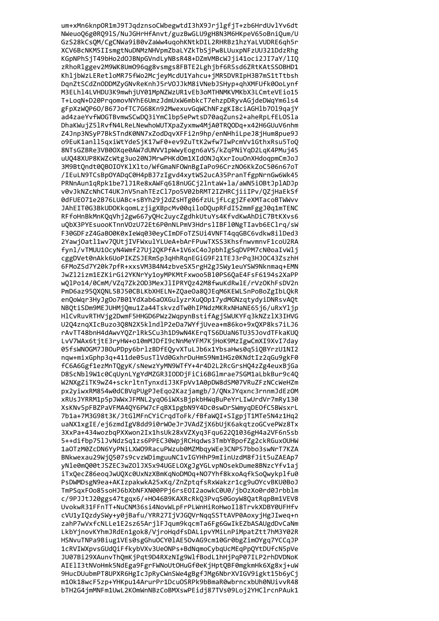um+xMn6knpOR1mJ9TJqdznsoCWbegwtdI3hX9JrjlgfjT+zb6HrdUvlYv6dt NWeuoQ6g0RQ91S/NuJGHrHfAnvt/guzBwGLU9gH8N3M6HKpeV65oBniQum/U GzS28kCsQM/CgCNWa9iB0vZaWw4uqohKNtkDIL2RHRBz1hzYaLVUDRE6qh5r XCV6BcNKM5IIsmgtNuDNMzNHVpmZbaLYZkTbSjPw8LUuxpNFzUU321DdzRhg KGpNPhSjT49bHo2dOJBNpGVndLyNBsR48+DZmVMBcWJji41oci2JI7aY/lIQ zRhoRlggev2M9WK8Um096qg8vsmgs8FBTE2Lghjbf6RSsd6ZRtKAtSS0BHD1 KhljbWzLERetloMR75fWo2McjeyMcdU1Yahcu+jMR5DVRIpH3B7mS1tTtbsh DqnZtSCdZnODDMZyGNvReKnhJ5rVOJJkM8iVNebJSHyp+qhXMFUfk0OoLynf M3ELh14LVHDU3K9mwhjUY01MpNZWzUR1vEb3oMTHNMKVMKbX3LCmteVEio15 T+LoqN+D20PrqomovNYhE6UmzJdmUxW6mbkcT7ehzpDRyvAGjdeDWqYm61s4 gFpXzWQP60/B67JofTC7G68Kn92MwexuvGqWChNFzgKI8ciAGHlb70l9qajY ad4zaeYvfWOGTBvmwSCwDQ3iYmClbp5ePwtsD70aqZuns2+aheRpLfELOSla DhaKWujZ51RvfN4LReLNewhoWUTXpaZyxmw4MjA0TRQODq+x42H6GUuV6nhm Z4Jnp3NSyP7BkSTndK0NN7xZodDgvXFFi2n9hp/enNHhiLpeJ8jHum8pue9J o9EuK1anl15qxiWtYdeSjK17wF0+ev9ZuTtK2wfw7IwPcmVv1GthxRsu5ToQ 8NTsGZBRe3VB0OXge0AW7dUNVV1pWwyEogn6aVS/kZqPNiYqD2LqK4PMuj45 uU048XUP8KWZcWtg3uo20NJMrwPHKdOm1XIdONJqXxrIouOnXHdoqpmCmJoJ 3M9BtOndt00B0I0YK1X1to/WfGmaNFOWnBgIaPo96CrzN06KkZoC506n67oT /IEuLN9TCsBpOYADqC0H4pBJ7zIgvd4xytWS2ucA35PranTfgpNrnGw6Wk45 PRNnAun1qRpk1be7lJ1Re8xAWFq618nUGCj2lntaW+la/aWN5iOBtJplADJp v0vJkNZcNhCT4UKJnV5nahTEzCl7po5V02bRMT2IZHRCjiiIPv/OZjHaEkSf 0dFUE071e2B76LUABc+sBYh29j2dZsHTg06fzULjfLcgjZFeXMTacoBTWWvv JAhEIT0G3BkUDOKkqomLzjigXBpcMv00qiloDQupRFdI52mmFggJ0q1mTENC RFfoHnBkMnKQqVhj2gw667yQHc2uycZgdhkUtuYs4KfvdKwAhDiC7BtKXvs6 uQbX3PYEsuooKTnnVOzU72Et6P0nNLPmV3HdrslIBFl0NgTIavb6EClrq/sW F30GDFzZ4GaBO0K0xIeWq030eyCImDFoTZSUi4VNFT4qqGBC6vdkw8ilDed3 2YawjOatl1wv7QUtjIVFWxulYLUeA+bArFPuwTXSS3KhsfnwvmnvF1coU2RA fynl/vTMUU10cyN4Wmf27Uj2QKPfA+1V6xC4oJpbhIgSqDVPM7cN0oaIvWlj cggDVet0nAkk6UoPIKZSJERmSp3qHhRqnEGiG9F21TEJ3rPq3HJOC43ZszhH 6FMoZSd7Y20k7pfR+xxsVM3B4N4zbveSX5rgH2gJSWy1euYSW9Nknmaq+EMN JwZl2izm1EZKirGi2YKNrYy1oyMPKMtFxwoo5Bl0PS6QaE4FsF6194s2XaPP wQlPo14/0CmM/VZq7Zk2OD3MexJlIPRYQz42M8fwuKdRwlE/rVzOKhFsDV2n PmD6az95QXQNL5BJ50CBLKbXHELN+ZQaeOa8QJEqM6KEWLSnPoBoZgIbLQkR enQoWqr3HyJgOo7B01YdXab6aOXGulyzrXuQOp17ydMGNzqtydyiDNRsvAQt NBQtiSDm9MEJUHMjQmu1Za44TskvzdTw0hIPNdzMKRxNHaNE65j6/uRxYljp HlCvRuvRTHVjg2DwmF5HHGD6PWz2WqpynBstifAgjSWUKYFq3kNZzlX3IHVG U2Q4znqXIcBuzo3Q8N2X5klndlP2eDa7WYfjUvea+m86ko+9xQXP8ks7iLJ6 rAvTT48bnH4dAwvYQZrlRkSCu3h1D9wN4KErqTS6DUaN6TU35JovdTFkaKUQ LvV7WAx6tjtE3ryHW+o10mMJDfI9cNnMeYFM7KjHoK9MzIgwCmXI9XvI7day 05fsWNOGM7JBOuPDpy6brlzBDfEQyvXTuLJb6x1YbsaHws0q5iQBYrzU1NI2 nqw+mixGphp3q+411de05usTlVd0GxhrDuHmS9Nm1HGz0KNdtIz2qGu9gkF0 fC6A6Ggf1ezMnTQgyK/sNewzYyMN9WTfY+4r4D2L2RcGrsHQ4zZg4euxBjGa D8ScNbl9W1c0CqUynLYgYdMZGR3IODDjFiCi6BGlmrae7SGM1aLbkBur9c4Q W2NXgZiTK9wZ4+sckrltnTynxdiJ3KFpVv1A0pDW8dSM07VRuZFzNCcWeHZm px2yiwxRM854w0dCBVqPUgPJeEqo2Kazjamgb/J/QNxJYqxnc3rnnmJdEzOM xRUsJYRRM1p5pJWWxJFMNL2yq06iWXsBjpkbHWqBuPeYrLIwUrdVr7mRy130 XsKNv5pFBZPaVFMA4QY6PW7cFqBX1pgbN9Y4Dc0swDrSWmyqDEOfC5BWsxrL 7b1a+7M3G98t3K/JtGlMFnCYiCrgdToFk/fBfaWQI+SIgpjT1MTe5N4z1Hg2 uaNX1xgIE/ej6zmdIgV8dd9i0rW0eJrJVAdZjX6bUjK6akgtzoGCvePWz8Tx 3XxPa+434wozbqPXXwon2Ix1hsUk28xVZXvq3Fqu62201036gH4a2VF6n5sb 5++difbp751JvNdzSa1zs6PPEC30WpiRCHadws3TmbYBpofZg2ckRGuxOUHW 1a0TzM0ZcDN6YvPNiLXWO9RacuPWzub0MZMbqvWEe3CNP57bbo3swNrT7KZA BNkwexau29Wi0507s9cvzWDimguuNC1vIGYHhP9mIinUzdM8fJit5uZAEAp7 vNle0m000tJSZEC3wZ0lJX5x94UGEL0XgJgYGLvpN0sekDume8BNzcYfv1aj iTxOecZ86eoaJwUOXc0UxNzXBmKaNoDMOa+NO7Yhf8kxoAafkSoOwykplfu0 PsDWMDsgN9ea+AKIzpakwkA25xKg/ZnZptgfsRxWakzr1cg9u0YcvBKU0BoJ TmPSaxFOo85soHJ6bXbNFXN00PPi6rsEOI2aowkC0U0/ibOzXo0rd0Jrbblm c/9PJJtJ20ggs47tggx6/+H046B9KAXRcRk03PvgS0GovW80atRgpBm1VEV8 UvokwR31FFnTT+NuCNM36si4NovWLpFrPLWnHiRoHwoIl8TrvkXDBY0UFHfv cVU1vI0zdvSWv+v0iBafu/YRR27IiVJGOVrNgaSSTtAVP0AoxviHgJIweq+n zahP7wVxfcNLLe1E2sz65ArjlFJqum9kqcmTa6Fg6GwIkEZbASAUgdDvCaNm LkbYjnovKYhmJRdEn1gok8/VjroHqdfsDALipvYMiLnPiMpatZtt7hM3Y02R HSNvuTNPa9Biug1VEs0sgGhuOCY0lAE5OvAG9cm10Gr0bgZimOYgq7YCCqJP 1cRVIWXpvsGUdQiFfkybVXv3UeONPs+BdNqmoCybqUcMEqPpQYtDUfcN5pVe JU07Bi29XAunvThQmKjPqt9D4RXzNIg9WlfBodL1hHjPqP07ILP2rhDVDNoK AIElI3tNVoHmk5NdEga9FgrFWNoUtOHuGf0eKjHptQBF0mgkmHk6Xg8xj+uW 9HucDUubmPT8UPXR6HgIcJpRyCWnSWe4gBgfJMg6NbrXVIGV9igkt15b6yCj m1Ok18wcF5zp+YHKpu14ArurPr1DcuOSRPk9bBmaR0wbrncxbUh0NUivvR48 bTH2G4jmMNFm1UwL2KOmWnNBzCoBMXswPEidj87TVs09Loj2YHClrcnPAuk1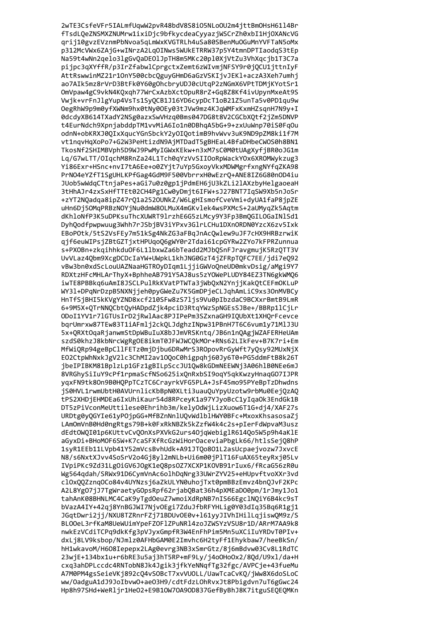2wTE3CsfeVFr5IALmfUqwW2pvR48bdV8S8iO5NLoOU2m4jttBmOHsH61l4Br fTsdLQeZNSMXZNUMrw1ixiDjc9bfkycdeaCyyazjWSCrZh0xbI1HjOXANcVG qrij10gvzEVznmPbNvoa5qLmWxKVGTRLh4uSa80SBenMuOGuMnYVFTaN5oMx p312McVWx6ZAjG+wINrzA2LqOINws5WUkETRRW37p5Y4tmnDPTIaodqS3tEp Na59t4wNn2qelo3lgGvQaDEOlJpTH8m5MKc20pl0XjVtZu3VhXqcjb1T3C7a pijpc3qXYffR/p3IrZfabwlCprgctxZemt6zWIvmjNFSY9r0jQCU1jttnIyF AttRswwinMZ21r10nY500cbcQguyGHmD6aGzVSKIjvJEKl+aczA3Xeh7umhj ao7AIk5mz8rVrD3BtFk0Y60gOhcbryUDJ0cUtqP2zNGmX6VPtTDMjKYotSr1 OmVpaw4gC9vkN4KQxqh77WrCxAzbXctOpuR8rZ+Gq8Z8Kf4ivUpynMxeAt9S Vwjk+vrFnJlgYup4VsTs1SyQCB1J16YD6cypDcT1oB21Z5unTa5v0PD1qu9w OegRhW9p9m0yfXWNm9hx0tNy0OEy03tJVw9mz4KJqWMFxKxmHZsqnH7N9y+I 0dcdyXB614TXadY2NSg0azxSwVHzq0Bms047DG8t8V2CGCbXQtf2jZm5DNVP t4EurNdch9XpnjabddpTM1vvMiA6Io1n0DBhqA5bG+9+zxUuWnp70iS0FqOu odnN+obKRXJ00IxXqucYGnSbckY2y0I0otimB9hvWvv3uK9ND9pZM8ki1f7M vt1nqvHqXoPo7+G2W3PeHtizdN9AjMTDadT5gBHEaL4BfaDHbeCWOS0h8BN1 TkosNf2SHIMBVph5D9WJ9PwMyIGWxKEkw+n3xM7sC0M0tUAgXyfiBR0oJG1m Lg/G7wLTT/OIgchM8RnZa24L1Tch0gYzVvSIIOoRpWackYOx6XROMWykzug3 Yi86Exr+HSnc+nvI7tA6Ee+o0ZYjt7uYp5GxoyVkxMDWMgrfxngNYfqZKA98 PrNO4eYZfT1SgUHLKPfGag4GdM9F500VbrrxH0wEzrQ+ANE8IZ6G80nOD4iu JUob5wWdqCTtnjaPes+aGi7u0z0gp1jPdmEH6jU3kZLi2lAXzbyHelgaoeaH 3tHhAJr4zxSxHfTTEt02CH4Pg1Cw0yDmjt6IFW+sJ27BNT7IqSW9Xb5nJoSr +zYT2NQadqa8ipZ47rQ1a2520UNkZ/W6LgHIsmofCveVmi+dyUA1faP8jpZE uHn6Dj50MgPRBzNOYjNu0dmW80LMuX4mGKvlek4wsPXMcS+2aUMygZk5Agtm dKhloNfP3K5uDPKsuThcXUWRT9lrzhE6G5zLMcy9Y3Fp3BmOGILOGaINlSd1 DyhOodfpwpwuug3Whh7rJSbjBV3iYPxv3GlrLCHu1DXnORDN0YzcX6zv5Ixk EBoPOtk/5tS2VsFEy7m51kSg4NkZG3aFBqJnAcQwlew9uJF7cHX9HRBzrwiK qjf6euWIPsjZBtGZTjxtHPUqoQ6gWY0r2Tdai61cpGYRw2ZYo7kFPRZunnua s+PXOBn+zkqihhkduOF6L1lbxwZa6bTeadd2MJbQSnFJravgmujK5RzQTT3V UvVLaz4Qbm9XcgDCDcIaYW+UWpkL1khJNG0GzT4jZFRpTQFC7EE/jdi7eQ92 vBw3bn0xdScLouUAZNaaHGTROyDIqm1LjjiGWVoQneUD0mkvDsig/aMgi9Y7 RDXtzHFcMHLArThyX+BphheAB791Y5AJ8us5zYOWePLUDY84EZ3TN6gkWMQ6 iwTE8PBBkq6uAmI8JSCLPulRkKVatPTWTa3jWbQxN2YnjjKakQtCEFmOKLuP WY31+DPqNrDzpB5NXNjjeh0pyGWeZu7K5GmDPjeCLJqhAmLiC9xs3OnMVBCy HnTfSjBHI5kKVgYZND8xcf210SFw8zS7ljs9Vu0pIbzdaC9BCXxrBmtB9LmR 6+9M5X+QTrNNQCbtQyHADpdZjk4pciD3RtqYWzSpNGEsSJBe+/BBRp1lCjLr ODoI1YV1r7lGTUsIrD2jRwlAac8PJIPePm3SZxnaGH9IQUbXt1XHQrFcevce bqrUmrxw87TEw83T1iAFmlj2ckQLJdghzINpw31PBnH7T6C6vum1y71MlJ3U 5x+QRXtOqaRjanwmStDpWBuIuX8bJJmVRSKntq/JB6n1nQAgjWZAFERHeUAm szdS0khzJ8kbNrcWgRgOE8ikmT0JFWJWCQkMOr+RNs62LIkFev+B7K7ri+Em MfWiQRp94geBpCllFETz0mjDjbu6DRwMrS3ROpovRrGyWft7yQsy92MUxNjX EO2CtpWhNxkJgV2lc3ChMI2av10QoC0higpqhj60Jy6T0+PG5ddmFtB8k26T jbeIPIBKM81BplzLp1GFz1gBILpSccJU1Qw8kGDmNEEWNj3A06hlB0NEe6mJ 8VRGhySiIuY9cPf1rpmaScfNSo625ixQnRxbSI9oqY5qkKwzyHnaqGO7IJPR yqxFN9tk8On9B0HQPpTCzTC6CrayrkVFG5PLA+JsF45mo95PYeBpTzDhwdns jS0HVL1rwmUbtH0AVUrnlicKbBpN0XLti3uauQuYpyUzotw9rbMu0EejQzAQ tPS2XHDjEHMDEa6IxUhiKaur54d8RPceyK1a97YJyoBcC1yIqa0k3EndGk1B DT5zPiVconMeUttilese0Ehrihb3m/kelyOdWjLizXuow6T1G+dj4/XAF27s URDtg0yQGYIe61yPOjpGG+MfBZnNnlUQvWdlblHWY0BFc+MxoxKhsasosaZj LAmOmVnB0Hd0ngRtgs79B+k0FxRkNBZk5kZzfW4k4c2s+pIerFdWpvaM3usz dEdtOWOI01p6KUttyCyOOnXsPXVkG2urs4OiaWebiglR614Oo5W5p9h4aKlE aGvxDi+BHoMOF6SW+K7caSFXfRcGzWiHorOaceviaPbgLk66/htlsSeiO8hP 1svR1EEb11LVpb41Y52mVcsBvhUdk+A91JT0o801L2asUcpaeivozw7JxvcE N8/s6NxtXJvv4SoSrV2o4Gi8v12mNLb+Ui6m00iP1T16FuAX65tevRxi05Lv IVpiPKc9Zd31LgOiGV6JOgK1eO8psOZ7XCXP1KOVB91rIux6/fRcaG56zR0u Wg564adah/SRWx91D6CvmVnAc6olhDaNrg33UWrZYV25+eHUpvftvoXXr3vd cl0x00Zzna0Co84v4UYNzsi6aZkULYN0uhoiTxt0pmBBzEmvz4bn0JvF2KPc A2L8YgO7iJ7TgWraetyGOpsRpf62riabOBat36h4pXMEaDO0pm/1rJmv1Jo1 tahAnK08BHNLMC4CaK9vTgdOeuZ7wmoiXdRpNB7nIS66EgclNOiY6B4kc9sT bVazA4IY+42qj8YnBGJWI7NjvOEgi7ZduJfbRFYHLig0Y03dIq35Bq6R1gj1 JGqtDwri2jj/NXU8TZRnrFZj71BDUvOE0v+l61yyJIVhIHilLqjiswQM9z/S BLOOeL3rfKaM8UeWUimYpeFZOF1ZPuNR14zoJZWSYzVSU8r1D/ARrM7AA9k8 nwkEzVCdiTCPa9dkKfg3pVJvxGmpfR3W4EnFhPim5Mn5uXCiIuYRDvT0PIv+ dxLi8LV9ksbop/NJmlz0AFHbGAM0E2Imvhc6H2tvFf1Ehvkbaw7/heeBkSn/ hH1wkavoM/H608Iepepx2LAg0evrg3NB3xSmrGtz/8j6mBdvw03Cv8L1RdTC 23wjE+134bx1u+r6bRE3u5aj3hT5RP+mF9Ly/j4o0Ho0x2/8Qd/U9xl/da+H cxq3ahDPLccdc4RNTobN8Jk4Jgik3jfkYeNNqfTg32fgc/AVPCje+43fueMu A7M0PM4gsSeieVKj892cQ4vSOBcT7xvVUOLL/UawTcaCvKQ/jWw8X6doSLoC ww/OadguA1dJ9JoIbvwO+aeO3H9/cdtFdzLOhRvxJt8Pbigdvn7uT6gGwc24 Hp8h97SHd+WeRljr1HeO2+E9B1OW7OA9OD837GefByBhJ8K7itguSEQEQMKn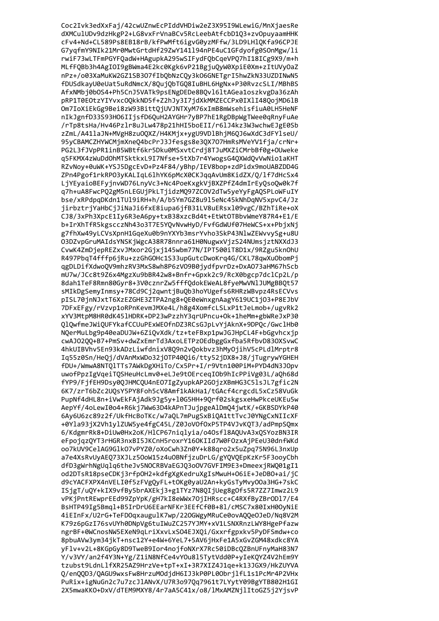Coc2Ivk3edXxFaj/42cwUZnwEcPIddVHDiw2eZ3X95I9WLewiG/MnXjaesRe dXMCulUDv9dzHkgP2+LG8vxFrVnaBCv5RcLeebAtfcbD1Q3+zv0puyaamHHK cFv4+Nd+CL589Ps8EB18rB/kfPwMft6igvG0yzMFfw/3LD9LH1QKfa96CPJE G7yqfmY9NIk21Mr0MwtGrtdHf29ZwY141194nPE4uC1GFdyofg0S0nMgw/li rwiF73wLTFmPGYFQadW+HAgupkA295wSIFydFQbCqeVPQ7hI18ICg9X9/m+h MLfFQBb3h4AgIOI9gBWma4E2kc0Kgk6vP21BgjuQyW0XpiE0Xm+zItUVyOaZ nPz+/o03XaMuKW2GZ1SB3O7fIbQbNzCQy3kO6GNETgrI5hwZkN33UZDINwN5 fDUSdkayU0eUat5uRdNmcX/8QujQbTGQ8IuBHL6HgNx+P30RvzcSLI/MBhBS AfxNMbj0bOS4+Ph5CnJ5VATk9psENgDEDe8BQvl6ltAGea1oszkvgDa36zAh pRP1T0EOtzYIYvxcOQkkND5f+Z2hJy3I7jdXkMMZECCPx0IXlI48QojMD6lB Om7IoXiEkGg9Bei8zW93BittQjUVJNTXyM76xImB8mWsehisfiuA0LH5HeNF nIkJgnfD33S93H06IIjsfD6QuH2AYGHr7yBP7hE1RgDBpWgTWee0qRnyFuAe /rTp8tsHa/Hv46Pzlr8uJLw478p21hHI5boEII/r6lJ4kz3W3wchwEJgE0Sb zZmL/A41laJN+MVgH8zuOQXZ/H4KMjx+ygU9VDlBhjM6QJ6wXdC3dFYlseU/ 95yCBAMCZHYWCMjmXneQ4bcPrJ3Jfesgs8e3QX707HmRsMVeYV1fja/crNr+ PG2L3fJVpPR1inB5WBtf6kr5Dku0MSxvtCrdj8TJuMXZiCMrbBf0g+OUweke g5FKMX4zWuDdOhMTSktkxL9I7Nfse+5tXb7r4YwogsG40XWdOvVwNio1aKHT RZvNoy+0uWK+YSJ5DgcEvD+Pz4F84/yBhp/IEV8bop+zdPidx9moUABZDD4G ZPn4Pgof1rkRP03yKALIqL61hYK6pMcX0CKJqqAvUm8KidZX/0/1f7dHcSx4 LjYEyaioBEFyjnvWD76LnyVc3+Nc4PoeKxgkVjBXZPfZ4dmIrEyQsoQw0k7f q7h+uA8FwcPQ2gM5nLEGUjPkLTjidzMQ97ZCOV2dTw5yeYyFgAQSPLoWFuIY bse/xRPdpqDKdn1TUl9iRH+h/A/b5Ym7GZ8u9l5eNc45kNhDqNV5xpvC4/Jz jirbztrjYaHbCjJiNaJi6fxE8iupa6jfB31LV8uERsxl09vgC/BZhTiRe+oX CJ8/3xPh3XpcE1Iy6R3eA6py+txB38xzcBd4t+EtWtOTBbvWmeY87R4+E1/E b+IrXhTfR5kgscczNh43o3T7E5YQvNvwHyD/FvfGdWUf07HeWCS+x+PbjxNj g7fhXw49yLCVsXpnH1GqeXu0b9nYXYb3msrYvho3SkP43NlwZEWvvySg+u8U O3DZvpGruMAIdsYNSKjWgcA38R78nnra61H0NugwxVjzS24NUmsjztNXXdJ3 CvwK4ZmDjepREZxvJMxor2Gjxj145wbm77N/IPT500iT8D1x/9RZgu5knOhU R497PbqT4fffp6jRu+zzGhGOHc1S33upGutcDwoKrq4G/CKL78qwXuObomPj qgDLDifXdwoQV9mhzRV3MxS8wh8P6zVO9B0jydfpvrDz+DxAO73aHM67hScb mU7w/JCc8t9Z6x4MgzXu9bBR42w8+Bnfr+Gpxk2c9/RcX0bgcp7dclCp2L/p 8dah1TeF8Rmn80Gyr8+3V0cznrZw5fffQdokEWeAL8fyeMwVNlJUMgBBQt57 sMIkDgSemyInmsy+78Cd9Cj2qwntjBuQb3hoYUgefs6RHRzWBvpz4RsECVvs pISL70jnNJxtT6XzEZGHE3ZTPA2ng8+QE0eWnxgnAagY619UC1jO3+P8EJbV 7DFxEFgy/rVzvp1oRPnKevmJMXe4L/h8g4XomfcLSLxP1tJeLmob+/ugvRk2 xYV3MtpM8HR0dK451HDRK+DP23wPzzhY3qrUPncu+Ok+1heMm+gbWReJxP30 Q1QwfmeJWiQUFYkafCCUuPExWEOfnDZ3RCsGJpLvYjAknX+9DPQc/Gwc1Hb0 NQerMuLbg9p40eaDUJW+6ZiQvXdk/tz+teFBxp1pwJGJHpCL4F+bGgvhcxjp cwAJ02QQ+B7+PmSv+dwZxEmrTd3AxoLETPzOEdbggGxfba5RfbvD830XSvwC 4hkUIBVhv5En93kADzLiwfdnixV8Q9n2vQokbvz3hMyOjihV5cPLdlMrptr8 Iq55z0Sn/HeQj/dVAnMxWDo32j0TP40Qi6/tty52jDX8+J8/jTugrywYGHEH fDU+/WmwA8NTQlTTs7AWkDgXHiTo/Cx5Pr+I/r9Vtn100PiM+PYD4dN3JOpv uwofPpzIgVqeiTQSHeuHcLmv0+eLJe9tOErceqIOb9hIcPPiVg03L/aQh68d fYP9/FjfEH9Dsy0QJHMCQU4nE07IgZyupkAP2G0jzXBmHG3C51sJL7gfic2N 6K7/zrT6bZc2UQsY5PY8Foh5cV8Amf1kAkHa1/tGAcf4crgcdL5xCz58VuGk PupNf4dHL8n+iVwEkFAjAdk9Jg5y+10G5HH+9Qrf02skgsxeHwPkceUKEu5w AepYf/4oLewI0o4+R6kj7Ww63D4kAPnTJujpgeAlDmQ4jwtK/+GKBSDYkP40 6Ay6U6zc89z2f/UkfHcBoTKc/w7aQL7mPugSxBiQA1ttTvcJ0YNgCxNIIcXF +0Yla93jX2Vh1ylZUW5ye4fgC45L/Z0JoVOfOxP5TP4VJvKOT3/adPmpSOmx 6/KdgmrRk8+DiUw0Hx2oK/HlCP67nialvia/o4Osfl8AOUvA3xOSYozBN3IR eFpoiaz0YT3rHGR3nxBI5JKCnH5roxrY160KIId7W0F0zxAiPEeU30dnfWKd oo7kUV9CelAG9Glk07vPYZ0/oXoCwh3Zn0Y+k88aro2x5uZpa75N96L3nxUp a7e4XsRvUvAE073XJLz50oW15z4u0BNfizuDrLG/gY0V0EpKzKr5F3oovCbh dfD3gWrhNgUqlq6theJv5NOCRBVaEGJ03oOV7GVFIM9E3+DmeexjRWO01gI1 od2DTsR18pseCDKi3rfp0H2+kdfgXgKedruXgIsMwuH+06iE+JeDB0+ai/iC d9cYACFXPX4nVELI0f5zFVgOvFL+t0Kg0vaU2An+kvGsTvMvv00a3HG+7skC ISigT/uOY+kIX9vfBv5brAXEki3+g1TYz7N8OIiUeg8gOfs5R7ZZ7Imwz2L9 vPKjPntREwprEEd99ZpYpK/gH7kI8eWWx70jIHRscc+C4RXfByZBr0D17/E4 BsHTP49Ig5Bmgl+B5IrDrU6EEarNFKr3EEfCf0B+81/cMSC7x80IxH00yNiE 4iEInFx/U2rG+TeFDOqxaugulK7wp/220GWgyMRuCe0ovAQQeOJeD/Nq8V2M K79z6pGzI76svUYh0DNpVg6tuIWuZC257YJMY+xV1LSNXRnzLWY8HgePfazw ngrBF+0WCnosNW5EXeN9aLriXxvLxS04EJX0i/Gxxrfgpxkv5PvDFSmdw+co 8pbuAVw3ym34jkT+nsc12Y+e4W+6YeL7+5AV6jHxFe1A5xGvZGM48xdkc8YA yFlv+v2L+8KGpGy8D9TweB9Ior4nojfoNXrX7Rc50iDBcQZBnUFnyMaH83N7 Y/v3VY/an2f4Y3N+Yg/Z1iN8NfCe4vYOu8l5TytVdd0P+yIeKQYZ4V2hEm9Y tzubst9LdnLlfXR25AZ9HrzVe+tpT+xI+3R7XIZ4J1qe+k13JGX9/HkZUYVA Q/enQQD3/QAGU9wxsFw8HrzuMOdjdH6IJ3kP0PL0ObrjlfL1s1PcMr4P2VHx PuRix+igNuGn2c7u7zcJlANvX/U7R3o97Qq7961t7LYytY09BgYTB802H1GI 2X5mwaKKO+DxV/dTEM9MXY8/4r7aA5C41x/o8/lMxAMZNjlItoGZ5j2YjsvP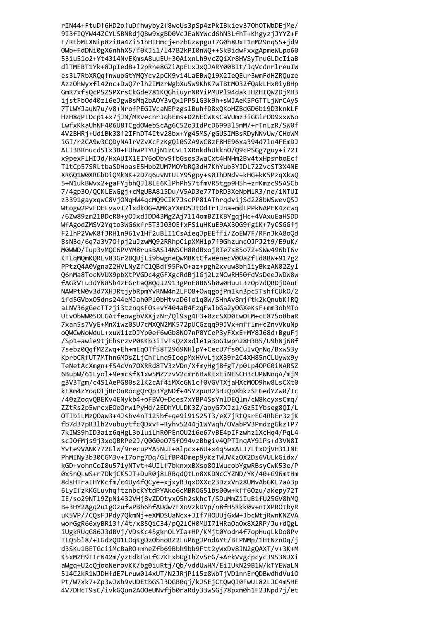rIN44+FtuDf6HD2ofuDfhwyby2f8weUs3pSp4zPkIBkiev370h0TWbDEjMe/ 9I3fIQYW44ZCYLSBNRdjQBw9xgBD0VcJEaNYWcd6hN3LfhT+KhgyzjJYYZ+F F/REbMLXNip8ziBa4Zi51hHIHmcj+nzhGzwpguT7G0h8UxT1nM29nqSS+jd9 OWb+FdDNi0gX6nhhX5/f0KJi1/147B2kPI0nWQ++SkBidwFxxgApmeWLpo60 53iu51o2+Yt4314NvEKmsA8uuEU+30AixnLh9vcZQiXr8HVSyTruGLDcIiaB dlTMEBT1Yk+8JpIedB+l2pRne8GZiApELxJxQJARY00BIt/JqVcdnrlreuIW es3L7RbXRQqfnwuoGtYMQYcv2pCK9vi4LaEBwQ19X2IeQEur3wmFdHZRQuze AzzOhWyxfl42nc+DwQ7rlh2IMzrWgbXu5w9KhK7wTBtM032fQakLHx0iyBHp GmR7xfsQcPSZSPXrsCkGde781KQGhiuyrNRYiPMUP194dakIHZHIQWZDjMH3 ijstFb0d40zl6eJgwBsMq2bAOY3vQx1PP5lG3k9h+sWJAeK5PGTTLjWrCAy5 7TLWYJauN7u/v8+NrofPEGIVcaNEPzgs1BuhfD8xQKoHZBdGD6b19D3knkLF HzH8qPIDcp1+x7jJN/MRvecnrJqbEms+D26ECWKsCaVUmz3iGGirOD9xxW6o LwfxKkaUhNF406U8TCgdOWebScAg6C52o3IdPcD699315mM/+rTnLzR/SW0f 4V2BHRj+UdiBk38f2IFhDT4Itv28bx+Yg45MS/gGUSIMBsRDyNNvUw/CHoWM iGI/r2CA9w3CQDyNAlrVZvXcFzKgQl0SZA9WC8zF8HE96xa394d7ln4FEmDJ ALI3BRnucd5Ix3B+FUhwPTYUjN1zCvL1XRnkdhUkkn0/09cPSGg7guy+i72I x9pexF1HIJd/HxAUIX1EIY6oDbv9fbGsos3waCxt4HNHm2Bv4txHpsrboEcf T1tCp57SRLtbaSDHoasE5HbbZUM7MOYbR03dH7KhYub3YJDL72ZvcST3X4NE XRGQ1W0XRGhDiQMkNK+2D7q6uvNtULY9Sgpy+s0IhDNdv+kHG+kK5PzqXkWQ 5+N1ukBWvx2+gaFYjbhQJ18LE6K1PhPhS7tfmVR5tgp9H5h+zrKmzc95ASCb 7/4gp30/QCKLEWGgj+cMgUBA815Du/V5AD3e77TbRD3XeNpMlR3/ne/iNTUI z3391gayxqwC8VjONqHW4qcMQ9CIK7JscPP81AThrqdvijSd228bWSwevQSJ Wtogw2PvFDELvwvI71xdkOG+AMKaYXmD5JtOdTrTJna+mdLPPkNAPEK4zcwg /6Zw89zm21BDcR8+yOJxdJDD43MgZAj7114omBZIKBYgqjHc+4VAxuEaHSDD WfAgodZMSV2Yqto3WG6xfr5T3J03OEfxFSiuHKuE9AX3OG9fgiK+7yCSGGfj F21hP2VwK8fJRH1n961v1Hf2uBlI1CsAieqJpEEffi/ZoEW7F/RFnJkA8oQd 8sN3q/6q7a3V70fpj2uJzwMQ92RRhpC1pXMH1p7f9Ghzumc0JPJ2t9/E9uK/ M0WWD/Iup3vMQC6PVYM8rusBASJ4NSCH80dBxojRIe7s85o72+SWw496bT6v KTLqMQmKQRLv83Gr2BQUjLi9bwgneQwMBKtCfweenecV00aZfLd8BW+917g2 PPtzQ4A0VgnaZ2HVLNyZfC1QBdf95PwO+az+pgh2xvuw8bh1iyBkzAN02Zyl Q6nMa8TocNVUX9pbXtPVGDc4gGFXgcRdBjlGj2LzNCwRH50fdVsDeeJWDW8w fAGkVTu3dYN85h4zEGrtaQ8QqJ2913gPnE8B6Sh0w0HuuL3zOp7dQRDjDAuF NAWPtW0v3d7XHJRtjybRpmYvRNW4n2LF08+OwqgojPmIkn3pc5TshfCUk0/2 ifd5GVbx05dns244eMJah0Pl0bHtvaD6fo1q0W/SHnAv8mjftk2kQnubKfRQ aLNV36gGecTTzji3tznqsFOs+vY404aB4FzqFwlbGa2yOGXeKsF+mm3ohMTo UEvObWW050LGAtfeowgbVXXjzNr/Ql9sg4F3+0zcSXD0EwOFM+cE87So8baR 7xan5s7VyE+MnXiwz0SU7cMXQN2MK572pUCGzqq99JVx+mfflm+cZnvVkuNp oQWCwNoWduL+xuW11zDJYp0ef6wGb8N07nP0YCeP3yFXxE+MY8J68d+BguFj /Sp1+awie9tjEhsrzvP0KKb3iTvTsQzXxdle1a3oG1wpn28H3B5/U9hNj68f 7sebz0QqfMZZwq+Eh+mEqOTf58T2969NHlpY+CecU7fs0CuIvQrNq/BxwS3y KprbCRfUT7MThn6MDsZLjChfLnq9IoqpMxHVvLjxX39r2C4XH85nCLUywx9y TeNetAcXmgn+fS4cVn70XRRd8TV3zVDn/XfmyHgjBfgT/p0Lp40PG0iNARSZ 6BupW/61Lyol+9emcsfX1xw5MZ7zvV2cmr6HwKtxtiNtSCH3cUPWNnqA/mjM g3V3Tgm/c4S1AePG80s2lK2cAf4iMXcGN1cf0VGVTXjaHXcMOD9hw8LsCXt0 kFXm4zYoqOTjBrOnRocgQrQp3YgNDf+45YzpuH23HJQp8bkzSFGedYZw0/Tc /40zZoqvQBEKv4ENykb4+oFBVO+Dces7xYBP4SsYn1DEQ1m/cW8kcyxsCmg/ ZZtRs2p5wrcxE0e0rw1PyHd/2EDhYULDK3Z/aoyG7XJz1/Gz5IYbseg8QI/L OTIbiLMzQOaw3+4Jsbv4nT125bf+qe9i91S25T3/eX7jRtQsrEG4RbEr3zjK fb7d37pR31h2vubuytfc0DxvF+Ryhv5244j1WYWgh/0VabPV3PmdzgGkzTP7 7kIWS9hID3aiz6gHgL3bluiLhR0PEnOU2i6e67vBE4pIFzwhz1XcHg4/PgL4 scJ0fMis9i3xo0BRPe2J/00G0e075f094vzBbgiv40PTIngAY91Ps+d3VN8I Yvte9VANK772GlW/9recuPYA5NuI+8lpcx+6U+x4a5wxALJ7LtxOiVH31INE PhMINv3b30CGM3v+I7org7Da/G1fBP4Dmep9vKzTWUVKz0X2Ds6VULkGidx/ kGD+vohnCoI8u571yNTvt+4UILf7bknxxBXso801WucobYgwRBsyCwK53e/P 0x5n0LwS+r7DkiCK5JT+DuR0i8LRBadOtLn8XKDNcCYZND/YK/40+G96mtHm 8dsHTraIHYKcfm/c4Uv4f0Cve+xixvR3qx0XXc23DzxVn28UMvAbGKL7aA3p 6LvIfzkKGLuvhaftznbcKYtdPYAko6cMBROG51bs00w+kff6Ozu/akepv72T IE/so29NT19ZpNi432VHi8vZDDtvxO5h2skhcT/SDuMmZiIuB1fU25GV8hMO B+3HY2Agq2u1gOzufwPBb6hfAUdw7FXoVzkDYp/n8fH5Rkk0v+ntXPROtbyR uK5VP//COsFJPdv70kmNi+eXMDSUaNcx+JIf7HOUUiGxW+JbcWtiRwnKNZVA worGgR66xvBR13f/4t/x85OiC34/pO21CH0MUI71HRaOaOx8X2RP/Ju+dOgL iUgkRUaG86J3dBVi/VDsKc45gknOLYIa+HP/KMit0Yodn4f7opHuaLkDo8Pv TLQ5b18/+IGdzQD1LOqKgDzObnoRZ2LuP6gJPndAYt/BFPNMp/1HtNznDa/i d3SKu1BETGciiMcBaRO+mheZfb69Bbh9bb9Ftt2yWxDv8JN2gQAXT/v+3K+M K5xMZH9TTrN42m/yzEdkFoLfC7KFxbUgIhZvSrG/+ArkVvgcpcyc3953NJXi aWgq+U2cQjooNerovKK/bg0iuRtj/Qb/vddUwHM/EiIUkN29B1W/kTYEWaLN 514C2kR1WJDHfdE7Lruw014xUT/N2JRjP1i5z8WbTjVD1nnErQDBwdhdVuiO Pt/W7xk7+Zp3wJWh9vUDEtbGS13DGB0qj/kJSEjCtQwQI0FwUL82LJC4m5HE 4V7DHcT9sC/ivkGQun2A00eUNvfjb0raRdy33wSGj78pxm0h1F2JNpd7j/et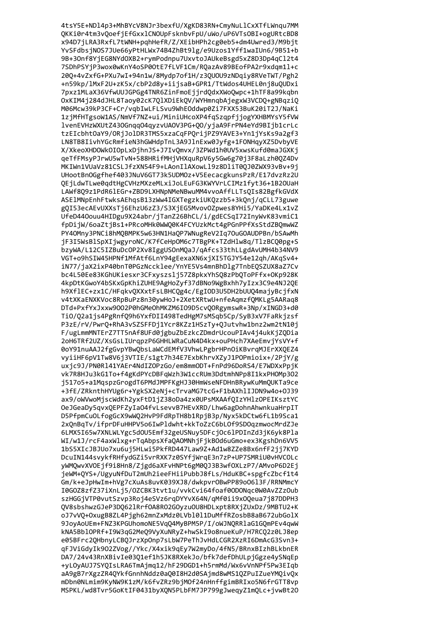4tsY5E+ND14p3+MhBYcV8NJr3bexfU/XgKD83RN+CmyNuL1CxXTfLWnqu7MM QKKi0r4tm3vQoefjEfGxxlCNOUpFsknbvFpU/uWo/uP6VTsOBI+ogURtcBD8 x94D7jLRA3RxfL7tWNH+pqhHefR/Z/XEibHPh2cg0eb5+dm4Uwred3/M9bjt YvSFdbsjNOS7JUe66yPtHLWx74B4ZhBt9lg/e9Uzos1Yff1waIUn6/9B51+b 9B+3Onf8YjEG8NYdOXB2+rymPodnpu7UxvtoJAUkeBsgd5xZ8D3Dp4qCl2t4 7SDhPSYjP3wox0wKnY4oSP00tE7fLVF1Cm/RQazAv89BEofPA2r9xdqm11+c 20Q+4vZxfG+PXu7wI+94n1w/8Mydp7of1H/z3QUOU9zNDqiy8RVeTWT/Pgh2 +n59kp/lMxF2U+zK5x/cbP2d8y+iijsaB+GPR1/TtWdos4UHEL0nj8uQUDxi 7pxz1MLaX36VfwUUJGPGg4TNR6ZinFmoEjjrdQdxXWoQwpc+1hTF8a99kqbn OxKIM4j284dJHL8Taoy02cK7QlXDiEkQV/WYHmnqbAjegxW3VCDQ+gNBqziQ M06Mcw39kP3CF+Cr/vqbIwLFLSvu9WhEOddwp0Zi7FXX53BuK20iT2J/NaKi 1zjMfHTgsoW1AS/NmVf7NZ+ui/MiniUHcoXP4fqSzqpfjjogYXHBMYsY5fVW lvenEVHzWXUtZ430Gnqq04qyzvUA0V3PG+Q0/yjaA9FrPN4eYd9BIjb1crLc tzEIcbhtOaY9/ORjJolDR3TMS5xzaCqFPOrijPZ9YAVE3+Yn1jYsKs9a2gf3 LN8TB8IivhYGcRmfieN3hGWHdpTnL3A9JlnExw0Jyfg+1FONHqyXZ5DvbyVE X/XkeoXHDOWkOIOpLxDjhnJS+J7IvOmvx/3ZPWd1h0UV5xwsKufd0maJGXKj geTfFMsyPJrwU5wTvN+588HRifMHjVHXguRpV6y5Gw6g70j3F8aLzh00Z4Dv MKIWn1VUaVz81CSLJfzXN54F9+LAonIlAXowLl9z8DliT00J0ZWX93vBv+9j UHootBn0Ggfhef403JNuV6GT73k5UDM0z+V5EecacgkunsPzR/E17dvzRz2U QEjLdwTLwe0qdtHgCVHzMXzeMLxiJoLEuFG3KWYVrLCIMz1fyt36+1B20UaH LAWf809z1PdR61EGr+ZBD9LXHNpNMeNBwuMM4vvoAffLLTs0Is82BgfkGVdX ASE1MNpEnhFtwksAEhgsB13zWw4IGXTegzkiUKQzzb5+3kQnj/gCLL73guwe gQI53ecAEvUXXsTj6EhzU6zZ3/S3XjEG5MvovOZpwes8YHi5/YaDKe4Lx1vZ UfeD440ouu4HIDgu9X24abr/jTanZ26BhCL/i/gdECSqI72InyWvK83vmiC1 fpDijW/6oaZtjBs1+PRcoMHk0WWQ0K4FCYUzkMct4gPGnPPfXsStdZBQmwWZ PY40Mny3PNCi8hMQBMPK5w63HN1HaQP7WNugReV2Iq70uG0AUDPBn/bSAwMh jF3I5WsBlSpXIjwgyroNC/K7fCeHpOM6c7TBgPK+TZdHlw8q/TlzBCQ0pg+S bzyWA/L12C5IZBuDcOP2Xv8IggUSOnMQaJ/qAfcs33thLLgdAvUMH4b34NV9 VGT+o9hSIW45HPNf1MfAtf6LnY94gEexaXN6xjXI5TGJY54e12qh/AKqSv4+ iN77/jaX2ixP40bnT0PGzNccklee/YnYE5Vs4mnBhDlg7TnbEQSZUX8aZ7Cv bc4L50Ee83KGhUKiesxr3CFxyszslj57Z8pkxYhSQ8zPbQToPFfx+OKp928K 4kpDtKGwoY4bSKxGpKhiZUHE9AgHoZyf37dBNo9WgBxhh7yIzx3C9e4NJ2QE h9Xf1EC+zx1C/HFqkvQXXxtFsLBHCQg4c/EgIOD3U5DH2bUUQ4majyBcjfxN v4tXKaENXKVoc8RpBuPz8n30ywHoJ+2XetXRtwU+nfeAqmzfQMKLg5AARaq8 DTd+PxfYxJxxw9002P0hGMeOhMKZM6I09D5cvQ0RgymswR+3Np/xINGD3+d0 TiO/Q2a1js4PgRnfQ9h6YxfDII498TedHgM7sMSqb5Cp/SyB3xV7FaRkjzsf P3zE/rV/PwrQ+RhA3vSZSFFDj1Ycr8KZz1HSzTy+QJutvhw1bnz2wm2tN10j F/ugLmmMNTErZ7TT5nAf8UFd0jgbuZbEzkcZDmdrUcouPIAv4j4ukKjZQDia 2oH6TRf2UZ/XsGsLIUrqpzP6GHHLWRaCuN4D4kx+ouPHch7XAeEmvjYsVY+f 0oY91nuAAJ2fgGvpYBwQbsLaWCdEMfV3VhwLPgbrHPnOiKBvrqMJErXXQEZ4 vyiiHF6pV1Tw8V6j3VTIE/s1gt7h34E7ExbKhrvXZyJ1POPmioix+/2PjY/g uxjc9J/PN0Rl41YAEr4NdIZOPzGo/em8mmODT+FnPd96DoRS4/E7WDXxPpjK vk7R8HJu3kG1To+f4gKdPYcDBFqWzh3W1ccRUm3DdtmhNPp8I1kxPHOMp302 j517o5+a1MqspzGrogdT6PMdJMPFKgHJ30HmWseNFDHnBRywKuMmQUKTa9ce +3fE/ZRknthHYUg6r+YgkSX2eNj+cTrvaMG7tcG+F1bAXhlIJDN9w4o+0J39 ax9/oWVwoMjscWdKh2yxFtD1jZ38oDa4zx0UPsMXAAfQIzYHlzOPEIKsztYC OeJGeaDy5qvxQEPFZyIaO4fvLsevvB7HEvXRD/Lhw6agDohnAhwnkuaHrpIT D5PfpmCuOLfogGcX9wWQ2HvP9FdRpTH8b1RpjB3p/Nyx5kDCtw6fL1b9Sca1 2x0nBqTv/ifprDFuHHPV5o6IwPldwht+kkToZzC6bL0f9SD0qzmwocMrdZJe 6LMX5I65w7XNLWLYgc5d0U5Emf32geUSNuv5DFcj0c6lPDInZd3jK6vk8Pla WI/w1J/rcF4axWlxg+rTgAbpsXfaOAOMNhiFikBOd6uGmo+ex3KgshDn6VV5 1bS5XIcJBJUo7xu6ui5HLwi5PkfRD447Law9Z+Ad1w8ZZe8Bx6nfF2ii7KYD DcuIN144svvkfRHfvdGZi5vrRXK7z0SYfiWraE3n7zP+UP7SMRiU0vHVCOLc vWMOwvXVOEjf9i8Hn8/Zjgd6aXFvHNPt6gM00J3B3wf0XLzP7/AMvoP6D2Ej ieWM+0YS+/UgvuNfDuT2mUh2ieeFHiiPubbJ8fLs/HduKBC+spgfcZbcf1t4 Gm/k+eJpHwIm+hVg7cXuAs8uvK039XJ8/dwkpvrOBwPP89oO613F/RRNMmcY I0G0Z8zfZ37iXnLi5/0ZCBK3tvt1u/vvkCvi64foaf00DONgc0W0AvZZzOub szHGGiVTP0vutSzvp3Roi4eSVz6raDYYvX64N/aMf0ii9x00eua7i87DDPH3 0V8sbshwzGJeP3D0621Rrf0A8R02G0yzu0U8HDLxpt8RXjZUxDz/9MBTU2+K oJ7vV0+0xugB8ZL4Pigh62mnZxMdz0LVb1011DuMffRZosbB8aB672ubGolX 9JovAoUEm+FNZ3KPGUhomoNE5Va04MvBPM5P/I/oWJNORRlaG1GOmPEv4awW kNA5Bb10PRf+I9W3aG2Me09VvXuNRvZ+hwSkI9o8nueKuP/H7RC02z0LJ8ep e05BFrc20HbnvLCB0JrzXp0np7sLbW7PeThJvHdLCGR2XzRI6DmAcG3Svn3+ qFJViGdyIk902ZVog//Ykc/X4xik9qEy7W2myDo/4fN5/BRnxBIzhBLkbnER DA7/24v43RnXBivIe03Q1ef1h5JK8RXekJo/bfk7defDhULpjGgze4ySNqEp +yLOyAUJ7SYQIsLRA6TmAjmq12/hF29DGD1+h5rmMd/Wx6vVnNPf5Pw3EIqb aA9gB7rXgzZR4QYkfGnnhNddz0aQ0I8H2d0SAjmd8wMS1QZPuIZueYMQivQx mDbn0NLmim9KyNW9K1zM/k6fvZRz9bjMOf24nHnffgimBRIxo5N6frGTT8vp MSPKL/wd8Tvr5GoKtIF0431byXQN5PLbFM7JP799gJweqyZ1mQLc+jvwBt20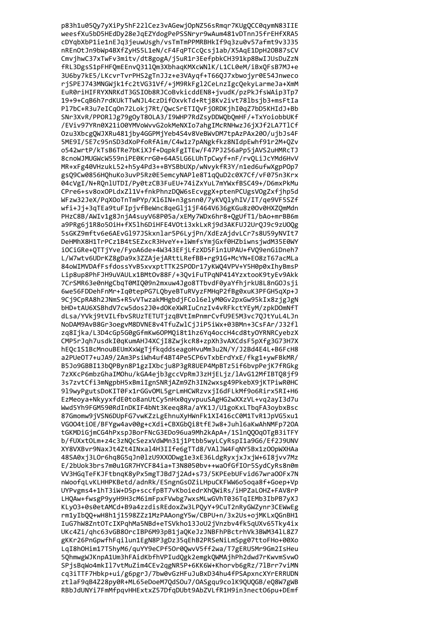p83h1u05Qy7yXiPy5hF22lCez3vAGewjOpNZ56sRmqr7KUgQCC0qymN83IIE weesfXu5bD5HEdDy28eJqEZYdogPePSSNryr9wAum481vDTnnJ5frEHfXRA5 cDYqbXbP1ie1nEJq3jeuwUsgh/vsTmTmPPMRBHkIf9q3zu0v57afmt9v3J35 nREnOtJn9bWp4BXfZyHS5L1eN/cF4FqPTCcQcsj1ab/X5AqE1DpH2OB87sCV CmvjhwC37xTwFv3mitv/dt8gogA/j5uR1r3EefpbkCH391kp8BwIJUsDuZzN fRL3DgsS1pFHFQmEEnvQ311Qm3XbhaqKMXcWNlK/L1CL0eM/iBxQFsB7MJ+e 3U6by7kE5/LKcvrTvrPHS2gTnJJz+e3VAyqf+T66QJ7xbwojyr0E54Jnweco rjSPEJ743MNGWjk1fc2tVG31Vf/+jM9RkFgl2CeLnzIgcQekyLarmeJa+XmM EuR0riHIFRYXNRKdT3GSIOb8RJCoBvkicddEN8+jvudK/pzPkJfsWAip3Tp7 19+9+CqB6h7rdKUkTTwNJL4czDifOxvkTd+Rtj8Kv2ivt78lbsjb3+msFtIa P17bC+R3u7eICq0n72Lokj7Rt/QwcSrETIQvFj0RDKjhI0qZ7bD5KHIdJ+Bb SNr3XvR/PPORlJg79gOyT8OLA3/I9WHP7RdZsyDDWQbQmHF/+TxYoiobbUKf /EViv97YRn0X21i00YMVoWvvG2okMeNXIo7ahgIMcRNHwzJ6jXJf2LA7TlCf Ozu3XbcgOWJXRu481jby4GGPMjYeb4S4v8VeBWvDM7tpAzPAx200/ujbJs4F 5ME9I/5E7c95nSD3dXoPfoRfAim/C4w1z7pANgkfkz8NIdpEwhf91r2M+QZv o542wrtP/kTsB6TRe7bKiXJf+DqpkFgITEw/F47PJ256aPp5jAVS2uHMRcTJ 8cnoWJMUGWcW559niPE0KrrG0+64A5LG6LUhTpCwyf+nF/rvOLiJcYMd6HvV MR+xFg40VHzukL52+h5y4Pd3++BYSBbUXp/wNvykfR3Y/n1ed6ufwXgpP0p7 gs09Cw0856H0huKo3uvP5Rz0E5emcyNAP1e8T1q0uD2c0X7Cf/vF075n3Krx 04cVgI/N+RQnlUTDI/Py0tzCB3FuEU+74iZxYuL7mYWxfBSC49+/D6mxPkMu CPre6+sv8oxOPLdxZl1V+fnkPhnzDQW6sEcvggX+ptenPCUgsVOgZxfjhp5d WFzw32JeX/PqXOoTnTmPYp/X16IN+n3gsnn0/7yKVQlyhIV/IT/qe9VF5SZf wfi+Jj+3qTEa9tuFIpjvfBeWnc8qeGlj1jF464V636gKGu8z0Ov0HXZQmMdn PHzC8B/AWIv1g8JnjA4suyV68P05a/xEMy7WDx6hr8+QgUfT1/bAo+mrBB6m a9PRg6j1R8o5OiH+fX5lh6DiHFE4VOti3xkLxRj9d3AKFUJ2UrQJ9c9zUOQg 5sGKZ9mftv6e6AEvGl97JSkxnlar5P6LyjPn/XdEzAjdvLCr7s8U59yNVIt7 DeHMhX8H1TrPCz1B4tSEZxcR3HveY++1WmfsYmjGxf0HZbiwnsjwdM35E0WY iOCiGRe+QTTjYve/FyoA6de+4W343EFjLfzXD5Fin1UPAU+fVQ9enGiDneh7 L/W7wtv6UDrKZ8gDa9x3ZZAjejARttLRefBB+rg91G+McYN+E08zT67acMLa 84oWIMVDAfFsfdossYvB5xvxptTTK2SPODr17yKWQ4VPV+Y5H0p0xIhyBmsP Lip8up8PhFJH9uVAULx1BMt0v88F/+3QviFuTPqNP414YzxtooK9tyEv9Akk 7CrSMR63e0nHgCbqT0MIQ09n2mxuw4Jgo8TTbvdF0yaYfhjrkU8L8nG0Jsji 6we56FDDehFnMr+Iq0tepPG7LQbyeBTuRVyzFMHqP2fBg0xuK3PFGH5qXp+J 9Cj9CpRA8h2JNmS+R5vVTwzakMHgbdjFCol6elyM0Gv2pxGw95kIx8zjgJgN bHD+tAU6XSBhdV7cw5dos2J0+dOKeXWRIuCnzIv4vRFkctYEyM/zpkDOmNfT dLsa/YVkj9tVILfbvSRUzTETUTjzqBVtImPnmrCvfU9E5M3vc7QJtYuL4LJn NoDAM9AvB8Gr3oegvM8DVNE8v4TfuZwlCjJiP5iWx+03BMn+3CsFAr/J32fl zq8Ijka/L3D4cGp5G0gGfmKw6OPMQi8t1hz6Yq4occH4cd8tyOYRNRCyebzX CMP5rJqh7usdkI0qKumAHJ4XCjI8ZwjkcR8+zpXh3vAXCdsF5pXfg3G73H7X hEQc1S1BcMnouBEUmXxWgTjfkqddseagoHvuMm3u2N/Y/J2Bd4E4L+B6FcH8 a2PUeOT7+uJA9/2Am3PsiWh4uf4BT4Pe5CP6vTxbErdYxE/fkg1+ywFBkMR/ B5Jo9GBBI13bQPByn8P1gzIXbcju8P3gR8UEP4MpBTz5if6bvpPejK7fRGkg 7zXKcP6mbzGhaIMOhu/kGA4ejb3gccVpRmJ3zHjELjz/lAvG12MfIBTQ8jf9 3s7zvtCfi3mNgpbH5xBmiIgnSNRjAZm9Zh3IN2wxsg49PkebX9jKTPiwR0HC 919wyPgutsDoKIT0Fx1rGGvOML5grLmHCWRzvxjI6dFLkMf9o6Rirx5RI+H6 EzMeoya+NkyyxfdE0to8anUtCy5nHx0qyvpuuSAgHG2wXXzVL+vq2ayI3d7u Wwd5Yh9FGM590RdInDKIF4bNt3Keeq8Ra/aYK1J/U1goKxLTbqFA3oybxBsc 87Gmomw9jVSN6DUpFG7vwKZzLgEhnuXyHWnFk1XI416cC0M1TvR1JpVG5xu1 VG004ti0E/BFYgw4av00g+cXdi+CBXGb0i8tfEJw8+Juhl6aKwAhNMFp720A tGKMDiGimCG4hPxspJBorFNcG3EDo96ua9Mh2kApA+/1Sln000q0TgB3iTFY b/fUXxt0Lm+z4c3zNOcSezxVdWMn31i1Ptbb5wvLCvRspI1a9G6/Ef2J9UNV XY8VXBvr9NaxJt4Zt4INxal4H3IIfe6gTTd8/VAlJW4FqNY5Bx1z0OpWXHAa 48SA0xi3LOr6hq8G5qJn0lzU9XXODwg1e3xE36LdgRvxixJxiW+6I8ivv7Mz E/2bUok3brs7m0u1GR7HYCF84ia+T3N8050bv++wa0fGfI0r5SydCyRs8n0m VV3HGaTeFKJFtbnaK8vPx5mgTJBd7i2Ad+s73/5KPEebUFvid67wra00Fx7N nWoofaLvKLHHPKBetd/adnRk/ESngnGsOZiLHpuCKFWW6o5oga8f+Goep+Vp UYPvgms4+1hT3iW+D5p+sccfpBT7vKboiedrXhOWiRs/iHPZaLOHZ+FAV8rP LHQAw+fwsgP9yyH9H3cM6imFpxFVwbg7wxsMLwGVhT036TqIEMb3IbPB7yXJ KLy03+0s0etAMCd+B9a4zzdisREdoxZw3LPOyY+9CuT2nRyGWZynr3CEWwEg rm1vIb00+wH8h1i1598ZZz1MzPAAongY5w/CBPU+n/3x2Us+oiMKLx0GnBH1 IuG7hW8ZntOTcIXPahMa5NBd+eTSVkho13JoU2jVnzbv4fk5aUXv65Tkv4ix UKc4Zi/ghc63vGB80rcIBP6M93pB1jaQKeJzJNBFhPBctrhVk3BWM341L8Z7 gKKr26PnGpwfhFqilun1EgN8P3gDz35qEhB2PRSeNiLmSpg07ttoFHo+00Xo LgI8h0Him17T5hyM6/guYY9eCPf50r00wvV5ff2wa/T7gERU5Mr9Gm2IsHeu 5QhmwgWJKnpA1Um3hFAidKbfhVPIudQgk2emgkQWMAjhPh2dwd7rKwvmSvwO SPjsBqWo4mkIl7vtMuZim4CEv2qgNR5P+6KK6W+Khorvb6gRz/7lBrr7viMN cq3iTTF7Hbkp+ui/g6pgrJ/7bw0vGzHFuJuBxD34hu4fPSApxncXYrERRUDN ztlaF9qB4Z28py0R+ML65eDoeM7QdSOu7/OASgqu9colK9QUQGB/eQ8W7gWB RBbJdUNYi7FmMfpqvHHExtxZ57DfqDUbt9AbZVLfR1H9in3nect06pu+DEmf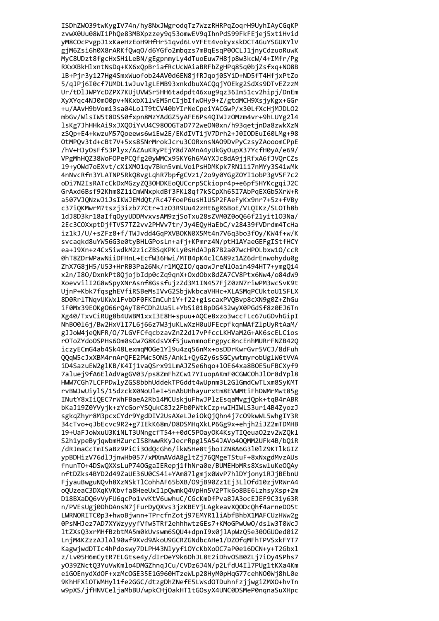ISDhZW039twKygIV74n/hy8NxJWgrodqTz7WzzRHRPqZoqrH9UyhIAyCGqKP zvwX0Uu08WI1PhQe83MBXpzzey9q53omwEV9qIhnPdS99FkFEjej5xt1Hvid yM8COcPvgpJ1xKaeHzEoH9HfHr51qvd6LvYFEt4vokyxskDCT4GuYSGUKYlV gjM6Zsi6h0X8rARKfQwq0/d6YGfo2mbqzs7mBqEsqP0OCLJ1jnyCdzuoRuwK MyC8UDzt8fgcHxSHiLeBN/gEgpnmyLy4dTuoEuw7H8jp8w3kcW/4+IMfr/Pg RXxXBkHlxntNsDq+KX6xQpBriafRcUcWAiaBRFbZgHPq85q0bjZsfxq+NO8B 1B+Pjr3y127Hg4SmxWuofob24AV0d6EN8jfRJqoj0SYiD+ND5fT4HfjxPtZo 5/qJPj6I0cf7UMDL1wJuvlgLEMB93xnkdbuXACQqjYOEkg2SdXs9DTvEZzzM Ur/tDlJWPYcDZPX7KUjUVWSr5HH6tadpdt46xug9qz36Im51cv2hipj/DnEm XyXYqc4NJ0mO0pv+NKxbX1lvEM5nCIjbIfwOHy9+Z/gtdMCH9XsjyKgx+GGr +u/AAvH9bVom13sa04LolT9tCV40bYIrNeCpeiYACGwP/x30LfXcHjMJDL02 mbGv/WlsIW5t8DSS0fxpn8MzYAdGZ5yAFE6Ps4QIWJzOMzm4vr+9hLUYg214 lsKg7JhHHkAi9xJXQOiYvU4C9800GTaD772weON0xn/h93qetjnDa8zwkXzN zSOp+E4+kwzuM57Ooeews6wiEw2E/EKdIVTijV7Drh2+J0IODEuI60LMg+98 OtMPQv3td+cBt7V+5xs8SNrMrokJcru3CORxnsNAO9DvPyCzsyZAooomCPpE /hV+HJyOsFf53Plyx/AZAuKRyPEjY8d7AMnA4yUkGyOupX37YcfH0yA/e69/ VPgMhH0Z38WoF0PePC0fg20yWMCx95KY6h6MAYXJc8dA9jjRfxA6fJV0rCZs 19+yOWd7oEXvt/cXiXMO1qv7Bkn5vmLVo1PsHDMKpk7RN1ii7nMYy3S41wMk 4nNvcRfn3YLATNP5RkQ8vgLqhR7bpfgCVz1/2o9y0YGgZOYI1obP3gV5F7c2 oDi7N2IsRATcCkDxMGzyZQ3OHDKEoQUCcrpSCkiopr4p+e6pf5HYKcgqiJ2C GrAxd6Bsf92Khm8Z1iCmWNxpkdBf3FK18qf7kSCpXh65I7AbPqEXGb5XrW+R a507VJQNzwJ1JsIKWJEMdQt/Rc47foeP6usHlUSP2FAeFyKx9nr7+5z+fVBy c37iQKMwrM7tszj3izb77Ctr+1z03R9Uu42zHt6gR6BoE/VLQIKz/SL0Th8b 1dJ8D3kr18aIfq0yyUDDMvxvsAM9zjSoTxu28sZVM0Z0oQ66f21yit103Na/ 2Ec3COXxptDjfTVS7TZ2vv2PHVv7tr/Jy4EQyHaEbC/v28439fVDrdm4TcHa iz1kJ/U/+sZFz8+f/TWJvdd4GqPXVBOKN0X5Mt4n7V6q3bo3fOy/KW4f+w/K svcaqkd8uYW56G3e0tyBHLGPosLn+afj+KPmrz4N/ptH1AYaeGEFgIStfHCY ea+J9Xn+z4Cx5iwdkM2zicZBSqKPKLy0sHdAJp87B2a07wcHPOLbxw10/ccR 0hT8ZDrWPawNiiDFHnL+EcfW36Hwi/MTB4pK4clCA89z1AZ6drEnwohydu0g ZhX7G8jH5/U53+HrRB3Pa26Nk/r1MQZIO/qaowJreNlOain494HT7+ymgQi4 x2n/I8O/DxnkPt8QjojbIdp0cZq9qnX+OxdObx8dZA7CV8Ptx6Nw4/o84dW9 XoevvilI2G8wSpyXNrAsnf8GssfujzZd3M1IN457FjZ0zN7riwPM3wcSvK9t UjnP+Kbk7fqsghEVfiRSBeMsIVvG2SbjWkbcaVHHc+XLASMqPCUktoU1SFLX 8D0RrlTNqvUKWxlFvbDF0FKImCuh1Y+f22+g1scaxPVQBvp8cXN9g0Z+ZhGu iF0Mx39E0Kg066rQAyT8fCDh2Ua5L+YbSi01BpDG432wyX0PGdSf8z0EJ6Tn Xg40/TxvCiRUg8b4UWBM1xxI3E8H+spuu+AQCe8xzo3wccFLc67uGOvhGipI NhBO016j/Bw2HxVlI7L6j66z7W3juKLwXzH0uUFEcpfkqnWAfZlpUyRtAaM/ gJJoW4jeQNFR/O/7LGVFCfqcbzavZnZ2dl7vPfccLKHVaM2G+AK6scELCios r0ToZYdoOSPHs6Om0sCw7G8KdsVXf5juwnmnoErgpyc8ncEnhMURrFNZB42Q iczyECmG4ab4Sk48LexmqMOGe1Y19u4zq56nMx+osDDrKwrGvr5VCJ/8dFuh QQqW5cJxXBM4rnArQFE2PWc5ON5/Ank1+QyGZy6sSGCywtmyrobUglW6tVVA iD4SazuEW2glKB/K4Ij1vaQSrx91LmAJZ5e6hqo+lOE64xa8BOE5uFBCXyf9 7aluej9fA6ElAdVagGV03/ps8ZmFhZCw17YIuopAKmF0CGWCOhJlOr8dYpl8 HWW7CGh7LCFPDwlyZGS8bbhUddekTPGddt4wUpnm3L2GlGmdCwTLxm8SyKMT rvBWJwUiylS/15dzckX0NoUleI+5nAbUHhayurxtm8EVWMtiFhDWMrMwt85g INutY8xIiQEC7rWhFBaeA2Rb14MCUskjuFhwJPlzEsqaMvgjQpk+tqB4rABR bKaJ19Z0YVyjk+zYcGorYSQukC8Jz2Fb0PWtkCzp+wIHIWLS3ur14B4ZyozJ sgkgZhyr8M3pcxCYdr9YgdDIV2UsAXeLJeiOkQjQhn4j7cO9kwWL5whgIY3R 34cTvo+gJbEcvc9R2+g7IEkK68m/D8DSMHgXkLP6Gg9x+ehjh2iJZ2mTDMHB 19+UaFJoWxuU3KiNLT3UNngcfT54++0dC5POavOK4KsvTIOeuaO2zv2WZOkl S2h1vpeBviawbmHZurcIS8hwwRKvJecrRpg15A54JAVo400MM2UFk4B/b0iR /dRJmaCcTmISaBz9PiCi3OdOcGh6/ikW5He8tiboIZN8A6G3101Z9KT1kGIZ vpBDHizV76dlJinwHb057/xMXmAVdA8gltZi76OMgeTStuF+8xNxgdMvzAUs fnunT0+4DSwQXXsLuP74OGgaIERepj1fhNra0e/BUMEHbMRs8XswluKeOQAy nftDZks4BYD2d49ZaUE36U0CS4i+YAm871gmix0WvP7h1DYionv1RJiBEbnU FivauBwguNOvh8XzNSkTlCohhAF65bXB/09iB90Zz1Ei3LlOfd10ziVRWrA4 oOUzeaC3DXqKVKbvfa8HeeUxI1pOwmkO4VpHn5V2PTk6o8BE6LzhsvXsp+2m D18BXaD06vVvFU6gcPo1vvKtV6uwhuC/CGcKmDfPva8JA3ocEJEF9C31v63R n/PVEsUgj0DhDAnsN7jFurDyOXvs3jzKBEYjLAgkeavXOODcOhf4arneDO5t LWRNORITC0p3+hwoBiwnn+TPrcfnZoti97EMYR1liAbfBhbX1MAFCUzHWw2g 0PsNHJez7AD7XYWzyyyfVfw5TRf2ehhhwtzGEs7+KMoGPwUw0/dslw3T0WcJ 1tZXs03xrMHfBzbtMA5m0kUvswm6S0U4+dpnI9x0ilApWz05e300GU0ed0iZ LniM4KZzzAJ1A190wf9Xvd9AkoU9GCRZGNdbcAHe1/DZOfaMFhTPVSxkFYT7 KagwjwdDTIc4hPdoswy7DLPH43Nlyyf1OYcKbXoOC7aP0e16DCN+y+T2Gbxl z/Lv05H6mCytR7ELGtse4y/dIrDeY9k6DhJL8t2iDhvOSB0ZLj7iOy4SPhs7 y039ZNctQ3YuVwKmlo4DMGZhnqJCu/CVDz6J4N/p2LfdU4I17PUg1tKXa4Km eiGOEnydXdOF+xzMcOGE35E1G960HTzeWLp28HyM0pHqG77cehNO0Wj8hL0e 9KhHFX10TWMHy11fe2GGC/dtzgDhZNefE5LWsd0TDuhnFzjjwgiZMX0+hvTn w9pXS/jfHNVCeljaMbBU/wpkCHjOakHT1tGOsyX4UNC0DSMeP0nqnaSuXHpc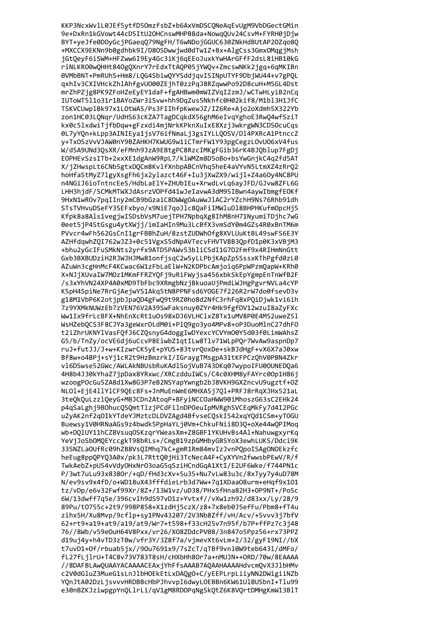KKP3NcxWvlL0JEf5ytfD50mzfsbZ+b6AxVmDSCQNeAqEvUgM9VbDGectGMin 9e+DxRn1kGVowt44cD5ItU2OHCnswMHPB8da+NowqQUv24CsvM+FYRH0jDjw BYT+yeJfe0DOyGcjPGaeqQ79NgFH/T6wNDojGGUC630ZNkHdBUtAP20Zqo8Q +MXCCX9EKNn9b0gdhbk9I/D8OSDwwjwd0dTw1Z+8x+AlgCss3GmxOMqgjMsh jGtQeyF6iSWM+HFZww6I9Ey4Gc3iKj6qEEoJuxkYwHArGFfF2dsL8iHB10kG riNLKRO0wQHHt840gQXnrY7rEdxTtAQP05jYWQv+ZmcswNKk2jgq+6qMKIBn 0VMbBNT+PmRUhS+Hm8/LQG4SbiwQYYSddjqvISINpUTYF9DbjWU44+v7gPQL qxhIv3CXIVHckZhlAhfgvU000ZEjhT0zzPqJ8RZqwwPo92D8cuH+M5GL4Dst mrZhPZjg8PK9ZFoHZeEyEY1daF+fgAHBwm0mWIZVqI2zmJ/wCTwHLyiB2nCq IUToWT511o31r1BAYoZWr3iSvw+hh9DqZus5Nkhfc0H02kif8/M1b13H1JfC TSKVCUwplBk97x1LOtWA5/Ps3FIIhfpKwewJZ/IZ6Re+Ajo2oXdmh5X322Yb zon1HC03LQNqr/UdHS63cKZA7TagDCqkdX56ghM6eIvqYghoE3RwQ4wfSziT kx0c51xdwiTjfbDqw+gFzxdi4mjNrkKPknXuIxE8Xzj3wkrgWN3CDSOcuCqs 0L7yYQn+kLpp3AINIEya1jsV76ifNmaLj3gsIYLLQOSV/Dl4PXRcA1PtnccZ y+TxOSzVvVJAW0nY9BZAHKH7KWUG9w1iCTmrFW1Y93pgCegzLOvU06xV4fus W/d5A9UNd3QsXR/eFMnh9JzA9EBtgPC8RzcIMKgFGib36rK4BJQblup7FgDj EOPHEvSzsITb+2xxXE1dgAnW9RpL7/k1WMZm8D5oBo+bsYwGnjkC4q2fd5AT X/jZHwspLt6CNb5gtxDOCm8KvlfXnbpABCnVhq5heE4aVYvN5LtmXZ4zRrO2 hoHfaStMyZ7lgyXsgFh6jx2ylazct46F+Iu3jXwZX9/wijl+Z4a60y4NC8PU n4NGiJ6ioTntncEeS/HdbLaElY+ZHUbIEu+XrwdLvLq6ayJFD/GJvw8ZFL6G LHH3hjdF/SCMkMTWXJdAsrzVOPfd41wJeIavwA3dM95IBwn4aywIbmgfEOKf 9HxN1wROv7pqIIny2mCB9bGzaiC8DWWgOAuWwJlAC2rYZchH9Ns76Rhb91dh STsTVHvuDSeFY3SEFxbyo/x9NiE7qoJlc8OaFiIMWluDl8BHPHKufmOpcHi5 Kfpk8a8Als1vegjwISDsbVsM7uejTPH7NpbqXg8IhM8nH71NyumiTDjhc7wG 0eet5jP4StGsgu4ytXWjj/imIaHIn9Mu3LcBfX3vmSdY0m4GZs4R0xBnTM6m PVvcr4wFh562GsCnI1grFBBhZuH/8zstZUDWhOfg8XVLUuKtBL49swFS6E3Y AZHfdqwhZQI762wJZ3+0c51VgxS5dNpAVTecvFHVTV8B3QpfD1p0K3xVBjM3 +bhu2yGcIFuSMkNts2yrfx9ATD5PAWv53bliCSdI1G7D2Fmf9x4RIHmNnGtt Gxb3BXBUDziH2RJWJHJMw81onfjsqC2w5yLLPbjKApZp5SssxKThPgfd0zL0 AZuWn3cgHnMcF4KCwac6W1zFbLaElW+N2KDPbcAmjoiq6PpWPzmQapW+KRh0 X+NJjXUvaIW7MOz1MKmFFRZYQFj9uRiFWyjsa456xbkSkEpYgmpEnTnWfB2F /s3xYhVN24XP4A0xMD9TbFbc9XRmgbNzjBkuoaUjPmdLWJHgPgvrNVLa4cYP K5pH4SpiNe7RrGjAejwYS1Akq5tN8PPNFsd6YOGE7f226R2rW7do0fsevD3v g18M1VbP6K2otjpbJpaQD4gFwQ9t9RZ0ho8d2NfC3rhFq8xPQiDjwk1vi6ih 7z9YXMkNUWzEb7zVEN76V2A39SwFaksnuy0ZYr4Hk9fgfDV12wzuI8aZyFXc Ww1Ix9frLcBFX+NhEnXcRt1u0s98xDJ6VLHClxZ8Tx1uMV8P0E4M52uweZ51 WsHZebQCS3F8CJYa3geWxrDLdM0i+PlQ9go3yo4MPv8+oP3DuoMlnC27dhF0 t2iZhrUKNYlVasFQfJ6CZQsnyG4doggIwDYexcYCVYmO0Y5d03f0LimWAhsZ G5/b/TnZy/ocVE6dj6uCcvP8EiwbZ1qtILw8Tlv71WLpPQr7WvAw9aspnDp7 ruJ+futJJ/J+w+KIzwrCK5yE+pYUS+83tvrQoxDe+skBJdHgF+vX6X7aJ0xw Bf8w+o4BPj+sYj1cR2t9HzBmzrkI/IGraygTMsgpA31tKFPCzQhV0PBN4Zkr v16DSwse52GWc/AWLAkNBUsbRuKAdlSojVuB743DKq07wypoIFU00UNEDQa6 4H8b4J30kYhaZ7jpDax8YRxwc/XRCzdduIWCs/C4c0XHM8yFAYrc00p1H86j wzoogPOcGu5ZA8d1Xw8G3P7eB2NSYapYwngb2bJ8VKH9GXZncvU9ugztf+0Z NLO1+EjE411Y1CF9QEc8Fs+JnMuEnWmE6MHXA5j7Q1+PRFJ8rRqXJHx521aL 3teQkQuLzz1QeyG+MBJCDn2AtoqP+BFyiNCCOaHWW90iMhoszG63sC2EHk24 p4qSaLghj9BOhucQSQmtTlzjPCdFilnDPOeuIpMVRghSVCEqMkFy7d4I2PGc uZyAK2nf2q0IkYTdeYJMztcDLDVZAgd4BfvseCQskI542xqYQd1CSm+yTOGU Buewsy1V0HRNaAGs9z4bwdk5PpHaYLj0Vm+ChkuFNii8D3O+oXe44w0PIMog wb+D01UY11hCZBVsua0SKzarYWeasXm+Z8GBF1YKUHvBs4A1+NahuwgxvrKa YeViJoSbOMOEYccgkT98bRLs+/CmgB19zpGMHbvGBSYoX3ewhLUKS/Ddci9K 33SNZLaOUfRc09hZB8VsOIMhq7kC+gmR1Rm84mvIzJvnPOpoISAgONOEkzfc heEug8pp0PY03A0x/pk3L7Rtt00iHi3TcNecA4F+CvXYVn2fwwsbPEwV/R/f TwkAebZ+pUS4vVdyOHxNrO3oaG5gSziHCndGgA1XtI/E2UF6Wke/f744PN1c P/3wt7uLu93x8380r/+aD/fHd3cXv+5u35+Nu7vLw83u3c/8xTvv7v4uD78M N/ev9sv9x4fD/o+WD18uX43fffdieLrb3d7Ww+7a1XDaa08urm+eHaf9x101 tz/vDp/e6v32Fwf99Xr/8Z+/13W1vz/uD38/PHx5fHna82H3+0P9NT+/Po5c 6W/13dwff7a5e/396cvlh9dS97vD1z+Yvtxf//vXw1zh92/d83xx/Lv/28/9 89Pu/t0755c+2t9/998P858+X1zdHj5czX/z8+7x8eb0J5efFu/Pbm8+fT4u zihx5H/Xu8Mvp/9cflp+sv1PNv43207/2V3Nb8Zff/vH/Acv/+Svvv3i7bfV 62+rt9+a19+at9/a19/at9/Wr7+t598+f33cH25v7n95f/b7P+ffPz7c3i48 76//8Wb/v59e0uH64V8Pxx/vr26/X08ZDdcPV08/3n847o5Ppz56+rx73PPZ d19ui4v+h4vTD3zT0w/vfr3Y/3Z8f7a/vimevXt6vLm+2/32/gvF19NI//bX t7uvD1+0f/rbuab5jx//90u7691x9/7sZcT/qTBf9vnl0W9teb6431/dMFo/ fL27fLilrU+T4C8v73V783T8sH/cHXbHh8Or7a+nMUJN++ORD/70w/8EAAAA //8DAFBLAwQUAAYACAAAACEAxjYhFfsAAAB7AQAAHAAAAHdvcmQvX3JlbHMv c2V0dGluZ3MueG1sLnJlbHOEkEtLxDAQgO+C/yEEPLrpLiiyNN2DWigiiNZb YQnJtA02DzLjsvvvHRDBBcHbPJhvvpl6dwyLOEBBn6KW61UlBUSbnI+Tlu99 e30nBZKJziwpgpYnQLlrLi/qV1gM8RDOPqNgSkQtZ6K8VQrtDMHgKmWI3BlT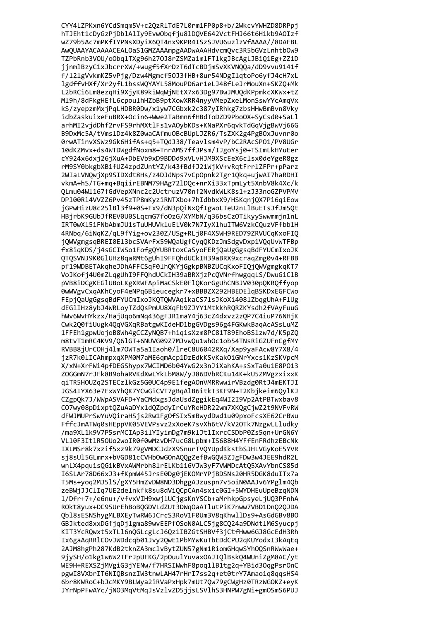CYY4LZPKxn6YCdSmqm5V+c2QzRlTdE7L0rm1FP0p8+b/2WkcvYWHZD8DRPpj hTJEht1cDyGzPjDblAlIy9EvwObqfju8lDQVE642VctFHJ66t6H1kb9AOIzf wZ79b5Ac7mPKfIYPNsXDyiX6QT4nx9KPR4ISzSJVU6uzlzVfAAAA//8DAFBL AwQUAAYACAAAACEALOaS1GMZAAAmpgAADwAAAHdvcmQvc3R5bGVzLnhtbOw9 TZPbRnb3VOU/oObqlTXg96h27OJ8rZSMZa1mlFTlkgJBcAgLJBiQ1Eg+ZZ1D jjnmlBzyC1xJbcrrXW/+wugf5fXrDzT6dTcBDjmSvXKVNQQa/dD9vvu9141f f/121gVvkmKZ5vPjg/Dzw4Mgmcf50J3fHB+8ur54NDgIlqtoPo6yfJ4cH7xL lgdffvHXf/Xr2yfL1bssWQYAYL58MouPD6ar1eLJ48fLeJrMouXn+SKZQ+Mk L2bRCi6Lm8ezqHi9XjyK89kiWqWjNEtX7x63Dg97BwJMUQdKPpmkcXKWx+tZ M19h/8dFkgHEfL6cpoulhHZbB9ptXowXRR4nyyVMepZxeLMonSswYYcAmqVx kS/zyepzmMxjPqLHDBR0Dw/x1yw7CGbxk2c387yIRhkg7zbsHHwBmBvn8Vky idbZaskuixeFuBRX+Ocin6+Wwe2TaBmn6fHBdToDZD9PboOX+SyCsd0+SaLl arhMI2vjdDhf2rvFS9rhMXtlFs1vAOybKDs+KNaPXr6qvkTdGqVjgBwVj66G B9DxMc5A/tVms1Dz4k8Z0waCAfmu0BcBUpLJZR6/TsZXK2g4PgB0xJuvnr0o 0rwATinvXSWz9Gk6HifAs+q5+TQdJ38/Teavlsm4vP/bC2RAcSP01/PV8UGr 10dKZMvx+ds4WTDWgdfNoxm8+TnrAMS7ffJPsm/IJgoYsj0+TSImLkHYuEer cY924x6dxj26jXuA+DbEVb9xD9BDDd9xVLvHJM9XScEeX6clsx0deYgeR8gz rM9SY0bkgbXBifUZ4zpdZUntYZ/k43fBdfJ21WjkV+vRqtFrrlZFPr+pParz 2WIaLVNQwjXp9SIDXdt8Hs/z4DJdNps7vCpOpnk2Tgr1Qkq+ujwAI7haRDHI vkmA+hS/TG+mq+BqiirEBNM79HAg72lDQc+nrXi33xTpmLyt5XnbV8k4Xc/k OLmu04Wl167fGdVepXNnc2c2UctruzV70nf2NvdkWLK8s1+zJ33noGZPVPMV DP100R14VVZZ6Pv45zTP8mKyziRNTXbo+7hIdbbxX9/HSKgnjQX7Pi6giEow jGPwHizU8c251B13f9+0S+Fx9/dN3pQiNxQfIgwoLTeU2nL1BuETsJfJm5Qt HBjrbK9GUbJfREV0U0SLqcmG7foOzG/XYMbN/q36bsCzOTikyySwwmmjn1nL IRT0wX15iFNbAbmJU1sTuUHUVkluELV0k7N7IyXlhuITW6VzkCOuzVFfbblH 4RNbq/6iNqKZ/qL9fYig+ov230Z/USg+RLj0F4XSWH9RED79ZRVUCqKxoFIQ jQWVgmgsqBREI0El3bcSVArFx59WQaUgfCyqQKDzJmSdgvDxp1VQqUvWTFBp fx8iqKDS/j4sGCIWSo1FofgQYUBRtoxCaSyoFERjQaUgGgsqBdFYUCmIxoJK QTQSVNJ9K0GlUHz8qaRMt6gUhI9FFQhdUCkIH39aBRX9xcraqZmg0v4+RFBB pf19WDBETAkqheJDhAFFCSqF0lhQKYjGgkpBNBZUCqKxoFIQjQWVgmgkqKT7 VoJKofj4U0mZLqgUhI9FFQhdUCkIH39aBRXjzPcQVNrfhwgqqLS/DwuGiClB pVB8iDCgKEGlUBoLKgXRWFApiMaCSkE0FlQKorGgUhCNBJV030pQKRQffyop 0wWVgvCxqAKhCyoF4eNPq6Bieucegkr7+xBBBZX292HBEDE1qBSKDxEGFCWo FEpjQaUgGgsqBdFYUCmIxoJKQTQWVAqikaCS7lsJKoXi408lZbqgUhA+FlUg dEG1IHz8ybJ4WRLoyTZdQsPmUU8XqFb9ZJYY1MtkkhRQRZKYsdh2fVAyFuuG hWv6WvHYkzx/HajUqo6mNq436gFJR1maY4j63cZ4dxvz2zQP7C4iuP76NHjK Cwk2Q0fiUugk4QqVGXqRBatgwKIdeHD1bgGVDgs96g4FGKwkBaqAcASsLuMZ 1FFEh1gpwUojoB8Wh4gCCZyNQB7+hiqisXzm8PC81T89EhoBSlzw7d/K5pZQ m8tvT1mRC4KV9/Q61GT+6NUVG09Z7MJvwQu1whOc1ob54TNsRiGZUFnCgfMY RVBB8jUrCOHj41m70WTa5a1Iaoh0/lreC8U6042RXq/Xap9yaFAcw8Y7X8/4 jzR7k0lICAhmpxqXPM0M7aME6qmAcp1DzEdkKSvKakOiGNrYxcs1KzSKVpcM X/xN+XrFWi4pfDEGShypx7WCIMD6b04YwG2x3nJiXahKA+sSxTa0u1E8P013 ZOGGmN7rJFk8B9ohaRVKdXwLYkLbM8W/yJ86DVbRCKu14K+kU5ZMVgzxixxK qiTR5H0UZq2STECzlkGz5G0UC4p9E1fegA0nVMRRwwirVBzdg0RtJ4mEKTJI JGS4IYX63e7FxWYhQK7YCwGiCVT7gBqAlB6itkT3KF9N+T2Kbjkeim6QylKJ CZgpQk7J/WWpASVAFD+YaCMdxgsJdaUsdZggikEq4WI2I9Vp2AtPBTwxbav8 CO7wy08pD1xptQZuAaDYx1dQZpdyIrCuYReHDR22wm7XKQgCjwZ2t9NVFvRW dFWJMUPrSwYuVQiraHSjs2Rw1FgOfSIx5mBwydDwd1u09pxoFcsXE62CrBWu FffcJmATWg0sHEppVK05VEVPsvz2xXoeK7svXh6tV/kV20Tk7NzgwLLludky /ma9XL1k9V7P5srMCIAp3ilYIvimDg7m9klJt1IxrcCSDbP0Zs5an+UrGN6Y VL10F3It1R5OUo2woIR0f0wMzvDH7ucG8Lpbm+IS688H4YFfEnFRdhzEBcNk IXLMSr8k7xzif5xz9k79gVMDCJdzX9SnurTV0YUpdKkstbSJHLVGvKoE5YVR si8sUl5GLmrx+bVGD81cCVHbOwGOnAOOgZefBwGOW3ZJgFDw3w4JEE9hdR2L wnLX4pquisOGikBVxAWMrbh8lrELKb1i6VJW3yF7VWMDcAt05XAvYbnCS85d I6SLAr78D66xJ3+fKpmW45JrsE0Dg0iEKOMrYPiBDSNs20HR5DGK8duITx7a T5Ms+voa2MJ51S/gXY5HmZvDW8ND3DhggAJzuspn7v5oiN0AAJv6YPg1m40b zeBWiJJClIa7UE2delnkfk8su8dViOCpCAn4sxic0GI+5WYDHEuUpeBzaNDN 1/Dfr+7+/e6nu+/vfvxVIH9xwilUCigsKnYSCb+aMrhkpGpsveLiU03PFnhA ROkt8yux+DC95UrEhBoBOGDVLdZUt3DWqOaATlutPiK7nww7VBD1Dn020JDA Ob18sESNShvgMLBXEvTwRW6JCrcS3RoV1F0Um3V8aKhwllDs9+AsGdGBv8BO GBJkted8xxDGfiaDilgma89wvEEPf0SoN0ALC5ig8C024a9DNdtlM6Svucpi KIT3YcROwxt5xTL16n0GLcgLcJ6Oz1IBZGtSHBVf3iCtfHww6GJ8GcEdH3Rh Ix6gaAqRRlCOvJWDdcqb01Jvy2QwE1PbMYwKuTbEDdCPU2qKUYodxI3kAqEq 2AJM8hgPh287KdB2tknZA3mclvBytZUN57gNm1RiomGHqwSYhOQSnRWwWae+ 9jySH/o1kg1w6W2TFrJpUFKG/2p0uulYuvax0AJIQ1BskQ4WUniZgM8AC/yt WE9H+REXSZjMVgiG3jYENw/f7HRSIWwhF8poq1lB1tg2q+YBid3OqgPsrOnC pgwI8VXbrIT6NIQBsnzIW3tnwLAH47rHrI7ss2q+et0trY7Amao1q8qqsHS4 6br8KWRoC+bJcMKY9BLWya2iRVaPxHpk7mUt7Qw79gCWgHz0TRzWGOKZ+eyK JYrNpPFwAYc/jNO3MqVtMqJsVzlvZD5jjsLSVlhS3HNPW7gNi+gmOSmS6PUJ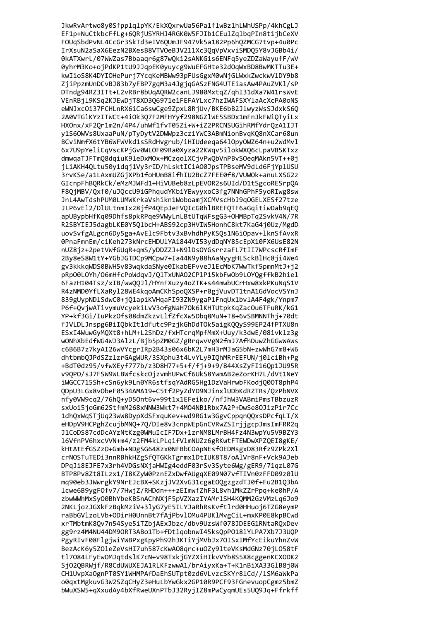JkwRvArtwo8y0SfpplqlpYK/EkXQxrwUa56Pa1flwBz1hLWhUSPp/4khCgLJ EF1p+NuCtkbcFfLg+6QRjUSYRHJ4RGK0W5FJIb1CEulZqlbqPIn8t1jbCeXV FOUqSbdPvNL4CcGr3SkTd3eIV6QUmJF947Vk5a182Pp6hQZMCG7tvp+4u0Pc IrXsuN2aSaX6EezN2BXesB8VTVOeBJV211Xc3QqVpVxviSMDQ5Y8vJGBb4i/ 0kATXwrL/07WWZas7Bbaaqr6g87wQki2sANKGis6ENFq5yeZDZaWayufF/wV 0yhrM3Ko+ojPdKP1tU9JJqpEK0yuycg9WuEFGHte32dOqWxBD8BwMKTTu3E+ kwIioS8K4DYIOHePurj7YcqKeMBWw93pFUsGgxM0wNjGLWxkZwckwVlDY9b8 ZjiPpzmUnDCvBJ83b7yFBP7gqM3a4JgjqGASzFNG4UTEiasAw4PAuZVKl/sP DTndg94RZ3ITt+L2vRBr8bUqAQRW2canLJ980MxtqZ/qhI31dXa7W41rsWvE VEnRBjl9KSq2KJEwDjT8XD3Q6971e1FEFAYLxc7hzIWAFSXYlaAcXcPA0oNS eWNJxcOi37FCHLnRX6iCa6swCge9ZpxL8RjUv/BKE6bB2JlwyzWsSJdxkS6Q 2A0VTGlKYzITWCt+4i0k3Q7F2MFHYyf298NGZlWE5SBDx1mFnJkFWiQTyiLx HXOnx/xF2Qr1m2n/4P4/uhWf1fvT05Zi+W+iZ2PRCNSUGihRMfYdrQzA1IJT y1S6OWVs8UxaaPuN/pTyDytV2DWWpz3cziYWC3ABmNionBvqK08nXCar68un BCviNmfX6tYB6WFWVkd1sSRdHvgrub/iHIUdeeqa6410py0WZ64n+u2WdMvl 6x7U9pYeliCqVscKPjGv0WLOF09Ra0Xyza22KWqv5ilokWX06cLpaVB5KTxz dmwgaTJFTm08dgiuK9leDxM0x+MCzgolXCjvPw0bVnPBvS0egMAkn5VT++0j jLiAKH4QLtu50y1dqj1Vy3rID/hLsktIC1A00JpsTPBseMV9dLd6FjYplUSU 3rvKSe/a1LAxmUZGjXPb1foHUmB8ifhIU2BcZ7FEE0f8/VUWOk+anuLXSG2z GIcnpFhBQRkCk/eMzMJWFd1+HiVUBeb8zLpEVOR2s6UId/D1tSgcoRESrpQA F8QjMBV/Qxf0/uJQccU9iGPhqudYKbiYEwyyxoC3fg7NNhGPhF5yoRIwg8sw JnL4AwTdshPUM0LUMWKrkaVshikn1WoboamjXCMVscHbJ9qOGELXESf27tze JLP6vEl2/DlULtnmIx28jfP4QEpJeFVQIcG0hlBREFQTF6aGqitiwDab9qEQ apUBypbHfKq09Dhfs8pkRPqe9VWyLnLBtUTqWFsgG3+OHMBpTq2SvkV4N/7R R2SBYIEJ5dagbLKE0Y5QlbcH+ABS92cp3HVIW5HonhC8kt7KaG4j0Uz/MgdD uovSvfgALgcn6Dy5ga+AvElc9Fbtv3xBvhdhPyKSQs1N6iOpav+lknSfAvxR 0PnaFmnEm/ciKeh273kNrcEHDUlYA1844VI53ydDqNY85cEpX10FX6UsE82N nUZ8jz+2petVWfGUqR+qmS/yDDZZJ+N91DsOYGsrrzaFL7tII7WPcscRfImF 2By8eS8W1tY+YGbJGTDCp9MCpw7+Ia44N9y88hAaNyygHLSckBlHc8ji4We4 gv3kkkqWDS0BWH5v83wqkdaSNye0IkabEFvveJ1EcMbK7WwTkf5pmnMtJ+j2 pRp00LOYh/O6mHfcPoWdqvJ/QlTxUNAO2CPlP15kbFwOb9LOYQgffkB2hiel 6FazH104Tsz/xIB/wwQQJl/HYnFXuzy4oZTK+s44mwbUCrHxw8xkPKuNqS1V R4zNMD0YfLXaRyl28WE4kqoAmCKhSpoQXSP+r0gjVuvDT1tnA1GdVocVSYnJ 839gUypNDlSdwC0+jQ1apiKVHqaFI93ZN9ygaP1FnqUx1bvlA4F4gk/Ynpm7 P6f+QvjwATivymuVcyekiLvV3ofgNaH70k6lKHTUtpkKqZacOu6TFuRK/kG1 YP+kf3Gi/IuPkzOfs08dmZkzvLlfZfcXw5Dbq8MuN+T8+6vSBMNNThj+70dt fJVLDLJnspg6BiIQbkIt1dfutc9PzjkGhDdTOk5aigKQQyS99EP24fPTXU8n ESxI4WuwGyMQXt8+hLM+L2ShDz/fxHTcrqMpfMmX+Uuy/k3dwE/08ivklz3g wONhXbEdfWG4WJ3AlzL/Bjb5pZM0GZ/gRrqwvVgN2fmJ7AfhDuwZhGGwWAWs c6B6B7z7kyAI26wVYcgrIRp2B43s06x6bK2L7mH3rMJaG5bN+zwWhG7m8+W6 dhtbmbQJPdSZzlzrGAgWUR/3SXphu3t4LvYLy9IQhMRrEEFUN/j0lciBh+Pg +BdT0dz95/vfwXEyf777b/z3D8H77+5+f/fj+9+9/844XsZyFI16Qp1JU95R v9QPO/sJ7FSW9WLBWfcskcOjzvmhUPwCf6UkS8YwmAB2eZorKH7L/dVt1NeY iWGCC715Sh+cSn6yk9Ln0YR6stfsqYAdRG5Hg1DzVaHrwbFKodjQ00T8phP4 QDpU3LGx8vObeF0534AMA19+C5tf2PyZdYD9NJinxlUDbKdRZTRs/QzPbNVX nfy0VW9cq2/76hQ+yD50nt6v+99t1x1EFeiko//nfJhW3VABmiPmsTBbzuzR sxUoi5joGm62StfmM268xNNW3Wkt7+4M04NB1Rbx7A2P+DwSe8OJizPir7Cc 1dhQxWqSTjUq23wW8DypXdSFxquKev+wd9RG1w3GgvCppqnQQxsDPcfqLI/X eHDpV9HCPghZcujbMN0+70/DIe8v3cnpWEpGnCVRwZSIrjjgcpJmsImFRR2q J1CoDS87cdDcAYzNtKzg0WMuIcIF7Dx+1zrNM8LMrBH4Fz4N3wpYu5V9BZY3 16VfnPV6hxcVVN+m4/z2FM4kLPLaifV1mNUZz6gRKwtFTEWDwXPZ0EI8gKE/ kHtAtEfGSZzO+Gmb+NDgSG648zx0NFBbCOApNEsfOEDMsgxD83Rfz9ZPk2X1 crNOSTuTEDi3nnRBhkHZgSfOTGKkTgrmx1DtIUK8T8/oAlVr8nF+Vck9AJeb DPgJi8EJFE7x3rh4VDGsNXjaHWIg4eddF03rSv3Syte6Wg/gER9/71gzL07G BTP8Pv8Zt8ILzx1/I8KZvW0PznEZxDwfAUgaXE09N07vfTIVn0zFFD09z01U ma90eb3JWwrgkY9NrEJcBX+SKziJV2XvG31cgaE00gzgzdTJ0f+Fu2B103bA lcwe6B9vgF0fv7/7HwiZ/RHDdn+++zEImwfZhF3L8vh1MkZZrPpa+ke0hP/A zbwWWhMxSv00BhYbeKBSnAChNXiF5pVZXazIYAMrlSH4K0MM2GzVMzLq6Jo9 2NKLjozJGXkFzBgkMziV+3lyG7yE5ILYJaRhRsKvftlrd0HHuoj6TZG8eymP raBbGVlzoLVb+0DirH0UnnBt7fAiPbvl0Mu4PUKlMvgCiL+mxKP0E8kpBCwd xrTMbtmK8Qv7n54Sye5iTZbjAExJbzc/dbv9UzsWf078JDEEG1RNtaROxDev gg9rz4M4NU44DM90RT3ABo1Tb+fDtlaobnwI45ks0pP018lYLPA7Xb7J3U0P PgyRIvF08FlgjwiYWBPxgKpyPh92h3KTiYjMVbJx7OISxIMfYcEikuYhnZvW BezAcK6y5Z0leZeVsHI7uh587cKwA08qrc+u0Zy9lteVKsMdGNz70jL058tF tl7084LFyEw0MJqtdslK7cN+v98TxkjGYZXiHIkvVYb8S5X8cggenKCX0DK2 SjO2QBRWjf/R8CdUWUXEJA1RLKFzwwA1/brAiyxKa+T+K1nBiXA33GlB8j0W CH1UvpXaOgnPT0SY1WHMPAfDaEhSUTpt0zd6VLvzcSKYr8lCd//lSM6aWkPa o0qxtMgkuvG3W2SZqCHyZ3eHuLbYwGkx2GP10R9PCF93FGnevuopCgmz5bmZ bWuXSW5+qXxudAy4bXfRweUXnPTbJ32RyjIZ8mPwCyqmUEs5UQ9Jq+Ffrkff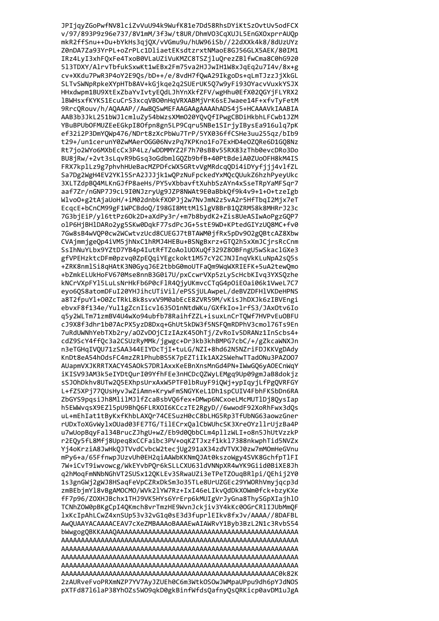JPIjqyZGoPwfNV8lciZvVuU94k9WufK81e7Dd58RhsDYiKtSzOvtUv5odFCX v/97/893P9z96e737/8V1mM/3f3w/t8UR/DhmV03CqXUJL5EnGX0xprrAUQp mkR2ffSnu++Du+bYkHs3qjQX/vVGmu9u/hUW96iSb//22dXXk4k8/8dUzUYz Z0nDA7Za93YrPL+oZrPLc1DliaetEKsdtzrxtNMaoE8GJ56GLX5AEK/80IM1 IRz4LyI3xhFQxFe4TxoB0VLaUZiVuKMZC8TSZjluQrezZBlfwCma8C0hG920 513TDXY/AlrvTbfukSxwKt1wEBx2Fm75va2HJJwIH1W8xJqEq2u7I4v/8x+g cv+XKdu7PwR3P4oY2E9Qs/bD++/e/8vdH7fQwA29IkgoDs+qLmTJzzJjXkGL SLTvSWNpRpkeXYpHTb8AV+kGjkqe2q2SUErUK5Q7w9yFi930YacvVuxkYSJX HHxdwpm1BU9XtExZbaYvIvtyEQdLJhYnXkfZFV/wgHhu0EfX02QGYjFLYRX2 1BWHsxfKYKS1EcuCrS3xcqVB00nHqVRXABMjVrK6sEJwaee14F+xfvTyFetM 9RrcQRouv/h/AQAAAP//AwBQSwMEFAAGAAgAAAAhADS4j5+HCAAAVkIAABIA AAB3b3JkL251bWJlcmluZy54bWzsXMmO20YQvQfIPwgCBDiHkbhLFCwb1JZM YBuBPUbOFMUZEeEGkpI8Ofpn8gn5LP9Cqru5NBe1SIrjyIBysEa916ulq7pK ef32i2P3DmY0Wp476/NDrt8zXcPbWu7TrP/5YX036ffCSHe3uu255qz/bIb9 t29+/un1cerunY0ZwMAer0GG06NvzPq7KPKno1Fo7ExHD4e0ZQRe6D1GQ8Nz Rt7jo2WYo6MXbEcCx3P4Lz/wDDMMYZ2F7h70sB8v55RX83zThb0evcDRo3Do BU8jRw/+2vt3sLqvR9bGsq3oGdbmlGOZb9bfB+40PtBdeiA0ZUoOFH8kM4IS FRX7kplLz9g7phvhHUeBacMZPDfcWX5GRtvVgMRdcq0Di4iDYyfjjj4vlfZL Sa7Dg2WgH4EV2YK15SrA2JJJjk1wOPzNuFpckedYxMOcOUukZ6hzhPyeyUkc 3XLTZdpBQ4MLKnGJfP8aeHs/PY5vXbbavftXuhbSzAYn4xSseTRpYaMFSqr7 aaf7Zr/nGNP7J9cL9I0NJzryUg9JZP8NWAt9E0aBbkQf9k4v9+1+0+tzeIgb WlvoO+g2tAjaUoH/+iM02dnbkfXOPJj2w7NvJmN2z5vA2r5HfTbqI2Mjx7eT EcqcE+bCnCM99gF1WPCBdoQ/I98GI8MttMlSlgV8BrB1QZRM58k8MHRrJ23c 7G3bjEiP/yl6ttPz6Ok2D+aXdPy3r/+m7b8bydK2+Zis8UeASIwAoPgzGQP7 olP6HjBHlDARo2yg5SKw0DqkF77sdPcJG+5stE9WD+KPtedGIYzUQ8MC+fv0 7Gw8sB4wVQP0cw2WCwtvzUcd8CUEGJ7tBTAWM0jfRx5pDv902gQBtcAZ8Xbw CVAjmmjgeQp4iVM5jhNxC1hRMJ4HEBu+BSNgBxrz+GTQ2h5xXmJCjrsRcCnm SsIhNuYLbx9YZtD7YB4p4IutRfTZoAolUOXuQf329Z8OBFngU5wSkaclGXe3 gfVPEHzktcDFm0pzvq0ZpEQqiYEgckokt1M57cY2CJNJInqVkKLuNpA2sQ5s +ZRK8nmlSi8qHAtK3N0GyqJ6E2tbbG0moUTFaQm9WqWXRIEFK+5uA2tewQmo +bZmkELUkHoFV670Mse8nnB3G0i7U/pxCcwrVXp5zLyScHcbKIvq3YXSQzhe kNCrVXpFYl5LuLsNrHkFb6P0cFlR4QjyUKmvcCTqG4pOiEOai06k1VweL7C7 eyo6QS8atomDFuI20YHJihcUTiVil/ePSSjULAwpeL/deBVZDFHlVKDeHPNS a8T2fpuYl+O0ZcTRkL8k8svxV9M0abEcE8ZVR59M/vKisJhDXJk6zIBVEngi ebvxF8f134e/Yul1gZcnIicvl63501nNtdWKu/GXfkIo+lrfS3/JAx0tv6Io q5y2WLTm71zmBV4U4wXo94ubfb78RaihfZZL+isuxLnCrTQWf7HVPvEuOBFU cJ9X8f3dhr1b07AcPX5yzD8Dxq+GhUt5kDW3f5NSFQmRDPhV3cmol76Ts9En 7uRdUWNhYebTXb2ry/a0ZvD0jCIzIAzK450hTj/ZvRoIv5DRANz1InScbs4+ cdZ9ScY4ffQc3a2CSUzRyMMk/jgwgc+Dr3kb3khBMPG7cbC/+/gZkcaWNXJn n3eTGHqIVQU71zSAA344EIYDcTjI+tuLG/NZI+8hd62N5NZriFDJKKVgDAdy KnDt8eA54hOdsFC4mzZR1PhubBS5K7pEZTiIk1AX2SWehwTTadONu3PAZOO7 AUapmVXJKRRTXACY4SAOkS7DRlAxxKeEBnXnsMnGd4PN+IWwGQ6yAOECnWqY iKISV93AM3k5eIYDtQurI09YfhFEe3nHCDcQZWyLEMgq9Up09gmJaB8dokjz sSJOhDkhv8UTw2Q5EXhpsUrxAxW5PTF01bRuyF9iQWj+ypIqyjLfPgQVRFGY L+fZ5XPj77QUsHyvJwZiAmn+KrywFmSNGYKeL1Dh1spCUIV4FbhFKSbDn6RA ZbGYS9pqsiJh8MlilMJlfZcaBsbVQ6fex+DMwp6NCxoeLMcMUTlDj8QysIap h5EWWvqsX9EZ15pU9BhQ6FLRX0I6KCczTE2RgyD//6wwodF92XoRhFwx3dQs uL+mEhIat1tByKxfKhbLAXQr74CESuzH0cC8bLHG5Rp3TfUbNG63aowzGner rUDxToXGvWylxOUad03FE7TG/TilECrxOalCbWUhcSK3XreOYzllrUjzBa4P u7wUopBavFal34BrucZJhgU+wZ/Eb9d00bbCLm4pllzWLI+o8n5JhUtVzzkP r2EOv5fL8Mfi8Upeq8xCCFaibc3PV+oqKZTJxzf1kk17388nkwphTid5NVZx Yi4oKrziA8JwHkOJTVvdCvbcW2teciUg291aX34zdVTVXJ0zw7mM0mHeGVnu mPv6+a/65FfnwpJUzvUh0EH2giAAWbKKNmOJAt0kszoWgv4SVK8GchfpTlFI 7W+iCvT9iwvowcg/WkEYvbP0r6kSLLCXU631dVNNpXR4wYK9Giid0BiXE8Jh g2hMogFmNNbNGhVT2SUSx120KLEv3SRwaUZi3eTPeTZOugBRlpi/OEhii2Y0 1s3gnGWi2gWJ8HSagFeVpCZRxDkSm3o35TLe8UrUZGEc29YWORhVmvigcp3d zmBEbimY18vBgAMOCMO/WVk21YW7Rz+IxI46eLIkvOdDkXOWm0fck+bzvKXe fF7p96/ZOXHJBchx1THJ9VK5HYs6YrErp6kMUIgVrJvGna8ThvSGpXIaihlO TCNhZOW0pBKgCpI40Kmch8vrTmzHE9WvnJckjiv3Y4kKc00GrCRlIJUbMm0F lxKcIpAhLCwZ4xnSUp53v32vG1a0sE3d3fuprlEIkv8fxJv/AAAA//8DAFBL AwOUAAYACAAAACEAV7cXeZMBAAAoBAAAEwAIAWRvY1Bvb3BzL2N1c3RvbS54 2zAURveFvoPRXmNZP7YV7AyJZUEh0C6m3WtkOSOwJWMpaUPpu9dh6pYJdNOS pXTFd87161aP38YhOZs5WO9qkD0gkBinfWfdsQafnyQsQRKicp0avDM1uJgA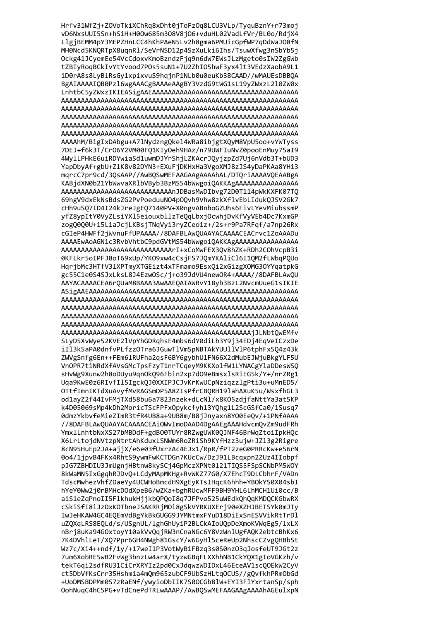Hrfv31WfZj+ZOVoTkiXChRq8xDht0jToFzOq8LCU3VLp/TyquBznY+r73moj vD6NxsUUI5Sn+hSiH+H0Ow685m3O8V8jO6+vduHL02VadLfVr/BL0o/RdjX4 LlgjBEMM4pY3MEPZHnLCC4hKhPAeN5Lv2h8gma6PMUicGpfWP7qDdWaJ08fN MH0Ncd5KNQRTpX8uqnRl/SeVrNSD12p4SzXuLki6Ihs/TsuwXfwg3nSbYb5j Ockg41JCyomEe54VcCdoxvKmoBzndzFjq9n6dW7EWsJLzMgeto0sIW2ZgGWb tZBIyRoqBCkIvYtYvood7POs5suN1+7U2ZhIO5hwF3yx4lt3VEdzXaobA9L1 iD0rA8s8LyBlRsGy1xpixvuS9hqjnP1NLb0u0euKb38CAAD//wMAUEsDBBQA BgAIAAAAIQB0Pzl6wgAAACgBAAAeAAgBY3VzdG9tWG1sL19yZWxzL210ZW0x AAAAhM/BigIxDAbgu+A7lNydzngQkel4WRa8ibjgtXQyM8VpU5oo+vYWTyss 7DEJ+f6k3T/CrO6Y2VM00FQ1KIyOeh9HAz/n79UWFIuNvZ0pooEnMuy75aI9 4WylLPHkE6uiRDYwiaSd1uwmDJYrShjLZKAcrJQyjzpZd7Uj6nVdb3T+bUD3 YapDbyAf+gbU+ZlK8v82DYN3+EXuFjDKHxHa3VgoXMJ8zJS4yDaPKAa8YHi3 mqrcC7pr9cd/3QsAAP//AwBQSwMEFAAGAAgAAAAhAL/DTQriAAAAVQEAABgA KABjdXN0b21YbWwvaXRlbVByb3BzMS54bWwgoiQAKKAgAAAAAAAAAAAAAAAA AAAAAAAAAAAAAAAAAAAAAAAAAAAAAnJDBasMwDIbvg72D0T114pWkKXFK07T0 69hgV9dxEkNsBdsZG2PvPoeduuN04p0Qvh9Vhw8zkXflvEbLIdukQJSV2Gk7 cHh9uSQ7ID4I24kJreJgEQ7140PV+X0ngvABnboGZUhs6FivLYevMiubssmP yfZ8ypItY0VyZLsiYXl5eiouxbllzTeQqLbxjOcwhjDvKfVyVEb4Dc7KxmGP zogQ0Q0U+15L1aJcjLKBsjTNqVyi3ryZCeo1z+/2s+r9Pa7RFqf/a7np26Rx cGIeP4HWFf2jWvnuFfUPAAAA//8DAFBLAwQUAAYACAAAACEACrvc1ZoAAADu AAAAAAAAAAAAAAAAAAAAAAAAAAAATI+xCoMwFEX3Qv8hZK+RDh2C0hVcpB3i 0KFLkr5oIPFJ8oT69xUp/YK09xw4cCsjFS7JQmYKAliCl6I1QM2fLWbqPQUo HqrjbMc3HTfV31XPTmyXTGEizt4xTFmamo9EsxQi2xGizgXOMG3OYYqatpkG gc55C1e0S4SJxLksL8J4EzwOSc/j+o39JdVU4newOR4+AAAA//8DAFBLAwQU AAYACAAAACEA6rQUaM8BAAA3AwAAEQAIAWRvY1Byb3BzL2NvcmUueG1sIKIE SLyD5XvWye52KVE2lVpYhGDRqhsE4mbs6dY0diLb3Y9j34EDj4EqVeICzxDe iIl3k5aPA0dnfvPLfzzOTra6JGuwTlVmSpNBTAkYUUllVlP6tphFx5Q4z43k ZWVgSnfg6En++FEm61RUFha2qsF6BY6gybhU1FN66X2dMubEJWjuBkgYLF5U VnOPR7tiNRdXfAVsGMcTpsFzyT1nrTCqeyM9KKXolfW1LYNACgYlaDDesWSQ sHvWg9Xunw2h8oDUyu9qn0kQ96Fbin2xp7d09eBmsxlsRiEG5k/Y+/nrZRg1 Uqa9KwE0z6RIvfIl5IgckQJ0XXIPJCJvKrKwUCpNziqzzlgPti3u+uMnED5/ OTtfImnIKTdXuAvyfMvRAGSmDP5A8ZIsPfrCBQRH19lahAXuK5u/WsxfhGL3 od1ayZ2f44IvFMjTXd58bu6a7823nzek+dLcNl/x8K05zdjfaNttYa3at5KP k4D05069sMp4kDh2MoricTScFPFxOpykcfyhl3YQhg1L2ScGSfCa0/1Susq7 0dmzYkbvfeMieZImR3tfR4UB8a+9UB8m/B8jJnyaxn8Y00EeQv/+1PNfAAAA //8DAFBLAwQUAAYACAAAACEAiOWvImoDAAD4DgAAEgAAAHdvcmQvZm9udFRh YmxlLnhtbNxXS27bMBDdF+gdB00TUYr8RZwgUWK00JNF46BrWaZtoiIpkHOc X6LrLtoidNVtzpNtrtAhKduxLSNWm6RoZRiSh9KYfHzz3uiw+JZ13g2Rigre 8cN95HuEp2JA+aiiX/e6e03fUxrzAc4EJx1/RpR/fPT2zeG0PRRcKw+e56rN 004/1ipvB4FKx4RhtS9vwmFwKCTDGn7KUcCw/DzJ91LBcaxpn2ZUz4IIobpf pJG7ZBHDIU3JmUgnjHBtnw8kySCj4GpMczXPNt0121TIOS5FSpSCNbPM5WOY 8kWaMN5IxGgghRJDvO+LCdvMApMKHg+RvWKZ77G0/X7EhcT9DLCbhrF/VADn TdscMwhezVhfZDaeYv4UCWHoBmcdH9XgEvKTsIHqcK6hhh+YBOkYS0X04sbI hYeY0Ww2i0rBMHcDOdXpeB6/wZKa+bghRUcwMFF9BH9YHL6LhMCH1Ui0cc/B aiS1eZaPnoII5FlkhukHiikb0P0oI8a7JFPvo525uWEdkOhOaKMDOCKGbwRX cSkiSfI8iJzDxKOTbneJSAKRRjMOi8gSkVYRKUXErj90eXZHJBETSYk0mJTy IwJeHKAW4GC4E0EmVdBgYkBkGUGG9JYMNtmxFYuD18DiExSnESVVikRtTrDl uZOXaLRS8EOLd/s/USgnUL/lghGhUviP2BLCkAIoUOpDeXmoKVWaEg5/lxLX nBrj8uKa94GOxtoyY10akVvQqjRW3nCnaNGc6Y8VzWnlUgfAQK2ebtcBhKx6 7K4DVhlLeT/X07Ppr6GH4NWgh81GscY/w6GvHl5ceReUp2NhscCZvgOHBbSt Wz7c/Xi4++ndf/1y/+17weI1P3VotWyB1FBzq3s0S0nz03qJosfeUT9JGt2z 7um6XobRE5wB2FvWg3bnzLw4arX/tyzwGBqFLXXhhNB1CkYQX1gIoVGKzh/v tekT6qi2sdfRU31CiCrXRYIz2pd0CxJdqwzWDIDxL46EceAV1scQOEkW2CyV ct5DbVfKsCrr35Hshmia4mQm965zubCF9UbSzHLtqOCUS//gQvfkhPRmObGd +UoDMSBDPMm0S7zRaENf/ywyioDbIIK7S0OCGbBlW+EYI3FlYxrtanSp/sph OohNuqC4hC5PG+vTdCnePdTRLwAAAP//AwBQSwMEFAAGAAgAAAAhAGEulxpN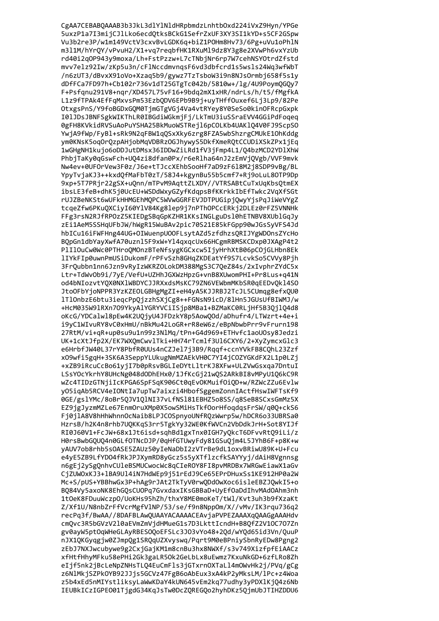CgAA7CEBABQAAAB3b3JkL3dlYlNldHRpbmdzLnhtbOxd224iVxZ9Hyn/YPGe 5uxzP1a7I3mijCJlLko6ecdQtksBCkG1SefrZxUF3XY3SI1kYD+s5CF2GSpw Vu3b2re3P/w1m149VctV3cxvBvLGDK6q+biZ1POHm8Hv73/6Pg+uVu1oPhlN m311M/hYrQY/vPvuH2/X1+vq7reqbfHK1RXuM19dz8Y3g8e2XVwPh6vxYzUb rd40i2q0P943y9moxa/Lh+FstPzzw+L7cTNbjNr6rp7W7cehNSY0trdZfstd mvv7elz92Iw/zKp5u3n/cFlNccdmvnqsF6vd3dbfcrd1s5wsls24Wq3wfWbT /n6zUT3/dBvxX91oVo+Xzaq5b9/gywz7TzTsboW3i9n8NJsOrmbj658f5s1y dDfFCa7FD97h+Cb102r736v1dT25GTgTc042b/5810w+/lg/4U9PoymQGQy7 F+Psfqnu291V8+nqr/XD457L75vF16+9bdq2mX1xHR/ndrLs/h/t5/fMgfkA L1z9fTPAk4EfFqMxvsPm53EzbQDV6EPb9B9j+uyTHffOuxef6Lj3Lp9/82Pe OtxgsPnS/Y9foBGDxGQM0TjmGTgVGj4Va4vtRYey8Y0SeSo0kinOFRcpGxpk I01JDsJBNFSgkWIKThLR0IBGdiWGkmjFj/LkTmU3iuSSraEVV4GGiPdFoqeq 0gFH8KVkidRVSuAoPuYSHA25BkMuoWSTRejl6pCOLKb4UAKlQ4V0FJ9ScpSO YwiA9fWp/FyBl+sRk9N2qFBW1qQSxXky6zrg8FZA5wbShzrgCMUkE10hKddg ym0KNsK5oq0rQzpAHjobMqVDBRz0GJhywyS5DkfXmeRQtCCUDiXSkZPx1jEq 1wGHgNH1kujo6oDDJutDMsx36IDDwZiLRd1fV3jFmp4L1/04bzMCD2YD1XhW PhbjTaKy0gGswFch+U04zi8dfan0Px/r6eRlha64nJ2zEmVjOVgb/VVF9mvk Nw4ev+0UFOrVew3F0z/J6e+tTJccXEhbSooHf7aD9zF618M2j8SDP9vBg/BL YpyTvjaKJ3++kxdQfMaFbT0zT/58J4+kgynBu55b5cmf7+Rj9oLuL8OTP9Dp 9xp+5T7PRjr22gSX+uQnn/mTPvM9AqttZLXDY//VTRSABtCuTxUqKbsQtmEX ibsLE3feB+dhK5j0UcEU+WSDdWxyGZyfKdqpsBfKKrkkIbEfTwkc2VqXfSGt rUJZBeNKSt6wUFkHHMGEhMQPC5WVwGGRFEVJDTPUGipjQwyYjsPqJiWeVYgZ tcqeZfw6PKuQXCiyI60YlV84Kg8lep9j7nPThOPCcERkj2DLEz0rFZ5VNNHk FFg3rsN2RJfRPOzZ5KIEDgSBqGpKZHR1KKsINGLguDs10hETNBV8XUblGqJy zEi1AeM5SSHqUFbJW/hWgR15WuBAv2pic70S21E85kFGpp90wJGsSyVFS4Jd hbICu16iFWFHng44UG+OIWuenpU00FLsytAZd5zfdhzsQRIJYgWD0nsZYcHo BQpGn1dbYayXwfA70uzn15F9xW+Y14qxqcUx66HCgmRBMSKCDxp0JXAgP4t2 PlIlOuCw0Wc0PTHroQMOnzBTeNfsygKGCxcw5IjyHrhXtB06pC0jGLHbn8Ek lIYkFIp0uwnPmUSiDukomF/rPFvSzh8GHqZKDEatYf9S7LcvkSo5CVVy8Pjh 3FrQubbn1nn6Jzn9vRyIzWKRZOLokDM388MgS3C7QeZ84s/2xIvphrZYdC5x Ltr+TdWv0b9i/7yE/VefU+UZHhJGXWzHpzG+vnB8XUwomPHI+Pr8Lus+q41N od4bNIozvtYQX0NXlWBDYCJJRXxdsMsKC79ZN6VEWbmMKbSR0qEEDvQkl4SO JtoOFbYjoNPPR3YzKZEOLGBHgMgZI+eH4yA5KJJRBJ2TcJL5CUmqg8efxQU0 lTlOnbzE6btu3ieqcPpQjzzhSXjCg8++FGNsN9icD/8lHn5JGUsUfBIWMJ/w +HcM035W91RXn7O9YkyAlYGRYVCiISjp8MBa1+BZMaKC0RLjHf5B3QjlQ4d8 oKcG/YDCalwl8pEw4K2UQjyU4JFDzkY8p5AowQOd/aDhufr4/LTWzrt+4e+i i9yC1WIvuRY8vC0xHmU/nBkMu42LoGR+rR8eW6z/eBpNbwbPrr9vFrurn198 27RtM/vi+qR+up0su9u1n99z3NlMq/tPn+G4d969+ETHvfc1aoUOsy8Jedzi UK+1cXtJfp2X/EK7WXQmCwvlTki+HH74rTcmlf3Ul6CXY6/2+XyZymcxGlc3 e6HrbfJW40L37rY8PbfR0UUs4nCZJel7j3B9/Rqqf+ccnYVkFB8CQhL23Zzf x09wfi5gqH+3SK6A3SeppYLUkugNmMZAEkVH0C7YI4jC0ZYGKdFX2L1p0LZj +xZB9iRcuCcBo61yjI7b0pRsvBGLIeDYtLltrKJ8XFw+ULZVwGsxqa7DntuI LSsYOcYkrhY8UHcNg048dODhEHx0/1JfKcGj21wQS2ARkBI8vMPyU1Q6kC9R wZc4TIDzGTNjiIcKPGA6SpFSqK906Ct0qEvOKMuifOiQD+w/RZWcZZu6Evlw y05iqAb5RCV4eIONtIa7upTw7aixzi4HbofSggemZonnIActfHswIWFTsKf9 0GE/gslYMc/8oBr5QJV1QlNI37vLfNSl81EBHZ5o8SS/q8SeB8SCxsGmMz5X EZ9jgJyzmMZLe67EnmOruXMp0X5owSMiHsTkf0orHfoqdqsFrSW/q0Q+ckS6 Fj0jlA8V8hHhWhnnOcNaib8LPJCOSpnyoUNfRQzWwrp5w/hDCR6o33UBRSa0 HzrsB/h2K4n8rhb7UQKKgS3rr5TgkYy32WE0KfWVCn2VbDdkJrH+Sot8YIJf RI0J60V1+FcJW+68x1Jt6isd+sahBd1gxTnx0IGH7v0kcT6DFvvRt09iLi/z H0rsBwbG0U04n0GLfOTNcDJP/0aHfGTUwvFdv81GSu0im4L5JYhB6F+p8K+w vAUV7ob8rhb5sOASE5ZAUz50vIeNaDbI2zVTrBe9dL1oxvBRiwU89K+U+Fcu e4vE5ZB9LfYD04fRkJPJXvmRD8vGcz5s5vXTf1zcfkSAYYvi/dAiH8Vgnnsg n6gEj2ySgOnhvCUleBSMUCwocWc8gCIeROY8FI8pvMRDBx7WRGwEiawX1aGv CiZUWOxKJ3+1BA9U14iN7HdWEp9i51rEdJ9Ce65EPrDHuxSs1KE912HP0a2W Mc+S/pUS+YBBhwGx3P+hAg9rJAt2TkTvV0rw0DdOwXoc6isleEBZJOwkI5+o B084Vv5axoNK8EhG0sCUOPq7GvxdaxIKsGBBaD+UvEf0aDdIhvMAd0Ahm3nh 1t0eK8FDuuWczp0/UoKHs95hZh/thxY8ME0moKeT/tWl/Kvt3uh3b9fXzaKt Z/Xf1U/N8nbZrFfVcrMgfVlNP/53/se/f9n8Npp0m/X//vMv/IK3rgu736g2 recPa3f/BwAA//8DAFBLAwOUAAYACAAAACEAviaPVPEZAAAXaOAAGgAAAHdv cmOvc3R5bGVzV210aEVmZmVidHMueG1s7D3LkttIcndH+B80fZ2V10C707Zn gy0ayW5pt0aWHeGLAyRBES00oEFSLc3J03yYo48+20d/wY0d65id3Vn/0uuP nJX1QKGyqgjw0ZJmpQg1SRQqUZXvyswq/Pqrt9M0eBPniySbnRyEDw8Pgng2 zEbJ7NXJwcubywe9g2CxjGajKM1m8cnBu3hx8NWXf/s3v749XizfpfEiAACz xfHtfHhyMFku58ePHi2Gk3gaLR50k2GeLbLx8uEwmz7KxuNkGD+6zfLRo8Zh eIjf5nk2jBcLeNpZNHsTLQ4EuCmFls3jGTxrnOXTaLl4mOWvHk2j/PVq/gCg z6NlMkjSZPkOYB92JJjs5GCVz47FgB6oAbEux3xA4kP2yMksLM/lPc+z4Woa z5b4xEd5nMIYstliksyLaWwKDaY4kUN645vEm2kq77udhy3yPDXlKjQ4z6Nb IEUBkICzIGPE001TjgdG34KqJsTw0DcZQREGQo2hyhDKz5QjmUbJTIHZDDU6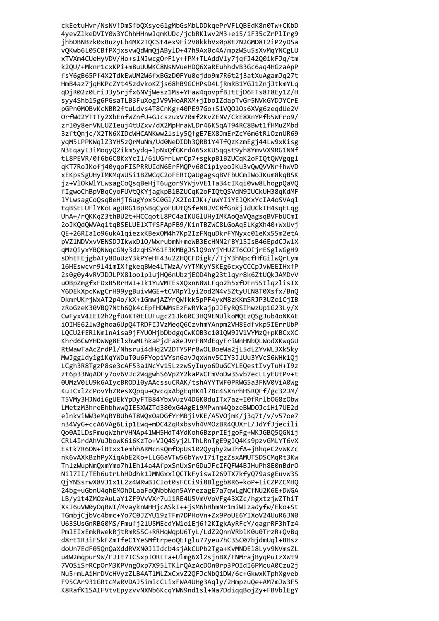ckEetuHvr/NsNVfDmSfbQXsye61gMbGsMbLDDkqePrVFLQBEdK8n0Tw+CKbD 4yevZlkeDVIY0W3YChhHHnwJqmKUDc/jcbRKlwv2M3+ei5/iF35cZrPlIrg9 jhbDBNBzk0xBuzyLb4MX2TQCSt4ex9Fi2V8kkbVx0p8t7N2GMD8T2iP2yDSa vQKwb6L05CBfPXjxsvwQdWmQjABylD+47h9Ax0c4A/mpzWSu5sXvMqYNCgLU xTVXm4CUeHyVDV/Ho+slNJwcgOrFiy+fPM+TLAddVly7jqfJ42Q0ikFJq/tm k2QU/+Mknr1cxKPi+m8uUUWKC8NsNVueHDQ6XaREuhhdvB3Gc6aq4HGzaApP fsY6gB65Pf4X2TdkEwUM2W6fxBGzD0FYu0ejdo9m7R6t2j3atXuAgamJq27t HmB4az7jqHKPcZYt45zdvkoKZjs68hB9GCHPsD4LjRmRB1YGJ1ZnjJtkmYLq qDjR02z0LriJ3y5rjfx6NVjWesz1Ms+YFaw4qovpfBItEjD6FTs8T8Ey1Z/H syy4Shb15g6PGsaTLB3FuXogJV9VHoARXM+jIboIZdapTvGr5NVkGYDJYCrE pGPn0MOBvKcNBR2ftuLdvs4T8CnKg+40PE97Go+S1VQ010s6XVg6zeqdUe2V OrfWd2YTtTy2XbEnfWZnfU+GJcszuxV70mf2KvZENV/CkE8XnYPfb5WFro9/ zrI0y8erVNLUZIeuj4tUZxv/dX2MpHraWLDr46KSqAT94RC8Bwt1fHMuZMbd 3zftQnjc/X2TN6XIDcWHCANKww2lsly5QfgE7EX8JmErZcY6m6tRlOznUR69 yqM5LPPKWqlZ3YH5zQrMuNm/Ud0NeDIDh3QRB1Y4TfQzKzmEgj44Lw9xKisg N3EqayI3iMoqyO2ikm5ydq+1pNxOfGKrdA6SxKU5qqst9yh8YmvVX9RG1NNf tL8PEVR/0f6b6C8KxYcIl/6iUGrrLwrCp7+sgkpB1BZUCqK2oFIOtOWVgqgl gKT7RoJKofj40ygoFISPRRUIdN6ErFMOPv60Cip1yeoJKu3v0w0VVNrfhwVD xEKpsSgUHyIMKMqWUSi1BZWCqC2oFERtQaUgagsqBVFbUCmIWoJKum8kqBSK jz+VlOkWlYLwsagCoQsqBeHjT6ugor9YWjvVE1Ta34cIKqi0vw8LhogpQaVQ fIgwoChBpVBqCyoFUVtQKYjagkpB1BZUCqK2oFIQtQSVdN9IUCkUH38qKdMF lYLwsagCoQsqBeHjT6ugYpx5C0Gl/X2IoIJK+/uwYIiYElQKxYcIA4oSVAql tqBSELUFlYKoLagURG1BpSBqCyoFUUtQSfeNBJVC8fGnkjJdUCkIH4sqELqg UhA+/rQKKqZ3thBU2t+HCCqotL8PC4aIKUGlUHyIMKAoQaVQagsqBVFbUCmI 2oJKQdQWVAqitqBSELUElXTfSFApFB9/KinTBZWC8LGoAqELKgXh40+WxUvj QE+26RIa1o96ukA1qiezxKBexOM4h7Kp2IzFNquDkrFYNyxc01eKx55m2etA pVZ1NDVxvVENSDJIkwxD10/WxrubmN+meWB3EcHNN2fBY15IsB46EpdCJwlX qMzQiyxYBQNWqcGNy3dzqHSY61F3KMBgJSlQ9oYjYHUZT6COIjrESglWGgH9 sDhEFEjgbATy8DuUzY3kPYeHF43u2ZHQCFDigk//TjY3hNpcfHfGilwQrLym 16HEswcvr9l4imIXfgkeqBWe4LTWzA/vYTMKyYSKEg6cxyCCCpJvWEEIHxfP 2s0g0y4vRVJDJLPX8loo1plujHQ6nUbzjEOD4hg23tlqyr8k6ZtUQkJAMDvV uOBpZmgfxFDxB5RrHWI+Ik1YuVMTEsXQxn68WLFqo2h5xfDFn5StlqzlisIX Y6DEkXpcKwgCrH99ygBuivWGE+tCVRpYlyi2od2N4v5ZtyULN8T0Xsfx/BnQ DkmrUKrjWxAT2p4o/kX+1GmwjAZYrQWfkk5pPF4yxM8zKKmSRJP3UZo1CjIB zRoGzeK30VBQ7Nth6Qk4cEpFHDWMsEzFwRYkajpJJEyRQSIhwzUp1G23Ly/X CwFyxV4IEI2h2gfUAKT0ELUFugcZ1Jk60C3HQ9ENUlkoMQEzQSgJub4oNKAE iOIHE62lw3ghoa6UpQ4TRDFIJVzMeqQ6CzvhmYAnpm2VH8Edfvkp5IErrUbP LQCU2fERlNmlnAisa9jFYUOHjbDbdgqCwKOB3c10lQW9JV1VYMzQ+pKBCxXC Khrd6CwYHDWWg8ElxhwMLhkaPjdFa8eJVrF8MdEqyFriWnHNbQLWodXKwqGU RtWawTaAcZrdPl/Nhsrui4dHq2V2DTY5Pr8wOLBoeWa2jL5dLZYvWL3Xk5ky MwJggldy1giKqYWDuT0u6FYopiVYsn6avJqxWnv5CIY3JlUu3YVcS6WHk1Qj LCgh3R8TgzP8se3cAF53a1NcYv15LzzwSyIuyo6DuGCYLEQestIvyTuH+I9z zt6p33NqAOFy7ov6VJc2WqgwhS6VpZY2kaPWCFmVoDw3Svb7ecLLyEUtPv+t 0UMzV0LU9k6AIycBRODl0yAAcssuCRAK/tshAYYTWF0PRWG5a3FNV0ViA0Wg KuICx1ZcPovYhZResXQpqu+QvcqxAbgEqHK417Bc4SXnrhHSRQFf/gc32JM/ T5VMy3HJNdi6gUEkYpDyFTB84YbxVuzV4DGK0duITx7az+I0fRrlbOG8zObw LMetzM3hreEhbhwwQIE5XWZTd380xG4AgE19MPwnm4QbzeBWD0Jc1Hi7UE2d elnkviWW3eMqRYBUhAT8WQxOaDGfYrMBjiVKE/A5VOjmK/j3q7t/v/v57oe7 n34VyG+ccA6VAg6Lip1Ewg+mDC4ZgRxbsvh4VMOzBR40UXrL/JdYfJjecili 0o0AILDsFmuqWzhrVHNAp41WH5HdT4YdKoh6BzprIEigoFg+WKJGB050GNii CRL4IrdAhVuJbowK6i6KzTo+VJ04Svi2LThLRnTgE9gJ04Ks9pzvGMLYT6vX Estk7R60N+iBtxx1emhhARMcns0mfDpUs1020vabv2wIhfA+iBhaeC2vWKZc nk6vAXkBzhPvXiaAbE2Ko+LLG6aVTw56bYwvI7iTgzZsxAMUTSDSCMaRt3Kw TnlzWupNmQxmYmo7hlEh14a4AfpxSnUxSrGDuJFcIFQFW4BJHuPh8E0nBdrO Nil7II/TEh6utrLhHDdhk1JMNGxxlOCTkFviswI269TX7kfv079asgEuvW3S OiYNSsrwX8VJ1x1L2z4WRwBJCIot0sFCCi9i8Blggb8R6+koP+IiCZPZCMHO 24bg+uGbnU4ahEMOhDLaaFaONbbNan5AYrezagE7a7awLgNCfNU2K6E+DWGA LB/v1t4ZMOzAuLaY1ZF9VvVXr7ul1RE4U5VmVVoVFg43XZc/hgxtziwZThiT XsI6uVW0yOqRWI/MvayknWHHjcASkI++jsM6hHhmNr1miWIzadyfw/Eko+St TGmbiCibVc4bmc+Yo7C0JZYU19zTFm7DPHoVn+Zx9PoUE6YIXoV24UuR6JN0 U63SUsGnRBG0MS/Fmufi21U5MEcdYW1o1Ei6f2KIgkAvRFcY/gagrRF3hTz4 PmlEIxEmkRwekRjtRmRSSC+RRHqWqpU6TyL/LdZ2QnnVRblK0u0TrzR+QvBq d8rE1R3iFSkFZmTfeC1YeSMftrpeoQETglu77yeu7hC3SC07bjdmUql+BHsz doUn7EdF05QnQaXddRVXN0JlIdcb4sjAkCUPb2Tga+KvMNDEl8Lyv9NVmsZL u4W2mqpur9W/FJIt7ICSxpIORLTa+Ulmg6Xl2sjnBX/FNMrajByqPuIzXWt9 7VOSiSrRCpOrM3KPVngOxp7X951TK1rQAzAcDOn0rp3POIdI6PMcuA0Czu2j Nu5+mLAiHrDVcHVyzZLB4AT1MLZxCxvZ2QFJcNbQiDW/6c+GkwxKTphXgveb F95CAr931GRtcMwRVDAJ5imicCLixFWA4UHg3Aqly/2HmpzuQe+AM7mJW3F5 K8RafK1SAIFVtvEpyzvvNXNb6KcqYWN9nd1sl+Na7DdiqqBojZy+FBVblEgY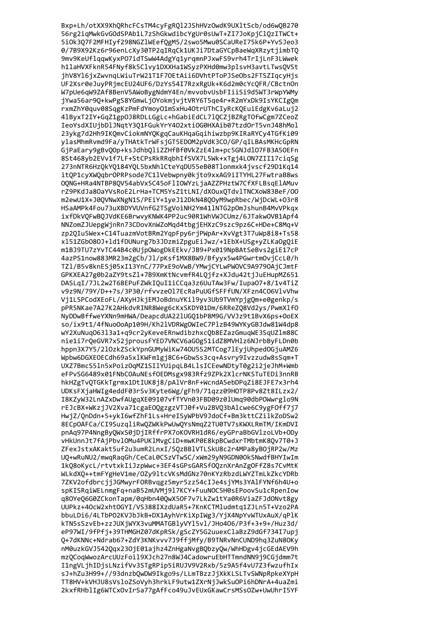Bxp+Lh/otXX9XhQRhcFCsTM4cyFgRQ12JShHVzOwdK9UX1tScb/od6wQB270 56rg2iqMwkGvGOdSPAb1L7zShGkwdibcYgUr0sUwT+ZI7JoKpjClQzITWCt+ 5iOk3Q7F2MFHIyf298NGZ1WEefQgM5/2swo5Mwu0SCaUReI75k6P+YvSJeo3 0/7B9X92Kz6r96enLcXy30TP2qIRqCk1UKJi7DtaGYCpBaeWqXRzytjimbTQ 9mv9KeUflqqwKyxPO7idTSwW4AdgYq1yrqmnPJxwFS9vrh4TrIjLnF3LWwek h1laHVXFknR54FNyf8k5Clvy1DXXHa1WSyzPXHd0mw3plsvH3avtLTwsQVSt jhV8Yl6jxZwvnqLWiuTrW21T1F70EtAii6DVhtPToPJSeObs2FTSZIqcyHjs UF2Xsr0eJuyPRjmcEU24UF6/DzYs54I7RzxRgUk+K6d2m0cYcQFR/CBctnOn W7pUe6qW9ZAf8BenV5AWoBygNdmY4En/mvvobvUsbFIiiSi9d5WT3rWpYWMy jYwa56ar9Q+kwPgS8YGmwLjOYokmjvjtVRY6T5qe4r+R2mYxDk9IsYKCIgQm rxmZhY0quv08SqgKzPmFdYmoy01mSxHu40trUThCIyRcKQEuiEdgKv6aLuj2 41ByxT2IY+GqZ1gp0J8RDLLGgLc+hGabiEdCL71QCZjBZRgTOfwCgm7ZCeoZ IeoYsdXIUjbDlJNqtY3Q1FGukYrY402xtiOG0HXAib07tzd0rT5vnJ48hMol 23ykg7d2Hh9IKQmvCiokmNYQKgqCauKHqaGqihiwzbp9KIRaRYCy4TGfKi09 ylasMhmRvmd9Fa/yTHAtkTrWFsjGT5EDOM2pVdK3CO/GP/qILBAsMKHcGpRN GjPaEary9gBvOOp+ksJdhbOliZZHfBf0VkZzE41m+pc5GNJdlO7FB3A5OEFn 8St468yb2EVv1f7LF+StCPsRkRRqbhIfSVX7L5Wk+xTgj4L0N7ZII17ciqSg 273nNTR6HzQkYQ184YQL5bxNhlCteYgDU55eB08Tlonmxk4jvscf29D1Kg14 itOP1cyXWOqbrOPRPsode7C1lVebwpny0kjto9xxAG9iITYHL27FwtraB8ws OQNG+HRa4NTBP8QV54abVx5C45oFlIOWYzLjaAZZPHztW7CfXFLBsqElAMuv rZ9PKdJa8OaYVsRoE2LrHa+TCM5YsZ1tLNI/dXOuxOTdvlTNCXoW83BeF/00 m2ewU1X+J0QVNwXNgN1S/PEiY+1yeJ12DkN48QOyM9wpRbec/WjDcWL+03r8 HSaAMPk4Fou73uXBDYVUVnfG2TSgVoiNH2Ym411NTG2pOmJshunB4MvVPkqx ixfDkVQFwBQJVdKE6BrwvyKNWK4PP2uc90R1WhVWJCUmz/6JTakwOVB1Apf4 NNZomZJUepgWjnRn73CDovXnWZoMqd4tbgjEHXzC9szc9pz6C+HDe+C8Mq+V zp2QIu5Wex+C14TuazmVotBRm2YqpFpy6rjPWpAr+XvVgt3T7uWp8i8+Ts58 xl51ZGb080J+ld1fDUNurg7b3JDzmiZpguEiJwz/+1EbX+USg+yZLKaOgQiE m1BJ9TU7zYvTC44B4c0UjpOWogDkEEkv/JB9+Px019NpBAtSeBvs2giE17cP 4azPS1now883MR23m2gCb/Jl/pKsf1MX8BW9/Bfyyx5w4PGwrtmOvjCcL0/h TZ1/B5v8knESj05xI13YnC/77PxE9oVwB/YMwjCYLwPWOVC9A9790AjCJmtF GPKXEA27g0b2aZY9tsZ1+7B9XmKtNcvmfR4LQjfz+XJdu42tjJuEHupMZ651 DASLqI/7JL2w2T68EPuFZWkIQuI1iCCqa3z6UuTAw3Fw/Iupa07+8/1v4TiZ v9z9N/79Y/D++7s/3P30/rfvvze017EcRaPuUGfSFFfUN/XFzn4C06V1vVhw Vj1L5PCodXEoFL/AXyHJkjEMJoBdnuYKil9yv3Ub9TVmYpjgQm+e0genkp/s pPR5NKae7A27K2AHkdvRINR8Weg6cKxSKDY01Dm/6RReZQ8Vd2ys/PwmXlfO NyDDwBffweYXNn9mHWA/DeapcdUA221UGQ1bP8M9G/VVJz9t1BvX6ps+OoEX so/ix9t1/4fNuoOoAp109H/Kh2lVDRWgOWIeC7PlzB49WYKyGBJdw81W4dp8 wY2XuNuq06313a1+q9cr2yKeveERnwdibzhxcQb8EZazGmuqWE3SqUZ1m88C nie1i7rQeGVR7x52jprousFYED7VNCV6aGOg51idZ8MVHlz6NJrbByFLDn0b hppn3X7Y5/210zkZSckYpnGUMyWiKw740U5S2MTCog71EyjUhpedOGjuAMZ6 Wpbw6DGXEOECdh69a5xlKWFm1gj8C6+GbwSs3cq+Asvry9Ivzzudw8sSqm+T UXZ7BmcS5ln5xPoizOqMZ1SIlYUipqLB4LlsICEewNDtyT0g2i2jeJhM+Wmb eFPvSG6489x01FNbCOAuNEsfOEDMsgx983Rfz9ZPk2X1crNKSTuTEDi3nnRB hkHZgTvQTGKkTgrmx1DtIUK8j8/pAlVr8nF+WcndA5ebDPqZi8EJFE7x3rh4 UDKsFXjaHWIg4eddF03rSv3Kyte6Wg/gFh9/71qzz09HOTP8Pv8Zt8ILzx2/ I8KZyW32LnAZxDwfAUgqXE09107vfTYVn03FBD09z01Umq90dbP0Wwrglo9N rEJcBX+WKzjJV2Xva71cgaE0QgzgzVTJ0f+Vu2BVQ3bAlcwe6C9ygF0ff7j7 HwjZ/QnDdn+5+ykI6wfZhF1Ls+HreISyWPbV9JdoCf+Bm3kttCZilkZoDSw2 8ECpOAFCa/CI9SuzgliRwQZWKkPwUwQYsNmgZ2TU0TV7sKWXLRmTM/IKmDVI pnAq97P4NngBvOWxS0iDiIRffrPX7oKOVRH1dR6/evGPraBbGVlzoLVb+ODv vHkUnnJt7fAiPbv10Mu4PUK1MvgCiD+mwKP0E8kpBCwdxrTMbtmK80v7T0+J ZFexJstxAKakt5uf2u3umR2LnxI/SOzBB1VTLSkU8c2r4MPa8vBOiRP2w/Mz UO+wRuNU2/mwaRagGh/CeCaL0CSzVTwSC/xWm29vN9GDN00kSNwdfBHYIwIm 1k08oKycL/rtvtxkIiJzpWwc+3EF4sGPsGARSf00znXrAnZgOFfZ8s7CvMtK WLkdXO++tmFYgHeV1me/OZv91tcVKsMdGNz70nKYzRbzdLWYZTmLkZkcYDRb 7ZKV2ofdbrciiJGMwyrFORByagz5myr5zz54cIJe4siYMs3YAlFYNf6h4U+o spKISRaiWELnmgFa+naB52mUVMi917KCY+FuuNOC5H0sEPoovSu1cRpenIow g80Ye06G0ZCkonTapm/0gHbn400wX50F7v7LkZw1tYa0R6ViaZFJd0Nvt8gv UUPkz+40cW2xht0GYI/VS388IXzdUaR5+7KnKCTMludmtg1ZJLn5T+Vzo2PA bbuLDi6/4LTbP02KVJbJkB+DX1AvhVrKiXpIWg3/YiX4NpYvWTUxAuX/aPlK kTN5sSzvEb+zzJUXjWYX3vuMMATGBlyVYl5vl/JHo406/P3f+3+9+/Huz3d/ eP97WI/9fPfi+39THMGHZ07dKpRSk/gScZY5G2uuexClaBzZ9dGf734I7upi 0+7dKNNc+Ndrab67+ZdY3KNKvvv7J9ffiMfv/B9TNRvNnCUND9hg3ZuN80Kv nM0uzkGVJ542Qqx230jE01ajhz4ZnHgaNvgBQbzyQw/WhHDgv4jcGEdAEV9h mzQCoqWwozArcUUzFoil9XJch27n8WJ4CadowruEbHTTmndNN9j9CGjdmm7t I1ngVLjhIDjsLNzifVv3STgRPip5iRUJV9V2Rxb/5z9A5f4vU7Z3fwzufhIx sJ+hZu3H99+//93dnzbQwDW9Ikgo9s/LLmTBzzJjXkKLSLTvSWNpRpkeXYpH TT8HV+kVHJU8sVsloZSoVyh3hrkLF9utw1ZXrNjJwkSuOPi6hDNrA+4uaZmi 2kxfRHblIg6WTCxOvIrSa77gAfFco49uJvEUxGKawCrsMSsOZw+UwUhrI5YF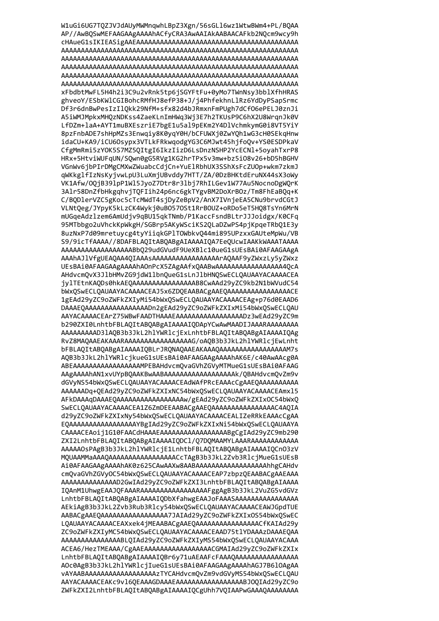W1uGi6UG7TQZJVJdAUyMWMnqwhLBpZ3Xgn/56sGL16wz1WtwBWm4+PL/BQAA AP//AwBQSwMEFAAGAAgAAAAhACfyCRA3AwAAIAkAABAACAFkb2NQcm9wcy9h xFbdbtMwFL5H4h2i3C9u2vRnk5tp6jSGYFtFu+0yMo7TWnNsy3bblXfhHRAS ghveoY/ESbKWlCGIBohcRMfHJ8efP38+J/j4PhfekhnLlRz6YdDyPSapSrmc Df3r6dnBwPesIzIlQkk29NfM+sfx82d4bJRmxnFmPUgh7dCf06ePELJ0znJi A5iWMJMpkxMHQzNDKss4ZaeKLnImHWq3Wj3E7h2TKUsP9C6hX2U8WrqnJk0V LfDZm+laA+AYT1muBXEszriE7bgE1u5al9pEKm2Y4DlVchmkymG0i8VT5YiY 8pzFnbADE7shHpMZs3Enwqiy8K0yqY0H/bCFUWXj0ZwYQh1wG3cH0SEkqHnw idaCU+KA9/iCU6Osypx3VTLkFRkwqodgYG3C6MJwt45hjfoQv+YS0ESDPkaV CfgMmRmi5zY0K5S7MZ50ItgI6IkzIizD6LsDnzNSHP2YcECN1+5oyahTxrP8 HRx+5HtviWUFqUN/SOwn0gG5RVg1KG2hrTPx5v3mw+bz5i08v26+bD5hBGHV VGnWv6jbPIrDMgCMXwZWuabcCdjCn+YuElRbhUX3SShXsFcZUOp+wkm7zkmJ gWKkglfIzNsKyjvwLpU3LuXmjUBvddy7HTT/ZA/0DzBHKtdEruNX44sX3oWy VK1Afw/0QjB391pP1Wl5JyoZ7Dtr8r3lbj7RhILGev1W77Au5NocnoDgWQrK 3Alr58DnZfbHkgqhvjTQFIih24p6nc6gkTYgvBM2DoXrBOz/Tm8FhEaBQq+K C/BQDlerVZC5gKoc5cTcMWdT4sjDyZeBpV2/AnX7IVnjeEA5CNu9brvdCGtJ VLNtQeg/JYpyK5kLzCK4Wykj0uB0570St1RrBOUZ+oRDo5eT5HQ8TsYn6MrN mUGqeAdzlzem6AmUdjv9qBU15qkTNmb/P1KaccFsndBLtrJJJoidgx/K0CFq 95MTbbgo2uVhckKpWkgH/SGBrp5AKyWSciKS2QLaDZwPS4pjKpqeTRbQ1E3y 8uzNxP7d09mretuycg4tyYiiqkGPlTOWbkvQ44mi895UPzxxGAUteMpWu/VB S9/9icTfAAAA//8DAFBLAQItABQABgAIAAAAIQA7EeQUcwIAAKkWAAATAAAA AAAAAAAAAAAAAAAAAABb029udGVudF9UeXBlc10ueG1sUEsBAi0AFAAGAAgA AAAhAJ1VfgUEAQAA4QIAAASAAAAAAAAAAAAAAAAATAQAAF9yZWxzLy5yZWxz UEsBAi0AFAAGAAgAAAAhAOnPcX5ZAgAAfxQAABwAAAAAAAAAAAAAAAA4QcA AHdvcmQvX3J1bHMvZG9jdW11bnQueG1sLnJ1bHNQSwECLQAUAAYACAAAACEA jylTEtnKAQDs0hkAEQAAAAAAAAAAAAAAAB8CwAAd29yZC9kb2N1bWVudC54 bWxQSwECLQAUAAYACAAAACEAJ5x6ZDQEAABACgAAEQAAAAAAAAAAAAAAACE 1gEAd29yZC9oZWFkZXIyMi54bWxQSwECLQAUAAYACAAAACEAg+p76d0EAAD6 DAAAEQAAAAAAAAAAAAAAAADn2gEAd29yZC9oZWFkZXIxMi54bWxQSwECLQAU AAYACAAAACEArZ75WBwFAADTHAAAEAAAAAAAAAAAAAAAAADz3wEAd29yZC9m b290ZXI0LnhtbFBLAQItABQABgAIAAAAIQDApYCwAwMAADIJAAARAAAAAAAA AAAAAAAAD31AQB3b3JkL2h1YWR1cjExLnhtbFBLAQItABQABgAIAAAAIQAg RvZ8MAQAAEAKAAARAAAAAAAAAAAAAAAAAG/oAQB3b3JkL2hlYWRlcjEwLnht bFBLAQItABQABgAIAAAAIQBLrJRQNAQAAEAKAAAQAAAAAAAAAAAAAAAM7s AQB3b3JkL2hlYWRlcjkueG1sUEsBAi0AFAAGAAgAAAAhAK6E/c40AwAAcg0A ABEAAAAAAAAAAAAAAAAAAMPEBAHdvcmQvaGVhZGVyMTMueG1sUEsBAi0AFAAG AAgAAAAhAN1xvUYpBQAAKBwAABAAAAAAAAAAAAAAAAAAk/QBAHdvcmQvZm9v dGVyNS54bWxQSwECLQAUAAYACAAAACEAdWAfPRcEAAAcCgAAEQAAAAAAAAAA AAAAAADq+QEAd29yZC9oZWFkZXIxNC54bWxQSwECLQAUAAYACAAAACEAmx15 AFkDAAAqDAAAEQAAAAAAAAAAAAAAAAAAw/gEAd29yZC9oZWFkZXIx0C54bWxQ SWECLQAUAAYACAAAACEA1Z6ZmDEEAABACgAAEQAAAAAAAAAAAAAAAC4AQIA d29yZC9oZWFkZXIxNy54bWxQSwECLQAUAAYACAAAACEALIZeRRkEAAAcCgAA EQAAAAAAAAAAAAAAAAAYBgIAd29yZC9oZWFkZXIxNi54bWxQSwECLQAUAAYA CAAAACEAoii1G10FAACdHAAAEAAAAAAAAAAAAAAAABgCgIAd29vZC9mb290 ZXI2LnhtbFBLAOItABOABgAIAAAAIODCl/O7DOMAAMYLAAARAAAAAAAAAAAA AAAAAOsPAgB3b3JkL2h1YWR1ciE1LnhtbFBLAOItABOABgAIAAAAIOCnO3zV MOUAAMMaAAAQAAAAAAAAAAAAAAAAACCTAgB3b3JkL2Zvb3RlciMueG1sUEsB Ai0AFAAGAAgAAAAhAK0z625CAwAAXw8AABAAAAAAAAAAAAAAAAAhhgCAHdv cmOvaGVhZGVvOC54bWxOSwECLOAUAAYACAAAACEAP7zbpzOEAABACgAAEAAA AAAAAAAAAAAAAAD2GwIAd29vZC9oZWFkZXI3LnhtbFBLAOItABOABgAIAAAA IOAnM1UhwgEAAJOFAAARAAAAAAAAAAAAAAAAFggAgB3b3JkL2VuZG5vdGVz LnhtbFBLAOItABOABgAIAAAAIODbXfahwgEAAJoFAAASAAAAAAAAAAAAAAAAA AEkiAgB3b3JkL2Zvb3Rub3Rlcv54bWxOSwECLOAUAAYACAAAACEAWJGpdTUE AABACgAAE0AAAAAAAAAAAAAAAAA7JAIAd29vZC9oZWFkZXIx0S54bWx0SwEC LOAUAAYACAAAACEAXxek4jMEAABACgAAEQAAAAAAAAAAAAAAACfKAIAd29y ZC9oZWFkZXIvMC54bWx0SwECL0AUAAYACAAAACEAAD75t1YDAAAzDAAAE0AA AAAAAAAAAAAAAAABLOIAd29vZC9oZWFkZXIvMS54bWx0SwECL0AUAAYACAAA ACEA6/HezTMEAAA/CgAAEAAAAAAAAAAAAAAAAACGMAIAd29yZC9oZWFkZXIx LnhtbFBLAQItABQABgAIAAAAIQBr6y71uAEAAFcFAAAQAAAAAAAAAAAAAAAA AOc0AgB3b3JkL2hlYWRlcjIueG1sUEsBAi0AFAAGAAgAAAAhAGJ7B6lOAgAA vAYAABAAAAAAAAAAAAAAAAAAZTYCAHdvcmQvZm9vdGVyMS54bWxQSwECLQAU AAYACAAAACEAKc9v16QEAAAGDAAAEAAAAAAAAAAAAAAAABJOQIAd29yZC9o ZWFkZXI2LnhtbFBLAQItABQABgAIAAAAIQCgUhh7VQIAAPwGAAAQAAAAAAAA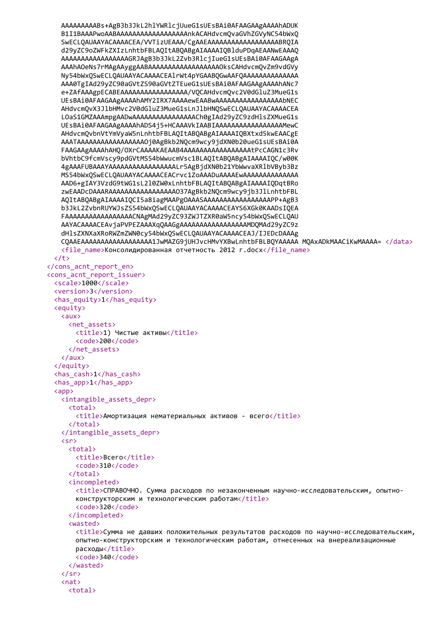```
AAAAAAAAABs+AgB3b3JkL2hlYWRlcjUueG1sUEsBAi0AFAAGAAgAAAAhADUK
   B1I1BAAAPwoAABAAAAAAAAAAAAAAAAAAAhkACAHdvcmQvaGVhZGVyNC54bWxQ
   SwECLQAUAAYACAAAACEA/VVTizUEAAA/CgAAEAAAAAAAAAAAAAAAAABRQIA
   d29yZC9oZWFkZXIzLnhtbFBLAQItABQABgAIAAAAIQBlduPDqAEAANwEAAAQ
   AAAAAAAAAAAAAAAAAGRJAgB3b3JkL2Zvb3RlcjIueG1sUEsBAi0AFAAGAAgA
   AAAhAOeNs7rMAgAAyggAABAAAAAAAAAAAAAAAAAAAOksCAHdvcmQvZm9vdGVy
   Ny54bWxQSwECLQAUAAYACAAAACEA1rWt4pYGAABQGwAAFQAAAAAAAAAAAAAA
   AAA0TgIAd29yZC90aGVtZS90aGVtZTEueG1sUEsBAi0AFAAGAAgAAAAhANc7
   e+ZAfAAAgpECABEAAAAAAAAAAAAAAAAA/VQCAHdvcmQvc2V0dGluZ3MueG1s
   UEsBAi0AFAAGAAgAAAAhAMY2IRX7AAAAewEAABwAAAAAAAAAAAAAAAAAbNEC
   AHdvcmQvX3JlbHMvc2V0dGluZ3MueG1sLnJlbHNQSwECLQAUAAYACAAAACEA
   LOaS1GMZAAAmpgAADwAAAAAAAAAAAAAAAACh0gIAd29yZC9zdHlsZXMueG1s
   UEsBAi0AFAAGAAgAAAAhADS4j5+HCAAAVkIAABIAAAAAAAAAAAAAAAAMewC
   AHdvcmOvbnVtYmVyaW5nLnhtbFBLAOItABOABgAIAAAAIOBXtxd5kwEAACgE
   AAATAAAAAAAAAAAAAAAAAOj0AgBkb2NQcm9wcy9jdXN0b20ueG1sUEsBAi0A
   FAAGAAgAAAAhAHO/OXrCAAAAKAEAAB4AAAAAAAAAAAAAAAAAtPcCAGN1c3Rv
   bVhtbC9fcmVscy9pdGVtMS54bWwucmVsc1BLA0ItAB0ABgAIAAAAI0C/w00K
   4gAAAFUBAAAYAAAAAAAAAAAAAAAAALr5AgBjdXN0b21YbWwvaXR1bVByb3Bz
   MS54bWx0SwECL0AUAAYACAAAACEACrvc1ZoAAADuAAAAEwAAAAAAAAAAAAAA
   AAD6+gIAY3VzdG9tWG1sL210ZW0xLnhtbFBLAQItABQABgAIAAAAIQDqtBRo
   zwEAADcDAAARAAAAAAAAAAAAAAAAAO37AgBkb2NOcm9wcy9jb3JlLnhtbFBL
   AQItABQABgAIAAAAIQCI5a8iagMAAPgOAAASAAAAAAAAAAAAAAAAPP+AgB3
   b3JkL2ZvbnRUYWJsZS54bWxOSwECLOAUAAYACAAAACEAYS6XGk0KAADsIOEA
   FAAAAAAAAAAAAAAAAACNAgMAd29yZC93ZWJTZXR0aW5ncy54bWxQSwECLQAU
   AAYACAAAACEAvjaPVPEZAAAXqQAAGgAAAAAAAAAAAAAAAAAMDQMAd29yZC9z
   dHlsZXNXaXRoRWZmZWN0cy54bWxQSwECLQAUAAYACAAAACEAJ/IJEDcDAAAg
   CQAAEAAAAAAAAAAAAAAAAAA1JwMAZG9jUHJvcHMvYXBwLnhtbFBLBQYAAAAA MQAxADkMAACiKwMAAAA= </data>
   <file name>Консолидированная отчетность 2012 г.docx</file name>
 \langle/t>
</cons_acnt_report_en>
<cons acnt report issuer>
 <scale>1000</scale>
 <version>3</version>
 <has equity>1</has equity>
 <equity>
   \langle \text{aux} \rangle<net assets>
       <title>1) Чистые активы</title>
       <code>200</code>
     </net assets>
   \langle/aux>
 </equity>
 <has cash>1</has cash>
 <has app>1</has app>
 \langle app \rangle<intangible assets depr>
     <total>
       <title>Амортизация нематериальных активов - всего</title>
     </total>
   </intangible assets depr>
   \langlesr>
     \text{total}<title>Bcero</title>
       <code>310</code>
     \langle/total>
     <incompleted>
       <title>СПРАВОЧНО. Сумма расходов по незаконченным научно-исследовательским, опытно-
       конструкторским и технологическим работам</title>
       <code>320</code>
     </incompleted>
     cwastady
       <title>Сумма не давших положительных результатов расходов по научно-исследовательским,
       опытно-конструкторским и технологическим работам, отнесенных на внереализационные
       расходы</title>
       <code>340</code>
     </wasted>
   \langle/sr>
   \langlenat\rangle<sub>total</sub></sub>
```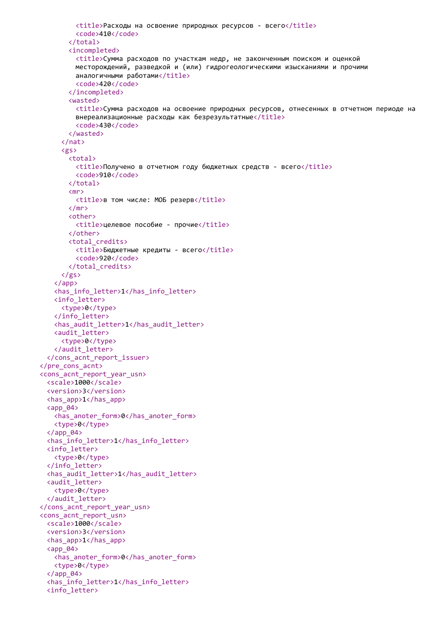```
<title>Расходы на освоение природных ресурсов - всего</title>
         <code>410</code>
        </total>
        <incompleted>
         <title>Сумма расходов по участкам недр, не законченным поиском и оценкой
         месторождений, разведкой и (или) гидрогеологическими изысканиями и прочими
         аналогичными работами</title>
         <code>420</code>
        </incompleted>
        <wasted>
         <title>Сумма расходов на освоение природных ресурсов, отнесенных в отчетном периоде на
         внереализационные расходы как безрезультатные</title>
         <code>430</code>
       </wasted>
      \langle/nat>
     <gs>
        <total>
         <title>Получено в отчетном году бюджетных средств - всего</title>
         <code>910</code>
       </total>
       <sub>mp</sub></sub>
         <title>в том числе: МОБ резерв</title>
        \langle/mr\rangle<other>
         <title>целевое пособие - прочие</title>
       </other>
       <total credits>
         <title>Бюджетные кредиты - всего</title>
         <code>920</code>
       </total_credits>
     \langle/gs>
    \langle app\rangle<has info letter>1</has info letter>
   <info letter>
     <type>0</type>
   </info_letter>
   <has_audit_letter>1</has_audit_letter>
   <audit letter>
     <type>0</type>
   </audit letter>
  </cons acnt report issuer>
</pre_cons_acnt>
<cons acnt report year usn>
 <scale>1000</scale>
  <version>3</version>
 \frac{1}{2} <has app>1</has app>
  <app 04>
   <has anoter form>0</has anoter form>
   <type>0</type>
  \langle app 04 \rangle<has info letter>1</has info letter>
  <info letter>
   <tvpe>0</tvpe>
  </info letter>
  <has audit letter>1</has audit letter>
  <audit letter>
   <tvpe>0</tvpe>
  </audit letter>
</cons acnt report year usn>
<cons acnt report usn>
 <scale>1000</scale>
 <version>3</version>
 <has app>1</has app>
  <app 04>
   <has anoter form>0</has anoter form>
   <type>0</type>
  \langle app 04>
 <has_info_letter>1</has_info_letter>
  <info_letter>
```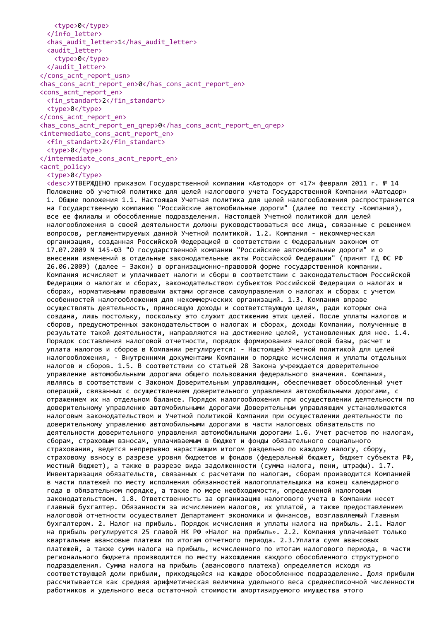<type>0</type> </info\_letter> <has\_audit\_letter>1</has\_audit\_letter> <audit\_letter> <type>0</type> </audit\_letter> </cons\_acnt\_report\_usn> <has\_cons\_acnt\_report\_en>0</has\_cons\_acnt\_report\_en> <cons\_acnt\_report\_en> <fin\_standart>2</fin\_standart> <type>0</type> </cons\_acnt\_report\_en> <has cons acnt report en qrep>0</has cons acnt report en qrep> <intermediate\_cons\_acnt\_report\_en> <fin\_standart>2</fin\_standart> <type>0</type> </intermediate\_cons\_acnt\_report\_en> <acnt\_policy>

## <type>0</type>

<desc>УТВЕРЖДЕНО приказом Государственной компании «Автодор» от «17» февраля 2011 г. № 14 Положение об учетной политике для целей налогового учета Государственной Компании «Автодор» 1. Общие положения 1.1. Настоящая Учетная политика для целей налогообложения распространяется на Государственную компанию "Российские автомобильные дороги" (далее по тексту -Компания), все ее филиалы и обособленные подразделения. Настоящей Учетной политикой для целей налогообложения в своей деятельности должны руководствоваться все лица, связанные с решением вопросов, регламентируемых данной Учетной политикой. 1.2. Компания - некоммерческая организация, созданная Российской Федерацией в соответствии с Федеральным законом от 17.07.2009 N 145-ФЗ "О государственной компании "Российские автомобильные дороги" и о внесении изменений в отдельные законодательные акты Российской Федерации" (принят ГД ФС РФ 26.06.2009) (далее – Закон) в организационно-правовой форме государственной компании. Компания исчисляет и уплачивает налоги и сборы в соответствии с законодательством Российской Федерации о налогах и сборах, законодательством субъектов Российской Федерации о налогах и сборах, нормативными правовыми актами органов самоуправления о налогах и сборах с учетом особенностей налогообложения для некоммерческих организаций. 1.3. Компания вправе осуществлять деятельность, приносящую доходы и соответствующую целям, ради которых она создана, лишь постольку, поскольку это служит достижению этих целей. После уплаты налогов и сборов, предусмотренных законодательством о налогах и сборах, доходы Компании, полученные в результате такой деятельности, направляются на достижение целей, установленных для нее. 1.4. Порядок составления налоговой отчетности, порядок формирования налоговой базы, расчет и уплата налогов и сборов в Компании регулируется: - Настоящей Учетной политикой для целей налогообложения, - Внутренними документами Компании о порядке исчисления и уплаты отдельных налогов и сборов. 1.5. В соответствии со статьей 28 Закона учреждается доверительное управление автомобильными дорогами общего пользования федерального значения. Компания, являясь в соответствии с Законом Доверительным управляющим, обеспечивает обособленный учет операций, связанных с осуществлением доверительного управления автомобильными дорогами, с отражением их на отдельном балансе. Порядок налогообложения при осуществлении деятельности по доверительному управлению автомобильными дорогами Доверительным управляющим устанавливаются налоговым законодательством и Учетной политикой Компании при осуществлении деятельности по доверительному управлению автомобильными дорогами в части налоговых обязательств по деятельности доверительного управления автомобильными дорогами 1.6. Учет расчетов по налогам, сборам, страховым взносам, уплачиваемым в бюджет и фонды обязательного социального страхования, ведется непрерывно нарастающим итогом раздельно по каждому налогу, сбору, страховому взносу в разрезе уровня бюджетов и фондов (федеральный бюджет, бюджет субъекта РФ, местный бюджет), а также в разрезе вида задолженности (сумма налога, пени, штрафы). 1.7. Инвентаризация обязательств, связанных с расчетами по налогам, сборам производится Компанией в части платежей по месту исполнения обязанностей налогоплательщика на конец календарного года в обязательном порядке, а также по мере необходимости, определенной налоговым законодательством. 1.8. Ответственность за организацию налогового учета в Компании несет главный бухгалтер. Обязанности за исчислением налогов, их уплатой, а также предоставлением налоговой отчетности осуществляет Департамент экономики и финансов, возглавляемый Главным бухгалтером. 2. Налог на прибыль. Порядок исчисления и уплаты налога на прибыль. 2.1. Налог на прибыль регулируется 25 главой НК РФ «Налог на прибыль». 2.2. Компания уплачивает только квартальные авансовые платежи по итогам отчетного периода. 2.3.Уплата сумм авансовых платежей, а также сумм налога на прибыль, исчисленного по итогам налогового периода, в части регионального бюджета производится по месту нахождения каждого обособленного структурного подразделения. Сумма налога на прибыль (авансового платежа) определяется исходя из соответствующей доли прибыли, приходящейся на каждое обособленное подразделение. Доля прибыли рассчитывается как средняя арифметическая величина удельного веса среднесписочной численности работников и удельного веса остаточной стоимости амортизируемого имущества этого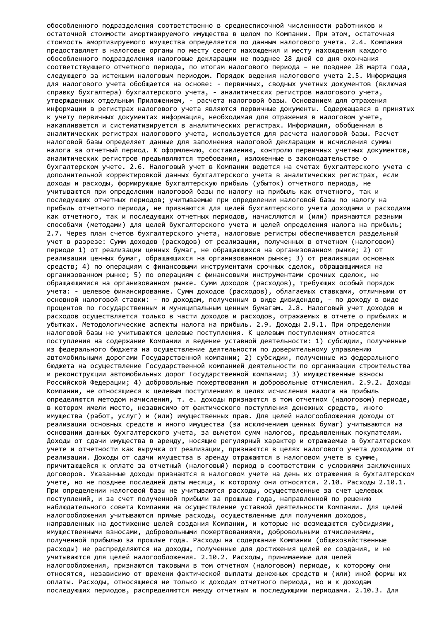обособленного подразделения соответственно в среднесписочной численности работников и остаточной стоимости амортизируемого имущества в целом по Компании. При этом, остаточная стоимость амортизируемого имущества определяется по данным налогового учета. 2.4. Компания предоставляет в налоговые органы по месту своего нахождения и месту нахождения каждого обособленного подразделения налоговые декларации не позднее 28 дней со дня окончания соответствующего отчетного периода, по итогам налогового периода – не позднее 28 марта года, следующего за истекшим налоговым периодом. Порядок ведения налогового учета 2.5. Информация для налогового учета обобщается на основе: - первичных, сводных учетных документов (включая справку бухгалтера) бухгалтерского учета, - аналитических регистров налогового учета, утвержденных отдельным Приложением, - расчета налоговой базы. Основанием для отражения информации в регистрах налогового учета являются первичные документы. Содержащаяся в принятых к учету первичных документах информация, необходимая для отражения в налоговом учете, накапливается и систематизируется в аналитических регистрах. Информация, обобщенная в аналитических регистрах налогового учета, используется для расчета налоговой базы. Расчет налоговой базы определяет данные для заполнения налоговой декларации и исчисления суммы налога за отчетный период. К оформлению, составлению, контролю первичных учетных документов, аналитических регистров предъявляются требования, изложенные в законодательстве о бухгалтерском учете. 2.6. Налоговый учет в Компании ведется на счетах бухгалтерского учета с дополнительной корректировкой данных бухгалтерского учета в аналитических регистрах, если доходы и расходы, формирующие бухгалтерскую прибыль (убыток) отчетного периода, не учитываются при определении налоговой базы по налогу на прибыль как отчетного, так и последующих отчетных периодов; учитываемые при определении налоговой базы по налогу на прибыль отчетного периода, не признаются для целей бухгалтерского учета доходами и расходами как отчетного, так и последующих отчетных периодов, начисляются и (или) признаются разными способами (методами) для целей бухгалтерского учета и целей определения налога на прибыль; 2.7. Через план счетов бухгалтерского учета, налоговые регистры обеспечивается раздельный учет в разрезе: Сумм доходов (расходов) от реализации, полученных в отчетном (налоговом) периоде 1) от реализации ценных бумаг, не обращающихся на организованном рынке; 2) от реализации ценных бумаг, обращающихся на организованном рынке; 3) от реализации основных средств; 4) по операциям с финансовыми инструментами срочных сделок, обращающимися на организованном рынке; 5) по операциям с финансовыми инструментами срочных сделок, не обращающимися на организованном рынке. Сумм доходов (расходов), требующих особый порядок учета: - целевое финансирование. Сумм доходов (расходов), облагаемых ставками, отличными от основной налоговой ставки: - по доходам, полученным в виде дивидендов, - по доходу в виде процентов по государственным и муниципальным ценным бумагам. 2.8. Налоговый учет доходов и расходов осуществляется только в части доходов и расходов, отражаемых в отчете о прибылях и убытках. Методологические аспекты налога на прибыль. 2.9. Доходы 2.9.1. При определении налоговой базы не учитываются целевые поступления. К целевым поступлениям относятся поступления на содержание Компании и ведение уставной деятельности: 1) субсидии, полученные из федерального бюджета на осуществление деятельности по доверительному управлению автомобильными дорогами Государственной компании; 2) субсидии, полученные из федерального бюджета на осуществление Государственной компанией деятельности по организации строительства и реконструкции автомобильных дорог Государственной компании; 3) имущественные взносы Российской Федерации; 4) добровольные пожертвования и добровольные отчисления. 2.9.2. Доходы Компании, не относящиеся к целевым поступлениям в целях исчисления налога на прибыль определяются методом начисления, т. е. доходы признаются в том отчетном (налоговом) периоде, в котором имели место, независимо от фактического поступления денежных средств, иного имущества (работ, услуг) и (или) имущественных прав. Для целей налогообложения доходы от реализации основных средств и иного имущества (за исключением ценных бумаг) учитываются на основании данных бухгалтерского учета, за вычетом сумм налогов, предъявленных покупателям. Доходы от сдачи имущества в аренду, носящие регулярный характер и отражаемые в бухгалтерском учете и отчетности как выручка от реализации, признаются в целях налогового учета доходами от реализации. Доходы от сдачи имущества в аренду отражаются в налоговом учете в сумме, причитающейся к оплате за отчетный (налоговый) период в соответствии с условиями заключенных договоров. Указанные доходы признаются в налоговом учете на день их отражения в бухгалтерском учете, но не позднее последней даты месяца, к которому они относятся. 2.10. Расходы 2.10.1. При определении налоговой базы не учитываются расходы, осуществленные за счет целевых поступлений, и за счет полученной прибыли за прошлые года, направленной по решению наблюдательного совета Компании на осуществление уставной деятельности Компании. Для целей налогообложения учитываются прямые расходы, осуществленные для получения доходов, направленных на достижение целей создания Компании, и которые не возмещаются субсидиями, имущественными взносами, добровольными пожертвованиями, добровольными отчислениями, полученной прибылью за прошлые года. Расходы на содержание Компании (общехозяйственные расходы) не распределяются на доходы, полученные для достижения целей ее создания, и не учитываются для целей налогообложения. 2.10.2. Расходы, принимаемые для целей налогообложения, признаются таковыми в том отчетном (налоговом) периоде, к которому они относятся, независимо от времени фактической выплаты денежных средств и (или) иной формы их оплаты. Расходы, относящиеся не только к доходам отчетного периода, но и к доходам последующих периодов, распределяются между отчетным и последующими периодами. 2.10.3. Для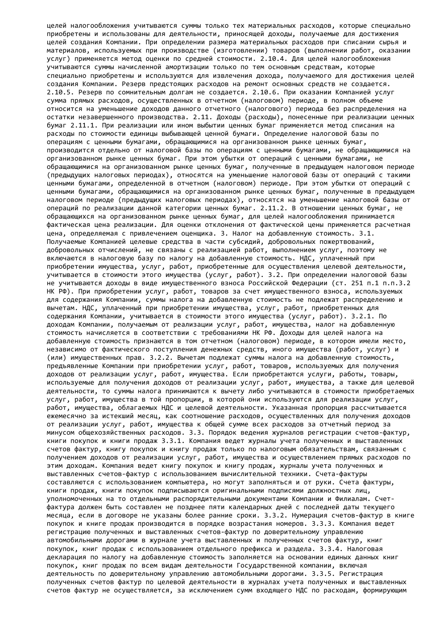целей налогообложения учитываются суммы только тех материальных расходов, которые специально приобретены и использованы для деятельности, приносящей доходы, получаемые для достижения целей создания Компании. При определении размера материальных расходов при списании сырья и материалов, используемых при производстве (изготовлении) товаров (выполнении работ, оказании услуг) применяется метод оценки по средней стоимости. 2.10.4. Для целей налогообложения учитываются суммы начисленной амортизации только по тем основным средствам, которые специально приобретены и используются для извлечения дохода, получаемого для достижения целей создания Компании. Резерв предстоящих расходов на ремонт основных средств не создается. 2.10.5. Резерв по сомнительным долгам не создается. 2.10.6. При оказании Компанией услуг сумма прямых расходов, осуществленных в отчетном (налоговом) периоде, в полном объеме относится на уменьшение доходов данного отчетного (налогового) периода без распределения на остатки незавершенного производства. 2.11. Доходы (расходы), понесенные при реализации ценных бумаг 2.11.1. При реализации или ином выбытии ценных бумаг применяется метод списания на расходы по стоимости единицы выбывающей ценной бумаги. Определение налоговой базы по операциям с ценными бумагами, обращающимися на организованном рынке ценных бумаг, производится отдельно от налоговой базы по операциям с ценными бумагами, не обращающимися на организованном рынке ценных бумаг. При этом убытки от операций с ценными бумагами, не обращающимися на организованном рынке ценных бумаг, полученные в предыдущем налоговом периоде (предыдущих налоговых периодах), относятся на уменьшение налоговой базы от операций с такими ценными бумагами, определенной в отчетном (налоговом) периоде. При этом убытки от операций с ценными бумагами, обращающимися на организованном рынке ценных бумаг, полученные в предыдущем налоговом периоде (предыдущих налоговых периодах), относятся на уменьшение налоговой базы от операций по реализации данной категории ценных бумаг. 2.11.2. В отношении ценных бумаг, не обращающихся на организованном рынке ценных бумаг, для целей налогообложения принимается фактическая цена реализации. Для оценки отклонения от фактической цены применяется расчетная цена, определяемая с привлечением оценщика. 3. Налог на добавленную стоимость. 3.1. Получаемые Компанией целевые средства в части субсидий, добровольных пожертвований, добровольных отчислений, не связаны с реализацией работ, выполнением услуг, поэтому не включаются в налоговую базу по налогу на добавленную стоимость. НДС, уплаченный при приобретении имущества, услуг, работ, приобретенные для осуществления целевой деятельности, учитывается в стоимости этого имущества (услуг, работ). 3.2. При определении налоговой базы не учитываются доходы в виде имущественного взноса Российской Федерации (ст. 251 п.1 п.п.3.2 НК РФ). При приобретении услуг, работ, товаров за счет имущественного взноса, используемых для содержания Компании, суммы налога на добавленную стоимость не подлежат распределению и вычетам. НДС, уплаченный при приобретении имущества, услуг, работ, приобретенных для содержания Компании, учитывается в стоимости этого имущества (услуг, работ). 3.2.1. По доходам Компании, получаемым от реализации услуг, работ, имущества, налог на добавленную стоимость начисляется в соответствии с требованиями НК РФ. Доходы для целей налога на добавленную стоимость признаются в том отчетном (налоговом) периоде, в котором имели место, независимо от фактического поступления денежных средств, иного имущества (работ, услуг) и (или) имущественных прав. 3.2.2. Вычетам подлежат суммы налога на добавленную стоимость, предъявленные Компании при приобретении услуг, работ, товаров, используемых для получения доходов от реализации услуг, работ, имущества. Если приобретаются услуги, работы, товары, используемые для получения доходов от реализации услуг, работ, имущества, а также для целевой деятельности, то суммы налога принимаются к вычету либо учитываются в стоимости приобретаемых услуг, работ, имущества в той пропорции, в которой они используются для реализации услуг, работ, имущества, облагаемых НДС и целевой деятельности. Указанная пропорция рассчитывается ежемесячно за истекший месяц, как соотношение расходов, осуществленных для получения доходов от реализации услуг, работ, имущества к общей сумме всех расходов за отчетный период за минусом общехозяйственных расходов. 3.3. Порядок ведения журналов регистрации счетов-фактур, книги покупок и книги продаж 3.3.1. Компания ведет журналы учета полученных и выставленных счетов фактур, книгу покупок и книгу продаж только по налоговым обязательствам, связанным с получением доходов от реализации услуг, работ, имущества и осуществлением прямых расходов по этим доходам. Компания ведет книгу покупок и книгу продаж, журналы учета полученных и выставленных счетов-фактур с использованием вычислительной техники. Счета-фактуры составляются с использованием компьютера, но могут заполняться и от руки. Счета фактуры, книги продаж, книги покупок подписываются оригинальными подписями должностных лиц, уполномоченных на то отдельными распорядительными документами Компании и Филиалам. Счетфактура должен быть составлен не позднее пяти календарных дней с последней даты текущего месяца, если в договоре не указаны более ранние сроки. 3.3.2. Нумерация счетов-фактур в книге покупок и книге продаж производится в порядке возрастания номеров. 3.3.3. Компания ведет регистрацию полученных и выставленных счетов-фактур по доверительному управлению автомобильными дорогами в журнале учета выставленных и полученных счетов фактур, книг покупок, книг продаж с использованием отдельного префикса и раздела. 3.3.4. Налоговая декларация по налогу на добавленную стоимость заполняется на основании единых данных книг покупок, книг продаж по всем видам деятельности Государственной компании, включая деятельность по доверительному управлению автомобильными дорогами. 3.3.5. Регистрация полученных счетов фактур по целевой деятельности в журналах учета полученных и выставленных счетов фактур не осуществляется, за исключением сумм входящего НДС по расходам, формирующим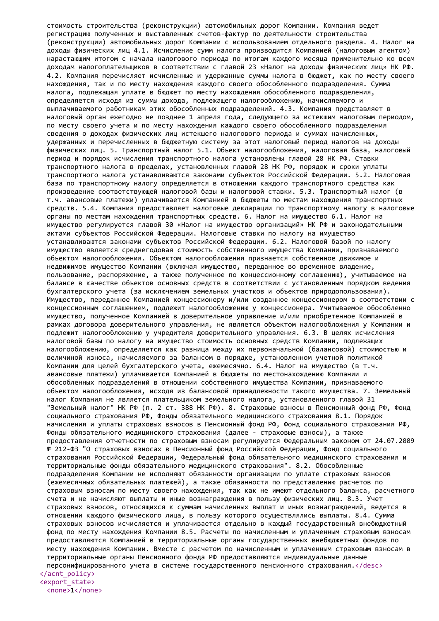стоимость строительства (реконструкции) автомобильных дорог Компании. Компания ведет регистрацию полученных и выставленных счетов-фактур по деятельности строительства (реконструкции) автомобильных дорог Компании с использованием отдельного раздела. 4. Налог на доходы физических лиц 4.1. Исчисление сумм налога производится Компанией (налоговым агентом) нарастающим итогом с начала налогового периода по итогам каждого месяца применительно ко всем доходам налогоплательщиков в соответствии с главой 23 «Налог на доходы физических лиц» НК РФ. 4.2. Компания перечисляет исчисленные и удержанные суммы налога в бюджет, как по месту своего нахождения, так и по месту нахождения каждого своего обособленного подразделения. Сумма налога, подлежащая уплате в бюджет по месту нахождения обособленного подразделения, определяется исходя из суммы дохода, подлежащего налогообложению, начисляемого и выплачиваемого работникам этих обособленных подразделений. 4.3. Компания представляет в налоговый орган ежегодно не позднее 1 апреля года, следующего за истекшим налоговым периодом, по месту своего учета и по месту нахождения каждого своего обособленного подразделения сведения о доходах физических лиц истекшего налогового периода и суммах начисленных, удержанных и перечисленных в бюджетную систему за этот налоговый период налогов на доходы физических лиц. 5. Транспортный налог 5.1. Объект налогообложения, налоговая база, налоговый период и порядок исчисления транспортного налога установлены главой 28 НК РФ. Ставки транспортного налога в пределах, установленных главой 28 НК РФ, порядок и сроки уплаты транспортного налога устанавливаются законами субъектов Российской Федерации. 5.2. Налоговая база по транспортному налогу определяется в отношении каждого транспортного средства как произведение соответствующей налоговой базы и налоговой ставки. 5.3. Транспортный налог (в т.ч. авансовые платежи) уплачивается Компанией в бюджеты по местам нахождения транспортных средств. 5.4. Компания предоставляет налоговые декларации по транспортному налогу в налоговые органы по местам нахождения транспортных средств. 6. Налог на имущество 6.1. Налог на имущество регулируется главой 30 «Налог на имущество организаций» НК РФ и законодательными актами субъектов Российской Федерации. Налоговые ставки по налогу на имущество устанавливаются законами субъектов Российской Федерации. 6.2. Налоговой базой по налогу имущество является среднегодовая стоимость собственного имущества Компании, признаваемого объектом налогообложения. Объектом налогообложения признается собственное движимое и недвижимое имущество Компании (включая имущество, переданное во временное владение, пользование, распоряжение, а также полученное по концессионному соглашению), учитываемое на балансе в качестве объектов основных средств в соответствии с установленным порядком ведения бухгалтерского учета (за исключением земельных участков и объектов природопользования). Имущество, переданное Компанией концессионеру и/или созданное концессионером в соответствии с концессионным соглашением, подлежит налогообложению у концессионера. Учитываемое обособленно имущество, полученное Компанией в доверительное управление и/или приобретенное Компанией в рамках договора доверительного управления, не является объектом налогообложения у Компании и подлежит налогообложению у учредителя доверительного управления. 6.3. В целях исчисления налоговой базы по налогу на имущество стоимость основных средств Компании, подлежащих налогообложению, определяется как разница между их первоначальной (балансовой) стоимостью и величиной износа, начисляемого за балансом в порядке, установленном учетной политикой Компании для целей бухгалтерского учета, ежемесячно. 6.4. Налог на имущество (в т.ч. авансовые платежи) уплачивается Компанией в бюджеты по местонахождению Компании и обособленных подразделений в отношении собственного имущества Компании, признаваемого объектом налогообложения, исходя из балансовой принадлежности такого имущества. 7. Земельный налог Компания не является плательщиком земельного налога, установленного главой 31 "Земельный налог" НК РФ (п. 2 ст. 388 НК РФ). 8. Страховые взносы в Пенсионный фонд РФ, Фонд социального страхования РФ, Фонды обязательного медицинского страхования 8.1. Порядок начисления и уплаты страховых взносов в Пенсионный фонд РФ, Фонд социального страхования РФ, Фонды обязательного медицинского страхования (далее - страховые взносы), а также предоставления отчетности по страховым взносам регулируется Федеральным законом от 24.07.2009 № 212-ФЗ "О страховых взносах в Пенсионный фонд Российской Федерации, Фонд социального страхования Российской Федерации, Федеральный фонд обязательного медицинского страхования и территориальные фонды обязательного медицинского страхования". 8.2. Обособленные подразделения Компании не исполняют обязанности организации по уплате страховых взносов (ежемесячных обязательных платежей), а также обязанности по представлению расчетов по страховым взносам по месту своего нахождения, так как не имеют отдельного баланса, расчетного счета и не начисляют выплаты и иные вознаграждения в пользу физических лиц. 8.3. Учет страховых взносов, относящихся к суммам начисленных выплат и иных вознаграждений, ведется в отношении каждого физического лица, в пользу которого осуществлялись выплаты. 8.4. Сумма страховых взносов исчисляется и уплачивается отдельно в каждый государственный внебюджетный фонд по месту нахождения Компании 8.5. Расчеты по начисленным и уплаченным страховым взносам предоставляются Компанией в территориальные органы государственных внебюджетных фондов по месту нахождения Компании. Вместе с расчетом по начисленным и уплаченным страховым взносам в территориальные органы Пенсионного фонда РФ предоставляются индивидуальные данные персонифицированного учета в системе государственного пенсионного страхования.</desc> </acnt\_policy> <export\_state>

<none>1</none>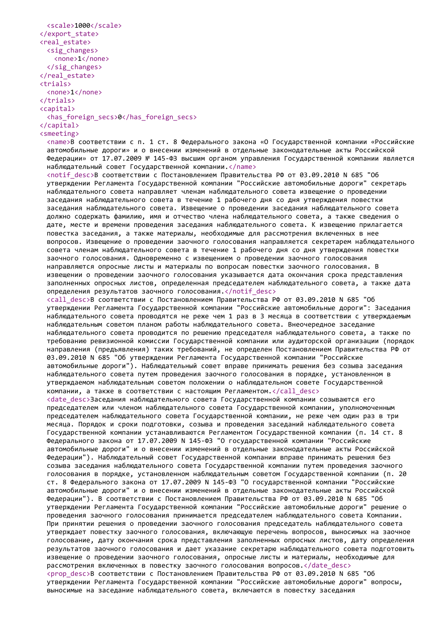```
<scale>1000</scale>
</export_state>
<real_estate>
 <sig_changes>
   <none>1</none>
 \langle/sig changes>
</real_estate>
<trials>
 <none>1</none>
</trials>
<capital>
 <has_foreign_secs>0</has_foreign_secs>
</capital>
<smeeting>
```
<name>В соответствии с п. 1 ст. 8 Федерального закона «О Государственной компании «Российские автомобильные дороги» и о внесении изменений в отдельные законодательные акты Российской Федерации» от 17.07.2009 № 145-ФЗ высшим органом управления Государственной компании является наблюдательный совет Государственной компании.</name>

<notif desc>В соответствии с Постановлением Правительства РФ от 03.09.2010 N 685 "Об утверждении Регламента Государственной компании "Российские автомобильные дороги" секретарь наблюдательного совета направляет членам наблюдательного совета извещение о проведении заседания наблюдательного совета в течение 1 рабочего дня со дня утверждения повестки заседания наблюдательного совета. Извещение о проведении заседания наблюдательного совета должно содержать фамилию, имя и отчество члена наблюдательного совета, а также сведения о дате, месте и времени проведения заседания наблюдательного совета. К извещению прилагается повестка заседания, а также материалы, необходимые для рассмотрения включенных в нее вопросов. Извещение о проведении заочного голосования направляется секретарем наблюдательного совета членам наблюдательного совета в течение 1 рабочего дня со дня утверждения повестки заочного голосования. Одновременно с извещением о проведении заочного голосования направляются опросные листы и материалы по вопросам повестки заочного голосования. В извещении о проведении заочного голосования указывается дата окончания срока представления заполненных опросных листов, определенная председателем наблюдательного совета, а также дата определения результатов заочного голосования.</notif\_desc> <call\_desc>В соответствии с Постановлением Правительства РФ от 03.09.2010 N 685 "Об

утверждении Регламента Государственной компании "Российские автомобильные дороги": Заседания наблюдательного совета проводятся не реже чем 1 раз в 3 месяца в соответствии с утверждаемым наблюдательным советом планом работы наблюдательного совета. Внеочередное заседание наблюдательного совета проводится по решению председателя наблюдательного совета, а также по требованию ревизионной комиссии Государственной компании или аудиторской организации (порядок направления (предъявления) таких требований, не определен Постановлением Правительства РФ от 03.09.2010 N 685 "Об утверждении Регламента Государственной компании "Российские автомобильные дороги"). Наблюдательный совет вправе принимать решения без созыва заседания наблюдательного совета путем проведения заочного голосования в порядке, установленном в утверждаемом наблюдательным советом положении о наблюдательном совете Государственной компании, а также в соответствии с настоящим Регламентом.</call\_desc>

<date desc>Заседания наблюдательного совета Государственной компании созываются его председателем или членом наблюдательного совета Государственной компании, уполномоченным председателем наблюдательного совета Государственной компании, не реже чем один раз в три месяца. Порядок и сроки подготовки, созыва и проведения заседаний наблюдательного совета Государственной компании устанавливаются Регламентом Государственной компании (п. 14 ст. 8 Федерального закона от 17.07.2009 N 145-ФЗ "О государственной компании "Российские автомобильные дороги" и о внесении изменений в отдельные законодательные акты Российской Федерации"). Наблюдательный совет Государственной компании вправе принимать решения без созыва заседания наблюдательного совета Государственной компании путем проведения заочного голосования в порядке, установленном наблюдательным советом Государственной компании (п. 20 ст. 8 Федерального закона от 17.07.2009 N 145-ФЗ "О государственной компании "Российские автомобильные дороги" и о внесении изменений в отдельные законодательные акты Российской Федерации"). В соответствии с Постановлением Правительства РФ от 03.09.2010 N 685 "Об утверждении Регламента Государственной компании "Российские автомобильные дороги" решение о проведения заочного голосования принимается председателем наблюдательного совета Компании. При принятии решения о проведении заочного голосования председатель наблюдательного совета утверждает повестку заочного голосования, включающую перечень вопросов, выносимых на заочное голосование, дату окончания срока представления заполненных опросных листов, дату определения результатов заочного голосования и дает указание секретарю наблюдательного совета подготовить извещение о проведении заочного голосования, опросные листы и материалы, необходимые для рассмотрения включенных в повестку заочного голосования вопросов.</date\_desc> <prop\_desc>В соответствии с Постановлением Правительства РФ от 03.09.2010 N 685 "Об утверждении Регламента Государственной компании "Российские автомобильные дороги" вопросы, выносимые на заседание наблюдательного совета, включаются в повестку заседания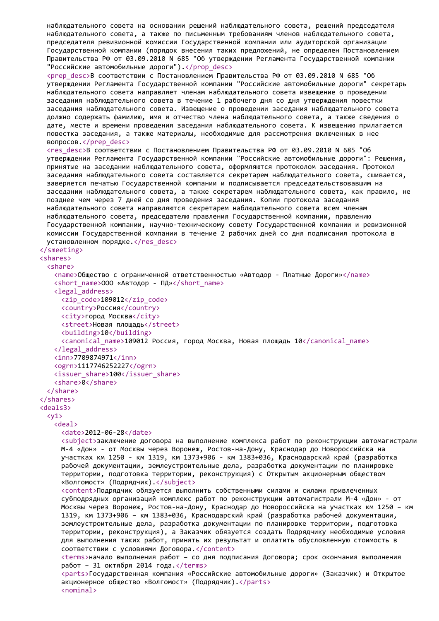```
наблюдательного совета на основании решений наблюдательного совета, решений председателя
 наблюдательного совета, а также по письменным требованиям членов наблюдательного совета,
 председателя ревизионной комиссии Государственной компании или аудиторской организации
 Государственной компании (порядок внесения таких предложений, не определен Постановлением
 Правительства РФ от 03.09.2010 N 685 "Об утверждении Регламента Государственной компании
 "Российские автомобильные дороги").</prop_desc>
 <prep_desc>В соответствии с Постановлением Правительства РФ от 03.09.2010 N 685 "Об
 утверждении Регламента Государственной компании "Российские автомобильные дороги" секретарь
 наблюдательного совета направляет членам наблюдательного совета извещение о проведении
 заседания наблюдательного совета в течение 1 рабочего дня со дня утверждения повестки
 заседания наблюдательного совета. Извещение о проведении заседания наблюдательного совета
 должно содержать фамилию, имя и отчество члена наблюдательного совета, а также сведения о
 дате, месте и времени проведения заседания наблюдательного совета. К извещению прилагается
 повестка заседания, а также материалы, необходимые для рассмотрения включенных в нее
 вопросов.</prep_desc>
 <res desc>В соответствии с Постановлением Правительства РФ от 03.09.2010 N 685 "Об
 утверждении Регламента Государственной компании "Российские автомобильные дороги": Решения,
 принятые на заседании наблюдательного совета, оформляются протоколом заседания. Протокол
 заседания наблюдательного совета составляется секретарем наблюдательного совета, сшивается,
 заверяется печатью Государственной компании и подписывается председательствовавшим на
 заседании наблюдательного совета, а также секретарем наблюдательного совета, как правило, не
 позднее чем через 7 дней со дня проведения заседания. Копии протокола заседания
 наблюдательного совета направляются секретарем наблюдательного совета всем членам
 наблюдательного совета, председателю правления Государственной компании, правлению
 Государственной компании, научно-техническому совету Государственной компании и ревизионной
 комиссии Государственной компании в течение 2 рабочих дней со дня подписания протокола в
 установленном порядке.</res desc>
</smeeting>
<shares>
 <share>
   <name>Общество с ограниченной ответственностью «Автодор - Платные Дороги»</name>
   <short_name>ООО «Автодор - ПД»</short_name>
   <legal_address>
     <zip_code>109012</zip_code>
     <country>Россия</country>
     <city>город Москва</city>
     <street>Новая площадь</street>
     <building>10</building>
     <canonical_name>109012 Россия, город Москва, Новая площадь 10</canonical_name>
   </legal_address>
   <inn>7709874971</inn>
   <ogrn>1117746252227</ogrn>
   <issuer_share>100</issuer_share>
   <share>0</share>
 </share>
</shares>
<deals3>
 \langle y1 \rangle<deal>
     <date>2012-06-28</date>
     <subject>заключение договора на выполнение комплекса работ по реконструкции автомагистрали
     М-4 «Дон» - от Москвы через Воронеж, Ростов-на-Дону, Краснодар до Новороссийска на
     участках км 1250 - км 1319, км 1373+906 - км 1383+036, Краснодарский край (разработка
     рабочей документации, землеустроительные дела, разработка документации по планировке
     территории, подготовка территории, реконструкция) с Открытым акционерным обществом
     «Волгомост» (Подрядчик).</subject>
     <content>Подрядчик обязуется выполнить собственными силами и силами привлеченных
     субподрядных организаций комплекс работ по реконструкции автомагистрали М-4 «Дон» - от
     Москвы через Воронеж, Ростов-на-Дону, Краснодар до Новороссийска на участках км 1250 – км
     1319, км 1373+906 – км 1383+036, Краснодарский край (разработка рабочей документации,
     землеустроительные дела, разработка документации по планировке территории, подготовка
     территории, реконструкция), а Заказчик обязуется создать Подрядчику необходимые условия
     для выполнения таких работ, принять их результат и оплатить обусловленную стоимость в
     соответствии с условиями Договора.</content>
     <terms>начало выполнения работ – со дня подписания Договора; срок окончания выполнения
     работ - 31 октября 2014 года. </terms>
     <parts>Государственная компания «Российские автомобильные дороги» (Заказчик) и Открытое
     акционерное общество «Волгомост» (Подрядчик).</parts>
     <nominal>
```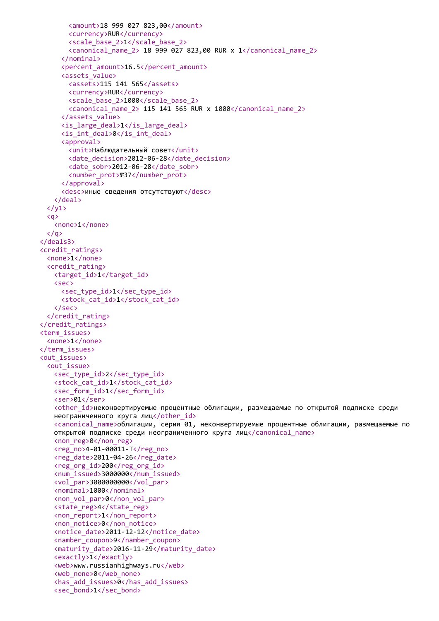```
<amount>18 999 027 823,00</amount>
       <currency>RUR</currency>
       <scale_base_2>1</scale_base_2>
       <canonical_name_2> 18 999 027 823,00 RUR x 1</canonical_name_2>
     </nominal>
     <percent_amount>16.5</percent_amount>
     <assets_value>
       <assets>115 141 565</assets>
       <currency>RUR</currency>
       <scale_base_2>1000</scale_base_2>
       \langlecanonical name 2> 115 141 565 RUR x 1000\langle/canonical name 2>
     </assets_value>
     \langleis large deal>1\langleis large deal>
     <is_int_deal>0</is_int_deal>
     <approval>
       <unit>Наблюдательный совет</unit>
       <date_decision>2012-06-28</date_decision>
       <date_sobr>2012-06-28</date_sobr>
       <number_prot>№37</number_prot>
     </approval>
     <desc>иные сведения отсутствуют</desc>
   </deal>
  \langle/y1>
  \langlea>
   <none>1</none>
  \langle/a>
</deals3>
<credit_ratings>
 <none>1</none>
  <credit_rating>
   <target_id>1</target_id>
   <sec>
     <sec_type_id>1</sec_type_id>
     <stock cat id>1</stock cat id>
   </sec>
  </credit_rating>
</credit_ratings>
<term_issues>
  <none>1</none>
</term_issues>
<out_issues>
  <out_issue>
   <sec_type_id>2</sec_type_id>
   <stock cat id>1</stock cat id>
   <sec form id>1</sec form id>
   <ser>01</ser>
   <other id>неконвертируемые процентные облигации, размещаемые по открытой подписке среди
   неограниченного круга лиц</other id>
   <canonical name>облигации, серия 01, неконвертируемые процентные облигации, размещаемые по
   открытой подписке среди неограниченного круга лиц</canonical_name>
   <non_reg>0</non_reg>
   <reg_no>4-01-00011-T</reg_no>
   <reg_date>2011-04-26</reg_date>
   <reg_org_id>200</reg_org_id>
   <num_issued>3000000</num_issued>
   <vol par>3000000000</vol par>
   <nominal>1000</nominal>
   <non_vol_par>0</non_vol_par>
   <state_reg>4</state_reg>
   <non_report>1</non_report>
   <non_notice>0</non_notice>
   <notice_date>2011-12-12</notice_date>
   <namber_coupon>9</namber_coupon>
   <maturity_date>2016-11-29</maturity_date>
   <exactly>1</exactly>
   <web>www.russianhighways.ru</web>
   <web_none>0</web_none>
   <has_add_issues>0</has_add_issues>
   <sec_bond>1</sec_bond>
```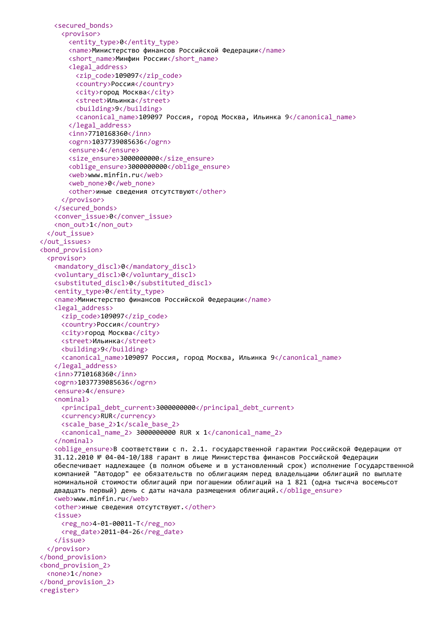```
<secured_bonds>
     <provisor>
       <entity_type>0</entity_type>
       <name>Министерство финансов Российской Федерации</name>
       <short_name>Минфин России</short_name>
       <legal_address>
         <zip_code>109097</zip_code>
         <country>Россия</country>
         <city>город Москва</city>
         <street>Ильинка</street>
         <building>9</building>
         <canonical_name>109097 Россия, город Москва, Ильинка 9</canonical_name>
       </legal_address>
       <inn>7710168360</inn>
       <ogrn>1037739085636</ogrn>
       <ensure>4</ensure>
       <size_ensure>3000000000</size_ensure>
       <oblige_ensure>3000000000</oblige_ensure>
       <web>www.minfin.ru</web>
       <web_none>0</web_none>
       <other>иные сведения отсутствуют</other>
     </provisor>
   </secured_bonds>
   <conver_issue>0</conver_issue>
   <non_out>1</non_out>
  </out_issue>
</out_issues>
<bond_provision>
  <provisor>
   <mandatory_discl>0</mandatory_discl>
   <voluntary_discl>0</voluntary_discl>
   <substituted_discl>0</substituted_discl>
   <entity_type>0</entity_type>
   <name>Министерство финансов Российской Федерации</name>
   <legal_address>
     <zip_code>109097</zip_code>
     <country>Россия</country>
     <city>город Москва</city>
     <street>Ильинка</street>
     <building>9</building>
     <canonical_name>109097 Россия, город Москва, Ильинка 9</canonical_name>
   </legal_address>
   <inn>7710168360</inn>
   <ogrn>1037739085636</ogrn>
   <ensure>4</ensure>
   <nominal>
     <principal_debt_current>3000000000</principal_debt_current>
     <currency>RUR</currency>
     <scale_base_2>1</scale_base_2>
     <canonical_name_2> 3000000000 RUR x 1</canonical_name_2>
   </nominal>
   <oblige_ensure>В соответствии с п. 2.1. государственной гарантии Российской Федерации от
   31.12.2010 № 04-04-10/188 гарант в лице Министерства финансов Российской Федерации
   обеспечивает надлежащее (в полном объеме и в установленный срок) исполнение Государственной
   компанией "Автодор" ее обязательств по облигациям перед владельцами облигаций по выплате
   номинальной стоимости облигаций при погашении облигаций на 1 821 (одна тысяча восемьсот
   двадцать первый) день с даты начала размещения облигаций.</oblige_ensure>
   <web>www.minfin.ru</web>
   <other>иные сведения отсутствуют.</other>
   <issue>
     <reg_no>4-01-00011-T</reg_no>
     <reg_date>2011-04-26</reg_date>
   </issue>
  </provisor>
</bond_provision>
<bond_provision_2>
  <none>1</none>
</bond_provision_2>
<register>
```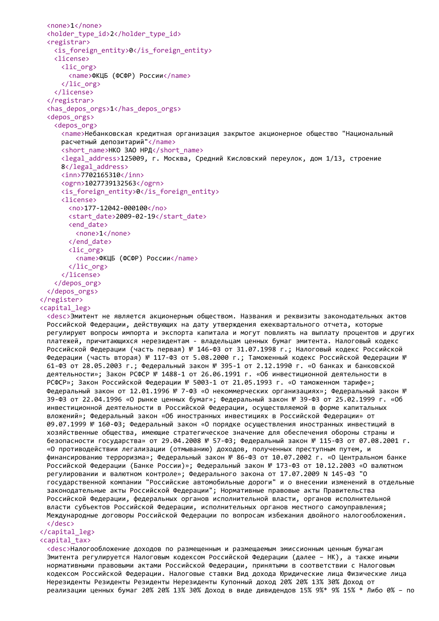```
<none>1</none>
 <holder_type_id>2</holder_type_id>
 <registrar>
   <is_foreign_entity>0</is_foreign_entity>
   <license>
     <lic_org>
       <name>ФКЦБ (ФСФР) России</name>
     \langlelic_org>
   </license>
 </registrar>
 <has_depos_orgs>1</has_depos_orgs>
 <depos_orgs>
   <depos_org>
     <name>Небанковская кредитная организация закрытое акционерное общество "Национальный
     расчетный депозитарий"</name>
     <short name>НКО ЗАО НРД</short name>
     <legal_address>125009, г. Москва, Средний Кисловский переулок, дом 1/13, строение
     8</legal_address>
     <inn>7702165310</inn>
     <ogrn>1027739132563</ogrn>
     <is_foreign_entity>0</is_foreign_entity>
     <license>
       <no>177-12042-000100</no>
       <start_date>2009-02-19</start_date>
       <end_date>
         <none>1</none>
       </end_date>
       <lic_org>
         <name>ФКЦБ (ФСФР) России</name>
       </lic_org>
     </license>
   </depos_org>
 </depos_orgs>
</register>
<capital_leg>
 <desc>Эмитент не является акционерным обществом. Названия и реквизиты законодательных актов
```
Российской Федерации, действующих на дату утверждения ежеквартального отчета, которые регулируют вопросы импорта и экспорта капитала и могут повлиять на выплату процентов и других платежей, причитающихся нерезидентам - владельцам ценных бумаг эмитента. Налоговый кодекс Российской Федерации (часть первая) № 146-ФЗ от 31.07.1998 г.; Налоговый кодекс Российской Федерации (часть вторая) № 117-ФЗ от 5.08.2000 г.; Таможенный кодекс Российской Федерации № 61-ФЗ от 28.05.2003 г.; Федеральный закон № 395-1 от 2.12.1990 г. «О банках и банковской деятельности»; Закон РСФСР № 1488-1 от 26.06.1991 г. «Об инвестиционной деятельности в РСФСР»; Закон Российской Федерации № 5003-1 от 21.05.1993 г. «О таможенном тарифе»; Федеральный закон от 12.01.1996 № 7-ФЗ «О некоммерческих организациях»; Федеральный закон № 39-ФЗ от 22.04.1996 «О рынке ценных бумаг»; Федеральный закон № 39-ФЗ от 25.02.1999 г. «Об инвестиционной деятельности в Российской Федерации, осуществляемой в форме капитальных вложений»; Федеральный закон «Об иностранных инвестициях в Российской Федерации» от 09.07.1999 № 160-ФЗ; Федеральный закон «О порядке осуществления иностранных инвестиций в хозяйственные общества, имеющие стратегическое значение для обеспечения обороны страны и безопасности государства» от 29.04.2008 № 57-ФЗ; Федеральный закон № 115-ФЗ от 07.08.2001 г. «О противодействии легализации (отмыванию) доходов, полученных преступным путем, и финансированию терроризма»; Федеральный закон № 86-ФЗ от 10.07.2002 г. «О Центральном банке Российской Федерации (Банке России)»; Федеральный закон № 173-ФЗ от 10.12.2003 «О валютном регулировании и валютном контроле»; Федерального закона от 17.07.2009 N 145-ФЗ "О государственной компании "Российские автомобильные дороги" и о внесении изменений в отдельные законодательные акты Российской Федерации"; Нормативные правовые акты Правительства Российской Федерации, федеральных органов исполнительной власти, органов исполнительной власти субъектов Российской Федерации, исполнительных органов местного самоуправления; Международные договоры Российской Федерации по вопросам избежания двойного налогообложения. </desc>

</capital\_leg>

## <capital\_tax>

<desc>Налогообложение доходов по размещенным и размещаемым эмиссионным ценным бумагам Эмитента регулируется Налоговым кодексом Российской Федерации (далее – НК), а также иными нормативными правовыми актами Российской Федерации, принятыми в соответствии с Налоговым кодексом Российской Федерации. Налоговые ставки Вид дохода Юридические лица Физические лица Нерезиденты Резиденты Резиденты Нерезиденты Купонный доход 20% 20% 13% 30% Доход от реализации ценных бумаг 20% 20% 13% 30% Доход в виде дивидендов 15% 9%\* 9% 15% \* Либо 0% – по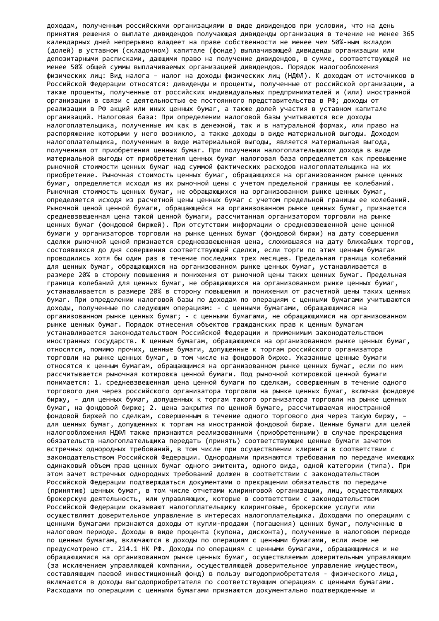доходам, полученным российскими организациями в виде дивидендов при условии, что на день принятия решения о выплате дивидендов получающая дивиденды организация в течение не менее 365 календарных дней непрерывно владеет на праве собственности не менее чем 50%-ным вкладом (долей) в уставном (складочном) капитале (фонде) выплачивающей дивиденды организации или депозитарными расписками, дающими право на получение дивидендов, в сумме, соответствующей не менее 50% общей суммы выплачиваемых организацией дивидендов. Порядок налогообложения физических лиц: Вид налога – налог на доходы физических лиц (НДФЛ). К доходам от источников в Российской Федерации относятся: дивиденды и проценты, полученные от российской организации, а также проценты, полученные от российских индивидуальных предпринимателей и (или) иностранной организации в связи с деятельностью ее постоянного представительства в РФ; доходы от реализации в РФ акций или иных ценных бумаг, а также долей участия в уставном капитале организаций. Налоговая база: При определении налоговой базы учитываются все доходы налогоплательщика, полученные им как в денежной, так и в натуральной формах, или право на распоряжение которыми у него возникло, а также доходы в виде материальной выгоды. Доходом налогоплательщика, полученным в виде материальной выгоды, является материальная выгода, полученная от приобретения ценных бумаг. При получении налогоплательщиком дохода в виде материальной выгоды от приобретения ценных бумаг налоговая база определяется как превышение рыночной стоимости ценных бумаг над суммой фактических расходов налогоплательщика на их приобретение. Рыночная стоимость ценных бумаг, обращающихся на организованном рынке ценных бумаг, определяется исходя из их рыночной цены с учетом предельной границы ее колебаний. Рыночная стоимость ценных бумаг, не обращающихся на организованном рынке ценных бумаг, определяется исходя из расчетной цены ценных бумаг с учетом предельной границы ее колебаний. Рыночной ценой ценной бумаги, обращающейся на организованном рынке ценных бумаг, признается средневзвешенная цена такой ценной бумаги, рассчитанная организатором торговли на рынке ценных бумаг (фондовой биржей). При отсутствии информации о средневзвешенной цене ценной бумаги у организаторов торговли на рынке ценных бумаг (фондовой биржи) на дату совершения сделки рыночной ценой признается средневзвешенная цена, сложившаяся на дату ближайших торгов, состоявшихся до дня совершения соответствующей сделки, если торги по этим ценным бумагам проводились хотя бы один раз в течение последних трех месяцев. Предельная граница колебаний для ценных бумаг, обращающихся на организованном рынке ценных бумаг, устанавливается в размере 20% в сторону повышения и понижения от рыночной цены таких ценных бумаг. Предельная граница колебаний для ценных бумаг, не обращающихся на организованном рынке ценных бумаг, устанавливается в размере 20% в сторону повышения и понижения от расчетной цены таких ценных бумаг. При определении налоговой базы по доходам по операциям с ценными бумагами учитываются доходы, полученные по следующим операциям: - с ценными бумагами, обращающимися на организованном рынке ценных бумаг; - с ценными бумагами, не обращающимися на организованном рынке ценных бумаг. Порядок отнесения объектов гражданских прав к ценным бумагам устанавливается законодательством Российской Федерации и применимым законодательством иностранных государств. К ценным бумагам, обращающимся на организованном рынке ценных бумаг, относятся, помимо прочих, ценные бумаги, допущенные к торгам российского организатора торговли на рынке ценных бумаг, в том числе на фондовой бирже. Указанные ценные бумаги относятся к ценным бумагам, обращающимся на организованном рынке ценных бумаг, если по ним рассчитывается рыночная котировка ценной бумаги. Под рыночной котировкой ценной бумаги понимается: 1. средневзвешенная цена ценной бумаги по сделкам, совершенным в течение одного торгового дня через российского организатора торговли на рынке ценных бумаг, включая фондовую биржу, - для ценных бумаг, допущенных к торгам такого организатора торговли на рынке ценных бумаг, на фондовой бирже; 2. цена закрытия по ценной бумаге, рассчитываемая иностранной фондовой биржей по сделкам, совершенным в течение одного торгового дня через такую биржу, – для ценных бумаг, допущенных к торгам на иностранной фондовой бирже. Ценные бумаги для целей налогообложения НДФЛ также признаются реализованными (приобретенными) в случае прекращения обязательств налогоплательщика передать (принять) соответствующие ценные бумаги зачетом встречных однородных требований, в том числе при осуществлении клиринга в соответствии с законодательством Российской Федерации. Однородными признаются требования по передаче имеющих одинаковый объем прав ценных бумаг одного эмитента, одного вида, одной категории (типа). При этом зачет встречных однородных требований должен в соответствии с законодательством Российской Федерации подтверждаться документами о прекращении обязательств по передаче (принятию) ценных бумаг, в том числе отчетами клиринговой организации, лиц, осуществляющих брокерскую деятельность, или управляющих, которые в соответствии с законодательством Российской Федерации оказывают налогоплательщику клиринговые, брокерские услуги или осуществляют доверительное управление в интересах налогоплательщика. Доходами по операциям с ценными бумагами признаются доходы от купли-продажи (погашения) ценных бумаг, полученные в налоговом периоде. Доходы в виде процента (купона, дисконта), полученные в налоговом периоде по ценным бумагам, включаются в доходы по операциям с ценными бумагами, если иное не предусмотрено ст. 214.1 НК РФ. Доходы по операциям с ценными бумагами, обращающимися и не обращающимися на организованном рынке ценных бумаг, осуществляемым доверительным управляющим (за исключением управляющей компании, осуществляющей доверительное управление имуществом, составляющим паевой инвестиционный фонд) в пользу выгодоприобретателя - физического лица, включаются в доходы выгодоприобретателя по соответствующим операциям с ценными бумагами. Расходами по операциям с ценными бумагами признаются документально подтвержденные и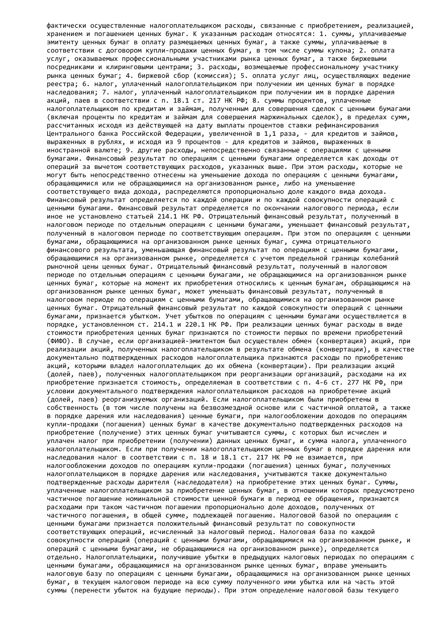фактически осуществленные налогоплательщиком расходы, связанные с приобретением, реализацией, хранением и погашением ценных бумаг. К указанным расходам относятся: 1. суммы, уплачиваемые эмитенту ценных бумаг в оплату размещаемых ценных бумаг, а также суммы, уплачиваемые в соответствии с договором купли-продажи ценных бумаг, в том числе суммы купона; 2. оплата услуг, оказываемых профессиональными участниками рынка ценных бумаг, а также биржевыми посредниками и клиринговыми центрами; 3. расходы, возмещаемые профессиональному участнику рынка ценных бумаг; 4. биржевой сбор (комиссия); 5. оплата услуг лиц, осуществляющих ведение реестра; 6. налог, уплаченный налогоплательщиком при получении им ценных бумаг в порядке наследования; 7. налог, уплаченный налогоплательщиком при получении им в порядке дарения акций, паев в соответствии с п. 18.1 ст. 217 НК РФ; 8. суммы процентов, уплаченные налогоплательщиком по кредитам и займам, полученным для совершения сделок с ценными бумагами (включая проценты по кредитам и займам для совершения маржинальных сделок), в пределах сумм, рассчитанных исходя из действующей на дату выплаты процентов ставки рефинансирования Центрального банка Российской Федерации, увеличенной в 1,1 раза, - для кредитов и займов, выраженных в рублях, и исходя из 9 процентов - для кредитов и займов, выраженных в иностранной валюте; 9. другие расходы, непосредственно связанные с операциями с ценными бумагами. Финансовый результат по операциям с ценными бумагами определяется как доходы от операций за вычетом соответствующих расходов, указанных выше. При этом расходы, которые не могут быть непосредственно отнесены на уменьшение дохода по операциям с ценными бумагами, обращающимися или не обращающимися на организованном рынке, либо на уменьшение соответствующего вида дохода, распределяются пропорционально доле каждого вида дохода. Финансовый результат определяется по каждой операции и по каждой совокупности операций с ценными бумагами. Финансовый результат определяется по окончании налогового периода, если иное не установлено статьей 214.1 НК РФ. Отрицательный финансовый результат, полученный в налоговом периоде по отдельным операциям с ценными бумагами, уменьшает финансовый результат, полученный в налоговом периоде по соответствующим операциям. При этом по операциям с ценными бумагами, обращающимися на организованном рынке ценных бумаг, сумма отрицательного финансового результата, уменьшающая финансовый результат по операциям с ценными бумагами, обращающимися на организованном рынке, определяется с учетом предельной границы колебаний рыночной цены ценных бумаг. Отрицательный финансовый результат, полученный в налоговом периоде по отдельным операциям с ценными бумагами, не обращающимися на организованном рынке ценных бумаг, которые на момент их приобретения относились к ценным бумагам, обращающимся на организованном рынке ценных бумаг, может уменьшать финансовый результат, полученный в налоговом периоде по операциям с ценными бумагами, обращающимися на организованном рынке ценных бумаг. Отрицательный финансовый результат по каждой совокупности операций с ценными бумагами, признается убытком. Учет убытков по операциям с ценными бумагами осуществляется в порядке, установленном ст. 214.1 и 220.1 НК РФ. При реализации ценных бумаг расходы в виде стоимости приобретения ценных бумаг признаются по стоимости первых по времени приобретений (ФИФО). В случае, если организацией-эмитентом был осуществлен обмен (конвертация) акций, при реализации акций, полученных налогоплательщиком в результате обмена (конвертации), в качестве документально подтвержденных расходов налогоплательщика признаются расходы по приобретению акций, которыми владел налогоплательщик до их обмена (конвертации). При реализации акций (долей, паев), полученных налогоплательщиком при реорганизации организаций, расходами на их приобретение признается стоимость, определяемая в соответствии с п. 4-6 ст. 277 НК РФ, при условии документального подтверждения налогоплательщиком расходов на приобретение акций (долей, паев) реорганизуемых организаций. Если налогоплательщиком были приобретены в собственность (в том числе получены на безвозмездной основе или с частичной оплатой, а также в порядке дарения или наследования) ценные бумаги, при налогообложении доходов по операциям купли-продажи (погашения) ценных бумаг в качестве документально подтвержденных расходов на приобретение (получение) этих ценных бумаг учитываются суммы, с которых был исчислен и уплачен налог при приобретении (получении) данных ценных бумаг, и сумма налога, уплаченного налогоплательщиком. Если при получении налогоплательщиком ценных бумаг в порядке дарения или наследования налог в соответствии с п. 18 и 18.1 ст. 217 НК РФ не взимается, при налогообложении доходов по операциям купли-продажи (погашения) ценных бумаг, полученных налогоплательщиком в порядке дарения или наследования, учитываются также документально подтвержденные расходы дарителя (наследодателя) на приобретение этих ценных бумаг. Суммы, уплаченные налогоплательщиком за приобретение ценных бумаг, в отношении которых предусмотрено частичное погашение номинальной стоимости ценной бумаги в период ее обращения, признаются расходами при таком частичном погашении пропорционально доле доходов, полученных от частичного погашения, в общей сумме, подлежащей погашению. Налоговой базой по операциям с ценными бумагами признается положительный финансовый результат по совокупности соответствующих операций, исчисленный за налоговый период. Налоговая база по каждой совокупности операций (операций с ценными бумагами, обращающимися на организованном рынке, и операций с ценными бумагами, не обращающимися на организованном рынке), определяется отдельно. Налогоплательщики, получившие убытки в предыдущих налоговых периодах по операциям с ценными бумагами, обращающимися на организованном рынке ценных бумаг, вправе уменьшить налоговую базу по операциям с ценными бумагами, обращающимися на организованном рынке ценных бумаг, в текущем налоговом периоде на всю сумму полученного ими убытка или на часть этой суммы (перенести убыток на будущие периоды). При этом определение налоговой базы текущего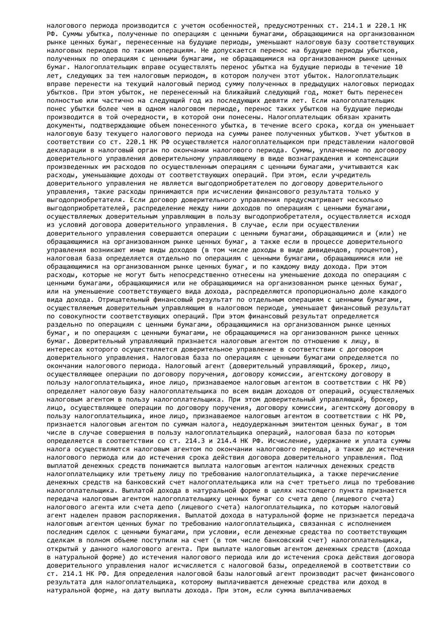налогового периода производится с учетом особенностей, предусмотренных ст. 214.1 и 220.1 НК РФ. Суммы убытка, полученные по операциям с ценными бумагами, обращающимися на организованном рынке ценных бумаг, перенесенные на будущие периоды, уменьшают налоговую базу соответствующих налоговых периодов по таким операциям. Не допускается перенос на будущие периоды убытков, полученных по операциям с ценными бумагами, не обращающимися на организованном рынке ценных бумаг. Налогоплательщик вправе осуществлять перенос убытка на будущие периоды в течение 10 лет, следующих за тем налоговым периодом, в котором получен этот убыток. Налогоплательщик вправе перенести на текущий налоговый период сумму полученных в предыдущих налоговых периодах убытков. При этом убыток, не перенесенный на ближайший следующий год, может быть перенесен полностью или частично на следующий год из последующих девяти лет. Если налогоплательщик понес убытки более чем в одном налоговом периоде, перенос таких убытков на будущие периоды производится в той очередности, в которой они понесены. Налогоплательщик обязан хранить документы, подтверждающие объем понесенного убытка, в течение всего срока, когда он уменьшает налоговую базу текущего налогового периода на суммы ранее полученных убытков. Учет убытков в соответствии со ст. 220.1 НК РФ осуществляется налогоплательщиком при представлении налоговой декларации в налоговый орган по окончании налогового периода. Суммы, уплаченные по договору доверительного управления доверительному управляющему в виде вознаграждения и компенсации произведенных им расходов по осуществленным операциям с ценными бумагами, учитываются как расходы, уменьшающие доходы от соответствующих операций. При этом, если учредитель доверительного управления не является выгодоприобретателем по договору доверительного управления, такие расходы принимаются при исчислении финансового результата только у выгодоприобретателя. Если договор доверительного управления предусматривает несколько выгодоприобретателей, распределение между ними доходов по операциям с ценными бумагами, осуществляемых доверительным управляющим в пользу выгодоприобретателя, осуществляется исходя из условий договора доверительного управления. В случае, если при осуществлении доверительного управления совершаются операции с ценными бумагами, обращающимися и (или) не обращающимися на организованном рынке ценных бумаг, а также если в процессе доверительного управления возникают иные виды доходов (в том числе доходы в виде дивидендов, процентов), налоговая база определяется отдельно по операциям с ценными бумагами, обращающимися или не обращающимися на организованном рынке ценных бумаг, и по каждому виду дохода. При этом расходы, которые не могут быть непосредственно отнесены на уменьшение дохода по операциям с ценными бумагами, обращающимися или не обращающимися на организованном рынке ценных бумаг, или на уменьшение соответствующего вида дохода, распределяются пропорционально доле каждого вида дохода. Отрицательный финансовый результат по отдельным операциям с ценными бумагами, осуществляемым доверительным управляющим в налоговом периоде, уменьшает финансовый результат по совокупности соответствующих операций. При этом финансовый результат определяется раздельно по операциям с ценными бумагами, обращающимися на организованном рынке ценных бумаг, и по операциям с ценными бумагами, не обращающимися на организованном рынке ценных бумаг. Доверительный управляющий признается налоговым агентом по отношению к лицу, в интересах которого осуществляется доверительное управление в соответствии с договором доверительного управления. Налоговая база по операциям с ценными бумагами определяется по окончании налогового периода. Налоговый агент (доверительный управляющий, брокер, лицо, осуществляющее операции по договору поручения, договору комиссии, агентскому договору в пользу налогоплательщика, иное лицо, признаваемое налоговым агентом в соответствии с НК РФ) определяет налоговую базу налогоплательщика по всем видам доходов от операций, осуществляемых налоговым агентом в пользу налогоплательщика. При этом доверительный управляющий, брокер, лицо, осуществляющее операции по договору поручения, договору комиссии, агентскому договору в пользу налогоплательщика, иное лицо, признаваемое налоговым агентом в соответствии с НК РФ, признается налоговым агентом по суммам налога, недоудержанным эмитентом ценных бумаг, в том числе в случае совершения в пользу налогоплательщика операций, налоговая база по которым определяется в соответствии со ст. 214.3 и 214.4 НК РФ. Исчисление, удержание и уплата суммы налога осуществляются налоговым агентом по окончании налогового периода, а также до истечения налогового периода или до истечения срока действия договора доверительного управления. Под выплатой денежных средств понимаются выплата налоговым агентом наличных денежных средств налогоплательщику или третьему лицу по требованию налогоплательщика, а также перечисление денежных средств на банковский счет налогоплательщика или на счет третьего лица по требованию налогоплательщика. Выплатой дохода в натуральной форме в целях настоящего пункта признается передача налоговым агентом налогоплательщику ценных бумаг со счета депо (лицевого счета) налогового агента или счета депо (лицевого счета) налогоплательщика, по которым налоговый агент наделен правом распоряжения. Выплатой дохода в натуральной форме не признается передача налоговым агентом ценных бумаг по требованию налогоплательщика, связанная с исполнением последним сделок с ценными бумагами, при условии, если денежные средства по соответствующим сделкам в полном объеме поступили на счет (в том числе банковский счет) налогоплательщика, открытый у данного налогового агента. При выплате налоговым агентом денежных средств (дохода в натуральной форме) до истечения налогового периода или до истечения срока действия договора доверительного управления налог исчисляется с налоговой базы, определяемой в соответствии со ст. 214.1 НК РФ. Для определения налоговой базы налоговый агент производит расчет финансового результата для налогоплательщика, которому выплачиваются денежные средства или доход в натуральной форме, на дату выплаты дохода. При этом, если сумма выплачиваемых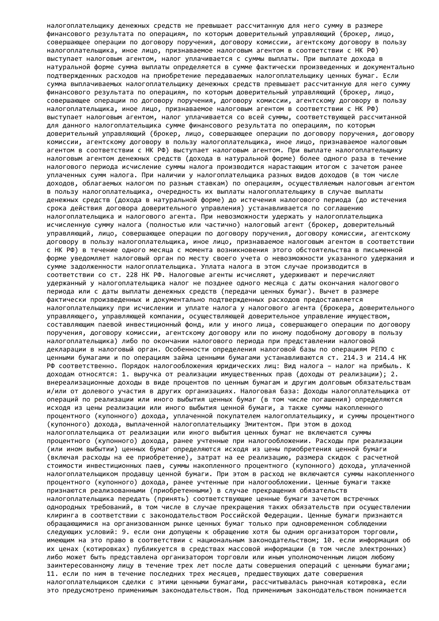налогоплательщику денежных средств не превышает рассчитанную для него сумму в размере финансового результата по операциям, по которым доверительный управляющий (брокер, лицо, совершающее операции по договору поручения, договору комиссии, агентскому договору в пользу налогоплательщика, иное лицо, признаваемое налоговым агентом в соответствии с НК РФ) выступает налоговым агентом, налог уплачивается с суммы выплаты. При выплате дохода в натуральной форме сумма выплаты определяется в сумме фактически произведенных и документально подтвержденных расходов на приобретение передаваемых налогоплательщику ценных бумаг. Если сумма выплачиваемых налогоплательщику денежных средств превышает рассчитанную для него сумму финансового результата по операциям, по которым доверительный управляющий (брокер, лицо, совершающее операции по договору поручения, договору комиссии, агентскому договору в пользу налогоплательщика, иное лицо, признаваемое налоговым агентом в соответствии с НК РФ) выступает налоговым агентом, налог уплачивается со всей суммы, соответствующей рассчитанной для данного налогоплательщика сумме финансового результата по операциям, по которым доверительный управляющий (брокер, лицо, совершающее операции по договору поручения, договору комиссии, агентскому договору в пользу налогоплательщика, иное лицо, признаваемое налоговым агентом в соответствии с НК РФ) выступает налоговым агентом. При выплате налогоплательщику налоговым агентом денежных средств (дохода в натуральной форме) более одного раза в течение налогового периода исчисление суммы налога производится нарастающим итогом с зачетом ранее уплаченных сумм налога. При наличии у налогоплательщика разных видов доходов (в том числе доходов, облагаемых налогом по разным ставкам) по операциям, осуществляемым налоговым агентом в пользу налогоплательщика, очередность их выплаты налогоплательщику в случае выплаты денежных средств (дохода в натуральной форме) до истечения налогового периода (до истечения срока действия договора доверительного управления) устанавливается по соглашению налогоплательщика и налогового агента. При невозможности удержать у налогоплательщика исчисленную сумму налога (полностью или частично) налоговый агент (брокер, доверительный управляющий, лицо, совершающее операции по договору поручения, договору комиссии, агентскому договору в пользу налогоплательщика, иное лицо, признаваемое налоговым агентом в соответствии с НК РФ) в течение одного месяца с момента возникновения этого обстоятельства в письменной форме уведомляет налоговый орган по месту своего учета о невозможности указанного удержания и сумме задолженности налогоплательщика. Уплата налога в этом случае производится в соответствии со ст. 228 НК РФ. Налоговые агенты исчисляют, удерживают и перечисляют удержанный у налогоплательщика налог не позднее одного месяца с даты окончания налогового периода или с даты выплаты денежных средств (передачи ценных бумаг). Вычет в размере фактически произведенных и документально подтвержденных расходов предоставляется налогоплательщику при исчислении и уплате налога у налогового агента (брокера, доверительного управляющего, управляющей компании, осуществляющей доверительное управление имуществом, составляющим паевой инвестиционный фонд, или у иного лица, совершающего операции по договору поручения, договору комиссии, агентскому договору или по иному подобному договору в пользу налогоплательщика) либо по окончании налогового периода при представлении налоговой декларации в налоговый орган. Особенности определения налоговой базы по операциям РЕПО с ценными бумагами и по операциям займа ценными бумагами устанавливаются ст. 214.3 и 214.4 НК РФ соответственно. Порядок налогообложения юридических лиц: Вид налога – налог на прибыль. К доходам относятся: 1. выручка от реализации имущественных прав (доходы от реализации); 2. внереализационные доходы в виде процентов по ценным бумагам и другим долговым обязательствам и/или от долевого участия в других организациях. Налоговая база: Доходы налогоплательщика от операций по реализации или иного выбытия ценных бумаг (в том числе погашения) определяются исходя из цены реализации или иного выбытия ценной бумаги, а также суммы накопленного процентного (купонного) дохода, уплаченной покупателем налогоплательщику, и суммы процентного (купонного) дохода, выплаченной налогоплательщику Эмитентом. При этом в доход налогоплательщика от реализации или иного выбытия ценных бумаг не включаются суммы процентного (купонного) дохода, ранее учтенные при налогообложении. Расходы при реализации (или ином выбытии) ценных бумаг определяются исходя из цены приобретения ценной бумаги (включая расходы на ее приобретение), затрат на ее реализацию, размера скидок с расчетной стоимости инвестиционных паев, суммы накопленного процентного (купонного) дохода, уплаченной налогоплательщиком продавцу ценной бумаги. При этом в расход не включаются суммы накопленного процентного (купонного) дохода, ранее учтенные при налогообложении. Ценные бумаги также признаются реализованными (приобретенными) в случае прекращения обязательств налогоплательщика передать (принять) соответствующие ценные бумаги зачетом встречных однородных требований, в том числе в случае прекращения таких обязательств при осуществлении клиринга в соответствии с законодательством Российской Федерации. Ценные бумаги признаются обращающимися на организованном рынке ценных бумаг только при одновременном соблюдении следующих условий: 9. если они допущены к обращению хотя бы одним организатором торговли, имеющим на это право в соответствии с национальным законодательством; 10. если информация об их ценах (котировках) публикуется в средствах массовой информации (в том числе электронных) либо может быть представлена организатором торговли или иным уполномоченным лицом любому заинтересованному лицу в течение трех лет после даты совершения операций с ценными бумагами; 11. если по ним в течение последних трех месяцев, предшествующих дате совершения налогоплательщиком сделки с этими ценными бумагами, рассчитывалась рыночная котировка, если это предусмотрено применимым законодательством. Под применимым законодательством понимается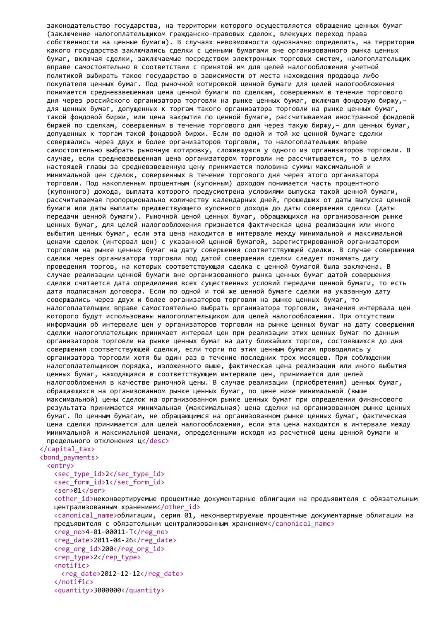законодательство государства, на территории которого осуществляется обращение ценных бумаг (заключение налогоплательщиком гражданско-правовых сделок, влекущих переход права собственности на ценные бумаги). В случаях невозможности однозначно определить, на территории какого государства заключались сделки с ценными бумагами вне организованного рынка ценных бумаг, включая сделки, заключаемые посредством электронных торговых систем, налогоплательщик вправе самостоятельно в соответствии с принятой им для целей налогообложения учетной политикой выбирать такое государство в зависимости от места нахождения продавца либо покупателя ценных бумаг. Под рыночной котировкой ценной бумаги для целей налогообложения понимается средневзвешенная цена ценной бумаги по сделкам, совершенным в течение торгового дня через российского организатора торговли на рынке ценных бумаг, включая фондовую биржу,– для ценных бумаг, допущенных к торгам такого организатора торговли на рынке ценных бумаг, такой фондовой биржи, или цена закрытия по ценной бумаге, рассчитываемая иностранной фондовой биржей по сделкам, совершенным в течение торгового дня через такую биржу,– для ценных бумаг, допущенных к торгам такой фондовой биржи. Если по одной и той же ценной бумаге сделки совершались через двух и более организаторов торговли, то налогоплательщик вправе самостоятельно выбрать рыночную котировку, сложившуюся у одного из организаторов торговли. В случае, если средневзвешенная цена организатором торговли не рассчитывается, то в целях настоящей главы за средневзвешенную цену принимается половина суммы максимальной и минимальной цен сделок, совершенных в течение торгового дня через этого организатора торговли. Под накопленным процентным (купонным) доходом понимается часть процентного (купонного) дохода, выплата которого предусмотрена условиями выпуска такой ценной бумаги, рассчитываемая пропорционально количеству календарных дней, прошедших от даты выпуска ценной бумаги или даты выплаты предшествующего купонного дохода до даты совершения сделки (даты передачи ценной бумаги). Рыночной ценой ценных бумаг, обращающихся на организованном рынке ценных бумаг, для целей налогообложения признается фактическая цена реализации или иного выбытия ценных бумаг, если эта цена находится в интервале между минимальной и максимальной ценами сделок (интервал цен) с указанной ценной бумагой, зарегистрированной организатором торговли на рынке ценных бумаг на дату совершения соответствующей сделки. В случае совершения сделки через организатора торговли под датой совершения сделки следует понимать дату проведения торгов, на которых соответствующая сделка с ценной бумагой была заключена. В случае реализации ценной бумаги вне организованного рынка ценных бумаг датой совершения сделки считается дата определения всех существенных условий передачи ценной бумаги, то есть дата подписания договора. Если по одной и той же ценной бумаге сделки на указанную дату совершались через двух и более организаторов торговли на рынке ценных бумаг, то налогоплательщик вправе самостоятельно выбрать организатора торговли, значения интервала цен которого будут использованы налогоплательщиком для целей налогообложения. При отсутствии информации об интервале цен у организаторов торговли на рынке ценных бумаг на дату совершения сделки налогоплательщик принимает интервал цен при реализации этих ценных бумаг по данным организаторов торговли на рынке ценных бумаг на дату ближайших торгов, состоявшихся до дня совершения соответствующей сделки, если торги по этим ценным бумагам проводились у организатора торговли хотя бы один раз в течение последних трех месяцев. При соблюдении налогоплательщиком порядка, изложенного выше, фактическая цена реализации или иного выбытия ценных бумаг, находящаяся в соответствующем интервале цен, принимается для целей налогообложения в качестве рыночной цены. В случае реализации (приобретения) ценных бумаг, обращающихся на организованном рынке ценных бумаг, по цене ниже минимальной (выше максимальной) цены сделок на организованном рынке ценных бумаг при определении финансового результата принимается минимальная (максимальная) цена сделки на организованном рынке ценных бумаг. По ценным бумагам, не обращающимся на организованном рынке ценных бумаг, фактическая цена сделки принимается для целей налогообложения, если эта цена находится в интервале между минимальной и максимальной ценами, определенными исходя из расчетной цены ценной бумаги и предельного отклонения ц</desc> </capital\_tax>

## <bond\_payments>

## <entry>

```
<sec_type_id>2</sec_type_id>
<sec_form_id>1</sec_form_id>
<ser>01</ser>
<other id>неконвертируемые процентные документарные облигации на предъявителя с обязательным
централизованным хранением</other_id>
<canonical_name>облигации, серия 01, неконвертируемые процентные документарные облигации на
предъявителя с обязательным централизованным хранением</canonical_name>
<reg_no>4-01-00011-Т</reg_no>
<reg_date>2011-04-26</reg_date>
<reg_org_id>200</reg_org_id>
<rep_type>2</rep_type>
<notific>
 <reg_date>2012-12-12</reg_date>
</notific>
```

```
<quantity>3000000</quantity>
```